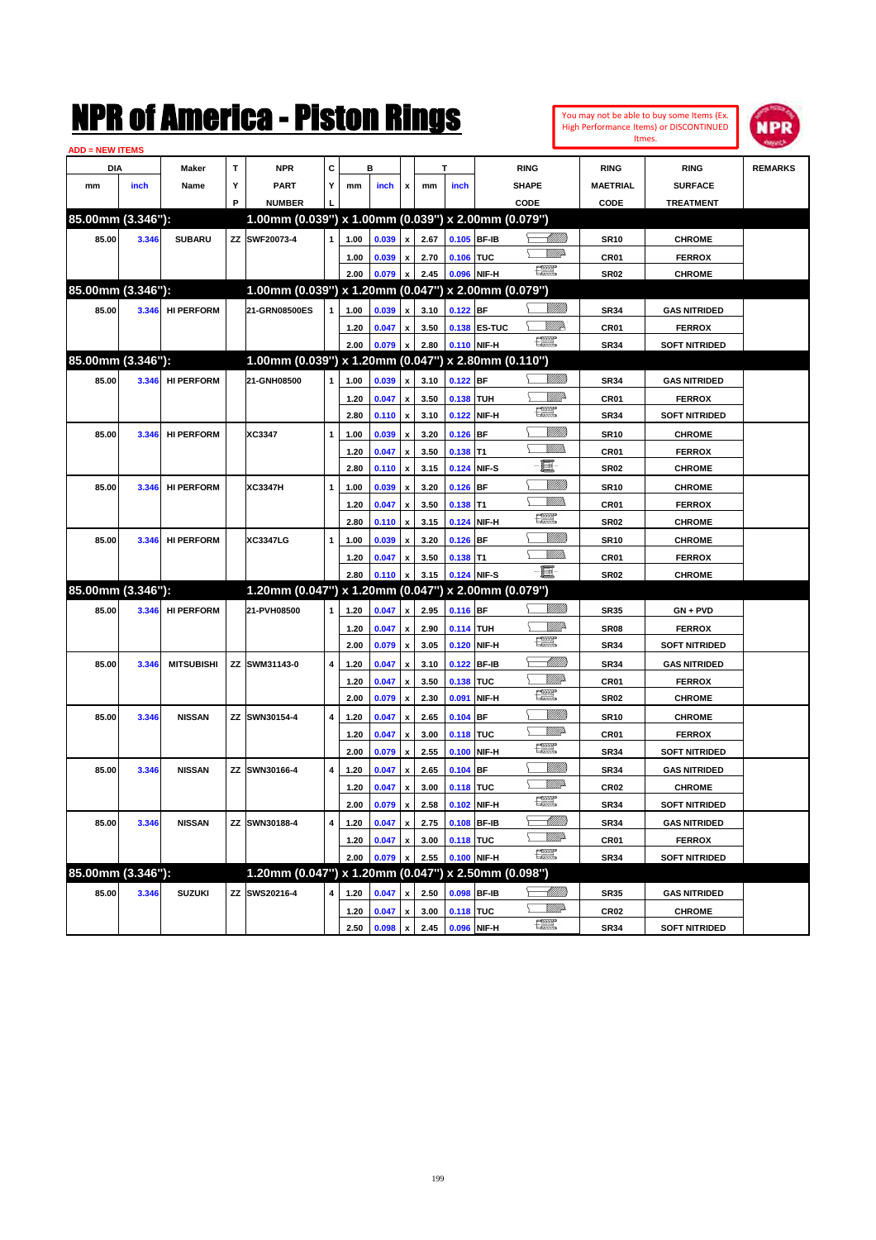|                        |       |                   |    | NMK OI AMCMICA - MISTON KINGS                       |   |              |                |                                                 |              |                  |               |                         |                       |                                 | You may not be able to buy some Items (Ex.<br>High Performance Items) or DISCONTINUED<br>Itmes. | 1PR            |
|------------------------|-------|-------------------|----|-----------------------------------------------------|---|--------------|----------------|-------------------------------------------------|--------------|------------------|---------------|-------------------------|-----------------------|---------------------------------|-------------------------------------------------------------------------------------------------|----------------|
| <b>ADD = NEW ITEMS</b> |       |                   |    |                                                     |   |              |                |                                                 |              |                  |               |                         |                       |                                 |                                                                                                 |                |
| DIA                    |       | Maker             | T  | <b>NPR</b>                                          | c |              | в              |                                                 |              | т                |               | <b>RING</b>             |                       | <b>RING</b>                     | <b>RING</b>                                                                                     | <b>REMARKS</b> |
| mm                     | inch  | Name              | Υ  | <b>PART</b>                                         | Y | mm           | inch           | x                                               | mm           | inch             |               | <b>SHAPE</b>            |                       | <b>MAETRIAL</b>                 | <b>SURFACE</b>                                                                                  |                |
|                        |       |                   | P  | <b>NUMBER</b>                                       |   |              |                |                                                 |              |                  |               | CODE                    |                       | CODE                            | <b>TREATMENT</b>                                                                                |                |
| 85.00mm (3.346"):      |       |                   |    | 1.00mm (0.039") x 1.00mm (0.039") x 2.00mm (0.079") |   |              |                |                                                 |              |                  |               |                         |                       |                                 |                                                                                                 |                |
| 85.00                  | 3.346 | <b>SUBARU</b>     |    | ZZ SWF20073-4                                       | 1 | 1.00         | 0.039          | x                                               | 2.67         |                  | 0.105 BF-IB   |                         | UMM.                  | <b>SR10</b>                     | <b>CHROME</b>                                                                                   |                |
|                        |       |                   |    |                                                     |   | 1.00         | 0.039          | x                                               | 2.70         | 0.106 TUC        |               |                         | <u>MMP</u>            | CR <sub>01</sub>                | <b>FERROX</b>                                                                                   |                |
|                        |       |                   |    |                                                     |   | 2.00         | 0.079          | $\pmb{\mathsf{x}}$                              | 2.45         |                  | 0.096 NIF-H   | 漂                       |                       | <b>SR02</b>                     | <b>CHROME</b>                                                                                   |                |
| 85.00mm (3.346"):      |       |                   |    | 1.00mm (0.039") x 1.20mm (0.047")                   |   |              |                |                                                 |              |                  |               | x 2.00mm (0.079")       |                       |                                 |                                                                                                 |                |
| 85.00                  | 3.346 | <b>HI PERFORM</b> |    | 21-GRN08500ES                                       | 1 | 1.00         | 0.039          | x                                               | 3.10         | $0.122$ BF       |               |                         | <u>VIIII)</u>         | <b>SR34</b>                     | <b>GAS NITRIDED</b>                                                                             |                |
|                        |       |                   |    |                                                     |   | 1.20         | 0.047          | $\pmb{\mathsf{x}}$                              | 3.50         |                  | 0.138 ES-TUC  |                         | <u>VMP</u>            | CR <sub>01</sub>                | <b>FERROX</b>                                                                                   |                |
|                        |       |                   |    |                                                     |   | 2.00         | 0.079          | $\pmb{\mathsf{x}}$                              | 2.80         |                  | 0.110 NIF-H   | $\frac{1}{2}$           |                       | <b>SR34</b>                     | <b>SOFT NITRIDED</b>                                                                            |                |
| 85.00mm (3.346"):      |       |                   |    | 1.00mm (0.039") x 1.20mm (0.047")                   |   |              |                |                                                 |              |                  |               | x 2.80mm (0.110")       |                       |                                 |                                                                                                 |                |
| 85.00                  | 3.346 | <b>HI PERFORM</b> |    | 21-GNH08500                                         | 1 | 1.00         | 0.039          | x                                               | 3.10         | $0.122$ BF       |               |                         | <u>Villitti</u>       | <b>SR34</b>                     | <b>GAS NITRIDED</b>                                                                             |                |
|                        |       |                   |    |                                                     |   | 1.20         | 0.047          | $\boldsymbol{\mathsf{x}}$                       | 3.50         | 0.138 TUH        |               |                         | ₩₩                    | CR <sub>01</sub>                | <b>FERROX</b>                                                                                   |                |
|                        |       |                   |    |                                                     |   | 2.80         | 0.110          | $\boldsymbol{\mathsf{x}}$                       | 3.10         | 0.122            | NIF-H         | 鱱                       |                       | <b>SR34</b>                     | <b>SOFT NITRIDED</b>                                                                            |                |
| 85.00                  | 3.346 | <b>HI PERFORM</b> |    | XC3347                                              | 1 | 1.00         | 0.039          | x                                               | 3.20         | $0.126$ BF       |               |                         | <u>Sillilli</u>       | <b>SR10</b>                     | <b>CHROME</b>                                                                                   |                |
|                        |       |                   |    |                                                     |   | 1.20         | 0.047          | x                                               | 3.50         | $0.138$ T1       |               |                         | UM)                   | CR <sub>01</sub>                | <b>FERROX</b>                                                                                   |                |
|                        |       |                   |    |                                                     |   | 2.80         | 0.110          | x                                               | 3.15         | 0.124            | NIF-S         | E                       |                       | <b>SR02</b>                     | <b>CHROME</b>                                                                                   |                |
| 85.00                  | 3.346 | <b>HI PERFORM</b> |    | <b>XC3347H</b>                                      | 1 | 1.00         | 0.039          | x                                               | 3.20         | 0.126            | <b>BF</b>     |                         | <u>Millil</u>         | <b>SR10</b>                     | <b>CHROME</b>                                                                                   |                |
|                        |       |                   |    |                                                     |   | 1.20         | 0.047          | x                                               | 3.50         | $0.138$ T1       |               |                         | 9777)                 | CR <sub>01</sub>                | <b>FERROX</b>                                                                                   |                |
|                        |       |                   |    |                                                     |   | 2.80         | 0.110          | x                                               | 3.15         | 0.124            | NIF-H         | <b>THE</b>              |                       | <b>SR02</b>                     | <b>CHROME</b>                                                                                   |                |
| 85.00                  | 3.346 | <b>HI PERFORM</b> |    | <b>XC3347LG</b>                                     | 1 | 1.00         | 0.039          | x                                               | 3.20         | $0.126$ BF       |               |                         | <u>Sillilli</u>       | <b>SR10</b>                     | <b>CHROME</b>                                                                                   |                |
|                        |       |                   |    |                                                     |   | 1.20         | 0.047          | x                                               | 3.50         | $0.138$ T1       |               |                         | 9777)                 | CR <sub>01</sub>                | <b>FERROX</b>                                                                                   |                |
|                        |       |                   |    |                                                     |   | 2.80         | 0.110          | x                                               | 3.15         |                  | 0.124 NIF-S   | -8                      |                       | <b>SR02</b>                     | <b>CHROME</b>                                                                                   |                |
| 85.00mm (3.346"):      |       |                   |    | 1.20mm (0.047") x 1.20mm (0.047")                   |   |              |                |                                                 |              |                  |               | x 2.00mm (0.079")       |                       |                                 |                                                                                                 |                |
| 85.00                  | 3.346 | <b>HI PERFORM</b> |    | 21-PVH08500                                         | 1 | 1.20         | 0.047          | X                                               | 2.95         | $0.116$ BF       |               |                         | <u>VIIII)</u>         | <b>SR35</b>                     | GN + PVD                                                                                        |                |
|                        |       |                   |    |                                                     |   | 1.20         | 0.047          | x                                               | 2.90         | <b>0.114 TUH</b> |               |                         | ₩₩                    | SR <sub>08</sub>                | <b>FERROX</b>                                                                                   |                |
|                        |       |                   |    |                                                     |   | 2.00         | 0.079          | x                                               | 3.05         | 0.120            | NIF-H         | œ                       |                       | <b>SR34</b>                     | <b>SOFT NITRIDED</b>                                                                            |                |
| 85.00                  | 3.346 | <b>MITSUBISHI</b> |    | ZZ SWM31143-0                                       | 4 | 1.20         | 0.047          | x                                               | 3.10         | 0.122            | <b>BF-IB</b>  |                         | <u> MMM</u>           | <b>SR34</b>                     | <b>GAS NITRIDED</b>                                                                             |                |
|                        |       |                   |    |                                                     |   | 1.20         | 0.047          | x                                               | 3.50         | 0.138            | <b>TUC</b>    |                         | <u>MMP</u>            | CR <sub>01</sub>                | <b>FERROX</b>                                                                                   |                |
|                        |       |                   |    |                                                     |   | 2.00         | 0.079          | x                                               | 2.30         | 0.091            | NIF-H         | $f_{\rm max}^{\rm exp}$ |                       | <b>SR02</b>                     | <b>CHROME</b>                                                                                   |                |
| 85.00                  | 3.346 | <b>NISSAN</b>     | ZZ | SWN30154-4                                          | 4 | 1.20         | 0.047          | x                                               | 2.65         | $0.104$ BF       |               |                         | <u>Sillilli</u>       | <b>SR10</b>                     | <b>CHROME</b>                                                                                   |                |
|                        |       |                   |    |                                                     |   | 1.20         | 0.047          | x                                               | 3.00         | 0.118 TUC        |               |                         | MMP                   | CR <sub>01</sub>                | <b>FERROX</b>                                                                                   |                |
|                        |       |                   |    |                                                     |   | 2.00         | 0.079          | x                                               | 2.55         | 0.100            | NIF-H         | 讓                       |                       | <b>SR34</b>                     | <b>SOFT NITRIDED</b>                                                                            |                |
| 85.00                  | 3.346 | <b>NISSAN</b>     |    | ZZ SWN30166-4                                       | 4 | 1.20         | 0.047          | $\pmb{\mathsf{x}}$                              | 2.65         | $0.104$ BF       |               |                         | VIIII)                | <b>SR34</b>                     | <b>GAS NITRIDED</b>                                                                             |                |
|                        |       |                   |    |                                                     |   | 1.20         | 0.047          | $\pmb{\mathsf{x}}$                              | 3.00         | 0.118 TUC        |               |                         | <i><u>Willi</u></i> n | CR <sub>02</sub>                | <b>CHROME</b>                                                                                   |                |
|                        |       |                   |    |                                                     |   | 2.00         | 0.079          | $\pmb{\mathsf{x}}$                              | 2.58         |                  | 0.102 NIF-H   | æ                       |                       | <b>SR34</b>                     | <b>SOFT NITRIDED</b>                                                                            |                |
| 85.00                  | 3.346 | <b>NISSAN</b>     |    | ZZ SWN30188-4                                       | 4 | 1.20         | 0.047          | $\pmb{\mathsf{x}}$                              | 2.75         |                  | 0.108 BF-IB   |                         | <u> Milli</u> lli     | <b>SR34</b>                     | <b>GAS NITRIDED</b>                                                                             |                |
|                        |       |                   |    |                                                     |   | 1.20         | 0.047          | $\pmb{\mathsf{x}}$                              | 3.00         | 0.118 TUC        |               |                         | <u>WW</u> A           | CR01                            | <b>FERROX</b>                                                                                   |                |
|                        |       |                   |    |                                                     |   | 2.00         | 0.079          | x                                               | 2.55         |                  | $0.100$ NIF-H | 鱱                       |                       | <b>SR34</b>                     | <b>SOFT NITRIDED</b>                                                                            |                |
| 85.00mm (3.346"):      |       |                   |    | 1.20mm (0.047") x 1.20mm (0.047")                   |   |              |                |                                                 |              |                  |               | x 2.50mm (0.098")       |                       |                                 |                                                                                                 |                |
|                        |       |                   |    |                                                     |   |              |                |                                                 |              |                  |               |                         | <u>-MM)</u>           |                                 |                                                                                                 |                |
| 85.00                  | 3.346 | <b>SUZUKI</b>     | ZZ | SWS20216-4                                          | 4 | 1.20         | 0.047          | x                                               | 2.50         |                  | 0.098 BF-IB   |                         | ₩₩                    | <b>SR35</b>                     | <b>GAS NITRIDED</b>                                                                             |                |
|                        |       |                   |    |                                                     |   | 1.20<br>2.50 | 0.047<br>0.098 | $\pmb{\mathsf{x}}$<br>$\boldsymbol{\mathsf{x}}$ | 3.00<br>2.45 | 0.118 TUC        | 0.096 NIF-H   | R                       |                       | CR <sub>02</sub><br><b>SR34</b> | <b>CHROME</b><br><b>SOFT NITRIDED</b>                                                           |                |
|                        |       |                   |    |                                                     |   |              |                |                                                 |              |                  |               |                         |                       |                                 |                                                                                                 |                |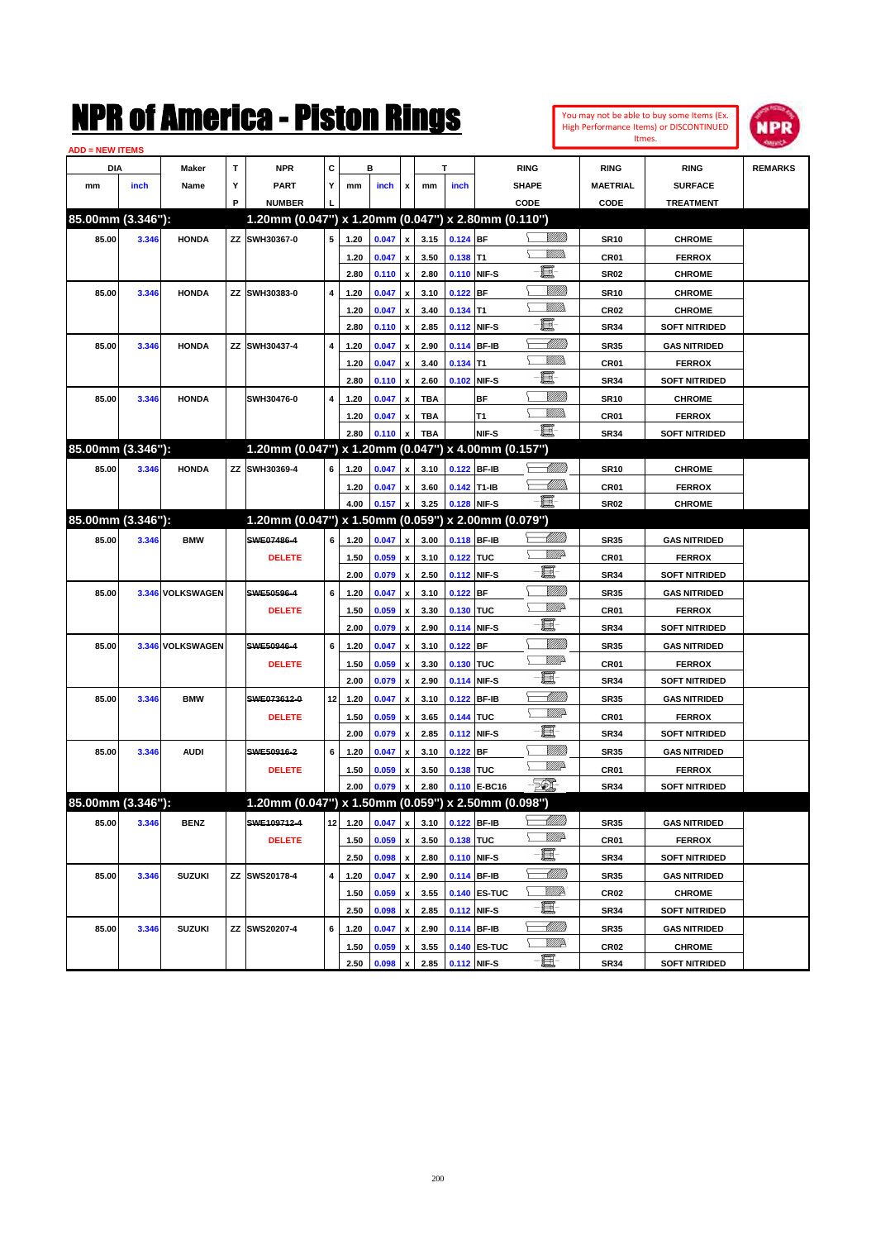

| <b>ADD = NEW ITEMS</b> |       |                  |   |                                                     |                 |      |       |                    |            |             |              |                 |                  |                      |                |
|------------------------|-------|------------------|---|-----------------------------------------------------|-----------------|------|-------|--------------------|------------|-------------|--------------|-----------------|------------------|----------------------|----------------|
| DIA                    |       | Maker            | т | <b>NPR</b>                                          | C               |      | в     |                    |            | T           |              | <b>RING</b>     | <b>RING</b>      | <b>RING</b>          | <b>REMARKS</b> |
| mm                     | inch  | Name             | Υ | <b>PART</b>                                         | Y               | mm   | inch  | x                  | mm         | inch        |              | <b>SHAPE</b>    | <b>MAETRIAL</b>  | <b>SURFACE</b>       |                |
|                        |       |                  | P | <b>NUMBER</b>                                       |                 |      |       |                    |            |             |              | CODE            | CODE             | <b>TREATMENT</b>     |                |
| 85.00mm (3.346"):      |       |                  |   | 1.20mm (0.047") x 1.20mm (0.047") x 2.80mm (0.110") |                 |      |       |                    |            |             |              |                 |                  |                      |                |
| 85.00                  | 3.346 | <b>HONDA</b>     |   | ZZ SWH30367-0                                       | 5               | 1.20 | 0.047 | $\pmb{\mathsf{x}}$ | 3.15       | $0.124$ BF  |              | <u>Sillilli</u> | <b>SR10</b>      | <b>CHROME</b>        |                |
|                        |       |                  |   |                                                     |                 | 1.20 | 0.047 | $\pmb{\mathsf{x}}$ | 3.50       | $0.138$ T1  |              | <br>Mad         | CR01             | <b>FERROX</b>        |                |
|                        |       |                  |   |                                                     |                 | 2.80 | 0.110 | $\pmb{\mathsf{x}}$ | 2.80       |             | 0.110 NIF-S  | E               | <b>SR02</b>      | <b>CHROME</b>        |                |
| 85.00                  | 3.346 | <b>HONDA</b>     |   | ZZ SWH30383-0                                       | 4               | 1.20 | 0.047 | x                  | 3.10       | $0.122$ BF  |              | <u>MMM</u>      | <b>SR10</b>      | <b>CHROME</b>        |                |
|                        |       |                  |   |                                                     |                 | 1.20 | 0.047 | x                  | 3.40       | $0.134$ T1  |              | <br>Mar         | CR <sub>02</sub> | <b>CHROME</b>        |                |
|                        |       |                  |   |                                                     |                 | 2.80 | 0.110 | $\pmb{\mathsf{x}}$ | 2.85       |             | 0.112 NIF-S  | E               | <b>SR34</b>      | <b>SOFT NITRIDED</b> |                |
| 85.00                  | 3.346 | <b>HONDA</b>     |   | ZZ SWH30437-4                                       | 4               | 1.20 | 0.047 | x                  | 2.90       |             | 0.114 BF-IB  | <u> UMM</u>     | <b>SR35</b>      | <b>GAS NITRIDED</b>  |                |
|                        |       |                  |   |                                                     |                 | 1.20 | 0.047 | x                  | 3.40       | $0.134$ T1  |              | <br>Mar         | CR01             | <b>FERROX</b>        |                |
|                        |       |                  |   |                                                     |                 | 2.80 | 0.110 | $\pmb{\mathsf{x}}$ | 2.60       |             | 0.102 NIF-S  | E               | <b>SR34</b>      | <b>SOFT NITRIDED</b> |                |
| 85.00                  | 3.346 | <b>HONDA</b>     |   | SWH30476-0                                          | 4               | 1.20 | 0.047 | x                  | TBA        |             | ВF           | <u>Milli</u> k  | <b>SR10</b>      | <b>CHROME</b>        |                |
|                        |       |                  |   |                                                     |                 | 1.20 | 0.047 | x                  | <b>TBA</b> |             | T1           | .<br>VMD        | CR01             | <b>FERROX</b>        |                |
|                        |       |                  |   |                                                     |                 | 2.80 | 0.110 | x                  | <b>TBA</b> |             | NIF-S        | -E.             | <b>SR34</b>      | <b>SOFT NITRIDED</b> |                |
| 85.00mm (3.346"):      |       |                  |   | 1.20mm (0.047") x 1.20mm (0.047") x 4.00mm (0.157") |                 |      |       |                    |            |             |              |                 |                  |                      |                |
| 85.00                  | 3.346 | <b>HONDA</b>     |   | ZZ SWH30369-4                                       | 6               | 1.20 | 0.047 | x                  | 3.10       |             | 0.122 BF-IB  | <u> UMM</u>     | <b>SR10</b>      | <b>CHROME</b>        |                |
|                        |       |                  |   |                                                     |                 | 1.20 | 0.047 | x                  | 3.60       | 0.142 T1-IB |              | <u>UMM</u>      | CR01             | <b>FERROX</b>        |                |
|                        |       |                  |   |                                                     |                 | 4.00 | 0.157 | $\pmb{\mathsf{x}}$ | 3.25       |             | 0.128 NIF-S  | - III.          | <b>SR02</b>      | <b>CHROME</b>        |                |
| 85.00mm (3.346"):      |       |                  |   | 1.20mm (0.047") x 1.50mm (0.059") x 2.00mm (0.079") |                 |      |       |                    |            |             |              |                 |                  |                      |                |
| 85.00                  | 3.346 | <b>BMW</b>       |   | SWE07486-4                                          | 6               | 1.20 | 0.047 | x                  | 3.00       |             | 0.118 BF-IB  | <u> MM)</u>     | <b>SR35</b>      | <b>GAS NITRIDED</b>  |                |
|                        |       |                  |   | <b>DELETE</b>                                       |                 | 1.50 | 0.059 | x                  | 3.10       | 0.122 TUC   |              | <u>VMD</u>      | CR01             | <b>FERROX</b>        |                |
|                        |       |                  |   |                                                     |                 | 2.00 | 0.079 | $\pmb{\mathsf{x}}$ | 2.50       |             | 0.112 NIF-S  | e.              | <b>SR34</b>      | <b>SOFT NITRIDED</b> |                |
| 85.00                  |       | 3.346 VOLKSWAGEN |   | SWE50596-4                                          | 6               | 1.20 | 0.047 | x                  | 3.10       | $0.122$ BF  |              | <u>Milli</u> k  | <b>SR35</b>      | <b>GAS NITRIDED</b>  |                |
|                        |       |                  |   | <b>DELETE</b>                                       |                 | 1.50 | 0.059 | x                  | 3.30       | 0.130 TUC   |              | <u>VMD</u>      | CR01             | <b>FERROX</b>        |                |
|                        |       |                  |   |                                                     |                 | 2.00 | 0.079 | $\pmb{\mathsf{x}}$ | 2.90       |             | 0.114 NIF-S  | đ.              | <b>SR34</b>      | <b>SOFT NITRIDED</b> |                |
| 85.00                  |       | 3.346 VOLKSWAGEN |   | SWE50946-4                                          | 6               | 1.20 | 0.047 | X                  | 3.10       | $0.122$ BF  |              | <u>Milli</u> k  | <b>SR35</b>      | <b>GAS NITRIDED</b>  |                |
|                        |       |                  |   | <b>DELETE</b>                                       |                 | 1.50 | 0.059 | x                  | 3.30       | 0.130 TUC   |              | <u>VMD</u>      | CR01             | <b>FERROX</b>        |                |
|                        |       |                  |   |                                                     |                 | 2.00 | 0.079 | $\pmb{\mathsf{x}}$ | 2.90       |             | 0.114 NIF-S  | e.              | <b>SR34</b>      | <b>SOFT NITRIDED</b> |                |
| 85.00                  | 3.346 | <b>BMW</b>       |   | SWE073612-0                                         | 12              | 1.20 | 0.047 | x                  | 3.10       |             | 0.122 BF-IB  | <u> UMM</u>     | <b>SR35</b>      | <b>GAS NITRIDED</b>  |                |
|                        |       |                  |   | <b>DELETE</b>                                       |                 | 1.50 | 0.059 | x                  | 3.65       | 0.144 TUC   |              | <u>VMD</u>      | CR01             | <b>FERROX</b>        |                |
|                        |       |                  |   |                                                     |                 | 2.00 | 0.079 | x                  | 2.85       |             | 0.112 NIF-S  | e.              | <b>SR34</b>      | <b>SOFT NITRIDED</b> |                |
| 85.00                  | 3.346 | <b>AUDI</b>      |   | SWE50916-2                                          | 6               | 1.20 | 0.047 | x                  | 3.10       | $0.122$ BF  |              | <u>Milli</u> k  | <b>SR35</b>      | <b>GAS NITRIDED</b>  |                |
|                        |       |                  |   | <b>DELETE</b>                                       |                 | 1.50 | 0.059 | x                  | 3.50       | 0.138 TUC   |              | <u>Willia</u>   | CR01             | <b>FERROX</b>        |                |
|                        |       |                  |   |                                                     |                 | 2.00 | 0.079 | $\pmb{\mathsf{x}}$ | 2.80       |             | 0.110 E-BC16 | $\mathbb{E}$    | <b>SR34</b>      | <b>SOFT NITRIDED</b> |                |
| 85.00mm (3.346"):      |       |                  |   | 1.20mm (0.047") x 1.50mm (0.059") x 2.50mm (0.098") |                 |      |       |                    |            |             |              |                 |                  |                      |                |
| 85.00                  | 3.346 | <b>BENZ</b>      |   | SWE109712-4                                         | 12 <sub>1</sub> | 1.20 | 0.047 | $\pmb{\mathsf{x}}$ | 3.10       |             | 0.122 BF-IB  |                 | <b>SR35</b>      | <b>GAS NITRIDED</b>  |                |
|                        |       |                  |   | <b>DELETE</b>                                       |                 | 1.50 | 0.059 | x                  | 3.50       | 0.138 TUC   |              | ₩₩              | CR01             | <b>FERROX</b>        |                |
|                        |       |                  |   |                                                     |                 | 2.50 | 0.098 | $\pmb{\mathsf{x}}$ | 2.80       |             | 0.110 NIF-S  | ■               | <b>SR34</b>      | <b>SOFT NITRIDED</b> |                |
| 85.00                  | 3.346 | <b>SUZUKI</b>    |   | ZZ SWS20178-4                                       | 4               | 1.20 | 0.047 | $\pmb{\mathsf{x}}$ | 2.90       |             | 0.114 BF-IB  | <u> MMM</u>     | SR35             | <b>GAS NITRIDED</b>  |                |
|                        |       |                  |   |                                                     |                 | 1.50 | 0.059 | $\pmb{\mathsf{x}}$ | 3.55       |             | 0.140 ES-TUC | <u>WW</u> A     | <b>CR02</b>      | <b>CHROME</b>        |                |
|                        |       |                  |   |                                                     |                 | 2.50 | 0.098 | $\pmb{\mathsf{x}}$ | 2.85       |             | 0.112 NIF-S  | ■               | SR34             | <b>SOFT NITRIDED</b> |                |
| 85.00                  | 3.346 | <b>SUZUKI</b>    |   | ZZ SWS20207-4                                       | 6               | 1.20 | 0.047 | X                  | 2.90       |             | 0.114 BF-IB  | <u> MM))</u>    | <b>SR35</b>      | <b>GAS NITRIDED</b>  |                |
|                        |       |                  |   |                                                     |                 | 1.50 | 0.059 | x                  | 3.55       |             | 0.140 ES-TUC | ₩₩              | CR <sub>02</sub> | <b>CHROME</b>        |                |
|                        |       |                  |   |                                                     |                 | 2.50 | 0.098 | $\pmb{\mathsf{x}}$ | 2.85       | 0.112 NIF-S |              | $-\Xi$          | <b>SR34</b>      | <b>SOFT NITRIDED</b> |                |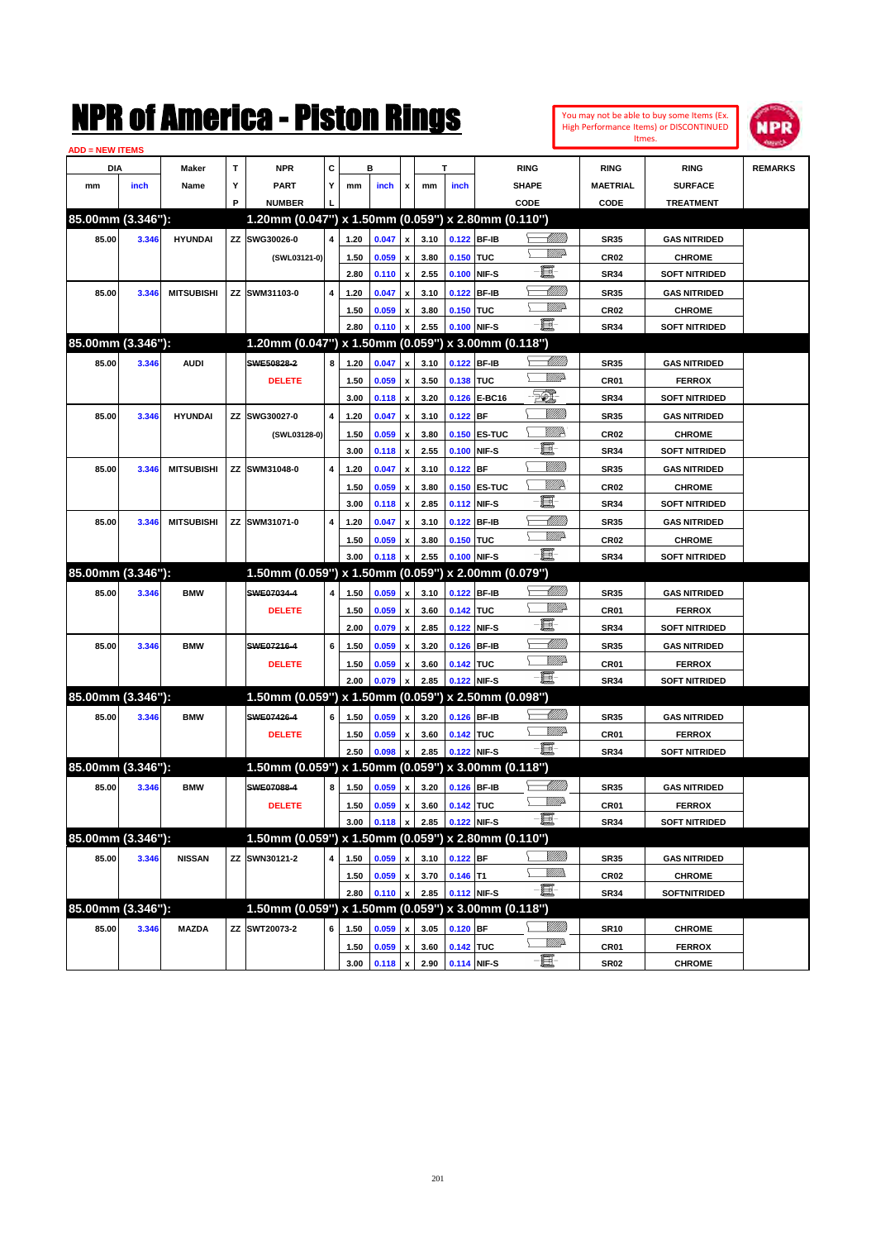

| c<br>T<br>DIA<br>Maker<br><b>NPR</b><br>в<br>т<br><b>RING</b><br><b>RING</b><br><b>RING</b><br>Υ<br>Y<br>inch<br>Name<br><b>PART</b><br>inch<br>inch<br><b>SHAPE</b><br><b>MAETRIAL</b><br><b>SURFACE</b><br>mm<br>mm<br>mm<br>x<br><b>NUMBER</b><br>P<br>CODE<br>CODE<br><b>TREATMENT</b><br>85.00mm (3.346"):<br>1.20mm (0.047") x 1.50mm (0.059") x 2.80mm (0.110")<br><u> Millito</u><br>ZZ SWG30026-0<br>$\overline{4}$<br>0.122 BF-IB<br>85.00<br>3.346<br><b>HYUNDAI</b><br>1.20<br>0.047<br>3.10<br><b>SR35</b><br><b>GAS NITRIDED</b><br>$\pmb{\mathsf{x}}$<br><u>MMP</u><br>0.059<br>3.80<br>0.150 TUC<br><b>CR02</b><br>(SWL03121-0)<br>1.50<br><b>CHROME</b><br>$\pmb{\mathsf{x}}$<br>E<br>2.80<br>2.55<br>0.100 NIF-S<br>0.110<br>$\pmb{\mathsf{x}}$<br><b>SR34</b><br><b>SOFT NITRIDED</b><br><u> UMM</u><br>85.00<br><b>MITSUBISHI</b><br>ZZ SWM31103-0<br>4<br>1.20<br>0.047<br>3.10<br>0.122 BF-IB<br><b>SR35</b><br><b>GAS NITRIDED</b><br>3.346<br>x<br><u>VMD</u><br>0.059<br>3.80<br>0.150 TUC<br><b>CR02</b><br><b>CHROME</b><br>1.50<br>x<br>-8<br>2.80<br>2.55<br>0.100 NIF-S<br>0.110<br><b>SR34</b><br><b>SOFT NITRIDED</b><br>x<br>85.00mm (3.346"):<br>1.20mm (0.047") x 1.50mm (0.059") x 3.00mm (0.118")<br><u> MMB</u><br>85.00<br>3.346<br><b>AUDI</b><br>SWE50828-2<br>8<br>1.20<br>0.047<br>3.10<br>0.122 BF-IB<br><b>GAS NITRIDED</b><br><b>SR35</b><br>x<br><u>MMP</u><br>0.059<br>3.50<br>0.138 TUC<br><b>DELETE</b><br>1.50<br>CR01<br><b>FERROX</b><br>$\pmb{\mathsf{x}}$ | <b>REMARKS</b> |                                       |                           |                          |              |                                    |              |  |                   |       |                   |
|------------------------------------------------------------------------------------------------------------------------------------------------------------------------------------------------------------------------------------------------------------------------------------------------------------------------------------------------------------------------------------------------------------------------------------------------------------------------------------------------------------------------------------------------------------------------------------------------------------------------------------------------------------------------------------------------------------------------------------------------------------------------------------------------------------------------------------------------------------------------------------------------------------------------------------------------------------------------------------------------------------------------------------------------------------------------------------------------------------------------------------------------------------------------------------------------------------------------------------------------------------------------------------------------------------------------------------------------------------------------------------------------------------------------------------------------------------------------------------------------------------------|----------------|---------------------------------------|---------------------------|--------------------------|--------------|------------------------------------|--------------|--|-------------------|-------|-------------------|
|                                                                                                                                                                                                                                                                                                                                                                                                                                                                                                                                                                                                                                                                                                                                                                                                                                                                                                                                                                                                                                                                                                                                                                                                                                                                                                                                                                                                                                                                                                                  |                |                                       |                           |                          |              |                                    |              |  |                   |       |                   |
|                                                                                                                                                                                                                                                                                                                                                                                                                                                                                                                                                                                                                                                                                                                                                                                                                                                                                                                                                                                                                                                                                                                                                                                                                                                                                                                                                                                                                                                                                                                  |                |                                       |                           |                          |              |                                    |              |  |                   |       |                   |
|                                                                                                                                                                                                                                                                                                                                                                                                                                                                                                                                                                                                                                                                                                                                                                                                                                                                                                                                                                                                                                                                                                                                                                                                                                                                                                                                                                                                                                                                                                                  |                |                                       |                           |                          |              |                                    |              |  |                   |       |                   |
|                                                                                                                                                                                                                                                                                                                                                                                                                                                                                                                                                                                                                                                                                                                                                                                                                                                                                                                                                                                                                                                                                                                                                                                                                                                                                                                                                                                                                                                                                                                  |                |                                       |                           |                          |              |                                    |              |  |                   |       |                   |
|                                                                                                                                                                                                                                                                                                                                                                                                                                                                                                                                                                                                                                                                                                                                                                                                                                                                                                                                                                                                                                                                                                                                                                                                                                                                                                                                                                                                                                                                                                                  |                |                                       |                           |                          |              |                                    |              |  |                   |       |                   |
|                                                                                                                                                                                                                                                                                                                                                                                                                                                                                                                                                                                                                                                                                                                                                                                                                                                                                                                                                                                                                                                                                                                                                                                                                                                                                                                                                                                                                                                                                                                  |                |                                       |                           |                          |              |                                    |              |  |                   |       |                   |
|                                                                                                                                                                                                                                                                                                                                                                                                                                                                                                                                                                                                                                                                                                                                                                                                                                                                                                                                                                                                                                                                                                                                                                                                                                                                                                                                                                                                                                                                                                                  |                |                                       |                           |                          |              |                                    |              |  |                   |       |                   |
|                                                                                                                                                                                                                                                                                                                                                                                                                                                                                                                                                                                                                                                                                                                                                                                                                                                                                                                                                                                                                                                                                                                                                                                                                                                                                                                                                                                                                                                                                                                  |                |                                       |                           |                          |              |                                    |              |  |                   |       |                   |
|                                                                                                                                                                                                                                                                                                                                                                                                                                                                                                                                                                                                                                                                                                                                                                                                                                                                                                                                                                                                                                                                                                                                                                                                                                                                                                                                                                                                                                                                                                                  |                |                                       |                           |                          |              |                                    |              |  |                   |       |                   |
|                                                                                                                                                                                                                                                                                                                                                                                                                                                                                                                                                                                                                                                                                                                                                                                                                                                                                                                                                                                                                                                                                                                                                                                                                                                                                                                                                                                                                                                                                                                  |                |                                       |                           |                          |              |                                    |              |  |                   |       |                   |
|                                                                                                                                                                                                                                                                                                                                                                                                                                                                                                                                                                                                                                                                                                                                                                                                                                                                                                                                                                                                                                                                                                                                                                                                                                                                                                                                                                                                                                                                                                                  |                |                                       |                           |                          |              |                                    |              |  |                   |       |                   |
|                                                                                                                                                                                                                                                                                                                                                                                                                                                                                                                                                                                                                                                                                                                                                                                                                                                                                                                                                                                                                                                                                                                                                                                                                                                                                                                                                                                                                                                                                                                  |                |                                       |                           |                          |              |                                    |              |  |                   |       |                   |
|                                                                                                                                                                                                                                                                                                                                                                                                                                                                                                                                                                                                                                                                                                                                                                                                                                                                                                                                                                                                                                                                                                                                                                                                                                                                                                                                                                                                                                                                                                                  |                |                                       |                           |                          |              |                                    |              |  |                   |       |                   |
|                                                                                                                                                                                                                                                                                                                                                                                                                                                                                                                                                                                                                                                                                                                                                                                                                                                                                                                                                                                                                                                                                                                                                                                                                                                                                                                                                                                                                                                                                                                  |                | <b>SOFT NITRIDED</b>                  | EQ)<br><b>SR34</b>        | 0.126 E-BC16             | 3.20         | 0.118<br>$\pmb{\mathsf{x}}$        | 3.00         |  |                   |       |                   |
| <u>Milli</u><br>85.00<br>ZZ SWG30027-0<br>4<br>1.20<br>0.047<br>3.10<br>$0.122$ BF<br><b>GAS NITRIDED</b><br>3.346<br><b>HYUNDAI</b><br><b>SR35</b><br>X                                                                                                                                                                                                                                                                                                                                                                                                                                                                                                                                                                                                                                                                                                                                                                                                                                                                                                                                                                                                                                                                                                                                                                                                                                                                                                                                                         |                |                                       |                           |                          |              |                                    |              |  |                   |       |                   |
| 0.059<br>3.80<br>0.150 ES-TUC<br>(SWL03128-0)<br>1.50<br><b>CHROME</b><br>x                                                                                                                                                                                                                                                                                                                                                                                                                                                                                                                                                                                                                                                                                                                                                                                                                                                                                                                                                                                                                                                                                                                                                                                                                                                                                                                                                                                                                                      |                |                                       |                           |                          |              |                                    |              |  |                   |       |                   |
| 2.55<br><b>SOFT NITRIDED</b>                                                                                                                                                                                                                                                                                                                                                                                                                                                                                                                                                                                                                                                                                                                                                                                                                                                                                                                                                                                                                                                                                                                                                                                                                                                                                                                                                                                                                                                                                     |                |                                       |                           |                          |              |                                    |              |  |                   |       |                   |
| ZZ SWM31048-0                                                                                                                                                                                                                                                                                                                                                                                                                                                                                                                                                                                                                                                                                                                                                                                                                                                                                                                                                                                                                                                                                                                                                                                                                                                                                                                                                                                                                                                                                                    |                |                                       | <u>MM</u><br><b>CR02</b>  |                          |              |                                    |              |  |                   |       |                   |
|                                                                                                                                                                                                                                                                                                                                                                                                                                                                                                                                                                                                                                                                                                                                                                                                                                                                                                                                                                                                                                                                                                                                                                                                                                                                                                                                                                                                                                                                                                                  |                |                                       | E<br><b>SR34</b>          | 0.100 NIF-S              |              | 0.118<br>$\pmb{\mathsf{x}}$        | 3.00         |  |                   |       |                   |
|                                                                                                                                                                                                                                                                                                                                                                                                                                                                                                                                                                                                                                                                                                                                                                                                                                                                                                                                                                                                                                                                                                                                                                                                                                                                                                                                                                                                                                                                                                                  |                | <b>GAS NITRIDED</b>                   | <u>MMM</u><br><b>SR35</b> | $0.122$ BF               | 3.10         | 0.047<br>x                         | 4<br>1.20    |  | <b>MITSUBISHI</b> | 3.346 | 85.00             |
| ZZ SWM31071-0                                                                                                                                                                                                                                                                                                                                                                                                                                                                                                                                                                                                                                                                                                                                                                                                                                                                                                                                                                                                                                                                                                                                                                                                                                                                                                                                                                                                                                                                                                    |                | <b>CHROME</b>                         | <u>MM</u><br><b>CR02</b>  | 0.150 ES-TUC             | 3.80         | 0.059<br>x                         | 1.50         |  |                   |       |                   |
| <u>VMD</u>                                                                                                                                                                                                                                                                                                                                                                                                                                                                                                                                                                                                                                                                                                                                                                                                                                                                                                                                                                                                                                                                                                                                                                                                                                                                                                                                                                                                                                                                                                       |                | <b>SOFT NITRIDED</b>                  | e<br><b>SR34</b>          | 0.112 NIF-S              | 2.85         | 0.118<br>$\boldsymbol{\mathsf{x}}$ | 3.00         |  |                   |       |                   |
| -8                                                                                                                                                                                                                                                                                                                                                                                                                                                                                                                                                                                                                                                                                                                                                                                                                                                                                                                                                                                                                                                                                                                                                                                                                                                                                                                                                                                                                                                                                                               |                | <b>GAS NITRIDED</b>                   | MMB<br><b>SR35</b>        | 0.122 BF-IB              | 3.10         | 0.047<br>x                         | 4<br>1.20    |  | <b>MITSUBISHI</b> | 3.346 | 85.00             |
|                                                                                                                                                                                                                                                                                                                                                                                                                                                                                                                                                                                                                                                                                                                                                                                                                                                                                                                                                                                                                                                                                                                                                                                                                                                                                                                                                                                                                                                                                                                  |                | <b>CHROME</b><br><b>SOFT NITRIDED</b> | <b>CR02</b>               | 0.150 TUC<br>0.100 NIF-S | 3.80<br>2.55 | 0.059<br>x<br>x                    | 1.50<br>3.00 |  |                   |       |                   |
|                                                                                                                                                                                                                                                                                                                                                                                                                                                                                                                                                                                                                                                                                                                                                                                                                                                                                                                                                                                                                                                                                                                                                                                                                                                                                                                                                                                                                                                                                                                  |                |                                       | <b>SR34</b>               |                          |              | 0.118                              |              |  |                   |       |                   |
| 1.50mm (0.059") x 1.50mm (0.059") x 2.00mm (0.079")<br><u> Millitt</u><br><b>BMW</b><br>SWE07034-4<br>4                                                                                                                                                                                                                                                                                                                                                                                                                                                                                                                                                                                                                                                                                                                                                                                                                                                                                                                                                                                                                                                                                                                                                                                                                                                                                                                                                                                                          |                |                                       |                           |                          |              |                                    |              |  |                   |       | 85.00mm (3.346"): |
| 85.00<br>3.346<br>0.059<br>3.10<br>0.122 BF-IB<br><b>GAS NITRIDED</b><br>1.50<br><b>SR35</b><br>x<br><u>MMP</u><br><b>DELETE</b>                                                                                                                                                                                                                                                                                                                                                                                                                                                                                                                                                                                                                                                                                                                                                                                                                                                                                                                                                                                                                                                                                                                                                                                                                                                                                                                                                                                 |                |                                       |                           |                          |              |                                    |              |  |                   |       |                   |
| 0.059<br>3.60<br>0.142 TUC<br>CR01<br>1.50<br><b>FERROX</b><br>$\pmb{\mathsf{x}}$<br>圓<br>2.00<br>2.85<br>0.122 NIF-S<br>0.079<br><b>SR34</b><br><b>SOFT NITRIDED</b><br>x                                                                                                                                                                                                                                                                                                                                                                                                                                                                                                                                                                                                                                                                                                                                                                                                                                                                                                                                                                                                                                                                                                                                                                                                                                                                                                                                       |                |                                       |                           |                          |              |                                    |              |  |                   |       |                   |
| <u> Millil</u><br>6<br><b>BMW</b><br>SWE07216-4<br>x                                                                                                                                                                                                                                                                                                                                                                                                                                                                                                                                                                                                                                                                                                                                                                                                                                                                                                                                                                                                                                                                                                                                                                                                                                                                                                                                                                                                                                                             |                |                                       |                           |                          |              |                                    |              |  |                   |       |                   |
| 85.00<br>3.346<br>0.059<br>3.20<br>0.126 BF-IB<br><b>SR35</b><br><b>GAS NITRIDED</b><br>1.50<br><u>MMP</u>                                                                                                                                                                                                                                                                                                                                                                                                                                                                                                                                                                                                                                                                                                                                                                                                                                                                                                                                                                                                                                                                                                                                                                                                                                                                                                                                                                                                       |                |                                       |                           |                          |              |                                    |              |  |                   |       |                   |
| <b>DELETE</b><br>0.059<br>3.60<br>0.142 TUC<br><b>FERROX</b><br>1.50<br>CR01<br>x<br>- 8<br>2.00<br>2.85<br>0.122 NIF-S<br>x                                                                                                                                                                                                                                                                                                                                                                                                                                                                                                                                                                                                                                                                                                                                                                                                                                                                                                                                                                                                                                                                                                                                                                                                                                                                                                                                                                                     |                |                                       |                           |                          |              |                                    |              |  |                   |       |                   |
| 0.079<br><b>SR34</b><br><b>SOFT NITRIDED</b><br>x 2.50mm (0.098")                                                                                                                                                                                                                                                                                                                                                                                                                                                                                                                                                                                                                                                                                                                                                                                                                                                                                                                                                                                                                                                                                                                                                                                                                                                                                                                                                                                                                                                |                |                                       |                           |                          |              |                                    |              |  |                   |       |                   |
| 85.00mm (3.346"):<br>1.50mm (0.059") x 1.50mm (0.059")<br><u> Millitt</u><br>SWE07426-4<br>85.00<br><b>BMW</b><br>6<br>x                                                                                                                                                                                                                                                                                                                                                                                                                                                                                                                                                                                                                                                                                                                                                                                                                                                                                                                                                                                                                                                                                                                                                                                                                                                                                                                                                                                         |                |                                       |                           |                          |              |                                    |              |  |                   |       |                   |
| 3.346<br>1.50<br>0.059<br>3.20<br>0.126 BF-IB<br><b>GAS NITRIDED</b><br><b>SR35</b><br><u>MM</u> 2                                                                                                                                                                                                                                                                                                                                                                                                                                                                                                                                                                                                                                                                                                                                                                                                                                                                                                                                                                                                                                                                                                                                                                                                                                                                                                                                                                                                               |                |                                       |                           |                          |              |                                    |              |  |                   |       |                   |
| 0.142 TUC<br><b>DELETE</b><br>1.50<br>0.059<br>3.60<br>CR01<br><b>FERROX</b><br>x<br>-8<br>2.85<br>0.122 NIF-S<br><b>SOFT NITRIDED</b><br>$\pmb{\mathsf{x}}$                                                                                                                                                                                                                                                                                                                                                                                                                                                                                                                                                                                                                                                                                                                                                                                                                                                                                                                                                                                                                                                                                                                                                                                                                                                                                                                                                     |                |                                       |                           |                          |              |                                    |              |  |                   |       |                   |
| 2.50<br>0.098<br><b>SR34</b>                                                                                                                                                                                                                                                                                                                                                                                                                                                                                                                                                                                                                                                                                                                                                                                                                                                                                                                                                                                                                                                                                                                                                                                                                                                                                                                                                                                                                                                                                     |                |                                       |                           |                          |              |                                    |              |  |                   |       |                   |
| 85.00mm (3.346"):<br>1.50mm (0.059") x 1.50mm (0.059") x 3.00mm (0.118")<br><u>UMB</u><br>SWE07088-4                                                                                                                                                                                                                                                                                                                                                                                                                                                                                                                                                                                                                                                                                                                                                                                                                                                                                                                                                                                                                                                                                                                                                                                                                                                                                                                                                                                                             |                |                                       |                           |                          |              |                                    |              |  |                   |       |                   |
| 85.00<br>3.346<br>8<br>1.50<br>0.059<br>3.20<br>0.126 BF-IB<br><b>BMW</b><br><b>SR35</b><br><b>GAS NITRIDED</b><br>$\pmb{\mathsf{x}}$<br><u>MMP</u>                                                                                                                                                                                                                                                                                                                                                                                                                                                                                                                                                                                                                                                                                                                                                                                                                                                                                                                                                                                                                                                                                                                                                                                                                                                                                                                                                              |                |                                       |                           |                          |              |                                    |              |  |                   |       |                   |
| 0.142 TUC<br>1.50<br>0.059 x<br>3.60<br><b>DELETE</b><br>CR01<br><b>FERROX</b><br>-8                                                                                                                                                                                                                                                                                                                                                                                                                                                                                                                                                                                                                                                                                                                                                                                                                                                                                                                                                                                                                                                                                                                                                                                                                                                                                                                                                                                                                             |                |                                       |                           |                          |              |                                    |              |  |                   |       |                   |
| 0.122 NIF-S<br>0.118<br>2.85<br><b>SOFT NITRIDED</b><br>3.00<br>$\pmb{\mathsf{x}}$<br><b>SR34</b><br>85.00mm (3.346"):<br>1.50mm (0.059") x 1.50mm (0.059") x 2.80mm (0.110")                                                                                                                                                                                                                                                                                                                                                                                                                                                                                                                                                                                                                                                                                                                                                                                                                                                                                                                                                                                                                                                                                                                                                                                                                                                                                                                                    |                |                                       |                           |                          |              |                                    |              |  |                   |       |                   |
| <u>VIIII</u> )<br>85.00<br>3.346<br><b>NISSAN</b><br>ZZ SWN30121-2<br>4<br>0.059<br>3.10<br>$0.122$ BF<br>1.50<br><b>SR35</b><br><b>GAS NITRIDED</b><br>$\pmb{\mathsf{x}}$                                                                                                                                                                                                                                                                                                                                                                                                                                                                                                                                                                                                                                                                                                                                                                                                                                                                                                                                                                                                                                                                                                                                                                                                                                                                                                                                       |                |                                       |                           |                          |              |                                    |              |  |                   |       |                   |
| <u>Willib</u>                                                                                                                                                                                                                                                                                                                                                                                                                                                                                                                                                                                                                                                                                                                                                                                                                                                                                                                                                                                                                                                                                                                                                                                                                                                                                                                                                                                                                                                                                                    |                |                                       |                           |                          |              |                                    |              |  |                   |       |                   |
| 3.70<br>0.059<br>$0.146$ T1<br>CR <sub>02</sub><br><b>CHROME</b><br>1.50<br>$\pmb{\mathsf{x}}$<br>$-\Xi$ -<br>2.85<br>0.112 NIF-S<br>2.80<br>SOFTNITRIDED<br>$\pmb{\mathsf{x}}$                                                                                                                                                                                                                                                                                                                                                                                                                                                                                                                                                                                                                                                                                                                                                                                                                                                                                                                                                                                                                                                                                                                                                                                                                                                                                                                                  |                |                                       |                           |                          |              |                                    |              |  |                   |       |                   |
| 0.110<br><b>SR34</b><br>85.00mm (3.346"):                                                                                                                                                                                                                                                                                                                                                                                                                                                                                                                                                                                                                                                                                                                                                                                                                                                                                                                                                                                                                                                                                                                                                                                                                                                                                                                                                                                                                                                                        |                |                                       |                           |                          |              |                                    |              |  |                   |       |                   |
| 1.50mm (0.059") x 1.50mm (0.059") x 3.00mm (0.118")<br><u>MMM</u>                                                                                                                                                                                                                                                                                                                                                                                                                                                                                                                                                                                                                                                                                                                                                                                                                                                                                                                                                                                                                                                                                                                                                                                                                                                                                                                                                                                                                                                |                |                                       |                           |                          |              |                                    |              |  |                   |       |                   |
| 85.00<br>ZZ SWT20073-2<br>$0.120$ BF<br>3.346<br><b>MAZDA</b><br>6<br>1.50<br>0.059<br>3.05<br><b>CHROME</b><br><b>SR10</b><br><u>Willia</u><br>0.142 TUC<br>0.059<br>3.60<br>CR01<br><b>FERROX</b><br>1.50<br>$\pmb{\mathsf{x}}$                                                                                                                                                                                                                                                                                                                                                                                                                                                                                                                                                                                                                                                                                                                                                                                                                                                                                                                                                                                                                                                                                                                                                                                                                                                                                |                |                                       |                           |                          |              |                                    |              |  |                   |       |                   |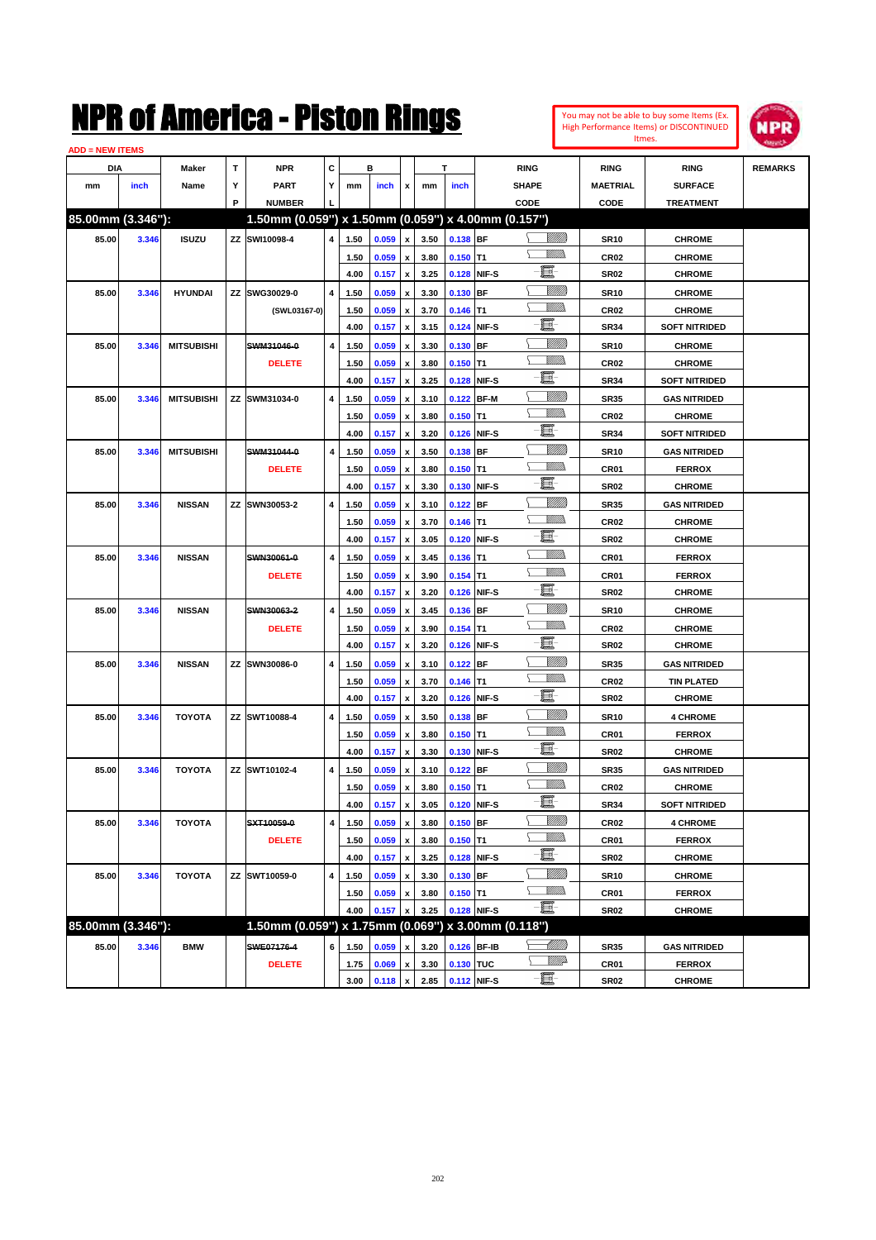#### **ADD = NEW ITEMS**



| DIA               |       | Maker             | т | <b>NPR</b>                                          | С |      | в              |                           |      | т                |             | <b>RING</b>     | <b>RING</b>      | <b>RING</b>          | <b>REMARKS</b> |
|-------------------|-------|-------------------|---|-----------------------------------------------------|---|------|----------------|---------------------------|------|------------------|-------------|-----------------|------------------|----------------------|----------------|
| mm                | inch  | Name              | Υ | <b>PART</b>                                         | Y | mm   | inch           | x                         | mm   | inch             |             | <b>SHAPE</b>    | <b>MAETRIAL</b>  | <b>SURFACE</b>       |                |
|                   |       |                   | P | <b>NUMBER</b>                                       |   |      |                |                           |      |                  |             | CODE            | CODE             | <b>TREATMENT</b>     |                |
| 85.00mm (3.346"): |       |                   |   | 1.50mm (0.059") x 1.50mm (0.059") x 4.00mm (0.157") |   |      |                |                           |      |                  |             |                 |                  |                      |                |
| 85.00             | 3.346 | <b>ISUZU</b>      |   | ZZ SWI10098-4                                       | 4 | 1.50 | 0.059          | $\pmb{\mathsf{x}}$        | 3.50 | $0.138$ BF       |             | <u>Villilli</u> | <b>SR10</b>      | <b>CHROME</b>        |                |
|                   |       |                   |   |                                                     |   | 1.50 | 0.059          | $\boldsymbol{\mathsf{x}}$ | 3.80 | $0.150$ T1       |             | VM).            | CR <sub>02</sub> | <b>CHROME</b>        |                |
|                   |       |                   |   |                                                     |   | 4.00 | 0.157          | $\boldsymbol{\mathsf{x}}$ | 3.25 |                  | 0.128 NIF-S | - E             | <b>SR02</b>      | <b>CHROME</b>        |                |
| 85.00             | 3.346 | <b>HYUNDAI</b>    |   | ZZ SWG30029-0                                       | 4 | 1.50 | 0.059          | x                         | 3.30 | $0.130$ BF       |             | <u>MMM</u>      | <b>SR10</b>      | <b>CHROME</b>        |                |
|                   |       |                   |   | (SWL03167-0)                                        |   | 1.50 | 0.059          | $\boldsymbol{\mathsf{x}}$ | 3.70 | $0.146$ T1       |             | VM)             | CR <sub>02</sub> | <b>CHROME</b>        |                |
|                   |       |                   |   |                                                     |   | 4.00 | 0.157          | $\boldsymbol{\mathsf{x}}$ | 3.15 |                  | 0.124 NIF-S | E               | <b>SR34</b>      | <b>SOFT NITRIDED</b> |                |
| 85.00             | 3.346 | <b>MITSUBISHI</b> |   | SWM31046-0                                          | 4 | 1.50 | 0.059          | $\boldsymbol{\mathsf{x}}$ | 3.30 | $0.130$ BF       |             | <u>VIIII</u>    | <b>SR10</b>      | <b>CHROME</b>        |                |
|                   |       |                   |   | <b>DELETE</b>                                       |   | 1.50 | 0.059          | x                         | 3.80 | $0.150$ T1       |             | VM).<br>Σ       | CR <sub>02</sub> | <b>CHROME</b>        |                |
|                   |       |                   |   |                                                     |   | 4.00 | 0.157          | $\boldsymbol{\mathsf{x}}$ | 3.25 |                  | 0.128 NIF-S | - E             | <b>SR34</b>      | <b>SOFT NITRIDED</b> |                |
| 85.00             | 3.346 | <b>MITSUBISHI</b> |   | ZZ SWM31034-0                                       | 4 | 1.50 | 0.059          | $\boldsymbol{\mathsf{x}}$ | 3.10 | 0.122 BF-M       |             | <u>VIIII</u>    | <b>SR35</b>      | <b>GAS NITRIDED</b>  |                |
|                   |       |                   |   |                                                     |   | 1.50 | 0.059          | $\boldsymbol{\mathsf{x}}$ | 3.80 | $0.150$ T1       |             | VM).            | CR <sub>02</sub> | <b>CHROME</b>        |                |
|                   |       |                   |   |                                                     |   | 4.00 | 0.157          | x                         | 3.20 |                  | 0.126 NIF-S | Ð.              | <b>SR34</b>      | <b>SOFT NITRIDED</b> |                |
| 85.00             | 3.346 | <b>MITSUBISHI</b> |   | SWM31044-0                                          | 4 | 1.50 | 0.059          | $\boldsymbol{\mathsf{x}}$ | 3.50 | $0.138$ BF       |             | <u>VIIII</u>    | <b>SR10</b>      | <b>GAS NITRIDED</b>  |                |
|                   |       |                   |   | <b>DELETE</b>                                       |   | 1.50 | 0.059          | $\boldsymbol{\mathsf{x}}$ | 3.80 | $0.150$ T1       |             | .<br>VMD        | CR <sub>01</sub> | <b>FERROX</b>        |                |
|                   |       |                   |   |                                                     |   | 4.00 | 0.157          | x                         | 3.30 |                  | 0.130 NIF-S | -8              | <b>SR02</b>      | <b>CHROME</b>        |                |
| 85.00             | 3.346 | <b>NISSAN</b>     |   | ZZ SWN30053-2                                       | 4 | 1.50 | 0.059          | x                         | 3.10 | $0.122$ BF       |             | <u>MMM</u>      | <b>SR35</b>      | <b>GAS NITRIDED</b>  |                |
|                   |       |                   |   |                                                     |   | 1.50 | 0.059          | $\boldsymbol{\mathsf{x}}$ | 3.70 | $0.146$ T1       |             | VM)             | CR <sub>02</sub> | <b>CHROME</b>        |                |
|                   |       |                   |   |                                                     |   | 4.00 | 0.157          | x                         | 3.05 |                  | 0.120 NIF-S | - 8             | <b>SR02</b>      | <b>CHROME</b>        |                |
| 85.00             | 3.346 | <b>NISSAN</b>     |   | SWN30061-0                                          | 4 | 1.50 | 0.059          | x                         | 3.45 | $0.136$ T1       |             | .<br>VMD        | CR <sub>01</sub> | <b>FERROX</b>        |                |
|                   |       |                   |   | <b>DELETE</b>                                       |   | 1.50 | 0.059          | $\boldsymbol{\mathsf{x}}$ | 3.90 | $0.154$ T1       |             | VM).            | CR <sub>01</sub> | <b>FERROX</b>        |                |
|                   |       |                   |   |                                                     |   | 4.00 | 0.157          | $\boldsymbol{\mathsf{x}}$ | 3.20 |                  | 0.126 NIF-S | E               | <b>SR02</b>      | <b>CHROME</b>        |                |
| 85.00             | 3.346 | <b>NISSAN</b>     |   | SWN30063-2                                          | 4 | 1.50 | 0.059          | x                         | 3.45 | 0.136 BF         |             | <u>VIIII</u>    | <b>SR10</b>      | <b>CHROME</b>        |                |
|                   |       |                   |   | <b>DELETE</b>                                       |   | 1.50 | 0.059          | x                         | 3.90 | $0.154$ T1       |             | VM).            | CR <sub>02</sub> | <b>CHROME</b>        |                |
|                   |       |                   |   |                                                     |   | 4.00 | 0.157          | x                         | 3.20 |                  | 0.126 NIF-S | E               | <b>SR02</b>      | <b>CHROME</b>        |                |
| 85.00             | 3.346 | <b>NISSAN</b>     |   | ZZ SWN30086-0                                       | 4 | 1.50 | 0.059          | $\boldsymbol{\mathsf{x}}$ | 3.10 | $0.122$ BF       |             | <u>VIIII</u>    | <b>SR35</b>      | <b>GAS NITRIDED</b>  |                |
|                   |       |                   |   |                                                     |   | 1.50 | 0.059          | $\boldsymbol{\mathsf{x}}$ | 3.70 | $0.146$ T1       |             | VM).            | CR <sub>02</sub> | <b>TIN PLATED</b>    |                |
|                   |       |                   |   |                                                     |   | 4.00 | 0.157          | x                         | 3.20 |                  | 0.126 NIF-S | e               | <b>SR02</b>      | <b>CHROME</b>        |                |
| 85.00             | 3.346 | <b>TOYOTA</b>     |   | ZZ SWT10088-4                                       | 4 | 1.50 | 0.059          | $\boldsymbol{\mathsf{x}}$ | 3.50 | $0.138$ BF       |             | <u>VIIII</u>    | <b>SR10</b>      | <b>4 CHROME</b>      |                |
|                   |       |                   |   |                                                     |   | 1.50 | 0.059          | $\boldsymbol{\mathsf{x}}$ | 3.80 | $0.150$ T1       |             | VM).            | CR <sub>01</sub> | <b>FERROX</b>        |                |
|                   |       |                   |   |                                                     |   | 4.00 | 0.157          | x                         | 3.30 |                  | 0.130 NIF-S | - 1             | <b>SR02</b>      | <b>CHROME</b>        |                |
| 85.00             | 3.346 | <b>TOYOTA</b>     |   | ZZ SWT10102-4                                       | 4 | 1.50 | 0.059          | x                         | 3.10 | $0.122$ BF       |             | <u>VIIII</u>    | <b>SR35</b>      | <b>GAS NITRIDED</b>  |                |
|                   |       |                   |   |                                                     |   | 1.50 | 0.059          | $\boldsymbol{\mathsf{x}}$ | 3.80 | $0.150$ T1       |             | VM)             | <b>CR02</b>      | <b>CHROME</b>        |                |
|                   |       |                   |   |                                                     |   | 4.00 | 0.157          | x                         | 3.05 |                  | 0.120 NIF-S | -8              | <b>SR34</b>      | <b>SOFT NITRIDED</b> |                |
| 85.00             | 3.346 | <b>TOYOTA</b>     |   | SXT10059-0                                          | 4 | 1.50 | 0.059 x        |                           | 3.80 | $0.150$ BF       |             | <u>VMM</u>      | <b>CR02</b>      | <b>4 CHROME</b>      |                |
|                   |       |                   |   | <b>DELETE</b>                                       |   | 1.50 | 0.059          | $\boldsymbol{\mathsf{x}}$ | 3.80 | $0.150$ T1       |             | <u>Willib</u>   | CR01             | <b>FERROX</b>        |                |
|                   |       |                   |   |                                                     |   | 4.00 | 0.157 x        |                           | 3.25 |                  | 0.128 NIF-S | -8              | <b>SR02</b>      | <b>CHROME</b>        |                |
| 85.00             | 3.346 | <b>TOYOTA</b>     |   | ZZ SWT10059-0                                       | 4 | 1.50 | 0.059          | $\boldsymbol{\mathsf{x}}$ | 3.30 | $0.130$ BF       |             | <u>VMM</u>      | <b>SR10</b>      | <b>CHROME</b>        |                |
|                   |       |                   |   |                                                     |   | 1.50 | 0.059          | $\pmb{\mathsf{x}}$        | 3.80 | $0.150$ T1       |             | <u>MMs</u>      | CR01             | <b>FERROX</b>        |                |
|                   |       |                   |   |                                                     |   | 4.00 | 0.157          | $\boldsymbol{\mathsf{x}}$ | 3.25 |                  | 0.128 NIF-S | $-\Xi$          | <b>SR02</b>      | <b>CHROME</b>        |                |
| 85.00mm (3.346"): |       |                   |   | 1.50mm (0.059") x 1.75mm (0.069") x 3.00mm (0.118") |   |      |                |                           |      |                  |             |                 |                  |                      |                |
| 85.00             | 3.346 | <b>BMW</b>        |   | SWE07176-4                                          | 6 | 1.50 | 0.059          | $\pmb{\mathsf{x}}$        | 3.20 |                  | 0.126 BF-IB | — Milliddə      | <b>SR35</b>      | <b>GAS NITRIDED</b>  |                |
|                   |       |                   |   | <b>DELETE</b>                                       |   | 1.75 | 0.069          | $\pmb{\mathsf{x}}$        | 3.30 | 0.130 TUC        |             | ৲               | CR01             | <b>FERROX</b>        |                |
|                   |       |                   |   |                                                     |   |      | 3.00 $0.118$ x |                           |      | 2.85 0.112 NIF-S |             | $-\Xi$          | <b>SR02</b>      | <b>CHROME</b>        |                |
|                   |       |                   |   |                                                     |   |      |                |                           |      |                  |             |                 |                  |                      |                |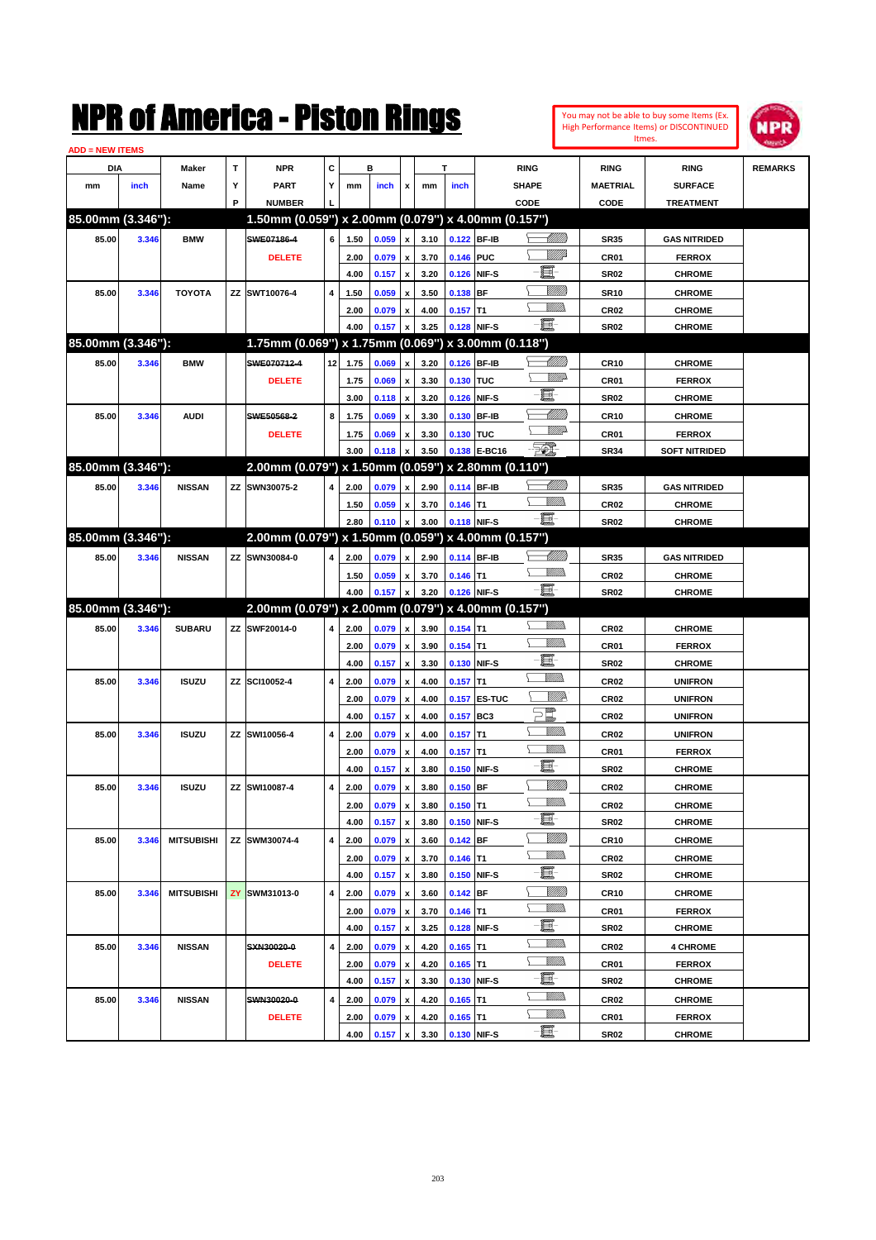| You may not be able to buy some Items (Ex. |
|--------------------------------------------|
| High Performance Items) or DISCONTINUED    |
| Itmes.                                     |



| <b>ADD = NEW ITEMS</b> |       |                   |    |                                                     |                    |              |                |                           |              |                           |              |                                                                      |                  |                                |                |
|------------------------|-------|-------------------|----|-----------------------------------------------------|--------------------|--------------|----------------|---------------------------|--------------|---------------------------|--------------|----------------------------------------------------------------------|------------------|--------------------------------|----------------|
| DIA                    |       | <b>Maker</b>      | T  | <b>NPR</b>                                          | С                  |              | в              |                           |              | т                         |              | <b>RING</b>                                                          | <b>RING</b>      | <b>RING</b>                    | <b>REMARKS</b> |
| mm                     | inch  | Name              | Υ  | <b>PART</b>                                         | Y                  | mm           | inch           | x                         | mm           | inch                      |              | <b>SHAPE</b>                                                         | <b>MAETRIAL</b>  | <b>SURFACE</b>                 |                |
|                        |       |                   | P  | <b>NUMBER</b>                                       |                    |              |                |                           |              |                           |              | CODE                                                                 | CODE             | <b>TREATMENT</b>               |                |
| 85.00mm (3.346"):      |       |                   |    | 1.50mm (0.059") x 2.00mm (0.079") x 4.00mm (0.157") |                    |              |                |                           |              |                           |              |                                                                      |                  |                                |                |
| 85.00                  | 3.346 | <b>BMW</b>        |    | SWE07186-4                                          | 6                  | 1.50         | 0.059          | $\pmb{\mathsf{x}}$        | 3.10         | 0.122 BF-IB               |              | <u>UMB</u>                                                           | <b>SR35</b>      | <b>GAS NITRIDED</b>            |                |
|                        |       |                   |    | <b>DELETE</b>                                       |                    | 2.00         | 0.079          | $\pmb{\mathsf{x}}$        | 3.70         | 0.146 PUC                 |              | <u>VIII</u> Id                                                       | CR01             | <b>FERROX</b>                  |                |
|                        |       |                   |    |                                                     |                    | 4.00         | 0.157          | $\boldsymbol{\mathsf{x}}$ | 3.20         | 0.126 NIF-S               |              | E                                                                    | <b>SR02</b>      | <b>CHROME</b>                  |                |
| 85.00                  | 3.346 | <b>TOYOTA</b>     | ΖZ | SWT10076-4                                          | 4                  | 1.50         | 0.059          | x                         | 3.50         | 0.138 BF                  |              | <u>MMM</u>                                                           | <b>SR10</b>      | <b>CHROME</b>                  |                |
|                        |       |                   |    |                                                     |                    | 2.00         | 0.079          | x                         | 4.00         | $0.157$ T1                |              | <br>Mar                                                              | <b>CR02</b>      | <b>CHROME</b>                  |                |
|                        |       |                   |    |                                                     |                    | 4.00         | 0.157          | X                         | 3.25         | 0.128 NIF-S               |              | -8                                                                   | <b>SR02</b>      | <b>CHROME</b>                  |                |
| 85.00mm (3.346"):      |       |                   |    | 1.75mm (0.069") x 1.75mm (0.069") x 3.00mm (0.118") |                    |              |                |                           |              |                           |              |                                                                      |                  |                                |                |
| 85.00                  | 3.346 | <b>BMW</b>        |    | SWE070712-4                                         | 12                 | 1.75         | 0.069          | $\pmb{\mathsf{x}}$        | 3.20         | 0.126 BF-IB               |              | <u> UMB</u>                                                          | <b>CR10</b>      | <b>CHROME</b>                  |                |
|                        |       |                   |    | <b>DELETE</b>                                       |                    | 1.75         | 0.069          | x                         | 3.30         | 0.130 TUC                 |              | <u>MM</u>                                                            | CR01             | <b>FERROX</b>                  |                |
|                        |       |                   |    |                                                     |                    | 3.00         | 0.118          | x                         | 3.20         | 0.126 NIF-S               |              | E                                                                    | <b>SR02</b>      | <b>CHROME</b>                  |                |
| 85.00                  | 3.346 | <b>AUDI</b>       |    | SWE50568-2                                          | 8                  | 1.75         | 0.069          | x                         | 3.30         | 0.130 BF-IB               |              | MMM                                                                  | <b>CR10</b>      | <b>CHROME</b>                  |                |
|                        |       |                   |    | <b>DELETE</b>                                       |                    | 1.75         | 0.069          |                           | 3.30         | 0.130 TUC                 |              | <u>MM</u>                                                            | CR01             | <b>FERROX</b>                  |                |
|                        |       |                   |    |                                                     |                    | 3.00         |                | x                         | 3.50         |                           | 0.138 E-BC16 | <b>FIL</b>                                                           |                  |                                |                |
| 85.00mm (3.346"):      |       |                   |    | 2.00mm (0.079") x 1.50mm (0.059") x 2.80mm (0.110") |                    |              | 0.118          | $\boldsymbol{\mathsf{x}}$ |              |                           |              |                                                                      | <b>SR34</b>      | <b>SOFT NITRIDED</b>           |                |
|                        |       |                   |    |                                                     |                    |              |                |                           |              |                           |              |                                                                      |                  |                                |                |
| 85.00                  | 3.346 | <b>NISSAN</b>     |    | ZZ SWN30075-2                                       | 4                  | 2.00         | 0.079          | $\pmb{\mathsf{x}}$        | 2.90         | 0.114 BF-IB               |              | <u>UMB</u>                                                           | <b>SR35</b>      | <b>GAS NITRIDED</b>            |                |
|                        |       |                   |    |                                                     |                    | 1.50         | 0.059          | x                         | 3.70         | $0.146$ T1                |              |                                                                      | <b>CR02</b>      | <b>CHROME</b>                  |                |
|                        |       |                   |    |                                                     |                    | 2.80         | 0.110          | $\pmb{\mathsf{x}}$        | 3.00         | 0.118 NIF-S               |              | -8                                                                   | <b>SR02</b>      | <b>CHROME</b>                  |                |
| 85.00mm (3.346"):      |       |                   |    | 2.00mm (0.079") x 1.50mm (0.059") x 4.00mm (0.157") |                    |              |                |                           |              |                           |              |                                                                      |                  |                                |                |
| 85.00                  | 3.346 | <b>NISSAN</b>     | ΖZ | SWN30084-0                                          | 4                  | 2.00         | 0.079          | X                         | 2.90         | 0.114 BF-IB               |              | <u> IMM</u> )                                                        | <b>SR35</b>      | <b>GAS NITRIDED</b>            |                |
|                        |       |                   |    |                                                     |                    | 1.50         | 0.059          | x                         | 3.70         | $0.146$ T1                |              |                                                                      | <b>CR02</b>      | <b>CHROME</b>                  |                |
|                        |       |                   |    |                                                     |                    | 4.00         | 0.157          | X                         | 3.20         | 0.126 NIF-S               |              | $-\Xi$                                                               | <b>SR02</b>      | <b>CHROME</b>                  |                |
| 85.00mm (3.346"):      |       |                   |    | 2.00mm (0.079") x 2.00mm (0.079") x 4.00mm (0.157") |                    |              |                |                           |              |                           |              |                                                                      |                  |                                |                |
| 85.00                  | 3.346 | <b>SUBARU</b>     |    | ZZ SWF20014-0                                       | 4                  | 2.00         | 0.079          | $\pmb{\mathsf{x}}$        | 3.90         | $0.154$ T1                |              |                                                                      | <b>CR02</b>      | <b>CHROME</b>                  |                |
|                        |       |                   |    |                                                     |                    | 2.00         | 0.079          | $\pmb{\mathsf{x}}$        | 3.90         | $0.154$ T1                |              |                                                                      | CR01             | <b>FERROX</b>                  |                |
|                        |       |                   |    |                                                     |                    | 4.00         | 0.157          | $\boldsymbol{\mathsf{x}}$ | 3.30         | 0.130 NIF-S               |              | e                                                                    | <b>SR02</b>      | <b>CHROME</b>                  |                |
| 85.00                  | 3.346 | <b>ISUZU</b>      | ΖZ | SCI10052-4                                          | 4                  | 2.00         | 0.079          | x                         | 4.00         | $0.157$ T1                |              | VMM)                                                                 | CR <sub>02</sub> | <b>UNIFRON</b>                 |                |
|                        |       |                   |    |                                                     |                    | 2.00         | 0.079          | $\pmb{\mathsf{x}}$        | 4.00         |                           | 0.157 ES-TUC | <u>Willik</u>                                                        | CR <sub>02</sub> | <b>UNIFRON</b>                 |                |
|                        |       |                   |    |                                                     |                    | 4.00         | 0.157          | x                         | 4.00         | 0.157                     | BC3          | $\begin{array}{c} \square \ \square \ \square \ \square \end{array}$ | CR <sub>02</sub> | <b>UNIFRON</b>                 |                |
| 85.00                  | 3.346 | <b>ISUZU</b>      | ΖZ | SWI10056-4                                          | 4                  | 2.00         | 0.079          | x                         | 4.00         | $0.157$ T1                |              | UM)                                                                  | <b>CR02</b>      | <b>UNIFRON</b>                 |                |
|                        |       |                   |    |                                                     |                    | 2.00         | 0.079          | $\pmb{\mathsf{x}}$        | 4.00         | $0.157$ T1                |              | UM)                                                                  | CR01             | <b>FERROX</b>                  |                |
|                        |       |                   |    |                                                     |                    | 4.00         | 0.157          | X                         | 3.80         | 0.150                     | NIF-S        | E                                                                    | <b>SR02</b>      | <b>CHROME</b>                  |                |
| 85.00                  | 3.346 | <b>ISUZU</b>      | ΖZ | SWI10087-4                                          | 4                  | 2.00         | 0.079          | x                         | 3.80         | $0.150$ BF                |              | <u>Milli</u>                                                         | CR <sub>02</sub> | <b>CHROME</b>                  |                |
|                        |       |                   |    |                                                     |                    | 2.00         | 0.079          |                           |              | $0.150$ T1                |              | UM)                                                                  | CR <sub>02</sub> | <b>CHROME</b>                  |                |
|                        |       |                   |    |                                                     |                    |              |                | x                         | 3.80         |                           |              |                                                                      |                  |                                |                |
|                        |       |                   |    |                                                     |                    | 4.00         | 0.157          | $\pmb{\mathsf{x}}$        | 3.80         | 0.150 NIF-S               |              | e.                                                                   | <b>SR02</b>      | <b>CHROME</b>                  |                |
| 85.00                  | 3.346 | <b>MITSUBISHI</b> |    | ZZ SWM30074-4                                       | 4                  | 2.00         | 0.079          | x                         | 3.60         | $0.142$ BF                |              | <u>Milli</u>                                                         | <b>CR10</b>      | <b>CHROME</b>                  |                |
|                        |       |                   |    |                                                     |                    |              |                |                           |              |                           |              | <u>Willib</u>                                                        |                  |                                |                |
|                        |       |                   |    |                                                     |                    | 2.00         | 0.079          | $\pmb{\mathsf{x}}$        | 3.70         | $0.146$ T1                |              |                                                                      | <b>CR02</b>      | <b>CHROME</b>                  |                |
|                        |       |                   |    |                                                     |                    | 4.00         | 0.157          | $\pmb{\mathsf{x}}$        | 3.80         | 0.150 NIF-S               |              | E                                                                    | SR02             | <b>CHROME</b>                  |                |
| 85.00                  | 3.346 | <b>MITSUBISHI</b> |    | <b>ZY SWM31013-0</b>                                | $\overline{\bf 4}$ | 2.00         | 0.079          | x                         | 3.60         | $0.142$ BF                |              | <u>Milli</u><br><u>MM)</u>                                           | CR <sub>10</sub> | <b>CHROME</b>                  |                |
|                        |       |                   |    |                                                     |                    | 2.00         | 0.079          | x                         | 3.70         | $0.146$ T1                |              |                                                                      | CR01             | <b>FERROX</b>                  |                |
|                        |       |                   |    |                                                     |                    | 4.00         | 0.157          | $\pmb{\mathsf{x}}$        | 3.25         | 0.128 NIF-S               |              | e.<br><u>Villida</u>                                                 | SR02             | <b>CHROME</b>                  |                |
| 85.00                  | 3.346 | <b>NISSAN</b>     |    | SXN30020-0                                          | 4                  | 2.00         | 0.079          | x                         | 4.20         | $0.165$ T1                |              | <u>Millis</u>                                                        | CR <sub>02</sub> | <b>4 CHROME</b>                |                |
|                        |       |                   |    | <b>DELETE</b>                                       |                    | 2.00         | 0.079          | x                         | 4.20         | $0.165$ T1                |              |                                                                      | CR01             | <b>FERROX</b>                  |                |
|                        |       |                   |    |                                                     |                    | 4.00         | 0.157          | $\pmb{\mathsf{x}}$        | 3.30         | 0.130 NIF-S               |              | e.                                                                   | SR02             | <b>CHROME</b>                  |                |
| 85.00                  | 3.346 | <b>NISSAN</b>     |    | SWN30020-0                                          | 4                  | 2.00         | 0.079          | x                         | 4.20         | $0.165$ T1                |              | <u>Villida</u>                                                       | CR <sub>02</sub> | <b>CHROME</b>                  |                |
|                        |       |                   |    | <b>DELETE</b>                                       |                    | 2.00<br>4.00 | 0.079<br>0.157 | x<br>$\pmb{\mathsf{x}}$   | 4.20<br>3.30 | $0.165$ T1<br>0.130 NIF-S |              | <u>Millis</u><br>E                                                   | CR01<br>SR02     | <b>FERROX</b><br><b>CHROME</b> |                |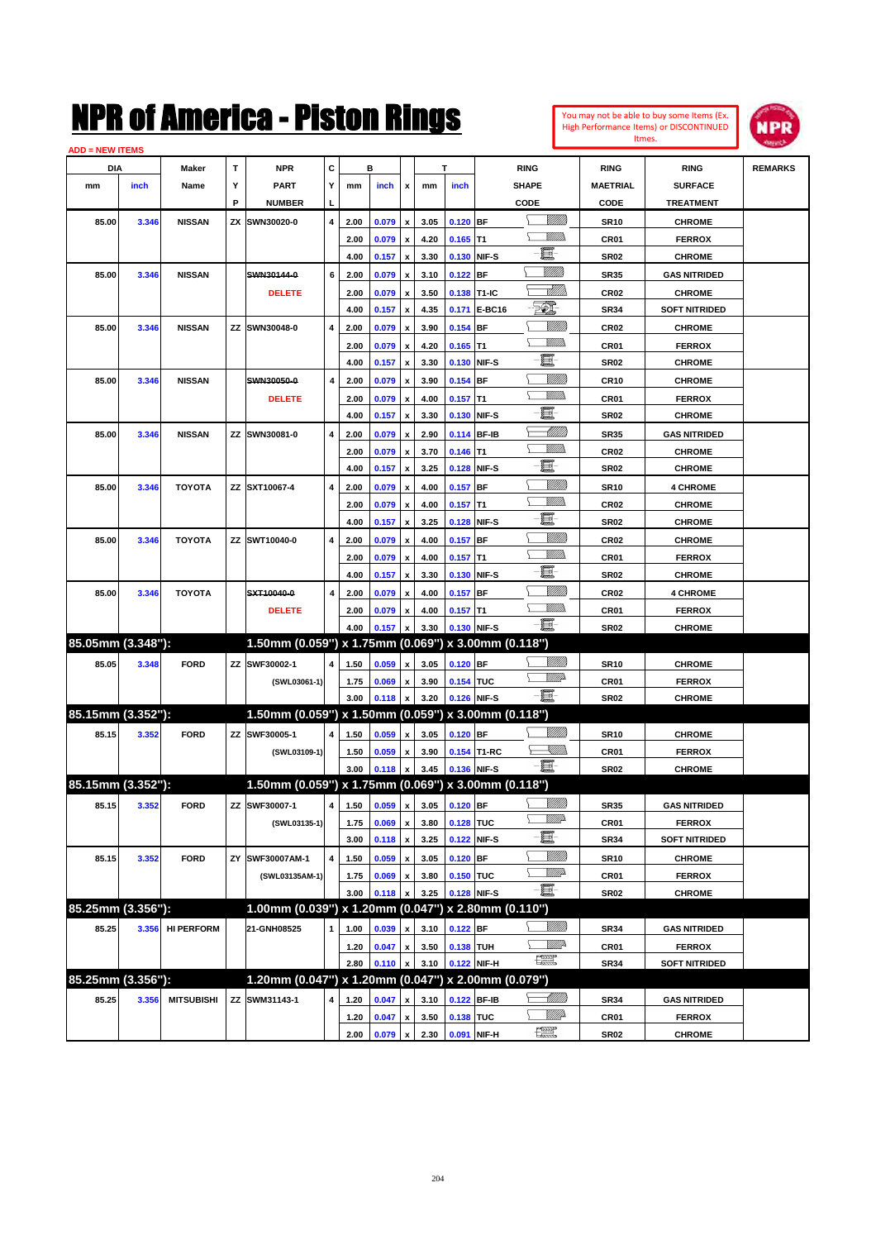#### **ADD = NEW ITEMS**



| <b>D = NEW IIEMS</b> |       |                   |    |                                                     |   |      |       |                    |      |                              |              |                 |                  |                      |                |
|----------------------|-------|-------------------|----|-----------------------------------------------------|---|------|-------|--------------------|------|------------------------------|--------------|-----------------|------------------|----------------------|----------------|
| DIA                  |       | Maker             | T  | <b>NPR</b>                                          | С |      | в     |                    |      |                              |              | <b>RING</b>     | <b>RING</b>      | <b>RING</b>          | <b>REMARKS</b> |
| mm                   | inch  | Name              | Y  | PART                                                | Y | mm   | inch  | x                  | mm   | inch                         |              | <b>SHAPE</b>    | MAETRIAL         | <b>SURFACE</b>       |                |
|                      |       |                   | Р  | <b>NUMBER</b>                                       |   |      |       |                    |      |                              |              | CODE            | CODE             | <b>TREATMENT</b>     |                |
| 85.00                | 3.346 | <b>NISSAN</b>     | ZΧ | SWN30020-0                                          | 4 | 2.00 | 0.079 | $\pmb{\mathsf{x}}$ | 3.05 | $0.120$ BF                   |              | <u>Villida</u>  | <b>SR10</b>      | <b>CHROME</b>        |                |
|                      |       |                   |    |                                                     |   | 2.00 | 0.079 | $\pmb{\mathsf{x}}$ | 4.20 | $0.165$ T1                   |              | <br>Villida     | CR01             | <b>FERROX</b>        |                |
|                      |       |                   |    |                                                     |   | 4.00 | 0.157 | $\pmb{\mathsf{x}}$ | 3.30 | 0.130                        | NIF-S        | e.              | <b>SR02</b>      | <b>CHROME</b>        |                |
| 85.00                | 3.346 | <b>NISSAN</b>     |    | <b>SWN30144-0</b>                                   | 6 | 2.00 | 0.079 | $\pmb{\mathsf{x}}$ | 3.10 | $0.122$ BF                   |              | VIII))          | <b>SR35</b>      | <b>GAS NITRIDED</b>  |                |
|                      |       |                   |    | <b>DELETE</b>                                       |   | 2.00 | 0.079 | $\pmb{\mathsf{x}}$ | 3.50 | 0.138 T1-IC                  |              | <u> MMW</u>     | CR <sub>02</sub> | <b>CHROME</b>        |                |
|                      |       |                   |    |                                                     |   | 4.00 | 0.157 | $\pmb{\mathsf{x}}$ | 4.35 |                              | 0.171 E-BC16 | FO)             | <b>SR34</b>      | SOFT NITRIDED        |                |
| 85.00                | 3.346 | <b>NISSAN</b>     |    | ZZ SWN30048-0                                       | 4 | 2.00 | 0.079 | $\pmb{\mathsf{x}}$ | 3.90 | 0.154 BF                     |              | <u>VIIII)</u>   | CR <sub>02</sub> | <b>CHROME</b>        |                |
|                      |       |                   |    |                                                     |   | 2.00 | 0.079 | $\pmb{\mathsf{x}}$ | 4.20 | $0.165$ T1                   |              | <u>MM)</u>      | CR01             | <b>FERROX</b>        |                |
|                      |       |                   |    |                                                     |   | 4.00 | 0.157 | $\pmb{\mathsf{x}}$ | 3.30 | 0.130                        | NIF-S        | e.              | <b>SR02</b>      | <b>CHROME</b>        |                |
| 85.00                | 3.346 | <b>NISSAN</b>     |    | <b>SWN30050-0</b>                                   | 4 | 2.00 | 0.079 | $\pmb{\mathsf{x}}$ | 3.90 | 0.154 BF                     |              | <u>VIIII)</u>   | <b>CR10</b>      | <b>CHROME</b>        |                |
|                      |       |                   |    | <b>DELETE</b>                                       |   | 2.00 | 0.079 | $\pmb{\mathsf{x}}$ | 4.00 | $0.157$ T1                   |              | <u>MM)</u>      | CR01             | <b>FERROX</b>        |                |
|                      |       |                   |    |                                                     |   | 4.00 | 0.157 | $\pmb{\mathsf{x}}$ | 3.30 | 0.130                        | NIF-S        | e.              | <b>SR02</b>      | <b>CHROME</b>        |                |
| 85.00                | 3.346 | <b>NISSAN</b>     |    | ZZ SWN30081-0                                       | 4 | 2.00 | 0.079 | $\pmb{\mathsf{x}}$ | 2.90 |                              | 0.114 BF-IB  |                 | <b>SR35</b>      | <b>GAS NITRIDED</b>  |                |
|                      |       |                   |    |                                                     |   | 2.00 | 0.079 | $\pmb{\mathsf{x}}$ | 3.70 | $0.146$ T1                   |              | <u>Willib</u>   | CR <sub>02</sub> | <b>CHROME</b>        |                |
|                      |       |                   |    |                                                     |   | 4.00 | 0.157 | $\pmb{\mathsf{x}}$ | 3.25 | 0.128                        | NIF-S        | e.              | <b>SR02</b>      | <b>CHROME</b>        |                |
| 85.00                | 3.346 | <b>TOYOTA</b>     |    | ZZ SXT10067-4                                       | 4 | 2.00 | 0.079 | $\pmb{\mathsf{x}}$ | 4.00 | $0.157$ BF                   |              | <u>VIIII)</u>   | <b>SR10</b>      | <b>4 CHROME</b>      |                |
|                      |       |                   |    |                                                     |   | 2.00 | 0.079 | $\pmb{\mathsf{x}}$ | 4.00 | $0.157$ T1                   |              | <u>MM)</u>      | CR <sub>02</sub> | <b>CHROME</b>        |                |
|                      |       |                   |    |                                                     |   | 4.00 | 0.157 | $\pmb{\mathsf{x}}$ | 3.25 | 0.128                        | NIF-S        | e.              | <b>SR02</b>      | <b>CHROME</b>        |                |
| 85.00                | 3.346 | <b>TOYOTA</b>     |    | ZZ SWT10040-0                                       | 4 | 2.00 | 0.079 | $\pmb{\mathsf{x}}$ | 4.00 | $0.157$ BF                   |              | <u>VIIII)</u>   | CR <sub>02</sub> | <b>CHROME</b>        |                |
|                      |       |                   |    |                                                     |   | 2.00 | 0.079 | $\pmb{\mathsf{x}}$ | 4.00 | $0.157$ T1                   |              | <u>MM)</u>      | CR01             | <b>FERROX</b>        |                |
|                      |       |                   |    |                                                     |   | 4.00 | 0.157 | $\pmb{\mathsf{x}}$ | 3.30 | 0.130                        | NIF-S        | e.              | <b>SR02</b>      | <b>CHROME</b>        |                |
| 85.00                | 3.346 | <b>TOYOTA</b>     |    | SXT10040-0                                          | 4 | 2.00 | 0.079 | $\pmb{\mathsf{x}}$ | 4.00 | $0.157$ BF                   |              | <u>VIIII)</u>   | CR <sub>02</sub> | <b>4 CHROME</b>      |                |
|                      |       |                   |    | <b>DELETE</b>                                       |   | 2.00 | 0.079 | $\pmb{\mathsf{x}}$ | 4.00 | $0.157$ T1                   |              | <u>Willib</u>   | CR01             | <b>FERROX</b>        |                |
|                      |       |                   |    |                                                     |   | 4.00 | 0.157 | $\pmb{\mathsf{x}}$ | 3.30 |                              | 0.130 NIF-S  | -8              | <b>SR02</b>      | <b>CHROME</b>        |                |
| 85.05mm (3.348"):    |       |                   |    | 1.50mm (0.059") x 1.75mm (0.069") x 3.00mm (0.118") |   |      |       |                    |      |                              |              |                 |                  |                      |                |
| 85.05                | 3.348 | <b>FORD</b>       |    | ZZ SWF30002-1                                       | 4 | 1.50 | 0.059 | $\pmb{\mathsf{x}}$ | 3.05 | $0.120$ BF                   |              | <u>VIIII)</u>   | <b>SR10</b>      | <b>CHROME</b>        |                |
|                      |       |                   |    | (SWL03061-1)                                        |   | 1.75 | 0.069 | $\pmb{\mathsf{x}}$ | 3.90 | 0.154 TUC                    |              | <u>WW</u> A     | CR01             | <b>FERROX</b>        |                |
|                      |       |                   |    |                                                     |   | 3.00 | 0.118 | x                  | 3.20 |                              | 0.126 NIF-S  | $-\Xi$          | <b>SR02</b>      | <b>CHROME</b>        |                |
| 85.15mm (3.352"):    |       |                   |    | 1.50mm (0.059") x 1.50mm (0.059") x 3.00mm (0.118") |   |      |       |                    |      |                              |              |                 |                  |                      |                |
| 85.15                | 3.352 | <b>FORD</b>       |    | ZZ SWF30005-1                                       | 4 | 1.50 | 0.059 | $\mathbf x$        | 3.05 | 0.120 BF                     |              | <u>VIII M</u>   | <b>SR10</b>      | <b>CHROME</b>        |                |
|                      |       |                   |    | (SWL03109-1)                                        |   | 1.50 | 0.059 | $\pmb{\mathsf{x}}$ | 3.90 |                              | 0.154 T1-RC  | <u>SMM)</u>     | CR01             | <b>FERROX</b>        |                |
|                      |       |                   |    |                                                     |   | 3.00 | 0.118 | $\mathbf x$        | 3.45 |                              | 0.136 NIF-S  | -8              | <b>SR02</b>      | <b>CHROME</b>        |                |
| 85.15mm (3.352"):    |       |                   |    | 1.50mm (0.059") x 1.75mm (0.069") x 3.00mm (0.118") |   |      |       |                    |      |                              |              |                 |                  |                      |                |
| 85.15                | 3.352 | <b>FORD</b>       |    | ZZ SWF30007-1                                       |   |      |       |                    |      | 4 1.50 0.059 x 3.05 0.120 BF |              | <u>VIIIIn</u>   | <b>SR35</b>      | <b>GAS NITRIDED</b>  |                |
|                      |       |                   |    | (SWL03135-1)                                        |   | 1.75 | 0.069 | $\pmb{\mathsf{x}}$ | 3.80 | 0.128 TUC                    |              | <u>MM</u> A     | CR <sub>01</sub> | <b>FERROX</b>        |                |
|                      |       |                   |    |                                                     |   | 3.00 | 0.118 | $\pmb{\mathsf{x}}$ | 3.25 | 0.122                        | NIF-S        | e.              | <b>SR34</b>      | <b>SOFT NITRIDED</b> |                |
| 85.15                | 3.352 | <b>FORD</b>       |    | ZY SWF30007AM-1                                     | 4 | 1.50 | 0.059 | $\pmb{\mathsf{x}}$ | 3.05 | $0.120$ BF                   |              | <u>VIIII)</u>   | <b>SR10</b>      | <b>CHROME</b>        |                |
|                      |       |                   |    | (SWL03135AM-1)                                      |   | 1.75 | 0.069 | $\pmb{\mathsf{x}}$ | 3.80 | 0.150 TUC                    |              | <u>WW</u> A     | CR01             | <b>FERROX</b>        |                |
|                      |       |                   |    |                                                     |   | 3.00 | 0.118 | x                  | 3.25 |                              | 0.128 NIF-S  | -8              | <b>SR02</b>      | <b>CHROME</b>        |                |
| 85.25mm (3.356"):    |       |                   |    | 1.00mm (0.039") x 1.20mm (0.047") x 2.80mm (0.110") |   |      |       |                    |      |                              |              |                 |                  |                      |                |
| 85.25                |       | 3.356 HI PERFORM  |    | 21-GNH08525                                         | 1 | 1.00 | 0.039 | $\pmb{\mathsf{x}}$ | 3.10 | $0.122$ BF                   |              | <u>Sillilli</u> | SR34             | <b>GAS NITRIDED</b>  |                |
|                      |       |                   |    |                                                     |   | 1.20 | 0.047 | $\mathbf{x}$       | 3.50 | 0.138 TUH                    |              | ₩₩              | CR01             | <b>FERROX</b>        |                |
|                      |       |                   |    |                                                     |   | 2.80 | 0.110 | $\mathbf x$        | 3.10 |                              | 0.122 NIF-H  | 鱱               | <b>SR34</b>      | <b>SOFT NITRIDED</b> |                |
| 85.25mm (3.356"):    |       |                   |    | 1.20mm (0.047") x 1.20mm (0.047") x 2.00mm (0.079") |   |      |       |                    |      |                              |              |                 |                  |                      |                |
| 85.25                | 3.356 | <b>MITSUBISHI</b> |    | ZZ SWM31143-1                                       | 4 | 1.20 | 0.047 | $\pmb{\mathsf{x}}$ | 3.10 | 0.122 BF-IB                  |              |                 | <b>SR34</b>      | <b>GAS NITRIDED</b>  |                |
|                      |       |                   |    |                                                     |   | 1.20 | 0.047 | $\mathbf x$        | 3.50 | 0.138 TUC                    |              | <u>Willi</u> b  | CR01             | <b>FERROX</b>        |                |
|                      |       |                   |    |                                                     |   | 2.00 | 0.079 | $\pmb{\mathsf{x}}$ | 2.30 |                              | 0.091 NIF-H  | $\frac{1}{2}$   | <b>SR02</b>      | <b>CHROME</b>        |                |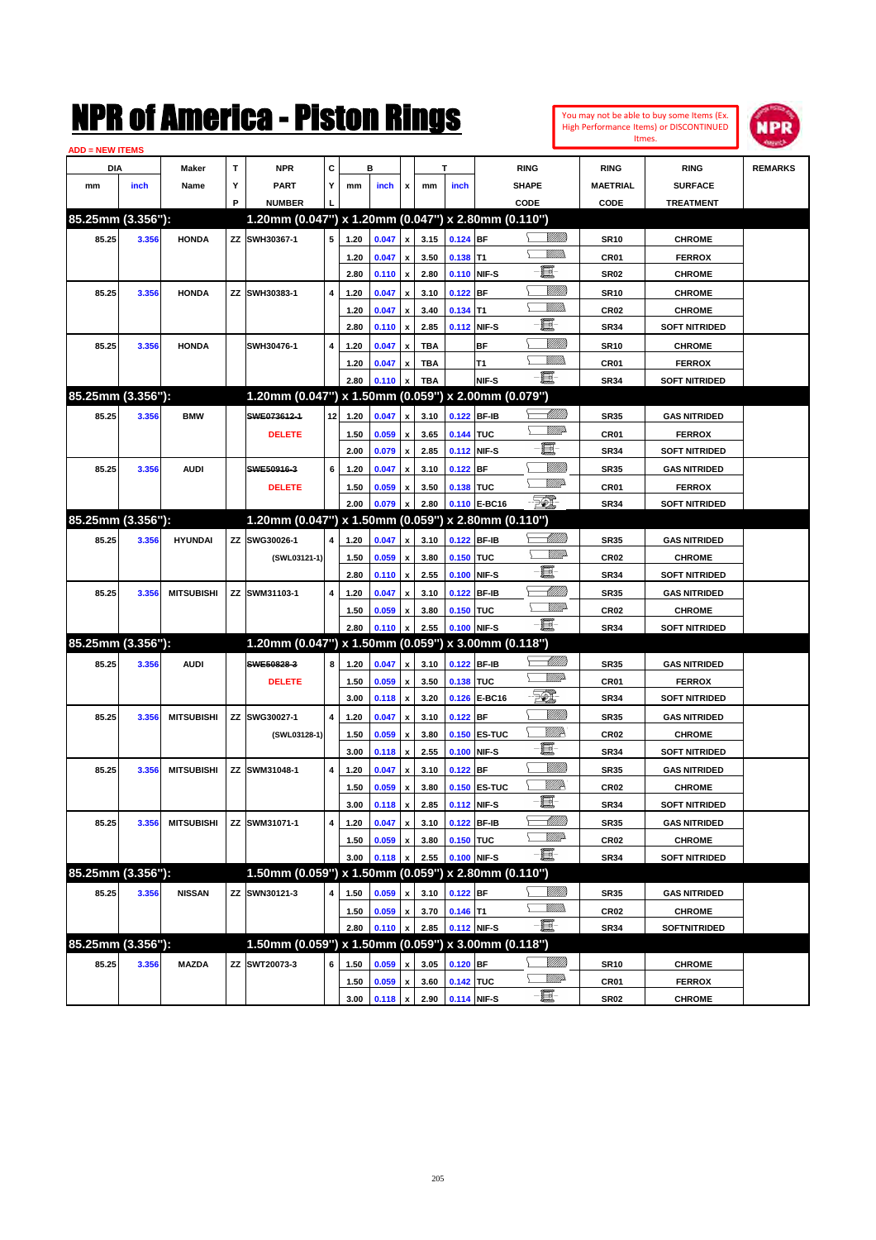| <b>ADD = NEW ITEMS</b> |       |              |   | NMK OI AINCFICA - MISLON KINGS |   |      |                |              |      |                    |                                                     |                |                  | You may not be able to buy some Items (Ex.<br>High Performance Items) or DISCONTINUED<br>Itmes. | WPR            |
|------------------------|-------|--------------|---|--------------------------------|---|------|----------------|--------------|------|--------------------|-----------------------------------------------------|----------------|------------------|-------------------------------------------------------------------------------------------------|----------------|
| DIA                    |       | <b>Maker</b> |   | <b>NPR</b>                     | C |      | в              |              |      |                    | <b>RING</b>                                         |                | <b>RING</b>      | <b>RING</b>                                                                                     | <b>REMARKS</b> |
| mm                     | inch  | Name         |   | <b>PART</b>                    | Y | mm   | <i>inch</i>    |              | mm   | <i>inch</i>        | <b>SHAPE</b>                                        |                | <b>MAETRIAL</b>  | <b>SURFACE</b>                                                                                  |                |
|                        |       |              | Р | <b>NUMBER</b>                  |   |      |                |              |      |                    | CODE                                                |                | CODE             | <b>TREATMENT</b>                                                                                |                |
| 85.25mm (3.356"):      |       |              |   |                                |   |      |                |              |      |                    | 1.20mm (0.047") x 1.20mm (0.047") x 2.80mm (0.110") |                |                  |                                                                                                 |                |
| 85.25                  | 3.356 | <b>HONDA</b> |   | ZZ SWH30367-1                  | 5 | 1.20 | 0.047          | x I          | 3.15 | $0.124$ BF         |                                                     | <u>Villida</u> | <b>SR10</b>      | <b>CHROME</b>                                                                                   |                |
|                        |       |              |   |                                |   | 1.20 | 0.047          | $\mathbf{x}$ | 3.50 | $0.138$ T1         |                                                     | <u>Willib</u>  | CR <sub>01</sub> | <b>FERROX</b>                                                                                   |                |
|                        |       |              |   |                                |   | 2.80 | $0.110 \times$ |              | 2.80 | <b>0.110 NIF-S</b> | e                                                   |                | <b>SR02</b>      | <b>CHROME</b>                                                                                   |                |
|                        |       |              |   |                                |   |      |                |              |      |                    |                                                     |                |                  |                                                                                                 |                |

 $-102$ 1

|                   |       |                   |                                                     |                         | 2.80 | 0.110   | x                         | 2.80       |             | 0.110 NIF-S  | 臝                     | <b>SR02</b>      | <b>CHROME</b>        |  |
|-------------------|-------|-------------------|-----------------------------------------------------|-------------------------|------|---------|---------------------------|------------|-------------|--------------|-----------------------|------------------|----------------------|--|
| 85.25             | 3.356 | <b>HONDA</b>      | ZZ SWH30383-1                                       | 4                       | 1.20 | 0.047   | $\boldsymbol{\mathsf{x}}$ | 3.10       | $0.122$ BF  |              | <u>Milli</u>          | <b>SR10</b>      | <b>CHROME</b>        |  |
|                   |       |                   |                                                     |                         | 1.20 | 0.047   | $\boldsymbol{\mathsf{x}}$ | 3.40       | $0.134$ T1  |              | <br>Militar           | <b>CR02</b>      | <b>CHROME</b>        |  |
|                   |       |                   |                                                     |                         | 2.80 | 0.110   | $\boldsymbol{\mathsf{x}}$ | 2.85       |             | 0.112 NIF-S  | E                     | <b>SR34</b>      | <b>SOFT NITRIDED</b> |  |
| 85.25             | 3.356 | <b>HONDA</b>      | SWH30476-1                                          | $\overline{\mathbf{4}}$ | 1.20 | 0.047   | $\mathbf{x}$              | <b>TBA</b> |             | <b>BF</b>    | <u>MMM</u>            | <b>SR10</b>      | <b>CHROME</b>        |  |
|                   |       |                   |                                                     |                         | 1.20 | 0.047   | x                         | <b>TBA</b> |             | T1           | VM))                  | CR01             | <b>FERROX</b>        |  |
|                   |       |                   |                                                     |                         | 2.80 | 0.110   | $\mathbf x$               | <b>TBA</b> |             | NIF-S        | è                     | <b>SR34</b>      | <b>SOFT NITRIDED</b> |  |
| 85.25mm (3.356"): |       |                   | 1.20mm (0.047") x 1.50mm (0.059") x 2.00mm (0.079") |                         |      |         |                           |            |             |              |                       |                  |                      |  |
| 85.25             | 3.356 | <b>BMW</b>        | SWE073612-1                                         | 12                      | 1.20 | 0.047   | x                         | 3.10       | 0.122 BF-IB |              | <u>UMB</u>            | <b>SR35</b>      | <b>GAS NITRIDED</b>  |  |
|                   |       |                   | <b>DELETE</b>                                       |                         | 1.50 | 0.059   | $\pmb{\mathsf{x}}$        | 3.65       | 0.144 TUC   |              | <u>MM</u> D           | CR <sub>01</sub> | <b>FERROX</b>        |  |
|                   |       |                   |                                                     |                         | 2.00 | 0.079   | $\pmb{\mathsf{x}}$        | 2.85       |             | 0.112 NIF-S  | E.                    | <b>SR34</b>      | <b>SOFT NITRIDED</b> |  |
| 85.25             | 3.356 | <b>AUDI</b>       | SWE50916-3                                          | 6                       | 1.20 | 0.047   | $\boldsymbol{\mathsf{x}}$ | 3.10       | $0.122$ BF  |              | <u>VMM</u>            | <b>SR35</b>      | <b>GAS NITRIDED</b>  |  |
|                   |       |                   | <b>DELETE</b>                                       |                         | 1.50 | 0.059   | $\mathbf{x}$              | 3.50       | 0.138 TUC   |              | <u>WW</u> A           | CR01             | <b>FERROX</b>        |  |
|                   |       |                   |                                                     |                         | 2.00 | 0.079   | $\mathbf{x}$              | 2.80       |             | 0.110 E-BC16 | -501                  | <b>SR34</b>      | <b>SOFT NITRIDED</b> |  |
| 85.25mm (3.356"): |       |                   | 1.20mm (0.047") x 1.50mm (0.059") x 2.80mm (0.110") |                         |      |         |                           |            |             |              |                       |                  |                      |  |
| 85.25             | 3.356 | <b>HYUNDAI</b>    | ZZ SWG30026-1                                       | 4                       | 1.20 | 0.047   | $\pmb{\mathsf{x}}$        | 3.10       | 0.122 BF-IB |              | <u>UMB</u>            | <b>SR35</b>      | <b>GAS NITRIDED</b>  |  |
|                   |       |                   | (SWL03121-1)                                        |                         | 1.50 | 0.059   | x                         | 3.80       | 0.150 TUC   |              | WWA                   | <b>CR02</b>      | <b>CHROME</b>        |  |
|                   |       |                   |                                                     |                         | 2.80 | 0.110   | $\pmb{\mathsf{x}}$        | 2.55       | 0.100 NIF-S |              | E                     | <b>SR34</b>      | <b>SOFT NITRIDED</b> |  |
| 85.25             | 3.356 | <b>MITSUBISHI</b> | ZZ SWM31103-1                                       | $\overline{\mathbf{4}}$ | 1.20 | 0.047   | $\pmb{\mathsf{x}}$        | 3.10       | 0.122 BF-IB |              | <u>UMM</u>            | <b>SR35</b>      | <b>GAS NITRIDED</b>  |  |
|                   |       |                   |                                                     |                         | 1.50 | 0.059   | $\pmb{\mathsf{x}}$        | 3.80       | 0.150 TUC   |              | <b>Willi</b> b        | <b>CR02</b>      | <b>CHROME</b>        |  |
|                   |       |                   |                                                     |                         | 2.80 | 0.110   | $\mathbf{x}$              | 2.55       | 0.100 NIF-S |              | $-\Xi$ -              | <b>SR34</b>      | <b>SOFT NITRIDED</b> |  |
| 85.25mm (3.356"): |       |                   | 1.20mm (0.047") x 1.50mm (0.059") x 3.00mm (0.118") |                         |      |         |                           |            |             |              |                       |                  |                      |  |
| 85.25             | 3.356 | <b>AUDI</b>       | SWE50828-3                                          | 8                       | 1.20 | 0.047   | $\mathbf{x}$              | 3.10       | 0.122 BF-IB |              | -977777<br>⊢          | <b>SR35</b>      | <b>GAS NITRIDED</b>  |  |
|                   |       |                   | <b>DELETE</b>                                       |                         | 1.50 | 0.059   | $\pmb{\mathsf{x}}$        | 3.50       | 0.138 TUC   |              | <u>MWA</u>            | CR01             | <b>FERROX</b>        |  |
|                   |       |                   |                                                     |                         | 3.00 | 0.118   | $\pmb{\mathsf{x}}$        | 3.20       |             | 0.126 E-BC16 | FO)                   | <b>SR34</b>      | <b>SOFT NITRIDED</b> |  |
| 85.25             | 3.356 | <b>MITSUBISHI</b> | ZZ SWG30027-1                                       | $\overline{4}$          | 1.20 | 0.047   | x                         | 3.10       | $0.122$ BF  |              | <u>VIIII</u>          | <b>SR35</b>      | <b>GAS NITRIDED</b>  |  |
|                   |       |                   | (SWL03128-1)                                        |                         | 1.50 | 0.059   | $\pmb{\mathsf{x}}$        | 3.80       |             | 0.150 ES-TUC | <i><u>VIIItte</u></i> | <b>CR02</b>      | <b>CHROME</b>        |  |
|                   |       |                   |                                                     |                         | 3.00 | 0.118   | $\boldsymbol{\mathsf{x}}$ | 2.55       | 0.100 NIF-S |              | E                     | <b>SR34</b>      | <b>SOFT NITRIDED</b> |  |
| 85.25             | 3.356 | <b>MITSUBISHI</b> | ZZ SWM31048-1                                       | 4                       | 1.20 | 0.047   | $\boldsymbol{\mathsf{x}}$ | 3.10       | $0.122$ BF  |              | <u>VMM</u>            | <b>SR35</b>      | <b>GAS NITRIDED</b>  |  |
|                   |       |                   |                                                     |                         | 1.50 | 0.059   | x                         | 3.80       |             | 0.150 ES-TUC | <u>VIIID</u>          | <b>CR02</b>      | <b>CHROME</b>        |  |
|                   |       |                   |                                                     |                         | 3.00 | 0.118   | $\boldsymbol{\mathsf{x}}$ | 2.85       |             | 0.112 NIF-S  | E                     | <b>SR34</b>      | <b>SOFT NITRIDED</b> |  |
| 85.25             | 3.356 | <b>MITSUBISHI</b> | ZZ SWM31071-1                                       | $\overline{\mathbf{4}}$ | 1.20 | 0.047   | $\mathbf{x}$              | 3.10       | 0.122 BF-IB |              | <u> UMM</u>           | <b>SR35</b>      | <b>GAS NITRIDED</b>  |  |
|                   |       |                   |                                                     |                         | 1.50 | 0.059   | x                         | 3.80       | 0.150 TUC   |              | <u>VM)</u>            | <b>CR02</b>      | <b>CHROME</b>        |  |
|                   |       |                   |                                                     |                         | 3.00 | 0.118   | $\mathbf{x}$              | 2.55       | 0.100 NIF-S |              | e et                  | <b>SR34</b>      | <b>SOFT NITRIDED</b> |  |
| 85.25mm (3.356"): |       |                   | 1.50mm (0.059") x 1.50mm (0.059") x 2.80mm (0.110") |                         |      |         |                           |            |             |              |                       |                  |                      |  |
| 85.25             | 3.356 | <b>NISSAN</b>     | ZZ SWN30121-3                                       | 4                       | 1.50 | 0.059   | x                         | 3.10       | $0.122$ BF  |              | <u>MMB</u>            | <b>SR35</b>      | <b>GAS NITRIDED</b>  |  |
|                   |       |                   |                                                     |                         | 1.50 | 0.059   | $\pmb{\mathsf{x}}$        | 3.70       | $0.146$ T1  |              | VM)                   | <b>CR02</b>      | <b>CHROME</b>        |  |
|                   |       |                   |                                                     |                         | 2.80 | 0.110   | $\mathbf{x}$              | 2.85       | 0.112 NIF-S |              | $-\Xi$ -              | <b>SR34</b>      | <b>SOFTNITRIDED</b>  |  |
| 85.25mm (3.356"): |       |                   | 1.50mm (0.059") x 1.50mm (0.059") x 3.00mm (0.118") |                         |      |         |                           |            |             |              |                       |                  |                      |  |
| 85.25             | 3.356 | <b>MAZDA</b>      | ZZ SWT20073-3                                       | 6                       | 1.50 | 0.059   | $\mathbf{x}$              | 3.05       | $0.120$ BF  |              | <u>MMB</u>            | <b>SR10</b>      | <b>CHROME</b>        |  |
|                   |       |                   |                                                     |                         | 1.50 | 0.059   | $\pmb{\mathsf{x}}$        | 3.60       | 0.142 TUC   |              | <u>VMD</u>            | CR01             | <b>FERROX</b>        |  |
|                   |       |                   |                                                     |                         | 3.00 | 0.118 x |                           | 2.90       | 0.114 NIF-S |              | E                     | <b>SR02</b>      | <b>CHROME</b>        |  |
|                   |       |                   |                                                     |                         |      |         |                           |            |             |              |                       |                  |                      |  |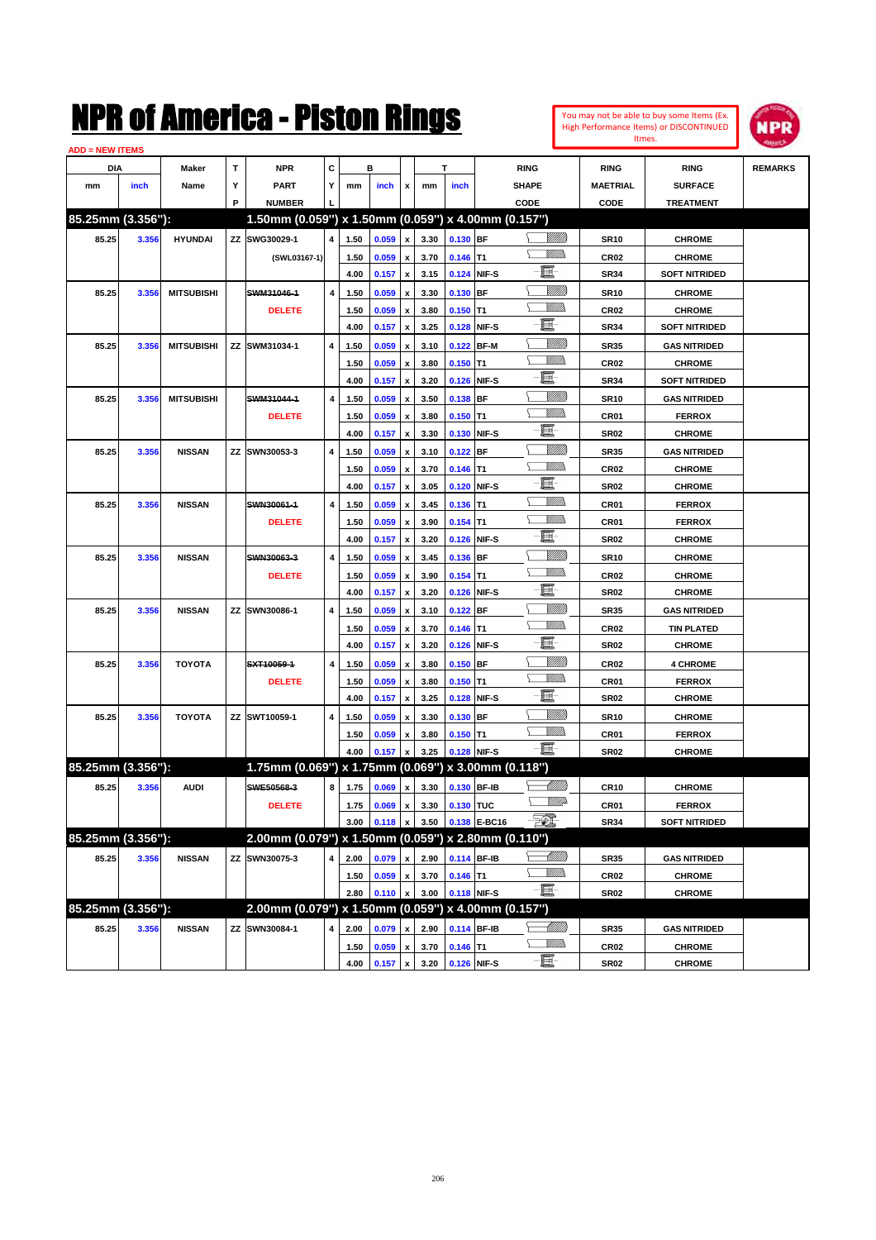

| <b>ADD = NEW ITEMS</b> |       |                   |   |                                                     |   |      |                  |                    |      |                |              |                   |                  |                      |                |
|------------------------|-------|-------------------|---|-----------------------------------------------------|---|------|------------------|--------------------|------|----------------|--------------|-------------------|------------------|----------------------|----------------|
| DIA                    |       | Maker             | T | <b>NPR</b>                                          | C |      | в                |                    |      | T              |              | <b>RING</b>       | <b>RING</b>      | <b>RING</b>          | <b>REMARKS</b> |
| mm                     | inch  | Name              | Υ | <b>PART</b>                                         | Y | mm   | inch             | x                  | mm   | inch           |              | <b>SHAPE</b>      | <b>MAETRIAL</b>  | <b>SURFACE</b>       |                |
|                        |       |                   | P | <b>NUMBER</b>                                       |   |      |                  |                    |      |                |              | CODE              | CODE             | <b>TREATMENT</b>     |                |
| 85.25mm (3.356"):      |       |                   |   | 1.50mm (0.059") x 1.50mm (0.059") x 4.00mm (0.157") |   |      |                  |                    |      |                |              |                   |                  |                      |                |
| 85.25                  | 3.356 | <b>HYUNDAI</b>    |   | ZZ SWG30029-1                                       | 4 | 1.50 | 0.059            | $\pmb{\mathsf{x}}$ | 3.30 | 0.130 BF       |              | <u>Villida</u>    | <b>SR10</b>      | <b>CHROME</b>        |                |
|                        |       |                   |   | (SWL03167-1)                                        |   | 1.50 | 0.059            | $\pmb{\mathsf{x}}$ | 3.70 | $0.146$ T1     |              |                   | <b>CR02</b>      | <b>CHROME</b>        |                |
|                        |       |                   |   |                                                     |   | 4.00 | 0.157            | $\pmb{\mathsf{x}}$ | 3.15 |                | 0.124 NIF-S  | E                 | <b>SR34</b>      | <b>SOFT NITRIDED</b> |                |
| 85.25                  | 3.356 | <b>MITSUBISHI</b> |   | SWM31046-1                                          | 4 | 1.50 | 0.059            | x                  | 3.30 | 0.130 BF       |              | <u>Milli</u>      | <b>SR10</b>      | <b>CHROME</b>        |                |
|                        |       |                   |   | <b>DELETE</b>                                       |   | 1.50 | 0.059            | x                  | 3.80 | $0.150$ T1     |              | .<br>VMD          | CR <sub>02</sub> | <b>CHROME</b>        |                |
|                        |       |                   |   |                                                     |   | 4.00 | 0.157            | $\pmb{\mathsf{x}}$ | 3.25 |                | 0.128 NIF-S  | E                 | <b>SR34</b>      | <b>SOFT NITRIDED</b> |                |
| 85.25                  | 3.356 | <b>MITSUBISHI</b> |   | ZZ SWM31034-1                                       | 4 | 1.50 | 0.059            | x                  | 3.10 |                | 0.122 BF-M   | <u>Milli</u>      | <b>SR35</b>      | <b>GAS NITRIDED</b>  |                |
|                        |       |                   |   |                                                     |   | 1.50 | 0.059            | x                  | 3.80 | $0.150$ T1     |              | .<br>VMD          | <b>CR02</b>      | <b>CHROME</b>        |                |
|                        |       |                   |   |                                                     |   | 4.00 | 0.157            | $\pmb{\mathsf{x}}$ | 3.20 |                | 0.126 NIF-S  | E                 | <b>SR34</b>      | <b>SOFT NITRIDED</b> |                |
| 85.25                  | 3.356 | <b>MITSUBISHI</b> |   | SWM31044-1                                          | 4 | 1.50 | 0.059            | x                  | 3.50 | $0.138$ BF     |              | <u>MMM</u>        | <b>SR10</b>      | <b>GAS NITRIDED</b>  |                |
|                        |       |                   |   | <b>DELETE</b>                                       |   | 1.50 | 0.059            | x                  | 3.80 | $0.150$ T1     |              | .<br>VMD          | CR01             | <b>FERROX</b>        |                |
|                        |       |                   |   |                                                     |   | 4.00 | 0.157            | x                  | 3.30 |                | 0.130 NIF-S  | E                 | <b>SR02</b>      | <b>CHROME</b>        |                |
| 85.25                  | 3.356 | <b>NISSAN</b>     |   | ZZ SWN30053-3                                       | 4 | 1.50 | 0.059            | x                  | 3.10 | $0.122$ BF     |              | <u>MMM</u>        | <b>SR35</b>      | <b>GAS NITRIDED</b>  |                |
|                        |       |                   |   |                                                     |   | 1.50 | 0.059            | x                  | 3.70 | $0.146$ T1     |              | .<br>VMD          | CR <sub>02</sub> | <b>CHROME</b>        |                |
|                        |       |                   |   |                                                     |   | 4.00 | 0.157            | $\pmb{\mathsf{x}}$ | 3.05 |                | 0.120 NIF-S  | E                 | <b>SR02</b>      | <b>CHROME</b>        |                |
| 85.25                  | 3.356 | <b>NISSAN</b>     |   | SWN30061-1                                          | 4 | 1.50 | 0.059            | x                  | 3.45 | $0.136$ T1     |              | <br>Militar       | CR01             | <b>FERROX</b>        |                |
|                        |       |                   |   | <b>DELETE</b>                                       |   | 1.50 | 0.059            | x                  | 3.90 | $0.154$ T1     |              | <br>Militar       | CR01             | <b>FERROX</b>        |                |
|                        |       |                   |   |                                                     |   | 4.00 | 0.157            | x                  | 3.20 |                | 0.126 NIF-S  | t.                | <b>SR02</b>      | <b>CHROME</b>        |                |
| 85.25                  | 3.356 | <b>NISSAN</b>     |   | SWN30063-3                                          | 4 | 1.50 | 0.059            | x                  | 3.45 | 0.136 BF       |              | <u>MMM</u>        | <b>SR10</b>      | <b>CHROME</b>        |                |
|                        |       |                   |   | <b>DELETE</b>                                       |   | 1.50 | 0.059            | x                  | 3.90 | $0.154$ T1     |              | .<br>VMD          | CR <sub>02</sub> | <b>CHROME</b>        |                |
|                        |       |                   |   |                                                     |   | 4.00 | 0.157            | x                  | 3.20 |                | 0.126 NIF-S  | E                 | <b>SR02</b>      | <b>CHROME</b>        |                |
| 85.25                  | 3.356 | <b>NISSAN</b>     |   | ZZ SWN30086-1                                       | 4 | 1.50 | 0.059            | x                  | 3.10 | $0.122$ BF     |              | <u>MMM</u>        | <b>SR35</b>      | <b>GAS NITRIDED</b>  |                |
|                        |       |                   |   |                                                     |   | 1.50 | 0.059            | x                  | 3.70 | $0.146$ T1     |              | .<br>VMD          | CR <sub>02</sub> | <b>TIN PLATED</b>    |                |
|                        |       |                   |   |                                                     |   | 4.00 | 0.157            | $\pmb{\mathsf{x}}$ | 3.20 |                | 0.126 NIF-S  | E                 | <b>SR02</b>      | <b>CHROME</b>        |                |
| 85.25                  | 3.356 | <b>TOYOTA</b>     |   | SXT10059-1                                          | 4 | 1.50 | 0.059            | x                  | 3.80 | $0.150$ BF     |              | <u>MMM</u>        | CR <sub>02</sub> | <b>4 CHROME</b>      |                |
|                        |       |                   |   | <b>DELETE</b>                                       |   | 1.50 | 0.059            | x                  | 3.80 | $0.150$ T1     |              | .<br>VMD          | CR01             | <b>FERROX</b>        |                |
|                        |       |                   |   |                                                     |   | 4.00 | 0.157            | x                  | 3.25 |                | 0.128 NIF-S  | E                 | <b>SR02</b>      | <b>CHROME</b>        |                |
| 85.25                  | 3.356 | <b>TOYOTA</b>     |   | ZZ SWT10059-1                                       | 4 | 1.50 | 0.059            | x                  | 3.30 | 0.130 BF       |              | VIII))            | <b>SR10</b>      | <b>CHROME</b>        |                |
|                        |       |                   |   |                                                     |   | 1.50 | 0.059            | x                  | 3.80 | $0.150$ T1     |              | .<br>VMD          | CR01             | <b>FERROX</b>        |                |
|                        |       |                   |   |                                                     |   | 4.00 | 0.157            | $\pmb{\mathsf{x}}$ | 3.25 |                | 0.128 NIF-S  | -8                | <b>SR02</b>      | <b>CHROME</b>        |                |
| 85.25mm (3.356"):      |       |                   |   | 1.75mm (0.069") x 1.75mm (0.069") x 3.00mm (0.118") |   |      |                  |                    |      |                |              |                   |                  |                      |                |
| 85.25                  | 3.356 | <b>AUDI</b>       |   | SWE50568-3                                          | 8 | 1.75 | 0.069            | $\pmb{\mathsf{x}}$ | 3.30 |                | 0.130 BF-IB  | <u> UMB</u>       | <b>CR10</b>      | <b>CHROME</b>        |                |
|                        |       |                   |   | <b>DELETE</b>                                       |   |      | $1.75$ 0.069 $x$ |                    |      | 3.30 0.130 TUC |              | <u>WW</u>         | CR01             | <b>FERROX</b>        |                |
|                        |       |                   |   |                                                     |   | 3.00 | 0.118            | $\pmb{\mathsf{x}}$ | 3.50 |                | 0.138 E-BC16 | $\mathbb{Z}$      | SR34             | <b>SOFT NITRIDED</b> |                |
| 85.25mm (3.356"):      |       |                   |   | 2.00mm (0.079") x 1.50mm (0.059") x 2.80mm (0.110") |   |      |                  |                    |      |                |              |                   |                  |                      |                |
| 85.25                  | 3.356 | <b>NISSAN</b>     |   | ZZ SWN30075-3                                       | 4 | 2.00 | 0.079            | $\pmb{\mathsf{x}}$ | 2.90 |                | 0.114 BF-IB  | <u> Millito</u>   | <b>SR35</b>      | <b>GAS NITRIDED</b>  |                |
|                        |       |                   |   |                                                     |   | 1.50 | 0.059            | $\pmb{\mathsf{x}}$ | 3.70 | $0.146$ T1     |              | <u>Willib</u>     | CR <sub>02</sub> | <b>CHROME</b>        |                |
|                        |       |                   |   |                                                     |   | 2.80 | 0.110            | $\pmb{\mathsf{x}}$ | 3.00 |                | 0.118 NIF-S  | -買-               | SR02             | <b>CHROME</b>        |                |
| 85.25mm (3.356"):      |       |                   |   | 2.00mm (0.079") x 1.50mm (0.059")                   |   |      |                  |                    |      |                |              | x 4.00mm (0.157") |                  |                      |                |
| 85.25                  | 3.356 | <b>NISSAN</b>     |   | ZZ SWN30084-1                                       | 4 | 2.00 | 0.079            | X                  | 2.90 |                | 0.114 BF-IB  |                   | <b>SR35</b>      | <b>GAS NITRIDED</b>  |                |
|                        |       |                   |   |                                                     |   | 1.50 | 0.059            | x                  | 3.70 | $0.146$ T1     |              | <u>Willib</u>     | <b>CR02</b>      | <b>CHROME</b>        |                |
|                        |       |                   |   |                                                     |   | 4.00 | 0.157            | X                  | 3.20 |                | 0.126 NIF-S  | -8                | <b>SR02</b>      | <b>CHROME</b>        |                |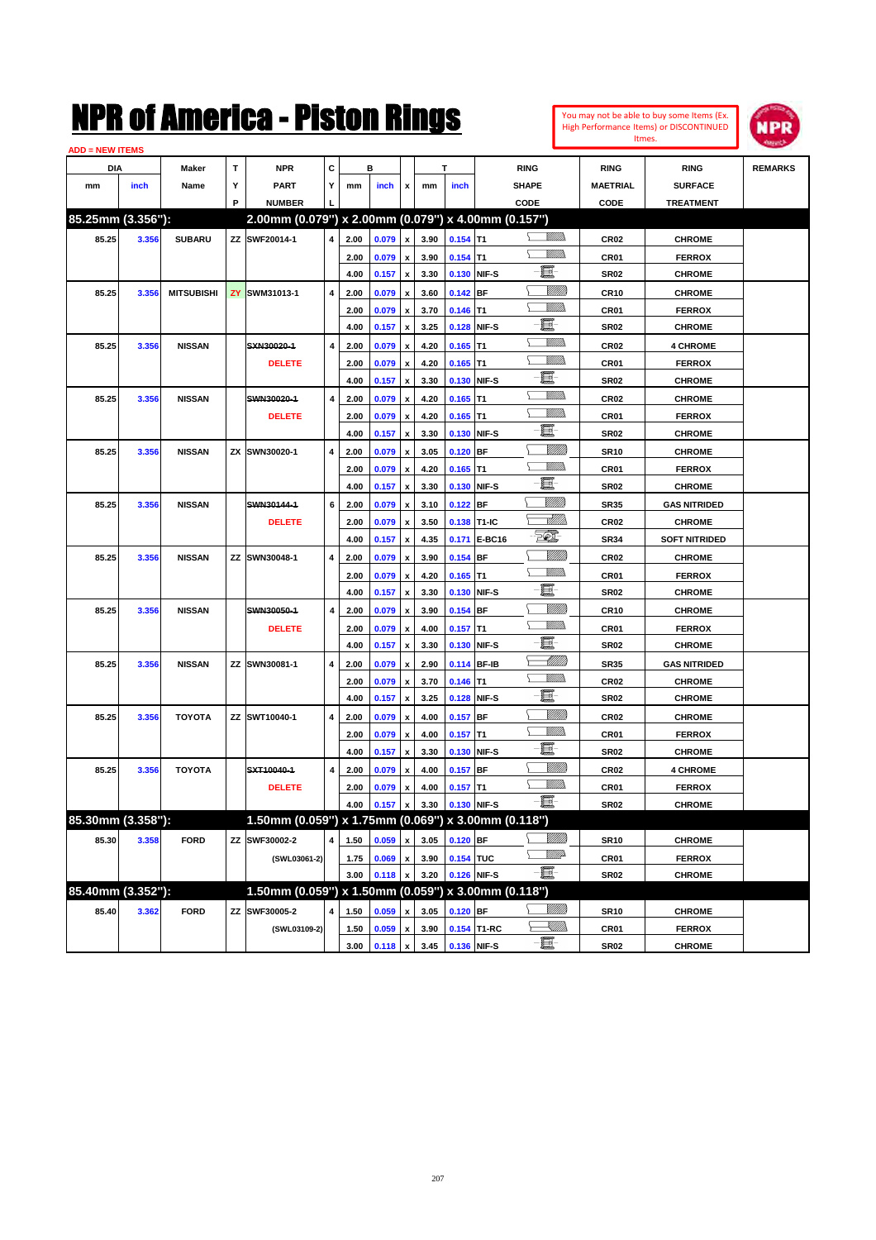#### **ADD = NEW ITEMS**



|                   | NEW HEMS |                   |   |                                                     |           |      |                |                           |      |             |              |                   |                  |                      |                |
|-------------------|----------|-------------------|---|-----------------------------------------------------|-----------|------|----------------|---------------------------|------|-------------|--------------|-------------------|------------------|----------------------|----------------|
| <b>DIA</b>        |          | Maker             | Т | <b>NPR</b>                                          | С         |      | в              |                           |      | т           |              | <b>RING</b>       | <b>RING</b>      | <b>RING</b>          | <b>REMARKS</b> |
| mm                | inch     | Name              | Y | <b>PART</b>                                         | Y         | mm   | inch           | x                         | mm   | inch        |              | <b>SHAPE</b>      | <b>MAETRIAL</b>  | <b>SURFACE</b>       |                |
|                   |          |                   | P | <b>NUMBER</b>                                       |           |      |                |                           |      |             |              | CODE              | CODE             | <b>TREATMENT</b>     |                |
| 85.25mm (3.356"): |          |                   |   | 2.00mm (0.079") x 2.00mm (0.079") x 4.00mm (0.157") |           |      |                |                           |      |             |              |                   |                  |                      |                |
| 85.25             | 3.356    | <b>SUBARU</b>     |   | ZZ SWF20014-1                                       | 4         | 2.00 | 0.079          | $\pmb{\chi}$              | 3.90 | $0.154$ T1  |              | .<br>VMD          | CR <sub>02</sub> | <b>CHROME</b>        |                |
|                   |          |                   |   |                                                     |           | 2.00 | 0.079          | $\pmb{\mathsf{x}}$        | 3.90 | $0.154$ T1  |              | VM)               | CR01             | <b>FERROX</b>        |                |
|                   |          |                   |   |                                                     |           | 4.00 | 0.157          | $\pmb{\mathsf{x}}$        | 3.30 | 0.130 NIF-S |              | $-\Xi$ -          | <b>SR02</b>      | <b>CHROME</b>        |                |
| 85.25             | 3.356    | <b>MITSUBISHI</b> |   | <b>ZY SWM31013-1</b>                                | 4         | 2.00 | 0.079          | $\boldsymbol{\mathsf{x}}$ | 3.60 | $0.142$ BF  |              | <u>Milli</u>      | CR <sub>10</sub> | <b>CHROME</b>        |                |
|                   |          |                   |   |                                                     |           | 2.00 | 0.079          | $\, {\bf x}$              | 3.70 | $0.146$ T1  |              | .<br>VMD          | CR01             | <b>FERROX</b>        |                |
|                   |          |                   |   |                                                     |           | 4.00 | 0.157          | $\pmb{\mathsf{x}}$        | 3.25 | 0.128 NIF-S |              | -8                | <b>SR02</b>      | <b>CHROME</b>        |                |
| 85.25             | 3.356    | <b>NISSAN</b>     |   | SXN30020-1                                          | 4         | 2.00 | 0.079          | $\boldsymbol{\mathsf{x}}$ | 4.20 | $0.165$ T1  |              | VM)               | CR <sub>02</sub> | <b>4 CHROME</b>      |                |
|                   |          |                   |   | <b>DELETE</b>                                       |           | 2.00 | 0.079          | x                         | 4.20 | $0.165$ T1  |              | .<br>VMD          | CR01             | <b>FERROX</b>        |                |
|                   |          |                   |   |                                                     |           | 4.00 | 0.157          | $\pmb{\mathsf{x}}$        | 3.30 | 0.130 NIF-S |              | -8                | <b>SR02</b>      | <b>CHROME</b>        |                |
| 85.25             | 3.356    | <b>NISSAN</b>     |   | SWN30020-1                                          | 4         | 2.00 | 0.079          | x                         | 4.20 | $0.165$ T1  |              | VM)               | CR <sub>02</sub> | <b>CHROME</b>        |                |
|                   |          |                   |   | <b>DELETE</b>                                       |           | 2.00 | 0.079          | x                         | 4.20 | $0.165$ T1  |              | VM)               | CR01             | <b>FERROX</b>        |                |
|                   |          |                   |   |                                                     |           | 4.00 | 0.157          | $\pmb{\mathsf{x}}$        | 3.30 | 0.130 NIF-S |              | -8                | <b>SR02</b>      | <b>CHROME</b>        |                |
| 85.25             | 3.356    | <b>NISSAN</b>     |   | ZX SWN30020-1                                       | 4         | 2.00 | 0.079          | $\pmb{\mathsf{x}}$        | 3.05 | $0.120$ BF  |              | <u>MMM</u>        | <b>SR10</b>      | <b>CHROME</b>        |                |
|                   |          |                   |   |                                                     |           | 2.00 | 0.079          | x                         | 4.20 | $0.165$ T1  |              | VM)               | CR01             | <b>FERROX</b>        |                |
|                   |          |                   |   |                                                     |           | 4.00 | 0.157          | $\pmb{\mathsf{x}}$        | 3.30 | 0.130 NIF-S |              | e                 | <b>SR02</b>      | <b>CHROME</b>        |                |
| 85.25             | 3.356    | <b>NISSAN</b>     |   | SWN30144-1                                          | 6         | 2.00 | 0.079          | x                         | 3.10 | $0.122$ BF  |              | <u>Milli</u> k    | <b>SR35</b>      | <b>GAS NITRIDED</b>  |                |
|                   |          |                   |   | <b>DELETE</b>                                       |           | 2.00 | 0.079          | x                         | 3.50 | 0.138 T1-IC |              | <u> Milli</u>     | CR <sub>02</sub> | <b>CHROME</b>        |                |
|                   |          |                   |   |                                                     |           | 4.00 | 0.157          | $\pmb{\mathsf{x}}$        | 4.35 |             | 0.171 E-BC16 | E.                | <b>SR34</b>      | <b>SOFT NITRIDED</b> |                |
| 85.25             | 3.356    | <b>NISSAN</b>     |   | ZZ SWN30048-1                                       | 4         | 2.00 | 0.079          | x                         | 3.90 | $0.154$ BF  |              | <u>Milli</u>      | CR <sub>02</sub> | <b>CHROME</b>        |                |
|                   |          |                   |   |                                                     |           | 2.00 | 0.079          | $\boldsymbol{\mathsf{x}}$ | 4.20 | $0.165$ T1  |              | .<br>VMD          | CR01             | <b>FERROX</b>        |                |
|                   |          |                   |   |                                                     |           | 4.00 | 0.157          | $\boldsymbol{\mathsf{x}}$ | 3.30 | 0.130 NIF-S |              | e                 | <b>SR02</b>      | <b>CHROME</b>        |                |
| 85.25             | 3.356    | <b>NISSAN</b>     |   | SWN30050-1                                          | 4         | 2.00 | 0.079          | x                         | 3.90 | $0.154$ BF  |              | <u>Milli</u>      | <b>CR10</b>      | <b>CHROME</b>        |                |
|                   |          |                   |   | <b>DELETE</b>                                       |           | 2.00 | 0.079          | $\boldsymbol{\mathsf{x}}$ | 4.00 | $0.157$ T1  |              | .<br>VMD          | CR01             | <b>FERROX</b>        |                |
|                   |          |                   |   |                                                     |           | 4.00 | 0.157          | x                         | 3.30 | 0.130 NIF-S |              | e.                | <b>SR02</b>      | <b>CHROME</b>        |                |
| 85.25             | 3.356    | <b>NISSAN</b>     |   | ZZ SWN30081-1                                       | 4         | 2.00 | 0.079          | x                         | 2.90 |             | 0.114 BF-IB  | <u> Milli</u> lli | <b>SR35</b>      | <b>GAS NITRIDED</b>  |                |
|                   |          |                   |   |                                                     |           | 2.00 | 0.079          | $\, {\bf x}$              | 3.70 | $0.146$ T1  |              | <br>Militar       | CR <sub>02</sub> | <b>CHROME</b>        |                |
|                   |          |                   |   |                                                     |           | 4.00 | 0.157          | $\boldsymbol{\mathsf{x}}$ | 3.25 | 0.128 NIF-S |              | e                 | <b>SR02</b>      | <b>CHROME</b>        |                |
| 85.25             | 3.356    | <b>TOYOTA</b>     |   | ZZ SWT10040-1                                       | 4         | 2.00 | 0.079          | x                         | 4.00 | $0.157$ BF  |              | <u>Milli</u>      | CR <sub>02</sub> | <b>CHROME</b>        |                |
|                   |          |                   |   |                                                     |           | 2.00 | 0.079          | $\, {\bf x}$              | 4.00 | $0.157$ T1  |              | .<br>VMD          | CR01             | <b>FERROX</b>        |                |
|                   |          |                   |   |                                                     |           | 4.00 | 0.157          | $\pmb{\mathsf{x}}$        | 3.30 | 0.130 NIF-S |              | e                 | <b>SR02</b>      | <b>CHROME</b>        |                |
| 85.25             | 3.356    | <b>TOYOTA</b>     |   | SXT10040-1                                          | 4         | 2.00 | 0.079          | x                         | 4.00 | $0.157$ BF  |              | <u>Milli</u>      | CR <sub>02</sub> | <b>4 CHROME</b>      |                |
|                   |          |                   |   | <b>DELETE</b>                                       |           | 2.00 | 0.079          | $\boldsymbol{\mathsf{x}}$ | 4.00 | $0.157$ T1  |              | <br>Militar       | CR01             | <b>FERROX</b>        |                |
|                   |          |                   |   |                                                     |           | 4.00 | 0.157          | $\pmb{\mathsf{x}}$        | 3.30 | 0.130 NIF-S |              | -8                | <b>SR02</b>      | <b>CHROME</b>        |                |
| 85.30mm (3.358"): |          |                   |   | 1.50mm (0.059") x 1.75mm (0.069") x 3.00mm (0.118") |           |      |                |                           |      |             |              |                   |                  |                      |                |
| 85.30             | 3.358    | <b>FORD</b>       |   | ZZ SWF30002-2                                       | 4         | 1.50 | 0.059 x        |                           | 3.05 | $0.120$ BF  |              | <u>VMM)</u>       | <b>SR10</b>      | <b>CHROME</b>        |                |
|                   |          |                   |   | (SWL03061-2)                                        |           | 1.75 | 0.069 x        |                           | 3.90 | 0.154 TUC   |              | <u>Willi</u> b    | CR01             | <b>FERROX</b>        |                |
|                   |          |                   |   |                                                     |           | 3.00 | $0.118 \times$ |                           | 3.20 | 0.126 NIF-S |              | $-\frac{1}{2}$    | <b>SR02</b>      | <b>CHROME</b>        |                |
| 85.40mm (3.352"): |          |                   |   | 1.50mm (0.059") x 1.50mm (0.059") x 3.00mm (0.118") |           |      |                |                           |      |             |              |                   |                  |                      |                |
| 85.40             | 3.362    | <b>FORD</b>       |   | ZZ SWF30005-2                                       | $\pmb{4}$ | 1.50 | 0.059          | $\pmb{\mathsf{x}}$        | 3.05 | $0.120$ BF  |              | <u>VMMs</u>       | <b>SR10</b>      | <b>CHROME</b>        |                |
|                   |          |                   |   | (SWL03109-2)                                        |           | 1.50 | 0.059          | $\pmb{\mathsf{x}}$        | 3.90 |             | 0.154 T1-RC  | <u>X</u> MM)      | CR01             | <b>FERROX</b>        |                |
|                   |          |                   |   |                                                     |           | 3.00 | 0.118          | $\pmb{\mathsf{x}}$        | 3.45 | 0.136 NIF-S |              | $-\Xi$ -          | <b>SR02</b>      | <b>CHROME</b>        |                |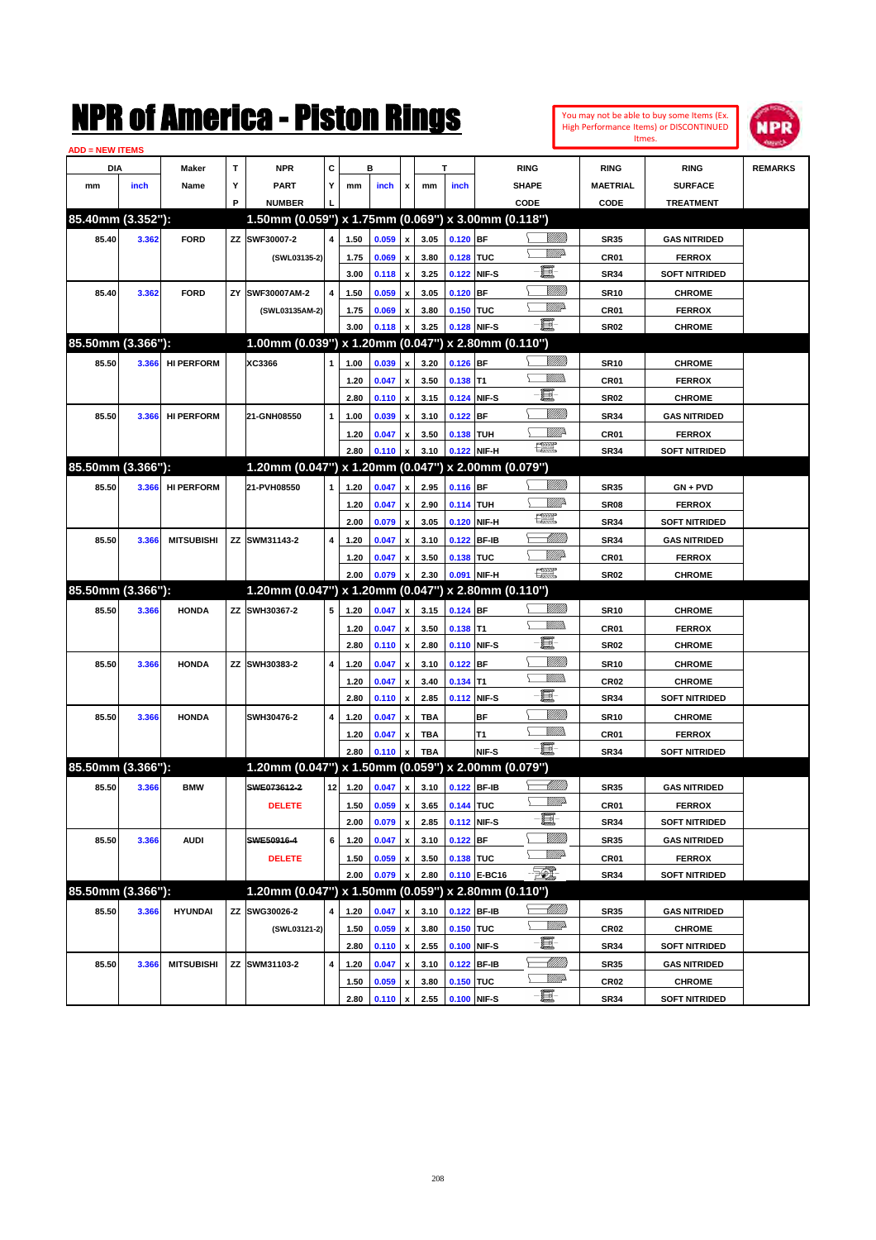

| <b>ADD = NEW ITEMS</b> |       |                   |    |                                                     |    |      |       |                    |            |             |              |                |                  |                      |                |
|------------------------|-------|-------------------|----|-----------------------------------------------------|----|------|-------|--------------------|------------|-------------|--------------|----------------|------------------|----------------------|----------------|
| <b>DIA</b>             |       | <b>Maker</b>      | т  | <b>NPR</b>                                          | С  |      | в     |                    |            | т           |              | <b>RING</b>    | <b>RING</b>      | <b>RING</b>          | <b>REMARKS</b> |
| mm                     | inch  | Name              | Υ  | <b>PART</b>                                         | Y  | mm   | inch  | x                  | mm         | inch        |              | <b>SHAPE</b>   | <b>MAETRIAL</b>  | <b>SURFACE</b>       |                |
|                        |       |                   | P  | <b>NUMBER</b>                                       |    |      |       |                    |            |             |              | CODE           | <b>CODE</b>      | <b>TREATMENT</b>     |                |
| 85.40mm (3.352"):      |       |                   |    | 1.50mm (0.059") x 1.75mm (0.069") x 3.00mm (0.118") |    |      |       |                    |            |             |              |                |                  |                      |                |
| 85.40                  | 3.362 | <b>FORD</b>       | ZZ | SWF30007-2                                          | 4  | 1.50 | 0.059 | $\pmb{\mathsf{x}}$ | 3.05       | $0.120$ BF  |              | <u> UMB</u>    | <b>SR35</b>      | <b>GAS NITRIDED</b>  |                |
|                        |       |                   |    | (SWL03135-2)                                        |    | 1.75 | 0.069 | x                  | 3.80       | 0.128 TUC   |              | <u>MMP</u>     | CR <sub>01</sub> | <b>FERROX</b>        |                |
|                        |       |                   |    |                                                     |    | 3.00 | 0.118 | x                  | 3.25       | 0.122 NIF-S |              | e              | <b>SR34</b>      | <b>SOFT NITRIDED</b> |                |
| 85.40                  | 3.362 | <b>FORD</b>       | ZY | SWF30007AM-2                                        | 4  | 1.50 | 0.059 |                    | 3.05       | $0.120$ BF  |              | <u>Milli</u> k | <b>SR10</b>      | <b>CHROME</b>        |                |
|                        |       |                   |    | (SWL03135AM-2)                                      |    | 1.75 | 0.069 | x                  | 3.80       | 0.150 TUC   |              | <u>VM</u> D    | CR <sub>01</sub> | <b>FERROX</b>        |                |
|                        |       |                   |    |                                                     |    | 3.00 | 0.118 |                    | 3.25       | 0.128 NIF-S |              | -日             | SR <sub>02</sub> | <b>CHROME</b>        |                |
| 85.50mm (3.366"):      |       |                   |    | 1.00mm (0.039") x 1.20mm (0.047") x 2.80mm (0.110") |    |      |       |                    |            |             |              |                |                  |                      |                |
| 85.50                  | 3.366 | <b>HI PERFORM</b> |    | XC3366                                              | 1  | 1.00 | 0.039 | x                  | 3.20       | $0.126$ BF  |              | <u>Villida</u> | <b>SR10</b>      | <b>CHROME</b>        |                |
|                        |       |                   |    |                                                     |    | 1.20 | 0.047 | x                  | 3.50       | $0.138$ T1  |              | UM)            | CR <sub>01</sub> | <b>FERROX</b>        |                |
|                        |       |                   |    |                                                     |    | 2.80 | 0.110 | x                  | 3.15       | 0.124 NIF-S |              | e              | <b>SR02</b>      | <b>CHROME</b>        |                |
| 85.50                  | 3.366 | <b>HI PERFORM</b> |    | 21-GNH08550                                         | 1  | 1.00 | 0.039 |                    | 3.10       | $0.122$ BF  |              | VIIII)         | <b>SR34</b>      | <b>GAS NITRIDED</b>  |                |
|                        |       |                   |    |                                                     |    | 1.20 | 0.047 | x                  | 3.50       | 0.138 TUH   |              | <u>Mille</u>   | CR <sub>01</sub> | <b>FERROX</b>        |                |
|                        |       |                   |    |                                                     |    | 2.80 | 0.110 |                    | 3.10       |             | 0.122 NIF-H  | 鱱              | <b>SR34</b>      | <b>SOFT NITRIDED</b> |                |
| 85.50mm (3.366"):      |       |                   |    | 1.20mm (0.047") x 1.20mm (0.047") x 2.00mm (0.079") |    |      |       |                    |            |             |              |                |                  |                      |                |
| 85.50                  | 3.366 | <b>HI PERFORM</b> |    | 21-PVH08550                                         | 1  | 1.20 | 0.047 | x                  | 2.95       | 0.116 BF    |              | <u>Villida</u> | <b>SR35</b>      | $GN + PVD$           |                |
|                        |       |                   |    |                                                     |    | 1.20 | 0.047 | x                  | 2.90       | 0.114 TUH   |              | ₩₩             | SR <sub>08</sub> | <b>FERROX</b>        |                |
|                        |       |                   |    |                                                     |    | 2.00 | 0.079 | x                  | 3.05       |             | 0.120 NIF-H  | 鱱              | <b>SR34</b>      | <b>SOFT NITRIDED</b> |                |
| 85.50                  | 3.366 | <b>MITSUBISHI</b> |    | ZZ SWM31143-2                                       | 4  | 1.20 | 0.047 |                    | 3.10       | 0.122       | <b>BF-IB</b> | MMB            | <b>SR34</b>      | <b>GAS NITRIDED</b>  |                |
|                        |       |                   |    |                                                     |    | 1.20 | 0.047 | x                  | 3.50       | 0.138 TUC   |              | <u>VIIItä</u>  | CR <sub>01</sub> | <b>FERROX</b>        |                |
|                        |       |                   |    |                                                     |    | 2.00 | 0.079 |                    | 2.30       | 0.091       | NIF-H        | $\frac{1}{2}$  | SR <sub>02</sub> | <b>CHROME</b>        |                |
| 85.50mm (3.366"):      |       |                   |    | 1.20mm (0.047") x 1.20mm (0.047") x 2.80mm (0.110") |    |      |       |                    |            |             |              |                |                  |                      |                |
| 85.50                  | 3.366 | <b>HONDA</b>      |    | ZZ SWH30367-2                                       | 5  | 1.20 | 0.047 | x                  | 3.15       | 0.124 BF    |              | <u>Villida</u> | <b>SR10</b>      | <b>CHROME</b>        |                |
|                        |       |                   |    |                                                     |    | 1.20 | 0.047 | x                  | 3.50       | $0.138$ T1  |              |                | CR <sub>01</sub> | <b>FERROX</b>        |                |
|                        |       |                   |    |                                                     |    |      |       |                    |            |             |              |                |                  |                      |                |
|                        |       |                   |    |                                                     |    | 2.80 | 0.110 | $\pmb{\mathsf{x}}$ | 2.80       | 0.110 NIF-S |              | e              | <b>SR02</b>      | <b>CHROME</b>        |                |
| 85.50                  | 3.366 | <b>HONDA</b>      |    | ZZ SWH30383-2                                       | 4  | 1.20 | 0.047 | x                  | 3.10       | $0.122$ BF  |              | <u>Milli</u>   | <b>SR10</b>      | <b>CHROME</b>        |                |
|                        |       |                   |    |                                                     |    | 1.20 | 0.047 | x                  | 3.40       | $0.134$ T1  |              | .<br>VMD       | <b>CR02</b>      | <b>CHROME</b>        |                |
|                        |       |                   |    |                                                     |    | 2.80 | 0.110 | $\pmb{\mathsf{x}}$ | 2.85       | 0.112 NIF-S |              | e              | <b>SR34</b>      | <b>SOFT NITRIDED</b> |                |
| 85.50                  | 3.366 | <b>HONDA</b>      |    | SWH30476-2                                          | 4  | 1.20 | 0.047 |                    | <b>TBA</b> |             | <b>BF</b>    | VIII))         | <b>SR10</b>      | <b>CHROME</b>        |                |
|                        |       |                   |    |                                                     |    | 1.20 | 0.047 |                    | TBA        |             | Т1           | .<br>VMD       | CR <sub>01</sub> | <b>FERROX</b>        |                |
|                        |       |                   |    |                                                     |    | 2.80 | 0.110 |                    | <b>TBA</b> |             | NIF-S        | -日             | <b>SR34</b>      | <b>SOFT NITRIDED</b> |                |
| 85.50mm (3.366"):      |       |                   |    | 1.20mm (0.047") x 1.50mm (0.059") x 2.00mm (0.079") |    |      |       |                    |            |             |              |                |                  |                      |                |
| 85.50                  | 3.366 | <b>BMW</b>        |    | SWE073612-2                                         | 12 | 1.20 | 0.047 | x                  | 3.10       | 0.122 BF-IB |              | <u> UMB</u>    | <b>SR35</b>      | <b>GAS NITRIDED</b>  |                |
|                        |       |                   |    | <b>DELETE</b>                                       |    | 1.50 | 0.059 | $\pmb{\mathsf{x}}$ | 3.65       | 0.144 TUC   |              | <u>VMD</u>     | CR01             | <b>FERROX</b>        |                |
|                        |       |                   |    |                                                     |    | 2.00 | 0.079 | $\pmb{\mathsf{x}}$ | 2.85       |             | 0.112 NIF-S  | e de           | <b>SR34</b>      | <b>SOFT NITRIDED</b> |                |
| 85.50                  | 3.366 | <b>AUDI</b>       |    | SWE50916-4                                          | 6  | 1.20 | 0.047 | x                  | 3.10       | $0.122$ BF  |              | <u>Milli</u> h | SR35             | <b>GAS NITRIDED</b>  |                |
|                        |       |                   |    | <b>DELETE</b>                                       |    | 1.50 | 0.059 | x                  | 3.50       | 0.138 TUC   |              | <u>VM</u> A    | CR01             | <b>FERROX</b>        |                |
|                        |       |                   |    |                                                     |    | 2.00 | 0.079 |                    | 2.80       |             | 0.110 E-BC16 | EO)            | SR34             | <b>SOFT NITRIDED</b> |                |
| 85.50mm (3.366"):      |       |                   |    | 1.20mm (0.047") x 1.50mm (0.059") x 2.80mm (0.110") |    |      |       |                    |            |             |              |                |                  |                      |                |
| 85.50                  | 3.366 | <b>HYUNDAI</b>    |    | ZZ SWG30026-2                                       | 4  | 1.20 | 0.047 | x                  | 3.10       | 0.122 BF-IB |              | <u>-1777)</u>  | SR35             | <b>GAS NITRIDED</b>  |                |
|                        |       |                   |    | (SWL03121-2)                                        |    | 1.50 | 0.059 | x                  | 3.80       | 0.150 TUC   |              | <u>WW</u> A    | <b>CR02</b>      | <b>CHROME</b>        |                |
|                        |       |                   |    |                                                     |    | 2.80 | 0.110 | $\pmb{\mathsf{x}}$ | 2.55       | 0.100 NIF-S |              | e.             | SR34             | <b>SOFT NITRIDED</b> |                |
| 85.50                  | 3.366 | <b>MITSUBISHI</b> |    | ZZ SWM31103-2                                       | 4  | 1.20 | 0.047 | x                  | 3.10       | 0.122 BF-IB |              | <u> UMB</u>    | SR35             | <b>GAS NITRIDED</b>  |                |
|                        |       |                   |    |                                                     |    | 1.50 | 0.059 | x                  | 3.80       | 0.150 TUC   |              | ₩₩<br>$-\Xi$ - | <b>CR02</b>      | <b>CHROME</b>        |                |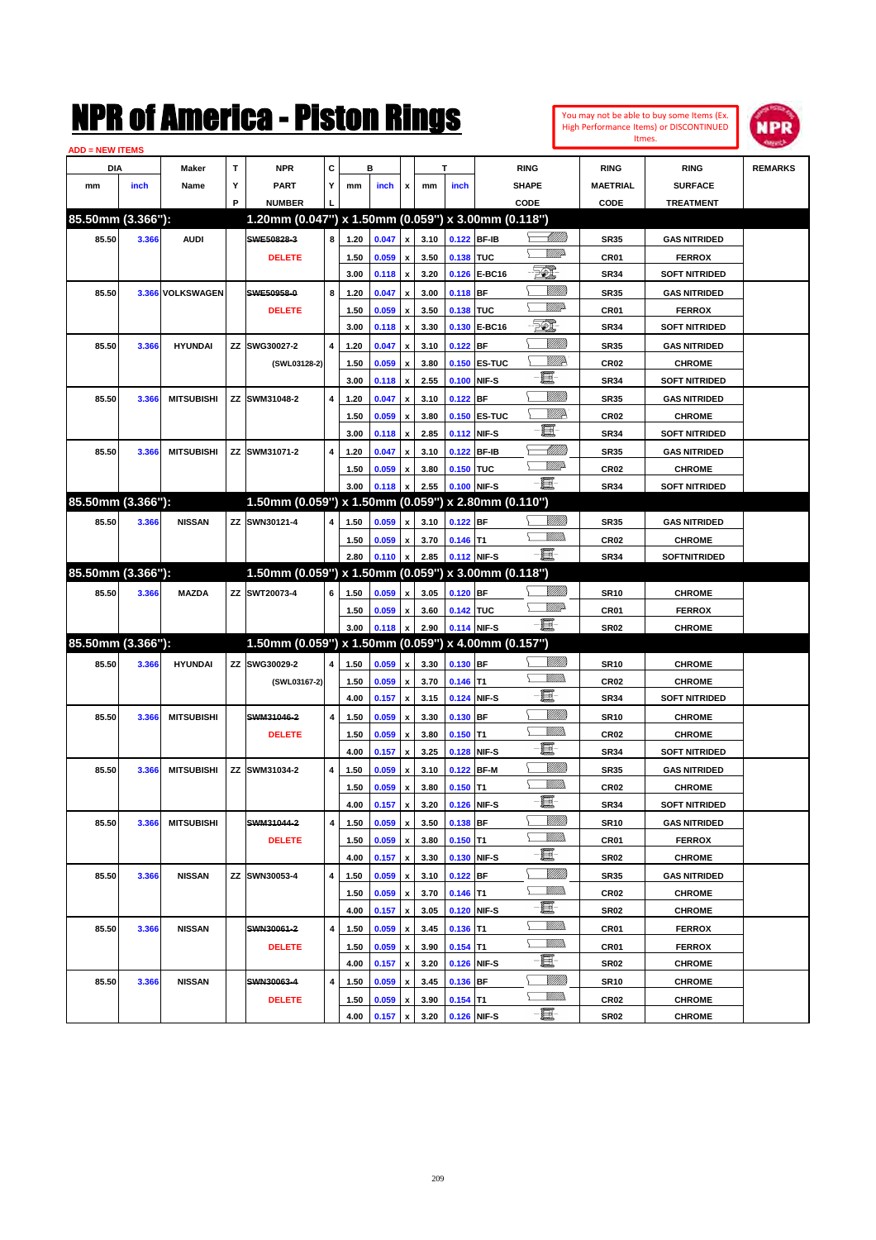

| <b>ADD = NEW ITEMS</b> |       |                   |   |                                                     |   |              |       |                           |              |                           |               |                          |                 |                                      |                |
|------------------------|-------|-------------------|---|-----------------------------------------------------|---|--------------|-------|---------------------------|--------------|---------------------------|---------------|--------------------------|-----------------|--------------------------------------|----------------|
| DIA                    |       | Maker             | T | <b>NPR</b>                                          | С |              | в     |                           |              | т                         |               | <b>RING</b>              | <b>RING</b>     | <b>RING</b>                          | <b>REMARKS</b> |
| mm                     | inch  | Name              | Υ | <b>PART</b>                                         | Y | mm           | inch  | x                         | mm           | inch                      |               | <b>SHAPE</b>             | <b>MAETRIAL</b> | <b>SURFACE</b>                       |                |
|                        |       |                   | P | <b>NUMBER</b>                                       |   |              |       |                           |              |                           |               | CODE                     | CODE            | <b>TREATMENT</b>                     |                |
| 85.50mm (3.366"):      |       |                   |   | 1.20mm (0.047") x 1.50mm (0.059") x 3.00mm (0.118") |   |              |       |                           |              |                           |               |                          |                 |                                      |                |
| 85.50                  | 3.366 | <b>AUDI</b>       |   | SWE50828-3                                          | 8 | 1.20         | 0.047 | $\pmb{\mathsf{x}}$        | 3.10         | 0.122 BF-IB               |               | <u> Millitt</u>          | <b>SR35</b>     | <b>GAS NITRIDED</b>                  |                |
|                        |       |                   |   | <b>DELETE</b>                                       |   | 1.50         | 0.059 | x                         | 3.50         | 0.138 TUC                 |               | <u>WW</u> A              | CR01            | <b>FERROX</b>                        |                |
|                        |       |                   |   |                                                     |   | 3.00         | 0.118 | $\pmb{\mathsf{x}}$        | 3.20         |                           | 0.126 E-BC16  | EO)                      | <b>SR34</b>     | <b>SOFT NITRIDED</b>                 |                |
| 85.50                  |       | 3.366 VOLKSWAGEN  |   | SWE50958-0                                          | 8 | 1.20         | 0.047 | x                         | 3.00         | $0.118$ BF                |               | <u>MMM</u>               | <b>SR35</b>     | <b>GAS NITRIDED</b>                  |                |
|                        |       |                   |   | <b>DELETE</b>                                       |   | 1.50         | 0.059 | x                         | 3.50         | 0.138 TUC                 |               | <u>WW</u> A              | CR01            | <b>FERROX</b>                        |                |
|                        |       |                   |   |                                                     |   | 3.00         | 0.118 | $\pmb{\mathsf{x}}$        | 3.30         | 0.130                     | <b>E-BC16</b> | EO)                      | <b>SR34</b>     | <b>SOFT NITRIDED</b>                 |                |
| 85.50                  | 3.366 | <b>HYUNDAI</b>    |   | ZZ SWG30027-2                                       | 4 | 1.20         | 0.047 | x                         | 3.10         | 0.122                     | <b>BF</b>     | <u>MMM</u>               | <b>SR35</b>     | <b>GAS NITRIDED</b>                  |                |
|                        |       |                   |   | (SWL03128-2)                                        |   | 1.50         | 0.059 | х                         | 3.80         |                           | 0.150 ES-TUC  | <u>MMR</u>               | <b>CR02</b>     | <b>CHROME</b>                        |                |
|                        |       |                   |   |                                                     |   | 3.00         | 0.118 | $\pmb{\mathsf{x}}$        | 2.55         | 0.100                     | NIF-S         | E                        | <b>SR34</b>     | <b>SOFT NITRIDED</b>                 |                |
| 85.50                  | 3.366 | <b>MITSUBISHI</b> |   | ZZ SWM31048-2                                       | 4 | 1.20         | 0.047 | x                         | 3.10         | 0.122                     | <b>BF</b>     | WMM)                     | <b>SR35</b>     | <b>GAS NITRIDED</b>                  |                |
|                        |       |                   |   |                                                     |   | 1.50         | 0.059 | $\boldsymbol{\mathsf{x}}$ | 3.80         |                           | 0.150 ES-TUC  | <u>MMR</u>               | <b>CR02</b>     | <b>CHROME</b>                        |                |
|                        |       |                   |   |                                                     |   | 3.00         | 0.118 | $\pmb{\mathsf{x}}$        | 2.85         | 0.112                     | NIF-S         | e.                       | <b>SR34</b>     | <b>SOFT NITRIDED</b>                 |                |
| 85.50                  | 3.366 | <b>MITSUBISHI</b> |   | ZZ SWM31071-2                                       | 4 | 1.20         | 0.047 | $\boldsymbol{\mathsf{x}}$ | 3.10         | 0.122                     | <b>BF-IB</b>  | MMM                      | <b>SR35</b>     | <b>GAS NITRIDED</b>                  |                |
|                        |       |                   |   |                                                     |   | 1.50         | 0.059 | $\boldsymbol{\mathsf{x}}$ | 3.80         | 0.150 TUC                 |               | <u>WW</u> A              | <b>CR02</b>     | <b>CHROME</b>                        |                |
|                        |       |                   |   |                                                     |   | 3.00         | 0.118 | $\pmb{\mathsf{x}}$        | 2.55         | 0.100 NIF-S               |               | -8                       | <b>SR34</b>     | <b>SOFT NITRIDED</b>                 |                |
| 85.50mm (3.366"):      |       |                   |   | 1.50mm (0.059") x 1.50mm (0.059") x 2.80mm (0.110") |   |              |       |                           |              |                           |               |                          |                 |                                      |                |
| 85.50                  | 3.366 | <b>NISSAN</b>     |   | ZZ SWN30121-4                                       | 4 | 1.50         | 0.059 | x                         | 3.10         | $0.122$ BF                |               |                          | <b>SR35</b>     | <b>GAS NITRIDED</b>                  |                |
|                        |       |                   |   |                                                     |   | 1.50         | 0.059 | x                         | 3.70         | $0.146$ T1                |               | <br>Villida              | <b>CR02</b>     | <b>CHROME</b>                        |                |
|                        |       |                   |   |                                                     |   | 2.80         | 0.110 | $\pmb{\mathsf{x}}$        | 2.85         | 0.112 NIF-S               |               | -8                       | <b>SR34</b>     | <b>SOFTNITRIDED</b>                  |                |
| 85.50mm (3.366"):      |       |                   |   | 1.50mm (0.059") x 1.50mm (0.059") x 3.00mm (0.118") |   |              |       |                           |              |                           |               |                          |                 |                                      |                |
| 85.50                  | 3.366 | <b>MAZDA</b>      |   | ZZ SWT20073-4                                       | 6 | 1.50         | 0.059 | $\boldsymbol{\mathsf{x}}$ | 3.05         | 0.120 BF                  |               | <u>UMM</u>               | <b>SR10</b>     | <b>CHROME</b>                        |                |
|                        |       |                   |   |                                                     |   | 1.50         | 0.059 | x                         | 3.60         | 0.142 TUC                 |               | <u>WW</u> A              | CR01            | <b>FERROX</b>                        |                |
|                        |       |                   |   |                                                     |   | 3.00         | 0.118 | $\pmb{\mathsf{x}}$        | 2.90         | 0.114 NIF-S               |               | -8                       | <b>SR02</b>     | <b>CHROME</b>                        |                |
| 85.50mm (3.366"):      |       |                   |   | 1.50mm (0.059") x 1.50mm (0.059") x 4.00mm (0.157") |   |              |       |                           |              |                           |               |                          |                 |                                      |                |
| 85.50                  | 3.366 | <b>HYUNDAI</b>    |   | ZZ SWG30029-2                                       | 4 | 1.50         | 0.059 | $\pmb{\mathsf{x}}$        | 3.30         | 0.130 BF                  |               |                          | <b>SR10</b>     | <b>CHROME</b>                        |                |
|                        |       |                   |   | (SWL03167-2)                                        |   | 1.50         | 0.059 | x                         | 3.70         | $0.146$ T1                |               | VM).                     | <b>CR02</b>     | <b>CHROME</b>                        |                |
|                        |       |                   |   |                                                     |   | 4.00         | 0.157 | $\pmb{\mathsf{x}}$        | 3.15         | 0.124                     | NIF-S         | e.                       | <b>SR34</b>     | <b>SOFT NITRIDED</b>                 |                |
| 85.50                  | 3.366 | <b>MITSUBISHI</b> |   | SWM31046-2                                          | 4 | 1.50         | 0.059 | x                         | 3.30         | 0.130 BF                  |               | <u>Milli</u> k           | <b>SR10</b>     | <b>CHROME</b>                        |                |
|                        |       |                   |   | <b>DELETE</b>                                       |   | 1.50         | 0.059 |                           | 3.80         | $0.150$ T1                |               | VM).                     | <b>CR02</b>     | <b>CHROME</b>                        |                |
|                        |       |                   |   |                                                     |   | 4.00         | 0.157 | x<br>$\pmb{\mathsf{x}}$   | 3.25         | 0.128                     | NIF-S         | e                        | <b>SR34</b>     | <b>SOFT NITRIDED</b>                 |                |
| 85.50                  |       | <b>MITSUBISHI</b> |   | ZZ SWM31034-2                                       | 4 |              |       |                           |              |                           | <b>BF-M</b>   | WMM)                     |                 |                                      |                |
|                        | 3.366 |                   |   |                                                     |   | 1.50         | 0.059 | x                         | 3.10         | 0.122                     |               | UM)                      | <b>SR35</b>     | <b>GAS NITRIDED</b><br><b>CHROME</b> |                |
|                        |       |                   |   |                                                     |   | 1.50<br>4.00 | 0.059 | х                         | 3.80<br>3.20 | $0.150$ T1<br>0.126 NIF-S |               | ·bi                      | <b>CR02</b>     |                                      |                |
|                        |       |                   |   |                                                     |   |              | 0.157 | $\pmb{\mathsf{x}}$        |              |                           |               | <u>UMM</u>               | SR34            | <b>SOFT NITRIDED</b>                 |                |
| 85.50                  | 3.366 | <b>MITSUBISHI</b> |   | SWM31044-2                                          | 4 | 1.50         | 0.059 | $\pmb{\mathsf{x}}$        | 3.50         | $0.138$ BF                |               | <u>Willib</u>            | <b>SR10</b>     | <b>GAS NITRIDED</b>                  |                |
|                        |       |                   |   | <b>DELETE</b>                                       |   | 1.50         | 0.059 | $\pmb{\mathsf{x}}$        | 3.80         | $0.150$ T1                |               | e.                       | CR01            | <b>FERROX</b>                        |                |
|                        |       |                   |   |                                                     |   | 4.00         | 0.157 | $\pmb{\mathsf{x}}$        | 3.30         | 0.130 NIF-S               |               | <u>UMM</u>               | SR02            | <b>CHROME</b>                        |                |
| 85.50                  | 3.366 | <b>NISSAN</b>     |   | ZZ SWN30053-4                                       | 4 | 1.50         | 0.059 | $\pmb{\mathsf{x}}$        | 3.10         | $0.122$ BF                |               | <u>Willib</u>            | <b>SR35</b>     | <b>GAS NITRIDED</b>                  |                |
|                        |       |                   |   |                                                     |   | 1.50         | 0.059 | x                         | 3.70         | $0.146$ T1                |               | e                        | CR02            | <b>CHROME</b>                        |                |
|                        |       |                   |   |                                                     |   | 4.00         | 0.157 | $\pmb{\mathsf{x}}$        | 3.05         | 0.120 NIF-S               |               | <u>Willib</u>            | SR02            | <b>CHROME</b>                        |                |
| 85.50                  | 3.366 | <b>NISSAN</b>     |   | SWN30061-2                                          | 4 | 1.50         | 0.059 | x                         | 3.45         | $0.136$ T1                |               | <u>MM)</u>               | CR01            | <b>FERROX</b>                        |                |
|                        |       |                   |   | <b>DELETE</b>                                       |   | 1.50         | 0.059 | $\pmb{\mathsf{x}}$        | 3.90         | $0.154$ T1                |               | e.                       | CR01            | <b>FERROX</b>                        |                |
|                        |       |                   |   |                                                     |   | 4.00         | 0.157 | $\pmb{\mathsf{x}}$        | 3.20         | 0.126                     | NIF-S         |                          | SR02            | <b>CHROME</b>                        |                |
| 85.50                  | 3.366 | <b>NISSAN</b>     |   | SWN30063-4                                          | 4 | 1.50         | 0.059 | x                         | 3.45         | 0.136 BF                  |               | <u>MMM</u><br><u>MM)</u> | <b>SR10</b>     | <b>CHROME</b>                        |                |
|                        |       |                   |   | <b>DELETE</b>                                       |   | 1.50         | 0.059 | x                         | 3.90         | $0.154$ T1                |               | $-\frac{1}{2}$           | CR02            | <b>CHROME</b>                        |                |
|                        |       |                   |   |                                                     |   | 4.00         | 0.157 | $\pmb{\mathsf{x}}$        | 3.20         | 0.126 NIF-S               |               |                          | <b>SR02</b>     | <b>CHROME</b>                        |                |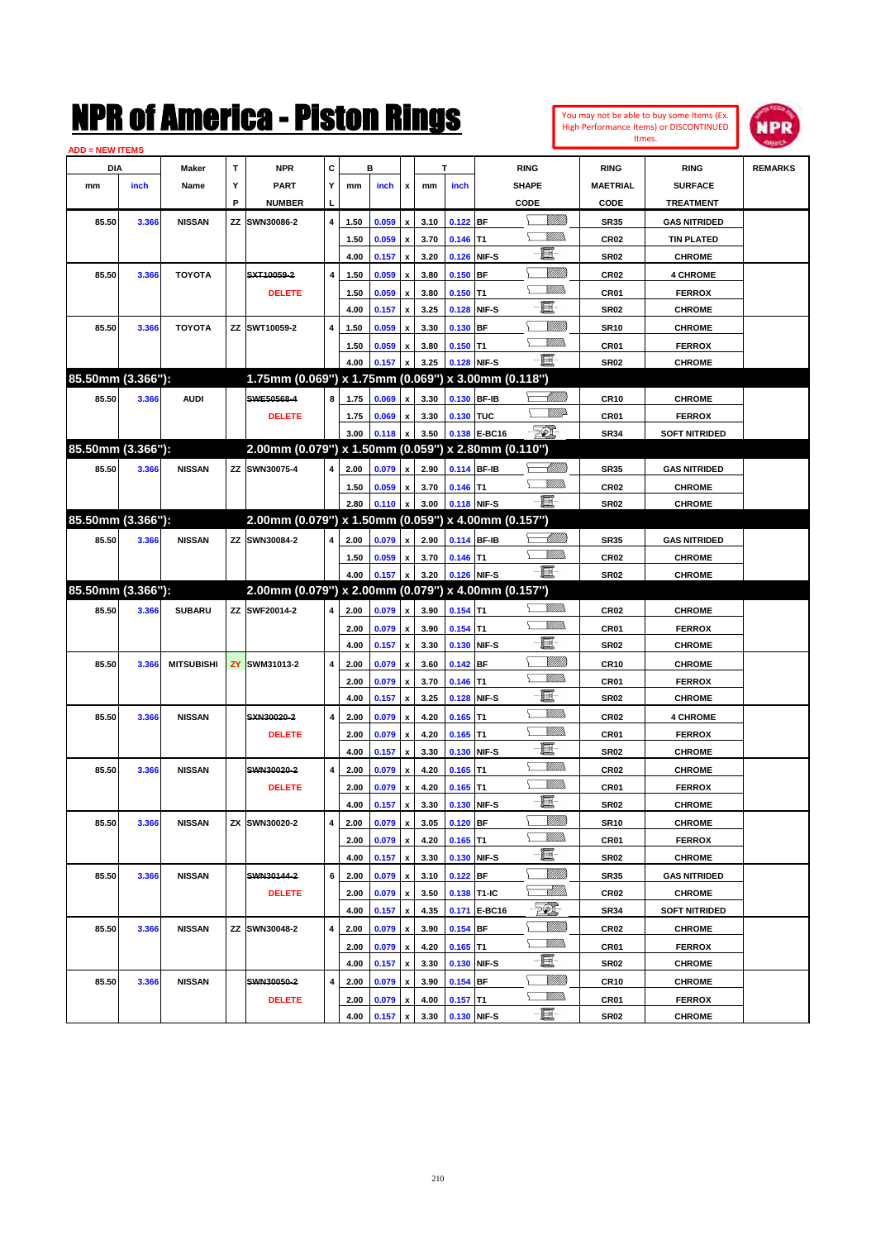| You may not be able to buy some Items (Ex.     |
|------------------------------------------------|
| <b>High Performance Items) or DISCONTINUED</b> |
| Itmes.                                         |



| <b>ADD = NEW ITEMS</b> |       |                   |     |                                                     |                |      |       |                           |      |             |              |                  |                  |                      |                |
|------------------------|-------|-------------------|-----|-----------------------------------------------------|----------------|------|-------|---------------------------|------|-------------|--------------|------------------|------------------|----------------------|----------------|
| <b>DIA</b>             |       | Maker             | т   | <b>NPR</b>                                          | С              |      | в     |                           | Т    |             |              | <b>RING</b>      | <b>RING</b>      | <b>RING</b>          | <b>REMARKS</b> |
| mm                     | inch  | Name              | Υ   | <b>PART</b>                                         | Y              | mm   | inch  | x                         | mm   | inch        |              | <b>SHAPE</b>     | <b>MAETRIAL</b>  | <b>SURFACE</b>       |                |
|                        |       |                   | P   | <b>NUMBER</b>                                       |                |      |       |                           |      |             |              | CODE             | CODE             | <b>TREATMENT</b>     |                |
| 85.50                  | 3.366 | <b>NISSAN</b>     | ΖZ  | SWN30086-2                                          | 4              | 1.50 | 0.059 | $\boldsymbol{x}$          | 3.10 | $0.122$ BF  |              | <u>UMB</u>       | <b>SR35</b>      | <b>GAS NITRIDED</b>  |                |
|                        |       |                   |     |                                                     |                | 1.50 | 0.059 | $\pmb{\mathsf{x}}$        | 3.70 | $0.146$ T1  |              | <u>Villida</u>   | CR <sub>02</sub> | <b>TIN PLATED</b>    |                |
|                        |       |                   |     |                                                     |                | 4.00 | 0.157 | $\pmb{\mathsf{x}}$        | 3.20 | 0.126 NIF-S |              | e.               | <b>SR02</b>      | <b>CHROME</b>        |                |
| 85.50                  | 3.366 | <b>TOYOTA</b>     |     | SXT10059-2                                          | $\overline{4}$ | 1.50 | 0.059 | x                         | 3.80 | $0.150$ BF  |              | <u>VIIII)</u>    | CR <sub>02</sub> | <b>4 CHROME</b>      |                |
|                        |       |                   |     | <b>DELETE</b>                                       |                | 1.50 | 0.059 | $\pmb{\mathsf{x}}$        | 3.80 | $0.150$ T1  |              | <u>Millis</u>    | CR <sub>01</sub> | <b>FERROX</b>        |                |
|                        |       |                   |     |                                                     |                | 4.00 | 0.157 | x                         | 3.25 | 0.128 NIF-S |              | e.               | <b>SR02</b>      | <b>CHROME</b>        |                |
| 85.50                  | 3.366 | <b>TOYOTA</b>     |     | ZZ SWT10059-2                                       | 4              | 1.50 | 0.059 | x                         | 3.30 | $0.130$ BF  |              | <u>VIIII</u> )   | <b>SR10</b>      | <b>CHROME</b>        |                |
|                        |       |                   |     |                                                     |                | 1.50 | 0.059 | x                         | 3.80 | $0.150$ T1  |              | <u>MMs</u>       | CR <sub>01</sub> | <b>FERROX</b>        |                |
|                        |       |                   |     |                                                     |                | 4.00 | 0.157 |                           | 3.25 | 0.128 NIF-S |              | - 1              | <b>SR02</b>      | <b>CHROME</b>        |                |
| 85.50mm (3.366"):      |       |                   |     | 1.75mm (0.069") x 1.75mm (0.069") x 3.00mm (0.118") |                |      |       |                           |      |             |              |                  |                  |                      |                |
| 85.50                  | 3.366 | <b>AUDI</b>       |     | SWE50568-4                                          | 8              | 1.75 | 0.069 | x                         | 3.30 | 0.130 BF-IB |              |                  | <b>CR10</b>      | <b>CHROME</b>        |                |
|                        |       |                   |     | <b>DELETE</b>                                       |                | 1.75 | 0.069 | x                         | 3.30 | 0.130 TUC   |              | <u>WW</u>        | CR <sub>01</sub> | <b>FERROX</b>        |                |
|                        |       |                   |     |                                                     |                | 3.00 | 0.118 | x                         | 3.50 |             | 0.138 E-BC16 | - 501            | <b>SR34</b>      | <b>SOFT NITRIDED</b> |                |
| 85.50mm (3.366"):      |       |                   |     | 2.00mm (0.079") x 1.50mm (0.059") x 2.80mm (0.110") |                |      |       |                           |      |             |              |                  |                  |                      |                |
| 85.50                  | 3.366 | <b>NISSAN</b>     |     | ZZ SWN30075-4                                       | 4              | 2.00 | 0.079 | $\mathbf{x}$              | 2.90 | 0.114 BF-IB |              | <u>— Millita</u> | <b>SR35</b>      | <b>GAS NITRIDED</b>  |                |
|                        |       |                   |     |                                                     |                | 1.50 | 0.059 | $\pmb{\mathsf{x}}$        | 3.70 | $0.146$ T1  |              | <u>MMs</u>       | CR <sub>02</sub> | <b>CHROME</b>        |                |
|                        |       |                   |     |                                                     |                | 2.80 | 0.110 | x                         | 3.00 | 0.118 NIF-S |              | $-\Xi$ -         | <b>SR02</b>      | <b>CHROME</b>        |                |
| 85.50mm (3.366"):      |       |                   |     | 2.00mm (0.079") x 1.50mm (0.059") x 4.00mm (0.157") |                |      |       |                           |      |             |              |                  |                  |                      |                |
| 85.50                  | 3.366 | <b>NISSAN</b>     |     | ZZ SWN30084-2                                       | 4              | 2.00 | 0.079 | $\pmb{\mathsf{x}}$        | 2.90 | 0.114 BF-IB |              | <u>- Millito</u> | <b>SR35</b>      | <b>GAS NITRIDED</b>  |                |
|                        |       |                   |     |                                                     |                | 1.50 | 0.059 | x                         | 3.70 | $0.146$ T1  |              | <u>MMs</u>       | CR <sub>02</sub> | <b>CHROME</b>        |                |
|                        |       |                   |     |                                                     |                | 4.00 | 0.157 | x                         | 3.20 | 0.126 NIF-S |              | -日               | <b>SR02</b>      | <b>CHROME</b>        |                |
| 85.50mm (3.366"):      |       |                   |     | 2.00mm (0.079") x 2.00mm (0.079") x 4.00mm (0.157") |                |      |       |                           |      |             |              |                  |                  |                      |                |
| 85.50                  | 3.366 | <b>SUBARU</b>     |     | ZZ SWF20014-2                                       | 4              | 2.00 | 0.079 | $\pmb{\mathsf{x}}$        | 3.90 | $0.154$ T1  |              | <u>MMS</u>       | CR <sub>02</sub> | <b>CHROME</b>        |                |
|                        |       |                   |     |                                                     |                | 2.00 | 0.079 | x                         | 3.90 | $0.154$ T1  |              | <u>Willida</u>   | CR <sub>01</sub> | <b>FERROX</b>        |                |
|                        |       |                   |     |                                                     |                | 4.00 | 0.157 | $\boldsymbol{\mathsf{x}}$ | 3.30 | 0.130 NIF-S |              | e.               | <b>SR02</b>      | <b>CHROME</b>        |                |
| 85.50                  | 3.366 | <b>MITSUBISHI</b> | ZY. | SWM31013-2                                          | 4              | 2.00 | 0.079 | $\pmb{\mathsf{x}}$        | 3.60 | $0.142$ BF  |              | <u>VMM</u>       | <b>CR10</b>      | <b>CHROME</b>        |                |
|                        |       |                   |     |                                                     |                | 2.00 | 0.079 | $\pmb{\mathsf{x}}$        | 3.70 | $0.146$ T1  |              |                  |                  |                      |                |
|                        |       |                   |     |                                                     |                |      |       |                           |      |             |              | <u>MM)</u>       | CR <sub>01</sub> | <b>FERROX</b>        |                |
| 85.50                  |       |                   |     |                                                     |                | 4.00 | 0.157 | $\pmb{\mathsf{x}}$        | 3.25 | 0.128 NIF-S |              | e.               | <b>SR02</b>      | <b>CHROME</b>        |                |
|                        | 3.366 | <b>NISSAN</b>     |     | SXN30020-2                                          | $\overline{4}$ | 2.00 | 0.079 | $\pmb{\mathsf{x}}$        | 4.20 | $0.165$ T1  |              | <u>Willib</u>    | <b>CR02</b>      | <b>4 CHROME</b>      |                |
|                        |       |                   |     | <b>DELETE</b>                                       |                | 2.00 | 0.079 | $\pmb{\mathsf{x}}$        | 4.20 | $0.165$ T1  |              | <u>Millis</u>    | CR <sub>01</sub> | <b>FERROX</b>        |                |
|                        |       |                   |     |                                                     |                | 4.00 | 0.157 | $\pmb{\mathsf{x}}$        | 3.30 | 0.130 NIF-S |              | ·b               | <b>SR02</b>      | <b>CHROME</b>        |                |
| 85.50                  | 3.366 | <b>NISSAN</b>     |     | SWN30020-2                                          | $\overline{4}$ | 2.00 | 0.079 | $\pmb{\mathsf{x}}$        | 4.20 | $0.165$ T1  |              | <u>MMa</u>       | <b>CR02</b>      | <b>CHROME</b>        |                |
|                        |       |                   |     | <b>DELETE</b>                                       |                | 2.00 | 0.079 | x                         | 4.20 | $0.165$ T1  |              | <br>Milita       | CR01             | <b>FERROX</b>        |                |
|                        |       |                   |     |                                                     |                | 4.00 | 0.157 | x                         | 3.30 | 0.130 NIF-S |              | $-\Xi$ -         | <b>SR02</b>      | <b>CHROME</b>        |                |
| 85.50                  | 3.366 | <b>NISSAN</b>     | ZΧ  | SWN30020-2                                          | 4              | 2.00 | 0.079 | $\pmb{\mathsf{x}}$        | 3.05 | $0.120$ BF  |              | <u>VIIII</u> )   | <b>SR10</b>      | <b>CHROME</b>        |                |
|                        |       |                   |     |                                                     |                | 2.00 | 0.079 | x                         | 4.20 | $0.165$ T1  |              | <u>Willib</u>    | CR <sub>01</sub> | <b>FERROX</b>        |                |
|                        |       |                   |     |                                                     |                | 4.00 | 0.157 | $\pmb{\mathsf{x}}$        | 3.30 | 0.130 NIF-S |              | e.               | <b>SR02</b>      | <b>CHROME</b>        |                |
| 85.50                  | 3.366 | <b>NISSAN</b>     |     | SWN30144-2                                          | 6              | 2.00 | 0.079 | x                         | 3.10 | $0.122$ BF  |              | <u>VIIII</u> )   | <b>SR35</b>      | <b>GAS NITRIDED</b>  |                |
|                        |       |                   |     | <b>DELETE</b>                                       |                | 2.00 | 0.079 | x                         | 3.50 | 0.138 T1-IC |              | <u> MMs</u>      | CR <sub>02</sub> | <b>CHROME</b>        |                |
|                        |       |                   |     |                                                     |                | 4.00 | 0.157 | $\pmb{\mathsf{x}}$        | 4.35 | 0.171       | E-BC16       | to)              | <b>SR34</b>      | <b>SOFT NITRIDED</b> |                |
| 85.50                  | 3.366 | <b>NISSAN</b>     |     | ZZ SWN30048-2                                       | 4              | 2.00 | 0.079 | x                         | 3.90 | $0.154$ BF  |              | <u>UMB</u>       | CR <sub>02</sub> | <b>CHROME</b>        |                |
|                        |       |                   |     |                                                     |                | 2.00 | 0.079 | $\pmb{\mathsf{x}}$        | 4.20 | $0.165$ T1  |              | <u>Willib</u>    | CR <sub>01</sub> | <b>FERROX</b>        |                |
|                        |       |                   |     |                                                     |                | 4.00 | 0.157 | x                         | 3.30 | 0.130 NIF-S |              | e.               | SR02             | <b>CHROME</b>        |                |
| 85.50                  | 3.366 | <b>NISSAN</b>     |     | SWN30050-2                                          | 4              | 2.00 | 0.079 | x                         | 3.90 | $0.154$ BF  |              | <u>Milli</u> n   | CR10             | <b>CHROME</b>        |                |
|                        |       |                   |     | <b>DELETE</b>                                       |                | 2.00 | 0.079 | x                         | 4.00 | $0.157$ T1  |              | <u>Willis</u>    | CR <sub>01</sub> | <b>FERROX</b>        |                |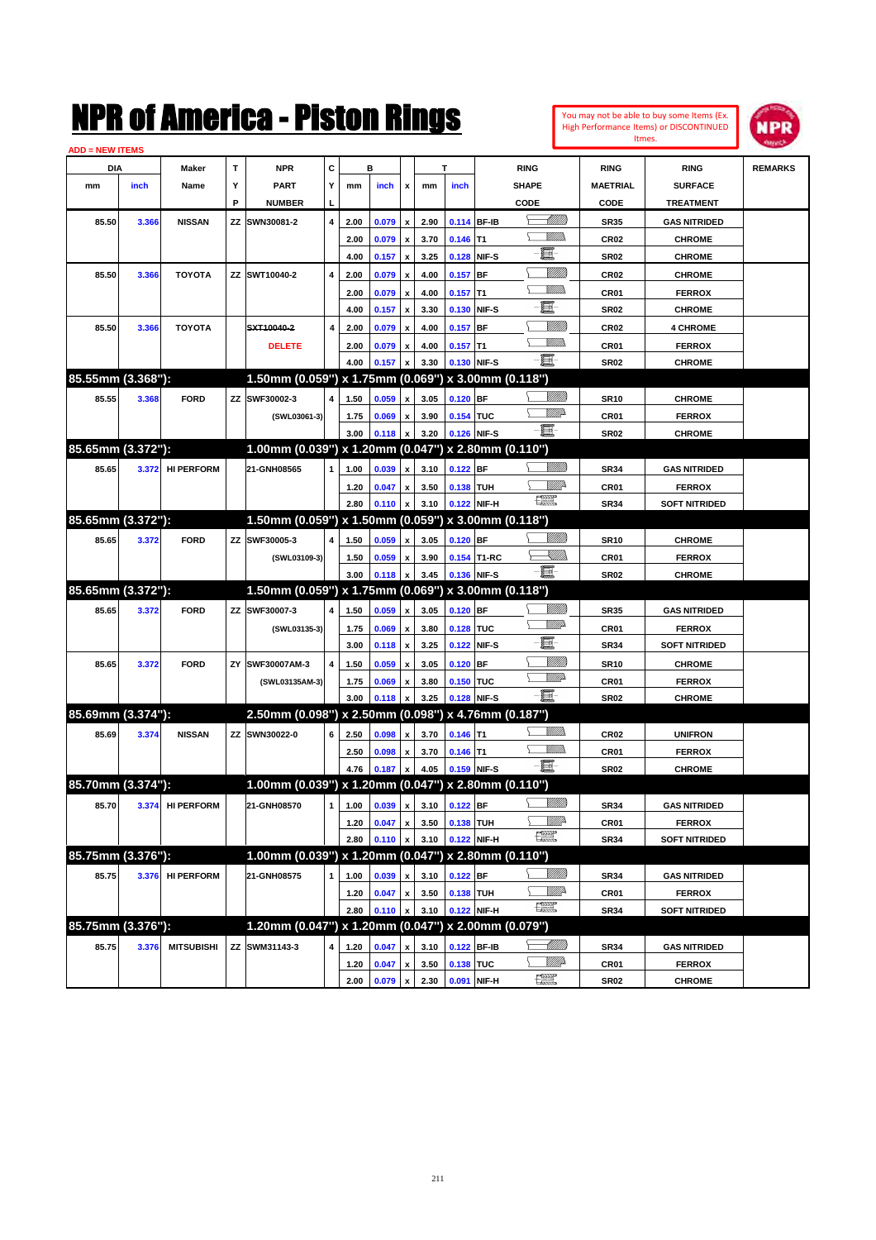| You may not be able to buy some Items (Ex. |
|--------------------------------------------|
| High Performance Items) or DISCONTINUED    |
| Itmes.                                     |



| <b>ADD = NEW ITEMS</b> |       |                   |    |                                                     |   |                              |       |                    |      |             |              |                                                                                                                                                                                                                                                                                                                                                                                                                          |                  |                      |                |
|------------------------|-------|-------------------|----|-----------------------------------------------------|---|------------------------------|-------|--------------------|------|-------------|--------------|--------------------------------------------------------------------------------------------------------------------------------------------------------------------------------------------------------------------------------------------------------------------------------------------------------------------------------------------------------------------------------------------------------------------------|------------------|----------------------|----------------|
| <b>DIA</b>             |       | Maker             | т  | <b>NPR</b>                                          | С |                              | в     |                    |      | т           |              | <b>RING</b>                                                                                                                                                                                                                                                                                                                                                                                                              | <b>RING</b>      | <b>RING</b>          | <b>REMARKS</b> |
| mm                     | inch  | Name              | Υ  | <b>PART</b>                                         | Υ | mm                           | inch  | x                  | mm   | inch        |              | <b>SHAPE</b>                                                                                                                                                                                                                                                                                                                                                                                                             | <b>MAETRIAL</b>  | <b>SURFACE</b>       |                |
|                        |       |                   | P  | <b>NUMBER</b>                                       | L |                              |       |                    |      |             |              | CODE                                                                                                                                                                                                                                                                                                                                                                                                                     | CODE             | <b>TREATMENT</b>     |                |
| 85.50                  | 3.366 | <b>NISSAN</b>     | ΖZ | SWN30081-2                                          | 4 | 2.00                         | 0.079 | x                  | 2.90 | 0.114       | <b>BF-IB</b> | <u> Millitt</u>                                                                                                                                                                                                                                                                                                                                                                                                          | <b>SR35</b>      | <b>GAS NITRIDED</b>  |                |
|                        |       |                   |    |                                                     |   | 2.00                         | 0.079 | x                  | 3.70 | 0.146       | T1           | <br>Villida                                                                                                                                                                                                                                                                                                                                                                                                              | <b>CR02</b>      | <b>CHROME</b>        |                |
|                        |       |                   |    |                                                     |   | 4.00                         |       |                    | 3.25 | 0.128       | NIF-S        | E                                                                                                                                                                                                                                                                                                                                                                                                                        | <b>SR02</b>      | <b>CHROME</b>        |                |
|                        |       |                   |    |                                                     |   |                              | 0.157 | x                  |      |             |              | <u>VIIII</u> )                                                                                                                                                                                                                                                                                                                                                                                                           |                  |                      |                |
| 85.50                  | 3.366 | <b>TOYOTA</b>     |    | ZZ SWT10040-2                                       | 4 | 2.00                         | 0.079 | x                  | 4.00 | 0.157       | <b>BF</b>    | <br>Villida                                                                                                                                                                                                                                                                                                                                                                                                              | <b>CR02</b>      | <b>CHROME</b>        |                |
|                        |       |                   |    |                                                     |   | 2.00                         | 0.079 | x                  | 4.00 | 0.157       | Τ1           | E                                                                                                                                                                                                                                                                                                                                                                                                                        | CR <sub>01</sub> | <b>FERROX</b>        |                |
|                        |       |                   |    |                                                     |   | 4.00                         | 0.157 | x                  | 3.30 | 0.130       | NIF-S        |                                                                                                                                                                                                                                                                                                                                                                                                                          | <b>SR02</b>      | <b>CHROME</b>        |                |
| 85.50                  | 3.366 | <b>TOYOTA</b>     |    | SXT10040-2                                          | 4 | 2.00                         | 0.079 | x                  | 4.00 | 0.157       | <b>BF</b>    | <u>VIIII</u> )                                                                                                                                                                                                                                                                                                                                                                                                           | <b>CR02</b>      | <b>4 CHROME</b>      |                |
|                        |       |                   |    | <b>DELETE</b>                                       |   | 2.00                         | 0.079 | x                  | 4.00 | 0.157       | Τ1           | <u>MM)</u>                                                                                                                                                                                                                                                                                                                                                                                                               | CR <sub>01</sub> | <b>FERROX</b>        |                |
|                        |       |                   |    |                                                     |   | 4.00                         | 0.157 |                    | 3.30 | 0.130       | NIF-S        | ·b                                                                                                                                                                                                                                                                                                                                                                                                                       | <b>SR02</b>      | <b>CHROME</b>        |                |
| 85.55mm (3.368"):      |       |                   |    | 1.50mm (0.059") x 1.75mm (0.069") x 3.00mm (0.118") |   |                              |       |                    |      |             |              |                                                                                                                                                                                                                                                                                                                                                                                                                          |                  |                      |                |
| 85.55                  | 3.368 | <b>FORD</b>       |    | ZZ SWF30002-3                                       | 4 | 1.50                         | 0.059 | x                  | 3.05 | $0.120$ BF  |              | <u>VIIII)</u>                                                                                                                                                                                                                                                                                                                                                                                                            | <b>SR10</b>      | <b>CHROME</b>        |                |
|                        |       |                   |    | (SWL03061-3)                                        |   | 1.75                         | 0.069 | x                  | 3.90 | 0.154       | TUC          | <u>VMD</u>                                                                                                                                                                                                                                                                                                                                                                                                               | CR01             | <b>FERROX</b>        |                |
|                        |       |                   |    |                                                     |   | 3.00                         | 0.118 | X                  | 3.20 | 0.126       | NIF-S        | -8                                                                                                                                                                                                                                                                                                                                                                                                                       | <b>SR02</b>      | <b>CHROME</b>        |                |
| 85.65mm (3.372"):      |       |                   |    | 1.00mm (0.039") x 1.20mm (0.047") x 2.80mm (0.110") |   |                              |       |                    |      |             |              |                                                                                                                                                                                                                                                                                                                                                                                                                          |                  |                      |                |
| 85.65                  |       | 3.372 HI PERFORM  |    | 21-GNH08565                                         | 1 | 1.00                         | 0.039 | x                  | 3.10 | $0.122$ BF  |              | <u>Villida</u>                                                                                                                                                                                                                                                                                                                                                                                                           | <b>SR34</b>      | <b>GAS NITRIDED</b>  |                |
|                        |       |                   |    |                                                     |   | 1.20                         | 0.047 | x                  | 3.50 | 0.138       | <b>TUH</b>   | <u>Mille</u>                                                                                                                                                                                                                                                                                                                                                                                                             | CR <sub>01</sub> | <b>FERROX</b>        |                |
|                        |       |                   |    |                                                     |   | 2.80                         | 0.110 | x                  | 3.10 | 0.122 NIF-H |              | $\frac{1}{2}$                                                                                                                                                                                                                                                                                                                                                                                                            | <b>SR34</b>      | <b>SOFT NITRIDED</b> |                |
| 85.65mm (3.372"):      |       |                   |    | 1.50mm (0.059") x 1.50mm (0.059") x 3.00mm (0.118") |   |                              |       |                    |      |             |              |                                                                                                                                                                                                                                                                                                                                                                                                                          |                  |                      |                |
| 85.65                  | 3.372 | <b>FORD</b>       |    | ZZ SWF30005-3                                       | 4 | 1.50                         | 0.059 | x                  | 3.05 | $0.120$ BF  |              | <u>MMS</u>                                                                                                                                                                                                                                                                                                                                                                                                               | <b>SR10</b>      | <b>CHROME</b>        |                |
|                        |       |                   |    |                                                     |   |                              |       |                    | 3.90 |             | 0.154 T1-RC  | <u> Xillida</u>                                                                                                                                                                                                                                                                                                                                                                                                          | CR01             | <b>FERROX</b>        |                |
|                        |       |                   |    | (SWL03109-3)                                        |   | 1.50<br>3.00                 | 0.059 | x                  | 3.45 | 0.136 NIF-S |              | -8                                                                                                                                                                                                                                                                                                                                                                                                                       | <b>SR02</b>      |                      |                |
| 85.65mm (3.372"):      |       |                   |    | 1.50mm (0.059") x 1.75mm (0.069") x 3.00mm (0.118") |   |                              | 0.118 |                    |      |             |              |                                                                                                                                                                                                                                                                                                                                                                                                                          |                  | <b>CHROME</b>        |                |
|                        |       |                   |    |                                                     |   |                              |       |                    |      |             |              |                                                                                                                                                                                                                                                                                                                                                                                                                          |                  |                      |                |
| 85.65                  | 3.372 | <b>FORD</b>       |    | ZZ SWF30007-3                                       | 4 | 1.50                         | 0.059 | x                  | 3.05 | $0.120$ BF  |              | <u>VIIII)</u><br>₩₩                                                                                                                                                                                                                                                                                                                                                                                                      | <b>SR35</b>      | <b>GAS NITRIDED</b>  |                |
|                        |       |                   |    | (SWL03135-3)                                        |   | 1.75                         | 0.069 | x                  | 3.80 | 0.128       | <b>TUC</b>   |                                                                                                                                                                                                                                                                                                                                                                                                                          | CR01             | <b>FERROX</b>        |                |
|                        |       |                   |    |                                                     |   | 3.00                         | 0.118 | x                  | 3.25 | 0.122       | NIF-S        | e                                                                                                                                                                                                                                                                                                                                                                                                                        | <b>SR34</b>      | <b>SOFT NITRIDED</b> |                |
| 85.65                  | 3.372 | <b>FORD</b>       | ΖY | SWF30007AM-3                                        | 4 | 1.50                         | 0.059 | x                  | 3.05 | 0.120       | <b>BF</b>    | <u>VIIII</u> )                                                                                                                                                                                                                                                                                                                                                                                                           | <b>SR10</b>      | <b>CHROME</b>        |                |
|                        |       |                   |    | (SWL03135AM-3)                                      |   | 1.75                         | 0.069 | x                  | 3.80 | 0.150       | <b>TUC</b>   | <u>VMD</u>                                                                                                                                                                                                                                                                                                                                                                                                               | CR01             | <b>FERROX</b>        |                |
|                        |       |                   |    |                                                     |   | 3.00                         | 0.118 |                    | 3.25 | 0.128       | NIF-S        | -8                                                                                                                                                                                                                                                                                                                                                                                                                       | <b>SR02</b>      | <b>CHROME</b>        |                |
| 85.69mm (3.374"):      |       |                   |    | 2.50mm (0.098") x 2.50mm (0.098") x 4.76mm (0.187") |   |                              |       |                    |      |             |              |                                                                                                                                                                                                                                                                                                                                                                                                                          |                  |                      |                |
| 85.69                  | 3.374 | <b>NISSAN</b>     |    | ZZ SWN30022-0                                       | 6 | 2.50                         | 0.098 |                    | 3.70 | 0.146       | T1           |                                                                                                                                                                                                                                                                                                                                                                                                                          | <b>CR02</b>      | <b>UNIFRON</b>       |                |
|                        |       |                   |    |                                                     |   | 2.50                         | 0.098 | x                  | 3.70 | 0.146       | T1           | <u>Willib</u>                                                                                                                                                                                                                                                                                                                                                                                                            | CR01             | <b>FERROX</b>        |                |
|                        |       |                   |    |                                                     |   | 4.76                         | 0.187 | x                  | 4.05 | 0.159 NIF-S |              | -8                                                                                                                                                                                                                                                                                                                                                                                                                       | <b>SR02</b>      | <b>CHROME</b>        |                |
| 85.70mm (3.374"):      |       |                   |    | 1.00mm (0.039") x 1.20mm (0.047") x 2.80mm (0.110") |   |                              |       |                    |      |             |              |                                                                                                                                                                                                                                                                                                                                                                                                                          |                  |                      |                |
| 85.70                  |       | 3.374 HI PERFORM  |    | 21-GNH08570                                         |   | 1 1.00 0.039 x 3.10 0.122 BF |       |                    |      |             |              | <u>Milli</u> b                                                                                                                                                                                                                                                                                                                                                                                                           | <b>SR34</b>      | <b>GAS NITRIDED</b>  |                |
|                        |       |                   |    |                                                     |   | 1.20                         | 0.047 | $\pmb{\mathsf{x}}$ | 3.50 | 0.138 TUH   |              | <u>Willi</u>                                                                                                                                                                                                                                                                                                                                                                                                             | CR01             | <b>FERROX</b>        |                |
|                        |       |                   |    |                                                     |   | 2.80                         | 0.110 |                    | 3.10 | 0.122 NIF-H |              | $\frac{1}{2}$                                                                                                                                                                                                                                                                                                                                                                                                            | <b>SR34</b>      | <b>SOFT NITRIDED</b> |                |
| 85.75mm (3.376"):      |       |                   |    | 1.00mm (0.039") x 1.20mm (0.047") x 2.80mm (0.110") |   |                              |       |                    |      |             |              |                                                                                                                                                                                                                                                                                                                                                                                                                          |                  |                      |                |
| 85.75                  |       | 3.376 HI PERFORM  |    | 21-GNH08575                                         | 1 | 1.00                         | 0.039 | x                  | 3.10 | $0.122$ BF  |              | <u>Milli</u> b                                                                                                                                                                                                                                                                                                                                                                                                           | <b>SR34</b>      | <b>GAS NITRIDED</b>  |                |
|                        |       |                   |    |                                                     |   |                              | 0.047 | x                  | 3.50 | 0.138 TUH   |              | <u>Willi</u>                                                                                                                                                                                                                                                                                                                                                                                                             | CR01             | <b>FERROX</b>        |                |
|                        |       |                   |    |                                                     |   | 1.20                         |       |                    |      |             |              | $\begin{picture}(20,20) \put(0,0){\dashbox{0.5}(20,0){ }} \put(15,0){\circle{10}} \put(25,0){\circle{10}} \put(25,0){\circle{10}} \put(25,0){\circle{10}} \put(25,0){\circle{10}} \put(25,0){\circle{10}} \put(25,0){\circle{10}} \put(25,0){\circle{10}} \put(25,0){\circle{10}} \put(25,0){\circle{10}} \put(25,0){\circle{10}} \put(25,0){\circle{10}} \put(25,0){\circle{10}} \put(25,$                              |                  |                      |                |
| 85.75mm (3.376"):      |       |                   |    | 1.20mm (0.047") x 1.20mm (0.047") x 2.00mm (0.079") |   | 2.80                         | 0.110 | x                  | 3.10 | 0.122 NIF-H |              |                                                                                                                                                                                                                                                                                                                                                                                                                          | <b>SR34</b>      | <b>SOFT NITRIDED</b> |                |
|                        |       |                   |    |                                                     |   |                              |       |                    |      |             |              |                                                                                                                                                                                                                                                                                                                                                                                                                          |                  |                      |                |
| 85.75                  | 3.376 | <b>MITSUBISHI</b> |    | ZZ SWM31143-3                                       | 4 | 1.20                         | 0.047 |                    | 3.10 | 0.122 BF-IB |              | <u>— Milli</u> b                                                                                                                                                                                                                                                                                                                                                                                                         | <b>SR34</b>      | <b>GAS NITRIDED</b>  |                |
|                        |       |                   |    |                                                     |   | 1.20                         | 0.047 | $\pmb{\mathsf{x}}$ | 3.50 | 0.138 TUC   |              | <u>Willia</u>                                                                                                                                                                                                                                                                                                                                                                                                            | CR01             | <b>FERROX</b>        |                |
|                        |       |                   |    |                                                     |   | 2.00                         | 0.079 | x                  | 2.30 | 0.091 NIF-H |              | $\begin{picture}(20,20) \put(0,0){\dashbox{0.5}(20,0){ }} \thicklines \put(0,0){\dashbox{0.5}(20,0){ }} \thicklines \put(0,0){\dashbox{0.5}(20,0){ }} \thicklines \put(0,0){\dashbox{0.5}(20,0){ }} \thicklines \put(0,0){\dashbox{0.5}(20,0){ }} \thicklines \put(0,0){\dashbox{0.5}(20,0){ }} \thicklines \put(0,0){\dashbox{0.5}(20,0){ }} \thicklines \put(0,0){\dashbox{0.5}(20,0){ }} \thicklines \put(0,0){\dash$ | <b>SR02</b>      | <b>CHROME</b>        |                |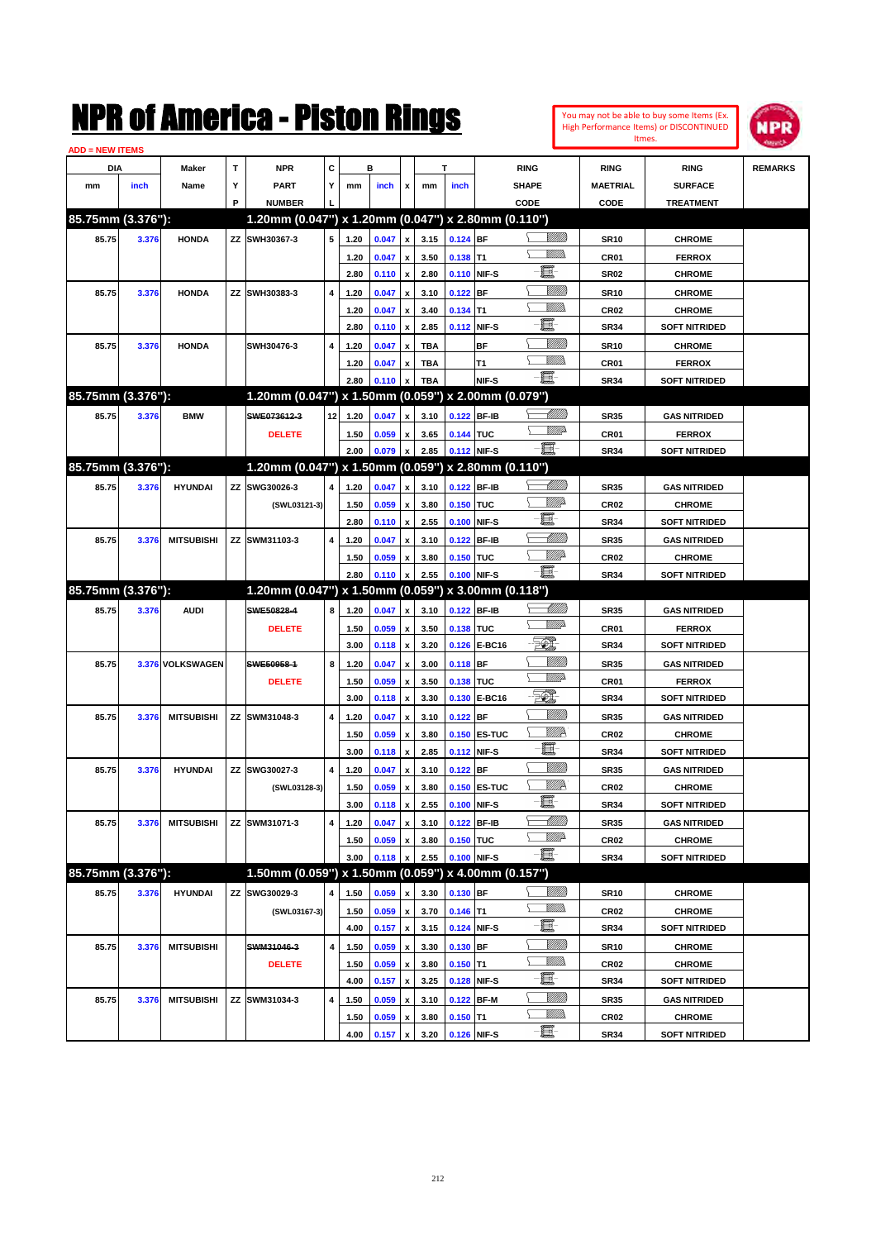| <b>ADD = NEW ITEMS</b> |       |                   |    | NMK OI AINCrica - Mislon Kings                      |                |      |       |                    |            |             |               |                                |                  | You may not be able to buy some Items (Ex.<br>High Performance Items) or DISCONTINUED<br>Itmes. | NPR            |
|------------------------|-------|-------------------|----|-----------------------------------------------------|----------------|------|-------|--------------------|------------|-------------|---------------|--------------------------------|------------------|-------------------------------------------------------------------------------------------------|----------------|
| DIA                    |       | Maker             | T  | <b>NPR</b>                                          | С              |      | в     |                    | т          |             |               | <b>RING</b>                    | <b>RING</b>      | <b>RING</b>                                                                                     | <b>REMARKS</b> |
| mm                     | inch  | Name              | Υ  | <b>PART</b>                                         | Y              | mm   | inch  | x                  | mm         | inch        |               | <b>SHAPE</b>                   | <b>MAETRIAL</b>  | <b>SURFACE</b>                                                                                  |                |
|                        |       |                   | P  | <b>NUMBER</b>                                       |                |      |       |                    |            |             |               | CODE                           | CODE             | <b>TREATMENT</b>                                                                                |                |
| 85.75mm (3.376"):      |       |                   |    | 1.20mm (0.047") x 1.20mm (0.047") x 2.80mm (0.110") |                |      |       |                    |            |             |               |                                |                  |                                                                                                 |                |
| 85.75                  | 3.376 | <b>HONDA</b>      |    | ZZ SWH30367-3                                       | 5              | 1.20 | 0.047 | x                  | 3.15       | $0.124$ BF  |               | <u>Sillilli</u>                | <b>SR10</b>      | <b>CHROME</b>                                                                                   |                |
|                        |       |                   |    |                                                     |                | 1.20 | 0.047 | x                  | 3.50       | 0.138       | IT1           | <br>Villida                    | CR01             | <b>FERROX</b>                                                                                   |                |
|                        |       |                   |    |                                                     |                | 2.80 | 0.110 | x                  | 2.80       | 0.110 NIF-S |               | E.                             | <b>SR02</b>      | <b>CHROME</b>                                                                                   |                |
| 85.75                  | 3.376 | <b>HONDA</b>      |    | ZZ SWH30383-3                                       | 4              | 1.20 | 0.047 | x                  | 3.10       | 0.122       | <b>BF</b>     | <u>Millil</u>                  | <b>SR10</b>      | <b>CHROME</b>                                                                                   |                |
|                        |       |                   |    |                                                     |                | 1.20 | 0.047 | x                  | 3.40       | 0.134       | lT1           | .<br>VMD                       | CR <sub>02</sub> | <b>CHROME</b>                                                                                   |                |
|                        |       |                   |    |                                                     |                | 2.80 | 0.110 | x                  | 2.85       | 0.112       | NIF-S         | E.                             | <b>SR34</b>      | <b>SOFT NITRIDED</b>                                                                            |                |
| 85.75                  | 3.376 | <b>HONDA</b>      |    | SWH30476-3                                          | 4              | 1.20 | 0.047 | x                  | <b>TBA</b> |             | BF            | <u>MMM</u>                     | <b>SR10</b>      | <b>CHROME</b>                                                                                   |                |
|                        |       |                   |    |                                                     |                | 1.20 | 0.047 | x                  | <b>TBA</b> |             | T1            | .<br>VMD                       | CR01             | <b>FERROX</b>                                                                                   |                |
|                        |       |                   |    |                                                     |                | 2.80 | 0.110 | $\pmb{\mathsf{x}}$ | <b>TBA</b> |             | NIF-S         | -et                            | <b>SR34</b>      | <b>SOFT NITRIDED</b>                                                                            |                |
| 85.75mm (3.376"):      |       |                   |    | 1.20mm (0.047") x 1.50mm (0.059") x 2.00mm (0.079") |                |      |       |                    |            |             |               |                                |                  |                                                                                                 |                |
| 85.75                  | 3.376 | <b>BMW</b>        |    | SWE073612-3                                         | 12             | 1.20 | 0.047 | x                  | 3.10       | 0.122       | <b>BF-IB</b>  | <u> MMN</u>                    | <b>SR35</b>      | <b>GAS NITRIDED</b>                                                                             |                |
|                        |       |                   |    | <b>DELETE</b>                                       |                | 1.50 | 0.059 | x                  | 3.65       | 0.144 TUC   |               | <u>Villid</u>                  | CR <sub>01</sub> | <b>FERROX</b>                                                                                   |                |
|                        |       |                   |    |                                                     |                | 2.00 | 0.079 | x                  | 2.85       | 0.112       | NIF-S         | $-\Xi$                         | <b>SR34</b>      | <b>SOFT NITRIDED</b>                                                                            |                |
| 85.75mm (3.376"):      |       |                   |    | 1.20mm (0.047") x 1.50mm (0.059") x 2.80mm (0.110") |                |      |       |                    |            |             |               |                                |                  |                                                                                                 |                |
| 85.75                  | 3.376 | <b>HYUNDAI</b>    | ΖZ | SWG30026-3                                          | 4              | 1.20 | 0.047 | x                  | 3.10       | 0.122       | <b>BF-IB</b>  | <u> Milli</u>                  | <b>SR35</b>      | <b>GAS NITRIDED</b>                                                                             |                |
|                        |       |                   |    | (SWL03121-3)                                        |                | 1.50 | 0.059 | x                  | 3.80       | 0.150       | ltuc          | <u>VIIItä</u>                  | CR <sub>02</sub> | <b>CHROME</b>                                                                                   |                |
|                        |       |                   |    |                                                     |                | 2.80 | 0.110 | x                  | 2.55       | 0.100       | NIF-S         | e.                             | <b>SR34</b>      | <b>SOFT NITRIDED</b>                                                                            |                |
| 85.75                  | 3.376 | <b>MITSUBISHI</b> | ΖZ | SWM31103-3                                          | 4              | 1.20 | 0.047 | x                  | 3.10       | 0.122       | BF-IB         | <u> Millil</u>                 | <b>SR35</b>      | <b>GAS NITRIDED</b>                                                                             |                |
|                        |       |                   |    |                                                     |                | 1.50 | 0.059 | x                  | 3.80       | 0.150       | ltuc          | <u>VIIItä</u>                  | CR <sub>02</sub> | <b>CHROME</b>                                                                                   |                |
|                        |       |                   |    |                                                     |                | 2.80 | 0.110 | $\pmb{\mathsf{x}}$ | 2.55       | 0.100       | NIF-S         | $-\mathbf{H}$ -                | <b>SR34</b>      | <b>SOFT NITRIDED</b>                                                                            |                |
| 85.75mm (3.376"):      |       |                   |    | 1.20mm (0.047") x 1.50mm (0.059") x 3.00mm (0.118") |                |      |       |                    |            |             |               |                                |                  |                                                                                                 |                |
| 85.75                  | 3.376 | <b>AUDI</b>       |    | SWE50828-4                                          | 8              | 1.20 | 0.047 | x                  | 3.10       | 0.122 BF-IB |               | <u> Millil</u>                 | <b>SR35</b>      | <b>GAS NITRIDED</b>                                                                             |                |
|                        |       |                   |    | <b>DELETE</b>                                       |                | 1.50 | 0.059 | x                  | 3.50       | 0.138       | <b>TUC</b>    | <u>VMD</u>                     | CR01             | <b>FERROX</b>                                                                                   |                |
|                        |       |                   |    |                                                     |                | 3.00 | 0.118 | x                  | 3.20       | 0.126       | E-BC16        | FØ.                            | <b>SR34</b>      | <b>SOFT NITRIDED</b>                                                                            |                |
| 85.75                  |       | 3.376 VOLKSWAGEN  |    | SWE50958-1                                          | 8              | 1.20 | 0.047 | x                  | 3.00       | $0.118$ BF  |               | <u>MMM</u>                     | <b>SR35</b>      | <b>GAS NITRIDED</b>                                                                             |                |
|                        |       |                   |    | <b>DELETE</b>                                       |                | 1.50 | 0.059 | x                  | 3.50       | 0.138       | TUC           | <u>VIII</u> D                  | CR01             | <b>FERROX</b>                                                                                   |                |
|                        |       |                   |    |                                                     |                | 3.00 | 0.118 | x                  | 3.30       | 0.130       | E-BC16        | EO)                            | <b>SR34</b>      | <b>SOFT NITRIDED</b>                                                                            |                |
| 85.75                  | 3.376 | <b>MITSUBISHI</b> |    | ZZ SWM31048-3                                       | 4              | 1.20 | 0.047 | x                  | 3.10       | 0.122       | BF            | <u>MMM</u>                     | <b>SR35</b>      | <b>GAS NITRIDED</b>                                                                             |                |
|                        |       |                   |    |                                                     |                | 1.50 | 0.059 | x                  | 3.80       | 0.150       | <b>ES-TUC</b> | <u>VMR</u>                     | CR <sub>02</sub> | <b>CHROME</b>                                                                                   |                |
|                        |       |                   |    |                                                     |                | 3.00 | 0.118 | $\pmb{\mathsf{x}}$ | 2.85       | 0.112 NIF-S |               | E                              | SR34             | <b>SOFT NITRIDED</b>                                                                            |                |
| 85.75                  | 3.376 | <b>HYUNDAI</b>    |    | ZZ SWG30027-3                                       | $\overline{4}$ | 1.20 | 0.047 | $\pmb{\mathsf{x}}$ | 3.10       | 0.122 BF    |               | <u>MMM</u>                     | <b>SR35</b>      | <b>GAS NITRIDED</b>                                                                             |                |
|                        |       |                   |    | (SWL03128-3)                                        |                | 1.50 | 0.059 | $\pmb{\mathsf{x}}$ | 3.80       | 0.150       | <b>ES-TUC</b> | <u>WW</u> A                    | CR <sub>02</sub> | <b>CHROME</b>                                                                                   |                |
|                        |       |                   |    |                                                     |                | 3.00 | 0.118 | $\pmb{\mathsf{x}}$ | 2.55       | 0.100       | NIF-S         | E                              | SR34             | <b>SOFT NITRIDED</b>                                                                            |                |
| 85.75                  | 3.376 | <b>MITSUBISHI</b> |    | ZZ SWM31071-3                                       | 4              | 1.20 | 0.047 | x                  | 3.10       | 0.122 BF-IB |               | <u> Milli</u>                  | SR35             | <b>GAS NITRIDED</b>                                                                             |                |
|                        |       |                   |    |                                                     |                | 1.50 | 0.059 | x                  | 3.80       | 0.150 TUC   |               | WW                             | CR <sub>02</sub> | <b>CHROME</b>                                                                                   |                |
|                        |       |                   |    |                                                     |                | 3.00 | 0.118 | x                  | 2.55       | 0.100       | NIF-S         | -8                             | <b>SR34</b>      | <b>SOFT NITRIDED</b>                                                                            |                |
| 85.75mm (3.376"):      |       |                   |    | 1.50mm (0.059") x 1.50mm (0.059") x 4.00mm (0.157") |                |      |       |                    |            |             |               |                                |                  |                                                                                                 |                |
| 85.75                  | 3.376 | <b>HYUNDAI</b>    | ΖZ | SWG30029-3                                          | 4              | 1.50 | 0.059 | x                  | 3.30       | $0.130$ BF  |               | <u>VMM</u>                     | SR10             | <b>CHROME</b>                                                                                   |                |
|                        |       |                   |    | (SWL03167-3)                                        |                | 1.50 | 0.059 | x                  | 3.70       | $0.146$ T1  |               | <u>Willib</u>                  | CR <sub>02</sub> | <b>CHROME</b>                                                                                   |                |
|                        |       |                   |    |                                                     |                | 4.00 | 0.157 | $\pmb{\mathsf{x}}$ | 3.15       | 0.124 NIF-S |               | e.                             | SR34             | <b>SOFT NITRIDED</b>                                                                            |                |
| 85.75                  | 3.376 | <b>MITSUBISHI</b> |    | SWM31046-3                                          | 4              | 1.50 | 0.059 | x                  | 3.30       | $0.130$ BF  |               | <u>Milli</u>                   | <b>SR10</b>      | <b>CHROME</b>                                                                                   |                |
|                        |       |                   |    | <b>DELETE</b>                                       |                | 1.50 | 0.059 | $\pmb{\mathsf{x}}$ | 3.80       | $0.150$ T1  |               | <u>Willib</u>                  | CR <sub>02</sub> | <b>CHROME</b>                                                                                   |                |
|                        |       |                   |    |                                                     |                | 4.00 | 0.157 | $\pmb{\mathsf{x}}$ | 3.25       | 0.128       | NIF-S         | e.                             | SR34             | <b>SOFT NITRIDED</b>                                                                            |                |
| 85.75                  |       |                   |    |                                                     |                |      |       |                    |            |             |               |                                |                  |                                                                                                 |                |
|                        | 3.376 | <b>MITSUBISHI</b> |    | ZZ SWM31034-3                                       | 4              | 1.50 | 0.059 | x                  | 3.10       | 0.122 BF-M  |               | <u>Milli</u>                   | <b>SR35</b>      | <b>GAS NITRIDED</b>                                                                             |                |
|                        |       |                   |    |                                                     |                | 1.50 | 0.059 | x                  | 3.80       | $0.150$ T1  |               | <u>Willib</u><br>$-\mathbf{H}$ | CR <sub>02</sub> | <b>CHROME</b>                                                                                   |                |

**4.00 0.157 x 3.20 0.126 NIF-S SR34 SOFT NITRIDED**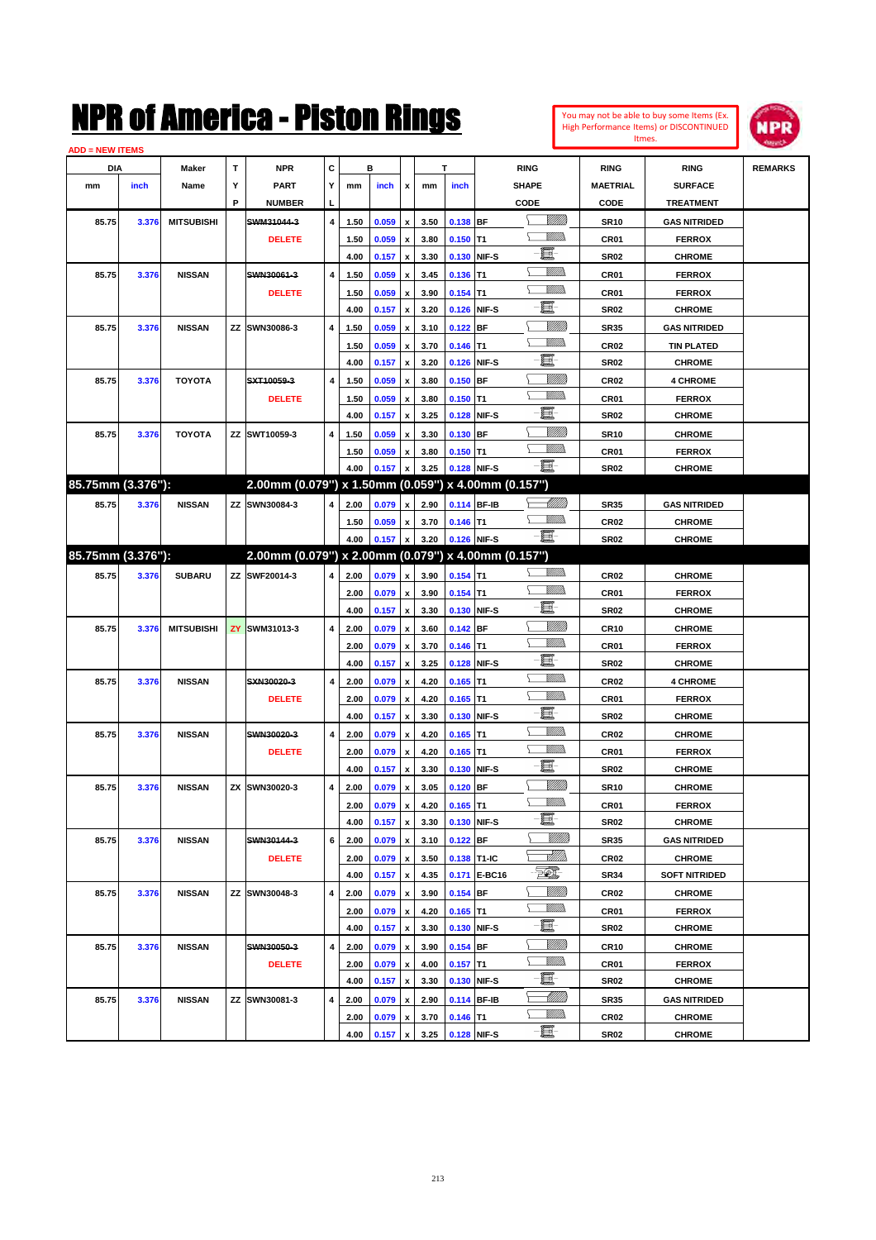#### **ADD = NEW ITEMS**



|                   | <b>NEW HEIRS</b> |                   |   |                                                     |   |      |         |                           |      |            |              |                       |                  |                      |                |
|-------------------|------------------|-------------------|---|-----------------------------------------------------|---|------|---------|---------------------------|------|------------|--------------|-----------------------|------------------|----------------------|----------------|
| <b>DIA</b>        |                  | Maker             | Т | <b>NPR</b>                                          | С |      | в       |                           |      | т          |              | <b>RING</b>           | <b>RING</b>      | <b>RING</b>          | <b>REMARKS</b> |
| mm                | inch             | Name              | Y | <b>PART</b>                                         | Υ | mm   | inch    | x                         | mm   | inch       |              | <b>SHAPE</b>          | <b>MAETRIAL</b>  | <b>SURFACE</b>       |                |
|                   |                  |                   | P | <b>NUMBER</b>                                       |   |      |         |                           |      |            |              | CODE                  | CODE             | <b>TREATMENT</b>     |                |
| 85.75             | 3.376            | <b>MITSUBISHI</b> |   | SWM31044-3                                          | 4 | 1.50 | 0.059   | $\boldsymbol{\mathsf{x}}$ | 3.50 | 0.138 BF   |              | <u>VIIII)</u>         | <b>SR10</b>      | <b>GAS NITRIDED</b>  |                |
|                   |                  |                   |   | <b>DELETE</b>                                       |   | 1.50 | 0.059   | $\pmb{\mathsf{x}}$        | 3.80 | $0.150$ T1 |              | .<br>Villid           | CR01             | <b>FERROX</b>        |                |
|                   |                  |                   |   |                                                     |   | 4.00 | 0.157   | $\pmb{\mathsf{x}}$        | 3.30 |            | 0.130 NIF-S  | e.                    | <b>SR02</b>      | <b>CHROME</b>        |                |
| 85.75             | 3.376            | <b>NISSAN</b>     |   | SWN30061-3                                          | 4 | 1.50 | 0.059   | $\pmb{\mathsf{x}}$        | 3.45 | $0.136$ T1 |              | <br>Milita            | CR01             | <b>FERROX</b>        |                |
|                   |                  |                   |   | <b>DELETE</b>                                       |   | 1.50 | 0.059   | $\pmb{\mathsf{x}}$        | 3.90 | $0.154$ T1 |              | .<br>VMD              | CR01             | <b>FERROX</b>        |                |
|                   |                  |                   |   |                                                     |   | 4.00 | 0.157   | $\pmb{\mathsf{x}}$        | 3.20 |            | 0.126 NIF-S  | e.                    | <b>SR02</b>      | <b>CHROME</b>        |                |
| 85.75             | 3.376            | <b>NISSAN</b>     |   | ZZ SWN30086-3                                       | 4 | 1.50 | 0.059   | $\pmb{\mathsf{x}}$        | 3.10 | $0.122$ BF |              | <u>VIIII)</u>         | <b>SR35</b>      | <b>GAS NITRIDED</b>  |                |
|                   |                  |                   |   |                                                     |   | 1.50 | 0.059   | $\pmb{\mathsf{x}}$        | 3.70 | $0.146$ T1 |              | .<br>VMD              | CR02             | <b>TIN PLATED</b>    |                |
|                   |                  |                   |   |                                                     |   | 4.00 | 0.157   | $\pmb{\mathsf{x}}$        | 3.20 |            | 0.126 NIF-S  | e.                    | <b>SR02</b>      | <b>CHROME</b>        |                |
| 85.75             | 3.376            | <b>TOYOTA</b>     |   | SXT10059-3                                          | 4 | 1.50 | 0.059   | $\pmb{\mathsf{x}}$        | 3.80 | $0.150$ BF |              |                       | CR02             | <b>4 CHROME</b>      |                |
|                   |                  |                   |   | <b>DELETE</b>                                       |   | 1.50 | 0.059   | $\pmb{\mathsf{x}}$        | 3.80 | $0.150$ T1 |              | .<br>VMD              | CR01             | <b>FERROX</b>        |                |
|                   |                  |                   |   |                                                     |   | 4.00 | 0.157   | $\pmb{\mathsf{x}}$        | 3.25 |            | 0.128 NIF-S  | e.                    | <b>SR02</b>      | <b>CHROME</b>        |                |
| 85.75             | 3.376            | <b>TOYOTA</b>     |   | ZZ SWT10059-3                                       | 4 | 1.50 | 0.059   | $\pmb{\mathsf{x}}$        | 3.30 | $0.130$ BF |              |                       | <b>SR10</b>      | <b>CHROME</b>        |                |
|                   |                  |                   |   |                                                     |   | 1.50 | 0.059   | $\boldsymbol{x}$          | 3.80 | $0.150$ T1 |              | .<br>VMD              | CR01             | <b>FERROX</b>        |                |
|                   |                  |                   |   |                                                     |   | 4.00 | 0.157   | $\mathbf x$               | 3.25 |            | 0.128 NIF-S  | -8                    | <b>SR02</b>      | <b>CHROME</b>        |                |
| 85.75mm (3.376"): |                  |                   |   | 2.00mm (0.079") x 1.50mm (0.059") x 4.00mm (0.157") |   |      |         |                           |      |            |              |                       |                  |                      |                |
| 85.75             | 3.376            | <b>NISSAN</b>     |   | ZZ SWN30084-3                                       | 4 | 2.00 | 0.079   | $\mathbf x$               | 2.90 |            | 0.114 BF-IB  | <u>-</u> 077778       | <b>SR35</b>      | <b>GAS NITRIDED</b>  |                |
|                   |                  |                   |   |                                                     |   | 1.50 | 0.059   | $\mathbf x$               | 3.70 | $0.146$ T1 |              | .<br>VMD              | CR02             | <b>CHROME</b>        |                |
|                   |                  |                   |   |                                                     |   | 4.00 | 0.157   | $\mathbf x$               | 3.20 |            | 0.126 NIF-S  | -8                    | <b>SR02</b>      | <b>CHROME</b>        |                |
| 85.75mm (3.376"): |                  |                   |   | 2.00mm (0.079") x 2.00mm (0.079") x 4.00mm (0.157") |   |      |         |                           |      |            |              |                       |                  |                      |                |
| 85.75             | 3.376            | <b>SUBARU</b>     |   | ZZ SWF20014-3                                       | 4 | 2.00 | 0.079   | $\mathbf{x}$              | 3.90 | $0.154$ T1 |              | .<br>VMD              | CR02             | <b>CHROME</b>        |                |
|                   |                  |                   |   |                                                     |   | 2.00 | 0.079   | $\mathbf{x}$              | 3.90 | $0.154$ T1 |              | .<br>VMD              | CR01             | <b>FERROX</b>        |                |
|                   |                  |                   |   |                                                     |   | 4.00 | 0.157   | $\pmb{\mathsf{x}}$        | 3.30 |            | 0.130 NIF-S  | $\blacksquare$        | <b>SR02</b>      | <b>CHROME</b>        |                |
| 85.75             | 3.376            | <b>MITSUBISHI</b> |   | ZY SWM31013-3                                       | 4 | 2.00 | 0.079   | $\pmb{\mathsf{x}}$        | 3.60 | $0.142$ BF |              | <u>VIIII)</u>         | CR10             | <b>CHROME</b>        |                |
|                   |                  |                   |   |                                                     |   | 2.00 | 0.079   | $\pmb{\mathsf{x}}$        | 3.70 | $0.146$ T1 |              | .<br>VMD              | CR01             | <b>FERROX</b>        |                |
|                   |                  |                   |   |                                                     |   | 4.00 | 0.157   | $\pmb{\mathsf{x}}$        | 3.25 |            | 0.128 NIF-S  | e.                    | <b>SR02</b>      | <b>CHROME</b>        |                |
| 85.75             | 3.376            | <b>NISSAN</b>     |   | SXN30020-3                                          | 4 | 2.00 | 0.079   | $\pmb{\mathsf{x}}$        | 4.20 | $0.165$ T1 |              | <br>Militar           | CR02             | <b>4 CHROME</b>      |                |
|                   |                  |                   |   | <b>DELETE</b>                                       |   | 2.00 | 0.079   |                           | 4.20 | $0.165$ T1 |              | .<br>VMD              | CR01             | <b>FERROX</b>        |                |
|                   |                  |                   |   |                                                     |   | 4.00 | 0.157   | $\boldsymbol{\mathsf{x}}$ | 3.30 |            | 0.130 NIF-S  | e.                    | <b>SR02</b>      | <b>CHROME</b>        |                |
|                   |                  |                   |   |                                                     |   |      |         | $\pmb{\mathsf{x}}$        |      |            |              | .<br>VMD              |                  |                      |                |
| 85.75             | 3.376            | <b>NISSAN</b>     |   | SWN30020-3                                          | 4 | 2.00 | 0.079   | $\pmb{\mathsf{x}}$        | 4.20 | $0.165$ T1 |              | .<br>VMD              | CR <sub>02</sub> | <b>CHROME</b>        |                |
|                   |                  |                   |   | <b>DELETE</b>                                       |   | 2.00 | 0.079   | $\boldsymbol{\mathsf{x}}$ | 4.20 | $0.165$ T1 |              | e                     | CR01             | <b>FERROX</b>        |                |
|                   |                  |                   |   |                                                     |   | 4.00 | 0.157   | $\pmb{\mathsf{x}}$        | 3.30 |            | 0.130 NIF-S  |                       | <b>SR02</b>      | <b>CHROME</b>        |                |
| 85.75             | 3.376            | <b>NISSAN</b>     |   | ZX SWN30020-3                                       | 4 | 2.00 | 0.079   | x                         | 3.05 | $0.120$ BF |              | <u>MMM</u><br><br>Mar | <b>SR10</b>      | <b>CHROME</b>        |                |
|                   |                  |                   |   |                                                     |   | 2.00 | 0.079   | $\pmb{\mathsf{x}}$        | 4.20 | $0.165$ T1 |              |                       | CR01             | <b>FERROX</b>        |                |
|                   |                  |                   |   |                                                     |   | 4.00 | 0.157 x |                           | 3.30 |            | 0.130 NIF-S  | 夏                     | SR02             | <b>CHROME</b>        |                |
| 85.75             | 3.376            | <b>NISSAN</b>     |   | SWN30144-3                                          | 6 | 2.00 | 0.079   | $\boldsymbol{\mathsf{x}}$ | 3.10 | 0.122 BF   |              | <u>VIIII</u> )        | <b>SR35</b>      | <b>GAS NITRIDED</b>  |                |
|                   |                  |                   |   | <b>DELETE</b>                                       |   | 2.00 | 0.079 x |                           | 3.50 |            | 0.138 T1-IC  | <u>SMWs</u>           | CR02             | <b>CHROME</b>        |                |
|                   |                  |                   |   |                                                     |   | 4.00 | 0.157   | $\pmb{\mathsf{x}}$        | 4.35 |            | 0.171 E-BC16 | $\mathcal{D}$         | <b>SR34</b>      | <b>SOFT NITRIDED</b> |                |
| 85.75             | 3.376            | <b>NISSAN</b>     |   | ZZ SWN30048-3                                       | 4 | 2.00 | 0.079   | $\boldsymbol{\mathsf{x}}$ | 3.90 | $0.154$ BF |              | <u>VIII M</u>         | CR02             | <b>CHROME</b>        |                |
|                   |                  |                   |   |                                                     |   | 2.00 | 0.079   | $\mathbf{x}$              | 4.20 | $0.165$ T1 |              | <u>MM)</u>            | CR01             | <b>FERROX</b>        |                |
|                   |                  |                   |   |                                                     |   | 4.00 | 0.157   | $\mathbf x$               | 3.30 |            | 0.130 NIF-S  | e.                    | <b>SR02</b>      | <b>CHROME</b>        |                |
| 85.75             | 3.376            | <b>NISSAN</b>     |   | SWN30050-3                                          | 4 | 2.00 | 0.079   | $\mathbf{x}$              | 3.90 | 0.154 BF   |              | <u>VIII M</u>         | <b>CR10</b>      | <b>CHROME</b>        |                |
|                   |                  |                   |   | <b>DELETE</b>                                       |   | 2.00 | 0.079   | $\pmb{\mathsf{x}}$        | 4.00 | $0.157$ T1 |              | <u>MMa</u>            | CR01             | <b>FERROX</b>        |                |
|                   |                  |                   |   |                                                     |   | 4.00 | 0.157   | $\pmb{\mathsf{x}}$        | 3.30 |            | 0.130 NIF-S  | e.                    | SR02             | <b>CHROME</b>        |                |
| 85.75             | 3.376            | <b>NISSAN</b>     |   | ZZ SWN30081-3                                       | 4 | 2.00 | 0.079   | $\mathbf{x}$              | 2.90 |            | 0.114 BF-IB  | <u> Milli</u> lli     | <b>SR35</b>      | <b>GAS NITRIDED</b>  |                |
|                   |                  |                   |   |                                                     |   | 2.00 | 0.079   | x                         | 3.70 | $0.146$ T1 |              | <u>MM)</u>            | CR02             | <b>CHROME</b>        |                |
|                   |                  |                   |   |                                                     |   | 4.00 | 0.157   | $\pmb{\mathsf{x}}$        | 3.25 |            | 0.128 NIF-S  | e                     | SR02             | <b>CHROME</b>        |                |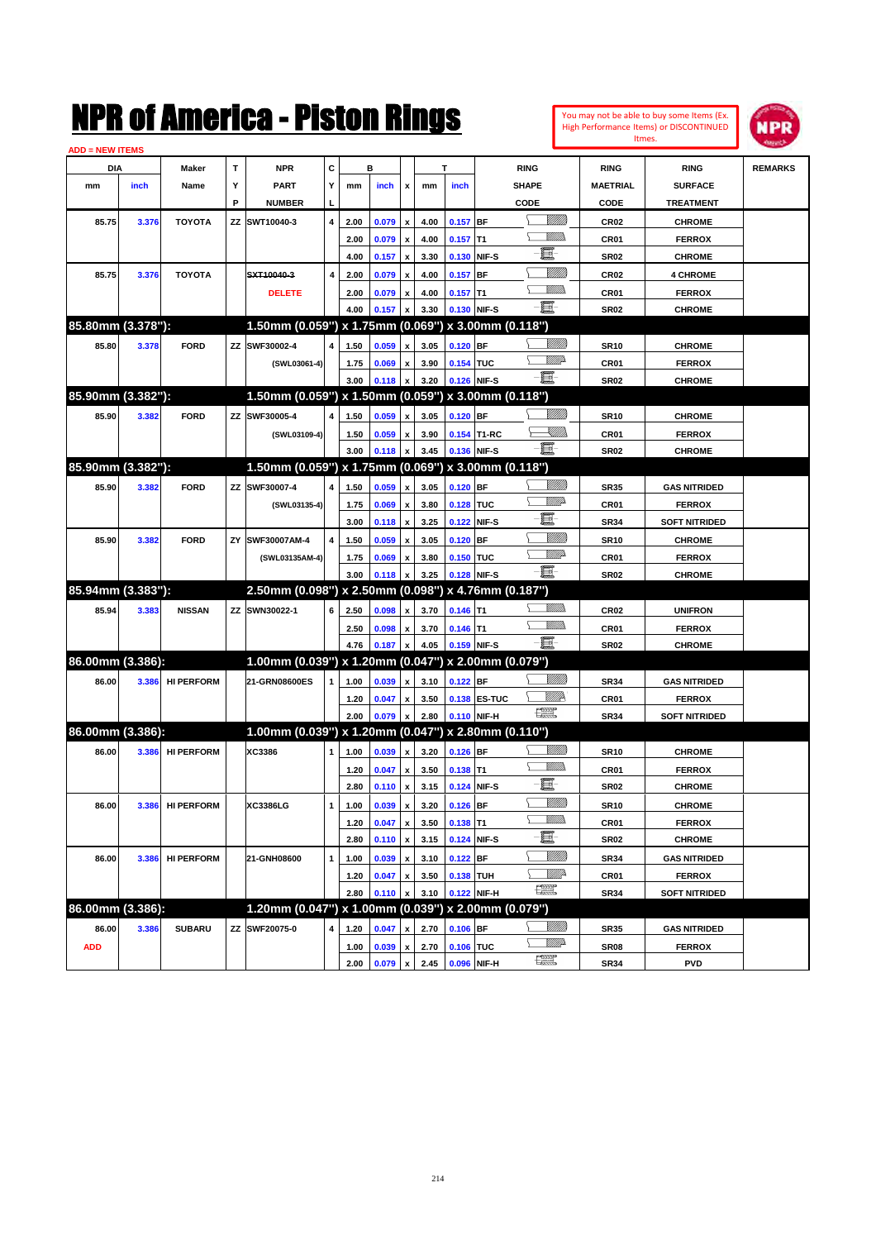| You may not be able to buy some Items (Ex. |
|--------------------------------------------|
| High Performance Items) or DISCONTINUED    |
| Itmes.                                     |



| <b>ADD = NEW ITEMS</b> |       |                   |    |                                                     |                |              |       |                    |      |            |              |                |                  |                      |                |
|------------------------|-------|-------------------|----|-----------------------------------------------------|----------------|--------------|-------|--------------------|------|------------|--------------|----------------|------------------|----------------------|----------------|
| <b>DIA</b>             |       | Maker             | т  | NPR                                                 | С              |              | в     |                    |      | т          |              | <b>RING</b>    | <b>RING</b>      | <b>RING</b>          | <b>REMARKS</b> |
| mm                     | inch  | Name              | Υ  | <b>PART</b>                                         | Y              | mm           | inch  | x                  | mm   | inch       |              | <b>SHAPE</b>   | <b>MAETRIAL</b>  | <b>SURFACE</b>       |                |
|                        |       |                   | P  | <b>NUMBER</b>                                       | L              |              |       |                    |      |            |              | CODE           | CODE             | <b>TREATMENT</b>     |                |
| 85.75                  | 3.376 | <b>TOYOTA</b>     | ΖZ | SWT10040-3                                          | 4              | 2.00         | 0.079 | x                  | 4.00 | $0.157$ BF |              | <u> UMB</u>    | <b>CR02</b>      | <b>CHROME</b>        |                |
|                        |       |                   |    |                                                     |                | 2.00         | 0.079 | x                  | 4.00 | $0.157$ T1 |              | 9777)          | <b>CR01</b>      | <b>FERROX</b>        |                |
|                        |       |                   |    |                                                     |                | 4.00         | 0.157 | x                  | 3.30 |            | 0.130 NIF-S  | 圓              | <b>SR02</b>      | <b>CHROME</b>        |                |
| 85.75                  | 3.376 | <b>TOYOTA</b>     |    | SXT10040-3                                          | $\overline{4}$ | 2.00         | 0.079 | x                  | 4.00 | $0.157$ BF |              | <u>Milli</u>   | <b>CR02</b>      | <b>4 CHROME</b>      |                |
|                        |       |                   |    | <b>DELETE</b>                                       |                | 2.00         | 0.079 | x                  | 4.00 | $0.157$ T1 |              | .<br>VMD       | <b>CR01</b>      | <b>FERROX</b>        |                |
|                        |       |                   |    |                                                     |                | 4.00         | 0.157 |                    | 3.30 |            | 0.130 NIF-S  | -日             | <b>SR02</b>      | <b>CHROME</b>        |                |
| 85.80mm (3.378"):      |       |                   |    | 1.50mm (0.059") x 1.75mm (0.069") x 3.00mm (0.118") |                |              |       |                    |      |            |              |                |                  |                      |                |
| 85.80                  | 3.378 | <b>FORD</b>       | ΖZ | SWF30002-4                                          | 4              | 1.50         | 0.059 | x                  | 3.05 | $0.120$ BF |              |                | <b>SR10</b>      | <b>CHROME</b>        |                |
|                        |       |                   |    | (SWL03061-4)                                        |                | 1.75         | 0.069 |                    | 3.90 | 0.154 TUC  |              | <u>VMD</u>     | CR <sub>01</sub> | <b>FERROX</b>        |                |
|                        |       |                   |    |                                                     |                | 3.00         | 0.118 |                    | 3.20 |            | 0.126 NIF-S  | -8             | <b>SR02</b>      | <b>CHROME</b>        |                |
| 85.90mm (3.382"):      |       |                   |    | 1.50mm (0.059") x 1.50mm (0.059") x 3.00mm (0.118") |                |              |       |                    |      |            |              |                |                  |                      |                |
| 85.90                  | 3.382 | <b>FORD</b>       | ZZ | SWF30005-4                                          | 4              | 1.50         | 0.059 | x                  | 3.05 | $0.120$ BF |              |                | <b>SR10</b>      | <b>CHROME</b>        |                |
|                        |       |                   |    |                                                     |                |              | 0.059 |                    | 3.90 |            | 0.154 T1-RC  | <u> Killib</u> | <b>CR01</b>      | <b>FERROX</b>        |                |
|                        |       |                   |    | (SWL03109-4)                                        |                | 1.50<br>3.00 | 0.118 | x                  | 3.45 |            | 0.136 NIF-S  | <b>- 夏</b> -   | <b>SR02</b>      | <b>CHROME</b>        |                |
| 85.90mm (3.382"):      |       |                   |    | 1.50mm (0.059") x 1.75mm (0.069") x 3.00mm (0.118") |                |              |       |                    |      |            |              |                |                  |                      |                |
|                        |       |                   |    |                                                     |                |              |       |                    |      |            |              |                |                  |                      |                |
| 85.90                  | 3.382 | <b>FORD</b>       |    | ZZ SWF30007-4                                       | 4              | 1.50         | 0.059 | x                  | 3.05 | $0.120$ BF |              | <u>VMD</u>     | <b>SR35</b>      | <b>GAS NITRIDED</b>  |                |
|                        |       |                   |    | (SWL03135-4)                                        |                | 1.75         | 0.069 | x                  | 3.80 | 0.128 TUC  |              | e              | CR <sub>01</sub> | <b>FERROX</b>        |                |
|                        |       |                   |    |                                                     |                | 3.00         | 0.118 | x                  | 3.25 |            | 0.122 NIF-S  | <u>Milli</u> k | <b>SR34</b>      | <b>SOFT NITRIDED</b> |                |
| 85.90                  | 3.382 | <b>FORD</b>       | ΖY | SWF30007AM-4                                        | 4              | 1.50         | 0.059 |                    | 3.05 | $0.120$ BF |              | <u>VMD</u>     | <b>SR10</b>      | <b>CHROME</b>        |                |
|                        |       |                   |    | (SWL03135AM-4)                                      |                | 1.75         | 0.069 | x                  | 3.80 | 0.150 TUC  |              | -日             | CR <sub>01</sub> | <b>FERROX</b>        |                |
| 85.94mm (3.383"):      |       |                   |    |                                                     |                | 3.00         | 0.118 |                    | 3.25 |            | 0.128 NIF-S  |                | <b>SR02</b>      | <b>CHROME</b>        |                |
|                        |       |                   |    | 2.50mm (0.098") x 2.50mm (0.098") x 4.76mm (0.187") |                |              |       |                    |      |            |              | .<br>VMD       |                  |                      |                |
| 85.94                  | 3.383 | <b>NISSAN</b>     |    | ZZ SWN30022-1                                       | 6              | 2.50         | 0.098 | x                  | 3.70 | $0.146$ T1 |              | <br>Militar    | <b>CR02</b>      | <b>UNIFRON</b>       |                |
|                        |       |                   |    |                                                     |                | 2.50         | 0.098 | x                  | 3.70 | $0.146$ T1 |              | -日             | <b>CR01</b>      | <b>FERROX</b>        |                |
| 86.00mm (3.386):       |       |                   |    |                                                     |                | 4.76         | 0.187 |                    | 4.05 |            | 0.159 NIF-S  |                | <b>SR02</b>      | <b>CHROME</b>        |                |
|                        |       |                   |    | 1.00mm (0.039") x 1.20mm (0.047") x 2.00mm (0.079") |                |              |       |                    |      |            |              |                |                  |                      |                |
| 86.00                  | 3.386 | <b>HI PERFORM</b> |    | 21-GRN08600ES                                       | 1              | 1.00         | 0.039 | x                  | 3.10 | 0.122 BF   |              | <u>Villida</u> | <b>SR34</b>      | <b>GAS NITRIDED</b>  |                |
|                        |       |                   |    |                                                     |                | 1.20         | 0.047 | x                  | 3.50 |            | 0.138 ES-TUC | WW<br>鱱        | CR <sub>01</sub> | <b>FERROX</b>        |                |
|                        |       |                   |    |                                                     |                | 2.00         | 0.079 |                    | 2.80 |            | 0.110 NIF-H  |                | <b>SR34</b>      | <b>SOFT NITRIDED</b> |                |
| 86.00mm (3.386):       |       |                   |    | 1.00mm (0.039") x 1.20mm (0.047") x 2.80mm (0.110") |                |              |       |                    |      |            |              |                |                  |                      |                |
| 86.00                  | 3.386 | <b>HI PERFORM</b> |    | XC3386                                              | 1              | 1.00         | 0.039 | x                  | 3.20 | 0.126 BF   |              | <u>Villida</u> | <b>SR10</b>      | <b>CHROME</b>        |                |
|                        |       |                   |    |                                                     |                | 1.20         | 0.047 | x                  | 3.50 | 0.138 T1   |              | <br>Mad        | <b>CR01</b>      | <b>FERROX</b>        |                |
|                        |       |                   |    |                                                     |                | 2.80         | 0.110 | x                  | 3.15 |            | 0.124 NIF-S  | E              | <b>SR02</b>      | <b>CHROME</b>        |                |
| 86.00                  | 3.386 | <b>HI PERFORM</b> |    | XC3386LG                                            | 1              | 1.00         | 0.039 | x                  | 3.20 | $0.126$ BF |              |                | <b>SR10</b>      | <b>CHROME</b>        |                |
|                        |       |                   |    |                                                     |                | 1.20         | 0.047 | $\pmb{\mathsf{x}}$ | 3.50 | 0.138 T1   |              | <u>Willib</u>  | CR01             | <b>FERROX</b>        |                |
|                        |       |                   |    |                                                     |                | 2.80         | 0.110 | $\pmb{\mathsf{x}}$ | 3.15 |            | 0.124 NIF-S  | E.             | <b>SR02</b>      | <b>CHROME</b>        |                |
| 86.00                  | 3.386 | <b>HI PERFORM</b> |    | 21-GNH08600                                         | $\mathbf{1}$   | 1.00         | 0.039 | x                  | 3.10 | $0.122$ BF |              | <u>VIIII</u> ) | <b>SR34</b>      | <b>GAS NITRIDED</b>  |                |
|                        |       |                   |    |                                                     |                | 1.20         | 0.047 | x                  | 3.50 | 0.138 TUH  |              | <u>WW</u> A    | CR01             | <b>FERROX</b>        |                |
|                        |       |                   |    |                                                     |                | 2.80         | 0.110 | x                  | 3.10 |            | 0.122 NIF-H  | R              | SR34             | <b>SOFT NITRIDED</b> |                |
| 86.00mm (3.386):       |       |                   |    | 1.20mm (0.047") x 1.00mm (0.039") x 2.00mm (0.079") |                |              |       |                    |      |            |              |                |                  |                      |                |
| 86.00                  | 3.386 | <b>SUBARU</b>     |    | ZZ SWF20075-0                                       | 4              | 1.20         | 0.047 |                    | 2.70 | $0.106$ BF |              | <u>VIIII)</u>  | SR35             | <b>GAS NITRIDED</b>  |                |
| <b>ADD</b>             |       |                   |    |                                                     |                | 1.00         | 0.039 | $\pmb{\mathsf{x}}$ | 2.70 | 0.106 TUC  |              | <u>VMD</u>     | <b>SR08</b>      | <b>FERROX</b>        |                |
|                        |       |                   |    |                                                     |                | 2.00         | 0.079 | $\pmb{\mathsf{x}}$ | 2.45 |            | 0.096 NIF-H  | R              | SR34             | <b>PVD</b>           |                |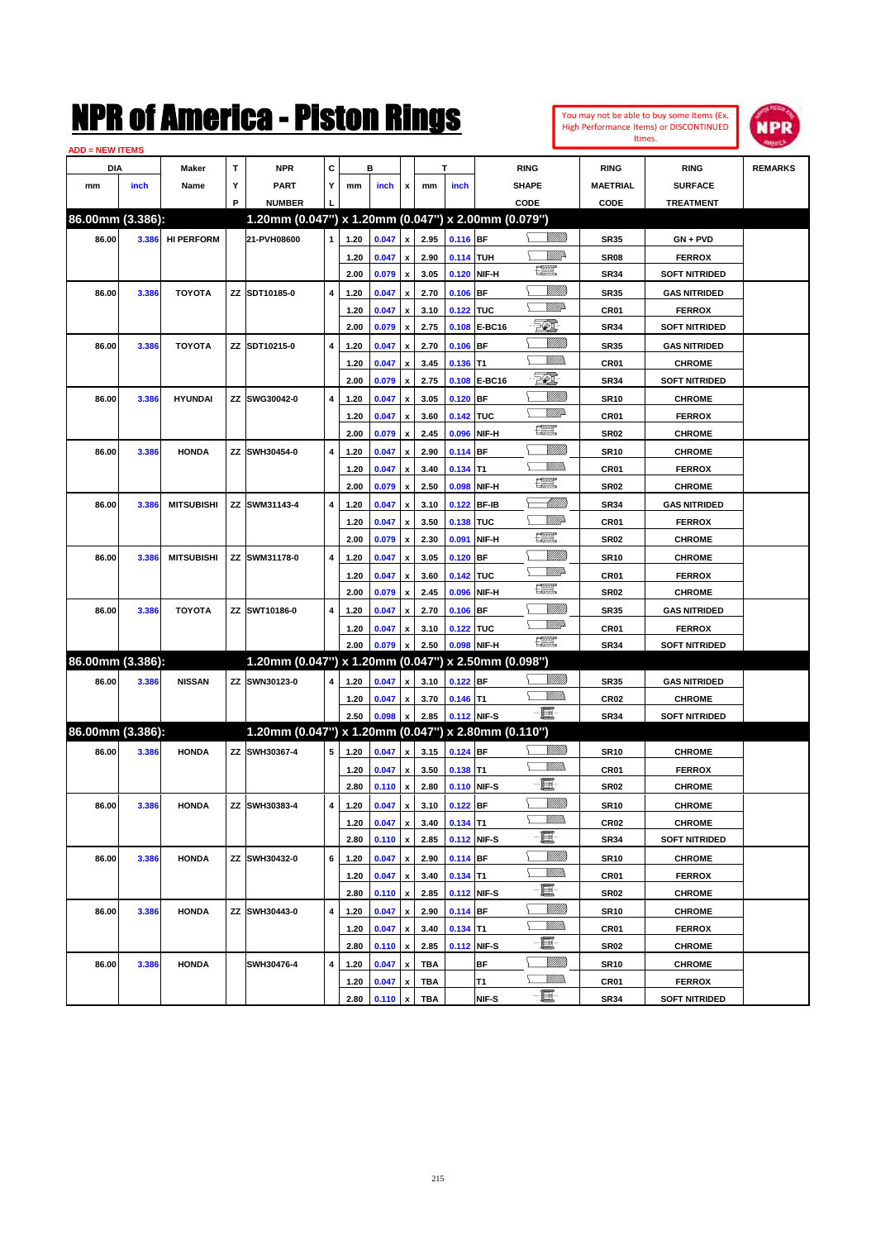#### **ADD = NEW ITEMS**



| <b>DIA</b>       |       | Maker             | Т | <b>NPR</b>                                          | c |      | в              |                           |            | т          |             | <b>RING</b>             | <b>RING</b>      | <b>RING</b>          | <b>REMARKS</b> |
|------------------|-------|-------------------|---|-----------------------------------------------------|---|------|----------------|---------------------------|------------|------------|-------------|-------------------------|------------------|----------------------|----------------|
| mm               | inch  | Name              | Υ | <b>PART</b>                                         | Υ | mm   | inch           | $\mathbf{x}$              | mm         | inch       |             | <b>SHAPE</b>            | MAETRIAL         | <b>SURFACE</b>       |                |
|                  |       |                   | P | <b>NUMBER</b>                                       |   |      |                |                           |            |            |             | CODE                    | <b>CODE</b>      | <b>TREATMENT</b>     |                |
| 86.00mm (3.386): |       |                   |   | 1.20mm (0.047") x 1.20mm (0.047") x 2.00mm (0.079") |   |      |                |                           |            |            |             |                         |                  |                      |                |
| 86.00            | 3.386 | <b>HI PERFORM</b> |   | 21-PVH08600                                         | 1 | 1.20 | 0.047          | $\pmb{\mathsf{x}}$        | 2.95       | $0.116$ BF |             | VM))                    | <b>SR35</b>      | GN + PVD             |                |
|                  |       |                   |   |                                                     |   | 1.20 | 0.047          | $\pmb{\mathsf{x}}$        | 2.90       | 0.114 TUH  |             | WMP-                    | SR <sub>08</sub> | <b>FERROX</b>        |                |
|                  |       |                   |   |                                                     |   | 2.00 | 0.079          | $\pmb{\mathsf{x}}$        | 3.05       |            | 0.120 NIF-H | 鱱                       | SR34             | <b>SOFT NITRIDED</b> |                |
| 86.00            | 3.386 | <b>TOYOTA</b>     |   | ZZ SDT10185-0                                       | 4 | 1.20 | 0.047          | $\pmb{\mathsf{x}}$        | 2.70       | $0.106$ BF |             | <u>VIIII)</u>           | <b>SR35</b>      | <b>GAS NITRIDED</b>  |                |
|                  |       |                   |   |                                                     |   | 1.20 | 0.047          | $\pmb{\mathsf{x}}$        | 3.10       | 0.122 TUC  |             | <u>VMD</u>              | CR01             | <b>FERROX</b>        |                |
|                  |       |                   |   |                                                     |   | 2.00 | 0.079          | $\pmb{\mathsf{x}}$        | 2.75       | 0.108      | E-BC16      | EO)                     | <b>SR34</b>      | <b>SOFT NITRIDED</b> |                |
| 86.00            | 3.386 | <b>TOYOTA</b>     |   | ZZ SDT10215-0                                       | 4 | 1.20 | 0.047          | $\pmb{\mathsf{x}}$        | 2.70       | $0.106$ BF |             | 97777.                  | <b>SR35</b>      | <b>GAS NITRIDED</b>  |                |
|                  |       |                   |   |                                                     |   | 1.20 | 0.047          | $\pmb{\mathsf{x}}$        | 3.45       | $0.136$ T1 |             | <u>MMS</u>              | CR01             | <b>CHROME</b>        |                |
|                  |       |                   |   |                                                     |   | 2.00 | 0.079          | $\pmb{\mathsf{x}}$        | 2.75       | 0.108      | E-BC16      | EO)                     | <b>SR34</b>      | <b>SOFT NITRIDED</b> |                |
| 86.00            | 3.386 | <b>HYUNDAI</b>    |   | ZZ SWG30042-0                                       | 4 | 1.20 | 0.047          | $\pmb{\mathsf{x}}$        | 3.05       | 0.120      | <b>BF</b>   |                         | <b>SR10</b>      | <b>CHROME</b>        |                |
|                  |       |                   |   |                                                     |   | 1.20 | 0.047          | $\pmb{\mathsf{x}}$        | 3.60       | 0.142 TUC  |             | <u>VIII</u> D           | CR01             | <b>FERROX</b>        |                |
|                  |       |                   |   |                                                     |   | 2.00 | 0.079          | $\pmb{\mathsf{x}}$        | 2.45       | 0.096      | NIF-H       | 鱱                       | <b>SR02</b>      | <b>CHROME</b>        |                |
| 86.00            | 3.386 | <b>HONDA</b>      |   | ZZ SWH30454-0                                       | 4 | 1.20 | 0.047          | $\pmb{\mathsf{x}}$        | 2.90       | $0.114$ BF |             | <u>VIIII</u> )          | <b>SR10</b>      | <b>CHROME</b>        |                |
|                  |       |                   |   |                                                     |   | 1.20 | 0.047          | $\pmb{\mathsf{x}}$        | 3.40       | $0.134$ T1 |             | <u>Millid</u>           | CR01             | <b>FERROX</b>        |                |
|                  |       |                   |   |                                                     |   | 2.00 | 0.079          | $\pmb{\mathsf{x}}$        | 2.50       | 0.098      | NIF-H       | 鱱                       | <b>SR02</b>      | <b>CHROME</b>        |                |
| 86.00            | 3.386 | <b>MITSUBISHI</b> |   | ZZ SWM31143-4                                       | 4 | 1.20 | 0.047          | $\pmb{\mathsf{x}}$        | 3.10       |            | 0.122 BF-IB | <u> MMB</u>             | <b>SR34</b>      | <b>GAS NITRIDED</b>  |                |
|                  |       |                   |   |                                                     |   | 1.20 | 0.047          | $\pmb{\mathsf{x}}$        | 3.50       | 0.138 TUC  |             | <u>VIII)</u>            | CR01             | <b>FERROX</b>        |                |
|                  |       |                   |   |                                                     |   | 2.00 | 0.079          | $\pmb{\mathsf{x}}$        | 2.30       | 0.091      | NIF-H       | $f_{\rm max}^{\rm exp}$ | <b>SR02</b>      | <b>CHROME</b>        |                |
| 86.00            | 3.386 | <b>MITSUBISHI</b> |   | ZZ SWM31178-0                                       | 4 | 1.20 | 0.047          | $\pmb{\mathsf{x}}$        | 3.05       | $0.120$ BF |             |                         | <b>SR10</b>      | <b>CHROME</b>        |                |
|                  |       |                   |   |                                                     |   | 1.20 | 0.047          | $\pmb{\mathsf{x}}$        | 3.60       | 0.142 TUC  |             | <u>VIII</u> D           | CR01             | <b>FERROX</b>        |                |
|                  |       |                   |   |                                                     |   | 2.00 | 0.079          | $\pmb{\mathsf{x}}$        | 2.45       | 0.096      | NIF-H       | 鱱                       | <b>SR02</b>      | <b>CHROME</b>        |                |
| 86.00            | 3.386 | <b>TOYOTA</b>     |   | ZZ SWT10186-0                                       | 4 | 1.20 | 0.047          | $\pmb{\mathsf{x}}$        | 2.70       | $0.106$ BF |             | <u>VIIII)</u>           | <b>SR35</b>      | <b>GAS NITRIDED</b>  |                |
|                  |       |                   |   |                                                     |   | 1.20 | 0.047          | x                         | 3.10       | 0.122 TUC  |             | <u>VMD</u>              | CR01             | <b>FERROX</b>        |                |
|                  |       |                   |   |                                                     |   | 2.00 | 0.079          | $\pmb{\mathsf{x}}$        | 2.50       |            | 0.098 NIF-H | 理                       | <b>SR34</b>      | <b>SOFT NITRIDED</b> |                |
| 86.00mm (3.386): |       |                   |   | 1.20mm (0.047") x 1.20mm (0.047") x 2.50mm (0.098") |   |      |                |                           |            |            |             |                         |                  |                      |                |
| 86.00            | 3.386 | <b>NISSAN</b>     |   | ZZ SWN30123-0                                       | 4 | 1.20 | 0.047          | $\boldsymbol{\mathsf{x}}$ | 3.10       | $0.122$ BF |             | <br>Viited              | <b>SR35</b>      | <b>GAS NITRIDED</b>  |                |
|                  |       |                   |   |                                                     |   | 1.20 | 0.047          | x                         | 3.70       | $0.146$ T1 |             | <u>Willib</u>           | CR <sub>02</sub> | <b>CHROME</b>        |                |
|                  |       |                   |   |                                                     |   | 2.50 | 0.098          | $\pmb{\mathsf{x}}$        | 2.85       |            | 0.112 NIF-S | $-\Xi$ -                | <b>SR34</b>      | <b>SOFT NITRIDED</b> |                |
| 86.00mm (3.386): |       |                   |   | 1.20mm (0.047") x 1.20mm (0.047") x 2.80mm (0.110") |   |      |                |                           |            |            |             |                         |                  |                      |                |
| 86.00            | 3.386 | <b>HONDA</b>      |   | ZZ SWH30367-4                                       | 5 | 1.20 | 0.047          | $\pmb{\mathsf{x}}$        | 3.15       | $0.124$ BF |             | VM))                    | <b>SR10</b>      | <b>CHROME</b>        |                |
|                  |       |                   |   |                                                     |   | 1.20 | 0.047          | $\pmb{\mathsf{x}}$        | 3.50       | 0.138 T1   |             | <u>MMS</u>              | CR01             | <b>FERROX</b>        |                |
|                  |       |                   |   |                                                     |   | 2.80 | 0.110          | $\pmb{\mathsf{x}}$        | 2.80       | 0.110      | NIF-S       | E                       | <b>SR02</b>      | <b>CHROME</b>        |                |
| 86.00            | 3.386 | <b>HONDA</b>      |   | ZZ SWH30383-4                                       | 4 | 1.20 | 0.047          | x                         | 3.10       | $0.122$ BF |             | <u>VIIII)</u>           | <b>SR10</b>      | <b>CHROME</b>        |                |
|                  |       |                   |   |                                                     |   | 1.20 | 0.047 x        |                           | 3.40       | $0.134$ T1 |             | <u>VMM)</u>             | CR02             | <b>CHROME</b>        |                |
|                  |       |                   |   |                                                     |   | 2.80 | 0.110 x        |                           | 2.85       |            | 0.112 NIF-S | e.                      | SR34             | <b>SOFT NITRIDED</b> |                |
| 86.00            | 3.386 | <b>HONDA</b>      |   | ZZ SWH30432-0                                       | 6 | 1.20 | 0.047          | $\pmb{\mathsf{x}}$        | 2.90       | 0.114 BF   |             | <u>VIIII</u> )          | <b>SR10</b>      | <b>CHROME</b>        |                |
|                  |       |                   |   |                                                     |   | 1.20 | 0.047          | x                         | 3.40       | $0.134$ T1 |             | <u>MMs</u>              | CR01             | <b>FERROX</b>        |                |
|                  |       |                   |   |                                                     |   | 2.80 | 0.110          | $\pmb{\mathsf{x}}$        | 2.85       |            | 0.112 NIF-S | e.                      | <b>SR02</b>      | <b>CHROME</b>        |                |
| 86.00            | 3.386 | <b>HONDA</b>      |   | ZZ SWH30443-0                                       | 4 | 1.20 | 0.047          | $\pmb{\mathsf{x}}$        | 2.90       | $0.114$ BF |             | <u>VIIII</u> )          | <b>SR10</b>      | <b>CHROME</b>        |                |
|                  |       |                   |   |                                                     |   | 1.20 | 0.047          | $\pmb{\mathsf{x}}$        | 3.40       | $0.134$ T1 |             | <u>MMs</u>              | CR01             | <b>FERROX</b>        |                |
|                  |       |                   |   |                                                     |   | 2.80 | 0.110          | $\boldsymbol{x}$          | 2.85       |            | 0.112 NIF-S | e.                      | <b>SR02</b>      | <b>CHROME</b>        |                |
| 86.00            | 3.386 | <b>HONDA</b>      |   | SWH30476-4                                          | 4 | 1.20 | 0.047          | $\pmb{\mathsf{x}}$        | <b>TBA</b> |            | <b>BF</b>   | <u>VIIII</u> )          | SR10             | <b>CHROME</b>        |                |
|                  |       |                   |   |                                                     |   | 1.20 | 0.047          | $\pmb{\mathsf{x}}$        | <b>TBA</b> |            | T1          | <u>MMS</u>              | CR01             | <b>FERROX</b>        |                |
|                  |       |                   |   |                                                     |   | 2.80 | $0.110 \times$ |                           | TBA        |            | NIF-S       | -8                      | SR34             | <b>SOFT NITRIDED</b> |                |
|                  |       |                   |   |                                                     |   |      |                |                           |            |            |             |                         |                  |                      |                |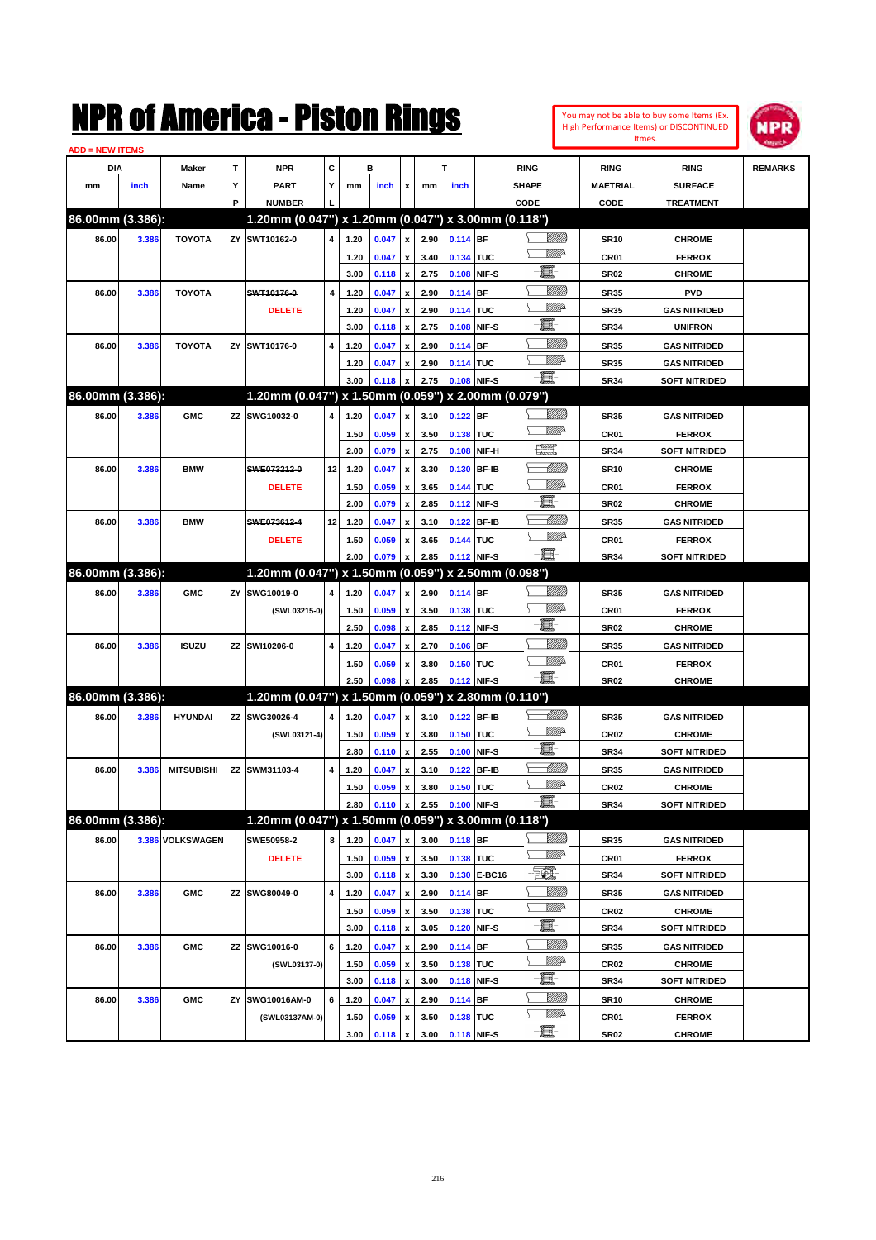| You may not be able to buy some Items (Ex. |
|--------------------------------------------|
| High Performance Items) or DISCONTINUED    |
| Itmes.                                     |



| <b>ADD = NEW ITEMS</b> |       |                   |    |                                                     |                         |      |              |                           |      |             |              |                               |                  |                      |                |
|------------------------|-------|-------------------|----|-----------------------------------------------------|-------------------------|------|--------------|---------------------------|------|-------------|--------------|-------------------------------|------------------|----------------------|----------------|
| DIA                    |       | <b>Maker</b>      | T  | <b>NPR</b>                                          | C                       |      | в            |                           |      | T           |              | <b>RING</b>                   | <b>RING</b>      | <b>RING</b>          | <b>REMARKS</b> |
| mm                     | inch  | Name              | Υ  | <b>PART</b>                                         | Y                       | mm   | inch         | x                         | mm   | inch        |              | <b>SHAPE</b>                  | <b>MAETRIAL</b>  | <b>SURFACE</b>       |                |
|                        |       |                   | P  | <b>NUMBER</b>                                       |                         |      |              |                           |      |             |              | CODE                          | CODE             | <b>TREATMENT</b>     |                |
| 86.00mm (3.386):       |       |                   |    | 1.20mm (0.047") x 1.20mm (0.047") x 3.00mm (0.118") |                         |      |              |                           |      |             |              |                               |                  |                      |                |
| 86.00                  | 3.386 | <b>TOYOTA</b>     |    | ZY SWT10162-0                                       | 4                       | 1.20 | 0.047        | $\pmb{\mathsf{x}}$        | 2.90 | $0.114$ BF  |              | <u>Villida</u>                | <b>SR10</b>      | <b>CHROME</b>        |                |
|                        |       |                   |    |                                                     |                         | 1.20 | 0.047        | $\pmb{\mathsf{x}}$        | 3.40 | 0.134 TUC   |              | <u>VMD</u>                    | CR01             | <b>FERROX</b>        |                |
|                        |       |                   |    |                                                     |                         | 3.00 | 0.118        | $\pmb{\mathsf{x}}$        | 2.75 |             | 0.108 NIF-S  | e                             | <b>SR02</b>      | <b>CHROME</b>        |                |
| 86.00                  | 3.386 | <b>TOYOTA</b>     |    | SWT10176-0                                          | $\overline{\mathbf{4}}$ | 1.20 | 0.047        | x                         | 2.90 | 0.114 BF    |              | <u>MMM</u>                    | <b>SR35</b>      | <b>PVD</b>           |                |
|                        |       |                   |    | <b>DELETE</b>                                       |                         | 1.20 | 0.047        | x                         | 2.90 | 0.114 TUC   |              | <u>VIII</u> D                 | <b>SR35</b>      | <b>GAS NITRIDED</b>  |                |
|                        |       |                   |    |                                                     |                         | 3.00 | 0.118        | x                         | 2.75 |             | 0.108 NIF-S  | e                             | <b>SR34</b>      | <b>UNIFRON</b>       |                |
| 86.00                  | 3.386 | <b>TOYOTA</b>     |    | ZY SWT10176-0                                       | 4                       | 1.20 | 0.047        | x                         | 2.90 | $0.114$ BF  |              | <u>MMM</u>                    | <b>SR35</b>      | <b>GAS NITRIDED</b>  |                |
|                        |       |                   |    |                                                     |                         | 1.20 |              |                           | 2.90 | 0.114 TUC   |              | <u>VM</u> D                   | <b>SR35</b>      | <b>GAS NITRIDED</b>  |                |
|                        |       |                   |    |                                                     |                         | 3.00 | 0.047        | x                         | 2.75 |             | 0.108 NIF-S  | -日                            |                  |                      |                |
| 86.00mm (3.386):       |       |                   |    | 1.20mm (0.047") x 1.50mm (0.059") x 2.00mm (0.079") |                         |      | 0.118        | x                         |      |             |              |                               | <b>SR34</b>      | <b>SOFT NITRIDED</b> |                |
|                        |       |                   |    |                                                     |                         |      |              |                           |      |             |              |                               |                  |                      |                |
| 86.00                  | 3.386 | <b>GMC</b>        |    | ZZ SWG10032-0                                       | 4                       | 1.20 | 0.047        | x                         | 3.10 | $0.122$ BF  |              | <u>VMD</u>                    | <b>SR35</b>      | <b>GAS NITRIDED</b>  |                |
|                        |       |                   |    |                                                     |                         | 1.50 | 0.059        | x                         | 3.50 | 0.138 TUC   |              |                               | CR01             | <b>FERROX</b>        |                |
|                        |       |                   |    |                                                     |                         | 2.00 | 0.079        | $\pmb{\mathsf{x}}$        | 2.75 |             | 0.108 NIF-H  | 壤                             | <b>SR34</b>      | <b>SOFT NITRIDED</b> |                |
| 86.00                  | 3.386 | <b>BMW</b>        |    | SWE073212-0                                         | 12                      | 1.20 | 0.047        | X                         | 3.30 |             | 0.130 BF-IB  | MMB                           | <b>SR10</b>      | <b>CHROME</b>        |                |
|                        |       |                   |    | <b>DELETE</b>                                       |                         | 1.50 | 0.059        | x                         | 3.65 | 0.144 TUC   |              | <u>VIII)</u>                  | CR01             | <b>FERROX</b>        |                |
|                        |       |                   |    |                                                     |                         | 2.00 | 0.079        | $\boldsymbol{\mathsf{x}}$ | 2.85 |             | 0.112 NIF-S  | e                             | <b>SR02</b>      | <b>CHROME</b>        |                |
| 86.00                  | 3.386 | <b>BMW</b>        |    | SWE073612-4                                         | 12 <sub>1</sub>         | 1.20 | 0.047        | x                         | 3.10 |             | 0.122 BF-IB  | <u> Milli</u> lli             | <b>SR35</b>      | <b>GAS NITRIDED</b>  |                |
|                        |       |                   |    | <b>DELETE</b>                                       |                         | 1.50 | 0.059        | x                         | 3.65 | 0.144 TUC   |              | <u>VMD</u>                    | CR <sub>01</sub> | <b>FERROX</b>        |                |
|                        |       |                   |    |                                                     |                         | 2.00 | 0.079        | x                         | 2.85 |             | 0.112 NIF-S  | - H                           | <b>SR34</b>      | <b>SOFT NITRIDED</b> |                |
| 86.00mm (3.386):       |       |                   |    | 1.20mm (0.047") x 1.50mm (0.059") x 2.50mm (0.098") |                         |      |              |                           |      |             |              |                               |                  |                      |                |
| 86.00                  | 3.386 | <b>GMC</b>        |    | ZY SWG10019-0                                       | 4                       | 1.20 | 0.047        | x                         | 2.90 | 0.114 BF    |              |                               | <b>SR35</b>      | <b>GAS NITRIDED</b>  |                |
|                        |       |                   |    | (SWL03215-0)                                        |                         | 1.50 | 0.059        | $\pmb{\mathsf{x}}$        | 3.50 | 0.138 TUC   |              | <u>VIIItä</u>                 | CR01             | <b>FERROX</b>        |                |
|                        |       |                   |    |                                                     |                         | 2.50 | 0.098        | $\boldsymbol{\mathsf{x}}$ | 2.85 |             | 0.112 NIF-S  | E                             | <b>SR02</b>      | <b>CHROME</b>        |                |
| 86.00                  | 3.386 | <b>ISUZU</b>      |    | ZZ SWI10206-0                                       | 4                       | 1.20 | 0.047        | x                         | 2.70 | $0.106$ BF  |              | <u>MMM</u>                    | <b>SR35</b>      | <b>GAS NITRIDED</b>  |                |
|                        |       |                   |    |                                                     |                         | 1.50 | 0.059        | x                         | 3.80 | 0.150 TUC   |              | <u>VIIItä</u>                 | CR01             | <b>FERROX</b>        |                |
|                        |       |                   |    |                                                     |                         | 2.50 | 0.098        | x                         | 2.85 |             | 0.112 NIF-S  | - 1                           | <b>SR02</b>      | <b>CHROME</b>        |                |
| 86.00mm (3.386):       |       |                   |    | 1.20mm (0.047") x 1.50mm (0.059") x 2.80mm (0.110") |                         |      |              |                           |      |             |              |                               |                  |                      |                |
| 86.00                  | 3.386 | <b>HYUNDAI</b>    |    | ZZ SWG30026-4                                       | 4                       | 1.20 | 0.047        | x                         | 3.10 |             | 0.122 BF-IB  | <u> UMB</u>                   | <b>SR35</b>      | <b>GAS NITRIDED</b>  |                |
|                        |       |                   |    | (SWL03121-4)                                        |                         | 1.50 | 0.059        | x                         | 3.80 | 0.150 TUC   |              | <u>WW</u> A                   | <b>CR02</b>      | <b>CHROME</b>        |                |
|                        |       |                   |    |                                                     |                         | 2.80 | 0.110        | $\pmb{\mathsf{x}}$        | 2.55 |             | 0.100 NIF-S  | E                             | <b>SR34</b>      | <b>SOFT NITRIDED</b> |                |
| 86.00                  | 3.386 | <b>MITSUBISHI</b> |    | ZZ SWM31103-4                                       | 4                       | 1.20 | 0.047        | x                         | 3.10 |             | 0.122 BF-IB  | MMM)                          | <b>SR35</b>      | <b>GAS NITRIDED</b>  |                |
|                        |       |                   |    |                                                     |                         | 1.50 | 0.059        | x                         | 3.80 | 0.150 TUC   |              | <u>MMP</u>                    | <b>CR02</b>      | <b>CHROME</b>        |                |
|                        |       |                   |    |                                                     |                         | 2.80 | 0.110        | $\pmb{\mathsf{x}}$        | 2.55 | 0.100 NIF-S |              | - E                           | <b>SR34</b>      | SOFT NITRIDED        |                |
| 86.00mm (3.386):       |       |                   |    | 1.20mm (0.047") x 1.50mm (0.059") x 3.00mm (0.118") |                         |      |              |                           |      |             |              |                               |                  |                      |                |
| 86.00                  |       | 3.386 VOLKSWAGEN  |    | SWE50958-2                                          | 8                       | 1.20 | 0.047        | $\pmb{\mathsf{x}}$        | 3.00 | $0.118$ BF  |              | <u>MMM</u>                    | <b>SR35</b>      | <b>GAS NITRIDED</b>  |                |
|                        |       |                   |    | <b>DELETE</b>                                       |                         | 1.50 | 0.059        |                           | 3.50 | 0.138 TUC   |              | <u>WW</u> A                   | CR01             | <b>FERROX</b>        |                |
|                        |       |                   |    |                                                     |                         | 3.00 |              | $\pmb{\mathsf{x}}$        | 3.30 |             | 0.130 E-BC16 | EL.                           |                  | <b>SOFT NITRIDED</b> |                |
|                        |       |                   |    |                                                     |                         |      | 0.118        | $\pmb{\mathsf{x}}$        |      |             |              | <u>MMM</u>                    | SR34             |                      |                |
| 86.00                  | 3.386 | <b>GMC</b>        |    | ZZ SWG80049-0                                       | 4                       | 1.20 | 0.047        | $\pmb{\mathsf{x}}$        | 2.90 | 0.114 BF    |              | <u>WW</u> A                   | <b>SR35</b>      | <b>GAS NITRIDED</b>  |                |
|                        |       |                   |    |                                                     |                         | 1.50 | 0.059        | $\pmb{\mathsf{x}}$        | 3.50 | 0.138 TUC   |              | e                             | CR <sub>02</sub> | <b>CHROME</b>        |                |
|                        |       |                   |    |                                                     |                         | 3.00 | 0.118        | $\pmb{\mathsf{x}}$        | 3.05 |             | 0.120 NIF-S  |                               | SR34             | <b>SOFT NITRIDED</b> |                |
| 86.00                  | 3.386 | <b>GMC</b>        |    | ZZ SWG10016-0                                       | 6                       | 1.20 | 0.047        | X                         | 2.90 | $0.114$ BF  |              | <u>Milli</u> n<br><u>WW</u> A | SR35             | <b>GAS NITRIDED</b>  |                |
|                        |       |                   |    | (SWL03137-0)                                        |                         | 1.50 | 0.059        | $\pmb{\mathsf{x}}$        | 3.50 | 0.138 TUC   |              |                               | CR <sub>02</sub> | <b>CHROME</b>        |                |
|                        |       |                   |    |                                                     |                         | 3.00 | 0.118        | $\pmb{\mathsf{x}}$        | 3.00 |             | 0.118 NIF-S  | e                             | SR34             | <b>SOFT NITRIDED</b> |                |
| 86.00                  | 3.386 | <b>GMC</b>        | ΖY | SWG10016AM-0                                        | 6                       | 1.20 | 0.047        | X                         | 2.90 | 0.114 BF    |              | <u>Milli</u> n                | <b>SR10</b>      | <b>CHROME</b>        |                |
|                        |       |                   |    | (SWL03137AM-0)                                      |                         | 1.50 | 0.059        | x                         | 3.50 | 0.138 TUC   |              | <u>WW</u> A                   | CR01             | <b>FERROX</b>        |                |
|                        |       |                   |    |                                                     |                         | 3.00 | $0.118 \, x$ |                           | 3.00 | 0.118 NIF-S |              | $-\Xi$ -                      | <b>SR02</b>      | <b>CHROME</b>        |                |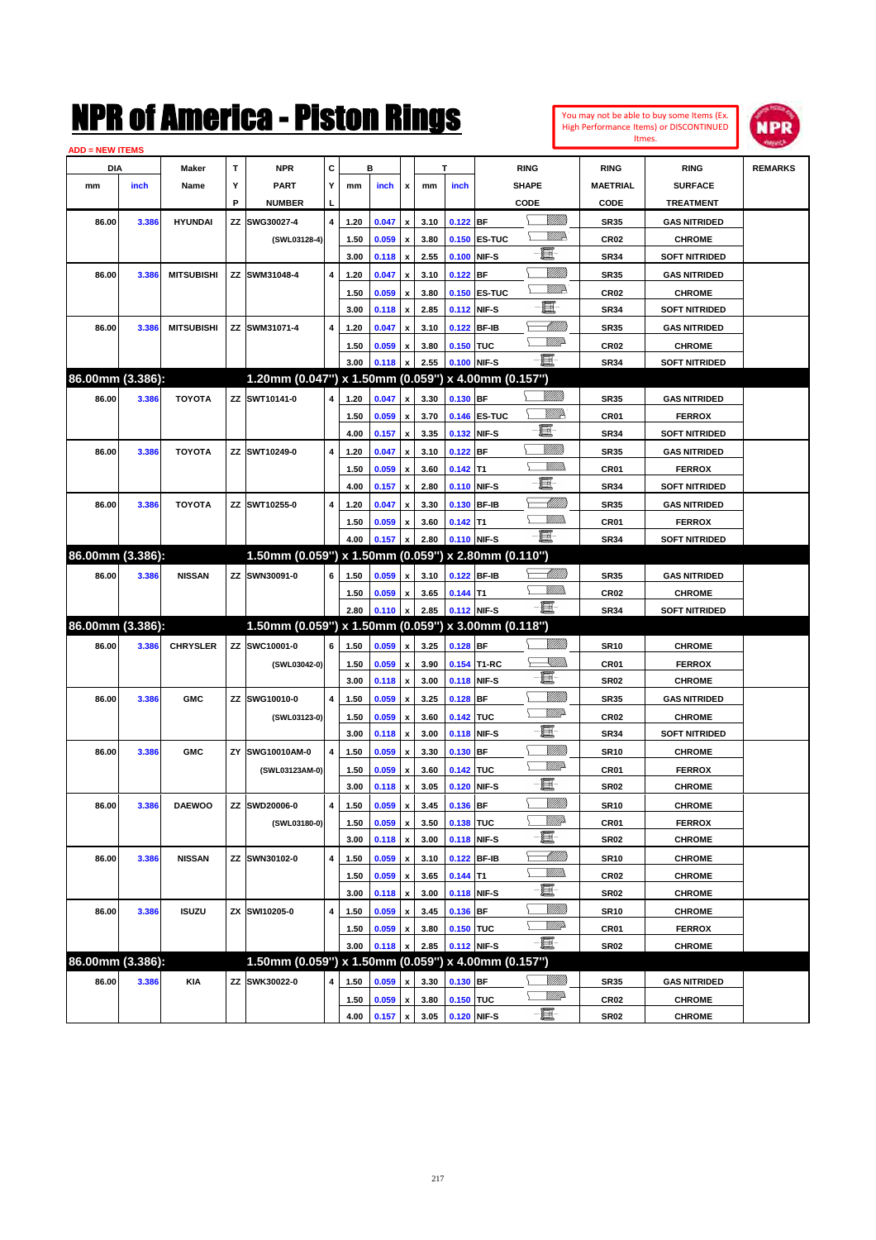| You may not be able to buy some Items (Ex.     |
|------------------------------------------------|
| <b>High Performance Items) or DISCONTINUED</b> |
| Itmes.                                         |



| <b>ADD = NEW ITEMS</b> |       |                   |    |                                                     |                         |      |       |                           |      |            |              |                 |                  |                      |                |
|------------------------|-------|-------------------|----|-----------------------------------------------------|-------------------------|------|-------|---------------------------|------|------------|--------------|-----------------|------------------|----------------------|----------------|
| <b>DIA</b>             |       | Maker             | Т  | <b>NPR</b>                                          | С                       |      | в     |                           |      | T          |              | <b>RING</b>     | <b>RING</b>      | <b>RING</b>          | <b>REMARKS</b> |
| mm                     | inch  | Name              | Υ  | <b>PART</b>                                         | Y                       | mm   | inch  | х                         | mm   | inch       |              | <b>SHAPE</b>    | <b>MAETRIAL</b>  | <b>SURFACE</b>       |                |
|                        |       |                   | P  | <b>NUMBER</b>                                       | L                       |      |       |                           |      |            |              | CODE            | <b>CODE</b>      | <b>TREATMENT</b>     |                |
| 86.00                  | 3.386 | <b>HYUNDAI</b>    | ΖZ | SWG30027-4                                          | 4                       | 1.20 | 0.047 | x                         | 3.10 | 0.122 BF   |              | <br>Viited      | <b>SR35</b>      | <b>GAS NITRIDED</b>  |                |
|                        |       |                   |    | (SWL03128-4)                                        |                         | 1.50 | 0.059 | x                         | 3.80 |            | 0.150 ES-TUC | W///2           | <b>CR02</b>      | <b>CHROME</b>        |                |
|                        |       |                   |    |                                                     |                         | 3.00 | 0.118 | x                         | 2.55 |            | 0.100 NIF-S  | 且               | <b>SR34</b>      | <b>SOFT NITRIDED</b> |                |
| 86.00                  | 3.386 | <b>MITSUBISHI</b> |    | ZZ SWM31048-4                                       | 4                       | 1.20 | 0.047 | x                         | 3.10 | 0.122 BF   |              | <u>VIII M</u>   | <b>SR35</b>      | <b>GAS NITRIDED</b>  |                |
|                        |       |                   |    |                                                     |                         | 1.50 | 0.059 | x                         | 3.80 |            | 0.150 ES-TUC | <u>Willik</u> h | <b>CR02</b>      | <b>CHROME</b>        |                |
|                        |       |                   |    |                                                     |                         | 3.00 | 0.118 | x                         | 2.85 |            | 0.112 NIF-S  | E.              | <b>SR34</b>      | <b>SOFT NITRIDED</b> |                |
| 86.00                  | 3.386 | <b>MITSUBISHI</b> |    | ZZ SWM31071-4                                       | 4                       | 1.20 | 0.047 | x                         | 3.10 |            | 0.122 BF-IB  | <u> MMB</u>     | <b>SR35</b>      | <b>GAS NITRIDED</b>  |                |
|                        |       |                   |    |                                                     |                         | 1.50 | 0.059 | x                         | 3.80 | 0.150 TUC  |              | <u>MMP</u>      | <b>CR02</b>      | <b>CHROME</b>        |                |
|                        |       |                   |    |                                                     |                         | 3.00 | 0.118 |                           | 2.55 |            | 0.100 NIF-S  | ·b              | <b>SR34</b>      | <b>SOFT NITRIDED</b> |                |
| 86.00mm (3.386):       |       |                   |    | 1.20mm (0.047") x 1.50mm (0.059") x 4.00mm (0.157") |                         |      |       |                           |      |            |              |                 |                  |                      |                |
| 86.00                  | 3.386 | <b>TOYOTA</b>     |    | ZZ SWT10141-0                                       | 4                       | 1.20 | 0.047 | x                         | 3.30 | 0.130 BF   |              | <u>UMM</u>      | <b>SR35</b>      | <b>GAS NITRIDED</b>  |                |
|                        |       |                   |    |                                                     |                         | 1.50 | 0.059 | x                         | 3.70 |            | 0.146 ES-TUC | <u>WW</u> A     | <b>CR01</b>      | <b>FERROX</b>        |                |
|                        |       |                   |    |                                                     |                         | 4.00 | 0.157 | x                         | 3.35 |            | 0.132 NIF-S  | e               | <b>SR34</b>      | <b>SOFT NITRIDED</b> |                |
| 86.00                  | 3.386 | <b>TOYOTA</b>     |    | ZZ SWT10249-0                                       | 4                       | 1.20 | 0.047 | x                         | 3.10 | 0.122 BF   |              | <u>UMM</u>      | <b>SR35</b>      | <b>GAS NITRIDED</b>  |                |
|                        |       |                   |    |                                                     |                         | 1.50 | 0.059 | x                         | 3.60 | $0.142$ T1 |              | <u>MMD</u>      | <b>CR01</b>      | <b>FERROX</b>        |                |
|                        |       |                   |    |                                                     |                         | 4.00 | 0.157 | x                         | 2.80 |            | 0.110 NIF-S  | 圓               | <b>SR34</b>      | <b>SOFT NITRIDED</b> |                |
| 86.00                  | 3.386 | <b>TOYOTA</b>     |    | ZZ SWT10255-0                                       | 4                       | 1.20 | 0.047 | x                         | 3.30 |            | 0.130 BF-IB  | <u> MM)</u>     | <b>SR35</b>      | <b>GAS NITRIDED</b>  |                |
|                        |       |                   |    |                                                     |                         | 1.50 | 0.059 | x                         | 3.60 | $0.142$ T1 |              | <u>MMS</u>      | <b>CR01</b>      | <b>FERROX</b>        |                |
|                        |       |                   |    |                                                     |                         | 4.00 | 0.157 |                           | 2.80 |            | 0.110 NIF-S  | - E             | <b>SR34</b>      | <b>SOFT NITRIDED</b> |                |
| 86.00mm (3.386):       |       |                   |    | 1.50mm (0.059") x 1.50mm (0.059") x 2.80mm (0.110") |                         |      |       |                           |      |            |              |                 |                  |                      |                |
| 86.00                  | 3.386 | <b>NISSAN</b>     |    | ZZ SWN30091-0                                       | 6                       | 1.50 | 0.059 | x                         | 3.10 |            | 0.122 BF-IB  |                 | <b>SR35</b>      | <b>GAS NITRIDED</b>  |                |
|                        |       |                   |    |                                                     |                         | 1.50 | 0.059 | x                         | 3.65 | $0.144$ T1 |              | <br>Militar     | <b>CR02</b>      | <b>CHROME</b>        |                |
|                        |       |                   |    |                                                     |                         | 2.80 | 0.110 | x                         | 2.85 |            | 0.112 NIF-S  | -日              | <b>SR34</b>      | <b>SOFT NITRIDED</b> |                |
| 86.00mm (3.386):       |       |                   |    | 1.50mm (0.059") x 1.50mm (0.059") x 3.00mm (0.118") |                         |      |       |                           |      |            |              |                 |                  |                      |                |
| 86.00                  | 3.386 | <b>CHRYSLER</b>   |    | ZZ SWC10001-0                                       | 6                       | 1.50 | 0.059 | $\boldsymbol{\mathsf{x}}$ | 3.25 | 0.128 BF   |              | <u>MMS</u>      | <b>SR10</b>      | <b>CHROME</b>        |                |
|                        |       |                   |    | (SWL03042-0)                                        |                         | 1.50 | 0.059 | x                         | 3.90 |            | 0.154 T1-RC  | <u> Killib</u>  | <b>CR01</b>      | <b>FERROX</b>        |                |
|                        |       |                   |    |                                                     |                         | 3.00 | 0.118 | x                         | 3.00 |            | 0.118 NIF-S  | 圓               | <b>SR02</b>      | <b>CHROME</b>        |                |
| 86.00                  | 3.386 | <b>GMC</b>        | ΖZ | SWG10010-0                                          | $\overline{\mathbf{4}}$ | 1.50 | 0.059 | x                         | 3.25 | $0.128$ BF |              | <u>VIII M</u>   | <b>SR35</b>      | <b>GAS NITRIDED</b>  |                |
|                        |       |                   |    | (SWL03123-0)                                        |                         | 1.50 | 0.059 | x                         | 3.60 | 0.142 TUC  |              | <u>MMP</u>      | <b>CR02</b>      | <b>CHROME</b>        |                |
|                        |       |                   |    |                                                     |                         | 3.00 | 0.118 | x                         | 3.00 |            | 0.118 NIF-S  | 且               | <b>SR34</b>      | <b>SOFT NITRIDED</b> |                |
| 86.00                  | 3.386 | <b>GMC</b>        | ΖY | SWG10010AM-0                                        | 4                       | 1.50 | 0.059 | x                         | 3.30 | 0.130 BF   |              | <u>VIII M</u>   | <b>SR10</b>      | <b>CHROME</b>        |                |
|                        |       |                   |    | (SWL03123AM-0)                                      |                         | 1.50 | 0.059 | x                         | 3.60 | 0.142 TUC  |              | <u>MMP</u>      | <b>CR01</b>      | <b>FERROX</b>        |                |
|                        |       |                   |    |                                                     |                         | 3.00 | 0.118 | x                         | 3.05 |            | 0.120 NIF-S  | ■               | <b>SR02</b>      | <b>CHROME</b>        |                |
| 86.00                  | 3.386 | <b>DAEWOO</b>     |    | ZZ SWD20006-0                                       | 4                       | 1.50 | 0.059 | x                         | 3.45 | $0.136$ BF |              | VIII))          | <b>SR10</b>      | <b>CHROME</b>        |                |
|                        |       |                   |    | (SWL03180-0)                                        |                         | 1.50 | 0.059 | $\pmb{\mathsf{x}}$        | 3.50 | 0.138 TUC  |              | <u>MM</u>       | CR01             | <b>FERROX</b>        |                |
|                        |       |                   |    |                                                     |                         | 3.00 | 0.118 | $\pmb{\mathsf{x}}$        | 3.00 |            | 0.118 NIF-S  | e.              | <b>SR02</b>      | <b>CHROME</b>        |                |
| 86.00                  | 3.386 | <b>NISSAN</b>     |    | ZZ SWN30102-0                                       | 4                       | 1.50 | 0.059 | $\pmb{\mathsf{x}}$        | 3.10 |            | 0.122 BF-IB  | <u>-1777)</u>   | <b>SR10</b>      | <b>CHROME</b>        |                |
|                        |       |                   |    |                                                     |                         | 1.50 | 0.059 | $\pmb{\mathsf{x}}$        | 3.65 | $0.144$ T1 |              | <u>WMW</u>      | CR <sub>02</sub> | <b>CHROME</b>        |                |
|                        |       |                   |    |                                                     |                         | 3.00 | 0.118 | x                         | 3.00 |            | 0.118 NIF-S  | e               | <b>SR02</b>      | <b>CHROME</b>        |                |
| 86.00                  | 3.386 | <b>ISUZU</b>      |    | ZX SWI10205-0                                       | 4                       | 1.50 | 0.059 | $\pmb{\mathsf{x}}$        | 3.45 | 0.136 BF   |              | <u>MMS</u>      | <b>SR10</b>      | <b>CHROME</b>        |                |
|                        |       |                   |    |                                                     |                         | 1.50 | 0.059 | x                         | 3.80 | 0.150 TUC  |              | <u>VMP</u>      | CR01             | <b>FERROX</b>        |                |
|                        |       |                   |    |                                                     |                         | 3.00 | 0.118 | X                         | 2.85 |            | 0.112 NIF-S  | -日              | <b>SR02</b>      | <b>CHROME</b>        |                |
| 86.00mm (3.386):       |       |                   |    | 1.50mm (0.059") x 1.50mm (0.059") x 4.00mm (0.157") |                         |      |       |                           |      |            |              |                 |                  |                      |                |
| 86.00                  | 3.386 | KIA               | ΖZ | SWK30022-0                                          | 4                       | 1.50 | 0.059 | x                         | 3.30 | $0.130$ BF |              | <u>VIIII)</u>   | SR35             | <b>GAS NITRIDED</b>  |                |
|                        |       |                   |    |                                                     |                         | 1.50 | 0.059 | $\pmb{\mathsf{x}}$        | 3.80 | 0.150 TUC  |              | <u>Willi</u> b  | CR02             | <b>CHROME</b>        |                |
|                        |       |                   |    |                                                     |                         | 4.00 | 0.157 | $\pmb{\mathsf{x}}$        | 3.05 |            | 0.120 NIF-S  | -e:             | <b>SR02</b>      | <b>CHROME</b>        |                |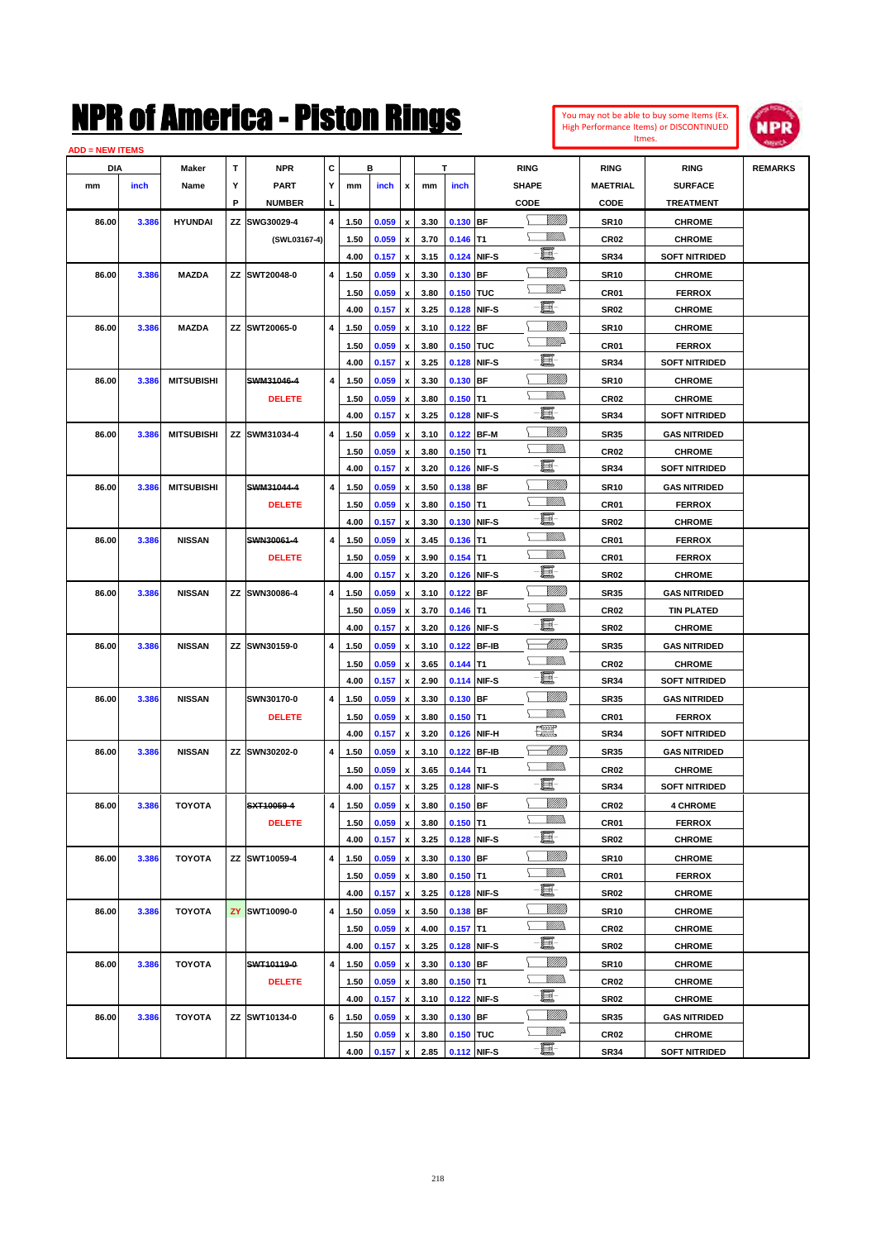#### **ADD = NEW ITEMS**



| DIA   |       | Maker             | Т  | <b>NPR</b>    | С |      | в       |                    |      | т           |             | <b>RING</b>    | <b>RING</b>      | <b>RING</b>          | <b>REMARKS</b> |
|-------|-------|-------------------|----|---------------|---|------|---------|--------------------|------|-------------|-------------|----------------|------------------|----------------------|----------------|
| mm    | inch  | Name              | Υ  | <b>PART</b>   | Y | mm   | inch    | x                  | mm   | inch        |             | <b>SHAPE</b>   | <b>MAETRIAL</b>  | <b>SURFACE</b>       |                |
|       |       |                   | P  | <b>NUMBER</b> |   |      |         |                    |      |             |             | CODE           | CODE             | <b>TREATMENT</b>     |                |
| 86.00 | 3.386 | <b>HYUNDAI</b>    | ZZ | SWG30029-4    | 4 | 1.50 | 0.059   | x                  | 3.30 | $0.130$ BF  |             | <u>VIIII</u> I | <b>SR10</b>      | <b>CHROME</b>        |                |
|       |       |                   |    | (SWL03167-4)  |   | 1.50 | 0.059   | x                  | 3.70 | $0.146$ T1  |             | <u>MMS</u>     | <b>CR02</b>      | <b>CHROME</b>        |                |
|       |       |                   |    |               |   | 4.00 | 0.157   | x                  | 3.15 | 0.124 NIF-S |             | E              | <b>SR34</b>      | <b>SOFT NITRIDED</b> |                |
| 86.00 | 3.386 | <b>MAZDA</b>      |    | ZZ SWT20048-0 | 4 | 1.50 | 0.059   | x                  | 3.30 | 0.130 BF    |             | <u>VMM</u>     | <b>SR10</b>      | <b>CHROME</b>        |                |
|       |       |                   |    |               |   | 1.50 | 0.059   | x                  | 3.80 | 0.150 TUC   |             | ₩₩             | CR <sub>01</sub> | <b>FERROX</b>        |                |
|       |       |                   |    |               |   | 4.00 | 0.157   | x                  | 3.25 |             | 0.128 NIF-S | E              | <b>SR02</b>      | <b>CHROME</b>        |                |
| 86.00 | 3.386 | <b>MAZDA</b>      |    | ZZ SWT20065-0 | 4 | 1.50 | 0.059   | x                  | 3.10 | $0.122$ BF  |             | <u>VMM</u>     | <b>SR10</b>      | <b>CHROME</b>        |                |
|       |       |                   |    |               |   | 1.50 | 0.059   | x                  | 3.80 | 0.150 TUC   |             | ₩₩             | CR <sub>01</sub> | <b>FERROX</b>        |                |
|       |       |                   |    |               |   | 4.00 | 0.157   | x                  | 3.25 |             | 0.128 NIF-S | E              | <b>SR34</b>      | <b>SOFT NITRIDED</b> |                |
| 86.00 | 3.386 | <b>MITSUBISHI</b> |    | SWM31046-4    | 4 | 1.50 | 0.059   | x                  | 3.30 | 0.130 BF    |             | <u>VMM</u>     | <b>SR10</b>      | <b>CHROME</b>        |                |
|       |       |                   |    | <b>DELETE</b> |   | 1.50 | 0.059   | x                  | 3.80 | $0.150$ T1  |             | <u>Willib</u>  | <b>CR02</b>      | <b>CHROME</b>        |                |
|       |       |                   |    |               |   | 4.00 | 0.157   | x                  | 3.25 |             | 0.128 NIF-S | E              | <b>SR34</b>      | <b>SOFT NITRIDED</b> |                |
| 86.00 | 3.386 | <b>MITSUBISHI</b> |    | ZZ SWM31034-4 | 4 | 1.50 | 0.059   | x                  | 3.10 | 0.122 BF-M  |             | <u>VMM</u>     | <b>SR35</b>      | <b>GAS NITRIDED</b>  |                |
|       |       |                   |    |               |   | 1.50 | 0.059   | x                  | 3.80 | $0.150$ T1  |             | <u>Willib</u>  | <b>CR02</b>      | <b>CHROME</b>        |                |
|       |       |                   |    |               |   | 4.00 | 0.157   | x                  | 3.20 |             | 0.126 NIF-S | E              | <b>SR34</b>      | <b>SOFT NITRIDED</b> |                |
| 86.00 | 3.386 | <b>MITSUBISHI</b> |    | SWM31044-4    | 4 | 1.50 | 0.059   | x                  | 3.50 | 0.138 BF    |             | <u>VMM</u>     | <b>SR10</b>      | <b>GAS NITRIDED</b>  |                |
|       |       |                   |    | <b>DELETE</b> |   | 1.50 | 0.059   | x                  | 3.80 | $0.150$ T1  |             | <u>Willib</u>  | CR <sub>01</sub> | <b>FERROX</b>        |                |
|       |       |                   |    |               |   | 4.00 | 0.157   | x                  | 3.30 | 0.130 NIF-S |             | E              | <b>SR02</b>      | <b>CHROME</b>        |                |
| 86.00 | 3.386 | <b>NISSAN</b>     |    | SWN30061-4    | 4 | 1.50 | 0.059   | x                  | 3.45 | $0.136$ T1  |             | <u>MMs</u>     | CR <sub>01</sub> | <b>FERROX</b>        |                |
|       |       |                   |    | <b>DELETE</b> |   | 1.50 | 0.059   | x                  | 3.90 | $0.154$ T1  |             | <u>Willib</u>  | CR01             | <b>FERROX</b>        |                |
|       |       |                   |    |               |   | 4.00 | 0.157   | x                  | 3.20 | 0.126 NIF-S |             | E              | <b>SR02</b>      | <b>CHROME</b>        |                |
| 86.00 | 3.386 | <b>NISSAN</b>     |    | ZZ SWN30086-4 | 4 | 1.50 | 0.059   | x                  | 3.10 | $0.122$ BF  |             | <u>VMM</u>     | <b>SR35</b>      | <b>GAS NITRIDED</b>  |                |
|       |       |                   |    |               |   | 1.50 | 0.059   | x                  | 3.70 | $0.146$ T1  |             | <u>Willib</u>  | <b>CR02</b>      | <b>TIN PLATED</b>    |                |
|       |       |                   |    |               |   | 4.00 | 0.157   | x                  | 3.20 | 0.126 NIF-S |             | E              | <b>SR02</b>      | <b>CHROME</b>        |                |
| 86.00 | 3.386 | <b>NISSAN</b>     |    | ZZ SWN30159-0 | 4 | 1.50 | 0.059   | x                  | 3.10 |             | 0.122 BF-IB | <u> Milli</u>  | <b>SR35</b>      | <b>GAS NITRIDED</b>  |                |
|       |       |                   |    |               |   | 1.50 | 0.059   | x                  | 3.65 | $0.144$ T1  |             | <u>Willib</u>  | <b>CR02</b>      | <b>CHROME</b>        |                |
|       |       |                   |    |               |   | 4.00 | 0.157   | x                  | 2.90 | 0.114 NIF-S |             | E              | <b>SR34</b>      | <b>SOFT NITRIDED</b> |                |
| 86.00 | 3.386 | <b>NISSAN</b>     |    | SWN30170-0    | 4 | 1.50 | 0.059   | x                  | 3.30 | 0.130 BF    |             | <u>VMM</u>     | <b>SR35</b>      | <b>GAS NITRIDED</b>  |                |
|       |       |                   |    | <b>DELETE</b> |   | 1.50 | 0.059   | x                  | 3.80 | $0.150$ T1  |             | <u>MMS</u>     | CR01             | <b>FERROX</b>        |                |
|       |       |                   |    |               |   | 4.00 | 0.157   | x                  | 3.20 |             | 0.126 NIF-H | <u>pony</u>    | <b>SR34</b>      | <b>SOFT NITRIDED</b> |                |
| 86.00 | 3.386 | <b>NISSAN</b>     |    | ZZ SWN30202-0 | 4 | 1.50 | 0.059   | x                  | 3.10 |             | 0.122 BF-IB | <u> Milli</u>  | <b>SR35</b>      | <b>GAS NITRIDED</b>  |                |
|       |       |                   |    |               |   | 1.50 | 0.059   | x                  | 3.65 | $0.144$ T1  |             | <u>Willib</u>  | <b>CR02</b>      | <b>CHROME</b>        |                |
|       |       |                   |    |               |   | 4.00 | 0.157   | x                  | 3.25 |             | 0.128 NIF-S | E              | <b>SR34</b>      | <b>SOFT NITRIDED</b> |                |
| 86.00 | 3.386 | <b>TOYOTA</b>     |    | SXT10059-4    | 4 | 1.50 | 0.059   | x                  | 3.80 | $0.150$ BF  |             | <u>VIIII)</u>  | <b>CR02</b>      | <b>4 CHROME</b>      |                |
|       |       |                   |    | <b>DELETE</b> |   | 1.50 | 0.059 x |                    | 3.80 | $0.150$ T1  |             | <u>UMB</u>     | CR01             | <b>FERROX</b>        |                |
|       |       |                   |    |               |   | 4.00 | 0.157   | $\pmb{\mathsf{x}}$ | 3.25 |             | 0.128 NIF-S | e.             | <b>SR02</b>      | <b>CHROME</b>        |                |
| 86.00 | 3.386 | <b>TOYOTA</b>     |    | ZZ SWT10059-4 | 4 | 1.50 | 0.059   | $\pmb{\mathsf{x}}$ | 3.30 | 0.130 BF    |             | <u>VIIII</u> ) | <b>SR10</b>      | <b>CHROME</b>        |                |
|       |       |                   |    |               |   | 1.50 | 0.059   | $\pmb{\mathsf{x}}$ | 3.80 | $0.150$ T1  |             |                | CR01             | <b>FERROX</b>        |                |
|       |       |                   |    |               |   | 4.00 | 0.157   | $\pmb{\mathsf{x}}$ | 3.25 |             | 0.128 NIF-S | e.             | <b>SR02</b>      | <b>CHROME</b>        |                |
| 86.00 | 3.386 | <b>TOYOTA</b>     |    | ZY SWT10090-0 | 4 | 1.50 | 0.059   | $\pmb{\mathsf{x}}$ | 3.50 | 0.138 BF    |             | <u>VIIII</u> ) | <b>SR10</b>      | <b>CHROME</b>        |                |
|       |       |                   |    |               |   | 1.50 | 0.059   | $\pmb{\mathsf{x}}$ | 4.00 | $0.157$ T1  |             |                | <b>CR02</b>      | <b>CHROME</b>        |                |
|       |       |                   |    |               |   | 4.00 | 0.157   | x                  | 3.25 |             | 0.128 NIF-S | $\blacksquare$ | <b>SR02</b>      | <b>CHROME</b>        |                |
| 86.00 | 3.386 | <b>TOYOTA</b>     |    | SWT10119-0    | 4 | 1.50 | 0.059   | $\pmb{\mathsf{x}}$ | 3.30 | 0.130 BF    |             | <u>VIIII</u> ) | <b>SR10</b>      | <b>CHROME</b>        |                |
|       |       |                   |    | <b>DELETE</b> |   | 1.50 | 0.059   | $\pmb{\mathsf{x}}$ | 3.80 | $0.150$ T1  |             |                | <b>CR02</b>      | <b>CHROME</b>        |                |
|       |       |                   |    |               |   | 4.00 | 0.157   | x                  | 3.10 |             | 0.122 NIF-S | e              | SR <sub>02</sub> | <b>CHROME</b>        |                |
| 86.00 | 3.386 | TOYOTA            |    | ZZ SWT10134-0 | 6 | 1.50 | 0.059   | $\pmb{\mathsf{x}}$ | 3.30 | $0.130$ BF  |             | <u>VIIII</u> ) | <b>SR35</b>      | <b>GAS NITRIDED</b>  |                |
|       |       |                   |    |               |   | 1.50 | 0.059   | $\pmb{\mathsf{x}}$ | 3.80 | 0.150 TUC   |             | <u>WW</u> A    | CR <sub>02</sub> | <b>CHROME</b>        |                |
|       |       |                   |    |               |   | 4.00 | 0.157   | x                  | 2.85 | 0.112 NIF-S |             | -8             | <b>SR34</b>      | <b>SOFT NITRIDED</b> |                |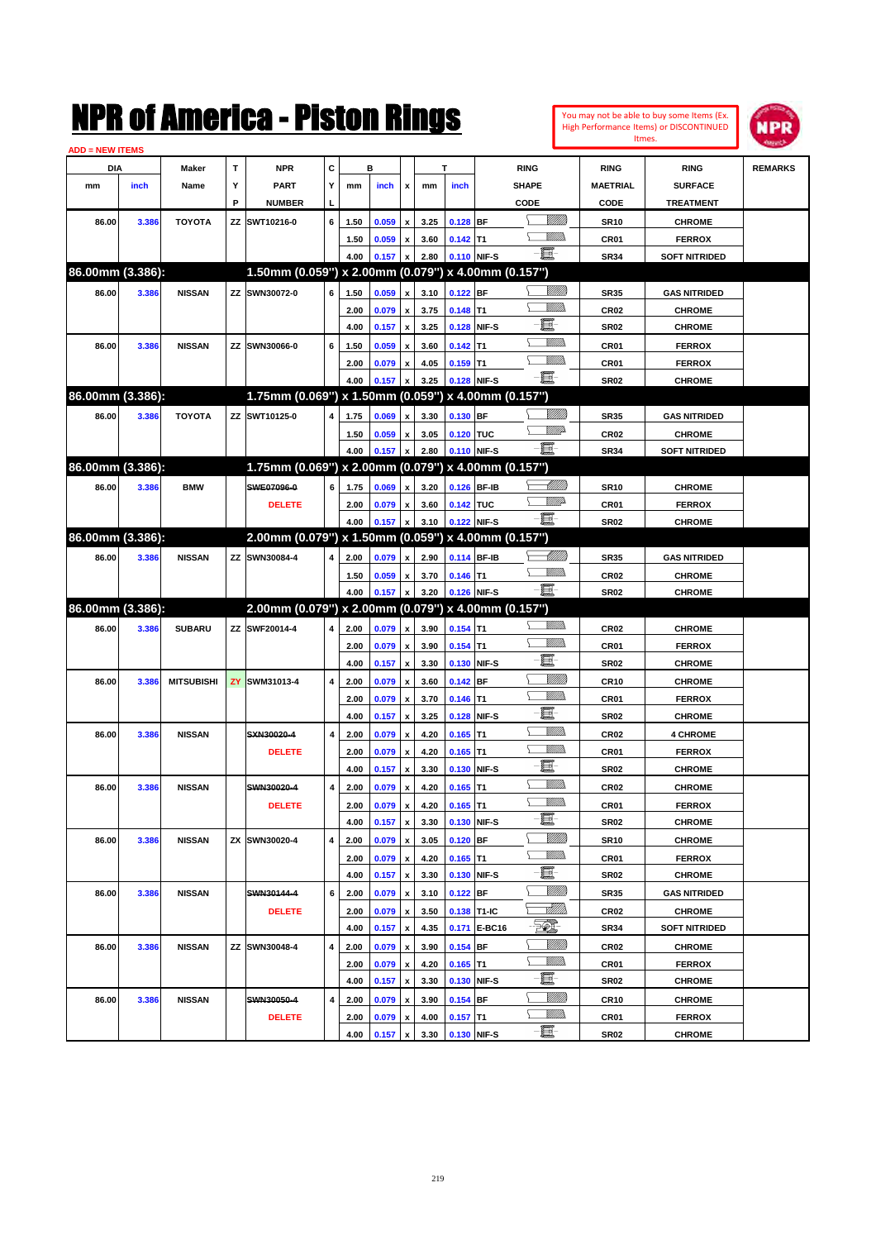|                               |       |                   |    | NMK OI AINCrica - Mislon Kings                      |   |              |                |                                          |              |                           |               |                 |                            | You may not be able to buy some Items (Ex.<br>High Performance Items) or DISCONTINUED<br>Itmes. | IPR            |
|-------------------------------|-------|-------------------|----|-----------------------------------------------------|---|--------------|----------------|------------------------------------------|--------------|---------------------------|---------------|-----------------|----------------------------|-------------------------------------------------------------------------------------------------|----------------|
| <b>ADD = NEW ITEMS</b><br>DIA |       | Maker             | T  | <b>NPR</b>                                          | c |              | в              |                                          |              | T                         | <b>RING</b>   |                 | <b>RING</b>                | <b>RING</b>                                                                                     | <b>REMARKS</b> |
| mm                            | inch  | Name              | Υ  | <b>PART</b>                                         | Y | mm           | inch           | x                                        | mm           | inch                      | <b>SHAPE</b>  |                 | <b>MAETRIAL</b>            | <b>SURFACE</b>                                                                                  |                |
|                               |       |                   | P  | <b>NUMBER</b>                                       |   |              |                |                                          |              |                           | CODE          |                 | CODE                       | <b>TREATMENT</b>                                                                                |                |
| 86.00                         | 3.386 | <b>TOYOTA</b>     | ΖZ | SWT10216-0                                          | 6 | 1.50         | 0.059          | $\pmb{\mathsf{x}}$                       | 3.25         | $0.128$ BF                |               | <u>VIIII)</u>   | <b>SR10</b>                | <b>CHROME</b>                                                                                   |                |
|                               |       |                   |    |                                                     |   | 1.50         | 0.059          | $\pmb{\mathsf{x}}$                       | 3.60         | $0.142$ T1                |               | VM))            | CR01                       | <b>FERROX</b>                                                                                   |                |
|                               |       |                   |    |                                                     |   | 4.00         | 0.157          | $\pmb{\mathsf{x}}$                       | 2.80         | 0.110 NIF-S               |               | E.              | <b>SR34</b>                | <b>SOFT NITRIDED</b>                                                                            |                |
| 86.00mm (3.386):              |       |                   |    | 1.50mm (0.059") x 2.00mm (0.079") x 4.00mm (0.157") |   |              |                |                                          |              |                           |               |                 |                            |                                                                                                 |                |
| 86.00                         | 3.386 | <b>NISSAN</b>     | ZZ | SWN30072-0                                          | 6 | 1.50         | 0.059          | $\pmb{\mathsf{x}}$                       | 3.10         | 0.122 BF                  |               | VIII))          | <b>SR35</b>                | <b>GAS NITRIDED</b>                                                                             |                |
|                               |       |                   |    |                                                     |   | 2.00         | 0.079          | $\pmb{\mathsf{x}}$                       | 3.75         | 0.148                     | lT1           | MM)             | <b>CR02</b>                | <b>CHROME</b>                                                                                   |                |
|                               |       |                   |    |                                                     |   | 4.00         | 0.157          | $\pmb{\mathsf{x}}$                       | 3.25         | 0.128                     | NIF-S         | E.              | <b>SR02</b>                | <b>CHROME</b>                                                                                   |                |
| 86.00                         | 3.386 | <b>NISSAN</b>     |    | ZZ SWN30066-0                                       | 6 | 1.50         | 0.059          | $\pmb{\mathsf{x}}$                       | 3.60         | 0.142                     | ΙT1           | .<br>VMD        | CR01                       | <b>FERROX</b>                                                                                   |                |
|                               |       |                   |    |                                                     |   | 2.00         | 0.079          | $\pmb{\mathsf{x}}$                       | 4.05         | $0.159$ T1                |               | .<br>VMD        | CR01                       | <b>FERROX</b>                                                                                   |                |
|                               |       |                   |    |                                                     |   | 4.00         | 0.157          | x                                        | 3.25         | 0.128                     | NIF-S         | $-\mathbf{H}$ - | <b>SR02</b>                | <b>CHROME</b>                                                                                   |                |
| 86.00mm (3.386):              |       |                   |    | 1.75mm (0.069") x 1.50mm (0.059") x 4.00mm (0.157") |   |              |                |                                          |              |                           |               |                 |                            |                                                                                                 |                |
| 86.00                         | 3.386 | <b>TOYOTA</b>     |    | ZZ SWT10125-0                                       | 4 | 1.75         | 0.069          | $\pmb{\mathsf{x}}$                       | 3.30         | 0.130 BF                  |               | VIII))          | <b>SR35</b>                | <b>GAS NITRIDED</b>                                                                             |                |
|                               |       |                   |    |                                                     |   | 1.50         | 0.059          | $\pmb{\mathsf{x}}$                       | 3.05         | 0.120 TUC                 |               | <u>MM</u> D     | <b>CR02</b>                | <b>CHROME</b>                                                                                   |                |
|                               |       |                   |    |                                                     |   | 4.00         | 0.157          | $\pmb{\mathsf{x}}$                       | 2.80         | 0.110 NIF-S               |               | E.              | <b>SR34</b>                | <b>SOFT NITRIDED</b>                                                                            |                |
| 86.00mm (3.386):              |       |                   |    | 1.75mm (0.069") x 2.00mm (0.079") x 4.00mm (0.157") |   |              |                |                                          |              |                           |               |                 |                            |                                                                                                 |                |
| 86.00                         | 3.386 | <b>BMW</b>        |    | SWE07096-0                                          | 6 |              | 0.069          |                                          | 3.20         | 0.126 BF-IB               |               | <u>UMB</u>      |                            | <b>CHROME</b>                                                                                   |                |
|                               |       |                   |    |                                                     |   | 1.75         |                | $\pmb{\mathsf{x}}$                       | 3.60         | 0.142 TUC                 |               | <u>MM</u> D     | <b>SR10</b><br>CR01        | <b>FERROX</b>                                                                                   |                |
|                               |       |                   |    | <b>DELETE</b>                                       |   | 2.00<br>4.00 | 0.079<br>0.157 | $\pmb{\mathsf{x}}$<br>$\boldsymbol{x}$   | 3.10         | 0.122 NIF-S               |               | E               | <b>SR02</b>                |                                                                                                 |                |
| 86.00mm (3.386):              |       |                   |    | 2.00mm (0.079") x 1.50mm (0.059") x 4.00mm (0.157") |   |              |                |                                          |              |                           |               |                 |                            | <b>CHROME</b>                                                                                   |                |
|                               |       |                   | ZZ | SWN30084-4                                          | 4 |              |                |                                          |              | 0.114 BF-IB               |               |                 |                            |                                                                                                 |                |
| 86.00                         | 3.386 | <b>NISSAN</b>     |    |                                                     |   | 2.00         | 0.079          | $\pmb{\mathsf{x}}$                       | 2.90         |                           |               | .<br>VMD        | SR35                       | <b>GAS NITRIDED</b>                                                                             |                |
|                               |       |                   |    |                                                     |   | 1.50<br>4.00 | 0.059<br>0.157 | $\pmb{\mathsf{x}}$<br>$\pmb{\mathsf{x}}$ | 3.70<br>3.20 | $0.146$ T1<br>0.126 NIF-S |               | e et            | <b>CR02</b><br><b>SR02</b> | <b>CHROME</b>                                                                                   |                |
| 86.00mm (3.386):              |       |                   |    | 2.00mm (0.079") x 2.00mm (0.079") x 4.00mm (0.157") |   |              |                |                                          |              |                           |               |                 |                            | <b>CHROME</b>                                                                                   |                |
| 86.00                         | 3.386 | <b>SUBARU</b>     |    | ZZ SWF20014-4                                       | 4 | 2.00         | 0.079          | $\pmb{\mathsf{x}}$                       | 3.90         | $0.154$ T1                |               | <br>Mar         | CR <sub>02</sub>           | <b>CHROME</b>                                                                                   |                |
|                               |       |                   |    |                                                     |   | 2.00         | 0.079          | $\pmb{\mathsf{x}}$                       | 3.90         | $0.154$ T1                |               | .<br>VMD        | CR01                       | <b>FERROX</b>                                                                                   |                |
|                               |       |                   |    |                                                     |   | 4.00         | 0.157          | $\pmb{\mathsf{x}}$                       | 3.30         | 0.130                     | NIF-S         | E               | <b>SR02</b>                | <b>CHROME</b>                                                                                   |                |
| 86.00                         | 3.386 | <b>MITSUBISHI</b> | ZY | SWM31013-4                                          | 4 | 2.00         | 0.079          | $\pmb{\mathsf{x}}$                       | 3.60         | 0.142                     | <b>BF</b>     | <u>Milli</u> k  | <b>CR10</b>                | <b>CHROME</b>                                                                                   |                |
|                               |       |                   |    |                                                     |   | 2.00         | 0.079          | $\pmb{\mathsf{x}}$                       | 3.70         | 0.146                     | T1            | UM))            | CR01                       | <b>FERROX</b>                                                                                   |                |
|                               |       |                   |    |                                                     |   | 4.00         | 0.157          | $\boldsymbol{\mathsf{x}}$                | 3.25         | 0.128                     | NIF-S         | E.              | <b>SR02</b>                | <b>CHROME</b>                                                                                   |                |
|                               |       |                   |    | SXN30020-4                                          | 4 |              | 0.079          |                                          |              | $0.165$ T1                |               | VM))            | <b>CR02</b>                | <b>4 CHROME</b>                                                                                 |                |
| 86.00                         | 3.386 | <b>NISSAN</b>     |    |                                                     |   | 2.00         |                | $\pmb{\mathsf{x}}$                       | 4.20         | $0.165$ T1                |               | MM)             | CR01                       |                                                                                                 |                |
|                               |       |                   |    | <b>DELETE</b>                                       |   | 2.00<br>4.00 | 0.079<br>0.157 | $\pmb{\mathsf{x}}$<br>$\mathbf{x}$       | 4.20<br>3.30 | 0.130 NIF-S               |               | e.              | <b>SR02</b>                | <b>FERROX</b><br><b>CHROME</b>                                                                  |                |
|                               |       |                   |    | SWN30020-4                                          |   |              |                |                                          |              | $0.165$ T1                | Υ             | <u>Willib</u>   |                            |                                                                                                 |                |
| 86.00                         | 3.386 | <b>NISSAN</b>     |    |                                                     | 4 | 2.00         | 0.079<br>0.079 | $\pmb{\mathsf{x}}$                       | 4.20         | $0.165$ T1                |               | <u>Willib</u>   | CR02<br>CR01               | <b>CHROME</b><br><b>FERROX</b>                                                                  |                |
|                               |       |                   |    | <b>DELETE</b>                                       |   | 2.00<br>4.00 |                | $\pmb{\mathsf{x}}$<br>$\pmb{\mathsf{x}}$ | 4.20         | 0.130 NIF-S               |               | e.              | SR02                       | <b>CHROME</b>                                                                                   |                |
|                               |       |                   |    | <b>ZX SWN30020-4</b>                                | 4 |              | 0.157          |                                          | 3.30         |                           |               | <u>VMM</u>      |                            |                                                                                                 |                |
| 86.00                         | 3.386 | <b>NISSAN</b>     |    |                                                     |   | 2.00         | 0.079          | $\pmb{\mathsf{x}}$                       | 3.05         | $0.120$ BF                |               | <u>Willib</u>   | SR10                       | <b>CHROME</b>                                                                                   |                |
|                               |       |                   |    |                                                     |   | 2.00         | 0.079          | $\pmb{\mathsf{x}}$                       | 4.20         | $0.165$ T1                |               | e.              | CR01                       | <b>FERROX</b>                                                                                   |                |
|                               |       |                   |    |                                                     |   | 4.00         | 0.157          | $\boldsymbol{\mathsf{x}}$                | 3.30         |                           | 0.130 NIF-S   | <u>Milli</u>    | SR02                       | <b>CHROME</b>                                                                                   |                |
| 86.00                         | 3.386 | <b>NISSAN</b>     |    | SWN30144-4                                          | 6 | 2.00         | 0.079          | $\pmb{\mathsf{x}}$                       | 3.10         | $0.122$ BF                |               | <u> MM)</u>     | SR35                       | <b>GAS NITRIDED</b>                                                                             |                |
|                               |       |                   |    | <b>DELETE</b>                                       |   | 2.00         | 0.079          | $\pmb{\mathsf{x}}$                       | 3.50         | 0.138 T1-IC               |               | EQ,             | CR02                       | <b>CHROME</b>                                                                                   |                |
|                               |       |                   |    |                                                     |   | 4.00         | 0.157          | $\pmb{\mathsf{x}}$                       | 4.35         | 0.171                     | <b>E-BC16</b> | <u>Milli</u> h  | SR34                       | <b>SOFT NITRIDED</b>                                                                            |                |
| 86.00                         | 3.386 | <b>NISSAN</b>     |    | ZZ SWN30048-4                                       | 4 | 2.00         | 0.079          | $\pmb{\mathsf{x}}$                       | 3.90         | $0.154$ BF                |               | <u>Willib</u>   | CR02                       | <b>CHROME</b>                                                                                   |                |
|                               |       |                   |    |                                                     |   | 2.00         | 0.079          | $\pmb{\mathsf{x}}$                       | 4.20         | $0.165$ T1                |               | e.              | CR01                       | <b>FERROX</b>                                                                                   |                |
|                               |       |                   |    |                                                     |   | 4.00         | 0.157          | X                                        | 3.30         |                           | 0.130 NIF-S   | <u>VIIII)</u>   | SR02                       | <b>CHROME</b>                                                                                   |                |
| 86.00                         | 3.386 | <b>NISSAN</b>     |    | SWN30050-4                                          | 4 | 2.00         | 0.079          | $\pmb{\mathsf{x}}$                       | 3.90         | $0.154$ BF                |               | <u>Willib</u>   | <b>CR10</b>                | <b>CHROME</b>                                                                                   |                |
|                               |       |                   |    | <b>DELETE</b>                                       |   | 2.00         | 0.079          | x                                        | 4.00         | $0.157$ T1                |               | e.              | CR01                       | <b>FERROX</b>                                                                                   |                |
|                               |       |                   |    |                                                     |   | 4.00         | 0.157          | $\mathbf{x}$                             | 3.30         | 0.130 NIF-S               |               |                 | SR02                       | <b>CHROME</b>                                                                                   |                |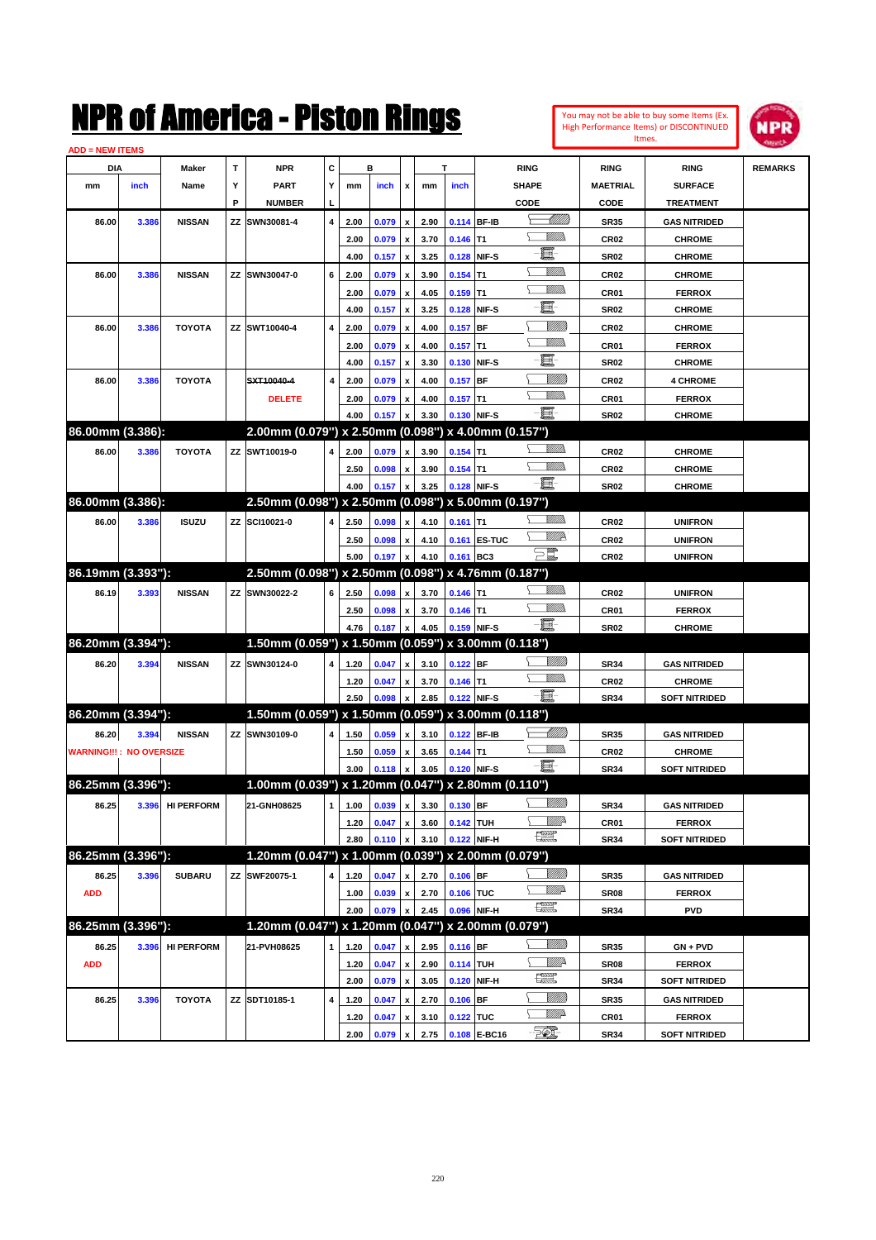| You may not be able to buy some Items (Ex.     |
|------------------------------------------------|
| <b>High Performance Items) or DISCONTINUED</b> |
| Itmes.                                         |



| <b>ADD = NEW ITEMS</b>         |       |                        |    |                                                     |                |      |                                |                           |      |             |                 |                                |                  |                      |                |
|--------------------------------|-------|------------------------|----|-----------------------------------------------------|----------------|------|--------------------------------|---------------------------|------|-------------|-----------------|--------------------------------|------------------|----------------------|----------------|
| DIA                            |       | Maker                  | т  | <b>NPR</b>                                          | c              |      | в                              |                           |      | т           |                 | <b>RING</b>                    | <b>RING</b>      | <b>RING</b>          | <b>REMARKS</b> |
| mm                             | inch  | Name                   | Y  | <b>PART</b>                                         | Υ              | mm   | inch                           | $\boldsymbol{\mathsf{x}}$ | mm   | inch        |                 | <b>SHAPE</b>                   | <b>MAETRIAL</b>  | <b>SURFACE</b>       |                |
|                                |       |                        | P  | <b>NUMBER</b>                                       |                |      |                                |                           |      |             |                 | CODE                           | CODE             | <b>TREATMENT</b>     |                |
| 86.00                          | 3.386 | <b>NISSAN</b>          | ΖZ | SWN30081-4                                          | $\overline{4}$ | 2.00 | 0.079                          | $\boldsymbol{\mathsf{x}}$ | 2.90 |             | 0.114 BF-IB     | <u> Millitti</u>               | <b>SR35</b>      | <b>GAS NITRIDED</b>  |                |
|                                |       |                        |    |                                                     |                | 2.00 | 0.079                          | $\pmb{\mathsf{x}}$        | 3.70 | $0.146$ T1  |                 | <u>Willib</u>                  | <b>CR02</b>      | <b>CHROME</b>        |                |
|                                |       |                        |    |                                                     |                | 4.00 | 0.157                          | $\boldsymbol{\mathsf{x}}$ | 3.25 | 0.128       | NIF-S           | e.                             | <b>SR02</b>      | <b>CHROME</b>        |                |
| 86.00                          | 3.386 | <b>NISSAN</b>          |    | ZZ SWN30047-0                                       | 6              | 2.00 | 0.079                          | $\pmb{\mathsf{x}}$        | 3.90 | $0.154$ T1  |                 | <u>Willib</u>                  | CR <sub>02</sub> | <b>CHROME</b>        |                |
|                                |       |                        |    |                                                     |                | 2.00 | 0.079                          | $\boldsymbol{\mathsf{x}}$ | 4.05 | 0.159       | T <sub>1</sub>  | <u>Willib</u>                  | CR <sub>01</sub> | <b>FERROX</b>        |                |
|                                |       |                        |    |                                                     |                | 4.00 | 0.157                          | $\boldsymbol{\mathsf{x}}$ | 3.25 | 0.128       | NIF-S           | ·bi                            | <b>SR02</b>      | <b>CHROME</b>        |                |
| 86.00                          | 3.386 | <b>TOYOTA</b>          |    | ZZ SWT10040-4                                       | $\overline{4}$ | 2.00 | 0.079                          | $\pmb{\mathsf{x}}$        | 4.00 | 0.157       | <b>BF</b>       | VIIII)                         | CR <sub>02</sub> | <b>CHROME</b>        |                |
|                                |       |                        |    |                                                     |                | 2.00 | 0.079                          | $\boldsymbol{\mathsf{x}}$ | 4.00 | 0.157       | T1              | VM).                           | CR <sub>01</sub> | <b>FERROX</b>        |                |
|                                |       |                        |    |                                                     |                | 4.00 | 0.157                          | $\boldsymbol{\mathsf{x}}$ | 3.30 | 0.130       | NIF-S           | <b>- 夏</b> -                   | <b>SR02</b>      | <b>CHROME</b>        |                |
| 86.00                          | 3.386 | <b>TOYOTA</b>          |    | SXT10040-4                                          | 4              | 2.00 | 0.079                          | $\boldsymbol{\mathsf{x}}$ | 4.00 | 0.157       | <b>BF</b>       | VIIII)                         | CR <sub>02</sub> | <b>4 CHROME</b>      |                |
|                                |       |                        |    | <b>DELETE</b>                                       |                | 2.00 | 0.079                          | $\pmb{\mathsf{x}}$        | 4.00 | $0.157$ T1  |                 | <u>Willib</u>                  | CR <sub>01</sub> | <b>FERROX</b>        |                |
|                                |       |                        |    |                                                     |                | 4.00 | 0.157                          |                           | 3.30 | 0.130       | NIF-S           | -8                             | <b>SR02</b>      | <b>CHROME</b>        |                |
| 86.00mm (3.386):               |       |                        |    | 2.00mm (0.079") x 2.50mm (0.098") x 4.00mm (0.157") |                |      |                                |                           |      |             |                 |                                |                  |                      |                |
|                                |       | <b>TOYOTA</b>          |    |                                                     |                |      |                                |                           |      |             |                 | <u>Willib</u>                  |                  |                      |                |
| 86.00                          | 3.386 |                        |    | ZZ SWT10019-0                                       |                | 2.00 | 0.079                          | $\boldsymbol{\mathsf{x}}$ | 3.90 | $0.154$ T1  |                 | <u>Willib</u>                  | CR <sub>02</sub> | <b>CHROME</b>        |                |
|                                |       |                        |    |                                                     |                | 2.50 | 0.098                          | $\pmb{\mathsf{x}}$        | 3.90 | $0.154$ T1  |                 | $-\blacksquare$ -              | CR <sub>02</sub> | <b>CHROME</b>        |                |
| 86.00mm (3.386):               |       |                        |    | 2.50mm (0.098") x 2.50mm (0.098") x 5.00mm (0.197") |                | 4.00 | 0.157                          |                           | 3.25 | 0.128       | NIF-S           |                                | <b>SR02</b>      | <b>CHROME</b>        |                |
|                                |       |                        |    |                                                     |                |      |                                |                           |      |             |                 | <u>Willib</u>                  |                  |                      |                |
| 86.00                          | 3.386 | <b>ISUZU</b>           |    | ZZ SCI10021-0                                       |                | 2.50 | 0.098                          | $\boldsymbol{\mathsf{x}}$ | 4.10 | 0.161       | IT <sub>1</sub> | <u>VMR</u>                     | CR <sub>02</sub> | <b>UNIFRON</b>       |                |
|                                |       |                        |    |                                                     |                | 2.50 | 0.098                          | $\pmb{\mathsf{x}}$        | 4.10 | 0.161       | <b>ES-TUC</b>   | $\Xi^{\!\!\#}$                 | <b>CR02</b>      | <b>UNIFRON</b>       |                |
|                                |       |                        |    |                                                     |                | 5.00 | 0.197                          |                           | 4.10 | 0.161       | BC <sub>3</sub> |                                | <b>CR02</b>      | <b>UNIFRON</b>       |                |
| 86.19mm (3.393"):              |       |                        |    | 2.50mm (0.098") x 2.50mm (0.098") x 4.76mm (0.187") |                |      |                                |                           |      |             |                 | \ <i>\\\\\\\\\\</i> }          |                  |                      |                |
| 86.19                          | 3.393 | <b>NISSAN</b>          |    | ZZ SWN30022-2                                       | 6              | 2.50 | 0.098                          | $\pmb{\mathsf{x}}$        | 3.70 | $0.146$ T1  |                 | <u>Willib</u>                  | CR <sub>02</sub> | <b>UNIFRON</b>       |                |
|                                |       |                        |    |                                                     |                | 2.50 | 0.098                          | $\pmb{\mathsf{x}}$        | 3.70 | $0.146$ T1  |                 | -8                             | CR01             | <b>FERROX</b>        |                |
|                                |       |                        |    |                                                     |                | 4.76 | 0.187                          |                           | 4.05 | 0.159       | NIF-S           |                                | <b>SR02</b>      | <b>CHROME</b>        |                |
| 86.20mm (3.394"):              |       |                        |    | 1.50mm (0.059") x 1.50mm (0.059") x 3.00mm (0.118") |                |      |                                |                           |      |             |                 |                                |                  |                      |                |
| 86.20                          | 3.394 | <b>NISSAN</b>          |    | ZZ SWN30124-0                                       |                | 1.20 | 0.047                          | $\pmb{\mathsf{x}}$        | 3.10 | $0.122$ BF  |                 | <u>Millid</u><br><u>Willib</u> | <b>SR34</b>      | <b>GAS NITRIDED</b>  |                |
|                                |       |                        |    |                                                     |                | 1.20 | 0.047                          | $\pmb{\mathsf{x}}$        | 3.70 | $0.146$ T1  |                 | -日                             | CR <sub>02</sub> | <b>CHROME</b>        |                |
|                                |       |                        |    |                                                     |                | 2.50 | 0.098                          |                           | 2.85 | 0.122       | NIF-S           |                                | <b>SR34</b>      | <b>SOFT NITRIDED</b> |                |
| 86.20mm (3.394"):              |       |                        |    | 1.50mm (0.059") x 1.50mm (0.059") x 3.00mm (0.118") |                |      |                                |                           |      |             |                 |                                |                  |                      |                |
| 86.20                          | 3.394 | <b>NISSAN</b>          |    | ZZ SWN30109-0                                       |                | 1.50 | 0.059                          | $\boldsymbol{\mathsf{x}}$ | 3.10 | 0.122 BF-IB |                 |                                | <b>SR35</b>      | <b>GAS NITRIDED</b>  |                |
| <b>WARNING!!!: NO OVERSIZE</b> |       |                        |    |                                                     |                | 1.50 | 0.059                          | x                         | 3.65 | $0.144$ T1  |                 | <u>Willib</u>                  | <b>CR02</b>      | <b>CHROME</b>        |                |
|                                |       |                        |    |                                                     |                | 3.00 | 0.118                          | $\boldsymbol{x}$          | 3.05 | 0.120       | NIF-S           | $-\blacksquare$                | <b>SR34</b>      | <b>SOFT NITRIDED</b> |                |
| 86.25mm (3.396"):              |       |                        |    | 1.00mm (0.039") x 1.20mm (0.047") x 2.80mm (0.110") |                |      |                                |                           |      |             |                 |                                |                  |                      |                |
|                                |       | 86.25 3.396 HI PERFORM |    | 21-GNH08625                                         |                |      | $1$ 1.00 0.039 x 3.30 0.130 BF |                           |      |             |                 | <u>UMB</u>                     | SR34             | <b>GAS NITRIDED</b>  |                |
|                                |       |                        |    |                                                     |                | 1.20 | 0.047                          | $\,$ $\,$ $\,$            | 3.60 | $0.142$ TUH |                 | <u>— Willi</u> r               | CR01             | <b>FERROX</b>        |                |
|                                |       |                        |    |                                                     |                | 2.80 | 0.110                          |                           | 3.10 |             | 0.122 NIF-H     | $f_{\rm max}^{\rm exp}$        | <b>SR34</b>      | <b>SOFT NITRIDED</b> |                |
| 86.25mm (3.396"):              |       |                        |    | 1.20mm (0.047") x 1.00mm (0.039") x 2.00mm (0.079") |                |      |                                |                           |      |             |                 |                                |                  |                      |                |
| 86.25                          | 3.396 | <b>SUBARU</b>          |    | ZZ SWF20075-1                                       |                | 1.20 | 0.047                          | $\pmb{\mathsf{x}}$        | 2.70 | $0.106$ BF  |                 | <u>Millib</u>                  | <b>SR35</b>      | <b>GAS NITRIDED</b>  |                |
| <b>ADD</b>                     |       |                        |    |                                                     |                | 1.00 | 0.039                          | $\pmb{\mathsf{x}}$        | 2.70 | 0.106 TUC   |                 | <u>Willi</u> da                | SR <sub>08</sub> | <b>FERROX</b>        |                |
|                                |       |                        |    |                                                     |                | 2.00 | 0.079                          |                           | 2.45 | 0.096       | NIF-H           | $f_{\text{max}}^{\text{max}}$  | <b>SR34</b>      | <b>PVD</b>           |                |
| 86.25mm (3.396"):              |       |                        |    | 1.20mm (0.047") x 1.20mm (0.047") x 2.00mm (0.079") |                |      |                                |                           |      |             |                 |                                |                  |                      |                |
| 86.25                          | 3.396 | <b>HI PERFORM</b>      |    | 21-PVH08625                                         | 1              | 1.20 | 0.047                          | $\pmb{\mathsf{x}}$        | 2.95 | 0.116 BF    |                 | <u>Millid</u>                  | <b>SR35</b>      | GN + PVD             |                |
| <b>ADD</b>                     |       |                        |    |                                                     |                | 1.20 | 0.047                          | $\pmb{\mathsf{x}}$        | 2.90 | 0.114 TUH   |                 | Willip                         | SR <sub>08</sub> | <b>FERROX</b>        |                |
|                                |       |                        |    |                                                     |                | 2.00 | 0.079                          | $\boldsymbol{\mathsf{x}}$ | 3.05 |             | 0.120 NIF-H     | æ                              | <b>SR34</b>      | <b>SOFT NITRIDED</b> |                |
| 86.25                          | 3.396 | <b>TOYOTA</b>          |    | ZZ SDT10185-1                                       | 4              | 1.20 | 0.047                          | x                         | 2.70 | 0.106 BF    |                 | <u>MMB</u>                     | <b>SR35</b>      | <b>GAS NITRIDED</b>  |                |
|                                |       |                        |    |                                                     |                | 1.20 | 0.047                          | $\pmb{\mathsf{x}}$        | 3.10 | 0.122 TUC   |                 | <u>VM</u> A                    | CR <sub>01</sub> | <b>FERROX</b>        |                |
|                                |       |                        |    |                                                     |                | 2.00 | 0.079                          | $\pmb{\mathsf{x}}$        | 2.75 |             | 0.108 E-BC16    | - 50),                         | <b>SR34</b>      | <b>SOFT NITRIDED</b> |                |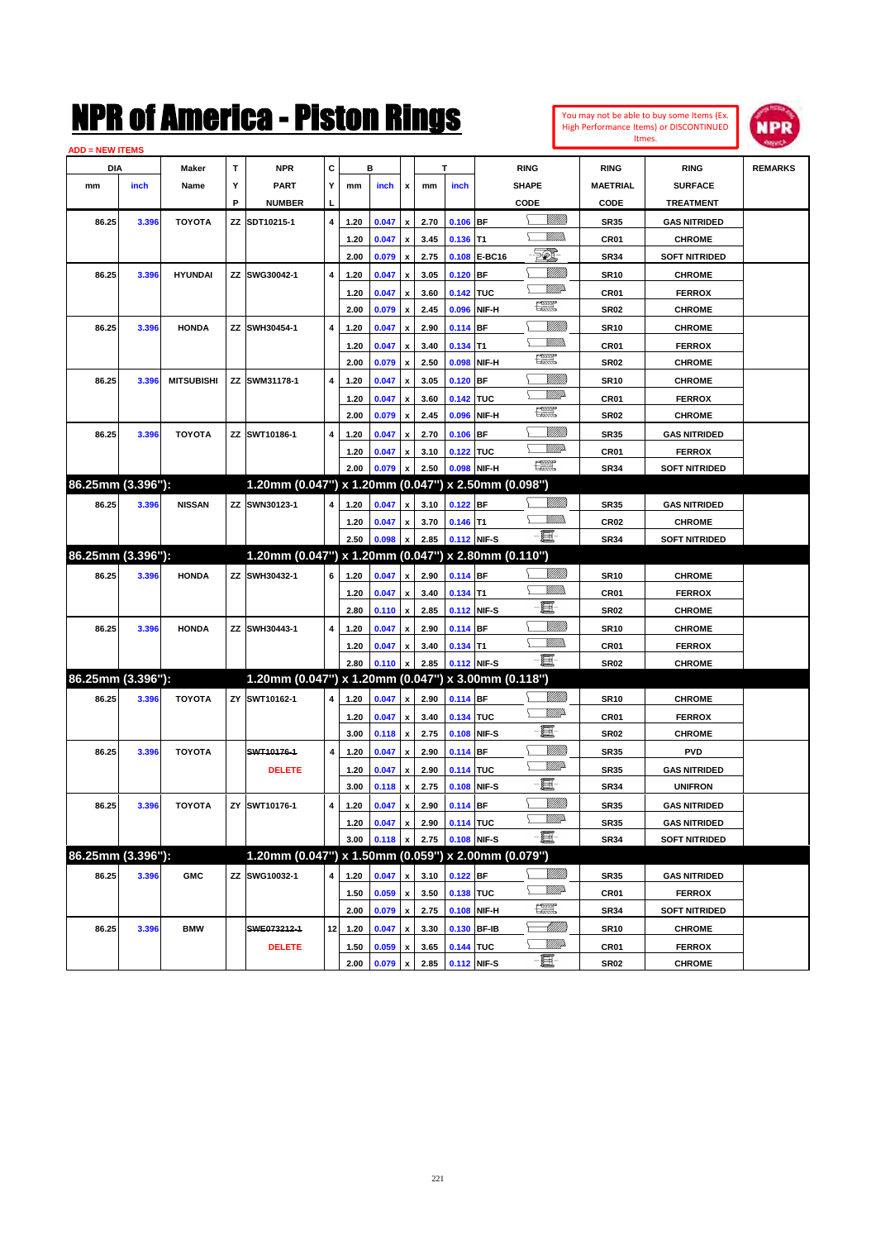

| <b>ADD = NEW ITEMS</b> |       |                   |    |                                                     |                         |      |       |                           |      |            |              |                              |                  |                      |                |
|------------------------|-------|-------------------|----|-----------------------------------------------------|-------------------------|------|-------|---------------------------|------|------------|--------------|------------------------------|------------------|----------------------|----------------|
| DIA                    |       | Maker             | Т  | <b>NPR</b>                                          | С                       |      | в     |                           |      | Т          |              | <b>RING</b>                  | <b>RING</b>      | <b>RING</b>          | <b>REMARKS</b> |
| mm                     | inch  | Name              | Υ  | <b>PART</b>                                         | Y                       | mm   | inch  | x                         | mm   | inch       |              | <b>SHAPE</b>                 | <b>MAETRIAL</b>  | <b>SURFACE</b>       |                |
|                        |       |                   | P  | <b>NUMBER</b>                                       |                         |      |       |                           |      |            |              | CODE                         | CODE             | <b>TREATMENT</b>     |                |
| 86.25                  | 3.396 | <b>TOYOTA</b>     | ΖZ | SDT10215-1                                          | 4                       | 1.20 | 0.047 | x                         | 2.70 | $0.106$ BF |              |                              | <b>SR35</b>      | <b>GAS NITRIDED</b>  |                |
|                        |       |                   |    |                                                     |                         | 1.20 | 0.047 | x                         | 3.45 | $0.136$ T1 |              | <u>Millis</u>                | CR01             | <b>CHROME</b>        |                |
|                        |       |                   |    |                                                     |                         | 2.00 | 0.079 | x                         | 2.75 |            | 0.108 E-BC16 | FØ.                          | <b>SR34</b>      | <b>SOFT NITRIDED</b> |                |
| 86.25                  | 3.396 | <b>HYUNDAI</b>    |    | ZZ SWG30042-1                                       | 4                       | 1.20 | 0.047 | x                         | 3.05 | $0.120$ BF |              | <u>VIIII)</u>                | <b>SR10</b>      | <b>CHROME</b>        |                |
|                        |       |                   |    |                                                     |                         | 1.20 | 0.047 | x                         | 3.60 | 0.142 TUC  |              | <u>VMD</u>                   | CR01             | <b>FERROX</b>        |                |
|                        |       |                   |    |                                                     |                         | 2.00 | 0.079 | x                         | 2.45 |            | 0.096 NIF-H  | $f_{\rm max}^{\rm exp}$      | <b>SR02</b>      | <b>CHROME</b>        |                |
| 86.25                  | 3.396 | <b>HONDA</b>      |    | ZZ SWH30454-1                                       | 4                       | 1.20 | 0.047 | x                         | 2.90 | $0.114$ BF |              | <u>VIIII)</u>                | <b>SR10</b>      | <b>CHROME</b>        |                |
|                        |       |                   |    |                                                     |                         | 1.20 | 0.047 | x                         | 3.40 | $0.134$ T1 |              | Willib                       | CR01             | <b>FERROX</b>        |                |
|                        |       |                   |    |                                                     |                         | 2.00 | 0.079 | x                         | 2.50 |            | 0.098 NIF-H  | $\frac{1}{2}$                | <b>SR02</b>      | <b>CHROME</b>        |                |
|                        |       | <b>MITSUBISHI</b> |    | ZZ SWM31178-1                                       | 4                       | 1.20 |       |                           |      |            | <b>BF</b>    | <u>Millit</u>                |                  |                      |                |
| 86.25                  | 3.396 |                   |    |                                                     |                         |      | 0.047 | x                         | 3.05 | 0.120      |              | <u>VMD</u>                   | <b>SR10</b>      | <b>CHROME</b>        |                |
|                        |       |                   |    |                                                     |                         | 1.20 | 0.047 | x                         | 3.60 | 0.142 TUC  |              | æ                            | CR01             | <b>FERROX</b>        |                |
|                        |       |                   |    |                                                     |                         | 2.00 | 0.079 | x                         | 2.45 |            | 0.096 NIF-H  | <u>VIIII)</u>                | <b>SR02</b>      | <b>CHROME</b>        |                |
| 86.25                  | 3.396 | <b>TOYOTA</b>     |    | ZZ SWT10186-1                                       | 4                       | 1.20 | 0.047 |                           | 2.70 | 0.106      | <b>BF</b>    | <u>VMD</u>                   | <b>SR35</b>      | <b>GAS NITRIDED</b>  |                |
|                        |       |                   |    |                                                     |                         | 1.20 | 0.047 | x                         | 3.10 | 0.122 TUC  |              | $f_{\rm max}^{\rm exp}$      | CR01             | <b>FERROX</b>        |                |
| 86.25mm (3.396"):      |       |                   |    | 1.20mm (0.047") x 1.20mm (0.047") x 2.50mm (0.098") |                         | 2.00 | 0.079 |                           | 2.50 |            | 0.098 NIF-H  |                              | <b>SR34</b>      | <b>SOFT NITRIDED</b> |                |
|                        |       |                   |    |                                                     |                         |      |       |                           |      |            |              |                              |                  |                      |                |
| 86.25                  | 3.396 | <b>NISSAN</b>     |    | ZZ SWN30123-1                                       | 4                       | 1.20 | 0.047 | x                         | 3.10 | $0.122$ BF |              | <u>Milli</u> b<br><u>MMs</u> | <b>SR35</b>      | <b>GAS NITRIDED</b>  |                |
|                        |       |                   |    |                                                     |                         | 1.20 | 0.047 |                           | 3.70 | $0.146$ T1 |              | -8                           | CR <sub>02</sub> | <b>CHROME</b>        |                |
|                        |       |                   |    |                                                     |                         | 2.50 | 0.098 | x                         | 2.85 |            | 0.112 NIF-S  |                              | <b>SR34</b>      | <b>SOFT NITRIDED</b> |                |
| 86.25mm (3.396"):      |       |                   |    | 1.20mm (0.047") x 1.20mm (0.047") x 2.80mm (0.110") |                         |      |       |                           |      |            |              |                              |                  |                      |                |
| 86.25                  | 3.396 | <b>HONDA</b>      |    | ZZ SWH30432-1                                       | 6                       | 1.20 | 0.047 | $\mathbf{x}$              | 2.90 | 0.114 BF   |              | <u>Milli</u> b               | <b>SR10</b>      | <b>CHROME</b>        |                |
|                        |       |                   |    |                                                     |                         | 1.20 | 0.047 | x                         | 3.40 | $0.134$ T1 |              | <u>Millis</u>                | CR01             | <b>FERROX</b>        |                |
|                        |       |                   |    |                                                     |                         | 2.80 | 0.110 | x                         | 2.85 |            | 0.112 NIF-S  | e                            | <b>SR02</b>      | <b>CHROME</b>        |                |
| 86.25                  | 3.396 | <b>HONDA</b>      |    | ZZ SWH30443-1                                       | 4                       | 1.20 | 0.047 | x                         | 2.90 | $0.114$ BF |              | <u>VIIII</u> )               | <b>SR10</b>      | <b>CHROME</b>        |                |
|                        |       |                   |    |                                                     |                         | 1.20 | 0.047 | x                         | 3.40 | $0.134$ T1 |              | <u>MMs</u>                   | CR01             | <b>FERROX</b>        |                |
|                        |       |                   |    |                                                     |                         | 2.80 | 0.110 |                           | 2.85 |            | 0.112 NIF-S  | -8                           | <b>SR02</b>      | <b>CHROME</b>        |                |
| 86.25mm (3.396"):      |       |                   |    | 1.20mm (0.047") x 1.20mm (0.047") x 3.00mm (0.118") |                         |      |       |                           |      |            |              |                              |                  |                      |                |
| 86.25                  | 3.396 | <b>TOYOTA</b>     |    | ZY SWT10162-1                                       | 4                       | 1.20 | 0.047 | x                         | 2.90 | $0.114$ BF |              | <u>Milli</u> b               | <b>SR10</b>      | <b>CHROME</b>        |                |
|                        |       |                   |    |                                                     |                         | 1.20 | 0.047 | x                         | 3.40 | 0.134 TUC  |              | <u>VMD</u>                   | CR01             | <b>FERROX</b>        |                |
|                        |       |                   |    |                                                     |                         | 3.00 | 0.118 | x                         | 2.75 |            | 0.108 NIF-S  | e                            | <b>SR02</b>      | <b>CHROME</b>        |                |
| 86.25                  | 3.396 | <b>TOYOTA</b>     |    | SWT10176-1                                          | 4                       | 1.20 | 0.047 | x                         | 2.90 | $0.114$ BF |              | <u>VIIII)</u>                | <b>SR35</b>      | <b>PVD</b>           |                |
|                        |       |                   |    | <b>DELETE</b>                                       |                         | 1.20 | 0.047 | x                         | 2.90 | 0.114 TUC  |              | <u>VMD</u>                   | <b>SR35</b>      | <b>GAS NITRIDED</b>  |                |
|                        |       |                   |    |                                                     |                         | 3.00 | 0.118 | x                         | 2.75 |            | 0.108 NIF-S  | e                            | <b>SR34</b>      | <b>UNIFRON</b>       |                |
| 86.25                  | 3.396 | <b>TOYOTA</b>     |    | ZY SWT10176-1                                       | $\overline{\mathbf{4}}$ | 1.20 | 0.047 | $\mathbf{x}$              | 2.90 | $0.114$ BF |              | <u>VIIII)</u>                | <b>SR35</b>      | <b>GAS NITRIDED</b>  |                |
|                        |       |                   |    |                                                     |                         | 1.20 | 0.047 | x                         | 2.90 | 0.114 TUC  |              | <u>VM</u> A                  | <b>SR35</b>      | <b>GAS NITRIDED</b>  |                |
|                        |       |                   |    |                                                     |                         | 3.00 | 0.118 | x                         | 2.75 |            | 0.108 NIF-S  | -8                           | <b>SR34</b>      | <b>SOFT NITRIDED</b> |                |
| 86.25mm (3.396"):      |       |                   |    | 1.20mm (0.047") x 1.50mm (0.059") x 2.00mm (0.079") |                         |      |       |                           |      |            |              |                              |                  |                      |                |
| 86.25                  | 3.396 | <b>GMC</b>        |    | ZZ SWG10032-1                                       | 4                       | 1.20 | 0.047 | x                         | 3.10 | $0.122$ BF |              | <u>Milli</u> b               | <b>SR35</b>      | <b>GAS NITRIDED</b>  |                |
|                        |       |                   |    |                                                     |                         | 1.50 | 0.059 | $\pmb{\mathsf{x}}$        | 3.50 | 0.138 TUC  |              | <u>VMP</u>                   | CR01             | <b>FERROX</b>        |                |
|                        |       |                   |    |                                                     |                         | 2.00 | 0.079 | $\pmb{\mathsf{x}}$        | 2.75 |            | 0.108 NIF-H  | $\mathbb{R}$                 | <b>SR34</b>      | <b>SOFT NITRIDED</b> |                |
| 86.25                  | 3.396 | <b>BMW</b>        |    | SWE073212-1                                         | 12                      | 1.20 | 0.047 | $\boldsymbol{\mathsf{x}}$ | 3.30 |            | 0.130 BF-IB  | <u>- Milli</u> lli           | <b>SR10</b>      | <b>CHROME</b>        |                |
|                        |       |                   |    | <b>DELETE</b>                                       |                         | 1.50 | 0.059 | x                         | 3.65 | 0.144 TUC  |              | <u>Willi</u> p               | CR01             | <b>FERROX</b>        |                |
|                        |       |                   |    |                                                     |                         | 2.00 | 0.079 | x                         | 2.85 |            | 0.112 NIF-S  |                              | <b>SR02</b>      | <b>CHROME</b>        |                |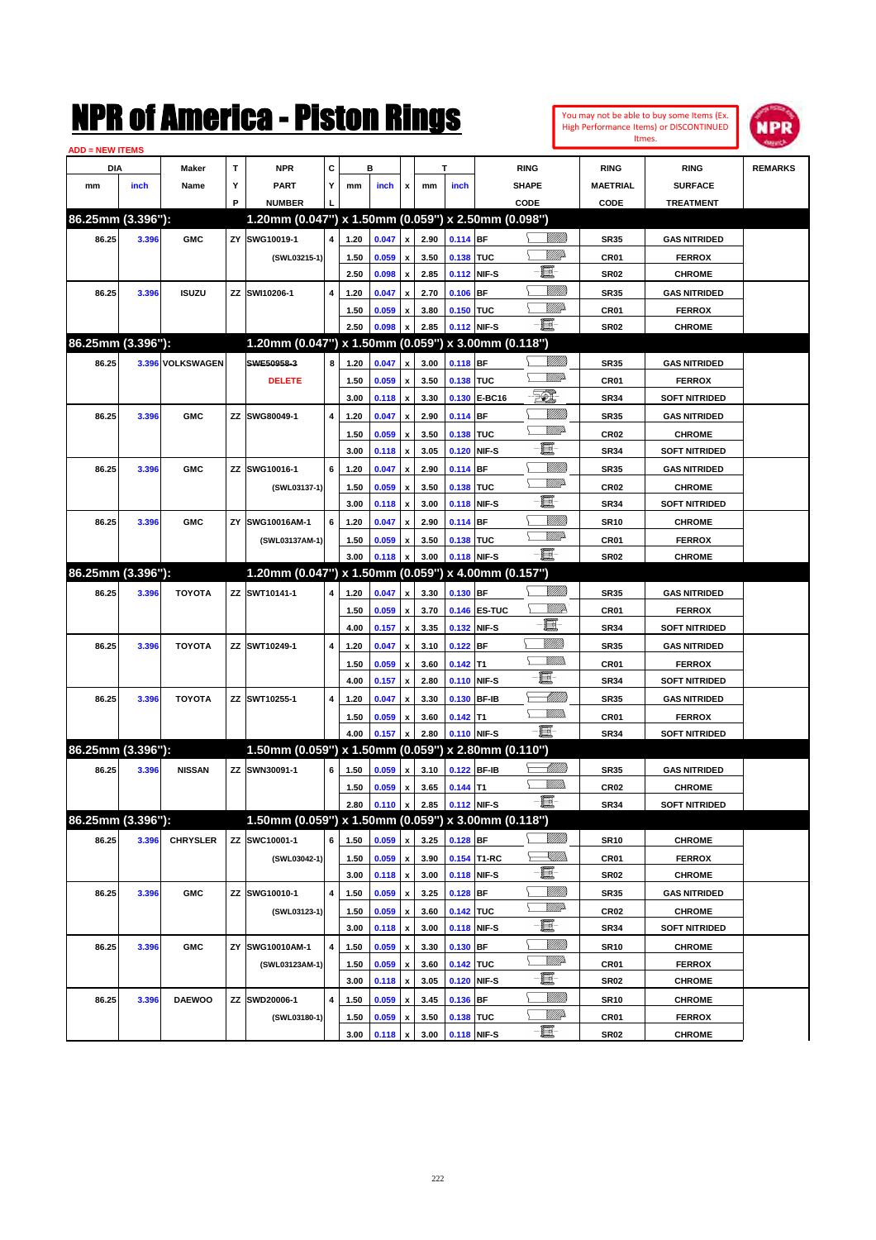| You may not be able to buy some Items (Ex. |
|--------------------------------------------|
| High Performance Items) or DISCONTINUED    |
| Itmes.                                     |



| <b>ADD = NEW ITEMS</b> |       |                  |    |                                                     |                         |      |       |                           |      |             |              |                |                  |                      |                |
|------------------------|-------|------------------|----|-----------------------------------------------------|-------------------------|------|-------|---------------------------|------|-------------|--------------|----------------|------------------|----------------------|----------------|
| DIA                    |       | <b>Maker</b>     | T  | <b>NPR</b>                                          | С                       |      | в     |                           |      | T           |              | <b>RING</b>    | <b>RING</b>      | <b>RING</b>          | <b>REMARKS</b> |
| mm                     | inch  | Name             | Υ  | <b>PART</b>                                         | Υ                       | mm   | inch  | x                         | mm   | inch        |              | <b>SHAPE</b>   | <b>MAETRIAL</b>  | <b>SURFACE</b>       |                |
|                        |       |                  | P  | <b>NUMBER</b>                                       |                         |      |       |                           |      |             |              | CODE           | CODE             | <b>TREATMENT</b>     |                |
| 86.25mm (3.396"):      |       |                  |    | 1.20mm (0.047") x 1.50mm (0.059") x 2.50mm (0.098") |                         |      |       |                           |      |             |              |                |                  |                      |                |
| 86.25                  | 3.396 | <b>GMC</b>       | ZY | SWG10019-1                                          | $\overline{\mathbf{4}}$ | 1.20 | 0.047 | $\pmb{\mathsf{x}}$        | 2.90 | 0.114 BF    |              | <u>UMB</u>     | <b>SR35</b>      | <b>GAS NITRIDED</b>  |                |
|                        |       |                  |    | (SWL03215-1)                                        |                         | 1.50 | 0.059 | $\pmb{\mathsf{x}}$        | 3.50 | 0.138 TUC   |              | <u>VIII)</u>   | CR01             | <b>FERROX</b>        |                |
|                        |       |                  |    |                                                     |                         | 2.50 | 0.098 | $\pmb{\mathsf{x}}$        | 2.85 |             | 0.112 NIF-S  | e.             | <b>SR02</b>      | <b>CHROME</b>        |                |
| 86.25                  | 3.396 | <b>ISUZU</b>     | ΖZ | SWI10206-1                                          | 4                       | 1.20 | 0.047 | x                         | 2.70 | $0.106$ BF  |              | 7777))         | <b>SR35</b>      | <b>GAS NITRIDED</b>  |                |
|                        |       |                  |    |                                                     |                         | 1.50 | 0.059 | x                         | 3.80 | 0.150 TUC   |              | <u>MMP</u>     | CR01             | <b>FERROX</b>        |                |
|                        |       |                  |    |                                                     |                         | 2.50 | 0.098 | x                         | 2.85 |             | 0.112 NIF-S  | -8             | <b>SR02</b>      | <b>CHROME</b>        |                |
| 86.25mm (3.396"):      |       |                  |    | 1.20mm (0.047") x 1.50mm (0.059") x 3.00mm (0.118") |                         |      |       |                           |      |             |              |                |                  |                      |                |
| 86.25                  |       | 3.396 VOLKSWAGEN |    | SWE50958-3                                          | 8                       | 1.20 | 0.047 | x                         | 3.00 | $0.118$ BF  |              |                | <b>SR35</b>      | <b>GAS NITRIDED</b>  |                |
|                        |       |                  |    | <b>DELETE</b>                                       |                         | 1.50 | 0.059 | $\pmb{\mathsf{x}}$        | 3.50 | 0.138 TUC   |              | <u>VMD</u>     | CR01             | <b>FERROX</b>        |                |
|                        |       |                  |    |                                                     |                         | 3.00 | 0.118 | $\pmb{\mathsf{x}}$        | 3.30 |             | 0.130 E-BC16 | EO)            | <b>SR34</b>      | <b>SOFT NITRIDED</b> |                |
| 86.25                  | 3.396 | <b>GMC</b>       |    | ZZ SWG80049-1                                       | $\overline{4}$          | 1.20 | 0.047 | x                         | 2.90 | $0.114$ BF  |              |                | <b>SR35</b>      | <b>GAS NITRIDED</b>  |                |
|                        |       |                  |    |                                                     |                         | 1.50 | 0.059 | $\pmb{\mathsf{x}}$        | 3.50 | 0.138 TUC   |              | <u>VMD</u>     | <b>CR02</b>      | <b>CHROME</b>        |                |
|                        |       |                  |    |                                                     |                         | 3.00 | 0.118 | $\boldsymbol{\mathsf{x}}$ | 3.05 |             | 0.120 NIF-S  | e.             | <b>SR34</b>      | <b>SOFT NITRIDED</b> |                |
| 86.25                  | 3.396 | <b>GMC</b>       |    | ZZ SWG10016-1                                       | 6                       | 1.20 | 0.047 | x                         | 2.90 | $0.114$ BF  |              | VIII))         | <b>SR35</b>      | <b>GAS NITRIDED</b>  |                |
|                        |       |                  |    | (SWL03137-1)                                        |                         | 1.50 | 0.059 | x                         | 3.50 | 0.138 TUC   |              | <u>VMD</u>     | <b>CR02</b>      | <b>CHROME</b>        |                |
|                        |       |                  |    |                                                     |                         | 3.00 | 0.118 | $\pmb{\mathsf{x}}$        | 3.00 |             | 0.118 NIF-S  | e.             | <b>SR34</b>      | <b>SOFT NITRIDED</b> |                |
| 86.25                  | 3.396 | <b>GMC</b>       | ZY | SWG10016AM-1                                        | 6                       | 1.20 | 0.047 | x                         | 2.90 | $0.114$ BF  |              | <u>Milli</u> k | <b>SR10</b>      | <b>CHROME</b>        |                |
|                        |       |                  |    | (SWL03137AM-1)                                      |                         | 1.50 | 0.059 | x                         | 3.50 | 0.138 TUC   |              | <u>VMD</u>     | CR01             | <b>FERROX</b>        |                |
|                        |       |                  |    |                                                     |                         | 3.00 | 0.118 | $\pmb{\mathsf{x}}$        | 3.00 |             | 0.118 NIF-S  | -8             | <b>SR02</b>      | <b>CHROME</b>        |                |
| 86.25mm (3.396"):      |       |                  |    | 1.20mm (0.047") x 1.50mm (0.059") x 4.00mm (0.157") |                         |      |       |                           |      |             |              |                |                  |                      |                |
| 86.25                  | 3.396 | <b>TOYOTA</b>    |    | ZZ SWT10141-1                                       | 4                       | 1.20 | 0.047 | x                         | 3.30 | 0.130 BF    |              | VIII))         | <b>SR35</b>      | <b>GAS NITRIDED</b>  |                |
|                        |       |                  |    |                                                     |                         | 1.50 | 0.059 | x                         | 3.70 |             | 0.146 ES-TUC | <u>MMR</u>     | CR01             | <b>FERROX</b>        |                |
|                        |       |                  |    |                                                     |                         | 4.00 | 0.157 | $\pmb{\mathsf{x}}$        | 3.35 |             | 0.132 NIF-S  | E              | <b>SR34</b>      | <b>SOFT NITRIDED</b> |                |
| 86.25                  | 3.396 | <b>TOYOTA</b>    |    | ZZ SWT10249-1                                       | 4                       | 1.20 | 0.047 | x                         | 3.10 | $0.122$ BF  |              | <u>MMM</u>     | <b>SR35</b>      | <b>GAS NITRIDED</b>  |                |
|                        |       |                  |    |                                                     |                         | 1.50 | 0.059 | x                         | 3.60 | $0.142$ T1  |              | <br>Militar    | CR01             | <b>FERROX</b>        |                |
|                        |       |                  |    |                                                     |                         | 4.00 | 0.157 | $\pmb{\mathsf{x}}$        | 2.80 |             | 0.110 NIF-S  | e              | <b>SR34</b>      | <b>SOFT NITRIDED</b> |                |
| 86.25                  | 3.396 | <b>TOYOTA</b>    |    | ZZ SWT10255-1                                       | 4                       | 1.20 | 0.047 | x                         | 3.30 |             | 0.130 BF-IB  | MMB            | <b>SR35</b>      | <b>GAS NITRIDED</b>  |                |
|                        |       |                  |    |                                                     |                         | 1.50 | 0.059 | x                         | 3.60 | $0.142$ T1  |              | .<br>VMD       | CR01             | <b>FERROX</b>        |                |
|                        |       |                  |    |                                                     |                         | 4.00 | 0.157 | $\pmb{\mathsf{x}}$        | 2.80 |             | 0.110 NIF-S  | - 8            | <b>SR34</b>      | <b>SOFT NITRIDED</b> |                |
| 86.25mm (3.396"):      |       |                  |    | 1.50mm (0.059") x 1.50mm (0.059") x 2.80mm (0.110") |                         |      |       |                           |      |             |              |                |                  |                      |                |
| 86.25                  | 3.396 | <b>NISSAN</b>    |    | ZZ SWN30091-1                                       | 6                       | 1.50 | 0.059 | x                         | 3.10 |             | 0.122 BF-IB  | <u>UMB</u>     | <b>SR35</b>      | <b>GAS NITRIDED</b>  |                |
|                        |       |                  |    |                                                     |                         | 1.50 | 0.059 | $\pmb{\mathsf{x}}$        | 3.65 | $0.144$ T1  |              |                | <b>CR02</b>      | <b>CHROME</b>        |                |
|                        |       |                  |    |                                                     |                         | 2.80 | 0.110 | $\pmb{\mathsf{x}}$        | 2.85 | 0.112 NIF-S |              | - 1            | SR34             | <b>SOFT NITRIDED</b> |                |
| 86.25mm (3.396"):      |       |                  |    | 1.50mm (0.059") x 1.50mm (0.059") x 3.00mm (0.118") |                         |      |       |                           |      |             |              |                |                  |                      |                |
| 86.25                  | 3.396 | <b>CHRYSLER</b>  |    | ZZ SWC10001-1                                       | 6                       | 1.50 | 0.059 | x                         | 3.25 | $0.128$ BF  |              | <u>MMM</u>     | <b>SR10</b>      | <b>CHROME</b>        |                |
|                        |       |                  |    | (SWL03042-1)                                        |                         | 1.50 | 0.059 | $\pmb{\mathsf{x}}$        | 3.90 |             | 0.154 T1-RC  | <u>Sillin</u>  | CR01             | <b>FERROX</b>        |                |
|                        |       |                  |    |                                                     |                         | 3.00 | 0.118 | $\pmb{\mathsf{x}}$        | 3.00 |             | 0.118 NIF-S  | e.             | SR02             | <b>CHROME</b>        |                |
| 86.25                  | 3.396 | <b>GMC</b>       |    | ZZ SWG10010-1                                       | 4                       | 1.50 | 0.059 | $\pmb{\mathsf{x}}$        | 3.25 | $0.128$ BF  |              | <u>VIIII</u> ) | SR35             | <b>GAS NITRIDED</b>  |                |
|                        |       |                  |    | (SWL03123-1)                                        |                         | 1.50 | 0.059 | $\pmb{\mathsf{x}}$        | 3.60 | 0.142 TUC   |              | ₩₩             | CR <sub>02</sub> | <b>CHROME</b>        |                |
|                        |       |                  |    |                                                     |                         | 3.00 | 0.118 | $\pmb{\mathsf{x}}$        | 3.00 |             | 0.118 NIF-S  | e.             | SR34             | <b>SOFT NITRIDED</b> |                |
| 86.25                  | 3.396 | <b>GMC</b>       | ΖY | SWG10010AM-1                                        | $\pmb{4}$               | 1.50 | 0.059 | x                         | 3.30 | $0.130$ BF  |              | <u>VIIII</u> ) | <b>SR10</b>      | <b>CHROME</b>        |                |
|                        |       |                  |    | (SWL03123AM-1)                                      |                         | 1.50 | 0.059 | x                         | 3.60 | 0.142 TUC   |              | ₩₩             | CR01             | <b>FERROX</b>        |                |
|                        |       |                  |    |                                                     |                         | 3.00 | 0.118 | $\pmb{\mathsf{x}}$        | 3.05 |             | 0.120 NIF-S  | e              | SR02             | <b>CHROME</b>        |                |
| 86.25                  | 3.396 | <b>DAEWOO</b>    |    | ZZ SWD20006-1                                       | $\pmb{4}$               | 1.50 | 0.059 | $\pmb{\mathsf{x}}$        | 3.45 | $0.136$ BF  |              | <u>MMM</u>     | <b>SR10</b>      | <b>CHROME</b>        |                |
|                        |       |                  |    | (SWL03180-1)                                        |                         | 1.50 | 0.059 | x                         | 3.50 | 0.138 TUC   |              | <u>Willi</u> b | CR01             | <b>FERROX</b>        |                |
|                        |       |                  |    |                                                     |                         | 3.00 | 0.118 | $\pmb{\mathsf{x}}$        | 3.00 |             | 0.118 NIF-S  | -e             | SR02             | <b>CHROME</b>        |                |
|                        |       |                  |    |                                                     |                         |      |       |                           |      |             |              |                |                  |                      |                |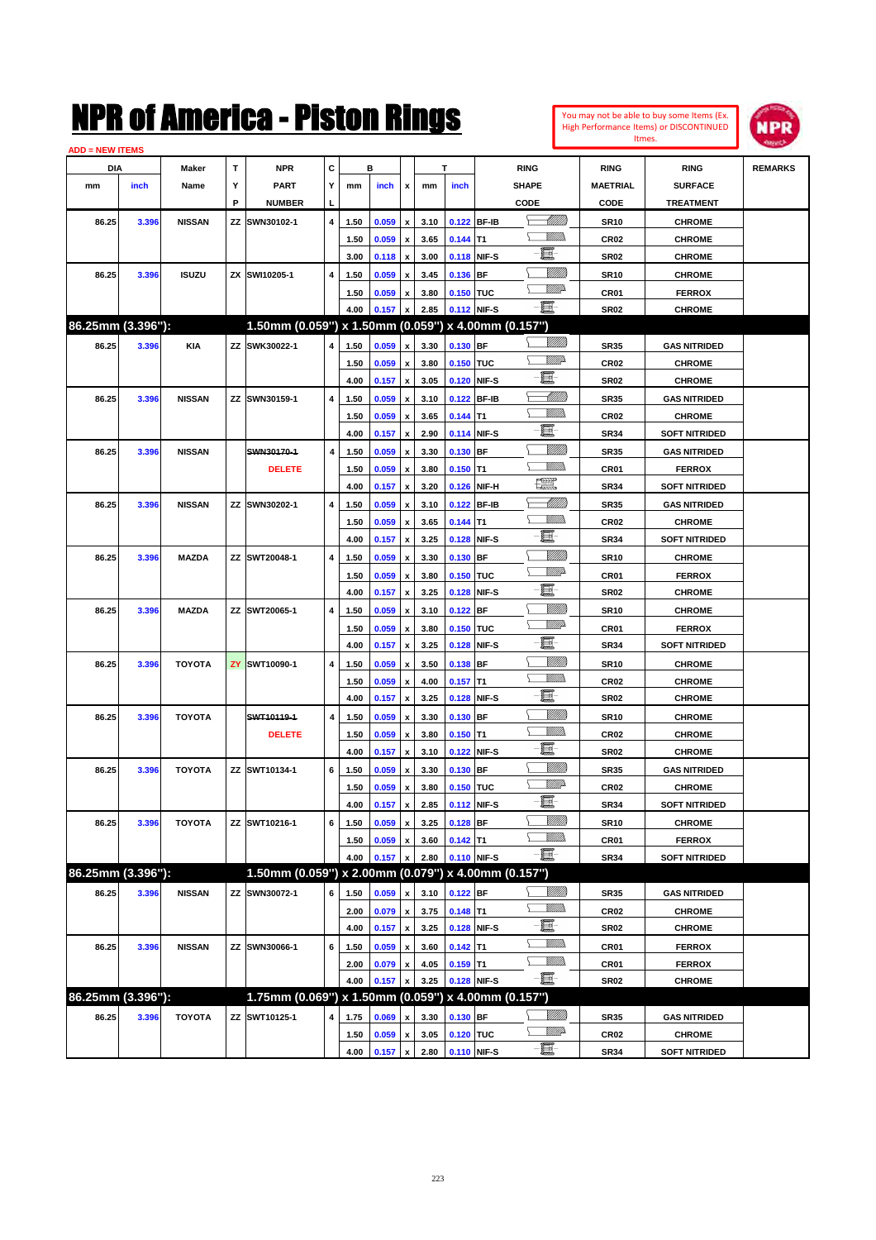| <b>ADD = NEW ITEMS</b> |       |               |   |                                                     |                |      |                |                           |              |                  |             |                                                                                                                                                                                                                                 |                            |                                       |                |
|------------------------|-------|---------------|---|-----------------------------------------------------|----------------|------|----------------|---------------------------|--------------|------------------|-------------|---------------------------------------------------------------------------------------------------------------------------------------------------------------------------------------------------------------------------------|----------------------------|---------------------------------------|----------------|
| DIA                    |       | Maker         | T | <b>NPR</b>                                          | C              |      | в              |                           |              | T.               |             | <b>RING</b>                                                                                                                                                                                                                     | <b>RING</b>                | <b>RING</b>                           | <b>REMARKS</b> |
| mm                     | inch  | Name          | Y | <b>PART</b>                                         | Y              | mm   | inch           | x                         | mm           | inch             |             | <b>SHAPE</b>                                                                                                                                                                                                                    | <b>MAETRIAL</b>            | <b>SURFACE</b>                        |                |
|                        |       |               | P | <b>NUMBER</b>                                       | L              |      |                |                           |              |                  |             | CODE                                                                                                                                                                                                                            | CODE                       | <b>TREATMENT</b>                      |                |
| 86.25                  | 3.396 | <b>NISSAN</b> |   | ZZ SWN30102-1                                       | 4              | 1.50 | 0.059          | x                         | 3.10         |                  | 0.122 BF-IB | <u> Millito</u>                                                                                                                                                                                                                 | <b>SR10</b>                | <b>CHROME</b>                         |                |
|                        |       |               |   |                                                     |                | 1.50 | 0.059          | $\pmb{\mathsf{x}}$        | 3.65         | $0.144$ T1       |             | <u>Willib</u>                                                                                                                                                                                                                   | CR <sub>02</sub>           | <b>CHROME</b>                         |                |
|                        |       |               |   |                                                     |                | 3.00 | 0.118          | $\pmb{\mathsf{x}}$        | 3.00         |                  | 0.118 NIF-S | E.                                                                                                                                                                                                                              | <b>SR02</b>                | <b>CHROME</b>                         |                |
| 86.25                  | 3.396 | <b>ISUZU</b>  |   | ZX SWI10205-1                                       | $\overline{4}$ | 1.50 | 0.059          | $\boldsymbol{\mathsf{x}}$ | 3.45         | 0.136 BF         |             | <u>VIIII</u> )                                                                                                                                                                                                                  | <b>SR10</b>                | <b>CHROME</b>                         |                |
|                        |       |               |   |                                                     |                | 1.50 | 0.059          | x                         | 3.80         | 0.150 TUC        |             | ₩₩                                                                                                                                                                                                                              | CR01                       | <b>FERROX</b>                         |                |
|                        |       |               |   |                                                     |                | 4.00 | 0.157          | x                         | 2.85         | 0.112 NIF-S      |             | -日                                                                                                                                                                                                                              | <b>SR02</b>                | <b>CHROME</b>                         |                |
| 86.25mm (3.396"):      |       |               |   | 1.50mm (0.059") x 1.50mm (0.059") x 4.00mm (0.157") |                |      |                |                           |              |                  |             |                                                                                                                                                                                                                                 |                            |                                       |                |
| 86.25                  | 3.396 | KIA           |   | ZZ SWK30022-1                                       | 4              | 1.50 | 0.059          | $\pmb{\mathsf{x}}$        | 3.30         | 0.130 BF         |             | <u>Willib</u>                                                                                                                                                                                                                   | <b>SR35</b>                | <b>GAS NITRIDED</b>                   |                |
|                        |       |               |   |                                                     |                | 1.50 | 0.059          | $\pmb{\mathsf{x}}$        | 3.80         | 0.150 TUC        |             | <u>Willia</u>                                                                                                                                                                                                                   | CR <sub>02</sub>           | <b>CHROME</b>                         |                |
|                        |       |               |   |                                                     |                | 4.00 | 0.157          | $\pmb{\mathsf{x}}$        | 3.05         | 0.120 NIF-S      |             | e.                                                                                                                                                                                                                              | <b>SR02</b>                | <b>CHROME</b>                         |                |
| 86.25                  | 3.396 | <b>NISSAN</b> |   | ZZ SWN30159-1                                       | $\overline{4}$ | 1.50 | 0.059          | $\mathbf{x}$              | 3.10         |                  | 0.122 BF-IB | <u>-1777)</u>                                                                                                                                                                                                                   | <b>SR35</b>                | <b>GAS NITRIDED</b>                   |                |
|                        |       |               |   |                                                     |                | 1.50 | 0.059          | $\pmb{\mathsf{x}}$        | 3.65         | $0.144$ T1       |             | <u>Willib</u>                                                                                                                                                                                                                   | CR <sub>02</sub>           | <b>CHROME</b>                         |                |
|                        |       |               |   |                                                     |                | 4.00 | 0.157          | x                         | 2.90         | 0.114 NIF-S      |             | $\blacksquare$                                                                                                                                                                                                                  | <b>SR34</b>                | <b>SOFT NITRIDED</b>                  |                |
| 86.25                  | 3.396 | <b>NISSAN</b> |   | SWN30170-1                                          | 4              | 1.50 | 0.059          | $\boldsymbol{\mathsf{x}}$ | 3.30         | 0.130 BF         |             | <u>VIIII</u> )                                                                                                                                                                                                                  | <b>SR35</b>                | <b>GAS NITRIDED</b>                   |                |
|                        |       |               |   | <b>DELETE</b>                                       |                | 1.50 | 0.059          | x                         | 3.80         | $0.150$ T1       |             | <u>Willib</u>                                                                                                                                                                                                                   | CR01                       | <b>FERROX</b>                         |                |
|                        |       |               |   |                                                     |                | 4.00 | 0.157          | $\pmb{\mathsf{x}}$        | 3.20         | 0.126 NIF-H      |             | 篇                                                                                                                                                                                                                               | <b>SR34</b>                | <b>SOFT NITRIDED</b>                  |                |
| 86.25                  |       | <b>NISSAN</b> |   | ZZ SWN30202-1                                       | $\overline{4}$ | 1.50 | 0.059          | $\boldsymbol{\mathsf{x}}$ | 3.10         |                  | 0.122 BF-IB |                                                                                                                                                                                                                                 | <b>SR35</b>                | <b>GAS NITRIDED</b>                   |                |
|                        | 3.396 |               |   |                                                     |                | 1.50 |                |                           |              | $0.144$ T1       |             | <u>Millida</u>                                                                                                                                                                                                                  |                            |                                       |                |
|                        |       |               |   |                                                     |                | 4.00 | 0.059<br>0.157 | x<br>$\pmb{\mathsf{x}}$   | 3.65<br>3.25 | 0.128 NIF-S      |             | E                                                                                                                                                                                                                               | <b>CR02</b><br><b>SR34</b> | <b>CHROME</b><br><b>SOFT NITRIDED</b> |                |
|                        |       |               |   |                                                     | 4              |      |                |                           |              | 0.130 BF         |             | <u>VMM</u>                                                                                                                                                                                                                      |                            |                                       |                |
| 86.25                  | 3.396 | <b>MAZDA</b>  |   | ZZ SWT20048-1                                       |                | 1.50 | 0.059          | $\mathbf{x}$              | 3.30         |                  |             | ₩₩                                                                                                                                                                                                                              | <b>SR10</b>                | <b>CHROME</b>                         |                |
|                        |       |               |   |                                                     |                | 1.50 | 0.059          | $\boldsymbol{\mathsf{x}}$ | 3.80         | 0.150 TUC        |             | e de la contrada de la contrada de la contrada de la contrada de la contrada de la contrada de la contrada de<br>Del contrada de la contrada de la contrada de la contrada de la contrada de la contrada de la contrada de la c | CR <sub>01</sub>           | <b>FERROX</b>                         |                |
|                        |       |               |   |                                                     |                | 4.00 | 0.157          | x                         | 3.25         | 0.128 NIF-S      |             | <u>VMM</u>                                                                                                                                                                                                                      | <b>SR02</b>                | <b>CHROME</b>                         |                |
| 86.25                  | 3.396 | <b>MAZDA</b>  |   | ZZ SWT20065-1                                       | 4              | 1.50 | 0.059          | x                         | 3.10         | $0.122$ BF       |             | ₩₩                                                                                                                                                                                                                              | <b>SR10</b>                | <b>CHROME</b>                         |                |
|                        |       |               |   |                                                     |                | 1.50 | 0.059          | x                         | 3.80         | 0.150 TUC        |             | e.                                                                                                                                                                                                                              | CR01                       | <b>FERROX</b>                         |                |
|                        |       |               |   |                                                     |                | 4.00 | 0.157          | x                         | 3.25         | 0.128 NIF-S      |             | <u>VMM</u>                                                                                                                                                                                                                      | <b>SR34</b>                | <b>SOFT NITRIDED</b>                  |                |
| 86.25                  | 3.396 | <b>TOYOTA</b> |   | <b>ZY SWT10090-1</b>                                | 4              | 1.50 | 0.059          | x                         | 3.50         | 0.138 BF         |             | <u>Willib</u>                                                                                                                                                                                                                   | <b>SR10</b>                | <b>CHROME</b>                         |                |
|                        |       |               |   |                                                     |                | 1.50 | 0.059          | x                         | 4.00         | $0.157$ T1       |             | E.                                                                                                                                                                                                                              | <b>CR02</b>                | <b>CHROME</b>                         |                |
|                        |       |               |   |                                                     |                | 4.00 | 0.157          | x                         | 3.25         | 0.128 NIF-S      |             |                                                                                                                                                                                                                                 | <b>SR02</b>                | <b>CHROME</b>                         |                |
| 86.25                  | 3.396 | <b>TOYOTA</b> |   | SWT10119-1                                          | 4              | 1.50 | 0.059          | $\boldsymbol{\mathsf{x}}$ | 3.30         | 0.130 BF         |             | <u>VIIII</u> )<br><u>Willib</u>                                                                                                                                                                                                 | <b>SR10</b>                | <b>CHROME</b>                         |                |
|                        |       |               |   | <b>DELETE</b>                                       |                | 1.50 | 0.059          | $\pmb{\mathsf{x}}$        | 3.80         | $0.150$ T1       |             | E.                                                                                                                                                                                                                              | CR <sub>02</sub>           | <b>CHROME</b>                         |                |
|                        |       |               |   |                                                     |                | 4.00 | 0.157          | x                         | 3.10         | 0.122 NIF-S      |             |                                                                                                                                                                                                                                 | <b>SR02</b>                | <b>CHROME</b>                         |                |
| 86.25                  | 3.396 | <b>TOYOTA</b> |   | ZZ SWT10134-1                                       | 6              | 1.50 | 0.059          |                           | 3.30         | $0.130$ BF       |             | <u>VIIII</u> )<br><u>Willia</u>                                                                                                                                                                                                 | <b>SR35</b>                | <b>GAS NITRIDED</b>                   |                |
|                        |       |               |   |                                                     |                | 1.50 | 0.059          | $\pmb{\mathsf{x}}$        | 3.80         | 0.150 TUC        |             | E                                                                                                                                                                                                                               | <b>CR02</b>                | <b>CHROME</b>                         |                |
|                        |       |               |   |                                                     |                | 4.00 | 0.157          | l x                       |              | 2.85 0.112 NIF-S |             |                                                                                                                                                                                                                                 | <b>SR34</b>                | <b>SOFT NITRIDED</b>                  |                |
| 86.25                  | 3.396 | <b>TOYOTA</b> |   | ZZ SWT10216-1                                       | 6              | 1.50 | 0.059          | $\pmb{\mathsf{x}}$        | 3.25         | $0.128$ BF       |             | <u>VIII in</u>                                                                                                                                                                                                                  | <b>SR10</b>                | <b>CHROME</b>                         |                |
|                        |       |               |   |                                                     |                | 1.50 | 0.059          | x                         | 3.60         | $0.142$ T1       |             | <u>Willis</u>                                                                                                                                                                                                                   | CR01                       | <b>FERROX</b>                         |                |
|                        |       |               |   |                                                     |                | 4.00 | 0.157          | x                         | 2.80         | 0.110 NIF-S      |             | e.                                                                                                                                                                                                                              | <b>SR34</b>                | <b>SOFT NITRIDED</b>                  |                |
| 86.25mm (3.396"):      |       |               |   | 1.50mm (0.059") x 2.00mm (0.079") x 4.00mm (0.157") |                |      |                |                           |              |                  |             |                                                                                                                                                                                                                                 |                            |                                       |                |
| 86.25                  | 3.396 | <b>NISSAN</b> |   | ZZ SWN30072-1                                       | 6              | 1.50 | 0.059          | x                         | 3.10         | $0.122$ BF       |             | <u>Millito</u>                                                                                                                                                                                                                  | <b>SR35</b>                | <b>GAS NITRIDED</b>                   |                |
|                        |       |               |   |                                                     |                | 2.00 | 0.079          | $\pmb{\mathsf{x}}$        | 3.75         | $0.148$ T1       |             | <u>Willib</u>                                                                                                                                                                                                                   | <b>CR02</b>                | <b>CHROME</b>                         |                |
|                        |       |               |   |                                                     |                | 4.00 | 0.157          | $\pmb{\mathsf{x}}$        | 3.25         |                  | 0.128 NIF-S | E-                                                                                                                                                                                                                              | <b>SR02</b>                | <b>CHROME</b>                         |                |
| 86.25                  | 3.396 | <b>NISSAN</b> |   | ZZ SWN30066-1                                       | 6              | 1.50 | 0.059          | $\boldsymbol{\mathsf{x}}$ | 3.60         | $0.142$ T1       |             | <u>MMs</u>                                                                                                                                                                                                                      | CR01                       | <b>FERROX</b>                         |                |
|                        |       |               |   |                                                     |                | 2.00 | 0.079          | x                         | 4.05         | $0.159$ T1       |             | <u>MMs</u>                                                                                                                                                                                                                      | CR01                       | <b>FERROX</b>                         |                |
|                        |       |               |   |                                                     |                | 4.00 | 0.157          |                           | 3.25         |                  | 0.128 NIF-S | e.                                                                                                                                                                                                                              | <b>SR02</b>                | <b>CHROME</b>                         |                |
| 86.25mm (3.396"):      |       |               |   | 1.75mm (0.069") x 1.50mm (0.059") x 4.00mm (0.157") |                |      |                |                           |              |                  |             |                                                                                                                                                                                                                                 |                            |                                       |                |
| 86.25                  | 3.396 | <b>TOYOTA</b> |   | ZZ SWT10125-1                                       | 4              | 1.75 | 0.069          | $\boldsymbol{\mathsf{x}}$ | 3.30         | $0.130$ BF       |             | <u>VIIII)</u>                                                                                                                                                                                                                   | <b>SR35</b>                | <b>GAS NITRIDED</b>                   |                |
|                        |       |               |   |                                                     |                | 1.50 | 0.059          | $\pmb{\mathsf{x}}$        | 3.05         | 0.120 TUC        |             | <u>Willid</u> h                                                                                                                                                                                                                 | CR <sub>02</sub>           | <b>CHROME</b>                         |                |
|                        |       |               |   |                                                     |                | 4.00 | 0.157          | x                         | 2.80         |                  | 0.110 NIF-S | e.                                                                                                                                                                                                                              | <b>SR34</b>                | <b>SOFT NITRIDED</b>                  |                |

You may not be able to buy some Items (Ex. High Performance Items) or DISCONTINUED Itmes.

**NPR**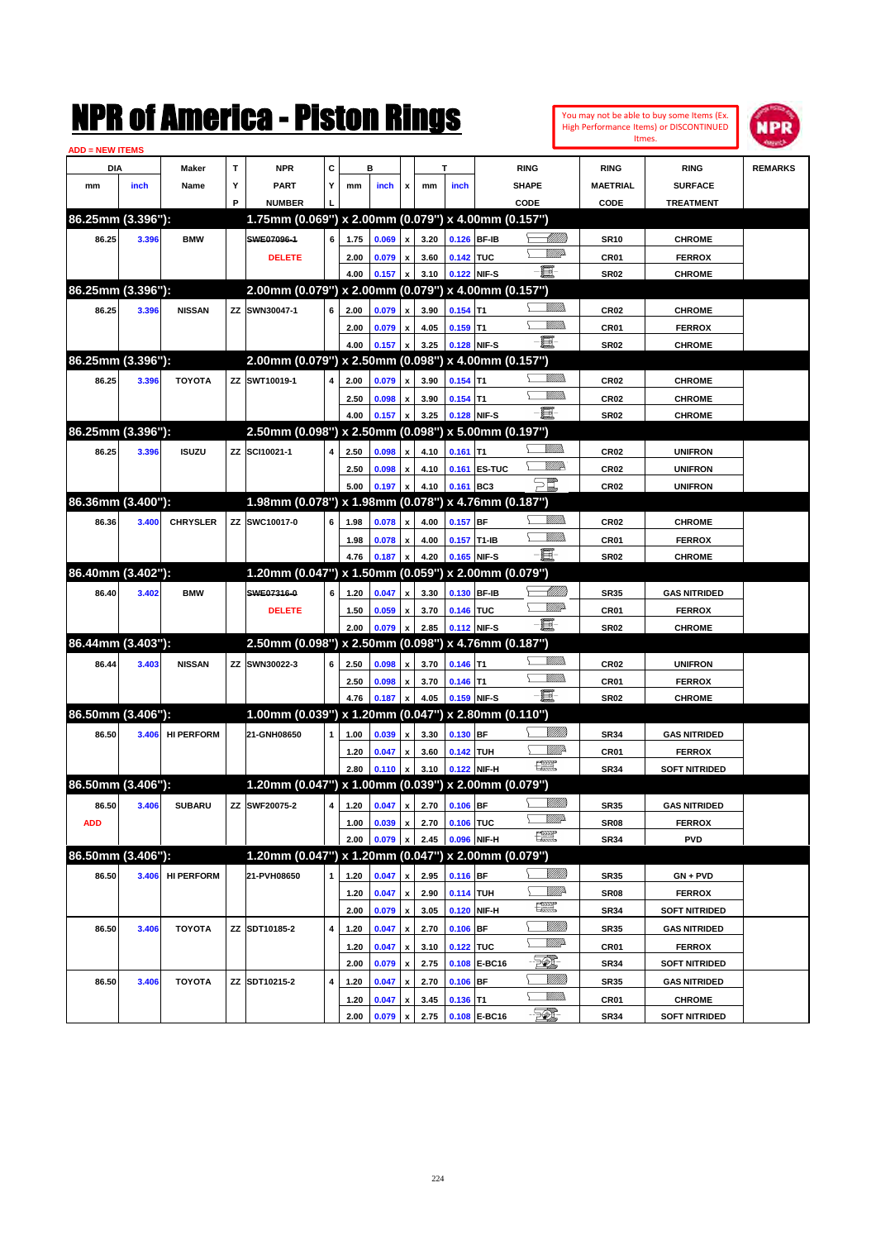

| <b>ADD = NEW ITEMS</b> |       |                   |   |                                                     |              |      |       |                    |                                |               |              |                               |                  |                      |                |
|------------------------|-------|-------------------|---|-----------------------------------------------------|--------------|------|-------|--------------------|--------------------------------|---------------|--------------|-------------------------------|------------------|----------------------|----------------|
| <b>DIA</b>             |       | Maker             | т | <b>NPR</b>                                          | С            |      | в     |                    |                                | т             |              | <b>RING</b>                   | <b>RING</b>      | <b>RING</b>          | <b>REMARKS</b> |
| mm                     | inch  | Name              | Υ | <b>PART</b>                                         | Y            | mm   | inch  | x                  | mm                             | inch          |              | <b>SHAPE</b>                  | <b>MAETRIAL</b>  | <b>SURFACE</b>       |                |
|                        |       |                   | P | <b>NUMBER</b>                                       |              |      |       |                    |                                |               |              | CODE                          | CODE             | <b>TREATMENT</b>     |                |
| 86.25mm (3.396"):      |       |                   |   | 1.75mm (0.069") x 2.00mm (0.079") x 4.00mm (0.157") |              |      |       |                    |                                |               |              |                               |                  |                      |                |
| 86.25                  | 3.396 | <b>BMW</b>        |   | SWE07096-1                                          | 6            | 1.75 | 0.069 | x                  | 3.20                           | 0.126 BF-IB   |              | <u>UMWs</u>                   | <b>SR10</b>      | <b>CHROME</b>        |                |
|                        |       |                   |   | <b>DELETE</b>                                       |              | 2.00 | 0.079 | x                  | 3.60                           | 0.142 TUC     |              | <u>VMD</u>                    | <b>CR01</b>      | <b>FERROX</b>        |                |
|                        |       |                   |   |                                                     |              | 4.00 | 0.157 | X                  | 3.10                           | 0.122 NIF-S   |              | Ð.                            | <b>SR02</b>      | <b>CHROME</b>        |                |
| 86.25mm (3.396"):      |       |                   |   | 2.00mm (0.079") x 2.00mm (0.079") x 4.00mm (0.157") |              |      |       |                    |                                |               |              |                               |                  |                      |                |
| 86.25                  | 3.396 | <b>NISSAN</b>     |   | ZZ SWN30047-1                                       | 6            | 2.00 | 0.079 | x                  | 3.90                           | $0.154$ T1    |              | <u>MMs</u>                    | <b>CR02</b>      | <b>CHROME</b>        |                |
|                        |       |                   |   |                                                     |              | 2.00 | 0.079 | x                  | 4.05                           | $0.159$ T1    |              | <u>MMs</u>                    | CR01             | <b>FERROX</b>        |                |
|                        |       |                   |   |                                                     |              | 4.00 | 0.157 | X                  | 3.25                           | 0.128 NIF-S   |              | - 8                           | <b>SR02</b>      | <b>CHROME</b>        |                |
| 86.25mm (3.396"):      |       |                   |   | 2.00mm (0.079") x 2.50mm (0.098") x 4.00mm (0.157") |              |      |       |                    |                                |               |              |                               |                  |                      |                |
| 86.25                  | 3.396 | <b>TOYOTA</b>     |   | ZZ SWT10019-1                                       | 4            | 2.00 | 0.079 | x                  | 3.90                           | $0.154$ T1    |              | <u>Millis</u>                 | CR <sub>02</sub> | <b>CHROME</b>        |                |
|                        |       |                   |   |                                                     |              | 2.50 | 0.098 | x                  | 3.90                           | $0.154$ T1    |              | <u>MMs</u>                    | <b>CR02</b>      | <b>CHROME</b>        |                |
|                        |       |                   |   |                                                     |              | 4.00 | 0.157 |                    | 3.25                           |               | 0.128 NIF-S  | - 8                           | <b>SR02</b>      | <b>CHROME</b>        |                |
| 86.25mm (3.396"):      |       |                   |   | 2.50mm (0.098") x 2.50mm (0.098") x 5.00mm (0.197") |              |      |       |                    |                                |               |              |                               |                  |                      |                |
| 86.25                  | 3.396 | <b>ISUZU</b>      |   | ZZ SCI10021-1                                       | 4            | 2.50 | 0.098 | x                  | 4.10                           | $0.161$ T1    |              | <u>VMM</u>                    | <b>CR02</b>      | <b>UNIFRON</b>       |                |
|                        |       |                   |   |                                                     |              | 2.50 | 0.098 | x                  | 4.10                           |               | 0.161 ES-TUC | <u>WW</u> A                   | <b>CR02</b>      | <b>UNIFRON</b>       |                |
|                        |       |                   |   |                                                     |              | 5.00 | 0.197 | X                  | 4.10                           | 0.161 BC3     |              | $\sum_{mn}$                   | <b>CR02</b>      | <b>UNIFRON</b>       |                |
| 86.36mm (3.400"):      |       |                   |   | 1.98mm (0.078") x 1.98mm (0.078") x 4.76mm (0.187") |              |      |       |                    |                                |               |              |                               |                  |                      |                |
| 86.36                  | 3.400 | <b>CHRYSLER</b>   |   | ZZ SWC10017-0                                       | 6            | 1.98 | 0.078 | X                  | 4.00                           | $0.157$ BF    |              | <u>VMM</u>                    | <b>CR02</b>      | <b>CHROME</b>        |                |
|                        |       |                   |   |                                                     |              | 1.98 | 0.078 | x                  | 4.00                           | $0.157$ T1-IB |              | <u>MMs</u>                    | CR01             | <b>FERROX</b>        |                |
|                        |       |                   |   |                                                     |              | 4.76 | 0.187 | x                  | 4.20                           |               | 0.165 NIF-S  | Ð.                            | <b>SR02</b>      | <b>CHROME</b>        |                |
| 86.40mm (3.402"):      |       |                   |   | 1.20mm (0.047") x 1.50mm (0.059") x 2.00mm (0.079") |              |      |       |                    |                                |               |              |                               |                  |                      |                |
| 86.40                  | 3.402 | <b>BMW</b>        |   | SWE07316-0                                          | 6            | 1.20 | 0.047 | x                  | 3.30                           | 0.130 BF-IB   |              | <u>- Millito</u>              | <b>SR35</b>      | <b>GAS NITRIDED</b>  |                |
|                        |       |                   |   | <b>DELETE</b>                                       |              | 1.50 | 0.059 | x                  | 3.70                           | 0.146 TUC     |              | <u>VMD</u>                    | <b>CR01</b>      | <b>FERROX</b>        |                |
|                        |       |                   |   |                                                     |              | 2.00 | 0.079 |                    | 2.85                           |               | 0.112 NIF-S  | Ð.                            | <b>SR02</b>      | <b>CHROME</b>        |                |
| 86.44mm (3.403"):      |       |                   |   | 2.50mm (0.098") x 2.50mm (0.098") x 4.76mm (0.187") |              |      |       |                    |                                |               |              |                               |                  |                      |                |
| 86.44                  | 3.403 | <b>NISSAN</b>     |   | ZZ SWN30022-3                                       | 6            | 2.50 | 0.098 | x                  | 3.70                           | $0.146$ T1    |              | <u>MMs</u>                    | <b>CR02</b>      | <b>UNIFRON</b>       |                |
|                        |       |                   |   |                                                     |              | 2.50 | 0.098 | x                  | 3.70                           | $0.146$ T1    |              | <u>MMs</u>                    | CR01             | <b>FERROX</b>        |                |
|                        |       |                   |   |                                                     |              | 4.76 | 0.187 | X                  | 4.05                           | 0.159 NIF-S   |              | - 8                           | <b>SR02</b>      | <b>CHROME</b>        |                |
| 86.50mm (3.406"):      |       |                   |   | 1.00mm (0.039") x 1.20mm (0.047") x 2.80mm (0.110") |              |      |       |                    |                                |               |              |                               |                  |                      |                |
| 86.50                  | 3.406 | <b>HI PERFORM</b> |   | 21-GNH08650                                         | $\mathbf{1}$ | 1.00 | 0.039 | x                  | 3.30                           | $0.130$ BF    |              | <u>UMB</u>                    | <b>SR34</b>      | <b>GAS NITRIDED</b>  |                |
|                        |       |                   |   |                                                     |              | 1.20 | 0.047 | x                  | 3.60                           | 0.142 TUH     |              | <u>Willi</u> r                | <b>CR01</b>      | <b>FERROX</b>        |                |
|                        |       |                   |   |                                                     |              | 2.80 | 0.110 | X                  | 3.10                           |               | 0.122 NIF-H  | 壤                             | <b>SR34</b>      | <b>SOFT NITRIDED</b> |                |
| 86.50mm (3.406"):      |       |                   |   | 1.20mm (0.047") x 1.00mm (0.039") x 2.00mm (0.079") |              |      |       |                    |                                |               |              |                               |                  |                      |                |
| 86.50                  | 3.406 | <b>SUBARU</b>     |   | <b>ZZ SWF20075-2</b>                                |              |      |       |                    | 4 1.20 $0.047$ x 2.70 0.106 BF |               |              |                               | <b>SR35</b>      | <b>GAS NITRIDED</b>  |                |
| <b>ADD</b>             |       |                   |   |                                                     |              | 1.00 | 0.039 | x                  | 2.70                           | 0.106 TUC     |              | <u>VMD</u>                    | <b>SR08</b>      | <b>FERROX</b>        |                |
|                        |       |                   |   |                                                     |              | 2.00 | 0.079 | x                  | 2.45                           |               | 0.096 NIF-H  | $f_{\rm max}^{\rm exp}$       | <b>SR34</b>      | <b>PVD</b>           |                |
| 86.50mm (3.406"):      |       |                   |   | 1.20mm (0.047") x 1.20mm (0.047") x 2.00mm (0.079") |              |      |       |                    |                                |               |              |                               |                  |                      |                |
| 86.50                  |       | 3.406 HI PERFORM  |   | 21-PVH08650                                         | $\mathbf{1}$ | 1.20 | 0.047 | x                  | 2.95                           | $0.116$ BF    |              | <u>Villida</u>                | <b>SR35</b>      | $GN + PVD$           |                |
|                        |       |                   |   |                                                     |              | 1.20 | 0.047 | $\pmb{\mathsf{x}}$ | 2.90                           | 0.114 TUH     |              | <u>WW</u> A<br>$\mathbb{R}$   | <b>SR08</b>      | <b>FERROX</b>        |                |
|                        |       |                   |   |                                                     |              | 2.00 | 0.079 | $\pmb{\mathsf{x}}$ | 3.05                           |               | 0.120 NIF-H  |                               | <b>SR34</b>      | <b>SOFT NITRIDED</b> |                |
| 86.50                  | 3.406 | <b>TOYOTA</b>     |   | ZZ SDT10185-2                                       | 4            | 1.20 | 0.047 | $\pmb{\mathsf{x}}$ | 2.70                           | $0.106$ BF    |              | <u>Milli</u><br><u>Willia</u> | <b>SR35</b>      | <b>GAS NITRIDED</b>  |                |
|                        |       |                   |   |                                                     |              | 1.20 | 0.047 | $\pmb{\mathsf{x}}$ | 3.10                           | 0.122 TUC     |              |                               | CR01             | <b>FERROX</b>        |                |
|                        |       |                   |   |                                                     |              | 2.00 | 0.079 | $\pmb{\mathsf{x}}$ | 2.75                           |               | 0.108 E-BC16 | EO)                           | <b>SR34</b>      | <b>SOFT NITRIDED</b> |                |
| 86.50                  | 3.406 | <b>TOYOTA</b>     |   | ZZ SDT10215-2                                       | 4            | 1.20 | 0.047 | $\pmb{\mathsf{x}}$ | 2.70                           | $0.106$ BF    |              | <u>Milli</u><br><u>Willib</u> | <b>SR35</b>      | <b>GAS NITRIDED</b>  |                |
|                        |       |                   |   |                                                     |              | 1.20 | 0.047 | x                  | 3.45                           | $0.136$ T1    |              | $\mathbb{Z}$                  | CR01             | <b>CHROME</b>        |                |
|                        |       |                   |   |                                                     |              | 2.00 | 0.079 | $\pmb{\mathsf{x}}$ | 2.75                           |               | 0.108 E-BC16 |                               | <b>SR34</b>      | <b>SOFT NITRIDED</b> |                |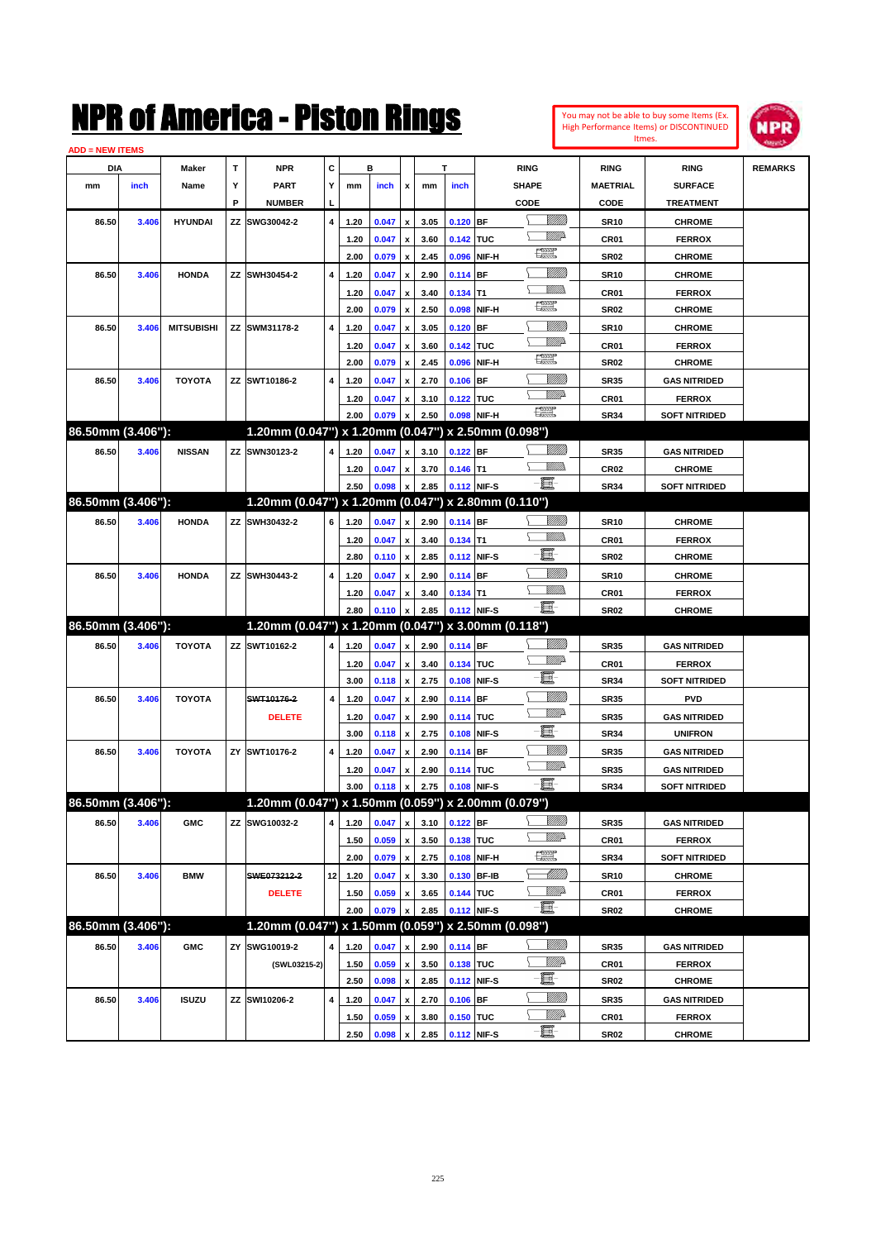| You may not be able to buy some Items (Ex.     |
|------------------------------------------------|
| <b>High Performance Items) or DISCONTINUED</b> |
| Itmes.                                         |



| <b>ADD = NEW ITEMS</b> |       |                   |    |                                                     |    |      |       |                           |      |             |             |                    |                  |                      |                |
|------------------------|-------|-------------------|----|-----------------------------------------------------|----|------|-------|---------------------------|------|-------------|-------------|--------------------|------------------|----------------------|----------------|
| DIA                    |       | Maker             | т  | <b>NPR</b>                                          | С  |      | в     |                           |      | T           |             | <b>RING</b>        | <b>RING</b>      | <b>RING</b>          | <b>REMARKS</b> |
| mm                     | inch  | Name              | Υ  | <b>PART</b>                                         | Y  | mm   | inch  | x                         | mm   | inch        |             | <b>SHAPE</b>       | <b>MAETRIAL</b>  | <b>SURFACE</b>       |                |
|                        |       |                   | P  | <b>NUMBER</b>                                       | L  |      |       |                           |      |             |             | CODE               | CODE             | <b>TREATMENT</b>     |                |
| 86.50                  | 3.406 | <b>HYUNDAI</b>    | ΖZ | SWG30042-2                                          | 4  | 1.20 | 0.047 | $\boldsymbol{\mathsf{x}}$ | 3.05 | $0.120$ BF  |             | <u>Sillilli</u>    | <b>SR10</b>      | <b>CHROME</b>        |                |
|                        |       |                   |    |                                                     |    | 1.20 | 0.047 | x                         | 3.60 | 0.142 TUC   |             | <u>VMD</u>         | CR01             | <b>FERROX</b>        |                |
|                        |       |                   |    |                                                     |    | 2.00 | 0.079 | $\boldsymbol{\mathsf{x}}$ | 2.45 | 0.096       | NIF-H       | <b>The Control</b> | <b>SR02</b>      | <b>CHROME</b>        |                |
| 86.50                  | 3.406 | <b>HONDA</b>      |    | ZZ SWH30454-2                                       | 4  | 1.20 | 0.047 | x                         | 2.90 | $0.114$ BF  |             | <u>UMM</u>         | <b>SR10</b>      | <b>CHROME</b>        |                |
|                        |       |                   |    |                                                     |    | 1.20 | 0.047 | х                         | 3.40 | $0.134$ T1  |             | VM)                | CR01             | <b>FERROX</b>        |                |
|                        |       |                   |    |                                                     |    | 2.00 | 0.079 | $\pmb{\mathsf{x}}$        | 2.50 | 0.098       | NIF-H       | <b>The Control</b> | <b>SR02</b>      | <b>CHROME</b>        |                |
| 86.50                  | 3.406 | <b>MITSUBISHI</b> |    | ZZ SWM31178-2                                       | 4  | 1.20 | 0.047 | x                         | 3.05 | $0.120$ BF  |             |                    | <b>SR10</b>      | <b>CHROME</b>        |                |
|                        |       |                   |    |                                                     |    | 1.20 | 0.047 | х                         | 3.60 | 0.142 TUC   |             | <u>WW</u> A        | CR01             | <b>FERROX</b>        |                |
|                        |       |                   |    |                                                     |    | 2.00 | 0.079 | $\pmb{\mathsf{x}}$        | 2.45 | 0.096       | NIF-H       | H                  | <b>SR02</b>      | <b>CHROME</b>        |                |
| 86.50                  | 3.406 | <b>TOYOTA</b>     |    | ZZ SWT10186-2                                       | 4  | 1.20 | 0.047 | x                         | 2.70 | $0.106$ BF  |             | <u>Milli</u>       | <b>SR35</b>      | <b>GAS NITRIDED</b>  |                |
|                        |       |                   |    |                                                     |    | 1.20 | 0.047 | х                         | 3.10 | 0.122 TUC   |             | <u>WW</u> A        | CR01             | <b>FERROX</b>        |                |
|                        |       |                   |    |                                                     |    | 2.00 | 0.079 | x                         | 2.50 | 0.098       | NIF-H       | $\frac{1}{2}$      | <b>SR34</b>      | <b>SOFT NITRIDED</b> |                |
| 86.50mm (3.406"):      |       |                   |    | 1.20mm (0.047") x 1.20mm (0.047") x 2.50mm (0.098") |    |      |       |                           |      |             |             |                    |                  |                      |                |
| 86.50                  | 3.406 | <b>NISSAN</b>     |    | ZZ SWN30123-2                                       | 4  | 1.20 | 0.047 | $\pmb{\mathsf{x}}$        | 3.10 | $0.122$ BF  |             | <u>UMM</u>         | <b>SR35</b>      | <b>GAS NITRIDED</b>  |                |
|                        |       |                   |    |                                                     |    | 1.20 | 0.047 | x                         | 3.70 | $0.146$ T1  |             | <br>Milli          | CR <sub>02</sub> | <b>CHROME</b>        |                |
|                        |       |                   |    |                                                     |    | 2.50 | 0.098 | $\pmb{\mathsf{x}}$        | 2.85 |             | 0.112 NIF-S | -8                 | <b>SR34</b>      | <b>SOFT NITRIDED</b> |                |
| 86.50mm (3.406"):      |       |                   |    | 1.20mm (0.047") x 1.20mm (0.047") x 2.80mm (0.110") |    |      |       |                           |      |             |             |                    |                  |                      |                |
| 86.50                  | 3.406 | <b>HONDA</b>      |    | ZZ SWH30432-2                                       | 6  | 1.20 | 0.047 | $\pmb{\mathsf{x}}$        | 2.90 | 0.114 BF    |             | <u>MMM</u>         | <b>SR10</b>      | <b>CHROME</b>        |                |
|                        |       |                   |    |                                                     |    | 1.20 | 0.047 | x                         | 3.40 | $0.134$ T1  |             | VM).               | CR01             | <b>FERROX</b>        |                |
|                        |       |                   |    |                                                     |    | 2.80 | 0.110 | $\pmb{\mathsf{x}}$        | 2.85 |             | 0.112 NIF-S | e.                 | <b>SR02</b>      | <b>CHROME</b>        |                |
| 86.50                  | 3.406 | <b>HONDA</b>      |    | ZZ SWH30443-2                                       | 4  | 1.20 | 0.047 | x                         | 2.90 | $0.114$ BF  |             | VIII))             | <b>SR10</b>      | <b>CHROME</b>        |                |
|                        |       |                   |    |                                                     |    | 1.20 | 0.047 | х                         | 3.40 | $0.134$ T1  |             | VM).               | CR01             | <b>FERROX</b>        |                |
|                        |       |                   |    |                                                     |    | 2.80 | 0.110 | $\pmb{\mathsf{x}}$        | 2.85 |             | 0.112 NIF-S | -8                 | <b>SR02</b>      | <b>CHROME</b>        |                |
| 86.50mm (3.406"):      |       |                   |    | 1.20mm (0.047") x 1.20mm (0.047") x 3.00mm (0.118") |    |      |       |                           |      |             |             |                    |                  |                      |                |
| 86.50                  | 3.406 | <b>TOYOTA</b>     |    | ZZ SWT10162-2                                       | 4  | 1.20 | 0.047 | $\pmb{\mathsf{x}}$        | 2.90 | 0.114 BF    |             | <u>UMM</u>         | <b>SR35</b>      | <b>GAS NITRIDED</b>  |                |
|                        |       |                   |    |                                                     |    | 1.20 | 0.047 | x                         | 3.40 | 0.134 TUC   |             | <u>WW</u> A        | CR01             | <b>FERROX</b>        |                |
|                        |       |                   |    |                                                     |    | 3.00 | 0.118 | $\pmb{\mathsf{x}}$        | 2.75 | 0.108       | NIF-S       | e.                 | <b>SR34</b>      | <b>SOFT NITRIDED</b> |                |
| 86.50                  | 3.406 | <b>TOYOTA</b>     |    | SWT10176-2                                          | 4  | 1.20 | 0.047 | x                         | 2.90 | $0.114$ BF  |             |                    | <b>SR35</b>      | <b>PVD</b>           |                |
|                        |       |                   |    | <b>DELETE</b>                                       |    | 1.20 | 0.047 | x                         | 2.90 | 0.114 TUC   |             | <u>WW</u> A        | <b>SR35</b>      | <b>GAS NITRIDED</b>  |                |
|                        |       |                   |    |                                                     |    | 3.00 | 0.118 | $\pmb{\mathsf{x}}$        | 2.75 | 0.108       | NIF-S       | e                  | <b>SR34</b>      | <b>UNIFRON</b>       |                |
| 86.50                  | 3.406 | <b>TOYOTA</b>     |    | ZY SWT10176-2                                       | 4  | 1.20 | 0.047 | $\boldsymbol{\mathsf{x}}$ | 2.90 | $0.114$ BF  |             | VIII))             | <b>SR35</b>      | <b>GAS NITRIDED</b>  |                |
|                        |       |                   |    |                                                     |    | 1.20 | 0.047 | х                         | 2.90 | 0.114 TUC   |             | <u>WW</u> A        | <b>SR35</b>      | <b>GAS NITRIDED</b>  |                |
|                        |       |                   |    |                                                     |    | 3.00 | 0.118 | $\pmb{\mathsf{x}}$        | 2.75 |             | 0.108 NIF-S | -日                 | <b>SR34</b>      | <b>SOFT NITRIDED</b> |                |
| 86.50mm (3.406"):      |       |                   |    | 1.20mm (0.047") x 1.50mm (0.059") x 2.00mm (0.079") |    |      |       |                           |      |             |             |                    |                  |                      |                |
| 86.50                  | 3.406 | <b>GMC</b>        |    | ZZ SWG10032-2                                       | 4  | 1.20 | 0.047 | $\pmb{\mathsf{x}}$        | 3.10 | $0.122$ BF  |             | <u>MMM</u>         | <b>SR35</b>      | <b>GAS NITRIDED</b>  |                |
|                        |       |                   |    |                                                     |    | 1.50 | 0.059 | $\pmb{\mathsf{x}}$        | 3.50 | 0.138 TUC   |             | <u>WW</u> A        | CR01             | <b>FERROX</b>        |                |
|                        |       |                   |    |                                                     |    | 2.00 | 0.079 | $\pmb{\mathsf{x}}$        | 2.75 |             | 0.108 NIF-H | æ                  | SR34             | <b>SOFT NITRIDED</b> |                |
| 86.50                  | 3.406 |                   |    | SWE073212-2                                         | 12 |      |       |                           |      |             | 0.130 BF-IB | <u>-1777)</u>      |                  | <b>CHROME</b>        |                |
|                        |       | <b>BMW</b>        |    |                                                     |    | 1.20 | 0.047 | $\boldsymbol{\mathsf{x}}$ | 3.30 |             |             | <u>Mille</u> d     | <b>SR10</b>      |                      |                |
|                        |       |                   |    | <b>DELETE</b>                                       |    | 1.50 | 0.059 | x                         | 3.65 | 0.144 TUC   |             | $-\Xi$             | CR01             | <b>FERROX</b>        |                |
| 86.50mm (3.406"):      |       |                   |    | 1.20mm (0.047") x 1.50mm (0.059") x 2.50mm (0.098") |    | 2.00 | 0.079 | x                         | 2.85 |             | 0.112 NIF-S |                    | SR02             | <b>CHROME</b>        |                |
|                        |       |                   |    |                                                     |    |      |       |                           |      |             |             | <u>MMM</u>         |                  |                      |                |
| 86.50                  | 3.406 | <b>GMC</b>        | ΖY | SWG10019-2                                          | 4  | 1.20 | 0.047 | $\pmb{\mathsf{x}}$        | 2.90 | 0.114 BF    |             | <u>WW</u> A        | SR35             | <b>GAS NITRIDED</b>  |                |
|                        |       |                   |    | (SWL03215-2)                                        |    | 1.50 | 0.059 | $\pmb{\mathsf{x}}$        | 3.50 | 0.138 TUC   |             | e.                 | CR01             | <b>FERROX</b>        |                |
|                        |       |                   |    |                                                     |    | 2.50 | 0.098 | $\pmb{\mathsf{x}}$        | 2.85 |             | 0.112 NIF-S | <u>VIII)</u>       | <b>SR02</b>      | <b>CHROME</b>        |                |
| 86.50                  | 3.406 | <b>ISUZU</b>      | ΖZ | SWI10206-2                                          | 4  | 1.20 | 0.047 | $\pmb{\mathsf{x}}$        | 2.70 | $0.106$ BF  |             | <u>Willi</u> da    | SR35             | <b>GAS NITRIDED</b>  |                |
|                        |       |                   |    |                                                     |    | 1.50 | 0.059 | x                         | 3.80 | 0.150 TUC   |             | e.                 | CR01             | <b>FERROX</b>        |                |
|                        |       |                   |    |                                                     |    | 2.50 | 0.098 | $\pmb{\mathsf{x}}$        | 2.85 | 0.112 NIF-S |             |                    | <b>SR02</b>      | <b>CHROME</b>        |                |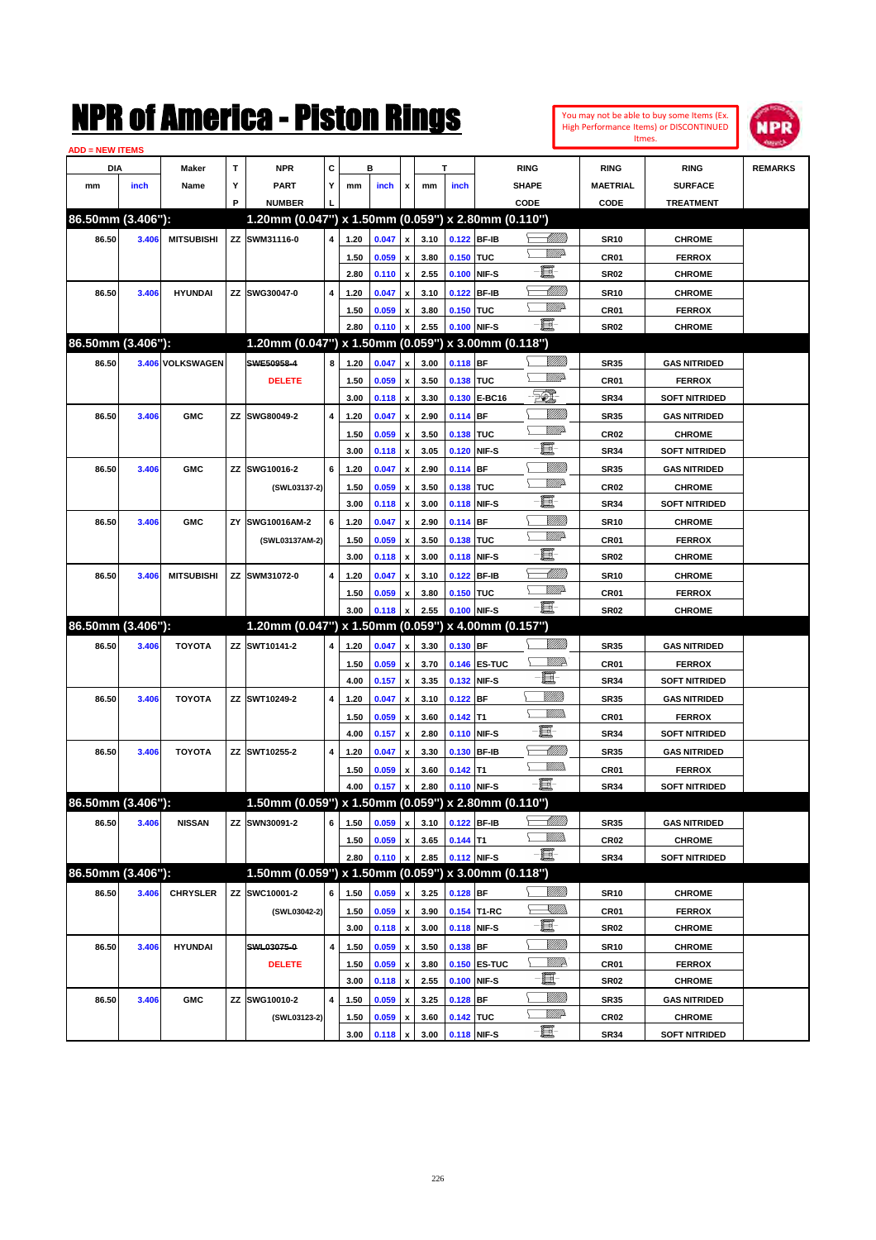| You may not be able to buy some Items (Ex. |
|--------------------------------------------|
| High Performance Items) or DISCONTINUED    |
| Itmes.                                     |



| <b>ADD = NEW ITEMS</b> |       |                   |    |                                                     |                         |      |       |                           |      |            |                     |                           |                  |                      |                |
|------------------------|-------|-------------------|----|-----------------------------------------------------|-------------------------|------|-------|---------------------------|------|------------|---------------------|---------------------------|------------------|----------------------|----------------|
| DIA                    |       | <b>Maker</b>      | T  | <b>NPR</b>                                          | С                       |      | в     |                           |      | т          |                     | <b>RING</b>               | <b>RING</b>      | <b>RING</b>          | <b>REMARKS</b> |
| mm                     | inch  | Name              | Υ  | <b>PART</b>                                         | Y                       | mm   | inch  | x                         | mm   | inch       |                     | <b>SHAPE</b>              | <b>MAETRIAL</b>  | <b>SURFACE</b>       |                |
|                        |       |                   | P  | <b>NUMBER</b>                                       |                         |      |       |                           |      |            |                     | CODE                      | CODE             | <b>TREATMENT</b>     |                |
| 86.50mm (3.406"):      |       |                   |    | 1.20mm (0.047") x 1.50mm (0.059") x 2.80mm (0.110") |                         |      |       |                           |      |            |                     |                           |                  |                      |                |
| 86.50                  | 3.406 | <b>MITSUBISHI</b> |    | ZZ SWM31116-0                                       | $\overline{\mathbf{4}}$ | 1.20 | 0.047 | $\pmb{\mathsf{x}}$        | 3.10 |            | 0.122 BF-IB         | <u> UMB</u>               | <b>SR10</b>      | <b>CHROME</b>        |                |
|                        |       |                   |    |                                                     |                         | 1.50 | 0.059 | x                         | 3.80 | 0.150 TUC  |                     | <u>VMD</u>                | CR01             | <b>FERROX</b>        |                |
|                        |       |                   |    |                                                     |                         | 2.80 | 0.110 | x                         | 2.55 |            | 0.100 NIF-S         | e.                        | <b>SR02</b>      | <b>CHROME</b>        |                |
| 86.50                  | 3.406 | <b>HYUNDAI</b>    | ΖZ | SWG30047-0                                          | 4                       | 1.20 | 0.047 | x                         | 3.10 |            | 0.122 BF-IB         | MMM                       | <b>SR10</b>      | <b>CHROME</b>        |                |
|                        |       |                   |    |                                                     |                         | 1.50 | 0.059 | x                         | 3.80 | 0.150 TUC  |                     | <u>VMD</u>                | CR01             | <b>FERROX</b>        |                |
|                        |       |                   |    |                                                     |                         | 2.80 | 0.110 | x                         | 2.55 |            | 0.100 NIF-S         | -6                        | <b>SR02</b>      | <b>CHROME</b>        |                |
| 86.50mm (3.406"):      |       |                   |    | 1.20mm (0.047") x 1.50mm (0.059") x 3.00mm (0.118") |                         |      |       |                           |      |            |                     |                           |                  |                      |                |
|                        |       |                   |    | SWE50958-4                                          | 8                       |      |       |                           |      |            |                     | <u>Milli</u>              |                  |                      |                |
| 86.50                  |       | 3.406 VOLKSWAGEN  |    |                                                     |                         | 1.20 | 0.047 | $\pmb{\mathsf{x}}$        | 3.00 | $0.118$ BF |                     | <u>VMD</u>                | <b>SR35</b>      | <b>GAS NITRIDED</b>  |                |
|                        |       |                   |    | <b>DELETE</b>                                       |                         | 1.50 | 0.059 | x                         | 3.50 | 0.138 TUC  | 0.130 E-BC16        | EQ)                       | CR01             | <b>FERROX</b>        |                |
|                        |       |                   |    |                                                     |                         | 3.00 | 0.118 | $\boldsymbol{\mathsf{x}}$ | 3.30 |            |                     | <u>Milli</u>              | <b>SR34</b>      | <b>SOFT NITRIDED</b> |                |
| 86.50                  | 3.406 | <b>GMC</b>        | ΖZ | SWG80049-2                                          | $\overline{\mathbf{4}}$ | 1.20 | 0.047 | x                         | 2.90 | $0.114$ BF |                     | <u>MM</u> D               | <b>SR35</b>      | <b>GAS NITRIDED</b>  |                |
|                        |       |                   |    |                                                     |                         | 1.50 | 0.059 | x                         | 3.50 | 0.138 TUC  |                     | e                         | <b>CR02</b>      | <b>CHROME</b>        |                |
|                        |       |                   |    |                                                     |                         | 3.00 | 0.118 | $\boldsymbol{\mathsf{x}}$ | 3.05 |            | 0.120 NIF-S         |                           | <b>SR34</b>      | <b>SOFT NITRIDED</b> |                |
| 86.50                  | 3.406 | <b>GMC</b>        | ΖZ | SWG10016-2                                          | 6                       | 1.20 | 0.047 | X                         | 2.90 | 0.114 BF   |                     | <u>MMM</u><br><u>MM</u> D | <b>SR35</b>      | <b>GAS NITRIDED</b>  |                |
|                        |       |                   |    | (SWL03137-2)                                        |                         | 1.50 | 0.059 | x                         | 3.50 | 0.138 TUC  |                     |                           | <b>CR02</b>      | <b>CHROME</b>        |                |
|                        |       |                   |    |                                                     |                         | 3.00 | 0.118 | $\boldsymbol{\mathsf{x}}$ | 3.00 |            | 0.118 NIF-S         | e                         | <b>SR34</b>      | <b>SOFT NITRIDED</b> |                |
| 86.50                  | 3.406 | <b>GMC</b>        | ZY | SWG10016AM-2                                        | 6                       | 1.20 | 0.047 | X                         | 2.90 | 0.114 BF   |                     | <u>MMM</u>                | <b>SR10</b>      | <b>CHROME</b>        |                |
|                        |       |                   |    | (SWL03137AM-2)                                      |                         | 1.50 | 0.059 | x                         | 3.50 | 0.138 TUC  |                     | <u>VMD</u>                | CR01             | <b>FERROX</b>        |                |
|                        |       |                   |    |                                                     |                         | 3.00 | 0.118 | $\boldsymbol{\mathsf{x}}$ | 3.00 |            | 0.118 NIF-S         | e                         | <b>SR02</b>      | <b>CHROME</b>        |                |
| 86.50                  | 3.406 | <b>MITSUBISHI</b> |    | ZZ SWM31072-0                                       | 4                       | 1.20 | 0.047 | x                         | 3.10 |            | 0.122 BF-IB         | MMM                       | <b>SR10</b>      | <b>CHROME</b>        |                |
|                        |       |                   |    |                                                     |                         | 1.50 | 0.059 | x                         | 3.80 | 0.150 TUC  |                     | <u>WW</u> A               | CR01             | <b>FERROX</b>        |                |
|                        |       |                   |    |                                                     |                         | 3.00 | 0.118 | x                         | 2.55 |            | 0.100 NIF-S         | - 8                       | <b>SR02</b>      | <b>CHROME</b>        |                |
| 86.50mm (3.406"):      |       |                   |    | 1.20mm (0.047") x 1.50mm (0.059") x 4.00mm (0.157") |                         |      |       |                           |      |            |                     |                           |                  |                      |                |
| 86.50                  | 3.406 | <b>TOYOTA</b>     |    | ZZ SWT10141-2                                       | 4                       | 1.20 | 0.047 | $\pmb{\mathsf{x}}$        | 3.30 | 0.130 BF   |                     | <u>Milli</u> k            | <b>SR35</b>      | <b>GAS NITRIDED</b>  |                |
|                        |       |                   |    |                                                     |                         | 1.50 | 0.059 | x                         | 3.70 |            | 0.146 ES-TUC        | <u>MMP</u>                | CR01             | <b>FERROX</b>        |                |
|                        |       |                   |    |                                                     |                         | 4.00 | 0.157 | $\pmb{\mathsf{x}}$        | 3.35 |            | 0.132 NIF-S         | E.                        | <b>SR34</b>      | <b>SOFT NITRIDED</b> |                |
| 86.50                  | 3.406 | <b>TOYOTA</b>     |    | ZZ SWT10249-2                                       | 4                       | 1.20 | 0.047 | x                         | 3.10 | $0.122$ BF |                     | <u>Milli</u> lli          | <b>SR35</b>      | <b>GAS NITRIDED</b>  |                |
|                        |       |                   |    |                                                     |                         | 1.50 | 0.059 | x                         | 3.60 | $0.142$ T1 |                     | <br>Mad                   | CR01             | <b>FERROX</b>        |                |
|                        |       |                   |    |                                                     |                         | 4.00 | 0.157 | $\boldsymbol{\mathsf{x}}$ | 2.80 |            | 0.110 NIF-S         | e.                        | <b>SR34</b>      | <b>SOFT NITRIDED</b> |                |
| 86.50                  | 3.406 | <b>TOYOTA</b>     |    | ZZ SWT10255-2                                       | 4                       | 1.20 | 0.047 | x                         | 3.30 |            | 0.130 BF-IB         | <u>UMB</u>                | <b>SR35</b>      | <b>GAS NITRIDED</b>  |                |
|                        |       |                   |    |                                                     |                         | 1.50 | 0.059 | x                         | 3.60 | $0.142$ T1 |                     | VMM)                      | CR01             | <b>FERROX</b>        |                |
|                        |       |                   |    |                                                     |                         | 4.00 | 0.157 | $\pmb{\mathsf{x}}$        | 2.80 |            | 0.110 NIF-S         | -日                        | <b>SR34</b>      | <b>SOFT NITRIDED</b> |                |
| 86.50mm (3.406"):      |       |                   |    | 1.50mm (0.059") x 1.50mm (0.059") x 2.80mm (0.110") |                         |      |       |                           |      |            |                     |                           |                  |                      |                |
| 86.50                  | 3.406 | <b>NISSAN</b>     |    | ZZ SWN30091-2                                       | 6                       | 1.50 |       | $\pmb{\mathsf{x}}$        |      |            | 0.122 BF-IB         | <u> UMM</u>               | <b>SR35</b>      | <b>GAS NITRIDED</b>  |                |
|                        |       |                   |    |                                                     |                         |      | 0.059 |                           | 3.10 |            |                     | <u>MMa</u>                |                  |                      |                |
|                        |       |                   |    |                                                     |                         | 1.50 | 0.059 | $\pmb{\mathsf{x}}$        | 3.65 | $0.144$ T1 | 0.112 NIF-S         | $-\Xi$ -                  | CR <sub>02</sub> | <b>CHROME</b>        |                |
| 86.50mm (3.406"):      |       |                   |    | 1.50mm (0.059") x 1.50mm (0.059") x 3.00mm (0.118") |                         | 2.80 | 0.110 | $\pmb{\mathsf{x}}$        | 2.85 |            |                     |                           | SR34             | <b>SOFT NITRIDED</b> |                |
|                        |       |                   |    |                                                     |                         |      |       |                           |      |            |                     |                           |                  |                      |                |
| 86.50                  | 3.406 | <b>CHRYSLER</b>   | ΖZ | SWC10001-2                                          | 6                       | 1.50 | 0.059 | X                         | 3.25 | $0.128$ BF |                     | <u>Milli</u> h            | <b>SR10</b>      | <b>CHROME</b>        |                |
|                        |       |                   |    | (SWL03042-2)                                        |                         | 1.50 | 0.059 | $\pmb{\mathsf{x}}$        | 3.90 |            | 0.154 T1-RC         | <u>- Millio</u>           | CR01             | <b>FERROX</b>        |                |
|                        |       |                   |    |                                                     |                         | 3.00 | 0.118 | $\pmb{\mathsf{x}}$        | 3.00 |            | 0.118 NIF-S         | e.                        | <b>SR02</b>      | <b>CHROME</b>        |                |
| 86.50                  | 3.406 | <b>HYUNDAI</b>    |    | SWL03075-0                                          | 4                       | 1.50 | 0.059 | x                         | 3.50 | $0.138$ BF |                     | <u>VMM</u>                | <b>SR10</b>      | <b>CHROME</b>        |                |
|                        |       |                   |    | <b>DELETE</b>                                       |                         | 1.50 | 0.059 | x                         | 3.80 |            | <b>0.150 ES-TUC</b> | <u>Willi</u> p            | CR01             | <b>FERROX</b>        |                |
|                        |       |                   |    |                                                     |                         | 3.00 | 0.118 | $\pmb{\mathsf{x}}$        | 2.55 |            | 0.100 NIF-S         | E.                        | <b>SR02</b>      | <b>CHROME</b>        |                |
| 86.50                  | 3.406 | <b>GMC</b>        | ΖZ | SWG10010-2                                          | $\pmb{4}$               | 1.50 | 0.059 | x                         | 3.25 | $0.128$ BF |                     | <u>Milli</u>              | <b>SR35</b>      | <b>GAS NITRIDED</b>  |                |
|                        |       |                   |    | (SWL03123-2)                                        |                         | 1.50 | 0.059 | x                         | 3.60 | 0.142 TUC  |                     | <u>VM</u> A               | CR <sub>02</sub> | <b>CHROME</b>        |                |
|                        |       |                   |    |                                                     |                         | 3.00 | 0.118 | X                         | 3.00 |            | 0.118 NIF-S         | e                         | SR34             | <b>SOFT NITRIDED</b> |                |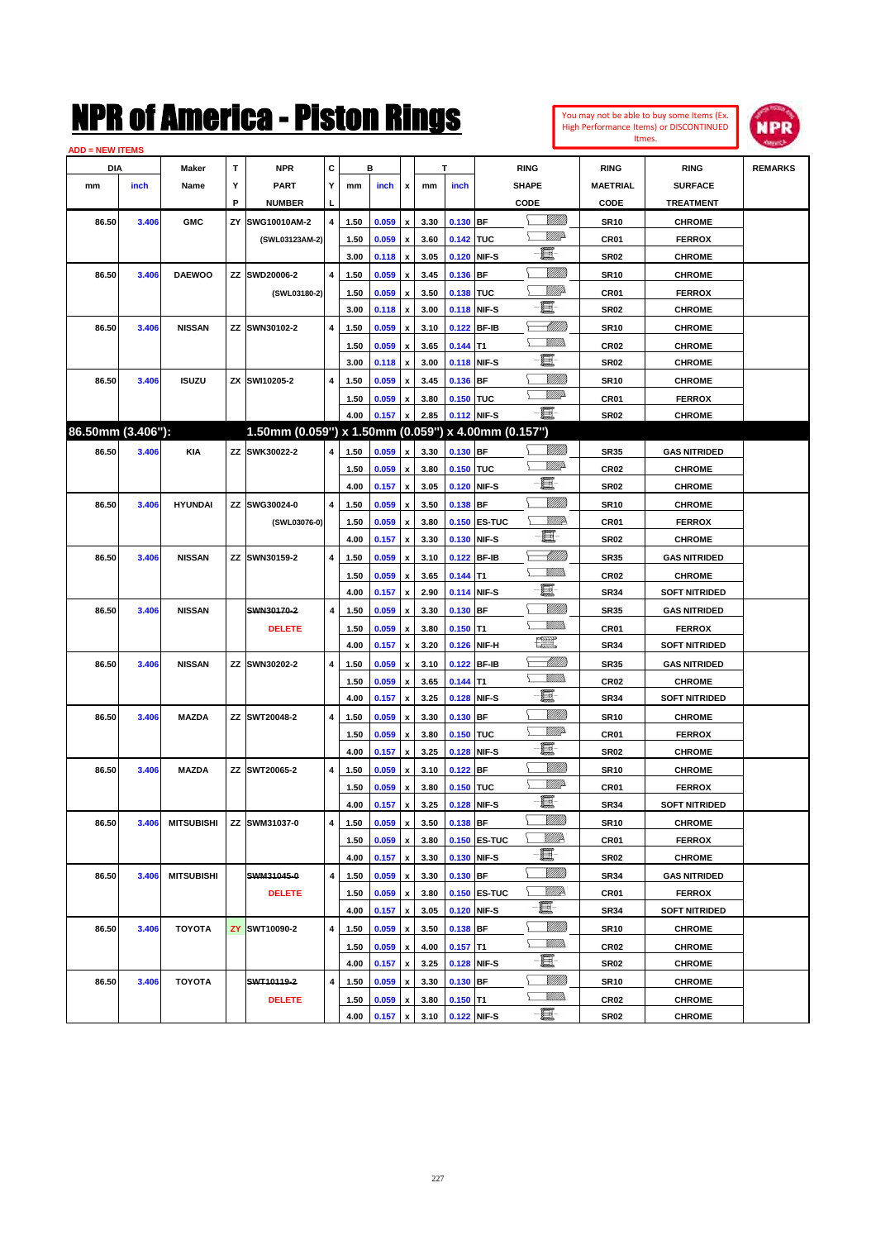

|                   | <b>ADD = NEW ITEMS</b> |                   |    |                                                     |                         |      |       |                           |      |             |              |                |                  |                      |                |
|-------------------|------------------------|-------------------|----|-----------------------------------------------------|-------------------------|------|-------|---------------------------|------|-------------|--------------|----------------|------------------|----------------------|----------------|
| <b>DIA</b>        |                        | <b>Maker</b>      | T  | NPR                                                 | С                       |      | в     |                           |      | т           |              | <b>RING</b>    | <b>RING</b>      | <b>RING</b>          | <b>REMARKS</b> |
| mm                | inch                   | Name              | Υ  | <b>PART</b>                                         | Y                       | mm   | inch  | x                         | mm   | inch        |              | <b>SHAPE</b>   | <b>MAETRIAL</b>  | <b>SURFACE</b>       |                |
|                   |                        |                   | P  | <b>NUMBER</b>                                       | L                       |      |       |                           |      |             |              | CODE           | CODE             | <b>TREATMENT</b>     |                |
| 86.50             | 3.406                  | <b>GMC</b>        | ΖY | SWG10010AM-2                                        | 4                       | 1.50 | 0.059 | x                         | 3.30 | 0.130 BF    |              | <u>Villida</u> | <b>SR10</b>      | <b>CHROME</b>        |                |
|                   |                        |                   |    | (SWL03123AM-2)                                      |                         | 1.50 | 0.059 | $\boldsymbol{\mathsf{x}}$ | 3.60 | 0.142 TUC   |              | <u>VMD</u>     | CR <sub>01</sub> | <b>FERROX</b>        |                |
|                   |                        |                   |    |                                                     |                         | 3.00 | 0.118 | x                         | 3.05 |             | 0.120 NIF-S  | e              | SR02             | <b>CHROME</b>        |                |
| 86.50             | 3.406                  | <b>DAEWOO</b>     | ΖZ | SWD20006-2                                          | $\overline{4}$          | 1.50 | 0.059 | x                         | 3.45 | 0.136 BF    |              |                | <b>SR10</b>      | <b>CHROME</b>        |                |
|                   |                        |                   |    | (SWL03180-2)                                        |                         | 1.50 | 0.059 | x                         | 3.50 | 0.138 TUC   |              | <u>VIIItä</u>  | CR01             | <b>FERROX</b>        |                |
|                   |                        |                   |    |                                                     |                         | 3.00 | 0.118 | x                         | 3.00 |             | 0.118 NIF-S  | e.             | SR02             | <b>CHROME</b>        |                |
| 86.50             | 3.406                  | <b>NISSAN</b>     |    | ZZ SWN30102-2                                       | 4                       | 1.50 | 0.059 | x                         | 3.10 |             | 0.122 BF-IB  | <u>UMB</u>     | <b>SR10</b>      | <b>CHROME</b>        |                |
|                   |                        |                   |    |                                                     |                         | 1.50 | 0.059 | x                         | 3.65 | $0.144$ T1  |              | .<br>VMD       | CR02             | <b>CHROME</b>        |                |
|                   |                        |                   |    |                                                     |                         | 3.00 | 0.118 | x                         | 3.00 |             | 0.118 NIF-S  | e              | SR02             | <b>CHROME</b>        |                |
| 86.50             | 3.406                  | <b>ISUZU</b>      |    | ZX SWI10205-2                                       | 4                       | 1.50 | 0.059 | x                         | 3.45 | 0.136 BF    |              | <u>Milli</u>   | <b>SR10</b>      | <b>CHROME</b>        |                |
|                   |                        |                   |    |                                                     |                         | 1.50 | 0.059 | x                         | 3.80 | 0.150 TUC   |              | <u>WW</u> A    | CR01             | <b>FERROX</b>        |                |
|                   |                        |                   |    |                                                     |                         | 4.00 | 0.157 | x                         | 2.85 |             | 0.112 NIF-S  | -8             | <b>SR02</b>      | <b>CHROME</b>        |                |
| 86.50mm (3.406"): |                        |                   |    | 1.50mm (0.059") x 1.50mm (0.059") x 4.00mm (0.157") |                         |      |       |                           |      |             |              |                |                  |                      |                |
| 86.50             | 3.406                  | <b>KIA</b>        |    | ZZ SWK30022-2                                       | 4                       | 1.50 | 0.059 | x                         | 3.30 | $0.130$ BF  |              |                | SR35             | <b>GAS NITRIDED</b>  |                |
|                   |                        |                   |    |                                                     |                         | 1.50 | 0.059 | x                         | 3.80 | 0.150 TUC   |              | <u>VMD</u>     | CR <sub>02</sub> | <b>CHROME</b>        |                |
|                   |                        |                   |    |                                                     |                         | 4.00 | 0.157 | x                         | 3.05 |             | 0.120 NIF-S  | e              | SR02             | <b>CHROME</b>        |                |
| 86.50             | 3.406                  | <b>HYUNDAI</b>    |    | ZZ SWG30024-0                                       | 4                       | 1.50 | 0.059 | x                         | 3.50 | $0.138$ BF  |              |                | <b>SR10</b>      | <b>CHROME</b>        |                |
|                   |                        |                   |    | (SWL03076-0)                                        |                         | 1.50 | 0.059 | x                         | 3.80 |             | 0.150 ES-TUC | ₩₩             | CR <sub>01</sub> | <b>FERROX</b>        |                |
|                   |                        |                   |    |                                                     |                         | 4.00 | 0.157 | x                         | 3.30 |             | 0.130 NIF-S  | e              | <b>SR02</b>      | <b>CHROME</b>        |                |
| 86.50             | 3.406                  | <b>NISSAN</b>     |    | ZZ SWN30159-2                                       | 4                       | 1.50 | 0.059 | x                         | 3.10 |             | 0.122 BF-IB  | MMB            | SR35             | <b>GAS NITRIDED</b>  |                |
|                   |                        |                   |    |                                                     |                         | 1.50 | 0.059 | x                         | 3.65 | $0.144$ T1  |              | <br>Militar    | CR <sub>02</sub> | <b>CHROME</b>        |                |
|                   |                        |                   |    |                                                     |                         | 4.00 | 0.157 | x                         | 2.90 |             | 0.114 NIF-S  | e.             | <b>SR34</b>      | <b>SOFT NITRIDED</b> |                |
| 86.50             | 3.406                  | <b>NISSAN</b>     |    | SWN30170-2                                          | 4                       | 1.50 | 0.059 | x                         | 3.30 | $0.130$ BF  |              |                | <b>SR35</b>      | <b>GAS NITRIDED</b>  |                |
|                   |                        |                   |    | <b>DELETE</b>                                       |                         | 1.50 | 0.059 | x                         | 3.80 | $0.150$ T1  |              | .<br>VMD       | CR <sub>01</sub> | <b>FERROX</b>        |                |
|                   |                        |                   |    |                                                     |                         | 4.00 | 0.157 | x                         | 3.20 |             | 0.126 NIF-H  | æ              | <b>SR34</b>      | <b>SOFT NITRIDED</b> |                |
| 86.50             | 3.406                  | <b>NISSAN</b>     |    | ZZ SWN30202-2                                       | 4                       | 1.50 | 0.059 | x                         | 3.10 |             | 0.122 BF-IB  |                | <b>SR35</b>      | <b>GAS NITRIDED</b>  |                |
|                   |                        |                   |    |                                                     |                         | 1.50 | 0.059 | x                         | 3.65 | $0.144$ T1  |              | .<br>VMD       | CR <sub>02</sub> | <b>CHROME</b>        |                |
|                   |                        |                   |    |                                                     |                         | 4.00 | 0.157 | x                         | 3.25 |             | 0.128 NIF-S  | 圓              | <b>SR34</b>      | <b>SOFT NITRIDED</b> |                |
| 86.50             | 3.406                  | <b>MAZDA</b>      |    | ZZ SWT20048-2                                       | 4                       | 1.50 | 0.059 | x                         | 3.30 | $0.130$ BF  |              | <u>Milli</u>   | <b>SR10</b>      | <b>CHROME</b>        |                |
|                   |                        |                   |    |                                                     |                         | 1.50 | 0.059 | x                         | 3.80 | 0.150 TUC   |              | <u>VMD</u>     | CR <sub>01</sub> | <b>FERROX</b>        |                |
|                   |                        |                   |    |                                                     |                         | 4.00 | 0.157 | x                         | 3.25 |             | 0.128 NIF-S  | e              | <b>SR02</b>      | <b>CHROME</b>        |                |
| 86.50             | 3.406                  | <b>MAZDA</b>      |    | ZZ SWT20065-2                                       | 4                       | 1.50 | 0.059 | x                         | 3.10 | $0.122$ BF  |              | VIII))         | <b>SR10</b>      | <b>CHROME</b>        |                |
|                   |                        |                   |    |                                                     |                         | 1.50 | 0.059 | x                         | 3.80 | 0.150 TUC   |              | <u>MMP</u>     | CR01             | <b>FERROX</b>        |                |
|                   |                        |                   |    |                                                     |                         | 4.00 | 0.157 | $\pmb{\mathsf{x}}$        | 3.25 | 0.128 NIF-S |              | -6             | SR34             | SOFT NITRIDED        |                |
| 86.50             | 3.406                  | <b>MITSUBISHI</b> | ΖZ | SWM31037-0                                          | 4                       | 1.50 | 0.059 | $\pmb{\mathsf{x}}$        | 3.50 | $0.138$ BF  |              | <u>VIIII</u> ) | <b>SR10</b>      | <b>CHROME</b>        |                |
|                   |                        |                   |    |                                                     |                         | 1.50 | 0.059 | x                         | 3.80 |             | 0.150 ES-TUC | ₩₩             | CR01             | <b>FERROX</b>        |                |
|                   |                        |                   |    |                                                     |                         | 4.00 | 0.157 | $\pmb{\mathsf{x}}$        | 3.30 |             | 0.130 NIF-S  | E              | SR02             | <b>CHROME</b>        |                |
| 86.50             | 3.406                  | <b>MITSUBISHI</b> |    | SWM31045-0                                          | 4                       | 1.50 | 0.059 | x                         | 3.30 | 0.130 BF    |              | <u>VIIII</u> ) | <b>SR34</b>      | <b>GAS NITRIDED</b>  |                |
|                   |                        |                   |    | <b>DELETE</b>                                       |                         | 1.50 | 0.059 | x                         | 3.80 |             | 0.150 ES-TUC | <u>Willia</u>  | CR01             | <b>FERROX</b>        |                |
|                   |                        |                   |    |                                                     |                         | 4.00 | 0.157 | $\pmb{\mathsf{x}}$        | 3.05 |             | 0.120 NIF-S  | e bi           | SR34             | <b>SOFT NITRIDED</b> |                |
| 86.50             | 3.406                  | <b>TOYOTA</b>     | ZY | SWT10090-2                                          | $\overline{\mathbf{4}}$ | 1.50 | 0.059 | x                         | 3.50 | $0.138$ BF  |              | <u>MMM</u>     | <b>SR10</b>      | <b>CHROME</b>        |                |
|                   |                        |                   |    |                                                     |                         | 1.50 | 0.059 | $\pmb{\mathsf{x}}$        | 4.00 | $0.157$ T1  |              | <u>Willib</u>  | CR <sub>02</sub> | <b>CHROME</b>        |                |
|                   |                        |                   |    |                                                     |                         | 4.00 | 0.157 | $\pmb{\mathsf{x}}$        | 3.25 |             | 0.128 NIF-S  | e.             | SR02             | <b>CHROME</b>        |                |
| 86.50             | 3.406                  | <b>TOYOTA</b>     |    | SWT10119-2                                          | $\overline{\mathbf{4}}$ | 1.50 | 0.059 | x                         | 3.30 | 0.130 BF    |              |                | <b>SR10</b>      | <b>CHROME</b>        |                |
|                   |                        |                   |    | <b>DELETE</b>                                       |                         | 1.50 | 0.059 | x                         | 3.80 | $0.150$ T1  |              | <u>Willib</u>  | CR <sub>02</sub> | <b>CHROME</b>        |                |
|                   |                        |                   |    |                                                     |                         | 4.00 | 0.157 | x                         | 3.10 |             | 0.122 NIF-S  | e              | SR02             | <b>CHROME</b>        |                |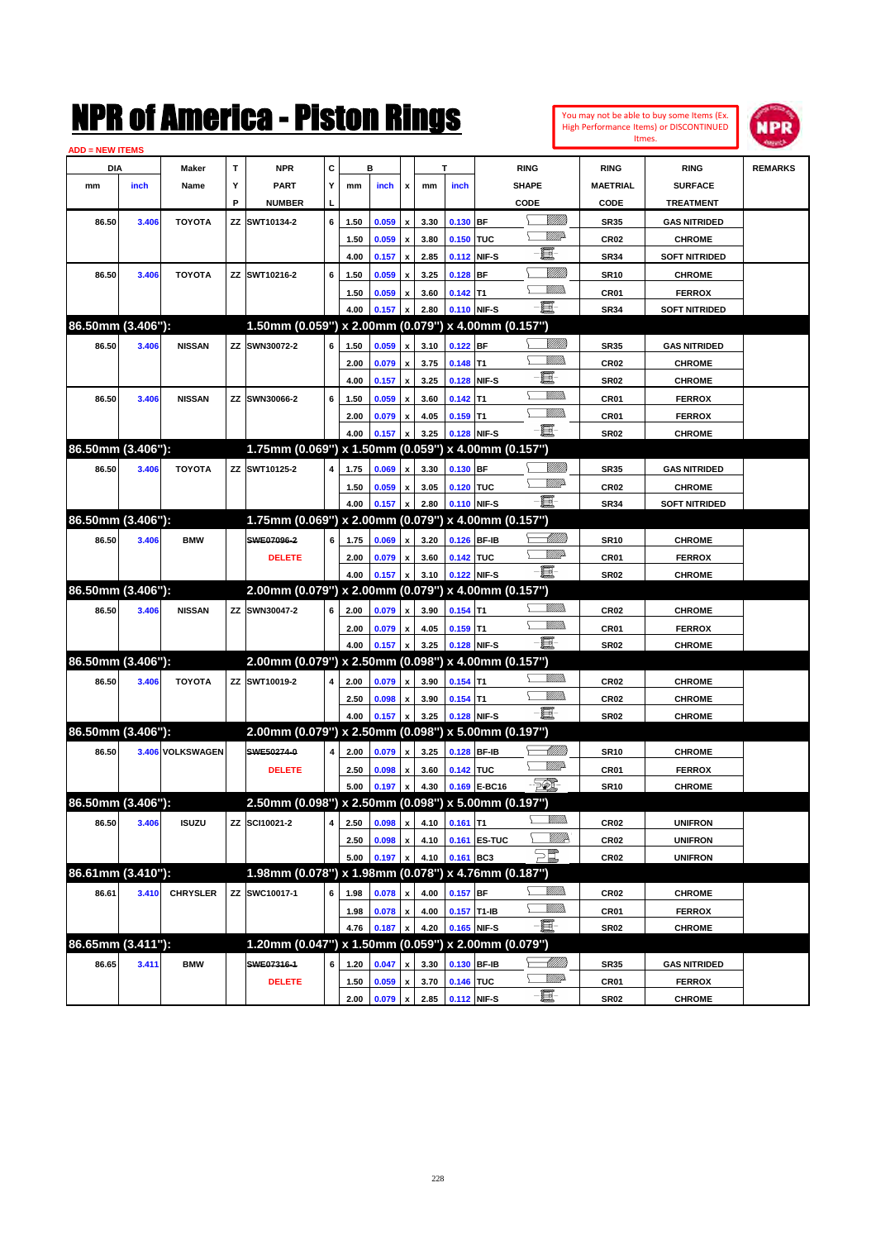|                        |       |                  |             | NMK OI AINCrica - Miston Kings                      |   |      |         |                    |      |                |               |                                                                                                                                                                                                                                      |                |                  | You may not be able to buy some Items (Ex.<br>High Performance Items) or DISCONTINUED<br>Itmes. | NPR            |
|------------------------|-------|------------------|-------------|-----------------------------------------------------|---|------|---------|--------------------|------|----------------|---------------|--------------------------------------------------------------------------------------------------------------------------------------------------------------------------------------------------------------------------------------|----------------|------------------|-------------------------------------------------------------------------------------------------|----------------|
| <b>ADD = NEW ITEMS</b> |       |                  |             |                                                     |   |      |         |                    |      |                |               |                                                                                                                                                                                                                                      |                |                  |                                                                                                 |                |
| DIA                    |       | Maker            | $\mathbf T$ | <b>NPR</b>                                          | C |      | в       |                    |      | T              |               | <b>RING</b>                                                                                                                                                                                                                          |                | <b>RING</b>      | <b>RING</b>                                                                                     | <b>REMARKS</b> |
| mm                     | inch  | Name             | Υ           | <b>PART</b>                                         | Υ | mm   | inch    | x                  | mm   | inch           |               | <b>SHAPE</b>                                                                                                                                                                                                                         |                | <b>MAETRIAL</b>  | <b>SURFACE</b>                                                                                  |                |
|                        |       |                  | P           | <b>NUMBER</b>                                       |   |      |         |                    |      |                |               | CODE                                                                                                                                                                                                                                 |                | CODE             | <b>TREATMENT</b>                                                                                |                |
| 86.50                  | 3.406 | <b>TOYOTA</b>    |             | ZZ SWT10134-2                                       | 6 | 1.50 | 0.059   | $\pmb{\mathsf{x}}$ | 3.30 | 0.130 BF       |               |                                                                                                                                                                                                                                      | <u>VIIII)</u>  | <b>SR35</b>      | <b>GAS NITRIDED</b>                                                                             |                |
|                        |       |                  |             |                                                     |   | 1.50 | 0.059   | $\pmb{\mathsf{x}}$ | 3.80 | 0.150          | TUC           |                                                                                                                                                                                                                                      | <u>MM</u> D    | <b>CR02</b>      | <b>CHROME</b>                                                                                   |                |
|                        |       |                  |             |                                                     |   | 4.00 | 0.157   | $\pmb{\mathsf{x}}$ | 2.85 |                | 0.112 NIF-S   | E                                                                                                                                                                                                                                    |                | <b>SR34</b>      | <b>SOFT NITRIDED</b>                                                                            |                |
| 86.50                  | 3.406 | <b>TOYOTA</b>    |             | ZZ SWT10216-2                                       | 6 | 1.50 | 0.059   | $\pmb{\mathsf{x}}$ | 3.25 | $0.128$ BF     |               |                                                                                                                                                                                                                                      | <u>MMM</u>     | <b>SR10</b>      | <b>CHROME</b>                                                                                   |                |
|                        |       |                  |             |                                                     |   | 1.50 | 0.059   | $\pmb{\mathsf{x}}$ | 3.60 | $0.142$ T1     |               | VM).                                                                                                                                                                                                                                 |                | CR01             | <b>FERROX</b>                                                                                   |                |
|                        |       |                  |             |                                                     |   | 4.00 | 0.157   | $\pmb{\mathsf{x}}$ | 2.80 |                | 0.110 NIF-S   | E-                                                                                                                                                                                                                                   |                | <b>SR34</b>      | <b>SOFT NITRIDED</b>                                                                            |                |
| 86.50mm (3.406"):      |       |                  |             | 1.50mm (0.059") x 2.00mm (0.079") x 4.00mm (0.157") |   |      |         |                    |      |                |               |                                                                                                                                                                                                                                      |                |                  |                                                                                                 |                |
| 86.50                  | 3.406 | <b>NISSAN</b>    |             | <b>ZZ SWN30072-2</b>                                | 6 | 1.50 | 0.059   | $\pmb{\mathsf{x}}$ | 3.10 | $0.122$ BF     |               |                                                                                                                                                                                                                                      | <u>Milli</u> k | <b>SR35</b>      | <b>GAS NITRIDED</b>                                                                             |                |
|                        |       |                  |             |                                                     |   | 2.00 | 0.079   | $\pmb{\mathsf{x}}$ | 3.75 | $0.148$ T1     |               |                                                                                                                                                                                                                                      | <br>Mar        | <b>CR02</b>      | <b>CHROME</b>                                                                                   |                |
|                        |       |                  |             |                                                     |   | 4.00 | 0.157   | $\pmb{\mathsf{x}}$ | 3.25 |                | 0.128 NIF-S   | E                                                                                                                                                                                                                                    |                | <b>SR02</b>      | <b>CHROME</b>                                                                                   |                |
| 86.50                  | 3.406 | <b>NISSAN</b>    |             | <b>ZZ SWN30066-2</b>                                | 6 | 1.50 | 0.059   | $\pmb{\mathsf{x}}$ | 3.60 | $0.142$ T1     |               |                                                                                                                                                                                                                                      | <br>Villida    | CR01             | <b>FERROX</b>                                                                                   |                |
|                        |       |                  |             |                                                     |   | 2.00 | 0.079   | $\pmb{\mathsf{x}}$ | 4.05 | $0.159$ T1     |               | VM).                                                                                                                                                                                                                                 |                | CR01             | <b>FERROX</b>                                                                                   |                |
|                        |       |                  |             |                                                     |   | 4.00 | 0.157   | x                  | 3.25 |                | 0.128 NIF-S   | $-\mathbf{E}$                                                                                                                                                                                                                        |                | <b>SR02</b>      | <b>CHROME</b>                                                                                   |                |
| 86.50mm (3.406"):      |       |                  |             | 1.75mm (0.069") x 1.50mm (0.059") x 4.00mm (0.157") |   |      |         |                    |      |                |               |                                                                                                                                                                                                                                      |                |                  |                                                                                                 |                |
| 86.50                  | 3.406 | <b>TOYOTA</b>    |             | ZZ SWT10125-2                                       | 4 | 1.75 | 0.069   | $\pmb{\mathsf{x}}$ | 3.30 | $0.130$ BF     |               |                                                                                                                                                                                                                                      | <u>Milli</u> k | <b>SR35</b>      | <b>GAS NITRIDED</b>                                                                             |                |
|                        |       |                  |             |                                                     |   | 1.50 | 0.059   | x                  | 3.05 | 0.120 TUC      |               |                                                                                                                                                                                                                                      | <u>VMD</u>     | CR <sub>02</sub> | <b>CHROME</b>                                                                                   |                |
|                        |       |                  |             |                                                     |   | 4.00 | 0.157   | $\pmb{\mathsf{x}}$ | 2.80 |                | 0.110 NIF-S   | $-\mathbf{E}$                                                                                                                                                                                                                        |                | <b>SR34</b>      | <b>SOFT NITRIDED</b>                                                                            |                |
| 86.50mm (3.406"):      |       |                  |             | 1.75mm (0.069") x 2.00mm (0.079") x 4.00mm (0.157") |   |      |         |                    |      |                |               |                                                                                                                                                                                                                                      |                |                  |                                                                                                 |                |
| 86.50                  | 3.406 | <b>BMW</b>       |             | SWE07096-2                                          | 6 | 1.75 | 0.069   | $\pmb{\mathsf{x}}$ | 3.20 | 0.126 BF-IB    |               |                                                                                                                                                                                                                                      | MMM)           | <b>SR10</b>      | <b>CHROME</b>                                                                                   |                |
|                        |       |                  |             | <b>DELETE</b>                                       |   | 2.00 | 0.079   | $\pmb{\mathsf{x}}$ | 3.60 | 0.142 TUC      |               | <u>VM</u> D                                                                                                                                                                                                                          |                | CR01             | <b>FERROX</b>                                                                                   |                |
|                        |       |                  |             |                                                     |   | 4.00 | 0.157   | x                  | 3.10 |                | 0.122 NIF-S   | -8                                                                                                                                                                                                                                   |                | <b>SR02</b>      | <b>CHROME</b>                                                                                   |                |
| 86.50mm (3.406"):      |       |                  |             | 2.00mm (0.079") x 2.00mm (0.079") x 4.00mm (0.157") |   |      |         |                    |      |                |               |                                                                                                                                                                                                                                      |                |                  |                                                                                                 |                |
| 86.50                  | 3.406 | <b>NISSAN</b>    |             | ZZ SWN30047-2                                       | 6 | 2.00 | 0.079   | $\pmb{\mathsf{x}}$ | 3.90 | $0.154$ T1     |               |                                                                                                                                                                                                                                      | <br>Milio      | <b>CR02</b>      | <b>CHROME</b>                                                                                   |                |
|                        |       |                  |             |                                                     |   | 2.00 | 0.079   | $\pmb{\mathsf{x}}$ | 4.05 | $0.159$ T1     |               |                                                                                                                                                                                                                                      | <br>Mar        | CR01             | <b>FERROX</b>                                                                                   |                |
|                        |       |                  |             |                                                     |   | 4.00 | 0.157   | X                  | 3.25 |                | 0.128 NIF-S   | $-\mathbf{E}$                                                                                                                                                                                                                        |                | <b>SR02</b>      | <b>CHROME</b>                                                                                   |                |
| 86.50mm (3.406"):      |       |                  |             | 2.00mm (0.079") x 2.50mm (0.098") x 4.00mm (0.157") |   |      |         |                    |      |                |               |                                                                                                                                                                                                                                      |                |                  |                                                                                                 |                |
| 86.50                  | 3.406 | <b>TOYOTA</b>    |             | ZZ SWT10019-2                                       | 4 | 2.00 | 0.079   | $\pmb{\mathsf{x}}$ | 3.90 | $0.154$ T1     |               |                                                                                                                                                                                                                                      |                | CR <sub>02</sub> | <b>CHROME</b>                                                                                   |                |
|                        |       |                  |             |                                                     |   | 2.50 | 0.098   | $\pmb{\mathsf{x}}$ | 3.90 | $0.154$ T1     |               |                                                                                                                                                                                                                                      | <br>Villida    | CR <sub>02</sub> | <b>CHROME</b>                                                                                   |                |
|                        |       |                  |             |                                                     |   | 4.00 | 0.157   | x                  | 3.25 |                | 0.128 NIF-S   | $-\mathbf{E}$                                                                                                                                                                                                                        |                | <b>SR02</b>      | <b>CHROME</b>                                                                                   |                |
| 86.50mm (3.406"):      |       |                  |             | 2.00mm (0.079") x 2.50mm (0.098") x 5.00mm (0.197") |   |      |         |                    |      |                |               |                                                                                                                                                                                                                                      |                |                  |                                                                                                 |                |
| 86.50                  |       | 3.406 VOLKSWAGEN |             | SWE50274-0                                          | 4 | 2.00 | 0.079   | $\pmb{\mathsf{x}}$ | 3.25 |                | 0.128 BF-IB   |                                                                                                                                                                                                                                      | <u> MMM</u>    | <b>SR10</b>      | <b>CHROME</b>                                                                                   |                |
|                        |       |                  |             | <b>DELETE</b>                                       |   | 2.50 | 0.098 x |                    |      | 3.60 0.142 TUC |               |                                                                                                                                                                                                                                      | <u>VMD</u>     | CR01             | <b>FERROX</b>                                                                                   |                |
|                        |       |                  |             |                                                     |   | 5.00 | 0.197   | $\pmb{\mathsf{x}}$ | 4.30 |                | 0.169 E-BC16  | EQ,                                                                                                                                                                                                                                  |                | <b>SR10</b>      | <b>CHROME</b>                                                                                   |                |
| 86.50mm (3.406"):      |       |                  |             | 2.50mm (0.098") x 2.50mm (0.098") x 5.00mm (0.197") |   |      |         |                    |      |                |               |                                                                                                                                                                                                                                      |                |                  |                                                                                                 |                |
| 86.50                  | 3.406 | <b>ISUZU</b>     |             | ZZ SCI10021-2                                       | 4 | 2.50 | 0.098   | $\pmb{\mathsf{x}}$ | 4.10 | $0.161$ T1     |               |                                                                                                                                                                                                                                      | <u>Willib</u>  | CR02             | <b>UNIFRON</b>                                                                                  |                |
|                        |       |                  |             |                                                     |   | 2.50 | 0.098   | $\pmb{\mathsf{x}}$ | 4.10 |                | 0.161 ES-TUC  |                                                                                                                                                                                                                                      | <u>WM</u> P    | CR02             | <b>UNIFRON</b>                                                                                  |                |
|                        |       |                  |             |                                                     |   | 5.00 | 0.197   | x                  | 4.10 | 0.161 BC3      |               | - William                                                                                                                                                                                                                            |                | CR02             | <b>UNIFRON</b>                                                                                  |                |
| 86.61mm (3.410"):      |       |                  |             | 1.98mm (0.078") x 1.98mm (0.078") x 4.76mm (0.187") |   |      |         |                    |      |                |               |                                                                                                                                                                                                                                      |                |                  |                                                                                                 |                |
| 86.61                  | 3.410 | <b>CHRYSLER</b>  |             | ZZ SWC10017-1                                       | 6 | 1.98 | 0.078   | $\pmb{\mathsf{x}}$ | 4.00 | 0.157 BF       |               |                                                                                                                                                                                                                                      | <u>MMW</u>     | CR02             | <b>CHROME</b>                                                                                   |                |
|                        |       |                  |             |                                                     |   | 1.98 | 0.078   | $\pmb{\mathsf{x}}$ | 4.00 |                | $0.157$ T1-IB | <u>MM)</u>                                                                                                                                                                                                                           |                | CR01             | <b>FERROX</b>                                                                                   |                |
|                        |       |                  |             |                                                     |   | 4.76 | 0.187   |                    | 4.20 |                | 0.165 NIF-S   | e de la contrada de la contrada de la contrada de la contrada de la contrada de la contrada de la contrada de<br>Del contrada de la contrada de la contrada de la contrada de la contrada de la contrada de la contrada de la c<br>D |                | <b>SR02</b>      | <b>CHROME</b>                                                                                   |                |
| 86.65mm (3.411"):      |       |                  |             | 1.20mm (0.047") x 1.50mm (0.059") x 2.00mm (0.079") |   |      |         |                    |      |                |               |                                                                                                                                                                                                                                      |                |                  |                                                                                                 |                |
| 86.65                  | 3.411 | <b>BMW</b>       |             | SWE07316-1                                          | 6 | 1.20 | 0.047   | $\pmb{\mathsf{x}}$ | 3.30 |                | 0.130 BF-IB   |                                                                                                                                                                                                                                      |                | <b>SR35</b>      | <b>GAS NITRIDED</b>                                                                             |                |
|                        |       |                  |             | <b>DELETE</b>                                       |   | 1.50 | 0.059   | x                  | 3.70 | 0.146 TUC      |               | <u>VMD</u>                                                                                                                                                                                                                           |                | CR01             | <b>FERROX</b>                                                                                   |                |
|                        |       |                  |             |                                                     |   | 2.00 | 0.079   | $\pmb{\mathsf{x}}$ | 2.85 |                | 0.112 NIF-S   | $-\Xi$                                                                                                                                                                                                                               |                | SR02             | <b>CHROME</b>                                                                                   |                |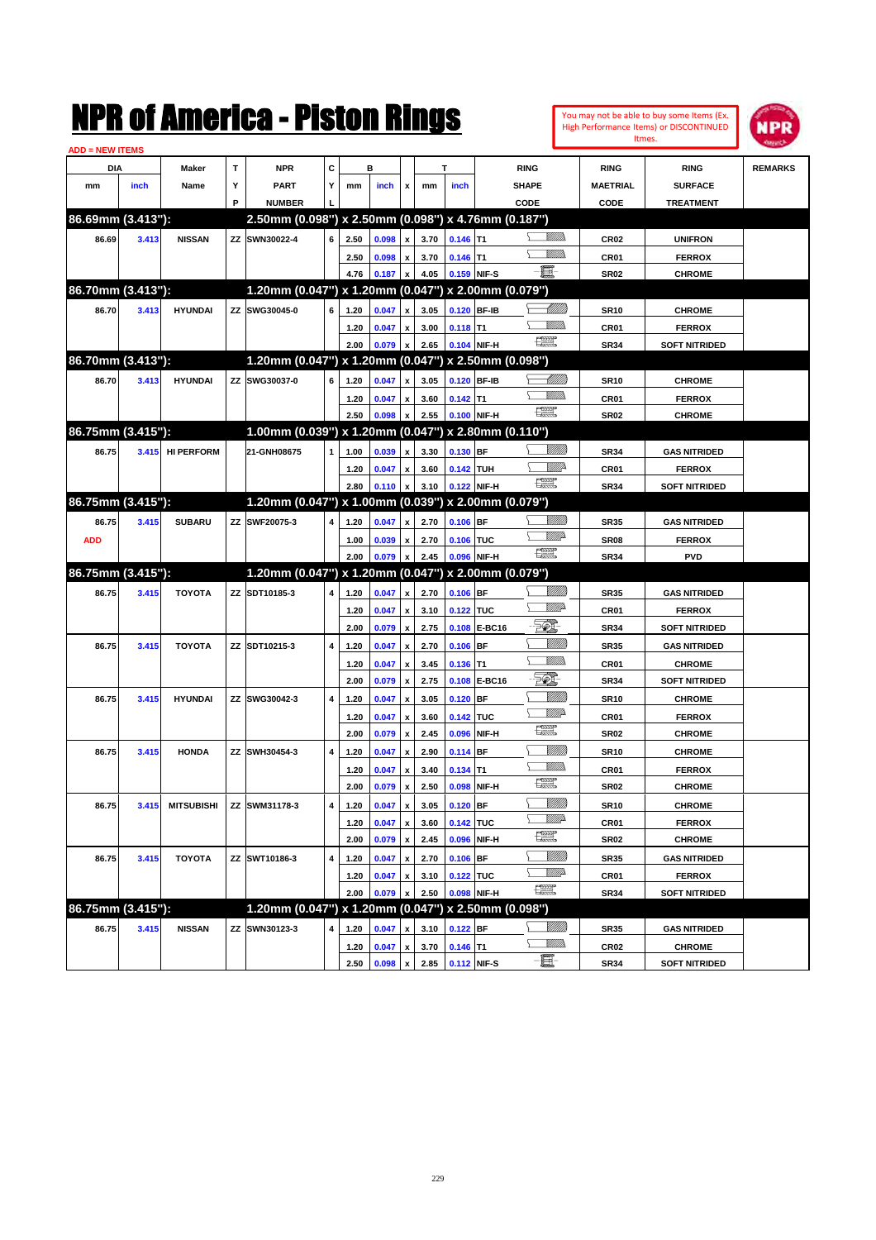|                        |       |                   |   | NMK OI AINCrica - Miston Kings                      |   |      |       |                           |      |             |                   |                                                                                                                                                                                                                                                                                                                                                                                             |                 |                  | You may not be able to buy some Items (Ex.<br>High Performance Items) or DISCONTINUED | ספו            |
|------------------------|-------|-------------------|---|-----------------------------------------------------|---|------|-------|---------------------------|------|-------------|-------------------|---------------------------------------------------------------------------------------------------------------------------------------------------------------------------------------------------------------------------------------------------------------------------------------------------------------------------------------------------------------------------------------------|-----------------|------------------|---------------------------------------------------------------------------------------|----------------|
| <b>ADD = NEW ITEMS</b> |       |                   |   |                                                     |   |      |       |                           |      |             |                   |                                                                                                                                                                                                                                                                                                                                                                                             |                 |                  | Itmes.                                                                                |                |
| DIA                    |       | Maker             | T | <b>NPR</b>                                          | C |      | в     |                           |      | T           |                   | <b>RING</b>                                                                                                                                                                                                                                                                                                                                                                                 |                 | <b>RING</b>      | <b>RING</b>                                                                           | <b>REMARKS</b> |
| mm                     | inch  | Name              | Υ | <b>PART</b>                                         | Υ | mm   | inch  | x                         | mm   | inch        |                   | <b>SHAPE</b>                                                                                                                                                                                                                                                                                                                                                                                |                 | <b>MAETRIAL</b>  | <b>SURFACE</b>                                                                        |                |
|                        |       |                   | P | <b>NUMBER</b>                                       |   |      |       |                           |      |             |                   | CODE                                                                                                                                                                                                                                                                                                                                                                                        |                 | CODE             | <b>TREATMENT</b>                                                                      |                |
| 86.69mm (3.413"):      |       |                   |   | 2.50mm (0.098") x 2.50mm (0.098") x 4.76mm (0.187") |   |      |       |                           |      |             |                   |                                                                                                                                                                                                                                                                                                                                                                                             |                 |                  |                                                                                       |                |
| 86.69                  | 3.413 | <b>NISSAN</b>     |   | ZZ SWN30022-4                                       | 6 | 2.50 | 0.098 | $\pmb{\mathsf{x}}$        | 3.70 | $0.146$ T1  |                   |                                                                                                                                                                                                                                                                                                                                                                                             |                 | CR <sub>02</sub> | <b>UNIFRON</b>                                                                        |                |
|                        |       |                   |   |                                                     |   | 2.50 | 0.098 | $\pmb{\mathsf{x}}$        | 3.70 | $0.146$ T1  |                   |                                                                                                                                                                                                                                                                                                                                                                                             | VMM)            | CR <sub>01</sub> | <b>FERROX</b>                                                                         |                |
|                        |       |                   |   |                                                     |   | 4.76 | 0.187 | $\pmb{\mathsf{x}}$        | 4.05 | 0.159 NIF-S |                   | $-\mathbf{H}$                                                                                                                                                                                                                                                                                                                                                                               |                 | <b>SR02</b>      | <b>CHROME</b>                                                                         |                |
| 86.70mm (3.413"):      |       |                   |   | 1.20mm (0.047") x 1.20mm (0.047") x 2.00mm (0.079") |   |      |       |                           |      |             |                   |                                                                                                                                                                                                                                                                                                                                                                                             |                 |                  |                                                                                       |                |
| 86.70                  | 3.413 | <b>HYUNDAI</b>    |   | ZZ SWG30045-0                                       | 6 | 1.20 | 0.047 | $\pmb{\mathsf{x}}$        | 3.05 |             | 0.120 BF-IB       |                                                                                                                                                                                                                                                                                                                                                                                             | <u> MMM</u>     | <b>SR10</b>      | <b>CHROME</b>                                                                         |                |
|                        |       |                   |   |                                                     |   | 1.20 | 0.047 | $\pmb{\mathsf{x}}$        | 3.00 | $0.118$ T1  |                   |                                                                                                                                                                                                                                                                                                                                                                                             | VMM)            | CR <sub>01</sub> | <b>FERROX</b>                                                                         |                |
|                        |       |                   |   |                                                     |   | 2.00 | 0.079 | $\pmb{\mathsf{x}}$        | 2.65 |             | 0.104 NIF-H       | 漂                                                                                                                                                                                                                                                                                                                                                                                           |                 | <b>SR34</b>      | <b>SOFT NITRIDED</b>                                                                  |                |
| 86.70mm (3.413"):      |       |                   |   | 1.20mm (0.047") x 1.20mm (0.047")                   |   |      |       |                           |      |             | x 2.50mm (0.098") |                                                                                                                                                                                                                                                                                                                                                                                             |                 |                  |                                                                                       |                |
| 86.70                  | 3.413 | <b>HYUNDAI</b>    |   | ZZ SWG30037-0                                       | 6 | 1.20 | 0.047 | $\pmb{\mathsf{x}}$        | 3.05 |             | 0.120 BF-IB       |                                                                                                                                                                                                                                                                                                                                                                                             | <u> UMB</u>     | <b>SR10</b>      | <b>CHROME</b>                                                                         |                |
|                        |       |                   |   |                                                     |   | 1.20 | 0.047 | $\pmb{\mathsf{x}}$        | 3.60 | $0.142$ T1  |                   |                                                                                                                                                                                                                                                                                                                                                                                             | VMM)            | CR <sub>01</sub> | <b>FERROX</b>                                                                         |                |
|                        |       |                   |   |                                                     |   | 2.50 | 0.098 | $\pmb{\mathsf{x}}$        | 2.55 |             | 0.100 NIF-H       | N                                                                                                                                                                                                                                                                                                                                                                                           |                 | SR <sub>02</sub> | <b>CHROME</b>                                                                         |                |
| 86.75mm (3.415"):      |       |                   |   | 1.00mm (0.039") x 1.20mm (0.047") x 2.80mm (0.110") |   |      |       |                           |      |             |                   |                                                                                                                                                                                                                                                                                                                                                                                             |                 |                  |                                                                                       |                |
| 86.75                  | 3.415 | <b>HI PERFORM</b> |   | 21-GNH08675                                         | 1 | 1.00 | 0.039 | $\pmb{\mathsf{x}}$        | 3.30 | $0.130$ BF  |                   |                                                                                                                                                                                                                                                                                                                                                                                             | <u>Millitti</u> | <b>SR34</b>      | <b>GAS NITRIDED</b>                                                                   |                |
|                        |       |                   |   |                                                     |   | 1.20 | 0.047 | $\pmb{\mathsf{x}}$        | 3.60 | 0.142 TUH   |                   |                                                                                                                                                                                                                                                                                                                                                                                             | ₩₩              | CR <sub>01</sub> | <b>FERROX</b>                                                                         |                |
|                        |       |                   |   |                                                     |   | 2.80 | 0.110 | $\pmb{\mathsf{x}}$        | 3.10 |             | 0.122 NIF-H       | N                                                                                                                                                                                                                                                                                                                                                                                           |                 | <b>SR34</b>      | <b>SOFT NITRIDED</b>                                                                  |                |
| 86.75mm (3.415"):      |       |                   |   | 1.20mm (0.047") x 1.00mm (0.039") x 2.00mm (0.079") |   |      |       |                           |      |             |                   |                                                                                                                                                                                                                                                                                                                                                                                             |                 |                  |                                                                                       |                |
| 86.75                  | 3.415 | <b>SUBARU</b>     |   | ZZ SWF20075-3                                       | 4 | 1.20 | 0.047 | $\pmb{\mathsf{x}}$        | 2.70 | $0.106$ BF  |                   |                                                                                                                                                                                                                                                                                                                                                                                             | <u>Millitt</u>  | <b>SR35</b>      | <b>GAS NITRIDED</b>                                                                   |                |
| <b>ADD</b>             |       |                   |   |                                                     |   | 1.00 | 0.039 | $\pmb{\mathsf{x}}$        | 2.70 | 0.106 TUC   |                   |                                                                                                                                                                                                                                                                                                                                                                                             | <u>VIII)</u>    | SR <sub>08</sub> | <b>FERROX</b>                                                                         |                |
|                        |       |                   |   |                                                     |   | 2.00 | 0.079 | $\boldsymbol{\mathsf{x}}$ | 2.45 |             | 0.096 NIF-H       | $\begin{picture}(20,20) \put(0,0){\line(1,0){10}} \put(15,0){\line(1,0){10}} \put(15,0){\line(1,0){10}} \put(15,0){\line(1,0){10}} \put(15,0){\line(1,0){10}} \put(15,0){\line(1,0){10}} \put(15,0){\line(1,0){10}} \put(15,0){\line(1,0){10}} \put(15,0){\line(1,0){10}} \put(15,0){\line(1,0){10}} \put(15,0){\line(1,0){10}} \put(15,0){\line(1$                                         |                 | <b>SR34</b>      | <b>PVD</b>                                                                            |                |
| 86.75mm (3.415"):      |       |                   |   | 1.20mm (0.047") x 1.20mm (0.047") x 2.00mm (0.079") |   |      |       |                           |      |             |                   |                                                                                                                                                                                                                                                                                                                                                                                             |                 |                  |                                                                                       |                |
| 86.75                  | 3.415 | <b>TOYOTA</b>     |   | ZZ SDT10185-3                                       | 4 | 1.20 | 0.047 | $\pmb{\mathsf{x}}$        | 2.70 | $0.106$ BF  |                   |                                                                                                                                                                                                                                                                                                                                                                                             |                 | <b>SR35</b>      | <b>GAS NITRIDED</b>                                                                   |                |
|                        |       |                   |   |                                                     |   | 1.20 | 0.047 | $\pmb{\mathsf{x}}$        | 3.10 | 0.122 TUC   |                   |                                                                                                                                                                                                                                                                                                                                                                                             | <u>MM</u>       | CR <sub>01</sub> | <b>FERROX</b>                                                                         |                |
|                        |       |                   |   |                                                     |   | 2.00 | 0.079 | $\boldsymbol{\mathsf{x}}$ | 2.75 |             | 0.108 E-BC16      | EQ,                                                                                                                                                                                                                                                                                                                                                                                         |                 | <b>SR34</b>      | <b>SOFT NITRIDED</b>                                                                  |                |
| 86.75                  | 3.415 | <b>TOYOTA</b>     |   | ZZ SDT10215-3                                       | 4 | 1.20 | 0.047 | $\pmb{\mathsf{x}}$        | 2.70 | $0.106$ BF  |                   |                                                                                                                                                                                                                                                                                                                                                                                             | <u>MM</u>       | <b>SR35</b>      | <b>GAS NITRIDED</b>                                                                   |                |
|                        |       |                   |   |                                                     |   | 1.20 | 0.047 | $\pmb{\mathsf{x}}$        | 3.45 | $0.136$ T1  |                   |                                                                                                                                                                                                                                                                                                                                                                                             | 977777.         | CR <sub>01</sub> | <b>CHROME</b>                                                                         |                |
|                        |       |                   |   |                                                     |   | 2.00 | 0.079 | $\boldsymbol{\mathsf{x}}$ | 2.75 |             | 0.108 E-BC16      |                                                                                                                                                                                                                                                                                                                                                                                             |                 | <b>SR34</b>      | <b>SOFT NITRIDED</b>                                                                  |                |
| 86.75                  | 3.415 | <b>HYUNDAI</b>    |   | ZZ SWG30042-3                                       | 4 | 1.20 | 0.047 | $\pmb{\mathsf{x}}$        | 3.05 | $0.120$ BF  |                   |                                                                                                                                                                                                                                                                                                                                                                                             | <u>MMW</u>      | <b>SR10</b>      | <b>CHROME</b>                                                                         |                |
|                        |       |                   |   |                                                     |   | 1.20 | 0.047 | $\pmb{\mathsf{x}}$        | 3.60 | 0.142 TUC   |                   |                                                                                                                                                                                                                                                                                                                                                                                             | <u>MM</u> D     | CR <sub>01</sub> | <b>FERROX</b>                                                                         |                |
|                        |       |                   |   |                                                     |   | 2.00 | 0.079 | $\pmb{\mathsf{x}}$        | 2.45 |             | 0.096 NIF-H       | $\begin{picture}(20,20) \put(0,0){\dashbox{0.5}(20,0){ }} \put(15,0){\circle{10}} \put(25,0){\circle{10}} \put(25,0){\circle{10}} \put(25,0){\circle{10}} \put(25,0){\circle{10}} \put(25,0){\circle{10}} \put(25,0){\circle{10}} \put(25,0){\circle{10}} \put(25,0){\circle{10}} \put(25,0){\circle{10}} \put(25,0){\circle{10}} \put(25,0){\circle{10}} \put(25,0){\circle{10}} \put(25,$ |                 | <b>SR02</b>      | <b>CHROME</b>                                                                         |                |
| 86.75                  | 3.415 | <b>HONDA</b>      |   | ZZ SWH30454-3                                       | 4 | 1.20 | 0.047 | $\pmb{\mathsf{x}}$        | 2.90 | 0.114 BF    |                   |                                                                                                                                                                                                                                                                                                                                                                                             | <u>MMW</u>      | <b>SR10</b>      | <b>CHROME</b>                                                                         |                |
|                        |       |                   |   |                                                     |   | 1.20 | 0.047 | $\pmb{\mathsf{x}}$        | 3.40 | $0.134$ T1  |                   |                                                                                                                                                                                                                                                                                                                                                                                             | 9777)           | CR01             | <b>FERROX</b>                                                                         |                |
|                        |       |                   |   |                                                     |   | 2.00 | 0.079 | $\pmb{\mathsf{x}}$        | 2.50 |             | 0.098 NIF-H       | $\frac{1}{2}$                                                                                                                                                                                                                                                                                                                                                                               |                 | SR <sub>02</sub> | <b>CHROME</b>                                                                         |                |
| 86.75                  | 3.415 | <b>MITSUBISHI</b> |   | ZZ SWM31178-3                                       | 4 | 1.20 | 0.047 | $\pmb{\mathsf{x}}$        | 3.05 | 0.120 BF    |                   |                                                                                                                                                                                                                                                                                                                                                                                             | <u>VIIII</u> )  | <b>SR10</b>      | <b>CHROME</b>                                                                         |                |
|                        |       |                   |   |                                                     |   | 1.20 | 0.047 | $\pmb{\mathsf{x}}$        | 3.60 | 0.142 TUC   |                   |                                                                                                                                                                                                                                                                                                                                                                                             | <u>Willia</u>   | CR01             | <b>FERROX</b>                                                                         |                |
|                        |       |                   |   |                                                     |   | 2.00 | 0.079 | $\pmb{\mathsf{x}}$        | 2.45 |             | 0.096 NIF-H       | $\frac{1}{2}$                                                                                                                                                                                                                                                                                                                                                                               |                 | <b>SR02</b>      | <b>CHROME</b>                                                                         |                |
| 86.75                  | 3.415 | <b>TOYOTA</b>     |   | ZZ SWT10186-3                                       | 4 | 1.20 | 0.047 | $\pmb{\mathsf{x}}$        | 2.70 | $0.106$ BF  |                   |                                                                                                                                                                                                                                                                                                                                                                                             | <u>VIIII)</u>   | <b>SR35</b>      | <b>GAS NITRIDED</b>                                                                   |                |
|                        |       |                   |   |                                                     |   | 1.20 | 0.047 | $\pmb{\mathsf{x}}$        | 3.10 | 0.122 TUC   |                   |                                                                                                                                                                                                                                                                                                                                                                                             | <u>WW</u> A     | CR01             | <b>FERROX</b>                                                                         |                |
|                        |       |                   |   |                                                     |   | 2.00 | 0.079 | $\pmb{\mathsf{x}}$        | 2.50 |             | 0.098 NIF-H       | $f_{\rm max}^{\rm exp}$                                                                                                                                                                                                                                                                                                                                                                     |                 | SR34             | <b>SOFT NITRIDED</b>                                                                  |                |
| 86.75mm (3.415"):      |       |                   |   | 1.20mm (0.047") x 1.20mm (0.047") x 2.50mm (0.098") |   |      |       |                           |      |             |                   |                                                                                                                                                                                                                                                                                                                                                                                             |                 |                  |                                                                                       |                |
| 86.75                  | 3.415 | <b>NISSAN</b>     |   | ZZ SWN30123-3                                       | 4 | 1.20 | 0.047 | $\pmb{\mathsf{x}}$        | 3.10 | $0.122$ BF  |                   |                                                                                                                                                                                                                                                                                                                                                                                             | <u>MMS</u>      | <b>SR35</b>      | <b>GAS NITRIDED</b>                                                                   |                |
|                        |       |                   |   |                                                     |   | 1.20 | 0.047 | $\pmb{\mathsf{x}}$        | 3.70 | $0.146$ T1  |                   |                                                                                                                                                                                                                                                                                                                                                                                             | <u>VMM)</u>     | <b>CR02</b>      | <b>CHROME</b>                                                                         |                |
|                        |       |                   |   |                                                     |   | 2.50 | 0.098 | $\pmb{\mathsf{x}}$        | 2.85 |             | 0.112 NIF-S       | E-                                                                                                                                                                                                                                                                                                                                                                                          |                 | <b>SR34</b>      | <b>SOFT NITRIDED</b>                                                                  |                |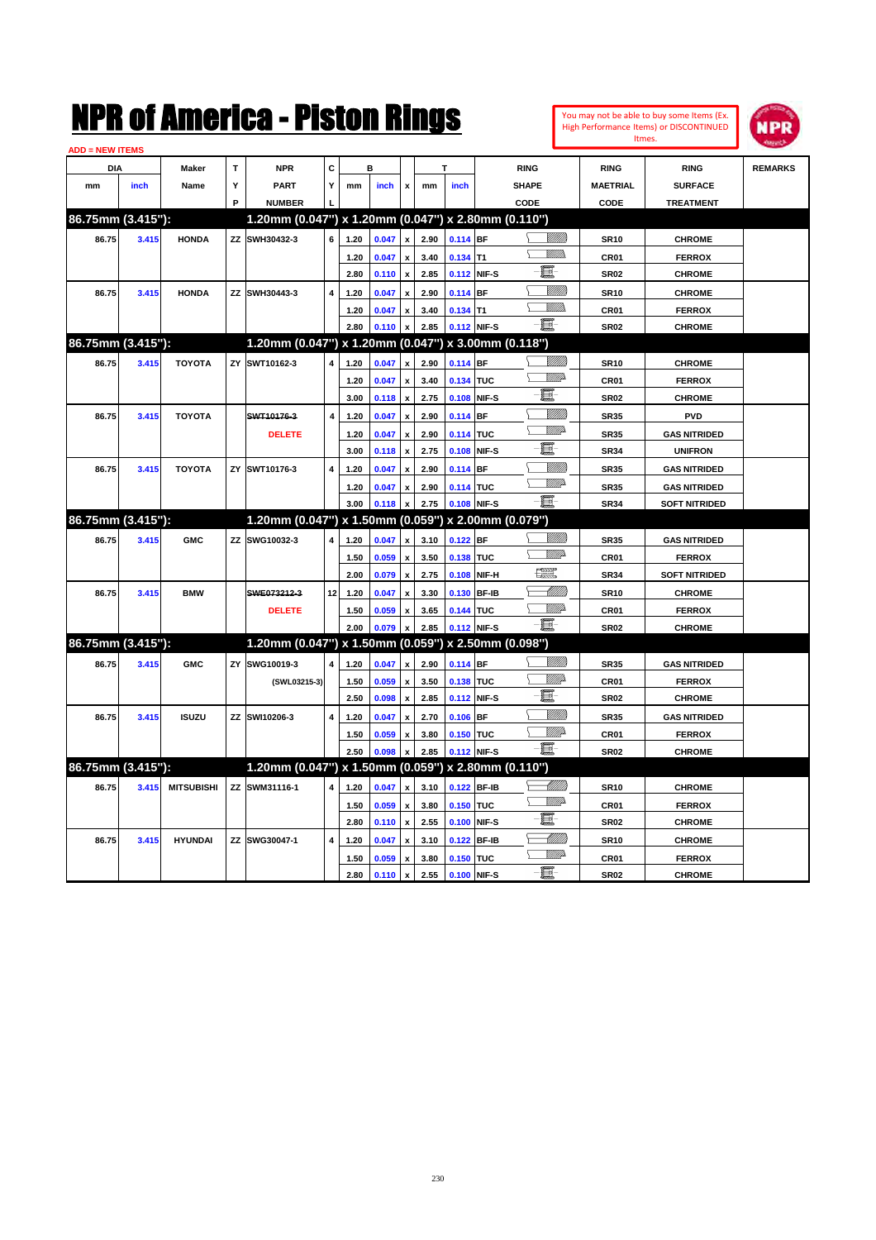| You may not be able to buy some Items (Ex. |
|--------------------------------------------|
| High Performance Items) or DISCONTINUED    |
| Itmes.                                     |



| <b>ADD = NEW ITEMS</b> |             |                   |   |                                                     |                         |              |                |                                          |              |            |             |                   |                            |                                |                |
|------------------------|-------------|-------------------|---|-----------------------------------------------------|-------------------------|--------------|----------------|------------------------------------------|--------------|------------|-------------|-------------------|----------------------------|--------------------------------|----------------|
| <b>DIA</b>             |             | <b>Maker</b>      | T | <b>NPR</b>                                          | C                       |              | B              |                                          |              |            |             | <b>RING</b>       | <b>RING</b>                | <b>RING</b>                    | <b>REMARKS</b> |
| mm                     | <i>inch</i> | Name              | Y | <b>PART</b>                                         | Y                       | mm           | inch           | x                                        | mm           | inch       |             | <b>SHAPE</b>      | <b>MAETRIAL</b>            | <b>SURFACE</b>                 |                |
|                        |             |                   | P | <b>NUMBER</b>                                       |                         |              |                |                                          |              |            |             | CODE              | CODE                       | <b>TREATMENT</b>               |                |
| 86.75mm (3.415"):      |             |                   |   | 1.20mm (0.047") x 1.20mm (0.047") x 2.80mm (0.110") |                         |              |                |                                          |              |            |             |                   |                            |                                |                |
| 86.75                  | 3.415       | <b>HONDA</b>      |   | ZZ SWH30432-3                                       | 6                       | 1.20         | 0.047          | $\pmb{\mathsf{x}}$                       | 2.90         | 0.114 BF   |             | <u>Villitti</u>   | <b>SR10</b>                | <b>CHROME</b>                  |                |
|                        |             |                   |   |                                                     |                         | 1.20         | 0.047          | $\mathbf{x}$                             | 3.40         | $0.134$ T1 |             | VMM).             | <b>CR01</b>                | <b>FERROX</b>                  |                |
|                        |             |                   |   |                                                     |                         | 2.80         | 0.110          | $\pmb{\mathsf{x}}$                       | 2.85         |            | 0.112 NIF-S | e.                | <b>SR02</b>                | <b>CHROME</b>                  |                |
| 86.75                  | 3.415       | <b>HONDA</b>      |   | ZZ SWH30443-3                                       | 4                       | 1.20         | 0.047          |                                          | 2.90         | 0.114 BF   |             | VMM)              | <b>SR10</b>                | <b>CHROME</b>                  |                |
|                        |             |                   |   |                                                     |                         | 1.20         | 0.047          | $\boldsymbol{x}$                         | 3.40         | $0.134$ T1 |             |                   | CR <sub>01</sub>           | <b>FERROX</b>                  |                |
|                        |             |                   |   |                                                     |                         | 2.80         | 0.110          | $\boldsymbol{x}$                         | 2.85         |            | 0.112 NIF-S | $-\Xi$ -          | <b>SR02</b>                | <b>CHROME</b>                  |                |
| 86.75mm (3.415"):      |             |                   |   | 1.20mm (0.047") x 1.20mm (0.047") x 3.00mm (0.118") |                         |              |                |                                          |              |            |             |                   |                            |                                |                |
| 86.75                  | 3.415       | <b>TOYOTA</b>     |   | ZY SWT10162-3                                       | 4                       | 1.20         | 0.047          | x                                        | 2.90         | 0.114 BF   |             | <br>Viited        | <b>SR10</b>                | <b>CHROME</b>                  |                |
|                        |             |                   |   |                                                     |                         | 1.20         | 0.047          | x                                        | 3.40         | 0.134 TUC  |             | WW                | CR <sub>01</sub>           | <b>FERROX</b>                  |                |
|                        |             |                   |   |                                                     |                         | 3.00         | 0.118          | $\mathbf{x}$                             | 2.75         |            | 0.108 NIF-S | 匱                 | <b>SR02</b>                | <b>CHROME</b>                  |                |
| 86.75                  | 3.415       | <b>TOYOTA</b>     |   | SWT10176-3                                          | $\overline{\mathbf{4}}$ | 1.20         | 0.047          | $\boldsymbol{\mathsf{x}}$                | 2.90         | 0.114 BF   |             |                   | <b>SR35</b>                | <b>PVD</b>                     |                |
|                        |             |                   |   | <b>DELETE</b>                                       |                         | 1.20         | 0.047          | $\pmb{\mathsf{x}}$                       | 2.90         | 0.114 TUC  |             | <u>VMD</u>        | <b>SR35</b>                | <b>GAS NITRIDED</b>            |                |
|                        |             |                   |   |                                                     |                         | 3.00         | 0.118          | $\pmb{\mathsf{x}}$                       | 2.75         |            | 0.108 NIF-S | e.                | <b>SR34</b>                | <b>UNIFRON</b>                 |                |
| 86.75                  | 3.415       | <b>TOYOTA</b>     |   | ZY SWT10176-3                                       | 4                       | 1.20         | 0.047          | x                                        | 2.90         | $0.114$ BF |             | <u>VIIII</u>      | <b>SR35</b>                | <b>GAS NITRIDED</b>            |                |
|                        |             |                   |   |                                                     |                         | 1.20         | 0.047          | $\mathbf{x}$                             | 2.90         | 0.114 TUC  |             | <u>VM</u> D       | <b>SR35</b>                | <b>GAS NITRIDED</b>            |                |
|                        |             |                   |   |                                                     |                         | 3.00         | 0.118          | $\mathbf{x}$                             | 2.75         |            | 0.108 NIF-S | -日                | <b>SR34</b>                | <b>SOFT NITRIDED</b>           |                |
| 86.75mm (3.415"):      |             |                   |   | 1.20mm (0.047") x 1.50mm (0.059") x 2.00mm (0.079") |                         |              |                |                                          |              |            |             |                   |                            |                                |                |
| 86.75                  | 3.415       | <b>GMC</b>        |   | ZZ SWG10032-3                                       | 4                       | 1.20         | 0.047          | $\mathbf{x}$                             | 3.10         | 0.122 BF   |             | <u>VIIII</u> )    | <b>SR35</b>                | <b>GAS NITRIDED</b>            |                |
|                        |             |                   |   |                                                     |                         | 1.50         | 0.059          | $\boldsymbol{\mathsf{x}}$                | 3.50         | 0.138 TUC  |             | <b>W</b>          | <b>CR01</b>                | <b>FERROX</b>                  |                |
|                        |             |                   |   |                                                     |                         | 2.00         | 0.079          | $\pmb{\mathsf{x}}$                       | 2.75         |            | 0.108 NIF-H | <u>1999</u>       | <b>SR34</b>                | <b>SOFT NITRIDED</b>           |                |
| 86.75                  | 3.415       | <b>BMW</b>        |   | SWE073212-3                                         | 12                      | 1.20         | 0.047          | x                                        | 3.30         |            | 0.130 BF-IB | <u> UMM</u>       | <b>SR10</b>                | <b>CHROME</b>                  |                |
|                        |             |                   |   | <b>DELETE</b>                                       |                         | 1.50         | 0.059          | x                                        | 3.65         | 0.144 TUC  |             | <u>VIII)</u>      | CR <sub>01</sub>           | <b>FERROX</b>                  |                |
|                        |             |                   |   |                                                     |                         | 2.00         | 0.079          |                                          | 2.85         |            | 0.112 NIF-S | ·ii               | <b>SR02</b>                | <b>CHROME</b>                  |                |
| 86.75mm (3.415"):      |             |                   |   | 1.20mm (0.047") x 1.50mm (0.059") x 2.50mm (0.098") |                         |              |                |                                          |              |            |             |                   |                            |                                |                |
| 86.75                  | 3.415       | <b>GMC</b>        |   | ZY SWG10019-3                                       | 4                       | 1.20         | 0.047          | $\mathbf{x}$                             | 2.90         | 0.114 BF   |             | VIII TA           | <b>SR35</b>                | <b>GAS NITRIDED</b>            |                |
|                        |             |                   |   | (SWL03215-3)                                        |                         | 1.50         | 0.059          |                                          | 3.50         | 0.138 TUC  |             | <u>MA</u>         | CR01                       | <b>FERROX</b>                  |                |
|                        |             |                   |   |                                                     |                         | 2.50         | 0.098          | $\boldsymbol{\mathsf{x}}$                | 2.85         |            | 0.112 NIF-S | 圓                 | <b>SR02</b>                | <b>CHROME</b>                  |                |
| 86.75                  | 3.415       | <b>ISUZU</b>      |   | ZZ SWI10206-3                                       | 4                       | 1.20         | 0.047          | $\boldsymbol{\mathsf{x}}$                | 2.70         | $0.106$ BF |             | <u>VIIII)</u>     | <b>SR35</b>                | <b>GAS NITRIDED</b>            |                |
|                        |             |                   |   |                                                     |                         | 1.50         | 0.059          | x                                        | 3.80         | 0.150 TUC  |             | VIIIA             | CR01                       | <b>FERROX</b>                  |                |
|                        |             |                   |   |                                                     |                         | 2.50         | 0.098          | $\mathbf{x}$                             | 2.85         |            | 0.112 NIF-S | -日                | <b>SR02</b>                | <b>CHROME</b>                  |                |
| 86.75mm (3.415"):      |             |                   |   | 1.20mm (0.047") x 1.50mm (0.059")                   |                         |              |                |                                          |              |            |             | x 2.80mm (0.110") |                            |                                |                |
| 86.75                  | 3.415       | <b>MITSUBISHI</b> |   | ZZ SWM31116-1                                       | 4                       |              |                |                                          |              |            | 0.122 BF-IB |                   |                            |                                |                |
|                        |             |                   |   |                                                     |                         | 1.20         | 0.047          | X                                        | 3.10         |            |             | <b>Willia</b>     | <b>SR10</b>                | <b>CHROME</b>                  |                |
|                        |             |                   |   |                                                     |                         | 1.50<br>2.80 | 0.059<br>0.110 | $\pmb{\mathsf{x}}$<br>$\pmb{\mathsf{x}}$ | 3.80<br>2.55 | 0.150 TUC  | 0.100 NIF-S | e                 | <b>CR01</b><br><b>SR02</b> | <b>FERROX</b><br><b>CHROME</b> |                |
|                        |             |                   |   |                                                     |                         |              |                |                                          |              |            | 0.122 BF-IB | <u> UMM)</u>      |                            |                                |                |
| 86.75                  | 3.415       | <b>HYUNDAI</b>    |   | ZZ SWG30047-1                                       | 4                       | 1.20         | 0.047          | $\mathbf{x}$                             | 3.10         |            |             | ₩₩                | <b>SR10</b>                | <b>CHROME</b>                  |                |
|                        |             |                   |   |                                                     |                         | 1.50         | 0.059          |                                          | 3.80         | 0.150 TUC  |             | -日                | CR01                       | <b>FERROX</b>                  |                |
|                        |             |                   |   |                                                     |                         | 2.80         | 0.110          | $\pmb{\mathsf{x}}$                       | 2.55         |            | 0.100 NIF-S |                   | <b>SR02</b>                | <b>CHROME</b>                  |                |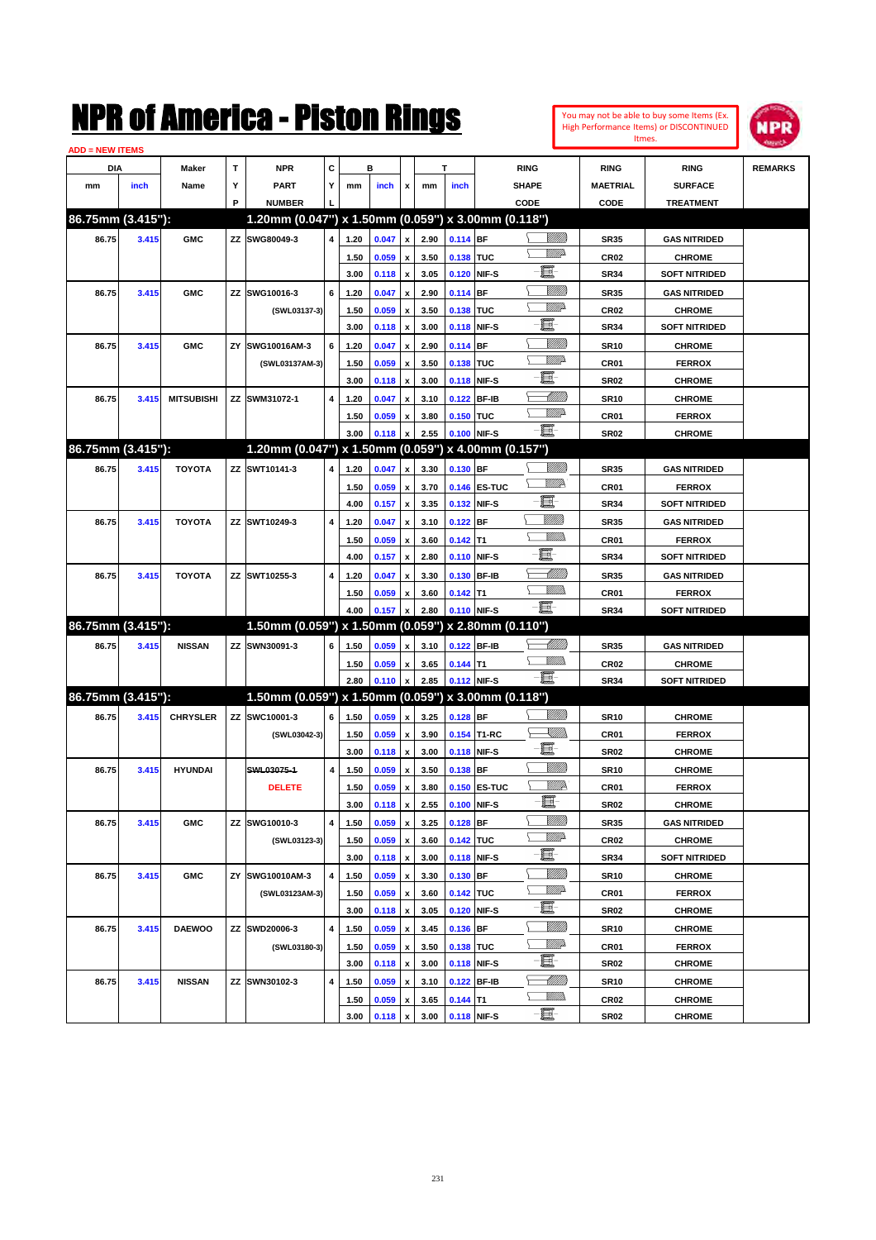| You may not be able to buy some Items (Ex. |
|--------------------------------------------|
| High Performance Items) or DISCONTINUED    |
| Itmes.                                     |



| <b>ADD = NEW ITEMS</b> |       |                   |    |                                                     |                |      |       |                    |      |             |              |                  |                 |                      |                |
|------------------------|-------|-------------------|----|-----------------------------------------------------|----------------|------|-------|--------------------|------|-------------|--------------|------------------|-----------------|----------------------|----------------|
| DIA                    |       | <b>Maker</b>      | T  | <b>NPR</b>                                          | C              |      | в     |                    |      | T           |              | <b>RING</b>      | <b>RING</b>     | <b>RING</b>          | <b>REMARKS</b> |
| mm                     | inch  | Name              | Υ  | <b>PART</b>                                         | Y              | mm   | inch  | x                  | mm   | inch        |              | <b>SHAPE</b>     | <b>MAETRIAL</b> | <b>SURFACE</b>       |                |
|                        |       |                   | P  | <b>NUMBER</b>                                       |                |      |       |                    |      |             |              | CODE             | CODE            | <b>TREATMENT</b>     |                |
| 86.75mm (3.415"):      |       |                   |    | 1.20mm (0.047") x 1.50mm (0.059") x 3.00mm (0.118") |                |      |       |                    |      |             |              |                  |                 |                      |                |
| 86.75                  | 3.415 | <b>GMC</b>        |    | ZZ SWG80049-3                                       | $\overline{4}$ | 1.20 | 0.047 | $\pmb{\mathsf{x}}$ | 2.90 | $0.114$ BF  |              | <u>Villida</u>   | <b>SR35</b>     | <b>GAS NITRIDED</b>  |                |
|                        |       |                   |    |                                                     |                | 1.50 | 0.059 | $\pmb{\mathsf{x}}$ | 3.50 | 0.138 TUC   |              | <u>VMD</u>       | <b>CR02</b>     | <b>CHROME</b>        |                |
|                        |       |                   |    |                                                     |                | 3.00 | 0.118 | $\pmb{\mathsf{x}}$ | 3.05 |             | 0.120 NIF-S  | e                | <b>SR34</b>     | <b>SOFT NITRIDED</b> |                |
| 86.75                  | 3.415 | <b>GMC</b>        |    | ZZ SWG10016-3                                       | 6              | 1.20 | 0.047 | x                  | 2.90 | $0.114$ BF  |              | <u>MMM</u>       | <b>SR35</b>     | <b>GAS NITRIDED</b>  |                |
|                        |       |                   |    | (SWL03137-3)                                        |                | 1.50 | 0.059 | $\pmb{\mathsf{x}}$ | 3.50 | 0.138 TUC   |              | <u>VIII</u> D    | <b>CR02</b>     | <b>CHROME</b>        |                |
|                        |       |                   |    |                                                     |                | 3.00 | 0.118 | $\pmb{\mathsf{x}}$ | 3.00 |             | 0.118 NIF-S  | e                | <b>SR34</b>     | <b>SOFT NITRIDED</b> |                |
| 86.75                  | 3.415 | <b>GMC</b>        | ZY | SWG10016AM-3                                        | 6              | 1.20 | 0.047 | x                  | 2.90 | $0.114$ BF  |              | <u>MMM</u>       | <b>SR10</b>     | <b>CHROME</b>        |                |
|                        |       |                   |    | (SWL03137AM-3)                                      |                | 1.50 | 0.059 | x                  | 3.50 | 0.138 TUC   |              | <u>VIII</u> D    | CR01            | <b>FERROX</b>        |                |
|                        |       |                   |    |                                                     |                | 3.00 | 0.118 | $\pmb{\mathsf{x}}$ | 3.00 |             | 0.118 NIF-S  | e                | <b>SR02</b>     | <b>CHROME</b>        |                |
| 86.75                  | 3.415 | <b>MITSUBISHI</b> |    | ZZ SWM31072-1                                       | 4              | 1.20 | 0.047 | x                  | 3.10 |             | 0.122 BF-IB  | <u> UMM</u>      | <b>SR10</b>     | <b>CHROME</b>        |                |
|                        |       |                   |    |                                                     |                | 1.50 | 0.059 | x                  | 3.80 | 0.150 TUC   |              | <u>WW</u> A      | CR01            | <b>FERROX</b>        |                |
|                        |       |                   |    |                                                     |                | 3.00 | 0.118 | $\pmb{\mathsf{x}}$ | 2.55 |             | 0.100 NIF-S  | -日               | <b>SR02</b>     | <b>CHROME</b>        |                |
| 86.75mm (3.415"):      |       |                   |    | 1.20mm (0.047") x 1.50mm (0.059") x 4.00mm (0.157") |                |      |       |                    |      |             |              |                  |                 |                      |                |
| 86.75                  | 3.415 | <b>TOYOTA</b>     |    | ZZ SWT10141-3                                       | 4              | 1.20 | 0.047 | x                  | 3.30 | 0.130 BF    |              | VIII))           | <b>SR35</b>     | <b>GAS NITRIDED</b>  |                |
|                        |       |                   |    |                                                     |                | 1.50 | 0.059 | x                  | 3.70 |             | 0.146 ES-TUC | <u>VM</u> D      | CR01            | <b>FERROX</b>        |                |
|                        |       |                   |    |                                                     |                | 4.00 | 0.157 | $\pmb{\mathsf{x}}$ | 3.35 |             | 0.132 NIF-S  | E                | <b>SR34</b>     | <b>SOFT NITRIDED</b> |                |
| 86.75                  | 3.415 | <b>TOYOTA</b>     |    | ZZ SWT10249-3                                       | 4              | 1.20 | 0.047 | x                  | 3.10 | $0.122$ BF  |              | <u>Milli</u> lli | <b>SR35</b>     | <b>GAS NITRIDED</b>  |                |
|                        |       |                   |    |                                                     |                | 1.50 | 0.059 | x                  | 3.60 | $0.142$ T1  |              | <br>Militar      | CR01            | <b>FERROX</b>        |                |
|                        |       |                   |    |                                                     |                | 4.00 | 0.157 | $\pmb{\mathsf{x}}$ | 2.80 |             | 0.110 NIF-S  | e                | <b>SR34</b>     | <b>SOFT NITRIDED</b> |                |
| 86.75                  | 3.415 | <b>TOYOTA</b>     |    | ZZ SWT10255-3                                       | 4              | 1.20 | 0.047 | x                  | 3.30 |             | 0.130 BF-IB  | MMB              | <b>SR35</b>     | <b>GAS NITRIDED</b>  |                |
|                        |       |                   |    |                                                     |                | 1.50 | 0.059 | x                  | 3.60 | $0.142$ T1  |              | <br>Militar      | <b>CR01</b>     | <b>FERROX</b>        |                |
|                        |       |                   |    |                                                     |                | 4.00 | 0.157 | $\pmb{\mathsf{x}}$ | 2.80 |             | 0.110 NIF-S  | -8               | <b>SR34</b>     | <b>SOFT NITRIDED</b> |                |
| 86.75mm (3.415"):      |       |                   |    | 1.50mm (0.059") x 1.50mm (0.059") x 2.80mm (0.110") |                |      |       |                    |      |             |              |                  |                 |                      |                |
| 86.75                  | 3.415 | <b>NISSAN</b>     |    | ZZ SWN30091-3                                       | 6              | 1.50 | 0.059 | x                  | 3.10 |             | 0.122 BF-IB  | <u>UMB</u>       | <b>SR35</b>     | <b>GAS NITRIDED</b>  |                |
|                        |       |                   |    |                                                     |                | 1.50 | 0.059 | $\pmb{\mathsf{x}}$ | 3.65 | $0.144$ T1  |              | .<br>VMD         | <b>CR02</b>     | <b>CHROME</b>        |                |
|                        |       |                   |    |                                                     |                | 2.80 | 0.110 | $\pmb{\mathsf{x}}$ | 2.85 | 0.112 NIF-S |              | -8               | <b>SR34</b>     | <b>SOFT NITRIDED</b> |                |
| 86.75mm (3.415"):      |       |                   |    | 1.50mm (0.059") x 1.50mm (0.059") x 3.00mm (0.118") |                |      |       |                    |      |             |              |                  |                 |                      |                |
| 86.75                  | 3.415 | <b>CHRYSLER</b>   |    | ZZ SWC10001-3                                       | 6              | 1.50 | 0.059 | x                  | 3.25 | $0.128$ BF  |              | VIII))           | <b>SR10</b>     | <b>CHROME</b>        |                |
|                        |       |                   |    | (SWL03042-3)                                        |                | 1.50 | 0.059 | x                  | 3.90 |             | 0.154 T1-RC  | <u>Sillin</u>    | CR01            | <b>FERROX</b>        |                |
|                        |       |                   |    |                                                     |                | 3.00 | 0.118 | $\pmb{\mathsf{x}}$ | 3.00 |             | 0.118 NIF-S  | -8               | <b>SR02</b>     | <b>CHROME</b>        |                |
| 86.75                  | 3.415 | <b>HYUNDAI</b>    |    | SWL03075-1                                          | 4              | 1.50 | 0.059 | x                  | 3.50 | 0.138 BF    |              | VIII))           | <b>SR10</b>     | <b>CHROME</b>        |                |
|                        |       |                   |    | <b>DELETE</b>                                       |                | 1.50 | 0.059 | x                  | 3.80 |             | 0.150 ES-TUC | <u>MM</u>        | CR01            | <b>FERROX</b>        |                |
|                        |       |                   |    |                                                     |                | 3.00 | 0.118 | $\pmb{\mathsf{x}}$ | 2.55 | 0.100 NIF-S |              | E-               | SR02            | <b>CHROME</b>        |                |
| 86.75                  | 3.415 | <b>GMC</b>        |    | ZZ SWG10010-3                                       | 4              | 1.50 | 0.059 | x                  | 3.25 | $0.128$ BF  |              | VIII))           | <b>SR35</b>     | <b>GAS NITRIDED</b>  |                |
|                        |       |                   |    | (SWL03123-3)                                        |                | 1.50 | 0.059 | $\pmb{\mathsf{x}}$ | 3.60 | 0.142 TUC   |              | <u>WW</u> A      | <b>CR02</b>     | <b>CHROME</b>        |                |
|                        |       |                   |    |                                                     |                | 3.00 | 0.118 | $\pmb{\mathsf{x}}$ | 3.00 |             | 0.118 NIF-S  | e.               | SR34            | <b>SOFT NITRIDED</b> |                |
| 86.75                  | 3.415 | <b>GMC</b>        |    | ZY SWG10010AM-3                                     | 4              | 1.50 | 0.059 | x                  | 3.30 | $0.130$ BF  |              | VIII))           | <b>SR10</b>     | <b>CHROME</b>        |                |
|                        |       |                   |    | (SWL03123AM-3)                                      |                | 1.50 | 0.059 | x                  | 3.60 | 0.142 TUC   |              | <u>WW</u> A      | CR01            | <b>FERROX</b>        |                |
|                        |       |                   |    |                                                     |                | 3.00 | 0.118 | $\pmb{\mathsf{x}}$ | 3.05 |             | 0.120 NIF-S  | e.               | SR02            | <b>CHROME</b>        |                |
| 86.75                  | 3.415 | <b>DAEWOO</b>     |    | ZZ SWD20006-3                                       | 4              | 1.50 | 0.059 | x                  | 3.45 | $0.136$ BF  |              | VIII))           | <b>SR10</b>     | <b>CHROME</b>        |                |
|                        |       |                   |    | (SWL03180-3)                                        |                | 1.50 | 0.059 | x                  | 3.50 | 0.138 TUC   |              | <u>Mille</u> d   | CR01            | <b>FERROX</b>        |                |
|                        |       |                   |    |                                                     |                | 3.00 | 0.118 | $\pmb{\mathsf{x}}$ | 3.00 |             | 0.118 NIF-S  | e.               | SR02            | <b>CHROME</b>        |                |
| 86.75                  | 3.415 | <b>NISSAN</b>     |    | ZZ SWN30102-3                                       | 4              | 1.50 | 0.059 | x                  | 3.10 |             | 0.122 BF-IB  | <u> MMM</u>      | <b>SR10</b>     | <b>CHROME</b>        |                |
|                        |       |                   |    |                                                     |                | 1.50 | 0.059 | x                  | 3.65 | $0.144$ T1  |              | <u>MM)</u>       | <b>CR02</b>     | <b>CHROME</b>        |                |
|                        |       |                   |    |                                                     |                | 3.00 | 0.118 | $\pmb{\mathsf{x}}$ | 3.00 | 0.118 NIF-S |              | $-\Xi$           | SR02            | <b>CHROME</b>        |                |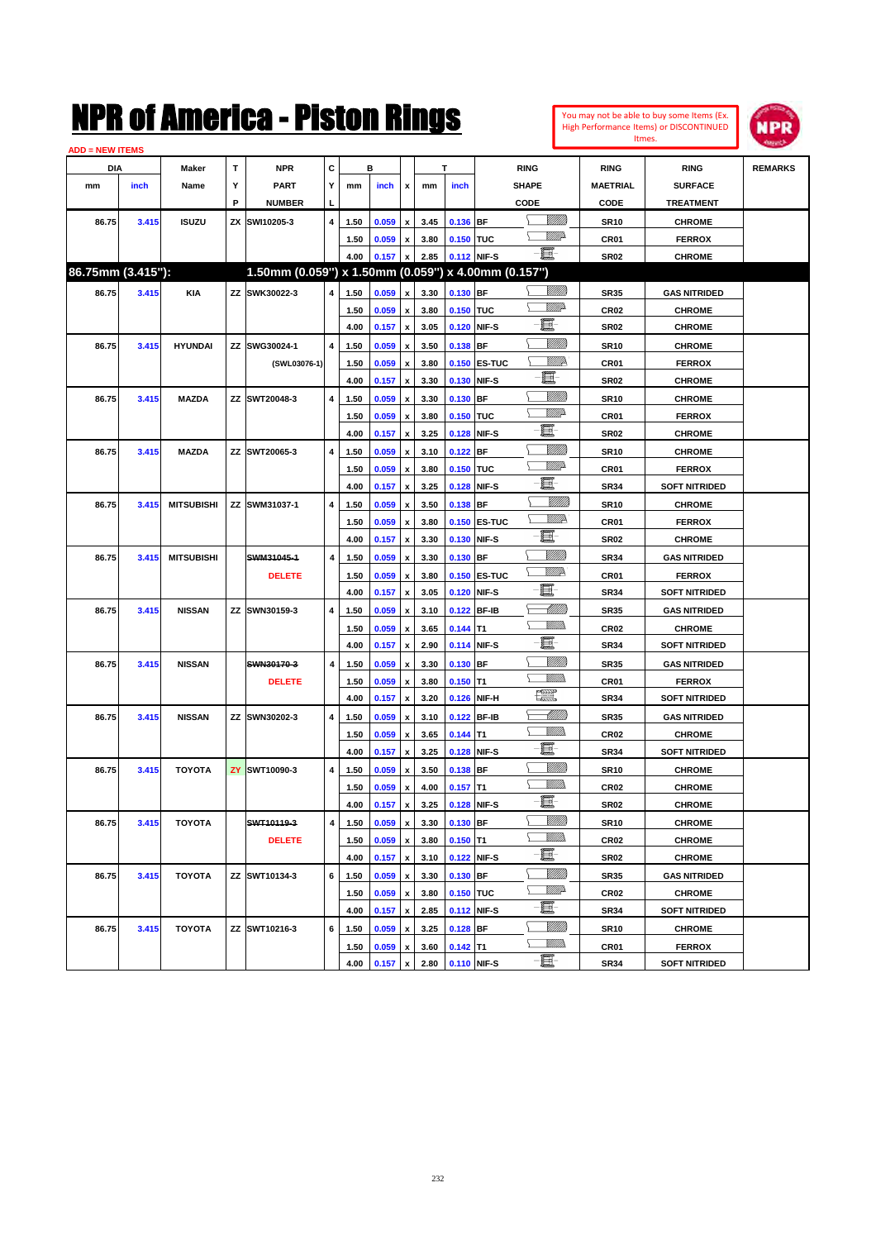| <b>ADD = NEW ITEMS</b> |       |                   |   |                                                     |                |      |       |                           |      |                  |              |                      |                  |                      |                |
|------------------------|-------|-------------------|---|-----------------------------------------------------|----------------|------|-------|---------------------------|------|------------------|--------------|----------------------|------------------|----------------------|----------------|
| DIA                    |       | Maker             | т | <b>NPR</b>                                          | c              |      | в     |                           |      | T                |              | <b>RING</b>          | <b>RING</b>      | <b>RING</b>          | <b>REMARKS</b> |
| mm                     | inch  | Name              | Υ | PART                                                | Y              | mm   | inch  | $\boldsymbol{\mathsf{x}}$ | mm   | inch             |              | <b>SHAPE</b>         | <b>MAETRIAL</b>  | <b>SURFACE</b>       |                |
|                        |       |                   | P | <b>NUMBER</b>                                       | L              |      |       |                           |      |                  |              | CODE                 | CODE             | <b>TREATMENT</b>     |                |
| 86.75                  | 3.415 | <b>ISUZU</b>      |   | ZX SWI10205-3                                       | 4              | 1.50 | 0.059 | $\boldsymbol{\mathsf{x}}$ | 3.45 | 0.136 BF         |              | <u>Villida</u>       | <b>SR10</b>      | <b>CHROME</b>        |                |
|                        |       |                   |   |                                                     |                | 1.50 | 0.059 | $\pmb{\mathsf{x}}$        | 3.80 | 0.150 TUC        |              | <u>WW</u> A          | CR01             | <b>FERROX</b>        |                |
|                        |       |                   |   |                                                     |                | 4.00 | 0.157 | x                         | 2.85 |                  | 0.112 NIF-S  | $-\Xi$ -             | <b>SR02</b>      | <b>CHROME</b>        |                |
| 86.75mm (3.415"):      |       |                   |   | 1.50mm (0.059") x 1.50mm (0.059") x 4.00mm (0.157") |                |      |       |                           |      |                  |              |                      |                  |                      |                |
| 86.75                  | 3.415 | KIA               |   | ZZ SWK30022-3                                       | $\overline{4}$ | 1.50 | 0.059 | $\pmb{\mathsf{x}}$        | 3.30 | 0.130 BF         |              |                      | <b>SR35</b>      | <b>GAS NITRIDED</b>  |                |
|                        |       |                   |   |                                                     |                | 1.50 | 0.059 | $\pmb{\mathsf{x}}$        | 3.80 | 0.150 TUC        |              | <u>VMD</u>           | CR <sub>02</sub> | <b>CHROME</b>        |                |
|                        |       |                   |   |                                                     |                | 4.00 | 0.157 | $\pmb{\mathsf{x}}$        | 3.05 | 0.120            | NIF-S        | e.                   | <b>SR02</b>      | <b>CHROME</b>        |                |
| 86.75                  | 3.415 | <b>HYUNDAI</b>    |   | ZZ SWG30024-1                                       | 4              | 1.50 | 0.059 | $\pmb{\mathsf{x}}$        | 3.50 | 0.138 BF         |              | <u>VIIII)</u>        | <b>SR10</b>      | <b>CHROME</b>        |                |
|                        |       |                   |   | (SWL03076-1)                                        |                | 1.50 | 0.059 | $\pmb{\mathsf{x}}$        | 3.80 |                  | 0.150 ES-TUC | <u>MMR</u>           | CR01             | <b>FERROX</b>        |                |
|                        |       |                   |   |                                                     |                | 4.00 | 0.157 | $\pmb{\mathsf{x}}$        | 3.30 | 0.130            | NIF-S        | E.                   | <b>SR02</b>      | <b>CHROME</b>        |                |
| 86.75                  | 3.415 | <b>MAZDA</b>      |   | ZZ SWT20048-3                                       | 4              | 1.50 | 0.059 | X                         | 3.30 | 0.130            | <b>IBF</b>   | <u>VIIII)</u>        | <b>SR10</b>      | <b>CHROME</b>        |                |
|                        |       |                   |   |                                                     |                | 1.50 | 0.059 | $\pmb{\mathsf{x}}$        | 3.80 | 0.150            | <b>TUC</b>   | <u>MMP</u>           | CR01             | <b>FERROX</b>        |                |
|                        |       |                   |   |                                                     |                | 4.00 | 0.157 | $\pmb{\mathsf{x}}$        | 3.25 | 0.128            | NIF-S        | e.                   | <b>SR02</b>      | <b>CHROME</b>        |                |
| 86.75                  | 3.415 | <b>MAZDA</b>      |   | ZZ SWT20065-3                                       | 4              | 1.50 | 0.059 | x                         | 3.10 | 0.122            | <b>BF</b>    | <u>VIIII)</u>        | <b>SR10</b>      | <b>CHROME</b>        |                |
|                        |       |                   |   |                                                     |                | 1.50 | 0.059 | $\pmb{\mathsf{x}}$        | 3.80 | 0.150            | <b>TUC</b>   | <u>MMP</u>           | CR01             | <b>FERROX</b>        |                |
|                        |       |                   |   |                                                     |                | 4.00 | 0.157 | $\boldsymbol{\mathsf{x}}$ | 3.25 | 0.128            | NIF-S        | e.                   | <b>SR34</b>      | <b>SOFT NITRIDED</b> |                |
| 86.75                  | 3.415 | <b>MITSUBISHI</b> |   | ZZ SWM31037-1                                       | 4              | 1.50 | 0.059 | $\pmb{\mathsf{x}}$        | 3.50 | 0.138 BF         |              | <u>Milli</u>         | <b>SR10</b>      | <b>CHROME</b>        |                |
|                        |       |                   |   |                                                     |                | 1.50 | 0.059 | $\pmb{\mathsf{x}}$        | 3.80 |                  | 0.150 ES-TUC | WWA                  | CR01             | <b>FERROX</b>        |                |
|                        |       |                   |   |                                                     |                | 4.00 | 0.157 | x                         | 3.30 | 0.130            | NIF-S        | 買                    | <b>SR02</b>      | <b>CHROME</b>        |                |
| 86.75                  | 3.415 | <b>MITSUBISHI</b> |   | SWM31045-1                                          | $\overline{4}$ | 1.50 | 0.059 | $\pmb{\mathsf{x}}$        | 3.30 | 0.130 BF         |              | <u>VIIII</u> )       | <b>SR34</b>      | <b>GAS NITRIDED</b>  |                |
|                        |       |                   |   | <b>DELETE</b>                                       |                | 1.50 | 0.059 | $\pmb{\mathsf{x}}$        | 3.80 |                  | 0.150 ES-TUC | <u>VM</u> D          | CR01             | <b>FERROX</b>        |                |
|                        |       |                   |   |                                                     |                | 4.00 | 0.157 | x                         | 3.05 | 0.120            | NIF-S        | 匱                    | <b>SR34</b>      | <b>SOFT NITRIDED</b> |                |
| 86.75                  | 3.415 | <b>NISSAN</b>     |   | ZZ SWN30159-3                                       | 4              | 1.50 | 0.059 | $\pmb{\mathsf{x}}$        | 3.10 | 0.122 BF-IB      |              | <u>UMB</u>           | <b>SR35</b>      | <b>GAS NITRIDED</b>  |                |
|                        |       |                   |   |                                                     |                | 1.50 | 0.059 | X                         | 3.65 | 0.144            | T1           | <u>Willib</u>        | <b>CR02</b>      | <b>CHROME</b>        |                |
|                        |       |                   |   |                                                     |                | 4.00 | 0.157 | $\pmb{\mathsf{x}}$        | 2.90 |                  | 0.114 NIF-S  | e.                   | <b>SR34</b>      | <b>SOFT NITRIDED</b> |                |
| 86.75                  | 3.415 | <b>NISSAN</b>     |   | SWN30170-3                                          | $\overline{4}$ | 1.50 | 0.059 | $\pmb{\mathsf{x}}$        | 3.30 | 0.130 BF         |              | <u>VIIII)</u>        | <b>SR35</b>      | <b>GAS NITRIDED</b>  |                |
|                        |       |                   |   | <b>DELETE</b>                                       |                | 1.50 | 0.059 | x                         | 3.80 | 0.150            | T1           | .<br>VMD             | CR01             | <b>FERROX</b>        |                |
|                        |       |                   |   |                                                     |                | 4.00 | 0.157 | $\pmb{\mathsf{x}}$        | 3.20 | 0.126            | NIF-H        | <b>The Co</b>        | <b>SR34</b>      | <b>SOFT NITRIDED</b> |                |
| 86.75                  | 3.415 | <b>NISSAN</b>     |   | ZZ SWN30202-3                                       | 4              | 1.50 | 0.059 | X                         | 3.10 | 0.122            | <b>BF-IB</b> | <u> MMB</u>          | <b>SR35</b>      | <b>GAS NITRIDED</b>  |                |
|                        |       |                   |   |                                                     |                | 1.50 | 0.059 | $\pmb{\mathsf{x}}$        | 3.65 | 0.144            | lT1          | <u>Willib</u>        | CR <sub>02</sub> | <b>CHROME</b>        |                |
|                        |       |                   |   |                                                     |                | 4.00 | 0.157 | $\pmb{\mathsf{x}}$        | 3.25 |                  | 0.128 NIF-S  | e.                   | <b>SR34</b>      | <b>SOFT NITRIDED</b> |                |
| 86.75                  | 3.415 | <b>TOYOTA</b>     |   | <b>ZY SWT10090-3</b>                                | 4              | 1.50 | 0.059 | x                         | 3.50 | 0.138 BF         |              | <u>VIIII)</u>        | <b>SR10</b>      | <b>CHROME</b>        |                |
|                        |       |                   |   |                                                     |                | 1.50 | 0.059 | $\pmb{\mathsf{x}}$        | 4.00 | $0.157$ T1       |              | <u>Villida</u>       | <b>CR02</b>      | <b>CHROME</b>        |                |
|                        |       |                   |   |                                                     |                | 4.00 | 0.157 | $\mathbf{x}$              |      | 3.25 0.128 NIF-S |              | E-                   | <b>SR02</b>      | <b>CHROME</b>        |                |
| 86.75                  | 3.415 | <b>TOYOTA</b>     |   | SWT10119-3                                          | $\overline{4}$ | 1.50 | 0.059 | $\pmb{\mathsf{x}}$        | 3.30 | $0.130$ BF       |              | <u>Milli</u> n       | <b>SR10</b>      | <b>CHROME</b>        |                |
|                        |       |                   |   | <b>DELETE</b>                                       |                | 1.50 | 0.059 | $\pmb{\mathsf{x}}$        | 3.80 | $0.150$ T1       |              | <u>Willis</u>        | CR <sub>02</sub> | <b>CHROME</b>        |                |
|                        |       |                   |   |                                                     |                | 4.00 | 0.157 | $\pmb{\mathsf{x}}$        | 3.10 |                  | 0.122 NIF-S  | e.                   | <b>SR02</b>      | <b>CHROME</b>        |                |
| 86.75                  | 3.415 | TOYOTA            |   | ZZ SWT10134-3                                       | 6              | 1.50 | 0.059 | $\pmb{\mathsf{x}}$        | 3.30 | $0.130$ BF       |              |                      | <b>SR35</b>      | <b>GAS NITRIDED</b>  |                |
|                        |       |                   |   |                                                     |                | 1.50 | 0.059 | $\pmb{\mathsf{x}}$        | 3.80 | 0.150 TUC        |              | <u>WW</u> A<br>⊾     | CR <sub>02</sub> | <b>CHROME</b>        |                |
|                        |       |                   |   |                                                     |                | 4.00 | 0.157 | x                         | 2.85 |                  | 0.112 NIF-S  | E                    | <b>SR34</b>      | <b>SOFT NITRIDED</b> |                |
| 86.75                  | 3.415 | <b>TOYOTA</b>     |   | ZZ SWT10216-3                                       | 6              | 1.50 | 0.059 | $\pmb{\mathsf{x}}$        | 3.25 | 0.128 BF         |              | <u>VIIII)</u>        | <b>SR10</b>      | <b>CHROME</b>        |                |
|                        |       |                   |   |                                                     |                | 1.50 | 0.059 | x                         | 3.60 | $0.142$ T1       |              | <u>Willib</u><br>Σ   | CR01             | <b>FERROX</b>        |                |
|                        |       |                   |   |                                                     |                | 4.00 | 0.157 | x                         | 2.80 |                  | 0.110 NIF-S  | $\frac{1}{\sqrt{2}}$ | <b>SR34</b>      | <b>SOFT NITRIDED</b> |                |

You may not be able to buy some Items (Ex. High Performance Items) or DISCONTINUED Itmes.

**NPR**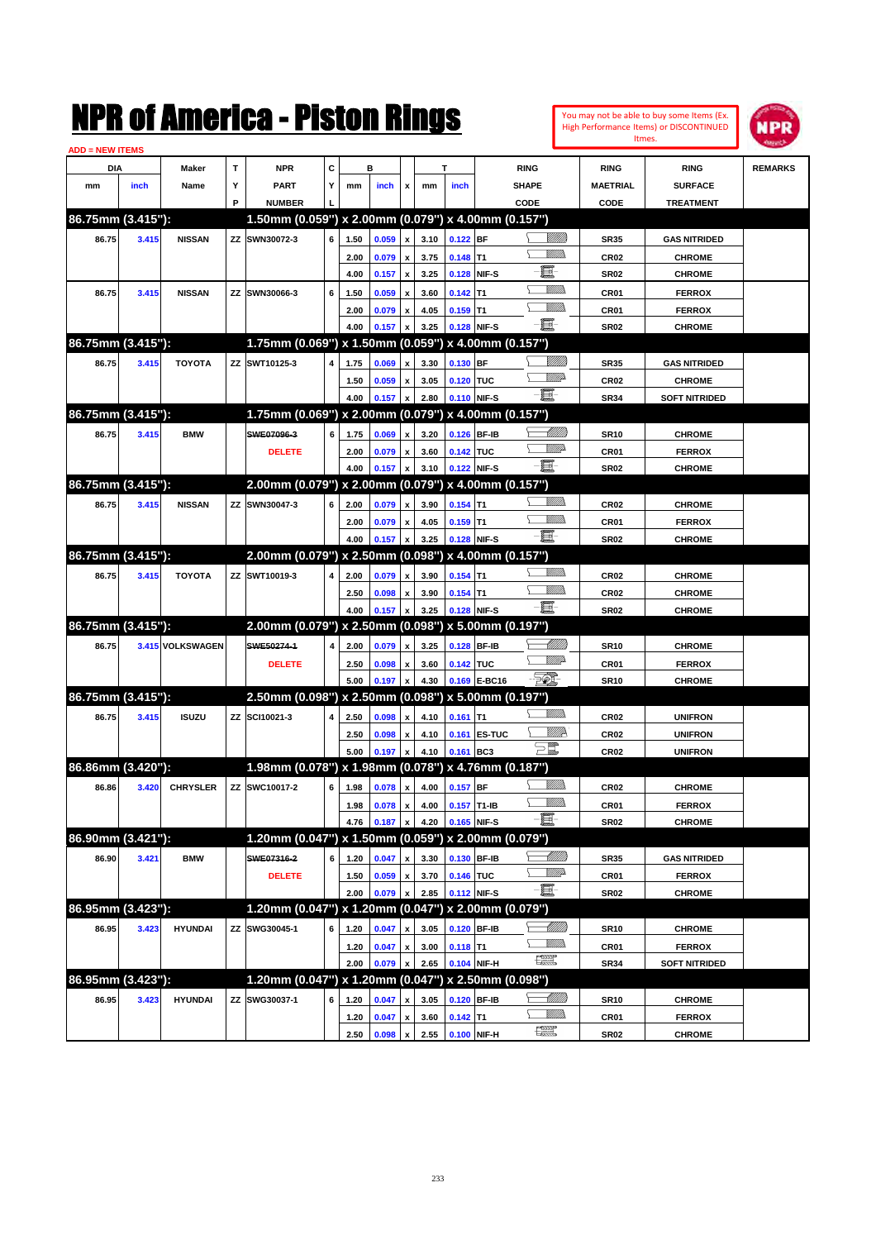| You may not be able to buy some items (Ex.     |
|------------------------------------------------|
| <b>High Performance Items) or DISCONTINUED</b> |
| Itmes.                                         |



| <b>ADD = NEW ITEMS</b> |       |                  |   |                                                     |                         |      |       |                    |      |             |              |                                         |                  |                      |                |
|------------------------|-------|------------------|---|-----------------------------------------------------|-------------------------|------|-------|--------------------|------|-------------|--------------|-----------------------------------------|------------------|----------------------|----------------|
| DIA                    |       | Maker            | Т | <b>NPR</b>                                          | c                       |      | B     |                    |      | T           |              | <b>RING</b>                             | <b>RING</b>      | <b>RING</b>          | <b>REMARKS</b> |
| mm                     | inch  | Name             | Υ | <b>PART</b>                                         | Y                       | mm   | inch  | x                  | mm   | inch        |              | <b>SHAPE</b>                            | <b>MAETRIAL</b>  | <b>SURFACE</b>       |                |
|                        |       |                  | P | <b>NUMBER</b>                                       |                         |      |       |                    |      |             |              | CODE                                    | CODE             | <b>TREATMENT</b>     |                |
| 86.75mm (3.415"):      |       |                  |   | 1.50mm (0.059") x 2.00mm (0.079") x 4.00mm (0.157") |                         |      |       |                    |      |             |              |                                         |                  |                      |                |
| 86.75                  | 3.415 | <b>NISSAN</b>    |   | ZZ SWN30072-3                                       | 6                       | 1.50 | 0.059 | x                  | 3.10 | $0.122$ BF  |              | <u>Sillilli</u>                         | <b>SR35</b>      | <b>GAS NITRIDED</b>  |                |
|                        |       |                  |   |                                                     |                         | 2.00 | 0.079 | x                  | 3.75 | $0.148$ T1  |              |                                         | <b>CR02</b>      | <b>CHROME</b>        |                |
|                        |       |                  |   |                                                     |                         | 4.00 | 0.157 | x                  | 3.25 | 0.128       | NIF-S        | e                                       | <b>SR02</b>      | <b>CHROME</b>        |                |
|                        |       | <b>NISSAN</b>    |   | ZZ SWN30066-3                                       | 6                       |      |       |                    | 3.60 |             |              |                                         |                  |                      |                |
| 86.75                  | 3.415 |                  |   |                                                     |                         | 1.50 | 0.059 | x                  |      | $0.142$ T1  |              |                                         | <b>CR01</b>      | <b>FERROX</b>        |                |
|                        |       |                  |   |                                                     |                         | 2.00 | 0.079 | x                  | 4.05 | $0.159$ T1  |              | -8                                      | CR01             | <b>FERROX</b>        |                |
| 86.75mm (3.415"):      |       |                  |   | 1.75mm (0.069") x 1.50mm (0.059") x 4.00mm (0.157") |                         | 4.00 | 0.157 | x                  | 3.25 | 0.128 NIF-S |              |                                         | <b>SR02</b>      | <b>CHROME</b>        |                |
|                        |       |                  |   |                                                     |                         |      |       |                    |      |             |              |                                         |                  |                      |                |
| 86.75                  | 3.415 | <b>TOYOTA</b>    |   | ZZ SWT10125-3                                       | 4                       | 1.75 | 0.069 | x                  | 3.30 | 0.130 BF    |              | <u>MMW</u><br><u>WW</u> A               | <b>SR35</b>      | <b>GAS NITRIDED</b>  |                |
|                        |       |                  |   |                                                     |                         | 1.50 | 0.059 | x                  | 3.05 | 0.120 TUC   |              |                                         | <b>CR02</b>      | <b>CHROME</b>        |                |
|                        |       |                  |   |                                                     |                         | 4.00 | 0.157 | x                  | 2.80 | 0.110 NIF-S |              | -8                                      | <b>SR34</b>      | <b>SOFT NITRIDED</b> |                |
| 86.75mm (3.415"):      |       |                  |   | 1.75mm (0.069") x 2.00mm (0.079") x 4.00mm (0.157") |                         |      |       |                    |      |             |              |                                         |                  |                      |                |
| 86.75                  | 3.415 | <b>BMW</b>       |   | SWE07096-3                                          | 6                       | 1.75 | 0.069 | x                  | 3.20 | 0.126 BF-IB |              | <u> Millitt</u>                         | <b>SR10</b>      | <b>CHROME</b>        |                |
|                        |       |                  |   | <b>DELETE</b>                                       |                         | 2.00 | 0.079 | x                  | 3.60 | 0.142 TUC   |              | <u>WW</u> A                             | CR01             | <b>FERROX</b>        |                |
|                        |       |                  |   |                                                     |                         | 4.00 | 0.157 | x                  | 3.10 | 0.122 NIF-S |              | -8                                      | <b>SR02</b>      | <b>CHROME</b>        |                |
| 86.75mm (3.415"):      |       |                  |   | 2.00mm (0.079") x 2.00mm (0.079") x 4.00mm (0.157") |                         |      |       |                    |      |             |              |                                         |                  |                      |                |
| 86.75                  | 3.415 | <b>NISSAN</b>    |   | ZZ SWN30047-3                                       | 6                       | 2.00 | 0.079 | x                  | 3.90 | $0.154$ T1  |              |                                         | <b>CR02</b>      | <b>CHROME</b>        |                |
|                        |       |                  |   |                                                     |                         | 2.00 | 0.079 | x                  | 4.05 | $0.159$ T1  |              |                                         | CR01             | <b>FERROX</b>        |                |
|                        |       |                  |   |                                                     |                         | 4.00 | 0.157 | x                  | 3.25 | 0.128 NIF-S |              | $ \Box$                                 | <b>SR02</b>      | <b>CHROME</b>        |                |
| 86.75mm (3.415"):      |       |                  |   | 2.00mm (0.079") x 2.50mm (0.098") x 4.00mm (0.157") |                         |      |       |                    |      |             |              |                                         |                  |                      |                |
| 86.75                  | 3.415 | <b>TOYOTA</b>    |   | ZZ SWT10019-3                                       | 4                       | 2.00 | 0.079 | x                  | 3.90 | $0.154$ T1  |              |                                         | <b>CR02</b>      | <b>CHROME</b>        |                |
|                        |       |                  |   |                                                     |                         | 2.50 | 0.098 | x                  | 3.90 | $0.154$ T1  |              |                                         | <b>CR02</b>      | <b>CHROME</b>        |                |
|                        |       |                  |   |                                                     |                         | 4.00 | 0.157 | X                  | 3.25 | 0.128 NIF-S |              | $-\Xi$ .                                | <b>SR02</b>      | <b>CHROME</b>        |                |
| 86.75mm (3.415"):      |       |                  |   | 2.00mm (0.079") x 2.50mm (0.098") x 5.00mm (0.197") |                         |      |       |                    |      |             |              |                                         |                  |                      |                |
| 86.75                  |       | 3.415 VOLKSWAGEN |   | SWE50274-1                                          | $\overline{\mathbf{4}}$ | 2.00 | 0.079 | x                  | 3.25 | 0.128 BF-IB |              | <u>UMB</u>                              | <b>SR10</b>      | <b>CHROME</b>        |                |
|                        |       |                  |   | <b>DELETE</b>                                       |                         | 2.50 | 0.098 | x                  | 3.60 | 0.142 TUC   |              | <u>VMD</u>                              | CR01             | <b>FERROX</b>        |                |
|                        |       |                  |   |                                                     |                         | 5.00 | 0.197 |                    | 4.30 |             | 0.169 E-BC16 | <u> 50)</u>                             | <b>SR10</b>      | <b>CHROME</b>        |                |
| 86.75mm (3.415"):      |       |                  |   | 2.50mm (0.098") x 2.50mm (0.098") x 5.00mm (0.197") |                         |      |       |                    |      |             |              |                                         |                  |                      |                |
| 86.75                  | 3.415 | <b>ISUZU</b>     |   | ZZ SCI10021-3                                       | 4                       | 2.50 | 0.098 | x                  | 4.10 | $0.161$ T1  |              |                                         | <b>CR02</b>      | <b>UNIFRON</b>       |                |
|                        |       |                  |   |                                                     |                         | 2.50 | 0.098 | x                  | 4.10 |             | 0.161 ES-TUC | <u>MM</u> P                             | <b>CR02</b>      | <b>UNIFRON</b>       |                |
|                        |       |                  |   |                                                     |                         | 5.00 | 0.197 |                    | 4.10 | 0.161 BC3   |              | $\Xi^{\hspace{-0.5pt}[\hspace{0.5pt}]}$ | <b>CR02</b>      | <b>UNIFRON</b>       |                |
| 86.86mm (3.420"):      |       |                  |   | 1.98mm (0.078") x 1.98mm (0.078") x 4.76mm (0.187") |                         |      |       |                    |      |             |              |                                         |                  |                      |                |
| 86.86                  | 3.420 | <b>CHRYSLER</b>  |   | ZZ SWC10017-2                                       | 6                       | 1.98 | 0.078 | x                  | 4.00 | $0.157$ BF  |              | <u>MMS</u>                              | <b>CR02</b>      | <b>CHROME</b>        |                |
|                        |       |                  |   |                                                     |                         |      |       |                    |      | 0.157 T1-IB |              |                                         |                  | <b>FERROX</b>        |                |
|                        |       |                  |   |                                                     |                         | 1.98 | 0.078 | $\pmb{\mathsf{x}}$ | 4.00 | 0.165 NIF-S |              | <u>- FF-</u>                            | CR01             | <b>CHROME</b>        |                |
| 86.90mm (3.421"):      |       |                  |   | 1.20mm (0.047") x 1.50mm (0.059") x 2.00mm (0.079") |                         | 4.76 | 0.187 | $\pmb{\mathsf{x}}$ | 4.20 |             |              |                                         | <b>SR02</b>      |                      |                |
|                        |       |                  |   |                                                     |                         |      |       |                    |      |             |              |                                         |                  |                      |                |
| 86.90                  | 3.421 | <b>BMW</b>       |   | SWE07316-2                                          | 6                       | 1.20 | 0.047 | x                  | 3.30 | 0.130 BF-IB |              | <u>-M/////</u> )<br><u>WW</u> A         | <b>SR35</b>      | <b>GAS NITRIDED</b>  |                |
|                        |       |                  |   | <b>DELETE</b>                                       |                         | 1.50 | 0.059 | $\pmb{\mathsf{x}}$ | 3.70 | 0.146 TUC   |              | $-\Xi$                                  | CR01             | <b>FERROX</b>        |                |
|                        |       |                  |   |                                                     |                         | 2.00 | 0.079 |                    | 2.85 | 0.112 NIF-S |              |                                         | <b>SR02</b>      | <b>CHROME</b>        |                |
| 86.95mm (3.423"):      |       |                  |   | 1.20mm (0.047") x 1.20mm (0.047") x 2.00mm (0.079") |                         |      |       |                    |      |             |              |                                         |                  |                      |                |
| 86.95                  | 3.423 | <b>HYUNDAI</b>   |   | ZZ SWG30045-1                                       | 6                       | 1.20 | 0.047 | x                  | 3.05 | 0.120 BF-IB |              |                                         | <b>SR10</b>      | <b>CHROME</b>        |                |
|                        |       |                  |   |                                                     |                         | 1.20 | 0.047 | x                  | 3.00 | $0.118$ T1  |              | <u>Willib</u>                           | CR01             | <b>FERROX</b>        |                |
|                        |       |                  |   |                                                     |                         | 2.00 | 0.079 | x                  | 2.65 |             | 0.104 NIF-H  | <b>The Second Second</b>                | <b>SR34</b>      | <b>SOFT NITRIDED</b> |                |
| 86.95mm (3.423"):      |       |                  |   | 1.20mm (0.047") x 1.20mm (0.047") x 2.50mm (0.098") |                         |      |       |                    |      |             |              |                                         |                  |                      |                |
| 86.95                  | 3.423 | <b>HYUNDAI</b>   |   | ZZ SWG30037-1                                       | 6                       | 1.20 | 0.047 | x                  | 3.05 |             | 0.120 BF-IB  |                                         | <b>SR10</b>      | <b>CHROME</b>        |                |
|                        |       |                  |   |                                                     |                         | 1.20 | 0.047 | x                  | 3.60 | $0.142$ T1  |              | <u>Willib</u>                           | CR01             | <b>FERROX</b>        |                |
|                        |       |                  |   |                                                     |                         | 2.50 | 0.098 | x                  | 2.55 |             | 0.100 NIF-H  | H                                       | SR <sub>02</sub> | <b>CHROME</b>        |                |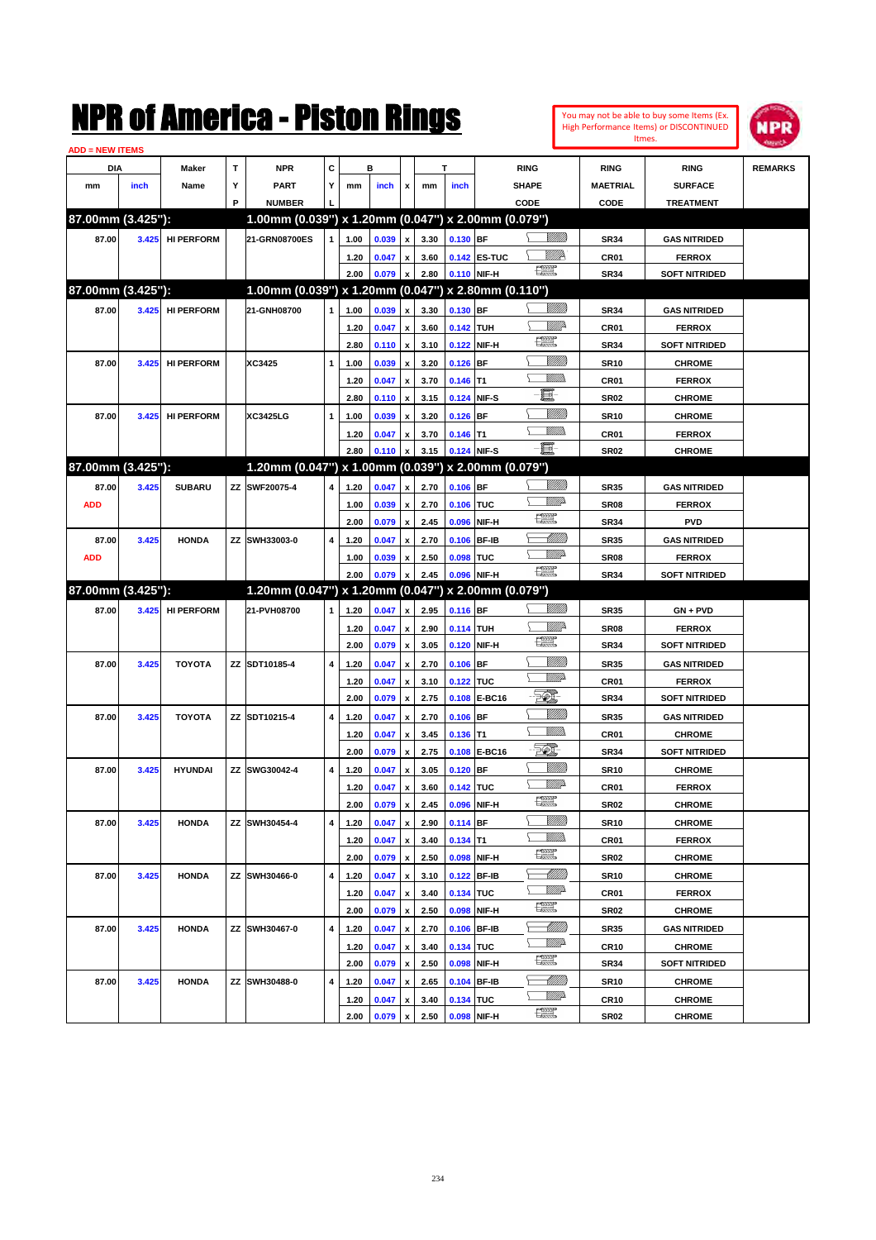|                        |       |                   |    | NMK OI AINCrica - Miston Kings                      |   |              |                |                           |              |             |              |                                |                                  |                            | You may not be able to buy some Items (Ex.<br>High Performance Items) or DISCONTINUED | NPR            |
|------------------------|-------|-------------------|----|-----------------------------------------------------|---|--------------|----------------|---------------------------|--------------|-------------|--------------|--------------------------------|----------------------------------|----------------------------|---------------------------------------------------------------------------------------|----------------|
| <b>ADD = NEW ITEMS</b> |       |                   |    |                                                     |   |              |                |                           |              |             |              |                                |                                  |                            | Itmes.                                                                                |                |
| DIA                    |       | Maker             | T  | <b>NPR</b>                                          | C |              | в              |                           |              | т           |              | <b>RING</b>                    |                                  | <b>RING</b>                | <b>RING</b>                                                                           | <b>REMARKS</b> |
| mm                     | inch  | Name              | Υ  | <b>PART</b>                                         | Y | mm           | inch           | x                         | mm           | inch        |              | SHAPE                          |                                  | <b>MAETRIAL</b>            | <b>SURFACE</b>                                                                        |                |
|                        |       |                   | P  | <b>NUMBER</b>                                       |   |              |                |                           |              |             |              | CODE                           |                                  | CODE                       | <b>TREATMENT</b>                                                                      |                |
| 87.00mm (3.425"):      |       |                   |    | 1.00mm (0.039") x 1.20mm (0.047") x 2.00mm (0.079") |   |              |                |                           |              |             |              |                                |                                  |                            |                                                                                       |                |
| 87.00                  | 3.425 | <b>HI PERFORM</b> |    | 21-GRN08700ES                                       | 1 | 1.00         | 0.039          | $\pmb{\mathsf{x}}$        | 3.30         | $0.130$ BF  |              |                                | <u>Sillilli</u>                  | <b>SR34</b>                | <b>GAS NITRIDED</b>                                                                   |                |
|                        |       |                   |    |                                                     |   | 1.20         | 0.047          | x                         | 3.60         |             | 0.142 ES-TUC |                                | ₩₩                               | CR01                       | <b>FERROX</b>                                                                         |                |
|                        |       |                   |    |                                                     |   | 2.00         | 0.079          | $\pmb{\mathsf{x}}$        | 2.80         | 0.110 NIF-H |              | $\frac{1}{2}$                  |                                  | <b>SR34</b>                | <b>SOFT NITRIDED</b>                                                                  |                |
| 87.00mm (3.425"):      |       |                   |    | 1.00mm (0.039") x 1.20mm (0.047") x 2.80mm (0.110") |   |              |                |                           |              |             |              |                                |                                  |                            |                                                                                       |                |
| 87.00                  | 3.425 | <b>HI PERFORM</b> |    | 21-GNH08700                                         | 1 | 1.00         | 0.039          | x                         | 3.30         | $0.130$ BF  |              |                                | <u>Sillilli</u>                  | <b>SR34</b>                | <b>GAS NITRIDED</b>                                                                   |                |
|                        |       |                   |    |                                                     |   | 1.20         | 0.047          | $\pmb{\mathsf{x}}$        | 3.60         | 0.142 TUH   |              |                                | <u>Mille</u>                     | CR01                       | <b>FERROX</b>                                                                         |                |
|                        |       |                   |    |                                                     |   | 2.80         | 0.110          | $\boldsymbol{\mathsf{x}}$ | 3.10         |             | 0.122 NIF-H  | 讓                              |                                  | <b>SR34</b>                | <b>SOFT NITRIDED</b>                                                                  |                |
| 87.00                  | 3.425 | <b>HI PERFORM</b> |    | XC3425                                              | 1 | 1.00         | 0.039          | x                         | 3.20         | $0.126$ BF  |              |                                | <u>Sillilli</u>                  | <b>SR10</b>                | <b>CHROME</b>                                                                         |                |
|                        |       |                   |    |                                                     |   | 1.20         | 0.047          | $\pmb{\mathsf{x}}$        | 3.70         | $0.146$ T1  |              |                                | .<br>VMD                         | CR01                       | <b>FERROX</b>                                                                         |                |
|                        |       |                   |    |                                                     |   | 2.80         | 0.110          | $\boldsymbol{\mathsf{x}}$ | 3.15         | 0.124 NIF-S |              | E                              |                                  | <b>SR02</b>                | <b>CHROME</b>                                                                         |                |
| 87.00                  | 3.425 | <b>HI PERFORM</b> |    | <b>XC3425LG</b>                                     | 1 | 1.00         | 0.039          | x                         | 3.20         | $0.126$ BF  |              |                                | <u>VIIII)</u>                    | <b>SR10</b>                | <b>CHROME</b>                                                                         |                |
|                        |       |                   |    |                                                     |   | 1.20         | 0.047          | x                         | 3.70         | $0.146$ T1  |              |                                | <br>Villida                      | CR01                       | <b>FERROX</b>                                                                         |                |
|                        |       |                   |    |                                                     |   | 2.80         | 0.110          | $\boldsymbol{\mathsf{x}}$ | 3.15         | 0.124 NIF-S |              | e.                             |                                  | <b>SR02</b>                | <b>CHROME</b>                                                                         |                |
| 87.00mm (3.425"):      |       |                   |    | 1.20mm (0.047") x 1.00mm (0.039") x 2.00mm (0.079") |   |              |                |                           |              |             |              |                                |                                  |                            |                                                                                       |                |
| 87.00                  | 3.425 | <b>SUBARU</b>     |    | ZZ SWF20075-4                                       | 4 | 1.20         | 0.047          | x                         | 2.70         | $0.106$ BF  |              |                                |                                  | <b>SR35</b>                | <b>GAS NITRIDED</b>                                                                   |                |
| <b>ADD</b>             |       |                   |    |                                                     |   | 1.00         | 0.039          | $\pmb{\mathsf{x}}$        | 2.70         | 0.106 TUC   |              |                                | <u>VMD</u>                       | SR <sub>08</sub>           | <b>FERROX</b>                                                                         |                |
|                        |       |                   |    |                                                     |   | 2.00         | 0.079          | $\pmb{\mathsf{x}}$        | 2.45         | 0.096       | NIF-H        | $\frac{1}{2}$                  |                                  | <b>SR34</b>                | <b>PVD</b>                                                                            |                |
| 87.00                  | 3.425 | <b>HONDA</b>      | ZZ | SWH33003-0                                          | 4 | 1.20         | 0.047          | X                         | 2.70         | 0.106       | <b>BF-IB</b> |                                | <u>UMB</u>                       | <b>SR35</b>                | <b>GAS NITRIDED</b>                                                                   |                |
| <b>ADD</b>             |       |                   |    |                                                     |   | 1.00         | 0.039          | x                         | 2.50         | 0.098       | <b>TUC</b>   |                                | <u>VMD</u>                       | SR <sub>08</sub>           | <b>FERROX</b>                                                                         |                |
|                        |       |                   |    |                                                     |   | 2.00         | 0.079          | $\boldsymbol{\mathsf{x}}$ | 2.45         | 0.096 NIF-H |              | $\frac{1}{2}$                  |                                  | <b>SR34</b>                | <b>SOFT NITRIDED</b>                                                                  |                |
| 87.00mm (3.425"):      |       |                   |    | 1.20mm (0.047") x 1.20mm (0.047") x 2.00mm (0.079") |   |              |                |                           |              |             |              |                                |                                  |                            |                                                                                       |                |
| 87.00                  | 3.425 | <b>HI PERFORM</b> |    | 21-PVH08700                                         | 1 | 1.20         | 0.047          | x                         | 2.95         | $0.116$ BF  |              |                                | <u>Sillilli</u>                  | <b>SR35</b>                | GN + PVD                                                                              |                |
|                        |       |                   |    |                                                     |   | 1.20         | 0.047          | $\pmb{\mathsf{x}}$        | 2.90         | 0.114 TUH   |              |                                | ₩₩                               | SR <sub>08</sub>           | <b>FERROX</b>                                                                         |                |
|                        |       |                   |    |                                                     |   | 2.00         | 0.079          | $\boldsymbol{\mathsf{x}}$ | 3.05         |             | 0.120 NIF-H  | $\frac{1}{2}$                  |                                  | <b>SR34</b>                | <b>SOFT NITRIDED</b>                                                                  |                |
| 87.00                  | 3.425 | <b>TOYOTA</b>     |    | ZZ SDT10185-4                                       | 4 | 1.20         | 0.047          | $\pmb{\mathsf{x}}$        | 2.70         | $0.106$ BF  |              |                                | <u>Milli</u> k                   | <b>SR35</b>                | <b>GAS NITRIDED</b>                                                                   |                |
|                        |       |                   |    |                                                     |   | 1.20         | 0.047          | X                         | 3.10         | 0.122 TUC   |              |                                | <u>MM</u> D                      | CR <sub>01</sub>           | <b>FERROX</b>                                                                         |                |
|                        |       |                   |    |                                                     |   | 2.00         | 0.079          | $\boldsymbol{\mathsf{x}}$ | 2.75         |             | 0.108 E-BC16 | <del>. 41</del>                |                                  | <b>SR34</b>                | <b>SOFT NITRIDED</b>                                                                  |                |
| 87.00                  | 3.425 | <b>TOYOTA</b>     |    | ZZ SDT10215-4                                       | 4 | 1.20         | 0.047          | $\pmb{\mathsf{x}}$        | 2.70         | $0.106$ BF  |              |                                | <u>Milli</u>                     | <b>SR35</b>                | <b>GAS NITRIDED</b>                                                                   |                |
|                        |       |                   |    |                                                     |   | 1.20         | 0.047          | x                         | 3.45         | $0.136$ T1  |              |                                | .<br>VMD                         | CR01                       | <b>CHROME</b>                                                                         |                |
|                        |       |                   |    |                                                     |   | 2.00         | 0.079          | $\pmb{\mathsf{x}}$        | 2.75         |             | 0.108 E-BC16 | PC),                           |                                  | <b>SR34</b>                | <b>SOFT NITRIDED</b>                                                                  |                |
| 87.00                  | 3.425 | <b>HYUNDAI</b>    |    | ZZ SWG30042-4                                       | 4 | 1.20         | 0.047          | $\pmb{\mathsf{x}}$        | 3.05         | $0.120$ BF  |              |                                | <u>Milli</u> k                   | <b>SR10</b>                | <b>CHROME</b>                                                                         |                |
|                        |       |                   |    |                                                     |   | 1.20         | 0.047          | $\pmb{\mathsf{x}}$        | 3.60         | 0.142 TUC   |              |                                | WW                               | CR01                       | <b>FERROX</b>                                                                         |                |
|                        |       |                   |    |                                                     |   | 2.00         | 0.079          | $\pmb{\mathsf{x}}$        | 2.45         |             | 0.096 NIF-H  | æ                              |                                  | SR02                       | <b>CHROME</b>                                                                         |                |
| 87.00                  | 3.425 | <b>HONDA</b>      |    | ZZ SWH30454-4                                       | 4 | 1.20         | 0.047          | $\pmb{\mathsf{x}}$        | 2.90         | $0.114$ BF  |              |                                | <u>VIIII)</u>                    | <b>SR10</b>                | <b>CHROME</b>                                                                         |                |
|                        |       |                   |    |                                                     |   | 1.20         | 0.047          | $\pmb{\mathsf{x}}$        | 3.40         | $0.134$ T1  |              |                                | <u>Willib</u>                    | CR01                       | <b>FERROX</b>                                                                         |                |
|                        |       |                   |    |                                                     |   | 2.00         | 0.079          | $\pmb{\mathsf{x}}$        | 2.50         |             | 0.098 NIF-H  | $f_{\text{max}}^{\text{comp}}$ |                                  | SR02                       | <b>CHROME</b>                                                                         |                |
| 87.00                  | 3.425 | <b>HONDA</b>      |    | ZZ SWH30466-0                                       | 4 | 1.20         | 0.047          | $\pmb{\mathsf{x}}$        | 3.10         |             | 0.122 BF-IB  |                                |                                  | <b>SR10</b>                | <b>CHROME</b>                                                                         |                |
|                        |       |                   |    |                                                     |   |              |                |                           |              |             | 0.134 TUC    |                                | <u>WW</u> A                      | CR01                       |                                                                                       |                |
|                        |       |                   |    |                                                     |   |              |                |                           |              |             |              |                                |                                  |                            |                                                                                       |                |
|                        |       |                   |    |                                                     |   | 1.20         | 0.047          | $\pmb{\mathsf{x}}$        | 3.40         |             |              | $\frac{1}{2}$                  |                                  |                            | <b>FERROX</b>                                                                         |                |
|                        |       |                   |    |                                                     |   | 2.00         | 0.079          | $\pmb{\mathsf{x}}$        | 2.50         |             | 0.098 NIF-H  |                                |                                  | SR02                       | <b>CHROME</b>                                                                         |                |
| 87.00                  | 3.425 | <b>HONDA</b>      |    | ZZ SWH30467-0                                       | 4 | 1.20         | 0.047          | $\pmb{\mathsf{x}}$        | 2.70         |             | 0.106 BF-IB  |                                | <u> Milli</u> lli<br><u>WW</u> A | <b>SR35</b>                | <b>GAS NITRIDED</b>                                                                   |                |
|                        |       |                   |    |                                                     |   | 1.20         | 0.047          | $\pmb{\mathsf{x}}$        | 3.40         | 0.134 TUC   |              | $f_{\text{max}}^{\text{comp}}$ |                                  | CR10                       | <b>CHROME</b>                                                                         |                |
|                        |       |                   |    |                                                     |   | 2.00         | 0.079          | $\pmb{\mathsf{x}}$        | 2.50         |             | 0.098 NIF-H  |                                |                                  | SR34                       | <b>SOFT NITRIDED</b>                                                                  |                |
| 87.00                  | 3.425 | <b>HONDA</b>      | ΖZ | SWH30488-0                                          | 4 | 1.20<br>1.20 | 0.047<br>0.047 | $\pmb{\mathsf{x}}$<br>x   | 2.65<br>3.40 | 0.134 TUC   | 0.104 BF-IB  |                                | <u>VM</u> A                      | <b>SR10</b><br><b>CR10</b> | <b>CHROME</b><br><b>CHROME</b>                                                        |                |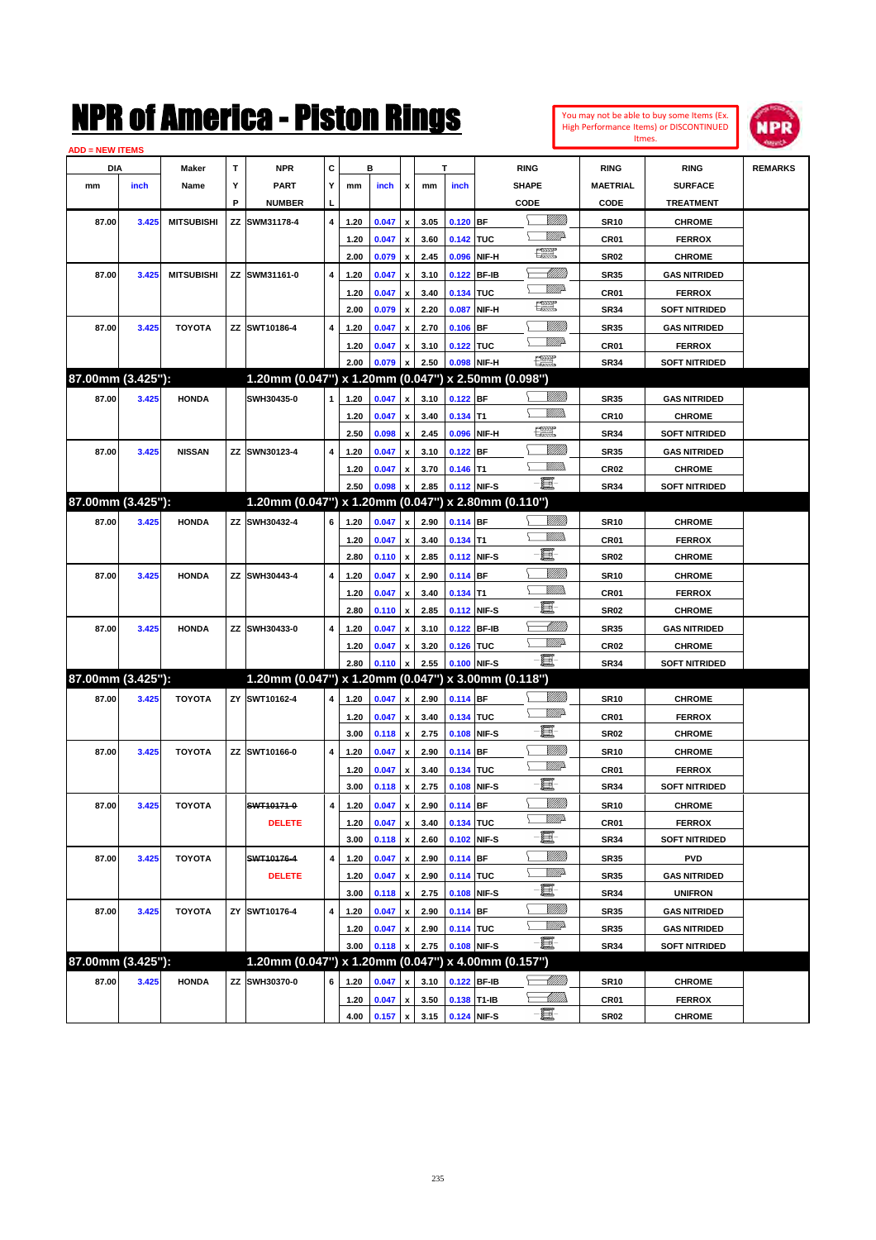| You may not be able to buy some Items (Ex.     |
|------------------------------------------------|
| <b>High Performance Items) or DISCONTINUED</b> |
| Itmes.                                         |



| <b>ADD = NEW ITEMS</b> |       |                   |    |                                                     |   |      |       |                           |      |             |              |                                   |                  |                      |                |
|------------------------|-------|-------------------|----|-----------------------------------------------------|---|------|-------|---------------------------|------|-------------|--------------|-----------------------------------|------------------|----------------------|----------------|
| DIA                    |       | Maker             | т  | <b>NPR</b>                                          | С |      | в     |                           |      | T           |              | <b>RING</b>                       | <b>RING</b>      | <b>RING</b>          | <b>REMARKS</b> |
| mm                     | inch  | Name              | Y  | <b>PART</b>                                         | Y | mm   | inch  | x                         | mm   | inch        |              | <b>SHAPE</b>                      | <b>MAETRIAL</b>  | <b>SURFACE</b>       |                |
|                        |       |                   | P  | <b>NUMBER</b>                                       | L |      |       |                           |      |             |              | CODE                              | CODE             | <b>TREATMENT</b>     |                |
| 87.00                  | 3.425 | <b>MITSUBISHI</b> | ΖZ | SWM31178-4                                          | 4 | 1.20 | 0.047 | $\pmb{\mathsf{x}}$        | 3.05 | $0.120$ BF  |              | <u>Sillilli</u>                   | <b>SR10</b>      | <b>CHROME</b>        |                |
|                        |       |                   |    |                                                     |   | 1.20 | 0.047 | x                         | 3.60 | 0.142 TUC   |              | <u>WW</u> A                       | CR01             | <b>FERROX</b>        |                |
|                        |       |                   |    |                                                     |   | 2.00 | 0.079 | $\pmb{\mathsf{x}}$        | 2.45 | 0.096       | NIF-H        | H                                 | <b>SR02</b>      | <b>CHROME</b>        |                |
| 87.00                  | 3.425 | <b>MITSUBISHI</b> | ΖZ | SWM31161-0                                          | 4 | 1.20 | 0.047 | x                         | 3.10 | 0.122       | <b>BF-IB</b> | <u>UMB</u>                        | <b>SR35</b>      | <b>GAS NITRIDED</b>  |                |
|                        |       |                   |    |                                                     |   | 1.20 | 0.047 | x                         | 3.40 | 0.134 TUC   |              | <u>WW</u> A                       | CR01             | <b>FERROX</b>        |                |
|                        |       |                   |    |                                                     |   | 2.00 | 0.079 | $\pmb{\mathsf{x}}$        | 2.20 | 0.087       | NIF-H        | H                                 | <b>SR34</b>      | <b>SOFT NITRIDED</b> |                |
| 87.00                  | 3.425 | <b>TOYOTA</b>     |    | ZZ SWT10186-4                                       | 4 | 1.20 | 0.047 | $\boldsymbol{\mathsf{x}}$ | 2.70 | 0.106       | <b>BF</b>    | <br>Willia                        | <b>SR35</b>      | <b>GAS NITRIDED</b>  |                |
|                        |       |                   |    |                                                     |   | 1.20 | 0.047 | х                         | 3.10 | 0.122 TUC   |              | <u>WW</u> A                       | CR01             | <b>FERROX</b>        |                |
|                        |       |                   |    |                                                     |   | 2.00 | 0.079 | x                         | 2.50 | 0.098       | NIF-H        | $\frac{\text{1000}}{\text{1000}}$ | <b>SR34</b>      | <b>SOFT NITRIDED</b> |                |
| 87.00mm (3.425"):      |       |                   |    | 1.20mm (0.047") x 1.20mm (0.047") x 2.50mm (0.098") |   |      |       |                           |      |             |              |                                   |                  |                      |                |
| 87.00                  | 3.425 | <b>HONDA</b>      |    | SWH30435-0                                          | 1 | 1.20 | 0.047 | $\pmb{\mathsf{x}}$        | 3.10 | 0.122 BF    |              | <br>Willia                        | <b>SR35</b>      | <b>GAS NITRIDED</b>  |                |
|                        |       |                   |    |                                                     |   | 1.20 | 0.047 | x                         | 3.40 | $0.134$ T1  |              | VM))                              | <b>CR10</b>      | <b>CHROME</b>        |                |
|                        |       |                   |    |                                                     |   | 2.50 | 0.098 | $\pmb{\mathsf{x}}$        | 2.45 | 0.096       | NIF-H        | 環                                 | <b>SR34</b>      | <b>SOFT NITRIDED</b> |                |
| 87.00                  | 3.425 | <b>NISSAN</b>     |    | ZZ SWN30123-4                                       | 4 | 1.20 | 0.047 | x                         | 3.10 | 0.122       | <b>BF</b>    | <u>Milli</u> k                    | <b>SR35</b>      | <b>GAS NITRIDED</b>  |                |
|                        |       |                   |    |                                                     |   | 1.20 | 0.047 | х                         | 3.70 | $0.146$ T1  |              | .<br>Willia                       | CR <sub>02</sub> | <b>CHROME</b>        |                |
|                        |       |                   |    |                                                     |   | 2.50 | 0.098 | x                         | 2.85 | 0.112 NIF-S |              | -日                                | <b>SR34</b>      | <b>SOFT NITRIDED</b> |                |
| 87.00mm (3.425"):      |       |                   |    | 1.20mm (0.047") x 1.20mm (0.047") x 2.80mm (0.110") |   |      |       |                           |      |             |              |                                   |                  |                      |                |
| 87.00                  | 3.425 | <b>HONDA</b>      |    | ZZ SWH30432-4                                       | 6 | 1.20 | 0.047 | $\pmb{\mathsf{x}}$        | 2.90 | 0.114 BF    |              | <br>Willia                        | <b>SR10</b>      | <b>CHROME</b>        |                |
|                        |       |                   |    |                                                     |   | 1.20 | 0.047 | x                         | 3.40 | $0.134$ T1  |              | .<br>VMD                          | CR01             | <b>FERROX</b>        |                |
|                        |       |                   |    |                                                     |   | 2.80 | 0.110 | $\pmb{\mathsf{x}}$        | 2.85 | 0.112 NIF-S |              | e                                 | <b>SR02</b>      | <b>CHROME</b>        |                |
| 87.00                  | 3.425 | <b>HONDA</b>      | ΖZ | SWH30443-4                                          | 4 | 1.20 | 0.047 | x                         | 2.90 | 0.114 BF    |              | <br>Willia                        | <b>SR10</b>      | <b>CHROME</b>        |                |
|                        |       |                   |    |                                                     |   | 1.20 | 0.047 | x                         | 3.40 | $0.134$ T1  |              | .<br>VMD                          | CR01             | <b>FERROX</b>        |                |
|                        |       |                   |    |                                                     |   | 2.80 | 0.110 | $\pmb{\mathsf{x}}$        | 2.85 | 0.112       | NIF-S        | e                                 | <b>SR02</b>      | <b>CHROME</b>        |                |
| 87.00                  | 3.425 | <b>HONDA</b>      |    | ZZ SWH30433-0                                       | 4 | 1.20 | 0.047 | $\boldsymbol{\mathsf{x}}$ | 3.10 | 0.122       | <b>BF-IB</b> | <u> UMB</u>                       | <b>SR35</b>      | <b>GAS NITRIDED</b>  |                |
|                        |       |                   |    |                                                     |   | 1.20 | 0.047 | х                         | 3.20 | 0.126 TUC   |              | <u>WW</u> A                       | CR <sub>02</sub> | <b>CHROME</b>        |                |
|                        |       |                   |    |                                                     |   | 2.80 | 0.110 | $\boldsymbol{\mathsf{x}}$ | 2.55 | 0.100       | NIF-S        | -8                                | <b>SR34</b>      | <b>SOFT NITRIDED</b> |                |
| 87.00mm (3.425"):      |       |                   |    | 1.20mm (0.047") x 1.20mm (0.047") x 3.00mm (0.118") |   |      |       |                           |      |             |              |                                   |                  |                      |                |
| 87.00                  | 3.425 | <b>TOYOTA</b>     |    | ZY SWT10162-4                                       | 4 | 1.20 | 0.047 | $\pmb{\mathsf{x}}$        | 2.90 | 0.114 BF    |              | <u>Milli</u>                      | <b>SR10</b>      | <b>CHROME</b>        |                |
|                        |       |                   |    |                                                     |   | 1.20 | 0.047 | x                         | 3.40 | 0.134 TUC   |              | <u>WW</u> A                       | CR01             | <b>FERROX</b>        |                |
|                        |       |                   |    |                                                     |   | 3.00 | 0.118 | $\pmb{\mathsf{x}}$        | 2.75 | 0.108       | NIF-S        | e                                 | <b>SR02</b>      | <b>CHROME</b>        |                |
| 87.00                  | 3.425 | <b>TOYOTA</b>     |    | ZZ SWT10166-0                                       | 4 | 1.20 | 0.047 | x                         | 2.90 | $0.114$ BF  |              | <u>Milli</u> k                    | <b>SR10</b>      | <b>CHROME</b>        |                |
|                        |       |                   |    |                                                     |   | 1.20 | 0.047 | x                         | 3.40 | 0.134 TUC   |              | <u>WW</u> A                       | CR01             | <b>FERROX</b>        |                |
|                        |       |                   |    |                                                     |   | 3.00 | 0.118 | $\pmb{\mathsf{x}}$        | 2.75 | 0.108       | NIF-S        | e                                 | <b>SR34</b>      | <b>SOFT NITRIDED</b> |                |
| 87.00                  | 3.425 | <b>TOYOTA</b>     |    | SWT10171-0                                          | 4 | 1.20 | 0.047 | $\pmb{\mathsf{x}}$        | 2.90 | 0.114 BF    |              | <u>MM)</u>                        | <b>SR10</b>      | <b>CHROME</b>        |                |
|                        |       |                   |    | <b>DELETE</b>                                       |   | 1.20 | 0.047 | $\pmb{\mathsf{x}}$        | 3.40 | 0.134 TUC   |              | WW                                | CR01             | <b>FERROX</b>        |                |
|                        |       |                   |    |                                                     |   | 3.00 | 0.118 | $\pmb{\mathsf{x}}$        | 2.60 | 0.102 NIF-S |              | e.                                | <b>SR34</b>      | <b>SOFT NITRIDED</b> |                |
| 87.00                  | 3.425 | <b>TOYOTA</b>     |    | SWT10176-4                                          | 4 | 1.20 | 0.047 | $\pmb{\mathsf{x}}$        | 2.90 | $0.114$ BF  |              | <u>VIIII)</u>                     | <b>SR35</b>      | <b>PVD</b>           |                |
|                        |       |                   |    | <b>DELETE</b>                                       |   | 1.20 | 0.047 | x                         | 2.90 | 0.114 TUC   |              | WW                                | <b>SR35</b>      | <b>GAS NITRIDED</b>  |                |
|                        |       |                   |    |                                                     |   | 3.00 | 0.118 | $\pmb{\mathsf{x}}$        | 2.75 | 0.108 NIF-S |              | E                                 | <b>SR34</b>      | <b>UNIFRON</b>       |                |
| 87.00                  | 3.425 | <b>TOYOTA</b>     | ZY | SWT10176-4                                          | 4 | 1.20 | 0.047 | $\pmb{\mathsf{x}}$        | 2.90 | $0.114$ BF  |              | <u>Milli</u> h                    | <b>SR35</b>      | <b>GAS NITRIDED</b>  |                |
|                        |       |                   |    |                                                     |   | 1.20 | 0.047 | x                         | 2.90 | 0.114 TUC   |              | WW                                | <b>SR35</b>      | <b>GAS NITRIDED</b>  |                |
|                        |       |                   |    |                                                     |   | 3.00 | 0.118 | $\pmb{\mathsf{x}}$        | 2.75 | 0.108 NIF-S |              | -E-                               | <b>SR34</b>      | <b>SOFT NITRIDED</b> |                |
| 87.00mm (3.425"):      |       |                   |    | 1.20mm (0.047") x 1.20mm (0.047") x 4.00mm (0.157") |   |      |       |                           |      |             |              |                                   |                  |                      |                |
| 87.00                  | 3.425 | <b>HONDA</b>      | ΖZ | SWH30370-0                                          | 6 | 1.20 | 0.047 | x                         | 3.10 | 0.122 BF-IB |              | <u>-MM)</u>                       | <b>SR10</b>      | <b>CHROME</b>        |                |
|                        |       |                   |    |                                                     |   | 1.20 | 0.047 | $\pmb{\mathsf{x}}$        | 3.50 | 0.138 T1-IB |              | — UMB                             | CR01             | <b>FERROX</b>        |                |
|                        |       |                   |    |                                                     |   | 4.00 | 0.157 | $\mathbf{x}$              | 3.15 | 0.124 NIF-S |              | $-\Xi$ -                          | <b>SR02</b>      | <b>CHROME</b>        |                |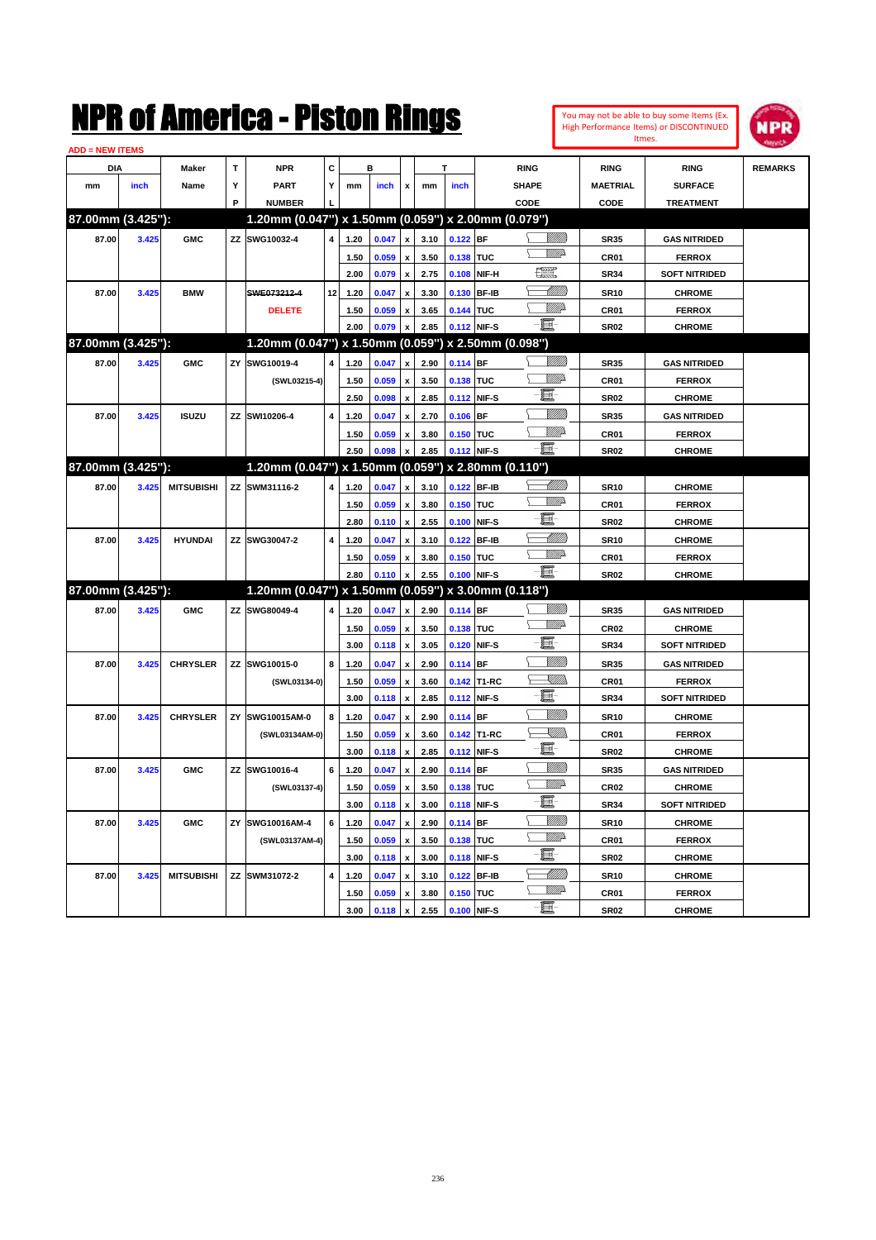|                               |       |                   |              | NMK OT AINCFICA - MISTON KINGS                      |    |      |       |                    |      |             |              |                   |                                    |                  | You may not be able to buy some Items (Ex.<br><b>High Performance Items) or DISCONTINUED</b><br>Itmes. | NPR            |
|-------------------------------|-------|-------------------|--------------|-----------------------------------------------------|----|------|-------|--------------------|------|-------------|--------------|-------------------|------------------------------------|------------------|--------------------------------------------------------------------------------------------------------|----------------|
| <b>ADD = NEW ITEMS</b><br>DIA |       | Maker             | $\mathbf{T}$ | <b>NPR</b>                                          | C  |      | в     |                    |      | Т           |              | <b>RING</b>       |                                    | <b>RING</b>      | <b>RING</b>                                                                                            | <b>REMARKS</b> |
| mm                            | inch  | Name              | Υ            | PART                                                | Y  | mm   | inch  | x                  | mm   | inch        |              | <b>SHAPE</b>      |                                    | <b>MAETRIAL</b>  | <b>SURFACE</b>                                                                                         |                |
|                               |       |                   | P            | <b>NUMBER</b>                                       |    |      |       |                    |      |             |              | CODE              |                                    | CODE             | <b>TREATMENT</b>                                                                                       |                |
| 87.00mm (3.425"):             |       |                   |              | 1.20mm (0.047") x 1.50mm (0.059") x 2.00mm (0.079") |    |      |       |                    |      |             |              |                   |                                    |                  |                                                                                                        |                |
|                               |       |                   |              |                                                     |    |      |       |                    |      |             |              |                   | <u>Sillilli</u>                    |                  |                                                                                                        |                |
| 87.00                         | 3.425 | <b>GMC</b>        |              | ZZ SWG10032-4                                       | 4  | 1.20 | 0.047 | x                  | 3.10 | $0.122$ BF  |              |                   | <u>MMD</u>                         | <b>SR35</b>      | <b>GAS NITRIDED</b>                                                                                    |                |
|                               |       |                   |              |                                                     |    | 1.50 | 0.059 | $\mathbf{x}$       | 3.50 | 0.138       | <b>TUC</b>   | $\frac{1}{2}$     |                                    | CR01             | <b>FERROX</b>                                                                                          |                |
|                               |       |                   |              |                                                     |    | 2.00 | 0.079 | x                  | 2.75 | 0.108       | NIF-H        |                   |                                    | <b>SR34</b>      | <b>SOFT NITRIDED</b>                                                                                   |                |
| 87.00                         | 3.425 | <b>BMW</b>        |              | SWE073212-4                                         | 12 | 1.20 | 0.047 | x                  | 3.30 | 0.130       | <b>BF-IB</b> |                   | <u> Milli</u> lli<br><u>VIII p</u> | <b>SR10</b>      | <b>CHROME</b>                                                                                          |                |
|                               |       |                   |              | <b>DELETE</b>                                       |    | 1.50 | 0.059 | x                  | 3.65 | 0.144 TUC   |              | E                 |                                    | CR01             | <b>FERROX</b>                                                                                          |                |
|                               |       |                   |              |                                                     |    | 2.00 | 0.079 | $\pmb{\mathsf{x}}$ | 2.85 | 0.112 NIF-S |              |                   |                                    | <b>SR02</b>      | <b>CHROME</b>                                                                                          |                |
| 87.00mm (3.425"):             |       |                   |              | 1.20mm (0.047") x 1.50mm (0.059") x 2.50mm (0.098") |    |      |       |                    |      |             |              |                   |                                    |                  |                                                                                                        |                |
| 87.00                         | 3.425 | <b>GMC</b>        | ZY           | SWG10019-4                                          | 4  | 1.20 | 0.047 | x                  | 2.90 | $0.114$ BF  |              |                   | <u>VIIII</u>                       | <b>SR35</b>      | <b>GAS NITRIDED</b>                                                                                    |                |
|                               |       |                   |              | (SWL03215-4)                                        |    | 1.50 | 0.059 | x                  | 3.50 | 0.138 TUC   |              |                   | <u>MM</u> D                        | CR01             | <b>FERROX</b>                                                                                          |                |
|                               |       |                   |              |                                                     |    | 2.50 | 0.098 | x                  | 2.85 | 0.112       | NIF-S        | E                 |                                    | <b>SR02</b>      | <b>CHROME</b>                                                                                          |                |
| 87.00                         | 3.425 | <b>ISUZU</b>      |              | ZZ SWI10206-4                                       | 4  | 1.20 | 0.047 | x                  | 2.70 | 0.106       | <b>BF</b>    |                   | <u>VIIII</u>                       | <b>SR35</b>      | <b>GAS NITRIDED</b>                                                                                    |                |
|                               |       |                   |              |                                                     |    | 1.50 | 0.059 | x                  | 3.80 | 0.150       | <b>TUC</b>   |                   | <u>VIII p</u>                      | CR01             | <b>FERROX</b>                                                                                          |                |
|                               |       |                   |              |                                                     |    | 2.50 | 0.098 | $\mathbf{x}$       | 2.85 | 0.112 NIF-S |              | E                 |                                    | <b>SR02</b>      | <b>CHROME</b>                                                                                          |                |
| 87.00mm (3.425"):             |       |                   |              | 1.20mm (0.047") x 1.50mm (0.059")                   |    |      |       |                    |      |             |              | x 2.80mm (0.110") |                                    |                  |                                                                                                        |                |
| 87.00                         | 3.425 | <b>MITSUBISHI</b> |              | ZZ SWM31116-2                                       | 4  | 1.20 | 0.047 | x                  | 3.10 | 0.122       | <b>BF-IB</b> |                   | <u> Milli</u>                      | <b>SR10</b>      | <b>CHROME</b>                                                                                          |                |
|                               |       |                   |              |                                                     |    | 1.50 | 0.059 | $\mathbf{x}$       | 3.80 | 0.150       | <b>TUC</b>   |                   | <u>VIII</u> D                      | CR01             | <b>FERROX</b>                                                                                          |                |
|                               |       |                   |              |                                                     |    | 2.80 | 0.110 | x                  | 2.55 | 0.100       | NIF-S        | E                 |                                    | <b>SR02</b>      | <b>CHROME</b>                                                                                          |                |
| 87.00                         | 3.425 | <b>HYUNDAI</b>    |              | ZZ SWG30047-2                                       | 4  | 1.20 | 0.047 | x                  | 3.10 | 0.122       | <b>BF-IB</b> |                   | <u> Milli</u> lli                  | <b>SR10</b>      | <b>CHROME</b>                                                                                          |                |
|                               |       |                   |              |                                                     |    | 1.50 | 0.059 | x                  | 3.80 | 0.150       | <b>TUC</b>   |                   | <u>VIII</u> D                      | CR01             | <b>FERROX</b>                                                                                          |                |
|                               |       |                   |              |                                                     |    | 2.80 | 0.110 | $\pmb{\mathsf{x}}$ | 2.55 | 0.100       | NIF-S        | E                 |                                    | <b>SR02</b>      | <b>CHROME</b>                                                                                          |                |
| 87.00mm (3.425"):             |       |                   |              | 1.20mm (0.047") x 1.50mm (0.059") x 3.00mm (0.118") |    |      |       |                    |      |             |              |                   |                                    |                  |                                                                                                        |                |
| 87.00                         | 3.425 | <b>GMC</b>        |              | ZZ SWG80049-4                                       | 4  | 1.20 | 0.047 | x                  | 2.90 | $0.114$ BF  |              |                   | <u>VIIII</u>                       | <b>SR35</b>      | <b>GAS NITRIDED</b>                                                                                    |                |
|                               |       |                   |              |                                                     |    | 1.50 | 0.059 | $\mathbf{x}$       | 3.50 | 0.138 TUC   |              |                   | <u>VIII</u> D                      | CR <sub>02</sub> | <b>CHROME</b>                                                                                          |                |
|                               |       |                   |              |                                                     |    | 3.00 | 0.118 | x                  | 3.05 | 0.120       | NIF-S        | E                 |                                    | <b>SR34</b>      | <b>SOFT NITRIDED</b>                                                                                   |                |
| 87.00                         | 3.425 | <b>CHRYSLER</b>   |              | ZZ SWG10015-0                                       | 8  | 1.20 | 0.047 | x                  | 2.90 | $0.114$ BF  |              |                   | <u>VIIII</u>                       | <b>SR35</b>      | <b>GAS NITRIDED</b>                                                                                    |                |
|                               |       |                   |              | (SWL03134-0)                                        |    | 1.50 | 0.059 | x                  | 3.60 |             | 0.142 T1-RC  |                   | <u>Sillin</u>                      | CR01             | <b>FERROX</b>                                                                                          |                |
|                               |       |                   |              |                                                     |    | 3.00 | 0.118 | x                  | 2.85 | 0.112       | NIF-S        | E                 |                                    | SR34             | <b>SOFT NITRIDED</b>                                                                                   |                |
| 87.00                         | 3.425 | <b>CHRYSLER</b>   |              | ZY SWG10015AM-0                                     | 8  | 1.20 | 0.047 | x                  | 2.90 | $0.114$ BF  |              |                   | <u>VIIII</u>                       | <b>SR10</b>      | <b>CHROME</b>                                                                                          |                |
|                               |       |                   |              | (SWL03134AM-0)                                      |    | 1.50 | 0.059 | x                  | 3.60 |             | 0.142 T1-RC  |                   | <u>Sillin</u>                      | CR01             | <b>FERROX</b>                                                                                          |                |
|                               |       |                   |              |                                                     |    | 3.00 | 0.118 | x                  | 2.85 | 0.112 NIF-S |              | E                 |                                    | <b>SR02</b>      | <b>CHROME</b>                                                                                          |                |
| 87.00                         | 3.425 | <b>GMC</b>        |              | ZZ SWG10016-4                                       | 6  | 1.20 | 0.047 | $\pmb{\mathsf{x}}$ | 2.90 | $0.114$ BF  |              |                   | <u>VIIII</u>                       | <b>SR35</b>      | <b>GAS NITRIDED</b>                                                                                    |                |
|                               |       |                   |              | (SWL03137-4)                                        |    | 1.50 | 0.059 | $\pmb{\mathsf{x}}$ | 3.50 | 0.138 TUC   |              |                   | WW                                 | CR02             | <b>CHROME</b>                                                                                          |                |
|                               |       |                   |              |                                                     |    | 3.00 | 0.118 | x                  | 3.00 | 0.118 NIF-S |              | E                 |                                    | <b>SR34</b>      | <b>SOFT NITRIDED</b>                                                                                   |                |
| 87.00                         | 3.425 | <b>GMC</b>        |              | ZY SWG10016AM-4                                     | 6  | 1.20 | 0.047 | $\pmb{\mathsf{x}}$ | 2.90 | $0.114$ BF  |              |                   | <u>VMM</u>                         | <b>SR10</b>      | <b>CHROME</b>                                                                                          |                |
|                               |       |                   |              | (SWL03137AM-4)                                      |    | 1.50 | 0.059 | x                  | 3.50 | 0.138 TUC   |              |                   | <u>WW</u> A                        | CR01             | <b>FERROX</b>                                                                                          |                |
|                               |       |                   |              |                                                     |    | 3.00 | 0.118 | x                  | 3.00 | 0.118 NIF-S |              | E                 |                                    | <b>SR02</b>      | <b>CHROME</b>                                                                                          |                |
| 87.00                         | 3.425 | <b>MITSUBISHI</b> |              | ZZ SWM31072-2                                       | 4  | 1.20 | 0.047 | x                  | 3.10 |             | 0.122 BF-IB  |                   |                                    | <b>SR10</b>      | <b>CHROME</b>                                                                                          |                |
|                               |       |                   |              |                                                     |    | 1.50 | 0.059 | x                  | 3.80 | 0.150 TUC   |              |                   | <u>WW</u> A                        | CR01             | <b>FERROX</b>                                                                                          |                |
|                               |       |                   |              |                                                     |    | 3.00 | 0.118 | $\mathbf{x}$       | 2.55 | 0.100 NIF-S |              | e.                |                                    | <b>SR02</b>      | <b>CHROME</b>                                                                                          |                |
|                               |       |                   |              |                                                     |    |      |       |                    |      |             |              |                   |                                    |                  |                                                                                                        |                |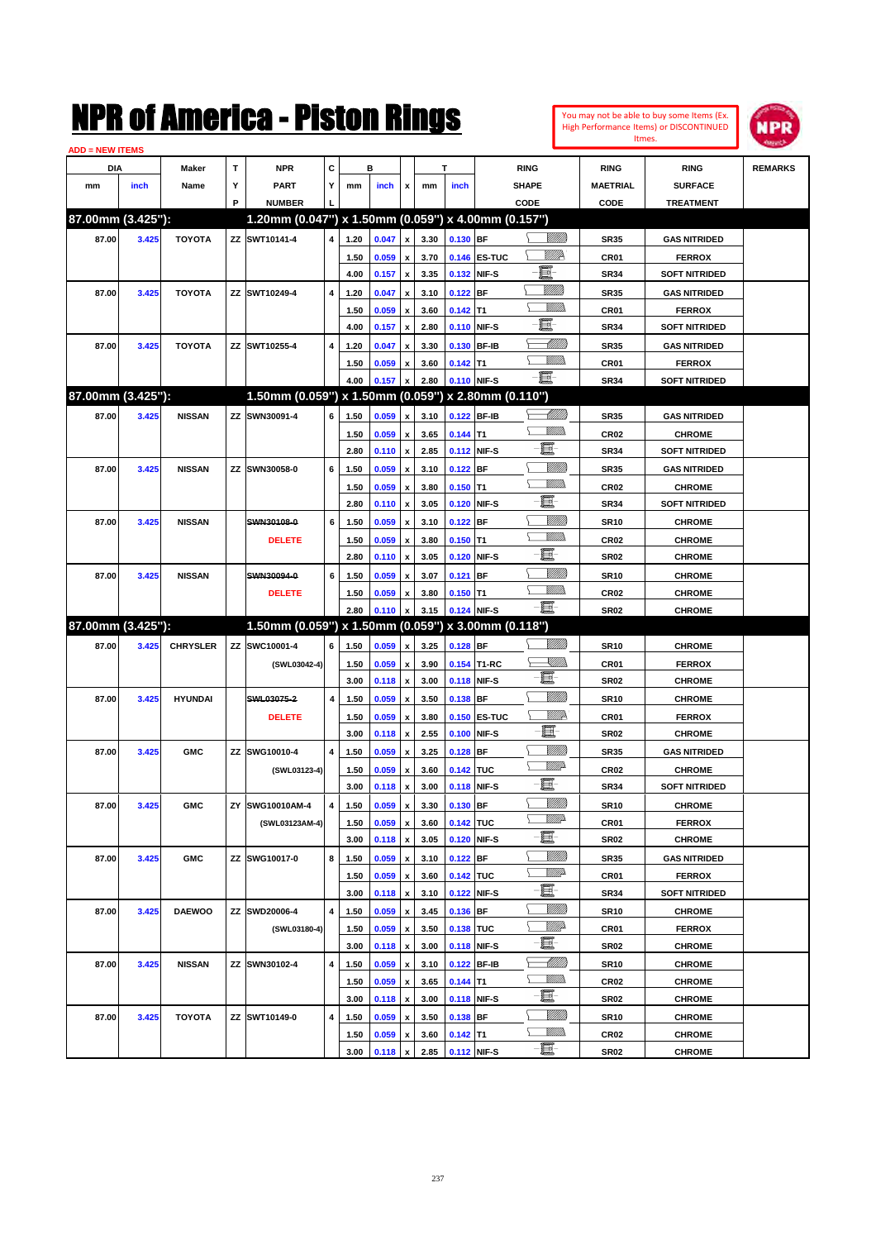| You may not be able to buy some Items (Ex. |
|--------------------------------------------|
| High Performance Items) or DISCONTINUED    |
| Itmes.                                     |



| <b>ADD = NEW ITEMS</b> |       |                 |   |                                                     |                |      |       |                           |      |            |              |                 |                  |                      |                |
|------------------------|-------|-----------------|---|-----------------------------------------------------|----------------|------|-------|---------------------------|------|------------|--------------|-----------------|------------------|----------------------|----------------|
| DIA                    |       | <b>Maker</b>    | T | <b>NPR</b>                                          | С              |      | в     |                           |      | т          |              | <b>RING</b>     | <b>RING</b>      | <b>RING</b>          | <b>REMARKS</b> |
| mm                     | inch  | Name            | Υ | <b>PART</b>                                         | Υ              | mm   | inch  | x                         | mm   | inch       |              | <b>SHAPE</b>    | MAETRIAL         | <b>SURFACE</b>       |                |
|                        |       |                 | P | <b>NUMBER</b>                                       |                |      |       |                           |      |            |              | CODE            | CODE             | <b>TREATMENT</b>     |                |
| 87.00mm (3.425"):      |       |                 |   | 1.20mm (0.047") x 1.50mm (0.059") x 4.00mm (0.157") |                |      |       |                           |      |            |              |                 |                  |                      |                |
| 87.00                  | 3.425 | <b>TOYOTA</b>   |   | ZZ SWT10141-4                                       | 4              | 1.20 | 0.047 | $\pmb{\mathsf{x}}$        | 3.30 | $0.130$ BF |              | <u>Villitti</u> | <b>SR35</b>      | <b>GAS NITRIDED</b>  |                |
|                        |       |                 |   |                                                     |                | 1.50 | 0.059 | $\pmb{\mathsf{x}}$        | 3.70 |            | 0.146 ES-TUC | <u>VIIID</u>    | CR <sub>01</sub> | <b>FERROX</b>        |                |
|                        |       |                 |   |                                                     |                | 4.00 | 0.157 | $\pmb{\mathsf{x}}$        | 3.35 |            | 0.132 NIF-S  | e.              | <b>SR34</b>      | <b>SOFT NITRIDED</b> |                |
| 87.00                  | 3.425 | <b>TOYOTA</b>   |   | ZZ SWT10249-4                                       | 4              | 1.20 | 0.047 | x                         | 3.10 | $0.122$ BF |              | VIII))          | <b>SR35</b>      | <b>GAS NITRIDED</b>  |                |
|                        |       |                 |   |                                                     |                | 1.50 | 0.059 | x                         | 3.60 | $0.142$ T1 |              | VM))            | CR01             | <b>FERROX</b>        |                |
|                        |       |                 |   |                                                     |                | 4.00 | 0.157 | $\pmb{\mathsf{x}}$        | 2.80 |            | 0.110 NIF-S  | E               | <b>SR34</b>      | <b>SOFT NITRIDED</b> |                |
| 87.00                  | 3.425 | <b>TOYOTA</b>   |   | ZZ SWT10255-4                                       | 4              | 1.20 | 0.047 | x                         | 3.30 |            | 0.130 BF-IB  | <u> UMM</u>     | <b>SR35</b>      | <b>GAS NITRIDED</b>  |                |
|                        |       |                 |   |                                                     |                | 1.50 | 0.059 | x                         | 3.60 | $0.142$ T1 |              | .<br>VMD        | CR <sub>01</sub> | <b>FERROX</b>        |                |
|                        |       |                 |   |                                                     |                | 4.00 | 0.157 | X                         | 2.80 |            | 0.110 NIF-S  | -8              | <b>SR34</b>      | <b>SOFT NITRIDED</b> |                |
| 87.00mm (3.425"):      |       |                 |   | 1.50mm (0.059") x 1.50mm (0.059") x 2.80mm (0.110") |                |      |       |                           |      |            |              |                 |                  |                      |                |
| 87.00                  | 3.425 | <b>NISSAN</b>   |   | ZZ SWN30091-4                                       | 6              | 1.50 | 0.059 | x                         | 3.10 |            | 0.122 BF-IB  | <u> Millitt</u> | <b>SR35</b>      | <b>GAS NITRIDED</b>  |                |
|                        |       |                 |   |                                                     |                | 1.50 | 0.059 | $\pmb{\mathsf{x}}$        | 3.65 | $0.144$ T1 |              | .<br>MM         | CR <sub>02</sub> | <b>CHROME</b>        |                |
|                        |       |                 |   |                                                     |                | 2.80 | 0.110 | $\boldsymbol{\mathsf{x}}$ | 2.85 |            | 0.112 NIF-S  | e.              | <b>SR34</b>      | <b>SOFT NITRIDED</b> |                |
| 87.00                  | 3.425 | <b>NISSAN</b>   |   | ZZ SWN30058-0                                       | 6              | 1.50 | 0.059 | x                         | 3.10 | $0.122$ BF |              | <u>VIIII)</u>   | <b>SR35</b>      | <b>GAS NITRIDED</b>  |                |
|                        |       |                 |   |                                                     |                | 1.50 | 0.059 | x                         | 3.80 | $0.150$ T1 |              | .<br>VMD        | CR <sub>02</sub> | <b>CHROME</b>        |                |
|                        |       |                 |   |                                                     |                | 2.80 | 0.110 | x                         | 3.05 |            | 0.120 NIF-S  | e.              | <b>SR34</b>      | <b>SOFT NITRIDED</b> |                |
| 87.00                  | 3.425 | <b>NISSAN</b>   |   | SWN30108-0                                          | 6              | 1.50 | 0.059 | x                         | 3.10 | $0.122$ BF |              | <u>VIIII)</u>   | <b>SR10</b>      | <b>CHROME</b>        |                |
|                        |       |                 |   | <b>DELETE</b>                                       |                | 1.50 | 0.059 | x                         | 3.80 | $0.150$ T1 |              | .<br>VMD        | CR <sub>02</sub> | <b>CHROME</b>        |                |
|                        |       |                 |   |                                                     |                | 2.80 | 0.110 | x                         | 3.05 |            | 0.120 NIF-S  | e.              | <b>SR02</b>      | <b>CHROME</b>        |                |
| 87.00                  | 3.425 | <b>NISSAN</b>   |   | SWN30094-0                                          | 6              | 1.50 | 0.059 | x                         | 3.07 | $0.121$ BF |              | <u>VIIII)</u>   | <b>SR10</b>      | <b>CHROME</b>        |                |
|                        |       |                 |   | <b>DELETE</b>                                       |                | 1.50 | 0.059 | x                         | 3.80 | $0.150$ T1 |              | .<br>VMD        | CR <sub>02</sub> | <b>CHROME</b>        |                |
|                        |       |                 |   |                                                     |                | 2.80 | 0.110 | $\pmb{\mathsf{x}}$        | 3.15 |            | 0.124 NIF-S  | -8              | SR02             | <b>CHROME</b>        |                |
| 87.00mm (3.425"):      |       |                 |   | 1.50mm (0.059") x 1.50mm (0.059") x 3.00mm (0.118") |                |      |       |                           |      |            |              |                 |                  |                      |                |
| 87.00                  | 3.425 | <b>CHRYSLER</b> |   | ZZ SWC10001-4                                       | 6              | 1.50 | 0.059 | $\boldsymbol{\mathsf{x}}$ | 3.25 | $0.128$ BF |              |                 | <b>SR10</b>      | <b>CHROME</b>        |                |
|                        |       |                 |   | (SWL03042-4)                                        |                | 1.50 | 0.059 | $\pmb{\mathsf{x}}$        | 3.90 |            | 0.154 T1-RC  | <u>XMWs</u>     | CR <sub>01</sub> | <b>FERROX</b>        |                |
|                        |       |                 |   |                                                     |                | 3.00 | 0.118 | x                         | 3.00 |            | 0.118 NIF-S  | E               | <b>SR02</b>      | <b>CHROME</b>        |                |
| 87.00                  | 3.425 | <b>HYUNDAI</b>  |   | SWL03075-2                                          | 4              | 1.50 | 0.059 | x                         | 3.50 | 0.138 BF   |              | <u>VIII M</u>   | <b>SR10</b>      | <b>CHROME</b>        |                |
|                        |       |                 |   | <b>DELETE</b>                                       |                | 1.50 | 0.059 | x                         | 3.80 |            | 0.150 ES-TUC | <u>MM</u> 2     | CR <sub>01</sub> | <b>FERROX</b>        |                |
|                        |       |                 |   |                                                     |                | 3.00 | 0.118 | x                         | 2.55 | 0.100      | NIF-S        | E               | SR02             | <b>CHROME</b>        |                |
| 87.00                  | 3.425 | <b>GMC</b>      |   | ZZ SWG10010-4                                       | $\overline{4}$ | 1.50 | 0.059 | x                         | 3.25 | $0.128$ BF |              | <u>VIII M</u>   | <b>SR35</b>      | <b>GAS NITRIDED</b>  |                |
|                        |       |                 |   | (SWL03123-4)                                        |                | 1.50 | 0.059 | x                         | 3.60 | 0.142 TUC  |              | <u>MM</u> D     | CR <sub>02</sub> | <b>CHROME</b>        |                |
|                        |       |                 |   |                                                     |                | 3.00 | 0.118 | x                         | 3.00 |            | 0.118 NIF-S  | E               | SR34             | <b>SOFT NITRIDED</b> |                |
| 87.00                  | 3.425 | <b>GMC</b>      |   | ZY SWG10010AM-4                                     | 4              | 1.50 | 0.059 | $\pmb{\mathsf{x}}$        | 3.30 | $0.130$ BF |              | <u>VIII M</u>   | SR10             | <b>CHROME</b>        |                |
|                        |       |                 |   | (SWL03123AM-4)                                      |                | 1.50 | 0.059 | $\pmb{\mathsf{x}}$        | 3.60 | 0.142 TUC  |              | <u>WW</u> A     | CR01             | <b>FERROX</b>        |                |
|                        |       |                 |   |                                                     |                | 3.00 | 0.118 | $\pmb{\mathsf{x}}$        | 3.05 |            | 0.120 NIF-S  | E               | SR02             | <b>CHROME</b>        |                |
| 87.00                  | 3.425 | <b>GMC</b>      |   | ZZ SWG10017-0                                       | 8              | 1.50 | 0.059 | $\pmb{\mathsf{x}}$        | 3.10 | $0.122$ BF |              | <u>VIIII)</u>   | <b>SR35</b>      | <b>GAS NITRIDED</b>  |                |
|                        |       |                 |   |                                                     |                | 1.50 | 0.059 | x                         | 3.60 | 0.142 TUC  |              | ₩₩              | CR01             | <b>FERROX</b>        |                |
|                        |       |                 |   |                                                     |                | 3.00 | 0.118 | $\pmb{\mathsf{x}}$        | 3.10 |            | 0.122 NIF-S  | e.              | SR34             | <b>SOFT NITRIDED</b> |                |
| 87.00                  | 3.425 | <b>DAEWOO</b>   |   | ZZ SWD20006-4                                       | 4              | 1.50 | 0.059 | $\pmb{\mathsf{x}}$        | 3.45 | $0.136$ BF |              | <u>VIII M</u>   | <b>SR10</b>      | <b>CHROME</b>        |                |
|                        |       |                 |   | (SWL03180-4)                                        |                | 1.50 | 0.059 | x                         | 3.50 | 0.138 TUC  |              | <u>WW</u> A     | CR01             | <b>FERROX</b>        |                |
|                        |       |                 |   |                                                     |                | 3.00 | 0.118 | $\pmb{\mathsf{x}}$        | 3.00 |            | 0.118 NIF-S  | e.              | SR02             | <b>CHROME</b>        |                |
| 87.00                  | 3.425 | <b>NISSAN</b>   |   | ZZ SWN30102-4                                       | $\pmb{4}$      | 1.50 | 0.059 | x                         | 3.10 |            | 0.122 BF-IB  | <u> MMM</u>     | <b>SR10</b>      | <b>CHROME</b>        |                |
|                        |       |                 |   |                                                     |                | 1.50 | 0.059 | x                         | 3.65 | $0.144$ T1 |              | <u>Millib</u>   | CR <sub>02</sub> | <b>CHROME</b>        |                |
|                        |       |                 |   |                                                     |                | 3.00 | 0.118 | $\pmb{\mathsf{x}}$        | 3.00 |            | 0.118 NIF-S  | e.              | SR02             | <b>CHROME</b>        |                |
| 87.00                  | 3.425 | <b>TOYOTA</b>   |   | ZZ SWT10149-0                                       | 4              | 1.50 | 0.059 | x                         | 3.50 | 0.138 BF   |              |                 | <b>SR10</b>      | <b>CHROME</b>        |                |
|                        |       |                 |   |                                                     |                | 1.50 | 0.059 | x                         | 3.60 | $0.142$ T1 |              | <u>VMM)</u>     | CR02             | <b>CHROME</b>        |                |
|                        |       |                 |   |                                                     |                | 3.00 | 0.118 | $\pmb{\mathsf{x}}$        | 2.85 |            | 0.112 NIF-S  | e               | SR02             | <b>CHROME</b>        |                |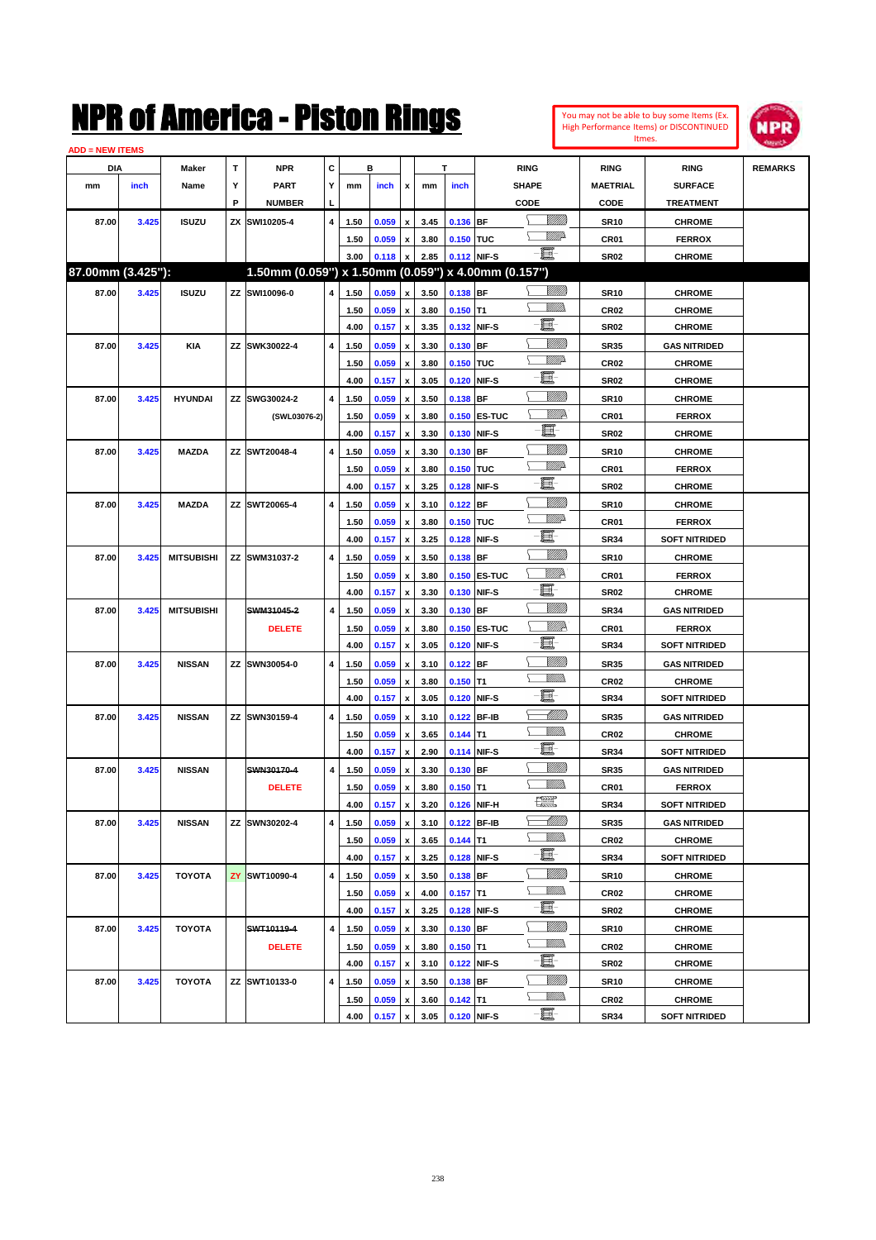| <b>ADD = NEW ITEMS</b> |       |                   |   |                                                     |                |      |       |                           |      |                  |                     |                    |                  |                      |                |
|------------------------|-------|-------------------|---|-----------------------------------------------------|----------------|------|-------|---------------------------|------|------------------|---------------------|--------------------|------------------|----------------------|----------------|
| DIA                    |       | Maker             | т | <b>NPR</b>                                          | c              |      | в     |                           |      | т                |                     | <b>RING</b>        | <b>RING</b>      | <b>RING</b>          | <b>REMARKS</b> |
| mm                     | inch  | Name              | Y | <b>PART</b>                                         | Y              | mm   | inch  | $\mathbf{x}$              | mm   | inch             |                     | <b>SHAPE</b>       | <b>MAETRIAL</b>  | <b>SURFACE</b>       |                |
|                        |       |                   | P | <b>NUMBER</b>                                       |                |      |       |                           |      |                  |                     | CODE               | CODE             | <b>TREATMENT</b>     |                |
| 87.00                  | 3.425 | <b>ISUZU</b>      |   | ZX SWI10205-4                                       | 4              | 1.50 | 0.059 | $\boldsymbol{\mathsf{x}}$ | 3.45 | 0.136 BF         |                     | <u>Sillilli</u>    | <b>SR10</b>      | <b>CHROME</b>        |                |
|                        |       |                   |   |                                                     |                | 1.50 | 0.059 | $\boldsymbol{\mathsf{x}}$ | 3.80 | <b>0.150 TUC</b> |                     | <u>VMD</u>         | CR <sub>01</sub> | <b>FERROX</b>        |                |
|                        |       |                   |   |                                                     |                | 3.00 | 0.118 | x                         | 2.85 |                  | 0.112 NIF-S         | E                  | <b>SR02</b>      | <b>CHROME</b>        |                |
| 87.00mm (3.425"):      |       |                   |   | 1.50mm (0.059") x 1.50mm (0.059") x 4.00mm (0.157") |                |      |       |                           |      |                  |                     |                    |                  |                      |                |
| 87.00                  | 3.425 | <b>ISUZU</b>      |   | ZZ SWI10096-0                                       | 4              | 1.50 | 0.059 | $\pmb{\chi}$              | 3.50 | 0.138 BF         |                     |                    | <b>SR10</b>      | <b>CHROME</b>        |                |
|                        |       |                   |   |                                                     |                | 1.50 | 0.059 | $\pmb{\mathsf{x}}$        | 3.80 | $0.150$ T1       |                     | <u>Willib</u>      | CR <sub>02</sub> | <b>CHROME</b>        |                |
|                        |       |                   |   |                                                     |                | 4.00 | 0.157 | $\pmb{\times}$            | 3.35 |                  | 0.132 NIF-S         | 匱                  | <b>SR02</b>      | <b>CHROME</b>        |                |
| 87.00                  | 3.425 | KIA               |   | ZZ SWK30022-4                                       | 4              | 1.50 | 0.059 | $\boldsymbol{\mathsf{x}}$ | 3.30 | $0.130$ BF       |                     |                    | <b>SR35</b>      | <b>GAS NITRIDED</b>  |                |
|                        |       |                   |   |                                                     |                | 1.50 | 0.059 | $\pmb{\mathsf{x}}$        | 3.80 | 0.150 TUC        |                     | <u>VMD</u>         | CR <sub>02</sub> | <b>CHROME</b>        |                |
|                        |       |                   |   |                                                     |                | 4.00 | 0.157 | $\pmb{\times}$            | 3.05 |                  | 0.120 NIF-S         | 匱                  | <b>SR02</b>      | <b>CHROME</b>        |                |
| 87.00                  | 3.425 | <b>HYUNDAI</b>    |   | ZZ SWG30024-2                                       | $\overline{4}$ | 1.50 | 0.059 | $\pmb{\mathsf{x}}$        | 3.50 | 0.138 BF         |                     | <u>VIII M</u>      | <b>SR10</b>      | <b>CHROME</b>        |                |
|                        |       |                   |   | (SWL03076-2)                                        |                | 1.50 | 0.059 | $\pmb{\mathsf{x}}$        | 3.80 |                  | <b>0.150 ES-TUC</b> | <u>MMR</u>         | CR <sub>01</sub> | <b>FERROX</b>        |                |
|                        |       |                   |   |                                                     |                | 4.00 | 0.157 | $\pmb{\times}$            | 3.30 |                  | 0.130 NIF-S         | E-                 | <b>SR02</b>      | <b>CHROME</b>        |                |
| 87.00                  | 3.425 | <b>MAZDA</b>      |   | ZZ SWT20048-4                                       | 4              | 1.50 | 0.059 | $\boldsymbol{\mathsf{x}}$ | 3.30 | $0.130$ BF       |                     | <u>VIII M</u>      | <b>SR10</b>      | <b>CHROME</b>        |                |
|                        |       |                   |   |                                                     |                | 1.50 | 0.059 | $\pmb{\mathsf{x}}$        | 3.80 | 0.150 TUC        |                     | <u>VMD</u>         | CR <sub>01</sub> | <b>FERROX</b>        |                |
|                        |       |                   |   |                                                     |                | 4.00 | 0.157 | $\pmb{\times}$            | 3.25 |                  | 0.128 NIF-S         | 匱                  | <b>SR02</b>      | <b>CHROME</b>        |                |
| 87.00                  | 3.425 | <b>MAZDA</b>      |   | ZZ SWT20065-4                                       | 4              | 1.50 | 0.059 | $\pmb{\times}$            | 3.10 | $0.122$ BF       |                     | <u>VIII M</u>      | <b>SR10</b>      | <b>CHROME</b>        |                |
|                        |       |                   |   |                                                     |                | 1.50 | 0.059 | $\pmb{\mathsf{x}}$        | 3.80 | 0.150 TUC        |                     | <u>VMD</u>         | CR <sub>01</sub> | <b>FERROX</b>        |                |
|                        |       |                   |   |                                                     |                | 4.00 | 0.157 | $\pmb{\times}$            | 3.25 |                  | 0.128 NIF-S         | 匱                  | <b>SR34</b>      | <b>SOFT NITRIDED</b> |                |
| 87.00                  | 3.425 | <b>MITSUBISHI</b> |   | ZZ SWM31037-2                                       | 4              | 1.50 | 0.059 | $\pmb{\mathsf{x}}$        | 3.50 | 0.138 BF         |                     | <u>Milli</u>       | <b>SR10</b>      | <b>CHROME</b>        |                |
|                        |       |                   |   |                                                     |                | 1.50 | 0.059 | $\pmb{\mathsf{x}}$        | 3.80 |                  | 0.150 ES-TUC        | <u>Willik</u>      | CR <sub>01</sub> | <b>FERROX</b>        |                |
|                        |       |                   |   |                                                     |                | 4.00 | 0.157 | $\pmb{\mathsf{x}}$        | 3.30 |                  | 0.130 NIF-S         | e.                 | <b>SR02</b>      | <b>CHROME</b>        |                |
| 87.00                  | 3.425 | <b>MITSUBISHI</b> |   | SWM31045-2                                          | 4              | 1.50 | 0.059 | $\boldsymbol{\mathsf{x}}$ | 3.30 | $0.130$ BF       |                     | <u>MMS</u>         | <b>SR34</b>      | <b>GAS NITRIDED</b>  |                |
|                        |       |                   |   | <b>DELETE</b>                                       |                | 1.50 | 0.059 | $\pmb{\mathsf{x}}$        | 3.80 |                  | 0.150 ES-TUC        | <u>Willia</u>      | CR <sub>01</sub> | <b>FERROX</b>        |                |
|                        |       |                   |   |                                                     |                | 4.00 | 0.157 | $\pmb{\times}$            | 3.05 |                  | 0.120 NIF-S         | E.                 | <b>SR34</b>      | <b>SOFT NITRIDED</b> |                |
| 87.00                  | 3.425 | <b>NISSAN</b>     |   | ZZ SWN30054-0                                       | 4              | 1.50 | 0.059 | $\pmb{\times}$            | 3.10 | $0.122$ BF       |                     | <u>VIII M</u>      | <b>SR35</b>      | <b>GAS NITRIDED</b>  |                |
|                        |       |                   |   |                                                     |                | 1.50 | 0.059 | $\pmb{\mathsf{x}}$        | 3.80 | $0.150$ T1       |                     | <u>Willib</u>      | CR <sub>02</sub> | <b>CHROME</b>        |                |
|                        |       |                   |   |                                                     |                | 4.00 | 0.157 | $\pmb{\times}$            | 3.05 |                  | 0.120 NIF-S         | 匱                  | <b>SR34</b>      | <b>SOFT NITRIDED</b> |                |
| 87.00                  | 3.425 | <b>NISSAN</b>     |   | ZZ SWN30159-4                                       | 4              | 1.50 | 0.059 | $\pmb{\times}$            | 3.10 |                  | 0.122 BF-IB         | <u>- MM B</u>      | <b>SR35</b>      | <b>GAS NITRIDED</b>  |                |
|                        |       |                   |   |                                                     |                | 1.50 | 0.059 | $\pmb{\mathsf{x}}$        | 3.65 | $0.144$ T1       |                     | <u>Willib</u>      | CR <sub>02</sub> | <b>CHROME</b>        |                |
|                        |       |                   |   |                                                     |                | 4.00 | 0.157 | $\pmb{\times}$            | 2.90 |                  | 0.114 NIF-S         | e.                 | <b>SR34</b>      | <b>SOFT NITRIDED</b> |                |
| 87.00                  | 3.425 | <b>NISSAN</b>     |   | SWN30170-4                                          | 4              | 1.50 | 0.059 | $\pmb{\mathsf{x}}$        | 3.30 | $0.130$ BF       |                     | VIII))             | <b>SR35</b>      | <b>GAS NITRIDED</b>  |                |
|                        |       |                   |   | <b>DELETE</b>                                       |                | 1.50 | 0.059 | $\boldsymbol{\mathsf{x}}$ | 3.80 | $0.150$ T1       |                     | <u>Millib</u>      | CR <sub>01</sub> | <b>FERROX</b>        |                |
|                        |       |                   |   |                                                     |                | 4.00 | 0.157 | $\mathbf{x}$              | 3.20 | 0.126 NIF-H      |                     | <b>DE</b>          | <b>SR34</b>      | <b>SOFT NITRIDED</b> |                |
| 87.00                  | 3.425 | <b>NISSAN</b>     |   | ZZ SWN30202-4                                       | 4              | 1.50 | 0.059 | $\pmb{\mathsf{x}}$        | 3.10 |                  | 0.122 BF-IB         |                    | <b>SR35</b>      | <b>GAS NITRIDED</b>  |                |
|                        |       |                   |   |                                                     |                | 1.50 | 0.059 | $\pmb{\mathsf{x}}$        | 3.65 | $0.144$ T1       |                     | <u>MMs</u>         | CR <sub>02</sub> | <b>CHROME</b>        |                |
|                        |       |                   |   |                                                     |                | 4.00 | 0.157 | $\pmb{\mathsf{x}}$        | 3.25 |                  | 0.128 NIF-S         | e.                 | <b>SR34</b>      | <b>SOFT NITRIDED</b> |                |
| 87.00                  | 3.425 | <b>TOYOTA</b>     |   | ZY SWT10090-4                                       | 4              | 1.50 | 0.059 | $\pmb{\mathsf{x}}$        | 3.50 | 0.138 BF         |                     | <u>MMS</u>         | <b>SR10</b>      | <b>CHROME</b>        |                |
|                        |       |                   |   |                                                     |                | 1.50 | 0.059 | $\pmb{\mathsf{x}}$        | 4.00 | $0.157$ T1       |                     | <u>MMs</u><br>╰    | CR <sub>02</sub> | <b>CHROME</b>        |                |
|                        |       |                   |   |                                                     |                | 4.00 | 0.157 | $\pmb{\mathsf{x}}$        | 3.25 |                  | 0.128 NIF-S         | E                  | <b>SR02</b>      | <b>CHROME</b>        |                |
| 87.00                  | 3.425 | TOYOTA            |   | SWT10119-4                                          | 4              | 1.50 | 0.059 | $\boldsymbol{\mathsf{x}}$ | 3.30 | 0.130 BF         |                     | <u>MMS</u>         | <b>SR10</b>      | <b>CHROME</b>        |                |
|                        |       |                   |   | <b>DELETE</b>                                       |                | 1.50 | 0.059 | $\pmb{\mathsf{x}}$        | 3.80 | $0.150$ T1       |                     | <u>Willib</u><br>╰ | CR <sub>02</sub> | <b>CHROME</b>        |                |
|                        |       |                   |   |                                                     |                | 4.00 | 0.157 | $\pmb{\mathsf{x}}$        | 3.10 |                  | 0.122 NIF-S         | e.                 | SR02             | <b>CHROME</b>        |                |
| 87.00                  | 3.425 | TOYOTA            |   | ZZ SWT10133-0                                       | 4              | 1.50 | 0.059 | $\boldsymbol{\mathsf{x}}$ | 3.50 | $0.138$ BF       |                     | <u>MMS</u>         | <b>SR10</b>      | <b>CHROME</b>        |                |
|                        |       |                   |   |                                                     |                | 1.50 | 0.059 | $\pmb{\mathsf{x}}$        | 3.60 | $0.142$ T1       |                     | <u>Willib</u><br>╰ | CR <sub>02</sub> | <b>CHROME</b>        |                |
|                        |       |                   |   |                                                     |                | 4.00 | 0.157 | $\boldsymbol{\mathsf{x}}$ | 3.05 | 0.120 NIF-S      |                     | E                  | <b>SR34</b>      | <b>SOFT NITRIDED</b> |                |

You may not be able to buy some Items (Ex. High Performance Items) or DISCONTINUED Itmes.

**NPR**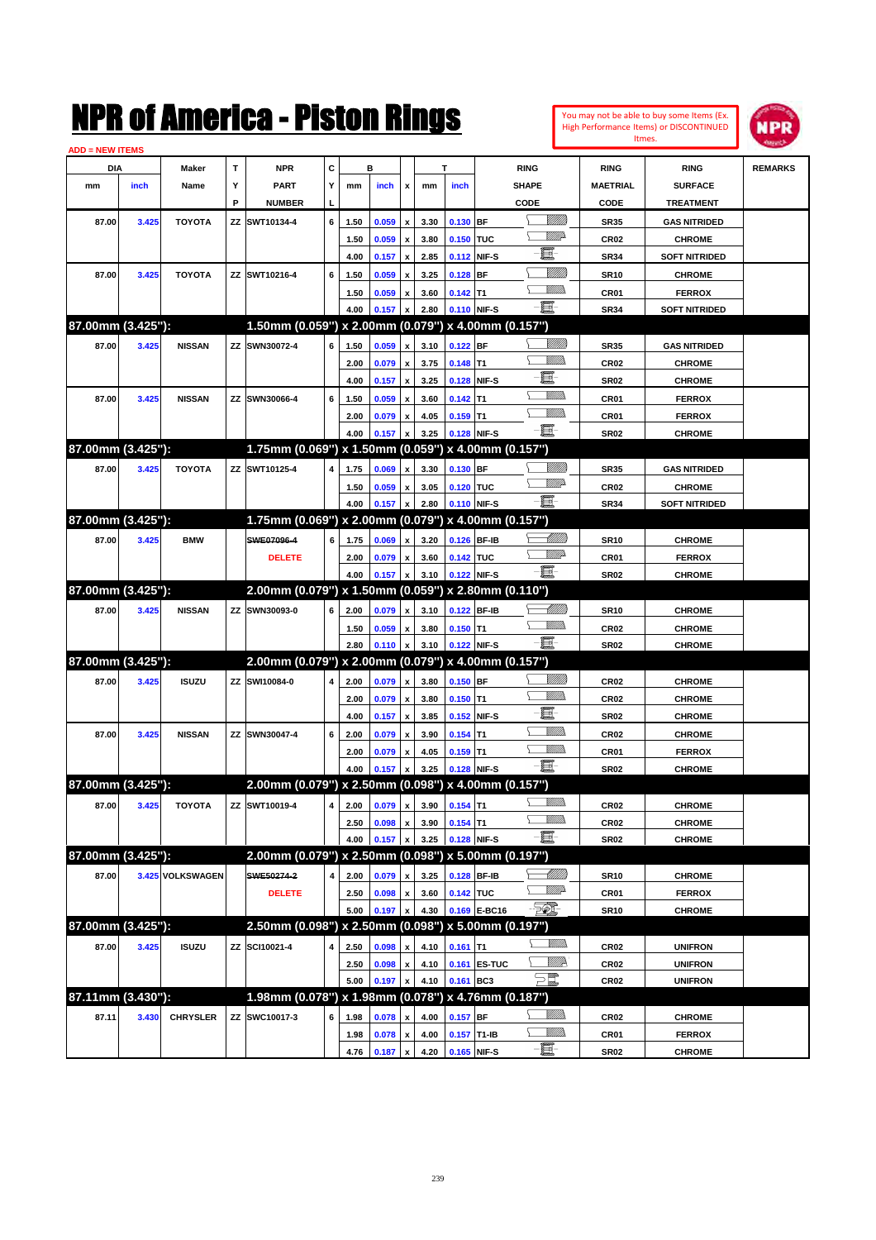| <b>ADD = NEW ITEMS</b> |       |                  |    | NMK OI AINCrica - Mislon Kings                      |   |      |       |                           |      |             |              |                     |                 |                  | You may not be able to buy some Items (Ex.<br>High Performance Items) or DISCONTINUED<br>Itmes. | IPR            |
|------------------------|-------|------------------|----|-----------------------------------------------------|---|------|-------|---------------------------|------|-------------|--------------|---------------------|-----------------|------------------|-------------------------------------------------------------------------------------------------|----------------|
| DIA                    |       | Maker            | T  | <b>NPR</b>                                          | C |      | в     |                           |      | T           |              | <b>RING</b>         |                 | <b>RING</b>      | <b>RING</b>                                                                                     | <b>REMARKS</b> |
| mm                     | inch  | Name             | Υ  | <b>PART</b>                                         | Y | mm   | inch  | x                         | mm   | inch        |              | <b>SHAPE</b>        |                 | <b>MAETRIAL</b>  | <b>SURFACE</b>                                                                                  |                |
|                        |       |                  | P  | <b>NUMBER</b>                                       |   |      |       |                           |      |             |              | CODE                |                 | CODE             | <b>TREATMENT</b>                                                                                |                |
| 87.00                  | 3.425 | <b>TOYOTA</b>    | ZZ | SWT10134-4                                          | 6 | 1.50 | 0.059 | $\pmb{\mathsf{x}}$        | 3.30 | 0.130 BF    |              |                     | <u>Villitti</u> | <b>SR35</b>      | <b>GAS NITRIDED</b>                                                                             |                |
|                        |       |                  |    |                                                     |   | 1.50 | 0.059 | $\pmb{\mathsf{x}}$        | 3.80 | 0.150 TUC   |              |                     | <u>Villid</u>   | <b>CR02</b>      | <b>CHROME</b>                                                                                   |                |
|                        |       |                  |    |                                                     |   | 4.00 | 0.157 | $\boldsymbol{\mathsf{x}}$ | 2.85 |             | 0.112 NIF-S  | E.                  |                 | <b>SR34</b>      | <b>SOFT NITRIDED</b>                                                                            |                |
| 87.00                  | 3.425 | <b>TOYOTA</b>    |    | ZZ SWT10216-4                                       | 6 | 1.50 | 0.059 | $\pmb{\mathsf{x}}$        | 3.25 | $0.128$ BF  |              |                     | <u>Milli</u> k  | <b>SR10</b>      | <b>CHROME</b>                                                                                   |                |
|                        |       |                  |    |                                                     |   | 1.50 | 0.059 | $\pmb{\mathsf{x}}$        | 3.60 | $0.142$ T1  |              |                     | .<br>VMD        | CR01             | <b>FERROX</b>                                                                                   |                |
|                        |       |                  |    |                                                     |   | 4.00 | 0.157 | x                         | 2.80 |             | 0.110 NIF-S  | e.                  |                 | <b>SR34</b>      | <b>SOFT NITRIDED</b>                                                                            |                |
| 87.00mm (3.425"):      |       |                  |    | 1.50mm (0.059") x 2.00mm (0.079") x 4.00mm (0.157") |   |      |       |                           |      |             |              |                     |                 |                  |                                                                                                 |                |
| 87.00                  | 3.425 | <b>NISSAN</b>    |    | ZZ SWN30072-4                                       | 6 | 1.50 | 0.059 | $\pmb{\mathsf{x}}$        | 3.10 | $0.122$ BF  |              |                     | <u>Milli</u> k  | <b>SR35</b>      | <b>GAS NITRIDED</b>                                                                             |                |
|                        |       |                  |    |                                                     |   | 2.00 | 0.079 | $\pmb{\mathsf{x}}$        | 3.75 | $0.148$ T1  |              |                     | .<br>MM         | CR <sub>02</sub> | <b>CHROME</b>                                                                                   |                |
|                        |       |                  |    |                                                     |   | 4.00 | 0.157 | $\boldsymbol{\mathsf{x}}$ | 3.25 |             | 0.128 NIF-S  | E.                  |                 | <b>SR02</b>      | <b>CHROME</b>                                                                                   |                |
| 87.00                  | 3.425 | <b>NISSAN</b>    | ΖZ | SWN30066-4                                          | 6 | 1.50 | 0.059 | $\pmb{\mathsf{x}}$        | 3.60 | $0.142$ T1  |              |                     | .<br>VMD        | CR01             | <b>FERROX</b>                                                                                   |                |
|                        |       |                  |    |                                                     |   | 2.00 | 0.079 | $\pmb{\mathsf{x}}$        | 4.05 | $0.159$ T1  |              |                     | VM)             | CR01             | <b>FERROX</b>                                                                                   |                |
|                        |       |                  |    |                                                     |   | 4.00 | 0.157 | x                         | 3.25 |             | 0.128 NIF-S  | E                   |                 | <b>SR02</b>      | <b>CHROME</b>                                                                                   |                |
| 87.00mm (3.425"):      |       |                  |    | 1.75mm (0.069") x 1.50mm (0.059") x 4.00mm (0.157") |   |      |       |                           |      |             |              |                     |                 |                  |                                                                                                 |                |
| 87.00                  | 3.425 | <b>TOYOTA</b>    |    | ZZ SWT10125-4                                       | 4 | 1.75 | 0.069 | $\mathbf{x}$              | 3.30 | 0.130 BF    |              |                     | <u>Milli</u> k  | <b>SR35</b>      | <b>GAS NITRIDED</b>                                                                             |                |
|                        |       |                  |    |                                                     |   | 1.50 | 0.059 | $\pmb{\mathsf{x}}$        | 3.05 | 0.120 TUC   |              |                     | <u>VMP</u>      | CR <sub>02</sub> | <b>CHROME</b>                                                                                   |                |
|                        |       |                  |    |                                                     |   | 4.00 | 0.157 | x                         | 2.80 |             | 0.110 NIF-S  | E                   |                 | <b>SR34</b>      | <b>SOFT NITRIDED</b>                                                                            |                |
| 87.00mm (3.425"):      |       |                  |    | 1.75mm (0.069") x 2.00mm (0.079") x 4.00mm (0.157") |   |      |       |                           |      |             |              |                     |                 |                  |                                                                                                 |                |
| 87.00                  | 3.425 | <b>BMW</b>       |    | SWE07096-4                                          | 6 | 1.75 | 0.069 | $\mathbf{x}$              | 3.20 | 0.126 BF-IB |              |                     | <u>UMB</u>      | <b>SR10</b>      | <b>CHROME</b>                                                                                   |                |
|                        |       |                  |    | <b>DELETE</b>                                       |   | 2.00 | 0.079 | $\pmb{\mathsf{x}}$        | 3.60 | 0.142 TUC   |              |                     | <u>VMB</u>      | CR01             | <b>FERROX</b>                                                                                   |                |
|                        |       |                  |    |                                                     |   | 4.00 | 0.157 | X                         | 3.10 |             | 0.122 NIF-S  | E                   |                 | <b>SR02</b>      | <b>CHROME</b>                                                                                   |                |
| 87.00mm (3.425"):      |       |                  |    | 2.00mm (0.079") x 1.50mm (0.059") x 2.80mm (0.110") |   |      |       |                           |      |             |              |                     |                 |                  |                                                                                                 |                |
| 87.00                  | 3.425 | <b>NISSAN</b>    |    | ZZ SWN30093-0                                       | 6 | 2.00 | 0.079 | $\pmb{\mathsf{x}}$        | 3.10 |             | 0.122 BF-IB  |                     | <u> UMM</u>     | <b>SR10</b>      | <b>CHROME</b>                                                                                   |                |
|                        |       |                  |    |                                                     |   | 1.50 | 0.059 | $\pmb{\mathsf{x}}$        | 3.80 | $0.150$ T1  |              |                     | .<br>MM         | CR <sub>02</sub> | <b>CHROME</b>                                                                                   |                |
|                        |       |                  |    |                                                     |   | 2.80 | 0.110 | $\pmb{\mathsf{x}}$        | 3.10 |             | 0.122 NIF-S  | E                   |                 | <b>SR02</b>      | <b>CHROME</b>                                                                                   |                |
| 87.00mm (3.425"):      |       |                  |    | 2.00mm (0.079") x 2.00mm (0.079") x 4.00mm (0.157") |   |      |       |                           |      |             |              |                     |                 |                  |                                                                                                 |                |
| 87.00                  | 3.425 | <b>ISUZU</b>     | ZZ | SWI10084-0                                          | 4 | 2.00 | 0.079 | $\pmb{\mathsf{x}}$        | 3.80 | $0.150$ BF  |              |                     | <u>Milli</u> k  | CR <sub>02</sub> | <b>CHROME</b>                                                                                   |                |
|                        |       |                  |    |                                                     |   | 2.00 | 0.079 | $\pmb{\mathsf{x}}$        | 3.80 | $0.150$ T1  |              |                     | CM)             | CR <sub>02</sub> | <b>CHROME</b>                                                                                   |                |
|                        |       |                  |    |                                                     |   | 4.00 | 0.157 | $\boldsymbol{\mathsf{x}}$ | 3.85 |             | 0.152 NIF-S  | E.                  |                 | <b>SR02</b>      | <b>CHROME</b>                                                                                   |                |
| 87.00                  | 3.425 | <b>NISSAN</b>    |    | ZZ SWN30047-4                                       | 6 | 2.00 | 0.079 | $\pmb{\mathsf{x}}$        | 3.90 | $0.154$ T1  |              |                     | VM))            | CR <sub>02</sub> | <b>CHROME</b>                                                                                   |                |
|                        |       |                  |    |                                                     |   | 2.00 | 0.079 | $\pmb{\mathsf{x}}$        | 4.05 | $0.159$ T1  |              |                     | <br>Mar         | CR01             | <b>FERROX</b>                                                                                   |                |
|                        |       |                  |    |                                                     |   | 4.00 | 0.157 | $\mathbf{x}$              | 3.25 | 0.128 NIF-S |              | Ë.                  |                 | <b>SR02</b>      | <b>CHROME</b>                                                                                   |                |
| 87.00mm (3.425"):      |       |                  |    | 2.00mm (0.079") x 2.50mm (0.098") x 4.00mm (0.157") |   |      |       |                           |      |             |              |                     |                 |                  |                                                                                                 |                |
| 87.00                  | 3.425 | <b>TOYOTA</b>    |    | ZZ SWT10019-4                                       | 4 | 2.00 | 0.079 | $\boldsymbol{\mathsf{x}}$ | 3.90 | $0.154$ T1  |              |                     | <u>UMB</u>      | CR <sub>02</sub> | <b>CHROME</b>                                                                                   |                |
|                        |       |                  |    |                                                     |   | 2.50 | 0.098 | $\pmb{\mathsf{x}}$        | 3.90 | $0.154$ T1  |              |                     | <u>VMM)</u>     | CR <sub>02</sub> | <b>CHROME</b>                                                                                   |                |
|                        |       |                  |    |                                                     |   | 4.00 | 0.157 | X                         | 3.25 |             | 0.128 NIF-S  | -8                  |                 | <b>SR02</b>      | <b>CHROME</b>                                                                                   |                |
| 87.00mm (3.425"):      |       |                  |    | 2.00mm (0.079") x 2.50mm (0.098") x 5.00mm (0.197") |   |      |       |                           |      |             |              |                     |                 |                  |                                                                                                 |                |
| 87.00                  |       | 3.425 VOLKSWAGEN |    | SWE50274-2                                          | 4 | 2.00 | 0.079 | $\pmb{\mathsf{x}}$        | 3.25 |             | 0.128 BF-IB  |                     |                 | <b>SR10</b>      | <b>CHROME</b>                                                                                   |                |
|                        |       |                  |    | <b>DELETE</b>                                       |   | 2.50 | 0.098 | $\pmb{\mathsf{x}}$        | 3.60 | 0.142 TUC   |              |                     | <u>Willia</u>   | CR01             | <b>FERROX</b>                                                                                   |                |
|                        |       |                  |    |                                                     |   | 5.00 | 0.197 | X                         | 4.30 |             | 0.169 E-BC16 | TO)                 |                 | <b>SR10</b>      | <b>CHROME</b>                                                                                   |                |
| 87.00mm (3.425"):      |       |                  |    | 2.50mm (0.098") x 2.50mm (0.098") x 5.00mm (0.197") |   |      |       |                           |      |             |              |                     |                 |                  |                                                                                                 |                |
| 87.00                  | 3.425 | <b>ISUZU</b>     |    | ZZ SCI10021-4                                       | 4 | 2.50 | 0.098 | x                         | 4.10 | $0.161$ T1  |              |                     | <u>Willib</u>   | <b>CR02</b>      | <b>UNIFRON</b>                                                                                  |                |
|                        |       |                  |    |                                                     |   | 2.50 | 0.098 | $\pmb{\mathsf{x}}$        | 4.10 |             | 0.161 ES-TUC |                     | <u>WW</u> A     | <b>CR02</b>      | <b>UNIFRON</b>                                                                                  |                |
|                        |       |                  |    |                                                     |   | 5.00 | 0.197 | $\pmb{\mathsf{x}}$        | 4.10 | 0.161 BC3   |              | $\sum_{\ell\!\ell}$ |                 | <b>CR02</b>      | <b>UNIFRON</b>                                                                                  |                |
| 87.11mm (3.430"):      |       |                  |    | 1.98mm (0.078") x 1.98mm (0.078") x 4.76mm (0.187") |   |      |       |                           |      |             |              |                     |                 |                  |                                                                                                 |                |
| 87.11                  | 3.430 | <b>CHRYSLER</b>  |    | ZZ SWC10017-3                                       | 6 | 1.98 | 0.078 | $\pmb{\mathsf{x}}$        | 4.00 | $0.157$ BF  |              |                     | <u>MM)</u>      | <b>CR02</b>      | <b>CHROME</b>                                                                                   |                |
|                        |       |                  |    |                                                     |   | 1.98 | 0.078 | $\pmb{\mathsf{x}}$        | 4.00 | 0.157 T1-IB |              |                     | <u>MM)</u>      | CR01             | <b>FERROX</b>                                                                                   |                |
|                        |       |                  |    |                                                     |   | 4.76 | 0.187 | $\boldsymbol{\mathsf{x}}$ | 4.20 |             | 0.165 NIF-S  | e                   |                 | <b>SR02</b>      | <b>CHROME</b>                                                                                   |                |
|                        |       |                  |    |                                                     |   |      |       |                           |      |             |              |                     |                 |                  |                                                                                                 |                |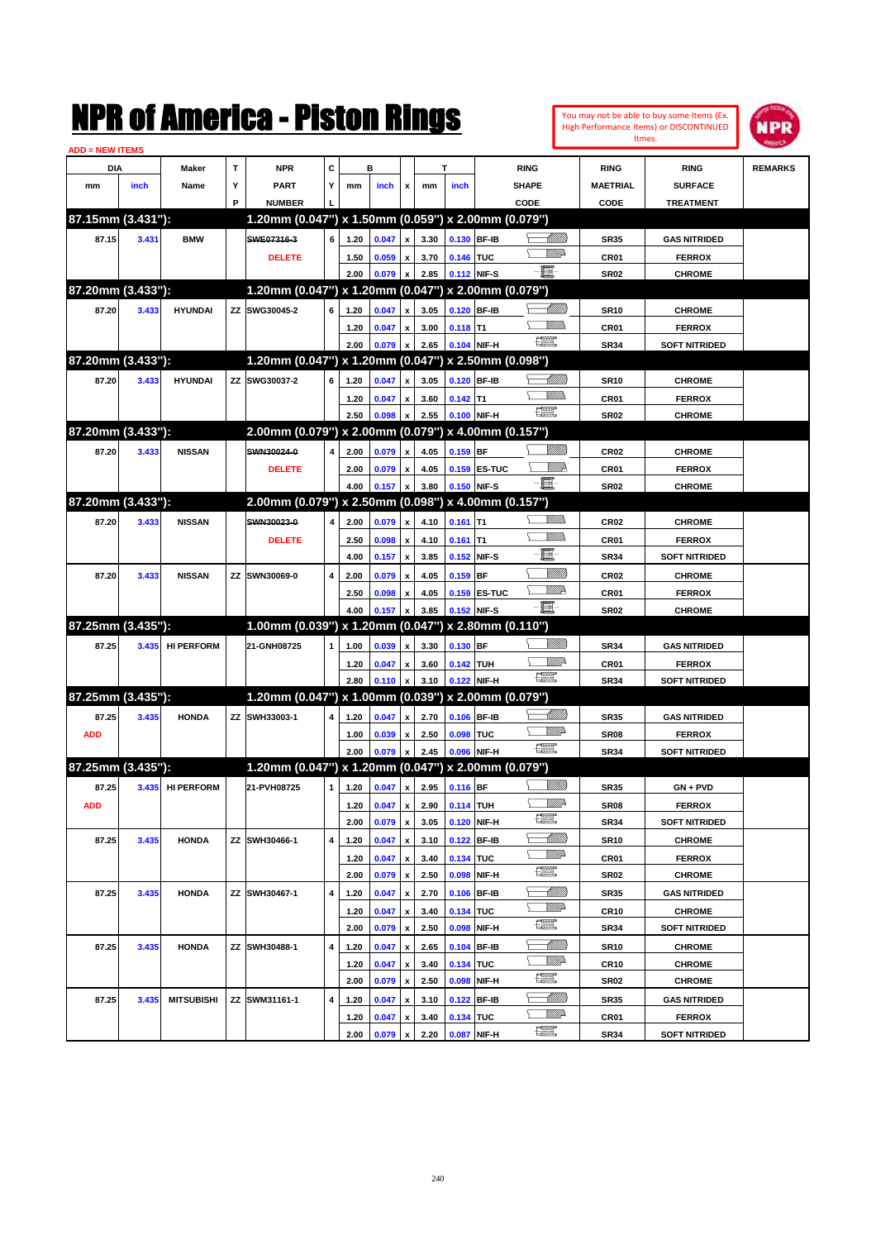

| <b>ADD = NEW ITEMS</b> |       |                   |   |                                                        |   |              |                       |                           |              |                    |               |                               |                            |                                |                |
|------------------------|-------|-------------------|---|--------------------------------------------------------|---|--------------|-----------------------|---------------------------|--------------|--------------------|---------------|-------------------------------|----------------------------|--------------------------------|----------------|
| DIA                    |       | Maker             | т | <b>NPR</b>                                             | С |              | в                     |                           |              | т                  |               | <b>RING</b>                   | <b>RING</b>                | <b>RING</b>                    | <b>REMARKS</b> |
| mm                     | inch  | Name              | Υ | <b>PART</b>                                            | Y | mm           | inch                  | x                         | mm           | inch               |               | <b>SHAPE</b>                  | <b>MAETRIAL</b>            | <b>SURFACE</b>                 |                |
|                        |       |                   | P | <b>NUMBER</b>                                          |   |              |                       |                           |              |                    |               | CODE                          | CODE                       | <b>TREATMENT</b>               |                |
| 87.15mm (3.431"):      |       |                   |   | 1.20mm (0.047") x 1.50mm (0.059") x 2.00mm (0.079")    |   |              |                       |                           |              |                    |               |                               |                            |                                |                |
| 87.15                  | 3.431 | <b>BMW</b>        |   | SWE07316-3                                             | 6 | 1.20         | 0.047                 | $\pmb{\mathsf{x}}$        | 3.30         | 0.130 BF-IB        |               | <u> Millilli</u>              | <b>SR35</b>                | <b>GAS NITRIDED</b>            |                |
|                        |       |                   |   | <b>DELETE</b>                                          |   | 1.50         | 0.059                 | $\mathbf{x}$              | 3.70         | 0.146 TUC          |               | <u>MM</u>                     | CR <sub>01</sub>           | <b>FERROX</b>                  |                |
|                        |       |                   |   |                                                        |   | 2.00         | 0.079                 | x                         | 2.85         |                    | 0.112 NIF-S   | Ð.                            | <b>SR02</b>                | <b>CHROME</b>                  |                |
| 87.20mm (3.433"):      |       |                   |   | 1.20mm (0.047") x 1.20mm (0.047") x 2.00mm (0.079")    |   |              |                       |                           |              |                    |               |                               |                            |                                |                |
| 87.20                  | 3.433 | <b>HYUNDAI</b>    |   | ZZ SWG30045-2                                          | 6 | 1.20         | 0.047                 | x                         | 3.05         |                    | 0.120 BF-IB   |                               | <b>SR10</b>                | <b>CHROME</b>                  |                |
|                        |       |                   |   |                                                        |   | 1.20         | 0.047                 | x                         | 3.00         | $0.118$ T1         |               | <br>Militar                   | CR <sub>01</sub>           | <b>FERROX</b>                  |                |
|                        |       |                   |   |                                                        |   | 2.00         | 0.079                 | x                         | 2.65         |                    | 0.104 NIF-H   | <b>FRANCISCO</b>              | <b>SR34</b>                | <b>SOFT NITRIDED</b>           |                |
| 87.20mm (3.433"):      |       |                   |   | 1.20mm (0.047") x 1.20mm (0.047") x 2.50mm (0.098")    |   |              |                       |                           |              |                    |               |                               |                            |                                |                |
| 87.20                  | 3.433 | <b>HYUNDAI</b>    |   | ZZ SWG30037-2                                          | 6 | 1.20         | 0.047                 | x                         | 3.05         | 0.120 BF-IB        |               | <u>- Millitt</u>              | <b>SR10</b>                | <b>CHROME</b>                  |                |
|                        |       |                   |   |                                                        |   | 1.20         | 0.047                 | x                         | 3.60         | $0.142$ T1         |               | <br>Militar                   | CR <sub>01</sub>           | <b>FERROX</b>                  |                |
|                        |       |                   |   |                                                        |   | 2.50         | 0.098                 | x                         | 2.55         |                    | 0.100 NIF-H   | $\frac{1}{2}$                 | <b>SR02</b>                | <b>CHROME</b>                  |                |
| 87.20mm (3.433"):      |       |                   |   | 2.00mm (0.079") x 2.00mm (0.079") x 4.00mm (0.157")    |   |              |                       |                           |              |                    |               |                               |                            |                                |                |
| 87.20                  | 3.433 | <b>NISSAN</b>     |   | SWN30024-0                                             | 4 | 2.00         | 0.079                 | $\pmb{\mathsf{x}}$        | 4.05         | $0.159$ BF         |               |                               | CR <sub>02</sub>           | <b>CHROME</b>                  |                |
|                        |       |                   |   | <b>DELETE</b>                                          |   |              |                       |                           |              |                    | 0.159 ES-TUC  | ₩₩                            | CR01                       | <b>FERROX</b>                  |                |
|                        |       |                   |   |                                                        |   | 2.00         | 0.079                 | x                         | 4.05         |                    |               | E                             |                            |                                |                |
| 87.20mm (3.433"):      |       |                   |   | 2.00mm (0.079") x 2.50mm (0.098") x 4.00mm (0.157")    |   | 4.00         | 0.157                 | x                         | 3.80         |                    | 0.150 NIF-S   |                               | <b>SR02</b>                | <b>CHROME</b>                  |                |
|                        |       |                   |   |                                                        |   |              |                       |                           |              |                    |               | <br>Milita                    |                            |                                |                |
| 87.20                  | 3.433 | <b>NISSAN</b>     |   | SWN30023-0                                             | 4 | 2.00         | 0.079                 | $\pmb{\mathsf{x}}$        | 4.10         | $0.161$ T1         |               | UM)                           | CR <sub>02</sub>           | <b>CHROME</b>                  |                |
|                        |       |                   |   | <b>DELETE</b>                                          |   | 2.50         | 0.098                 | $\pmb{\mathsf{x}}$        | 4.10         | $0.161$ T1         |               | E                             | CR <sub>01</sub>           | <b>FERROX</b>                  |                |
|                        |       |                   |   |                                                        |   | 4.00         | 0.157                 | $\pmb{\mathsf{x}}$        | 3.85         | 0.152              | NIF-S         |                               | <b>SR34</b>                | <b>SOFT NITRIDED</b>           |                |
| 87.20                  | 3.433 | <b>NISSAN</b>     |   | ZZ SWN30069-0                                          | 4 | 2.00         | 0.079                 | x                         | 4.05         | 0.159              | BF            | <u>VIIII)</u>                 | <b>CR02</b>                | <b>CHROME</b>                  |                |
|                        |       |                   |   |                                                        |   | 2.50         | 0.098                 | x                         | 4.05         | 0.159              | <b>ES-TUC</b> | <u>WW</u> A                   | CR <sub>01</sub>           | <b>FERROX</b>                  |                |
|                        |       |                   |   |                                                        |   | 4.00         | 0.157                 | x                         | 3.85         | 0.152 NIF-S        |               | E                             | <b>SR02</b>                | <b>CHROME</b>                  |                |
| 87.25mm (3.435"):      |       |                   |   | $1.00$ mm (0.039") x 1.20mm (0.047") x 2.80mm (0.110") |   |              |                       |                           |              |                    |               |                               |                            |                                |                |
| 87.25                  | 3.435 | <b>HI PERFORM</b> |   | 21-GNH08725                                            | 1 | 1.00         | 0.039                 | x                         | 3.30         | 0.130 BF           |               | <u>Sillilli</u>               | <b>SR34</b>                | <b>GAS NITRIDED</b>            |                |
|                        |       |                   |   |                                                        |   | 1.20         | 0.047                 | x                         | 3.60         | 0.142 TUH          |               | <u>Willi</u> r                | CR <sub>01</sub>           | <b>FERROX</b>                  |                |
|                        |       |                   |   |                                                        |   | 2.80         | 0.110                 | x                         | 3.10         |                    | 0.122 NIF-H   | $\frac{1}{2}$                 | <b>SR34</b>                | <b>SOFT NITRIDED</b>           |                |
| 87.25mm (3.435"):      |       |                   |   | 1.20mm (0.047") x 1.00mm (0.039") x 2.00mm (0.079")    |   |              |                       |                           |              |                    |               |                               |                            |                                |                |
| 87.25                  | 3.435 | <b>HONDA</b>      |   | ZZ SWH33003-1                                          | 4 | 1.20         | 0.047                 | x                         | 2.70         | 0.106              | <b>BF-IB</b>  |                               | <b>SR35</b>                | <b>GAS NITRIDED</b>            |                |
| <b>ADD</b>             |       |                   |   |                                                        |   | 1.00         | 0.039                 | x                         | 2.50         | 0.098              | <b>TUC</b>    | <u>VMD</u>                    | SR <sub>08</sub>           | <b>FERROX</b>                  |                |
|                        |       |                   |   |                                                        |   | 2.00         | 0.079                 | x                         | 2.45         |                    | 0.096 NIF-H   | $\frac{1}{2}$                 | <b>SR34</b>                | <b>SOFT NITRIDED</b>           |                |
| 87.25mm (3.435"):      |       |                   |   | 1.20mm (0.047") x 1.20mm (0.047") x 2.00mm (0.079")    |   |              |                       |                           |              |                    |               |                               |                            |                                |                |
| 87.25                  | 3.435 | <b>HI PERFORM</b> |   | 21-PVH08725                                            | 1 | 1.20         | 0.047                 | $\mathbf{x}$              | 2.95         | 0.116 BF           |               | <u> UMB</u>                   | <b>SR35</b>                | GN + PVD                       |                |
| <b>ADD</b>             |       |                   |   |                                                        |   |              | $1.20$ 0.047 $\times$ |                           |              | 2.90 0.114 TUH     |               | ₩₩                            | <b>SR08</b>                | <b>FERROX</b>                  |                |
|                        |       |                   |   |                                                        |   | 2.00         | 0.079                 | $\boldsymbol{x}$          | 3.05         |                    | 0.120 NIF-H   | æ                             | <b>SR34</b>                | <b>SOFT NITRIDED</b>           |                |
| 87.25                  | 3.435 | <b>HONDA</b>      |   | ZZ SWH30466-1                                          | 4 | 1.20         | 0.047                 | x                         | 3.10         | 0.122              | BF-IB         |                               | <b>SR10</b>                | <b>CHROME</b>                  |                |
|                        |       |                   |   |                                                        |   | 1.20         | 0.047                 | $\boldsymbol{\mathsf{x}}$ | 3.40         | 0.134 TUC          |               | <i><u>Willi</u></i> n         | CR01                       | <b>FERROX</b>                  |                |
|                        |       |                   |   |                                                        |   | 2.00         | 0.079                 | $\, {\bf x}$              | 2.50         | 0.098              | NIF-H         | $f_{\text{max}}^{\text{max}}$ | <b>SR02</b>                | <b>CHROME</b>                  |                |
| 87.25                  | 3.435 | <b>HONDA</b>      |   | ZZ SWH30467-1                                          | 4 | 1.20         | 0.047                 | $\pmb{\mathsf{x}}$        | 2.70         | 0.106              | BF-IB         | <u>-Milli</u> b               | <b>SR35</b>                | <b>GAS NITRIDED</b>            |                |
|                        |       |                   |   |                                                        |   | 1.20         | 0.047                 | $\pmb{\mathsf{x}}$        | 3.40         | 0.134 TUC          |               | <i><u>Willi</u></i> n         | CR <sub>10</sub>           | <b>CHROME</b>                  |                |
|                        |       |                   |   |                                                        |   | 2.00         | 0.079                 | $\, {\bf x}$              | 2.50         | 0.098              | NIF-H         | $f_{\text{max}}^{\text{max}}$ | <b>SR34</b>                | <b>SOFT NITRIDED</b>           |                |
| 87.25                  | 3.435 | <b>HONDA</b>      |   | ZZ SWH30488-1                                          | 4 | 1.20         | 0.047                 | $\pmb{\mathsf{x}}$        | 2.65         |                    | $0.104$ BF-IB | <u>-Milli</u> b               | <b>SR10</b>                | <b>CHROME</b>                  |                |
|                        |       |                   |   |                                                        |   |              |                       |                           |              |                    |               | <i><u>Willi</u></i> n         |                            |                                |                |
|                        |       |                   |   |                                                        |   | 1.20<br>2.00 | 0.047<br>0.079        | $\pmb{\mathsf{x}}$        | 3.40<br>2.50 | 0.134 TUC<br>0.098 | NIF-H         | $f_{\text{max}}^{\text{max}}$ | <b>CR10</b><br><b>SR02</b> | <b>CHROME</b><br><b>CHROME</b> |                |
|                        |       |                   |   |                                                        |   |              |                       | $\boldsymbol{x}$          |              |                    |               | <u>- Milli</u> lli            |                            |                                |                |
| 87.25                  | 3.435 | <b>MITSUBISHI</b> |   | ZZ SWM31161-1                                          | 4 | 1.20         | 0.047                 | $\pmb{\mathsf{x}}$        | 3.10         | 0.122              | BF-IB         | <i><u>Willi</u></i> n         | <b>SR35</b>                | <b>GAS NITRIDED</b>            |                |
|                        |       |                   |   |                                                        |   | 1.20         | 0.047                 | $\pmb{\mathsf{x}}$        | 3.40         | 0.134 TUC          |               | æ                             | CR01                       | <b>FERROX</b>                  |                |
|                        |       |                   |   |                                                        |   | 2.00         | 0.079                 | x                         | 2.20         | 0.087              | NIF-H         |                               | <b>SR34</b>                | <b>SOFT NITRIDED</b>           |                |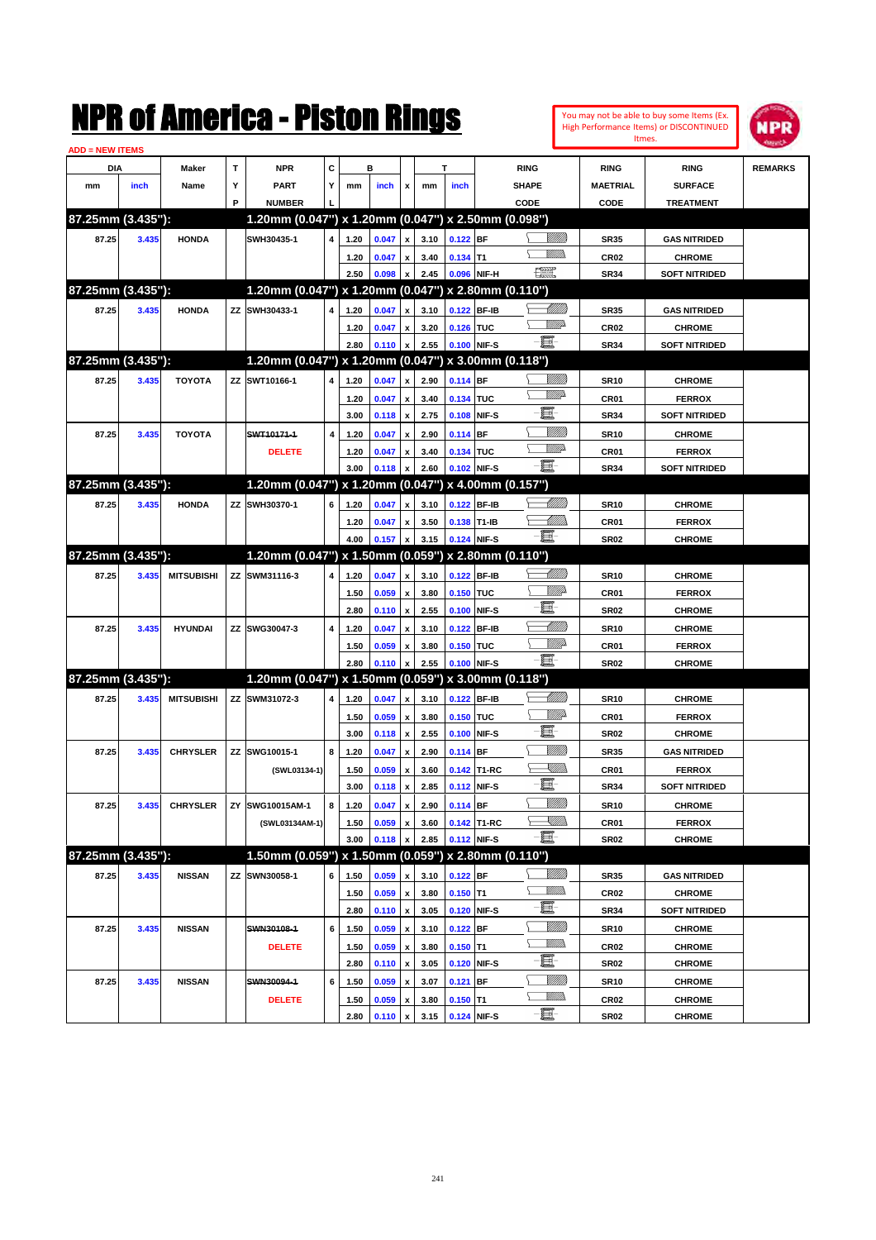|                        |       |                   |   | NMK OI AINCrica - Miston Kings                      |   |      |       |                           |      |             |             |                 |                |                  | You may not be able to buy some Items (Ex.<br>High Performance Items) or DISCONTINUED | NPR            |
|------------------------|-------|-------------------|---|-----------------------------------------------------|---|------|-------|---------------------------|------|-------------|-------------|-----------------|----------------|------------------|---------------------------------------------------------------------------------------|----------------|
| <b>ADD = NEW ITEMS</b> |       |                   |   |                                                     |   |      |       |                           |      |             |             |                 |                |                  | Itmes.                                                                                |                |
| DIA                    |       | Maker             | T | <b>NPR</b>                                          | C |      | в     |                           |      | т           |             | <b>RING</b>     |                | <b>RING</b>      | <b>RING</b>                                                                           | <b>REMARKS</b> |
| mm                     | inch  | Name              | Υ | <b>PART</b>                                         | Y | mm   | inch  | x                         | mm   | inch        |             | <b>SHAPE</b>    |                | <b>MAETRIAL</b>  | <b>SURFACE</b>                                                                        |                |
|                        |       |                   | P | <b>NUMBER</b>                                       |   |      |       |                           |      |             |             | CODE            |                | CODE             | <b>TREATMENT</b>                                                                      |                |
| 87.25mm (3.435"):      |       |                   |   | 1.20mm (0.047") x 1.20mm (0.047") x 2.50mm (0.098") |   |      |       |                           |      |             |             |                 |                |                  |                                                                                       |                |
| 87.25                  | 3.435 | <b>HONDA</b>      |   | SWH30435-1                                          | 4 | 1.20 | 0.047 | $\boldsymbol{x}$          | 3.10 | $0.122$ BF  |             |                 | <u>Millitt</u> | <b>SR35</b>      | <b>GAS NITRIDED</b>                                                                   |                |
|                        |       |                   |   |                                                     |   | 1.20 | 0.047 | $\boldsymbol{x}$          | 3.40 | $0.134$ T1  |             |                 | 9777)          | CR <sub>02</sub> | <b>CHROME</b>                                                                         |                |
|                        |       |                   |   |                                                     |   | 2.50 | 0.098 | x                         | 2.45 | 0.096 NIF-H |             | $\frac{1}{2}$   |                | <b>SR34</b>      | <b>SOFT NITRIDED</b>                                                                  |                |
| 87.25mm (3.435"):      |       |                   |   | 1.20mm (0.047") x 1.20mm (0.047") x 2.80mm (0.110") |   |      |       |                           |      |             |             |                 |                |                  |                                                                                       |                |
| 87.25                  | 3.435 | <b>HONDA</b>      |   | ZZ SWH30433-1                                       | 4 | 1.20 | 0.047 | x                         | 3.10 |             | 0.122 BF-IB |                 | <u> UMB</u>    | <b>SR35</b>      | <b>GAS NITRIDED</b>                                                                   |                |
|                        |       |                   |   |                                                     |   | 1.20 | 0.047 | x                         | 3.20 | 0.126 TUC   |             |                 | <u>VMD</u>     | CR <sub>02</sub> | <b>CHROME</b>                                                                         |                |
|                        |       |                   |   |                                                     |   | 2.80 | 0.110 | $\boldsymbol{x}$          | 2.55 | 0.100 NIF-S |             | $-\mathbf{H}$   |                | <b>SR34</b>      | <b>SOFT NITRIDED</b>                                                                  |                |
| 87.25mm (3.435"):      |       |                   |   | 1.20mm (0.047") x 1.20mm (0.047") x 3.00mm (0.118") |   |      |       |                           |      |             |             |                 |                |                  |                                                                                       |                |
| 87.25                  | 3.435 | <b>TOYOTA</b>     |   | ZZ SWT10166-1                                       | 4 | 1.20 | 0.047 | x                         | 2.90 | $0.114$ BF  |             |                 |                | <b>SR10</b>      | <b>CHROME</b>                                                                         |                |
|                        |       |                   |   |                                                     |   | 1.20 | 0.047 | x                         | 3.40 | 0.134 TUC   |             |                 | <u>VMD</u>     | CR <sub>01</sub> | <b>FERROX</b>                                                                         |                |
|                        |       |                   |   |                                                     |   | 3.00 | 0.118 | $\boldsymbol{\mathsf{x}}$ | 2.75 |             | 0.108 NIF-S | E               |                | <b>SR34</b>      | <b>SOFT NITRIDED</b>                                                                  |                |
| 87.25                  | 3.435 | <b>TOYOTA</b>     |   | SWT10171-1                                          | 4 | 1.20 | 0.047 | x                         | 2.90 | $0.114$ BF  |             |                 | <u>MMM</u>     | <b>SR10</b>      | <b>CHROME</b>                                                                         |                |
|                        |       |                   |   | <b>DELETE</b>                                       |   | 1.20 | 0.047 | x                         | 3.40 | 0.134 TUC   |             |                 | <u>VMD</u>     | CR01             | <b>FERROX</b>                                                                         |                |
|                        |       |                   |   |                                                     |   | 3.00 | 0.118 | $\boldsymbol{\mathsf{x}}$ | 2.60 | 0.102 NIF-S |             | -8              |                | <b>SR34</b>      | <b>SOFT NITRIDED</b>                                                                  |                |
| 87.25mm (3.435"):      |       |                   |   | 1.20mm (0.047") x 1.20mm (0.047") x 4.00mm (0.157") |   |      |       |                           |      |             |             |                 |                |                  |                                                                                       |                |
| 87.25                  | 3.435 | <b>HONDA</b>      |   | ZZ SWH30370-1                                       | 6 | 1.20 | 0.047 | x                         | 3.10 |             | 0.122 BF-IB |                 | <u> UMM</u>    | <b>SR10</b>      | <b>CHROME</b>                                                                         |                |
|                        |       |                   |   |                                                     |   | 1.20 | 0.047 | X                         | 3.50 | 0.138 T1-IB |             |                 | <u>UMM</u>     | CR01             | <b>FERROX</b>                                                                         |                |
|                        |       |                   |   |                                                     |   | 4.00 | 0.157 | $\boldsymbol{x}$          | 3.15 | 0.124 NIF-S |             | -8              |                | <b>SR02</b>      | <b>CHROME</b>                                                                         |                |
| 87.25mm (3.435"):      |       |                   |   | 1.20mm (0.047") x 1.50mm (0.059") x 2.80mm (0.110") |   |      |       |                           |      |             |             |                 |                |                  |                                                                                       |                |
| 87.25                  | 3.435 | <b>MITSUBISHI</b> |   | ZZ SWM31116-3                                       | 4 | 1.20 | 0.047 | x                         | 3.10 | 0.122 BF-IB |             |                 | <u> MMM</u>    | <b>SR10</b>      | <b>CHROME</b>                                                                         |                |
|                        |       |                   |   |                                                     |   | 1.50 | 0.059 | $\boldsymbol{\mathsf{x}}$ | 3.80 | 0.150 TUC   |             |                 | <u>MMP</u>     | CR01             | <b>FERROX</b>                                                                         |                |
|                        |       |                   |   |                                                     |   | 2.80 | 0.110 | $\boldsymbol{\mathsf{x}}$ | 2.55 | 0.100 NIF-S |             | E               |                | <b>SR02</b>      | <b>CHROME</b>                                                                         |                |
| 87.25                  | 3.435 | <b>HYUNDAI</b>    |   | ZZ SWG30047-3                                       | 4 | 1.20 | 0.047 | x                         | 3.10 | 0.122 BF-IB |             |                 | <u> UMM</u>    | <b>SR10</b>      | <b>CHROME</b>                                                                         |                |
|                        |       |                   |   |                                                     |   | 1.50 | 0.059 | x                         | 3.80 | 0.150 TUC   |             |                 | <u>MM</u>      | CR01             | <b>FERROX</b>                                                                         |                |
|                        |       |                   |   |                                                     |   | 2.80 | 0.110 | $\boldsymbol{\mathsf{x}}$ | 2.55 | 0.100 NIF-S |             | E.              |                | <b>SR02</b>      | <b>CHROME</b>                                                                         |                |
| 87.25mm (3.435"):      |       |                   |   | 1.20mm (0.047") x 1.50mm (0.059") x 3.00mm (0.118") |   |      |       |                           |      |             |             |                 |                |                  |                                                                                       |                |
| 87.25                  | 3.435 | <b>MITSUBISHI</b> |   | ZZ SWM31072-3                                       | 4 | 1.20 | 0.047 | $\boldsymbol{x}$          | 3.10 | 0.122 BF-IB |             |                 | <u> MMM</u>    | <b>SR10</b>      | <b>CHROME</b>                                                                         |                |
|                        |       |                   |   |                                                     |   | 1.50 | 0.059 | $\boldsymbol{\mathsf{x}}$ | 3.80 | 0.150 TUC   |             |                 | <u>Willi</u> p | CR <sub>01</sub> | <b>FERROX</b>                                                                         |                |
|                        |       |                   |   |                                                     |   | 3.00 | 0.118 | $\boldsymbol{\mathsf{x}}$ | 2.55 | 0.100 NIF-S |             | E               |                | <b>SR02</b>      | <b>CHROME</b>                                                                         |                |
| 87.25                  | 3.435 | <b>CHRYSLER</b>   |   | ZZ SWG10015-1                                       | 8 | 1.20 | 0.047 | x                         | 2.90 | 0.114 BF    |             |                 | <u>MMM</u>     | <b>SR35</b>      | <b>GAS NITRIDED</b>                                                                   |                |
|                        |       |                   |   | (SWL03134-1)                                        |   | 1.50 | 0.059 | $\pmb{\mathsf{x}}$        | 3.60 |             | 0.142 T1-RC |                 | <u>Sillin</u>  | CR01             | <b>FERROX</b>                                                                         |                |
|                        |       |                   |   |                                                     |   | 3.00 | 0.118 | $\boldsymbol{\mathsf{x}}$ | 2.85 | 0.112 NIF-S |             | E.              |                | <b>SR34</b>      | <b>SOFT NITRIDED</b>                                                                  |                |
| 87.25                  | 3.435 | <b>CHRYSLER</b>   |   | ZY SWG10015AM-1                                     | 8 | 1.20 | 0.047 | $\pmb{\mathsf{x}}$        | 2.90 | 0.114 BF    |             |                 | <u>MMM</u>     | <b>SR10</b>      | <b>CHROME</b>                                                                         |                |
|                        |       |                   |   | (SWL03134AM-1)                                      |   | 1.50 | 0.059 | $\pmb{\mathsf{x}}$        | 3.60 |             | 0.142 T1-RC |                 | <u>Sillin</u>  | CR01             | <b>FERROX</b>                                                                         |                |
|                        |       |                   |   |                                                     |   | 3.00 | 0.118 | x                         | 2.85 |             | 0.112 NIF-S | $-\blacksquare$ |                | <b>SR02</b>      | <b>CHROME</b>                                                                         |                |
| 87.25mm (3.435"):      |       |                   |   | 1.50mm (0.059") x 1.50mm (0.059") x 2.80mm (0.110") |   |      |       |                           |      |             |             |                 |                |                  |                                                                                       |                |
| 87.25                  | 3.435 | <b>NISSAN</b>     |   | ZZ SWN30058-1                                       | 6 | 1.50 | 0.059 | X                         | 3.10 | $0.122$ BF  |             |                 | <u>Milli</u> n | <b>SR35</b>      | <b>GAS NITRIDED</b>                                                                   |                |
|                        |       |                   |   |                                                     |   | 1.50 | 0.059 | $\pmb{\mathsf{x}}$        | 3.80 | $0.150$ T1  |             |                 | <u>VMM)</u>    | CR <sub>02</sub> | <b>CHROME</b>                                                                         |                |
|                        |       |                   |   |                                                     |   | 2.80 | 0.110 | $\pmb{\mathsf{x}}$        | 3.05 |             | 0.120 NIF-S | e.              |                | SR34             | <b>SOFT NITRIDED</b>                                                                  |                |
| 87.25                  | 3.435 | <b>NISSAN</b>     |   | SWN30108-1                                          | 6 | 1.50 | 0.059 | $\pmb{\mathsf{x}}$        | 3.10 | $0.122$ BF  |             |                 | <u>Milli</u> n | <b>SR10</b>      | <b>CHROME</b>                                                                         |                |
|                        |       |                   |   | <b>DELETE</b>                                       |   | 1.50 | 0.059 | $\pmb{\mathsf{x}}$        | 3.80 | $0.150$ T1  |             |                 | <u>VMMs</u>    | CR02             | <b>CHROME</b>                                                                         |                |
|                        |       |                   |   |                                                     |   | 2.80 | 0.110 | $\pmb{\mathsf{x}}$        | 3.05 |             | 0.120 NIF-S | E               |                | <b>SR02</b>      | <b>CHROME</b>                                                                         |                |
| 87.25                  | 3.435 | <b>NISSAN</b>     |   | SWN30094-1                                          | 6 | 1.50 | 0.059 | X                         | 3.07 | $0.121$ BF  |             |                 | <u>Milli</u> n | <b>SR10</b>      | <b>CHROME</b>                                                                         |                |
|                        |       |                   |   | <b>DELETE</b>                                       |   | 1.50 | 0.059 | x                         | 3.80 | $0.150$ T1  |             |                 | <u>Willib</u>  | CR <sub>02</sub> | <b>CHROME</b>                                                                         |                |
|                        |       |                   |   |                                                     |   | 2.80 | 0.110 | $\mathbf{x}$              | 3.15 | 0.124 NIF-S |             | e.              |                | <b>SR02</b>      | <b>CHROME</b>                                                                         |                |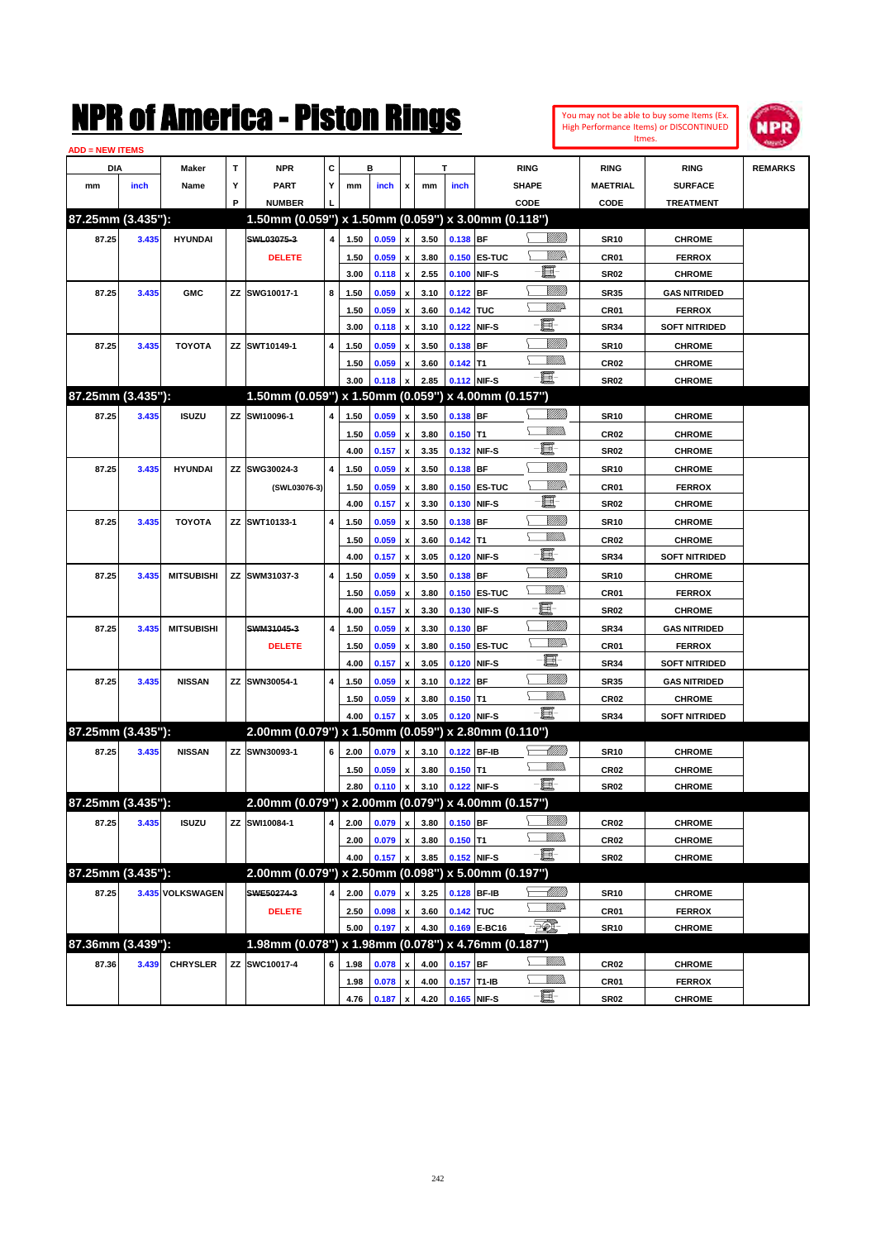

| <b>ADD = NEW ITEMS</b> |       |                   |    |                                                     |   |              |       |                    |      |               |                     |                 |                  |                      |                |
|------------------------|-------|-------------------|----|-----------------------------------------------------|---|--------------|-------|--------------------|------|---------------|---------------------|-----------------|------------------|----------------------|----------------|
| DIA                    |       | Maker             | т  | NPR                                                 | С |              | в     |                    |      | т             |                     | <b>RING</b>     | <b>RING</b>      | <b>RING</b>          | <b>REMARKS</b> |
| mm                     | inch  | Name              | Υ  | <b>PART</b>                                         | Y | mm           | inch  | x                  | mm   | inch          |                     | <b>SHAPE</b>    | <b>MAETRIAL</b>  | <b>SURFACE</b>       |                |
|                        |       |                   | P  | <b>NUMBER</b>                                       |   |              |       |                    |      |               |                     | CODE            | CODE             | <b>TREATMENT</b>     |                |
| 87.25mm (3.435"):      |       |                   |    | 1.50mm (0.059") x 1.50mm (0.059") x 3.00mm (0.118") |   |              |       |                    |      |               |                     |                 |                  |                      |                |
| 87.25                  | 3.435 | <b>HYUNDAI</b>    |    | SWL03075-3                                          | 4 | 1.50         | 0.059 | $\pmb{\mathsf{x}}$ | 3.50 | 0.138 BF      |                     | <u>Villida</u>  | <b>SR10</b>      | <b>CHROME</b>        |                |
|                        |       |                   |    | <b>DELETE</b>                                       |   | 1.50         | 0.059 | x                  | 3.80 |               | 0.150 ES-TUC        | ₩₩              | CR01             | <b>FERROX</b>        |                |
|                        |       |                   |    |                                                     |   | 3.00         | 0.118 | $\pmb{\mathsf{x}}$ | 2.55 |               | 0.100 NIF-S         | Œ               | <b>SR02</b>      | <b>CHROME</b>        |                |
| 87.25                  | 3.435 | <b>GMC</b>        |    | ZZ SWG10017-1                                       | 8 | 1.50         | 0.059 | x                  | 3.10 | $0.122$ BF    |                     | <u>Milli</u> k  | <b>SR35</b>      | <b>GAS NITRIDED</b>  |                |
|                        |       |                   |    |                                                     |   | 1.50         | 0.059 | x                  | 3.60 | 0.142 TUC     |                     | <u>MMP</u>      | CR <sub>01</sub> | <b>FERROX</b>        |                |
|                        |       |                   |    |                                                     |   | 3.00         | 0.118 | x                  | 3.10 |               | 0.122 NIF-S         | ■               | <b>SR34</b>      | <b>SOFT NITRIDED</b> |                |
| 87.25                  | 3.435 | <b>TOYOTA</b>     |    | ZZ SWT10149-1                                       | 4 | 1.50         | 0.059 |                    | 3.50 | $0.138$ BF    |                     | <u>Milli</u> k  | <b>SR10</b>      | <b>CHROME</b>        |                |
|                        |       |                   |    |                                                     |   | 1.50         | 0.059 | x                  | 3.60 | $0.142$ T1    |                     | .<br>VMD        | CR <sub>02</sub> | <b>CHROME</b>        |                |
|                        |       |                   |    |                                                     |   | 3.00         | 0.118 |                    | 2.85 |               | 0.112 NIF-S         | -8              | <b>SR02</b>      | <b>CHROME</b>        |                |
| 87.25mm (3.435"):      |       |                   |    | 1.50mm (0.059") x 1.50mm (0.059") x 4.00mm (0.157") |   |              |       |                    |      |               |                     |                 |                  |                      |                |
| 87.25                  | 3.435 | <b>ISUZU</b>      |    | ZZ SWI10096-1                                       | 4 | 1.50         | 0.059 | x                  | 3.50 | 0.138 BF      |                     | <u>MMM</u>      | <b>SR10</b>      | <b>CHROME</b>        |                |
|                        |       |                   |    |                                                     |   | 1.50         | 0.059 | x                  | 3.80 | $0.150$ T1    |                     | <br>Mar         | CR02             | <b>CHROME</b>        |                |
|                        |       |                   |    |                                                     |   | 4.00         | 0.157 | $\pmb{\mathsf{x}}$ | 3.35 |               | 0.132 NIF-S         | e.              | <b>SR02</b>      | <b>CHROME</b>        |                |
| 87.25                  | 3.435 | <b>HYUNDAI</b>    |    | ZZ SWG30024-3                                       | 4 | 1.50         | 0.059 | x                  | 3.50 | $0.138$ BF    |                     | <u>Milli</u>    | <b>SR10</b>      | <b>CHROME</b>        |                |
|                        |       |                   |    | (SWL03076-3)                                        |   | 1.50         | 0.059 | x                  | 3.80 |               | <b>0.150 ES-TUC</b> | ₩₩              | CR01             | <b>FERROX</b>        |                |
|                        |       |                   |    |                                                     |   | 4.00         | 0.157 | x                  | 3.30 |               | 0.130 NIF-S         | e.              | <b>SR02</b>      | <b>CHROME</b>        |                |
| 87.25                  | 3.435 | <b>TOYOTA</b>     |    | ZZ SWT10133-1                                       | 4 | 1.50         | 0.059 | x                  | 3.50 | $0.138$ BF    |                     | <u>Milli</u>    | <b>SR10</b>      | <b>CHROME</b>        |                |
|                        |       |                   |    |                                                     |   | 1.50         | 0.059 |                    | 3.60 | $0.142$ T1    |                     | <br>Mar         | CR02             | <b>CHROME</b>        |                |
|                        |       |                   |    |                                                     |   | 4.00         | 0.157 | x                  | 3.05 |               | 0.120 NIF-S         | e               | <b>SR34</b>      | <b>SOFT NITRIDED</b> |                |
| 87.25                  | 3.435 | <b>MITSUBISHI</b> |    | ZZ SWM31037-3                                       | 4 | 1.50         | 0.059 | x                  | 3.50 | $0.138$ BF    |                     | <u>VIIII)</u>   | <b>SR10</b>      | <b>CHROME</b>        |                |
|                        |       |                   |    |                                                     |   | 1.50         | 0.059 |                    | 3.80 |               | <b>0.150 ES-TUC</b> | <u>WW</u> A     | CR01             | <b>FERROX</b>        |                |
|                        |       |                   |    |                                                     |   | 4.00         | 0.157 | x                  | 3.30 |               | 0.130 NIF-S         | E               | <b>SR02</b>      | <b>CHROME</b>        |                |
| 87.25                  | 3.435 | <b>MITSUBISHI</b> |    | SWM31045-3                                          | 4 | 1.50         | 0.059 |                    | 3.30 | $0.130$ BF    |                     | <u>Milli</u> k  | <b>SR34</b>      | <b>GAS NITRIDED</b>  |                |
|                        |       |                   |    | <b>DELETE</b>                                       |   | 1.50         | 0.059 |                    | 3.80 |               | <b>0.150 ES-TUC</b> | <u>W//A</u>     | CR <sub>01</sub> | <b>FERROX</b>        |                |
|                        |       |                   |    |                                                     |   | 4.00         | 0.157 | x                  | 3.05 |               | 0.120 NIF-S         | E               | <b>SR34</b>      | <b>SOFT NITRIDED</b> |                |
| 87.25                  | 3.435 | <b>NISSAN</b>     |    | ZZ SWN30054-1                                       | 4 | 1.50         | 0.059 |                    | 3.10 | $0.122$ BF    |                     | VIII))          | <b>SR35</b>      | <b>GAS NITRIDED</b>  |                |
|                        |       |                   |    |                                                     |   | 1.50         | 0.059 | x                  | 3.80 | $0.150$ T1    |                     | .<br>VMD        | CR <sub>02</sub> | <b>CHROME</b>        |                |
|                        |       |                   |    |                                                     |   | 4.00         | 0.157 |                    | 3.05 |               | 0.120 NIF-S         | -8              | <b>SR34</b>      | <b>SOFT NITRIDED</b> |                |
| 87.25mm (3.435"):      |       |                   |    | 2.00mm (0.079") x 1.50mm (0.059") x 2.80mm (0.110") |   |              |       |                    |      |               |                     |                 |                  |                      |                |
| 87.25                  | 3.435 | <b>NISSAN</b>     |    | ZZ SWN30093-1                                       | 6 | 2.00         | 0.079 | x                  | 3.10 |               | 0.122 BF-IB         | <u>UMB</u>      | <b>SR10</b>      | <b>CHROME</b>        |                |
|                        |       |                   |    |                                                     |   | 1.50         | 0.059 | x                  | 3.80 | $0.150$ T1    |                     | UM)             | CR <sub>02</sub> | <b>CHROME</b>        |                |
|                        |       |                   |    |                                                     |   | 2.80         | 0.110 | $\pmb{\mathsf{x}}$ | 3.10 |               | 0.122 NIF-S         | -日              | <b>SR02</b>      | <b>CHROME</b>        |                |
| 87.25mm (3.435"):      |       |                   |    | 2.00mm (0.079") x 2.00mm (0.079") x 4.00mm (0.157") |   |              |       |                    |      |               |                     |                 |                  |                      |                |
| 87.25                  | 3.435 | <b>ISUZU</b>      | ΖZ | SWI10084-1                                          | 4 | 2.00         | 0.079 | $\pmb{\mathsf{x}}$ | 3.80 | $0.150$ BF    |                     | <u>MMM</u>      | CR <sub>02</sub> | <b>CHROME</b>        |                |
|                        |       |                   |    |                                                     |   | 2.00         | 0.079 | x                  | 3.80 | $0.150$ T1    |                     | <u>MM)</u>      | CR <sub>02</sub> | <b>CHROME</b>        |                |
|                        |       |                   |    |                                                     |   | 4.00         | 0.157 |                    | 3.85 |               | 0.152 NIF-S         | $-\blacksquare$ | SR02             | <b>CHROME</b>        |                |
| 87.25mm (3.435"):      |       |                   |    | 2.00mm (0.079") x 2.50mm (0.098") x 5.00mm (0.197") |   |              |       |                    |      |               |                     |                 |                  |                      |                |
| 87.25                  |       | 3.435 VOLKSWAGEN  |    | SWE50274-3                                          | 4 | 2.00         | 0.079 | x                  | 3.25 |               | 0.128 BF-IB         |                 | <b>SR10</b>      | <b>CHROME</b>        |                |
|                        |       |                   |    | <b>DELETE</b>                                       |   | 2.50         | 0.098 | $\pmb{\mathsf{x}}$ | 3.60 | 0.142 TUC     |                     | <u>VMP</u>      | CR01             | <b>FERROX</b>        |                |
|                        |       |                   |    |                                                     |   | 5.00         | 0.197 | x                  | 4.30 |               | 0.169 E-BC16        | - TQ.           | <b>SR10</b>      | <b>CHROME</b>        |                |
| 87.36mm (3.439"):      |       |                   |    | 1.98mm (0.078") x 1.98mm (0.078") x 4.76mm (0.187") |   |              |       |                    |      |               |                     |                 |                  |                      |                |
| 87.36                  | 3.439 | <b>CHRYSLER</b>   |    | ZZ SWC10017-4                                       | 6 | 1.98         | 0.078 | x                  | 4.00 | $0.157$ BF    |                     | <u>VMM</u>      | CR <sub>02</sub> | <b>CHROME</b>        |                |
|                        |       |                   |    |                                                     |   |              | 0.078 | x                  | 4.00 | $0.157$ T1-IB |                     | <u>Willib</u>   | CR01             | <b>FERROX</b>        |                |
|                        |       |                   |    |                                                     |   | 1.98<br>4.76 | 0.187 | x                  | 4.20 |               | 0.165 NIF-S         | -e              | SR02             | <b>CHROME</b>        |                |
|                        |       |                   |    |                                                     |   |              |       |                    |      |               |                     |                 |                  |                      |                |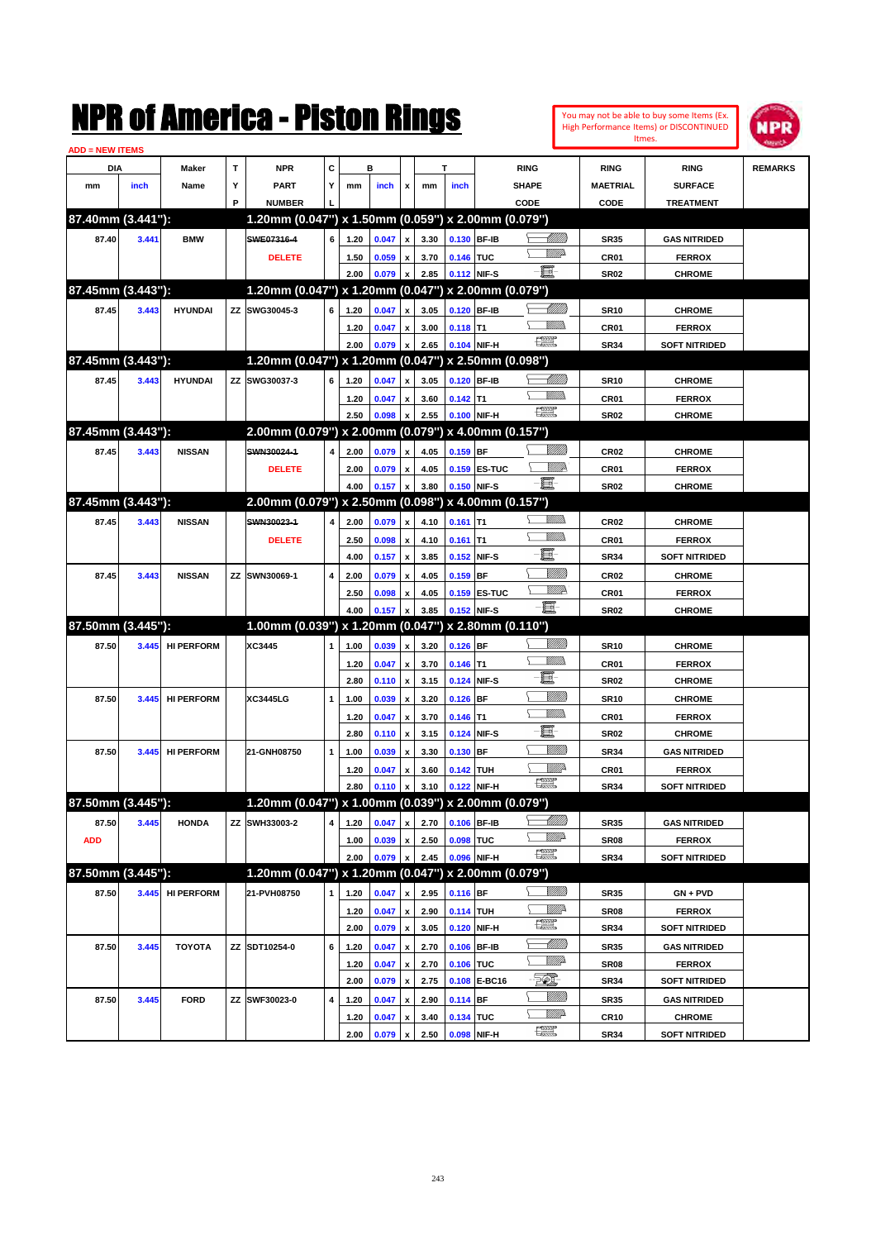

| <b>ADD = NEW ITEMS</b> |       |                  |   |                                                     |              |      |         |                           |      |             |              |                                                                                                                                                                                                                                                                                                                                                     |                  |                      |                |
|------------------------|-------|------------------|---|-----------------------------------------------------|--------------|------|---------|---------------------------|------|-------------|--------------|-----------------------------------------------------------------------------------------------------------------------------------------------------------------------------------------------------------------------------------------------------------------------------------------------------------------------------------------------------|------------------|----------------------|----------------|
| DIA                    |       | Maker            | Τ | <b>NPR</b>                                          | C            |      | в       |                           |      | т           |              | <b>RING</b>                                                                                                                                                                                                                                                                                                                                         | <b>RING</b>      | <b>RING</b>          | <b>REMARKS</b> |
| mm                     | inch  | Name             | Υ | <b>PART</b>                                         | Y            | mm   | inch    | x                         | mm   | inch        |              | <b>SHAPE</b>                                                                                                                                                                                                                                                                                                                                        | <b>MAETRIAL</b>  | <b>SURFACE</b>       |                |
|                        |       |                  | P | <b>NUMBER</b>                                       |              |      |         |                           |      |             |              | CODE                                                                                                                                                                                                                                                                                                                                                | CODE             | <b>TREATMENT</b>     |                |
| 87.40mm (3.441"):      |       |                  |   | 1.20mm (0.047") x 1.50mm (0.059") x 2.00mm (0.079") |              |      |         |                           |      |             |              |                                                                                                                                                                                                                                                                                                                                                     |                  |                      |                |
| 87.40                  | 3.441 | <b>BMW</b>       |   | SWE07316-4                                          | 6            | 1.20 | 0.047   | $\pmb{\mathsf{x}}$        | 3.30 |             | 0.130 BF-IB  |                                                                                                                                                                                                                                                                                                                                                     | <b>SR35</b>      | <b>GAS NITRIDED</b>  |                |
|                        |       |                  |   | <b>DELETE</b>                                       |              | 1.50 | 0.059   | $\pmb{\mathsf{x}}$        | 3.70 | 0.146 TUC   |              | WMA                                                                                                                                                                                                                                                                                                                                                 | CR <sub>01</sub> | <b>FERROX</b>        |                |
|                        |       |                  |   |                                                     |              | 2.00 | 0.079   | x                         | 2.85 |             | 0.112 NIF-S  | -8                                                                                                                                                                                                                                                                                                                                                  | <b>SR02</b>      | <b>CHROME</b>        |                |
| 87.45mm (3.443"):      |       |                  |   | 1.20mm (0.047") x 1.20mm (0.047") x 2.00mm (0.079") |              |      |         |                           |      |             |              |                                                                                                                                                                                                                                                                                                                                                     |                  |                      |                |
|                        |       | <b>HYUNDAI</b>   |   |                                                     | 6            |      |         |                           |      |             |              | -977778                                                                                                                                                                                                                                                                                                                                             |                  |                      |                |
| 87.45                  | 3.443 |                  |   | ZZ SWG30045-3                                       |              | 1.20 | 0.047   | $\pmb{\mathsf{x}}$        | 3.05 | 0.120 BF-IB |              | VM).                                                                                                                                                                                                                                                                                                                                                | <b>SR10</b>      | <b>CHROME</b>        |                |
|                        |       |                  |   |                                                     |              | 1.20 | 0.047   | x                         | 3.00 | $0.118$ T1  |              | $\frac{1}{2}$                                                                                                                                                                                                                                                                                                                                       | CR01             | <b>FERROX</b>        |                |
| 87.45mm (3.443"):      |       |                  |   | 1.20mm (0.047") x 1.20mm (0.047") x 2.50mm (0.098") |              | 2.00 | 0.079   | x                         | 2.65 |             | 0.104 NIF-H  |                                                                                                                                                                                                                                                                                                                                                     | <b>SR34</b>      | <b>SOFT NITRIDED</b> |                |
|                        |       |                  |   |                                                     |              |      |         |                           |      |             |              |                                                                                                                                                                                                                                                                                                                                                     |                  |                      |                |
| 87.45                  | 3.443 | <b>HYUNDAI</b>   |   | ZZ SWG30037-3                                       | 6            | 1.20 | 0.047   | $\mathbf{x}$              | 3.05 |             | 0.120 BF-IB  | WM)                                                                                                                                                                                                                                                                                                                                                 | <b>SR10</b>      | <b>CHROME</b>        |                |
|                        |       |                  |   |                                                     |              | 1.20 | 0.047   | $\boldsymbol{\mathsf{x}}$ | 3.60 | $0.142$ T1  |              | $\frac{1}{2}$                                                                                                                                                                                                                                                                                                                                       | CR <sub>01</sub> | <b>FERROX</b>        |                |
| 87.45mm (3.443"):      |       |                  |   |                                                     |              | 2.50 | 0.098   | x                         | 2.55 |             | 0.100 NIF-H  |                                                                                                                                                                                                                                                                                                                                                     | <b>SR02</b>      | <b>CHROME</b>        |                |
|                        |       |                  |   | 2.00mm (0.079") x 2.00mm (0.079") x 4.00mm (0.157") |              |      |         |                           |      |             |              |                                                                                                                                                                                                                                                                                                                                                     |                  |                      |                |
| 87.45                  | 3.443 | <b>NISSAN</b>    |   | SWN30024-1                                          | 4            | 2.00 | 0.079   | $\pmb{\mathsf{x}}$        | 4.05 | $0.159$ BF  |              |                                                                                                                                                                                                                                                                                                                                                     | CR <sub>02</sub> | <b>CHROME</b>        |                |
|                        |       |                  |   | <b>DELETE</b>                                       |              | 2.00 | 0.079   | $\pmb{\mathsf{x}}$        | 4.05 |             | 0.159 ES-TUC | WMB                                                                                                                                                                                                                                                                                                                                                 | CR01             | <b>FERROX</b>        |                |
|                        |       |                  |   |                                                     |              | 4.00 | 0.157   | x                         | 3.80 | 0.150 NIF-S |              | $-\Xi$ -                                                                                                                                                                                                                                                                                                                                            | <b>SR02</b>      | <b>CHROME</b>        |                |
| 87.45mm (3.443"):      |       |                  |   | 2.00mm (0.079") x 2.50mm (0.098") x 4.00mm (0.157") |              |      |         |                           |      |             |              |                                                                                                                                                                                                                                                                                                                                                     |                  |                      |                |
| 87.45                  | 3.443 | <b>NISSAN</b>    |   | SWN30023-1                                          | 4            | 2.00 | 0.079   | $\pmb{\mathsf{x}}$        | 4.10 | $0.161$ T1  |              | <u>Willib</u>                                                                                                                                                                                                                                                                                                                                       | <b>CR02</b>      | <b>CHROME</b>        |                |
|                        |       |                  |   | <b>DELETE</b>                                       |              | 2.50 | 0.098   | $\pmb{\mathsf{x}}$        | 4.10 | $0.161$ T1  |              | .<br>VMD                                                                                                                                                                                                                                                                                                                                            | CR <sub>01</sub> | <b>FERROX</b>        |                |
|                        |       |                  |   |                                                     |              | 4.00 | 0.157   | $\pmb{\mathsf{x}}$        | 3.85 | 0.152 NIF-S |              | e et                                                                                                                                                                                                                                                                                                                                                | <b>SR34</b>      | <b>SOFT NITRIDED</b> |                |
| 87.45                  | 3.443 | <b>NISSAN</b>    |   | ZZ SWN30069-1                                       | 4            | 2.00 | 0.079   | $\boldsymbol{\mathsf{x}}$ | 4.05 | $0.159$ BF  |              | VIII))                                                                                                                                                                                                                                                                                                                                              | <b>CR02</b>      | <b>CHROME</b>        |                |
|                        |       |                  |   |                                                     |              | 2.50 | 0.098   | x                         | 4.05 |             | 0.159 ES-TUC | <u>WW</u> A                                                                                                                                                                                                                                                                                                                                         | CR01             | <b>FERROX</b>        |                |
|                        |       |                  |   |                                                     |              | 4.00 | 0.157   | x                         | 3.85 | 0.152 NIF-S |              | - 1                                                                                                                                                                                                                                                                                                                                                 | <b>SR02</b>      | <b>CHROME</b>        |                |
| 87.50mm (3.445"):      |       |                  |   | 1.00mm (0.039") x 1.20mm (0.047") x 2.80mm (0.110") |              |      |         |                           |      |             |              |                                                                                                                                                                                                                                                                                                                                                     |                  |                      |                |
| 87.50                  |       | 3.445 HI PERFORM |   | XC3445                                              | 1            | 1.00 | 0.039   | $\boldsymbol{\mathsf{x}}$ | 3.20 | 0.126 BF    |              | <u>Sillilli</u>                                                                                                                                                                                                                                                                                                                                     | <b>SR10</b>      | <b>CHROME</b>        |                |
|                        |       |                  |   |                                                     |              | 1.20 | 0.047   | $\pmb{\mathsf{x}}$        | 3.70 | $0.146$ T1  |              | VM).                                                                                                                                                                                                                                                                                                                                                | CR <sub>01</sub> | <b>FERROX</b>        |                |
|                        |       |                  |   |                                                     |              | 2.80 | 0.110   | $\pmb{\mathsf{x}}$        | 3.15 | 0.124 NIF-S |              | E                                                                                                                                                                                                                                                                                                                                                   | <b>SR02</b>      | <b>CHROME</b>        |                |
| 87.50                  |       | 3.445 HI PERFORM |   | <b>XC3445LG</b>                                     | 1            | 1.00 | 0.039   | $\boldsymbol{\mathsf{x}}$ | 3.20 | 0.126 BF    |              | <u>Villilli</u>                                                                                                                                                                                                                                                                                                                                     | <b>SR10</b>      | <b>CHROME</b>        |                |
|                        |       |                  |   |                                                     |              | 1.20 | 0.047   | $\boldsymbol{\mathsf{x}}$ | 3.70 | $0.146$ T1  |              | VM).                                                                                                                                                                                                                                                                                                                                                | CR <sub>01</sub> | <b>FERROX</b>        |                |
|                        |       |                  |   |                                                     |              | 2.80 | 0.110   | $\boldsymbol{\mathsf{x}}$ | 3.15 | 0.124 NIF-S |              | E                                                                                                                                                                                                                                                                                                                                                   | <b>SR02</b>      | <b>CHROME</b>        |                |
| 87.50                  |       | 3.445 HI PERFORM |   | 21-GNH08750                                         | $\mathbf{1}$ | 1.00 | 0.039   | $\boldsymbol{\mathsf{x}}$ | 3.30 | 0.130 BF    |              | <u>Villida</u>                                                                                                                                                                                                                                                                                                                                      | <b>SR34</b>      | <b>GAS NITRIDED</b>  |                |
|                        |       |                  |   |                                                     |              | 1.20 | 0.047   | $\boldsymbol{\mathsf{x}}$ | 3.60 | 0.142 TUH   |              | <u>Willi</u> r                                                                                                                                                                                                                                                                                                                                      | CR <sub>01</sub> | <b>FERROX</b>        |                |
|                        |       |                  |   |                                                     |              | 2.80 | 0.110   | x                         | 3.10 | 0.122 NIF-H |              | $\frac{1}{2}$                                                                                                                                                                                                                                                                                                                                       | <b>SR34</b>      | <b>SOFT NITRIDED</b> |                |
| 87.50mm (3.445"):      |       |                  |   | 1.20mm (0.047") x 1.00mm (0.039") x 2.00mm (0.079") |              |      |         |                           |      |             |              |                                                                                                                                                                                                                                                                                                                                                     |                  |                      |                |
| 87.50                  | 3.445 | <b>HONDA</b>     |   | ZZ SWH33003-2                                       | 4            | 1.20 | 0.047 x |                           | 2.70 | 0.106 BF-IB |              | <u>- Millito</u>                                                                                                                                                                                                                                                                                                                                    | <b>SR35</b>      | <b>GAS NITRIDED</b>  |                |
| <b>ADD</b>             |       |                  |   |                                                     |              | 1.00 | 0.039   | x                         | 2.50 | 0.098 TUC   |              | <u>WW</u> A                                                                                                                                                                                                                                                                                                                                         | SR <sub>08</sub> | <b>FERROX</b>        |                |
|                        |       |                  |   |                                                     |              | 2.00 | 0.079   | x                         | 2.45 |             | 0.096 NIF-H  | $\begin{picture}(20,20) \put(0,0){\line(1,0){10}} \put(15,0){\line(1,0){10}} \put(15,0){\line(1,0){10}} \put(15,0){\line(1,0){10}} \put(15,0){\line(1,0){10}} \put(15,0){\line(1,0){10}} \put(15,0){\line(1,0){10}} \put(15,0){\line(1,0){10}} \put(15,0){\line(1,0){10}} \put(15,0){\line(1,0){10}} \put(15,0){\line(1,0){10}} \put(15,0){\line(1$ | <b>SR34</b>      | <b>SOFT NITRIDED</b> |                |
| 87.50mm (3.445"):      |       |                  |   | 1.20mm (0.047") x 1.20mm (0.047") x 2.00mm (0.079") |              |      |         |                           |      |             |              |                                                                                                                                                                                                                                                                                                                                                     |                  |                      |                |
| 87.50                  |       | 3.445 HI PERFORM |   | 21-PVH08750                                         | $\mathbf{1}$ | 1.20 | 0.047   | x                         | 2.95 | $0.116$ BF  |              | \__ <i>\\\\\\\\\\\</i> \                                                                                                                                                                                                                                                                                                                            | <b>SR35</b>      | $GN + PVD$           |                |
|                        |       |                  |   |                                                     |              | 1.20 | 0.047   | $\pmb{\mathsf{x}}$        | 2.90 | 0.114 TUH   |              | <u>Willi</u> te                                                                                                                                                                                                                                                                                                                                     | SR <sub>08</sub> | <b>FERROX</b>        |                |
|                        |       |                  |   |                                                     |              | 2.00 | 0.079   | $\pmb{\mathsf{x}}$        | 3.05 | 0.120 NIF-H |              | $\begin{picture}(20,20) \put(0,0){\line(1,0){10}} \put(15,0){\line(1,0){10}} \put(15,0){\line(1,0){10}} \put(15,0){\line(1,0){10}} \put(15,0){\line(1,0){10}} \put(15,0){\line(1,0){10}} \put(15,0){\line(1,0){10}} \put(15,0){\line(1,0){10}} \put(15,0){\line(1,0){10}} \put(15,0){\line(1,0){10}} \put(15,0){\line(1,0){10}} \put(15,0){\line(1$ | SR34             | <b>SOFT NITRIDED</b> |                |
| 87.50                  | 3.445 | <b>TOYOTA</b>    |   | ZZ SDT10254-0                                       | 6            | 1.20 | 0.047   | $\pmb{\mathsf{x}}$        | 2.70 | 0.106 BF-IB |              | <u>— Milliti</u>                                                                                                                                                                                                                                                                                                                                    | <b>SR35</b>      | <b>GAS NITRIDED</b>  |                |
|                        |       |                  |   |                                                     |              | 1.20 | 0.047   | $\pmb{\mathsf{x}}$        | 2.70 | 0.106 TUC   |              | <u>WW</u> A                                                                                                                                                                                                                                                                                                                                         | SR <sub>08</sub> | <b>FERROX</b>        |                |
|                        |       |                  |   |                                                     |              | 2.00 | 0.079   | $\pmb{\mathsf{x}}$        | 2.75 |             | 0.108 E-BC16 | EQ)                                                                                                                                                                                                                                                                                                                                                 | <b>SR34</b>      | <b>SOFT NITRIDED</b> |                |
| 87.50                  | 3.445 | <b>FORD</b>      |   | ZZ SWF30023-0                                       | 4            | 1.20 | 0.047   | x                         | 2.90 | $0.114$ BF  |              | <u>VIIII)</u>                                                                                                                                                                                                                                                                                                                                       | <b>SR35</b>      | <b>GAS NITRIDED</b>  |                |
|                        |       |                  |   |                                                     |              | 1.20 | 0.047   | $\pmb{\mathsf{x}}$        | 3.40 | 0.134 TUC   |              | <u>WW</u> A                                                                                                                                                                                                                                                                                                                                         | <b>CR10</b>      | <b>CHROME</b>        |                |
|                        |       |                  |   |                                                     |              | 2.00 | 0.079   | $\pmb{\mathsf{x}}$        | 2.50 | 0.098 NIF-H |              | æ                                                                                                                                                                                                                                                                                                                                                   | <b>SR34</b>      | <b>SOFT NITRIDED</b> |                |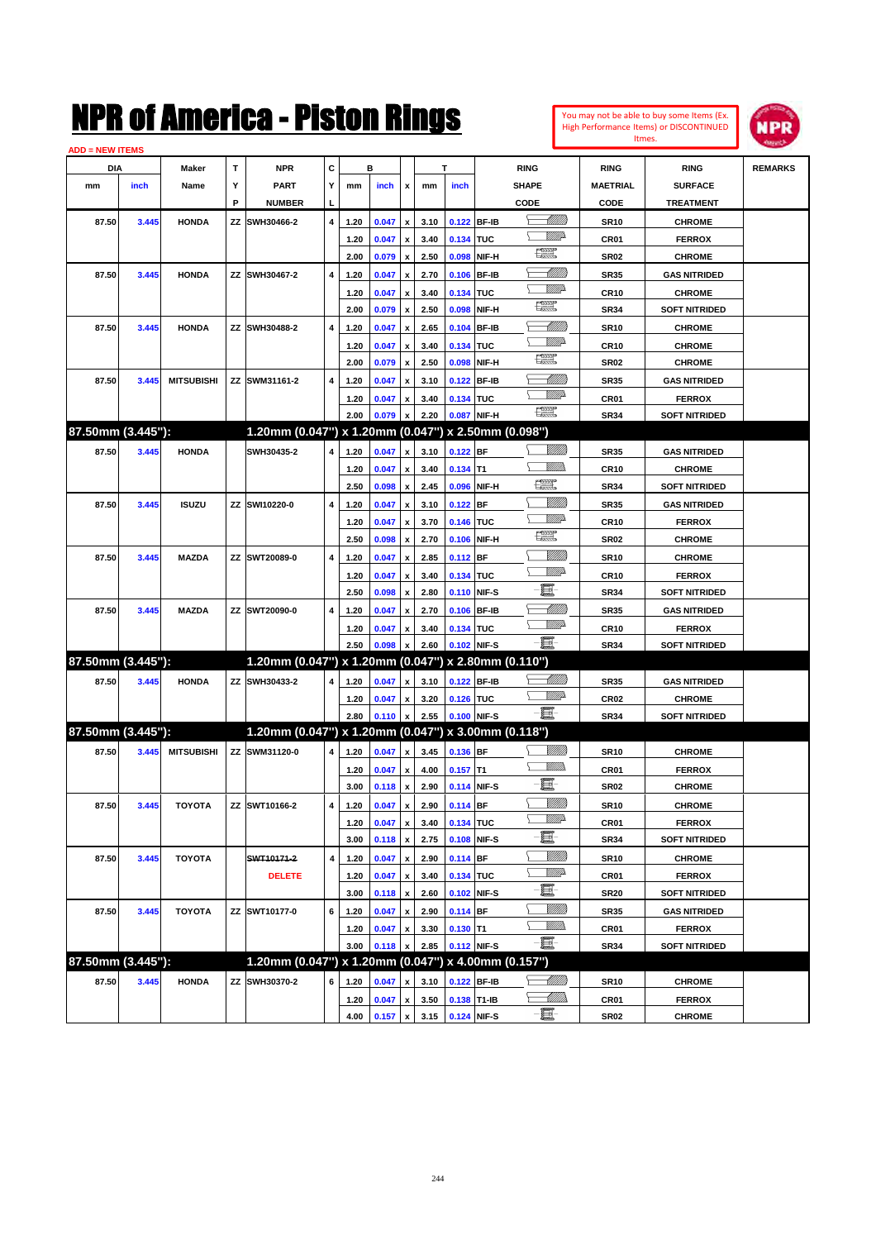| You may not be able to buy some Items (Ex.     |
|------------------------------------------------|
| <b>High Performance Items) or DISCONTINUED</b> |
| Itmes.                                         |



| <b>ADD = NEW ITEMS</b> |       |                   |    |                                                     |   |              |       |                           |      |             |              |                                 |                     |                                |                |
|------------------------|-------|-------------------|----|-----------------------------------------------------|---|--------------|-------|---------------------------|------|-------------|--------------|---------------------------------|---------------------|--------------------------------|----------------|
| DIA                    |       | Maker             | т  | <b>NPR</b>                                          | C |              | в     |                           |      | T           |              | <b>RING</b>                     | <b>RING</b>         | <b>RING</b>                    | <b>REMARKS</b> |
| mm                     | inch  | Name              | Y  | <b>PART</b>                                         | Y | mm           | inch  | x                         | mm   | inch        |              | <b>SHAPE</b>                    | <b>MAETRIAL</b>     | <b>SURFACE</b>                 |                |
|                        |       |                   | P  | <b>NUMBER</b>                                       | ц |              |       |                           |      |             |              | CODE                            | CODE                | <b>TREATMENT</b>               |                |
| 87.50                  | 3.445 | <b>HONDA</b>      | ΖZ | SWH30466-2                                          | 4 | 1.20         | 0.047 | $\pmb{\mathsf{x}}$        | 3.10 | 0.122 BF-IB |              | <u> Millitt</u>                 | <b>SR10</b>         | <b>CHROME</b>                  |                |
|                        |       |                   |    |                                                     |   | 1.20         | 0.047 | x                         | 3.40 | 0.134 TUC   |              | <u>VMD</u>                      | CR01                | <b>FERROX</b>                  |                |
|                        |       |                   |    |                                                     |   | 2.00         | 0.079 | $\pmb{\mathsf{x}}$        | 2.50 | 0.098       | NIF-H        | H                               | <b>SR02</b>         | <b>CHROME</b>                  |                |
| 87.50                  | 3.445 | <b>HONDA</b>      | ΖZ | SWH30467-2                                          | 4 | 1.20         | 0.047 | x                         | 2.70 | 0.106       | <b>BF-IB</b> | <u> UMM</u>                     | <b>SR35</b>         | <b>GAS NITRIDED</b>            |                |
|                        |       |                   |    |                                                     |   | 1.20         | 0.047 | х                         | 3.40 | 0.134 TUC   |              | <u>WW</u> A                     | <b>CR10</b>         | <b>CHROME</b>                  |                |
|                        |       |                   |    |                                                     |   | 2.00         | 0.079 | $\pmb{\mathsf{x}}$        | 2.50 | 0.098       | NIF-H        | H                               | <b>SR34</b>         | <b>SOFT NITRIDED</b>           |                |
| 87.50                  | 3.445 | <b>HONDA</b>      | ΖZ | SWH30488-2                                          | 4 | 1.20         | 0.047 | x                         | 2.65 | 0.104       | <b>BF-IB</b> | <u> UMB</u>                     | <b>SR10</b>         | <b>CHROME</b>                  |                |
|                        |       |                   |    |                                                     |   | 1.20         | 0.047 | х                         | 3.40 | 0.134       | <b>TUC</b>   | <u>WW</u> A                     | <b>CR10</b>         | <b>CHROME</b>                  |                |
|                        |       |                   |    |                                                     |   | 2.00         | 0.079 | $\pmb{\mathsf{x}}$        | 2.50 | 0.098       | NIF-H        | H                               | <b>SR02</b>         | <b>CHROME</b>                  |                |
| 87.50                  | 3.445 | <b>MITSUBISHI</b> | ΖZ | SWM31161-2                                          | 4 | 1.20         | 0.047 | $\boldsymbol{\mathsf{x}}$ | 3.10 | 0.122       | <b>BF-IB</b> | MMB                             | <b>SR35</b>         | <b>GAS NITRIDED</b>            |                |
|                        |       |                   |    |                                                     |   | 1.20         | 0.047 | x                         | 3.40 | 0.134 TUC   |              | <u>WW</u> A                     | CR01                | <b>FERROX</b>                  |                |
|                        |       |                   |    |                                                     |   | 2.00         | 0.079 | $\boldsymbol{\mathsf{x}}$ | 2.20 | 0.087       | NIF-H        | <b>The Second Second</b>        | <b>SR34</b>         | <b>SOFT NITRIDED</b>           |                |
| 87.50mm (3.445"):      |       |                   |    | 1.20mm (0.047") x 1.20mm (0.047") x 2.50mm (0.098") |   |              |       |                           |      |             |              |                                 |                     |                                |                |
| 87.50                  | 3.445 | <b>HONDA</b>      |    | SWH30435-2                                          | 4 | 1.20         | 0.047 | $\pmb{\mathsf{x}}$        | 3.10 | $0.122$ BF  |              | <u>Milli</u> h                  | <b>SR35</b>         | <b>GAS NITRIDED</b>            |                |
|                        |       |                   |    |                                                     |   | 1.20         | 0.047 | x                         | 3.40 | $0.134$ T1  |              | <u>MMM</u>                      | <b>CR10</b>         | <b>CHROME</b>                  |                |
|                        |       |                   |    |                                                     |   | 2.50         | 0.098 | $\pmb{\mathsf{x}}$        | 2.45 | 0.096       | NIF-H        | $\frac{1}{2}$                   | <b>SR34</b>         | <b>SOFT NITRIDED</b>           |                |
| 87.50                  | 3.445 | <b>ISUZU</b>      | ΖZ | SWI10220-0                                          | 4 | 1.20         | 0.047 | x                         | 3.10 | 0.122       | <b>BF</b>    | <u>Milli</u> k                  | <b>SR35</b>         | <b>GAS NITRIDED</b>            |                |
|                        |       |                   |    |                                                     |   | 1.20         | 0.047 | x                         | 3.70 | 0.146 TUC   |              | <u>VMD</u>                      | <b>CR10</b>         | <b>FERROX</b>                  |                |
|                        |       |                   |    |                                                     |   | 2.50         | 0.098 | $\pmb{\mathsf{x}}$        | 2.70 | 0.106       | NIF-H        | H                               | <b>SR02</b>         | <b>CHROME</b>                  |                |
| 87.50                  | 3.445 | <b>MAZDA</b>      | ΖZ | SWT20089-0                                          | 4 | 1.20         | 0.047 | x                         | 2.85 | 0.112 BF    |              | <u>Milli</u>                    | <b>SR10</b>         | <b>CHROME</b>                  |                |
|                        |       |                   |    |                                                     |   | 1.20         | 0.047 | х                         | 3.40 | 0.134 TUC   |              | <u>WW</u> A                     | <b>CR10</b>         | <b>FERROX</b>                  |                |
|                        |       |                   |    |                                                     |   | 2.50         | 0.098 | $\pmb{\mathsf{x}}$        | 2.80 | 0.110 NIF-S |              | e                               | <b>SR34</b>         | <b>SOFT NITRIDED</b>           |                |
| 87.50                  | 3.445 | <b>MAZDA</b>      |    | ZZ SWT20090-0                                       | 4 | 1.20         | 0.047 | x                         | 2.70 | 0.106       | <b>BF-IB</b> | <u> Millitt</u>                 | <b>SR35</b>         | <b>GAS NITRIDED</b>            |                |
|                        |       |                   |    |                                                     |   | 1.20         | 0.047 | x                         | 3.40 | 0.134 TUC   |              | <u>WW</u> A                     | <b>CR10</b>         | <b>FERROX</b>                  |                |
|                        |       |                   |    |                                                     |   | 2.50         | 0.098 | $\pmb{\mathsf{x}}$        | 2.60 |             | 0.102 NIF-S  | -8                              | <b>SR34</b>         | <b>SOFT NITRIDED</b>           |                |
| 87.50mm (3.445"):      |       |                   |    | 1.20mm (0.047") x 1.20mm (0.047") x 2.80mm (0.110") |   |              |       |                           |      |             |              |                                 |                     |                                |                |
| 87.50                  | 3.445 | <b>HONDA</b>      |    | ZZ SWH30433-2                                       | 4 | 1.20         | 0.047 | $\pmb{\mathsf{x}}$        | 3.10 | 0.122 BF-IB |              | <u> Millito</u>                 | <b>SR35</b>         | <b>GAS NITRIDED</b>            |                |
|                        |       |                   |    |                                                     |   | 1.20         | 0.047 | x                         | 3.20 | 0.126 TUC   |              | <u>WW</u> A                     | CR <sub>02</sub>    | <b>CHROME</b>                  |                |
|                        |       |                   |    |                                                     |   | 2.80         | 0.110 | $\pmb{\mathsf{x}}$        | 2.55 |             | 0.100 NIF-S  | -日                              | <b>SR34</b>         | <b>SOFT NITRIDED</b>           |                |
| 87.50mm (3.445"):      |       |                   |    | 1.20mm (0.047") x 1.20mm (0.047") x 3.00mm (0.118") |   |              |       |                           |      |             |              |                                 |                     |                                |                |
| 87.50                  | 3.445 | <b>MITSUBISHI</b> |    | ZZ SWM31120-0                                       | 4 | 1.20         | 0.047 | $\pmb{\mathsf{x}}$        | 3.45 | 0.136 BF    |              | <br>Willia                      | <b>SR10</b>         | <b>CHROME</b>                  |                |
|                        |       |                   |    |                                                     |   |              | 0.047 |                           | 4.00 | $0.157$ T1  |              | VM).                            |                     |                                |                |
|                        |       |                   |    |                                                     |   | 1.20<br>3.00 | 0.118 | x                         | 2.90 | 0.114 NIF-S |              | e                               | CR01<br><b>SR02</b> | <b>FERROX</b><br><b>CHROME</b> |                |
|                        |       |                   |    | ZZ SWT10166-2                                       | 4 |              | 0.047 | $\pmb{\mathsf{x}}$        |      | 0.114 BF    |              | <u>MM)</u>                      |                     | <b>CHROME</b>                  |                |
| 87.50                  | 3.445 | <b>TOYOTA</b>     |    |                                                     |   | 1.20         |       | $\, {\bf x}$              | 2.90 |             |              | WW                              | <b>SR10</b>         |                                |                |
|                        |       |                   |    |                                                     |   | 1.20         | 0.047 | $\pmb{\mathsf{x}}$        | 3.40 | 0.134 TUC   |              | e.                              | CR01                | <b>FERROX</b>                  |                |
|                        |       |                   |    |                                                     |   | 3.00         | 0.118 | $\pmb{\mathsf{x}}$        | 2.75 |             | 0.108 NIF-S  | <u>VMM</u>                      | <b>SR34</b>         | <b>SOFT NITRIDED</b>           |                |
| 87.50                  | 3.445 | <b>TOYOTA</b>     |    | SWT10171-2                                          | 4 | 1.20         | 0.047 | $\pmb{\mathsf{x}}$        | 2.90 | $0.114$ BF  |              | <u>Willia</u>                   | <b>SR10</b>         | <b>CHROME</b>                  |                |
|                        |       |                   |    | <b>DELETE</b>                                       |   | 1.20         | 0.047 | x                         | 3.40 | 0.134 TUC   |              | E                               | CR01                | <b>FERROX</b>                  |                |
|                        |       |                   |    |                                                     |   | 3.00         | 0.118 | $\pmb{\mathsf{x}}$        | 2.60 |             | 0.102 NIF-S  |                                 | <b>SR20</b>         | <b>SOFT NITRIDED</b>           |                |
| 87.50                  | 3.445 | <b>TOYOTA</b>     |    | ZZ SWT10177-0                                       | 6 | 1.20         | 0.047 | $\pmb{\mathsf{x}}$        | 2.90 | $0.114$ BF  |              | <u>Milli</u> h<br><u>Willib</u> | <b>SR35</b>         | <b>GAS NITRIDED</b>            |                |
|                        |       |                   |    |                                                     |   | 1.20         | 0.047 | x                         | 3.30 | $0.130$ T1  |              | -8                              | CR01                | <b>FERROX</b>                  |                |
| 87.50mm (3.445"):      |       |                   |    | 1.20mm (0.047") x 1.20mm (0.047") x 4.00mm (0.157") |   | 3.00         | 0.118 | $\pmb{\mathsf{x}}$        | 2.85 |             | 0.112 NIF-S  |                                 | <b>SR34</b>         | <b>SOFT NITRIDED</b>           |                |
|                        |       |                   |    |                                                     |   |              |       |                           |      |             |              |                                 |                     |                                |                |
| 87.50                  | 3.445 | <b>HONDA</b>      | ΖZ | SWH30370-2                                          | 6 | 1.20         | 0.047 | x                         | 3.10 | 0.122       | <b>BF-IB</b> | <u>-M/////</u> )                | <b>SR10</b>         | <b>CHROME</b>                  |                |
|                        |       |                   |    |                                                     |   | 1.20         | 0.047 | $\pmb{\mathsf{x}}$        | 3.50 | 0.138 T1-IB |              | <u>- MM).</u>                   | CR01                | <b>FERROX</b>                  |                |
|                        |       |                   |    |                                                     |   | 4.00         | 0.157 | $\pmb{\mathsf{x}}$        | 3.15 |             | 0.124 NIF-S  | $-\Xi$ -                        | SR <sub>02</sub>    | <b>CHROME</b>                  |                |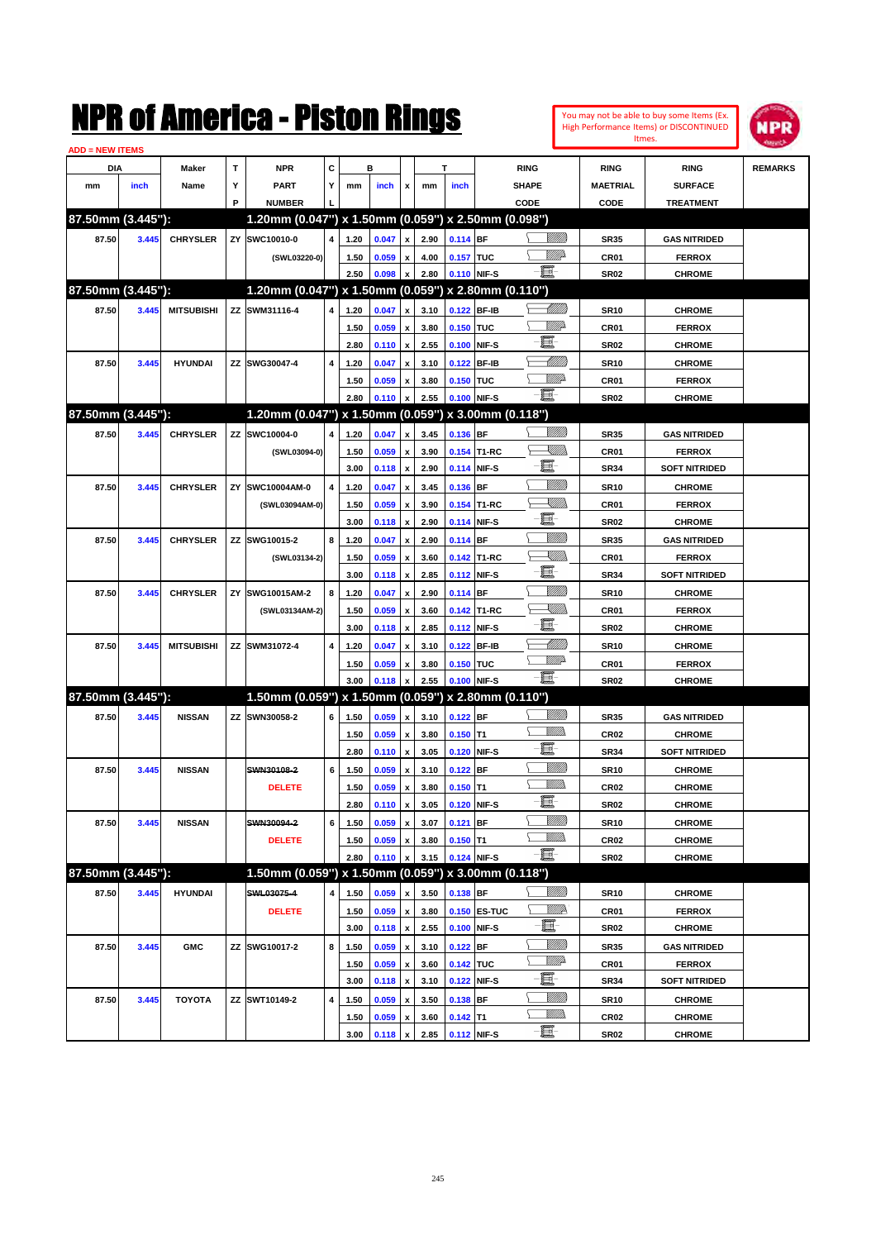|                        |       |                   |        | NMK OI AINCrica - Miston Kings                                       |   |      |       |                           |      |             |              |                   |                  |                                | You may not be able to buy some Items (Ex.<br>High Performance Items) or DISCONTINUED<br>Itmes. | <b>MPR</b>     |
|------------------------|-------|-------------------|--------|----------------------------------------------------------------------|---|------|-------|---------------------------|------|-------------|--------------|-------------------|------------------|--------------------------------|-------------------------------------------------------------------------------------------------|----------------|
| <b>ADD = NEW ITEMS</b> |       |                   | T      | <b>NPR</b>                                                           | c |      | в     |                           |      | Т           |              |                   |                  |                                |                                                                                                 |                |
| DIA                    |       | Maker             |        |                                                                      |   |      |       |                           |      |             |              | <b>RING</b>       |                  | <b>RING</b><br><b>MAETRIAL</b> | <b>RING</b>                                                                                     | <b>REMARKS</b> |
| mm                     | inch  | Name              | Υ<br>P | <b>PART</b>                                                          | Y | mm   | inch  | x                         | mm   | inch        |              | <b>SHAPE</b>      |                  |                                | <b>SURFACE</b>                                                                                  |                |
| 87.50mm (3.445"):      |       |                   |        | <b>NUMBER</b><br>1.20mm (0.047") x 1.50mm (0.059") x 2.50mm (0.098") |   |      |       |                           |      |             |              | CODE              |                  | CODE                           | <b>TREATMENT</b>                                                                                |                |
| 87.50                  | 3.445 | <b>CHRYSLER</b>   |        | ZY SWC10010-0                                                        | 4 | 1.20 | 0.047 | x                         | 2.90 | $0.114$ BF  |              |                   | <u>Millil</u>    | <b>SR35</b>                    | <b>GAS NITRIDED</b>                                                                             |                |
|                        |       |                   |        | (SWL03220-0)                                                         |   | 1.50 | 0.059 | x                         | 4.00 | 0.157 TUC   |              |                   | <u>MM</u>        | CR01                           | <b>FERROX</b>                                                                                   |                |
|                        |       |                   |        |                                                                      |   | 2.50 | 0.098 | x                         | 2.80 |             | 0.110 NIF-S  | e.                |                  | <b>SR02</b>                    | <b>CHROME</b>                                                                                   |                |
| 87.50mm (3.445"):      |       |                   |        | 1.20mm (0.047") x 1.50mm (0.059") x 2.80mm (0.110")                  |   |      |       |                           |      |             |              |                   |                  |                                |                                                                                                 |                |
| 87.50                  | 3.445 | <b>MITSUBISHI</b> |        | ZZ SWM31116-4                                                        | 4 | 1.20 | 0.047 | X                         | 3.10 |             | 0.122 BF-IB  |                   | <u> Milli</u>    | <b>SR10</b>                    | <b>CHROME</b>                                                                                   |                |
|                        |       |                   |        |                                                                      |   | 1.50 | 0.059 | x                         | 3.80 | 0.150 TUC   |              |                   | <u>MM</u>        | CR01                           | <b>FERROX</b>                                                                                   |                |
|                        |       |                   |        |                                                                      |   | 2.80 | 0.110 | $\pmb{\mathsf{x}}$        | 2.55 | 0.100       | NIF-S        | E                 |                  | <b>SR02</b>                    | <b>CHROME</b>                                                                                   |                |
| 87.50                  | 3.445 | <b>HYUNDAI</b>    |        | ZZ SWG30047-4                                                        | 4 | 1.20 | 0.047 | x                         | 3.10 |             | 0.122 BF-IB  |                   | <u> MM 1</u>     | <b>SR10</b>                    | <b>CHROME</b>                                                                                   |                |
|                        |       |                   |        |                                                                      |   | 1.50 | 0.059 | x                         | 3.80 | 0.150       | <b>TUC</b>   |                   | <u>VIIItti</u> d | CR01                           | <b>FERROX</b>                                                                                   |                |
|                        |       |                   |        |                                                                      |   | 2.80 | 0.110 | x                         | 2.55 |             | 0.100 NIF-S  | e.                |                  | <b>SR02</b>                    | <b>CHROME</b>                                                                                   |                |
| 87.50mm (3.445"):      |       |                   |        | 1.20mm (0.047") x 1.50mm (0.059")                                    |   |      |       |                           |      |             |              | x 3.00mm (0.118") |                  |                                |                                                                                                 |                |
| 87.50                  | 3.445 | <b>CHRYSLER</b>   |        | ZZ SWC10004-0                                                        | 4 | 1.20 | 0.047 | X                         | 3.45 | $0.136$ BF  |              |                   | <u>VIIII)</u>    | <b>SR35</b>                    | <b>GAS NITRIDED</b>                                                                             |                |
|                        |       |                   |        | (SWL03094-0)                                                         |   | 1.50 | 0.059 | x                         | 3.90 |             | 0.154 T1-RC  |                   | <u>Sillin</u>    | CR01                           | <b>FERROX</b>                                                                                   |                |
|                        |       |                   |        |                                                                      |   | 3.00 | 0.118 | $\pmb{\mathsf{x}}$        | 2.90 |             | 0.114 NIF-S  | E                 |                  | <b>SR34</b>                    | <b>SOFT NITRIDED</b>                                                                            |                |
| 87.50                  | 3.445 | <b>CHRYSLER</b>   | ZY     | SWC10004AM-0                                                         | 4 | 1.20 | 0.047 | x                         | 3.45 | 0.136       | <b>IBF</b>   |                   | <u>VMM</u>       | <b>SR10</b>                    | <b>CHROME</b>                                                                                   |                |
|                        |       |                   |        | (SWL03094AM-0)                                                       |   | 1.50 | 0.059 | X                         | 3.90 |             | 0.154 T1-RC  |                   | <u>Sillin</u>    | CR01                           | <b>FERROX</b>                                                                                   |                |
|                        |       |                   |        |                                                                      |   | 3.00 | 0.118 | $\boldsymbol{\mathsf{x}}$ | 2.90 |             | 0.114 NIF-S  | E                 |                  | <b>SR02</b>                    | <b>CHROME</b>                                                                                   |                |
| 87.50                  | 3.445 | <b>CHRYSLER</b>   |        | ZZ SWG10015-2                                                        | 8 | 1.20 | 0.047 | X                         | 2.90 | $0.114$ BF  |              |                   | <u>VMM</u>       | <b>SR35</b>                    | <b>GAS NITRIDED</b>                                                                             |                |
|                        |       |                   |        | (SWL03134-2)                                                         |   | 1.50 | 0.059 | x                         | 3.60 |             | 0.142 T1-RC  |                   | <u>Sillin</u>    | CR01                           | <b>FERROX</b>                                                                                   |                |
|                        |       |                   |        |                                                                      |   | 3.00 | 0.118 | X                         | 2.85 |             | 0.112 NIF-S  | E.                |                  | <b>SR34</b>                    | <b>SOFT NITRIDED</b>                                                                            |                |
| 87.50                  | 3.445 | <b>CHRYSLER</b>   | ZY     | SWG10015AM-2                                                         | 8 | 1.20 | 0.047 | x                         | 2.90 | $0.114$ BF  |              |                   | <u>VIIII</u>     | <b>SR10</b>                    | <b>CHROME</b>                                                                                   |                |
|                        |       |                   |        | (SWL03134AM-2)                                                       |   | 1.50 | 0.059 | x                         | 3.60 |             | 0.142 T1-RC  |                   | <u>Sillin</u>    | CR01                           | <b>FERROX</b>                                                                                   |                |
|                        |       |                   |        |                                                                      |   | 3.00 | 0.118 | x                         | 2.85 |             | 0.112 NIF-S  | E.                |                  | <b>SR02</b>                    | <b>CHROME</b>                                                                                   |                |
| 87.50                  | 3.445 | <b>MITSUBISHI</b> |        | ZZ SWM31072-4                                                        | 4 | 1.20 | 0.047 | x                         | 3.10 | 0.122       | <b>BF-IB</b> |                   | <u> MMN</u>      | <b>SR10</b>                    | <b>CHROME</b>                                                                                   |                |
|                        |       |                   |        |                                                                      |   | 1.50 | 0.059 | x                         | 3.80 | 0.150 TUC   |              |                   | <u>Willia</u>    | CR01                           | <b>FERROX</b>                                                                                   |                |
|                        |       |                   |        |                                                                      |   | 3.00 | 0.118 | x                         | 2.55 |             | 0.100 NIF-S  | -8                |                  | <b>SR02</b>                    | <b>CHROME</b>                                                                                   |                |
| 87.50mm (3.445"):      |       |                   |        | 1.50mm (0.059") x 1.50mm (0.059")                                    |   |      |       |                           |      |             |              | x 2.80mm (0.110") |                  |                                |                                                                                                 |                |
| 87.50                  | 3.445 | <b>NISSAN</b>     |        | ZZ SWN30058-2                                                        | 6 | 1.50 | 0.059 | x                         | 3.10 | $0.122$ BF  |              |                   | <u>VIIII)</u>    | <b>SR35</b>                    | <b>GAS NITRIDED</b>                                                                             |                |
|                        |       |                   |        |                                                                      |   | 1.50 | 0.059 | $\boldsymbol{\mathsf{x}}$ | 3.80 | $0.150$ T1  |              |                   | .<br>Villid      | CR <sub>02</sub>               | <b>CHROME</b>                                                                                   |                |
|                        |       |                   |        |                                                                      |   | 2.80 | 0.110 | x                         | 3.05 |             | 0.120 NIF-S  | E.                |                  | <b>SR34</b>                    | <b>SOFT NITRIDED</b>                                                                            |                |
| 87.50                  | 3.445 | <b>NISSAN</b>     |        | SWN30108-2                                                           | 6 | 1.50 | 0.059 | $\pmb{\mathsf{x}}$        | 3.10 | $0.122$ BF  |              |                   | VMM)             | <b>SR10</b>                    | <b>CHROME</b>                                                                                   |                |
|                        |       |                   |        | <b>DELETE</b>                                                        |   | 1.50 | 0.059 | $\pmb{\mathsf{x}}$        | 3.80 | $0.150$ T1  |              |                   | <u>MMs</u>       | CR <sub>02</sub>               | <b>CHROME</b>                                                                                   |                |
|                        |       |                   |        |                                                                      |   | 2.80 | 0.110 | $\pmb{\mathsf{x}}$        | 3.05 |             | 0.120 NIF-S  | e.                |                  | <b>SR02</b>                    | <b>CHROME</b>                                                                                   |                |
| 87.50                  | 3.445 | <b>NISSAN</b>     |        | SWN30094-2                                                           | 6 | 1.50 | 0.059 | $\pmb{\mathsf{x}}$        | 3.07 | $0.121$ BF  |              |                   | <u>VIIII</u> )   | <b>SR10</b>                    | <b>CHROME</b>                                                                                   |                |
|                        |       |                   |        | <b>DELETE</b>                                                        |   | 1.50 | 0.059 | $\pmb{\mathsf{x}}$        | 3.80 | $0.150$ T1  |              |                   | <u>WMW</u>       | CR02                           | <b>CHROME</b>                                                                                   |                |
|                        |       |                   |        |                                                                      |   | 2.80 | 0.110 | x                         | 3.15 |             | 0.124 NIF-S  | -8                |                  | <b>SR02</b>                    | <b>CHROME</b>                                                                                   |                |
| 87.50mm (3.445"):      |       |                   |        | 1.50mm (0.059") x 1.50mm (0.059")                                    |   |      |       |                           |      |             |              | x 3.00mm (0.118") |                  |                                |                                                                                                 |                |
| 87.50                  | 3.445 | <b>HYUNDAI</b>    |        | SWL03075-4                                                           | 4 | 1.50 | 0.059 | X                         | 3.50 | $0.138$ BF  |              |                   | <u>MMS</u>       | <b>SR10</b>                    | <b>CHROME</b>                                                                                   |                |
|                        |       |                   |        | <b>DELETE</b>                                                        |   | 1.50 | 0.059 | $\pmb{\mathsf{x}}$        | 3.80 |             | 0.150 ES-TUC |                   | W/IP             | CR01                           | <b>FERROX</b>                                                                                   |                |
|                        |       |                   |        |                                                                      |   | 3.00 | 0.118 | $\pmb{\mathsf{x}}$        | 2.55 |             | 0.100 NIF-S  | E.                |                  | <b>SR02</b>                    | <b>CHROME</b>                                                                                   |                |
| 87.50                  | 3.445 | <b>GMC</b>        |        | ZZ SWG10017-2                                                        | 8 | 1.50 | 0.059 | $\pmb{\mathsf{x}}$        | 3.10 | $0.122$ BF  |              |                   | <u>VMM</u>       | <b>SR35</b>                    | <b>GAS NITRIDED</b>                                                                             |                |
|                        |       |                   |        |                                                                      |   | 1.50 | 0.059 | $\pmb{\mathsf{x}}$        | 3.60 | 0.142 TUC   |              |                   | ₩₩               | CR01                           | <b>FERROX</b>                                                                                   |                |
|                        |       |                   |        |                                                                      |   | 3.00 | 0.118 | $\pmb{\mathsf{x}}$        | 3.10 |             | 0.122 NIF-S  | E                 |                  | <b>SR34</b>                    | <b>SOFT NITRIDED</b>                                                                            |                |
| 87.50                  | 3.445 | <b>TOYOTA</b>     |        | ZZ SWT10149-2                                                        | 4 | 1.50 | 0.059 | $\pmb{\mathsf{x}}$        | 3.50 | 0.138 BF    |              |                   | <u>VIIII)</u>    | <b>SR10</b>                    | <b>CHROME</b>                                                                                   |                |
|                        |       |                   |        |                                                                      |   | 1.50 | 0.059 | x                         | 3.60 | $0.142$ T1  |              |                   | <u>WMWs</u>      | CR02                           | <b>CHROME</b>                                                                                   |                |
|                        |       |                   |        |                                                                      |   | 3.00 | 0.118 | $\pmb{\mathsf{x}}$        | 2.85 | 0.112 NIF-S |              | -8                |                  | <b>SR02</b>                    | <b>CHROME</b>                                                                                   |                |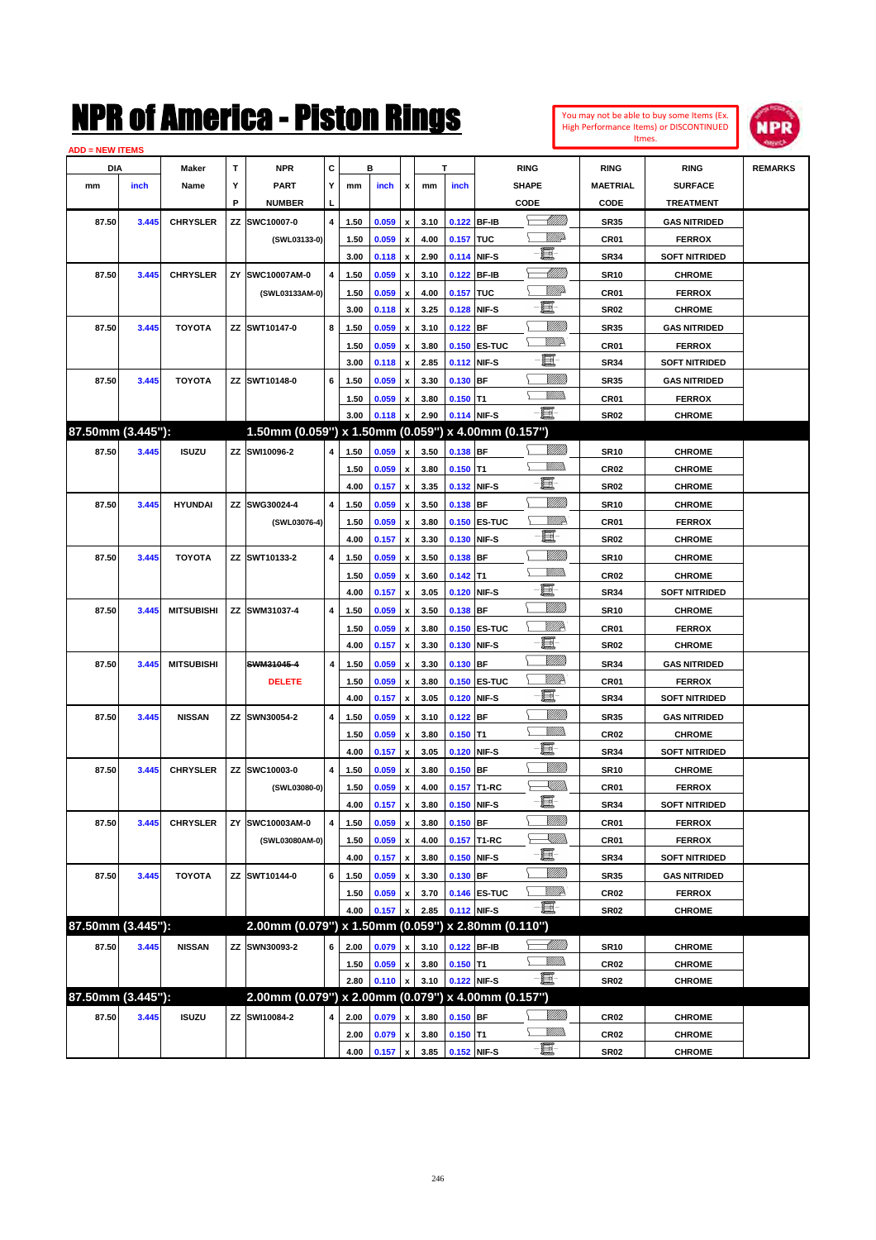| You may not be able to buy some Items (Ex.<br>High Performance Items) or DISCONTINUED | <b>LNPR</b> |
|---------------------------------------------------------------------------------------|-------------|
| Itmes.                                                                                |             |



| <b>ADD = NEW ITEMS</b> |       |                   |    |                                                     |                |              |                |                           |              |            |                     |                 |                          |                                |                |
|------------------------|-------|-------------------|----|-----------------------------------------------------|----------------|--------------|----------------|---------------------------|--------------|------------|---------------------|-----------------|--------------------------|--------------------------------|----------------|
| DIA                    |       | Maker             | т  | <b>NPR</b>                                          | C              |              | в              |                           |              | т          |                     | <b>RING</b>     | <b>RING</b>              | <b>RING</b>                    | <b>REMARKS</b> |
| mm                     | inch  | Name              | Υ  | <b>PART</b>                                         | Y              | mm           | inch           | x                         | mm           | inch       |                     | <b>SHAPE</b>    | <b>MAETRIAL</b>          | <b>SURFACE</b>                 |                |
|                        |       |                   | P  | <b>NUMBER</b>                                       | L,             |              |                |                           |              |            |                     | CODE            | CODE                     | <b>TREATMENT</b>               |                |
| 87.50                  | 3.445 | <b>CHRYSLER</b>   |    | ZZ SWC10007-0                                       | 4              | 1.50         | 0.059          | x                         | 3.10         |            | 0.122 BF-IB         | <u> MM/B</u>    | <b>SR35</b>              | <b>GAS NITRIDED</b>            |                |
|                        |       |                   |    | (SWL03133-0)                                        |                | 1.50         | 0.059          | $\boldsymbol{\mathsf{x}}$ | 4.00         | 0.157 TUC  |                     | <u>MMP</u>      | CR01                     | <b>FERROX</b>                  |                |
|                        |       |                   |    |                                                     |                | 3.00         | 0.118          | x                         | 2.90         |            | 0.114 NIF-S         | E               | <b>SR34</b>              | <b>SOFT NITRIDED</b>           |                |
| 87.50                  | 3.445 | <b>CHRYSLER</b>   | ZY | SWC10007AM-0                                        | $\overline{4}$ | 1.50         | 0.059          | x                         | 3.10         |            | 0.122 BF-IB         | <u>UMB</u>      | <b>SR10</b>              | <b>CHROME</b>                  |                |
|                        |       |                   |    | (SWL03133AM-0)                                      |                | 1.50         | 0.059          | x                         | 4.00         | 0.157 TUC  |                     | MMP             | CR01                     | <b>FERROX</b>                  |                |
|                        |       |                   |    |                                                     |                | 3.00         | 0.118          | x                         | 3.25         |            | 0.128 NIF-S         | ·E              | <b>SR02</b>              | <b>CHROME</b>                  |                |
| 87.50                  | 3.445 | <b>TOYOTA</b>     |    | ZZ SWT10147-0                                       | 8              | 1.50         | 0.059          | x                         | 3.10         | $0.122$ BF |                     | <u>MMM</u>      | <b>SR35</b>              | <b>GAS NITRIDED</b>            |                |
|                        |       |                   |    |                                                     |                | 1.50         | 0.059          | x                         | 3.80         |            | 0.150 ES-TUC        | <u>VM</u> D     | CR01                     | <b>FERROX</b>                  |                |
|                        |       |                   |    |                                                     |                | 3.00         | 0.118          | x                         | 2.85         |            | 0.112 NIF-S         | E               | <b>SR34</b>              | <b>SOFT NITRIDED</b>           |                |
| 87.50                  | 3.445 | <b>TOYOTA</b>     |    | ZZ SWT10148-0                                       | 6              | 1.50         | 0.059          |                           | 3.30         | $0.130$ BF |                     | <u>Milli</u> k  | <b>SR35</b>              | <b>GAS NITRIDED</b>            |                |
|                        |       |                   |    |                                                     |                | 1.50         | 0.059          | x                         | 3.80         | $0.150$ T1 |                     | .<br>VMD        | CR01                     | <b>FERROX</b>                  |                |
|                        |       |                   |    |                                                     |                | 3.00         | 0.118          | $\boldsymbol{\mathsf{x}}$ | 2.90         |            | 0.114 NIF-S         | -8              | <b>SR02</b>              | <b>CHROME</b>                  |                |
| 87.50mm (3.445"):      |       |                   |    | 1.50mm (0.059") x 1.50mm (0.059") x 4.00mm (0.157") |                |              |                |                           |              |            |                     |                 |                          |                                |                |
| 87.50                  | 3.445 | <b>ISUZU</b>      |    | ZZ SWI10096-2                                       | 4              | 1.50         | 0.059          | x                         | 3.50         | 0.138 BF   |                     |                 | <b>SR10</b>              | <b>CHROME</b>                  |                |
|                        |       |                   |    |                                                     |                | 1.50         | 0.059          | x                         | 3.80         | $0.150$ T1 |                     | .<br>VMD        | CR <sub>02</sub>         | <b>CHROME</b>                  |                |
|                        |       |                   |    |                                                     |                | 4.00         | 0.157          | x                         | 3.35         |            | 0.132 NIF-S         | t.              | <b>SR02</b>              | <b>CHROME</b>                  |                |
| 87.50                  | 3.445 | <b>HYUNDAI</b>    |    | ZZ SWG30024-4                                       | 4              | 1.50         | 0.059          | x                         | 3.50         | $0.138$ BF |                     | <u>Milli</u> k  | <b>SR10</b>              | <b>CHROME</b>                  |                |
|                        |       |                   |    | (SWL03076-4)                                        |                | 1.50         | 0.059          | x                         | 3.80         |            | <b>0.150 ES-TUC</b> | <u>William</u>  | CR01                     | <b>FERROX</b>                  |                |
|                        |       |                   |    |                                                     |                | 4.00         | 0.157          | x                         | 3.30         |            | 0.130 NIF-S         | e.              | <b>SR02</b>              | <b>CHROME</b>                  |                |
| 87.50                  | 3.445 | <b>TOYOTA</b>     |    | ZZ SWT10133-2                                       | 4              | 1.50         | 0.059          |                           | 3.50         | $0.138$ BF |                     | <u>Milli</u> k  | <b>SR10</b>              | <b>CHROME</b>                  |                |
|                        |       |                   |    |                                                     |                | 1.50         | 0.059          | x                         | 3.60         | $0.142$ T1 |                     | .<br>VMD        | CR <sub>02</sub>         | <b>CHROME</b>                  |                |
|                        |       |                   |    |                                                     |                | 4.00         | 0.157          | x                         | 3.05         |            | 0.120 NIF-S         | đ.              | <b>SR34</b>              | <b>SOFT NITRIDED</b>           |                |
| 87.50                  | 3.445 | <b>MITSUBISHI</b> |    | ZZ SWM31037-4                                       | 4              | 1.50         | 0.059          |                           | 3.50         | 0.138 BF   |                     | <u>Villida</u>  | <b>SR10</b>              | <b>CHROME</b>                  |                |
|                        |       |                   |    |                                                     |                | 1.50         | 0.059          | x                         | 3.80         |            | 0.150 ES-TUC        | WW              | CR01                     | <b>FERROX</b>                  |                |
|                        |       |                   |    |                                                     |                | 4.00         | 0.157          | x                         | 3.30         |            | 0.130 NIF-S         | E-              | <b>SR02</b>              | <b>CHROME</b>                  |                |
| 87.50                  | 3.445 | <b>MITSUBISHI</b> |    | SWM31045-4                                          | 4              | 1.50         | 0.059          |                           | 3.30         | 0.130 BF   |                     | <u>Villida</u>  | <b>SR34</b>              | <b>GAS NITRIDED</b>            |                |
|                        |       |                   |    | <b>DELETE</b>                                       |                | 1.50         | 0.059          | x                         | 3.80         |            | <b>0.150 ES-TUC</b> | <u>VIIID</u>    | CR01                     | <b>FERROX</b>                  |                |
|                        |       |                   |    |                                                     |                | 4.00         | 0.157          | x                         | 3.05         |            | 0.120 NIF-S         | e.              | <b>SR34</b>              | <b>SOFT NITRIDED</b>           |                |
| 87.50                  | 3.445 | <b>NISSAN</b>     |    | ZZ SWN30054-2                                       | 4              | 1.50         | 0.059          | x                         | 3.10         | $0.122$ BF |                     | <u>Milli</u>    | <b>SR35</b>              | <b>GAS NITRIDED</b>            |                |
|                        |       |                   |    |                                                     |                | 1.50         | 0.059          |                           | 3.80         | $0.150$ T1 |                     | <br>Villida     | CR <sub>02</sub>         | <b>CHROME</b>                  |                |
|                        |       |                   |    |                                                     |                | 4.00         | 0.157          | x                         | 3.05         |            | 0.120 NIF-S         | -8              | <b>SR34</b>              | <b>SOFT NITRIDED</b>           |                |
| 87.50                  | 3.445 | <b>CHRYSLER</b>   |    | ZZ SWC10003-0                                       | $\overline{4}$ | 1.50         | 0.059          |                           | 3.80         | $0.150$ BF |                     | <u>Milli</u> k  | <b>SR10</b>              | <b>CHROME</b>                  |                |
|                        |       |                   |    | (SWL03080-0)                                        |                | 1.50         | 0.059          |                           | 4.00         |            | 0.157 T1-RC         | <u>XM))</u>     | CR01                     | <b>FERROX</b>                  |                |
|                        |       |                   |    |                                                     |                | 4.00         | 0.157          | $\pmb{\mathsf{x}}$        | 3.80         |            | 0.150 NIF-S         | -日              | SR34                     | <b>SOFT NITRIDED</b>           |                |
| 87.50                  | 3.445 | <b>CHRYSLER</b>   | ΖY | SWC10003AM-0                                        | 4              | 1.50         | 0.059          | $\pmb{\mathsf{x}}$        | 3.80         | $0.150$ BF |                     | V <i>MM</i> )   | CR01                     | <b>FERROX</b>                  |                |
|                        |       |                   |    | (SWL03080AM-0)                                      |                | 1.50         | 0.059          | x                         | 4.00         |            | 0.157 T1-RC         | <u>Sillin</u>   | CR01                     | <b>FERROX</b>                  |                |
|                        |       |                   |    |                                                     |                | 4.00         | 0.157          | $\pmb{\mathsf{x}}$        | 3.80         |            | 0.150 NIF-S         | E-              | <b>SR34</b>              | <b>SOFT NITRIDED</b>           |                |
| 87.50                  | 3.445 | <b>TOYOTA</b>     |    | ZZ SWT10144-0                                       | 6              | 1.50         | 0.059          | х                         | 3.30         | 0.130 BF   |                     | VIIII)          | <b>SR35</b>              | <b>GAS NITRIDED</b>            |                |
|                        |       |                   |    |                                                     |                | 1.50         | 0.059          | x                         | 3.70         |            | 0.146 ES-TUC        | ₩₩              | CR02                     | <b>FERROX</b>                  |                |
|                        |       |                   |    |                                                     |                | 4.00         | 0.157          |                           | 2.85         |            | 0.112 NIF-S         | e.              | SR02                     | <b>CHROME</b>                  |                |
| 87.50mm (3.445"):      |       |                   |    | 2.00mm (0.079") x 1.50mm (0.059") x 2.80mm (0.110") |                |              |                |                           |              |            |                     |                 |                          |                                |                |
| 87.50                  |       |                   |    | ZZ SWN30093-2                                       |                |              |                |                           |              |            | 0.122 BF-IB         | <u> MMM</u>     |                          |                                |                |
|                        | 3.445 | <b>NISSAN</b>     |    |                                                     | 6              | 2.00         | 0.079          | x                         | 3.10         |            |                     | <u>VMM)</u>     | <b>SR10</b>              | <b>CHROME</b>                  |                |
|                        |       |                   |    |                                                     |                | 1.50<br>2.80 | 0.059<br>0.110 | x<br>x                    | 3.80<br>3.10 | $0.150$ T1 | 0.122 NIF-S         | $-\blacksquare$ | CR <sub>02</sub><br>SR02 | <b>CHROME</b><br><b>CHROME</b> |                |
| 87.50mm (3.445"):      |       |                   |    | 2.00mm (0.079") x 2.00mm (0.079") x 4.00mm (0.157") |                |              |                |                           |              |            |                     |                 |                          |                                |                |
| 87.50                  | 3.445 | <b>ISUZU</b>      |    | ZZ SWI10084-2                                       | 4              | 2.00         | 0.079          |                           | 3.80         | $0.150$ BF |                     | <u>Milli</u> h  | CR <sub>02</sub>         | <b>CHROME</b>                  |                |
|                        |       |                   |    |                                                     |                |              |                | x                         |              |            |                     | <u>WMW</u>      |                          |                                |                |
|                        |       |                   |    |                                                     |                | 2.00<br>4.00 | 0.079<br>0.157 | x<br>$\pmb{\mathsf{x}}$   | 3.80<br>3.85 | $0.150$ T1 | 0.152 NIF-S         | $-\Xi$ -        | CR02<br><b>SR02</b>      | <b>CHROME</b><br><b>CHROME</b> |                |
|                        |       |                   |    |                                                     |                |              |                |                           |              |            |                     |                 |                          |                                |                |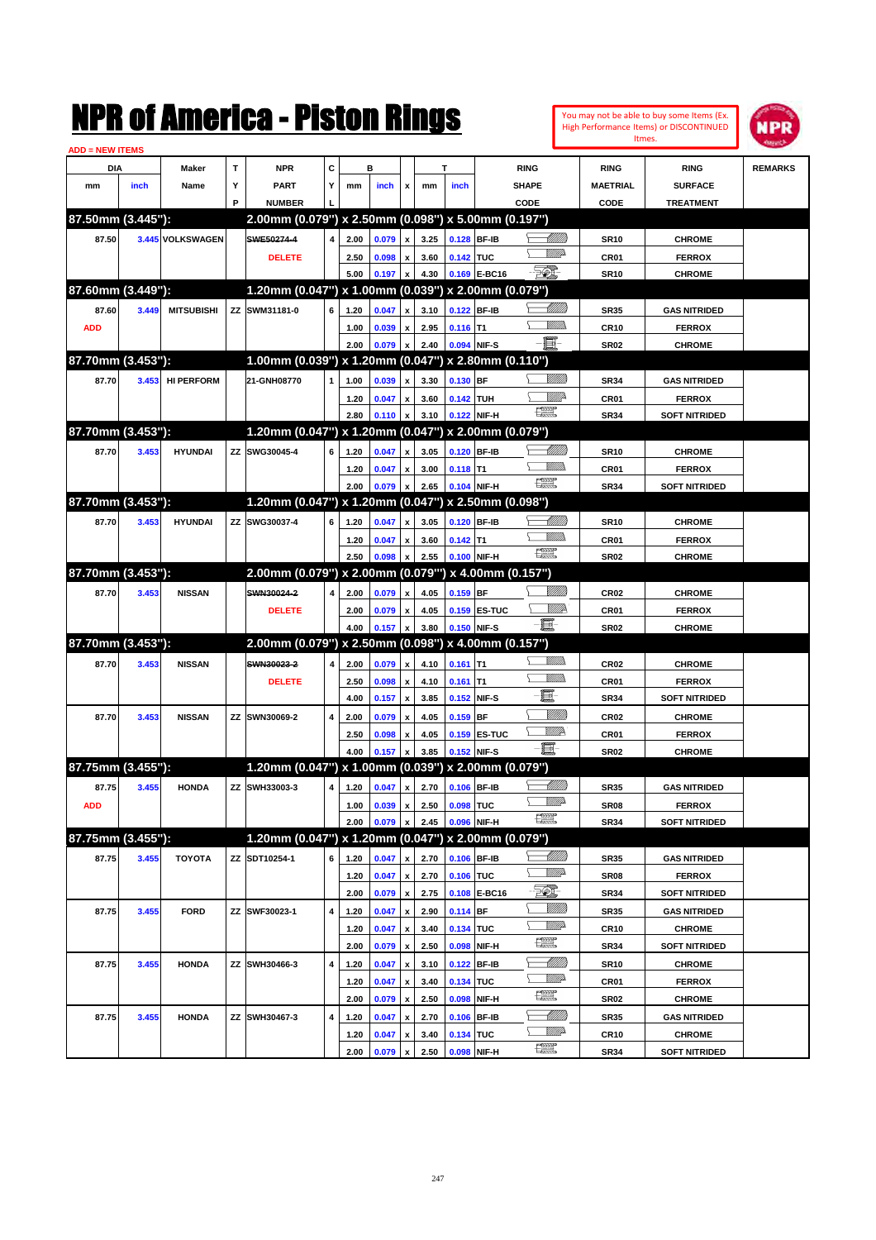

| <b>ADD = NEW ITEMS</b> |       |                   |    |                                                      |                         |      |       |                           |              |            |                             |                                                                                                                                                                                                                                                                                                                                                                                             |                 |                      |                |
|------------------------|-------|-------------------|----|------------------------------------------------------|-------------------------|------|-------|---------------------------|--------------|------------|-----------------------------|---------------------------------------------------------------------------------------------------------------------------------------------------------------------------------------------------------------------------------------------------------------------------------------------------------------------------------------------------------------------------------------------|-----------------|----------------------|----------------|
| DIA                    |       | <b>Maker</b>      | T  | <b>NPR</b>                                           | С                       |      | в     |                           |              | т          |                             | <b>RING</b>                                                                                                                                                                                                                                                                                                                                                                                 | <b>RING</b>     | <b>RING</b>          | <b>REMARKS</b> |
| mm                     | inch  | Name              | Y  | <b>PART</b>                                          | Y                       | mm   | inch  | x                         | mm           | inch       |                             | <b>SHAPE</b>                                                                                                                                                                                                                                                                                                                                                                                | <b>MAETRIAL</b> | <b>SURFACE</b>       |                |
|                        |       |                   | P  | <b>NUMBER</b>                                        |                         |      |       |                           |              |            |                             | CODE                                                                                                                                                                                                                                                                                                                                                                                        | CODE            | <b>TREATMENT</b>     |                |
| 87.50mm (3.445"):      |       |                   |    | 2.00mm (0.079") x 2.50mm (0.098") x 5.00mm (0.197")  |                         |      |       |                           |              |            |                             |                                                                                                                                                                                                                                                                                                                                                                                             |                 |                      |                |
| 87.50                  |       | 3.445 VOLKSWAGEN  |    | SWE50274-4                                           | 4                       | 2.00 | 0.079 | $\pmb{\mathsf{x}}$        | 3.25         |            | 0.128 BF-IB                 | <u>UMM</u>                                                                                                                                                                                                                                                                                                                                                                                  | <b>SR10</b>     | <b>CHROME</b>        |                |
|                        |       |                   |    | <b>DELETE</b>                                        |                         | 2.50 | 0.098 | x                         | 3.60         | 0.142 TUC  |                             | <u>MMP</u>                                                                                                                                                                                                                                                                                                                                                                                  | CR01            | <b>FERROX</b>        |                |
|                        |       |                   |    |                                                      |                         | 5.00 | 0.197 | $\boldsymbol{\mathsf{x}}$ | 4.30         |            | 0.169 E-BC16                | <b>501</b>                                                                                                                                                                                                                                                                                                                                                                                  | <b>SR10</b>     | <b>CHROME</b>        |                |
| 87.60mm (3.449"):      |       |                   |    | 1.20mm (0.047") x 1.00mm (0.039") x 2.00mm (0.079")  |                         |      |       |                           |              |            |                             |                                                                                                                                                                                                                                                                                                                                                                                             |                 |                      |                |
| 87.60                  | 3.449 | <b>MITSUBISHI</b> |    | ZZ SWM31181-0                                        | 6                       | 1.20 | 0.047 | x                         | 3.10         |            | 0.122 BF-IB                 | <u>siiliin</u>                                                                                                                                                                                                                                                                                                                                                                              | <b>SR35</b>     | <b>GAS NITRIDED</b>  |                |
| <b>ADD</b>             |       |                   |    |                                                      |                         | 1.00 | 0.039 | x                         | 2.95         | $0.116$ T1 |                             |                                                                                                                                                                                                                                                                                                                                                                                             | <b>CR10</b>     | <b>FERROX</b>        |                |
|                        |       |                   |    |                                                      |                         | 2.00 | 0.079 | x                         | 2.40         |            | 0.094 NIF-S                 | E                                                                                                                                                                                                                                                                                                                                                                                           | <b>SR02</b>     | <b>CHROME</b>        |                |
| 87.70mm (3.453"):      |       |                   |    | 1.00mm (0.039") x 1.20mm (0.047") x 2.80mm (0.110")  |                         |      |       |                           |              |            |                             |                                                                                                                                                                                                                                                                                                                                                                                             |                 |                      |                |
| 87.70                  | 3.453 | <b>HI PERFORM</b> |    | 21-GNH08770                                          | 1                       | 1.00 | 0.039 | x                         | 3.30         | 0.130 BF   |                             |                                                                                                                                                                                                                                                                                                                                                                                             | <b>SR34</b>     | <b>GAS NITRIDED</b>  |                |
|                        |       |                   |    |                                                      |                         | 1.20 | 0.047 | x                         | 3.60         | 0.142 TUH  |                             | ₩₩                                                                                                                                                                                                                                                                                                                                                                                          | CR01            | <b>FERROX</b>        |                |
|                        |       |                   |    |                                                      |                         | 2.80 | 0.110 | x                         | 3.10         |            | 0.122 NIF-H                 | <b>The Control</b>                                                                                                                                                                                                                                                                                                                                                                          | <b>SR34</b>     | <b>SOFT NITRIDED</b> |                |
| 87.70mm (3.453"):      |       |                   |    | 1.20mm (0.047") x 1.20mm (0.047") x 2.00mm (0.079")  |                         |      |       |                           |              |            |                             |                                                                                                                                                                                                                                                                                                                                                                                             |                 |                      |                |
| 87.70                  | 3.453 | <b>HYUNDAI</b>    | ΖZ | SWG30045-4                                           | 6                       | 1.20 | 0.047 | x                         | 3.05         |            | 0.120 BF-IB                 | MMM                                                                                                                                                                                                                                                                                                                                                                                         | <b>SR10</b>     | <b>CHROME</b>        |                |
|                        |       |                   |    |                                                      |                         | 1.20 | 0.047 | x                         | 3.00         | $0.118$ T1 |                             |                                                                                                                                                                                                                                                                                                                                                                                             | CR01            | <b>FERROX</b>        |                |
|                        |       |                   |    |                                                      |                         | 2.00 | 0.079 | x                         | 2.65         |            | 0.104 NIF-H                 | <b>The Control</b>                                                                                                                                                                                                                                                                                                                                                                          | <b>SR34</b>     | <b>SOFT NITRIDED</b> |                |
| 87.70mm (3.453"):      |       |                   |    | 1.20mm (0.047") x 1.20mm (0.047") x 2.50mm (0.098")  |                         |      |       |                           |              |            |                             |                                                                                                                                                                                                                                                                                                                                                                                             |                 |                      |                |
| 87.70                  | 3.453 | <b>HYUNDAI</b>    |    | ZZ SWG30037-4                                        | 6                       | 1.20 | 0.047 | $\pmb{\mathsf{x}}$        | 3.05         |            | 0.120 BF-IB                 | MMM                                                                                                                                                                                                                                                                                                                                                                                         | <b>SR10</b>     | <b>CHROME</b>        |                |
|                        |       |                   |    |                                                      |                         | 1.20 | 0.047 | x                         | 3.60         | $0.142$ T1 |                             |                                                                                                                                                                                                                                                                                                                                                                                             | CR01            | <b>FERROX</b>        |                |
|                        |       |                   |    |                                                      |                         | 2.50 | 0.098 | x                         | 2.55         |            | 0.100 NIF-H                 | 漂                                                                                                                                                                                                                                                                                                                                                                                           | <b>SR02</b>     | <b>CHROME</b>        |                |
| 87.70mm (3.453"):      |       |                   |    | 2.00mm (0.079") x 2.00mm (0.079"") x 4.00mm (0.157") |                         |      |       |                           |              |            |                             |                                                                                                                                                                                                                                                                                                                                                                                             |                 |                      |                |
| 87.70                  | 3.453 | <b>NISSAN</b>     |    | SWN30024-2                                           | 4                       |      |       |                           | 4.05         | $0.159$ BF |                             | <u>Milli</u> k                                                                                                                                                                                                                                                                                                                                                                              |                 |                      |                |
|                        |       |                   |    |                                                      |                         | 2.00 | 0.079 | $\pmb{\mathsf{x}}$        |              |            |                             | ₩₩                                                                                                                                                                                                                                                                                                                                                                                          | <b>CR02</b>     | <b>CHROME</b>        |                |
|                        |       |                   |    | <b>DELETE</b>                                        |                         | 2.00 | 0.079 | x                         | 4.05<br>3.80 |            | 0.159 ES-TUC<br>0.150 NIF-S | e.                                                                                                                                                                                                                                                                                                                                                                                          | CR01            | <b>FERROX</b>        |                |
| 87.70mm (3.453"):      |       |                   |    | 2.00mm (0.079") x 2.50mm (0.098") x 4.00mm (0.157")  |                         | 4.00 | 0.157 | x                         |              |            |                             |                                                                                                                                                                                                                                                                                                                                                                                             | <b>SR02</b>     | <b>CHROME</b>        |                |
|                        |       |                   |    |                                                      |                         |      |       |                           |              |            |                             | 9777)).                                                                                                                                                                                                                                                                                                                                                                                     |                 |                      |                |
| 87.70                  | 3.453 | <b>NISSAN</b>     |    | SWN30023-2                                           | 4                       | 2.00 | 0.079 | $\pmb{\mathsf{x}}$        | 4.10         | $0.161$ T1 |                             |                                                                                                                                                                                                                                                                                                                                                                                             | <b>CR02</b>     | <b>CHROME</b>        |                |
|                        |       |                   |    | <b>DELETE</b>                                        |                         | 2.50 | 0.098 | x                         | 4.10         | $0.161$ T1 |                             | E                                                                                                                                                                                                                                                                                                                                                                                           | CR01            | <b>FERROX</b>        |                |
|                        |       |                   |    |                                                      |                         | 4.00 | 0.157 | $\pmb{\mathsf{x}}$        | 3.85         |            | 0.152 NIF-S                 | <u>MMM</u>                                                                                                                                                                                                                                                                                                                                                                                  | <b>SR34</b>     | <b>SOFT NITRIDED</b> |                |
| 87.70                  | 3.453 | <b>NISSAN</b>     | ΖZ | SWN30069-2                                           | 4                       | 2.00 | 0.079 | x                         | 4.05         | $0.159$ BF |                             | <u>W//A</u>                                                                                                                                                                                                                                                                                                                                                                                 | <b>CR02</b>     | <b>CHROME</b>        |                |
|                        |       |                   |    |                                                      |                         | 2.50 | 0.098 | x                         | 4.05         |            | <b>0.159 ES-TUC</b>         | <b>-圓-</b>                                                                                                                                                                                                                                                                                                                                                                                  | CR01            | <b>FERROX</b>        |                |
|                        |       |                   |    |                                                      |                         | 4.00 | 0.157 | X                         | 3.85         |            | 0.152 NIF-S                 |                                                                                                                                                                                                                                                                                                                                                                                             | <b>SR02</b>     | <b>CHROME</b>        |                |
| 87.75mm (3.455"):      |       |                   |    | 1.20mm (0.047") x 1.00mm (0.039") x 2.00mm (0.079")  |                         |      |       |                           |              |            |                             |                                                                                                                                                                                                                                                                                                                                                                                             |                 |                      |                |
| 87.75                  | 3.455 | <b>HONDA</b>      | ΖZ | SWH33003-3                                           | 4                       | 1.20 | 0.047 | x                         | 2.70         |            | 0.106 BF-IB                 | <u> UMM</u>                                                                                                                                                                                                                                                                                                                                                                                 | <b>SR35</b>     | <b>GAS NITRIDED</b>  |                |
| <b>ADD</b>             |       |                   |    |                                                      |                         | 1.00 | 0.039 | $\mathbf{x}$              | 2.50         | 0.098 TUC  |                             | $\begin{picture}(20,20) \put(0,0){\dashbox{0.5}(20,0){ }} \put(15,0){\circle{10}} \put(25,0){\circle{10}} \put(25,0){\circle{10}} \put(25,0){\circle{10}} \put(25,0){\circle{10}} \put(25,0){\circle{10}} \put(25,0){\circle{10}} \put(25,0){\circle{10}} \put(25,0){\circle{10}} \put(25,0){\circle{10}} \put(25,0){\circle{10}} \put(25,0){\circle{10}} \put(25,0){\circle{10}} \put(25,$ | <b>SR08</b>     | <b>FERROX</b>        |                |
|                        |       |                   |    |                                                      |                         | 2.00 | 0.079 | $\pmb{\mathsf{x}}$        | 2.45         |            | 0.096 NIF-H                 |                                                                                                                                                                                                                                                                                                                                                                                             | <b>SR34</b>     | <b>SOFT NITRIDED</b> |                |
| 87.75mm (3.455"):      |       |                   |    | 1.20mm (0.047") x 1.20mm (0.047") x 2.00mm (0.079")  |                         |      |       |                           |              |            |                             |                                                                                                                                                                                                                                                                                                                                                                                             |                 |                      |                |
| 87.75                  | 3.455 | <b>TOYOTA</b>     |    | ZZ SDT10254-1                                        | 6                       | 1.20 | 0.047 | $\pmb{\mathsf{x}}$        | 2.70         |            | 0.106 BF-IB                 | <u> Millitt</u>                                                                                                                                                                                                                                                                                                                                                                             | SR35            | <b>GAS NITRIDED</b>  |                |
|                        |       |                   |    |                                                      |                         | 1.20 | 0.047 | $\pmb{\mathsf{x}}$        | 2.70         | 0.106 TUC  |                             | <u>VM</u> A                                                                                                                                                                                                                                                                                                                                                                                 | <b>SR08</b>     | <b>FERROX</b>        |                |
|                        |       |                   |    |                                                      |                         | 2.00 | 0.079 | $\pmb{\mathsf{x}}$        | 2.75         |            | 0.108 E-BC16                | EQ)                                                                                                                                                                                                                                                                                                                                                                                         | <b>SR34</b>     | <b>SOFT NITRIDED</b> |                |
| 87.75                  | 3.455 | <b>FORD</b>       |    | ZZ SWF30023-1                                        | 4                       | 1.20 | 0.047 | $\pmb{\mathsf{x}}$        | 2.90         | $0.114$ BF |                             | <u>Sillilli</u>                                                                                                                                                                                                                                                                                                                                                                             | SR35            | <b>GAS NITRIDED</b>  |                |
|                        |       |                   |    |                                                      |                         | 1.20 | 0.047 | x                         | 3.40         | 0.134 TUC  |                             | <u>WW</u> A                                                                                                                                                                                                                                                                                                                                                                                 | CR10            | <b>CHROME</b>        |                |
|                        |       |                   |    |                                                      |                         | 2.00 | 0.079 | $\pmb{\mathsf{x}}$        | 2.50         |            | 0.098 NIF-H                 | $\frac{1}{2}$                                                                                                                                                                                                                                                                                                                                                                               | <b>SR34</b>     | <b>SOFT NITRIDED</b> |                |
| 87.75                  | 3.455 | <b>HONDA</b>      |    | ZZ SWH30466-3                                        | $\overline{\mathbf{4}}$ | 1.20 | 0.047 | x                         | 3.10         |            | 0.122 BF-IB                 |                                                                                                                                                                                                                                                                                                                                                                                             | <b>SR10</b>     | <b>CHROME</b>        |                |
|                        |       |                   |    |                                                      |                         | 1.20 | 0.047 | x                         | 3.40         | 0.134 TUC  |                             | <u>WW</u> A                                                                                                                                                                                                                                                                                                                                                                                 | CR01            | <b>FERROX</b>        |                |
|                        |       |                   |    |                                                      |                         | 2.00 | 0.079 | $\pmb{\mathsf{x}}$        | 2.50         |            | 0.098 NIF-H                 | $\frac{1}{2}$                                                                                                                                                                                                                                                                                                                                                                               | <b>SR02</b>     | <b>CHROME</b>        |                |
| 87.75                  | 3.455 | <b>HONDA</b>      |    | ZZ SWH30467-3                                        | 4                       | 1.20 | 0.047 | x                         | 2.70         |            | 0.106 BF-IB                 |                                                                                                                                                                                                                                                                                                                                                                                             | SR35            | <b>GAS NITRIDED</b>  |                |
|                        |       |                   |    |                                                      |                         | 1.20 | 0.047 | x                         | 3.40         | 0.134 TUC  |                             | <u>WW</u> A                                                                                                                                                                                                                                                                                                                                                                                 | <b>CR10</b>     | <b>CHROME</b>        |                |
|                        |       |                   |    |                                                      |                         | 2.00 | 0.079 | x                         | 2.50         |            | 0.098 NIF-H                 | H                                                                                                                                                                                                                                                                                                                                                                                           | SR34            | <b>SOFT NITRIDED</b> |                |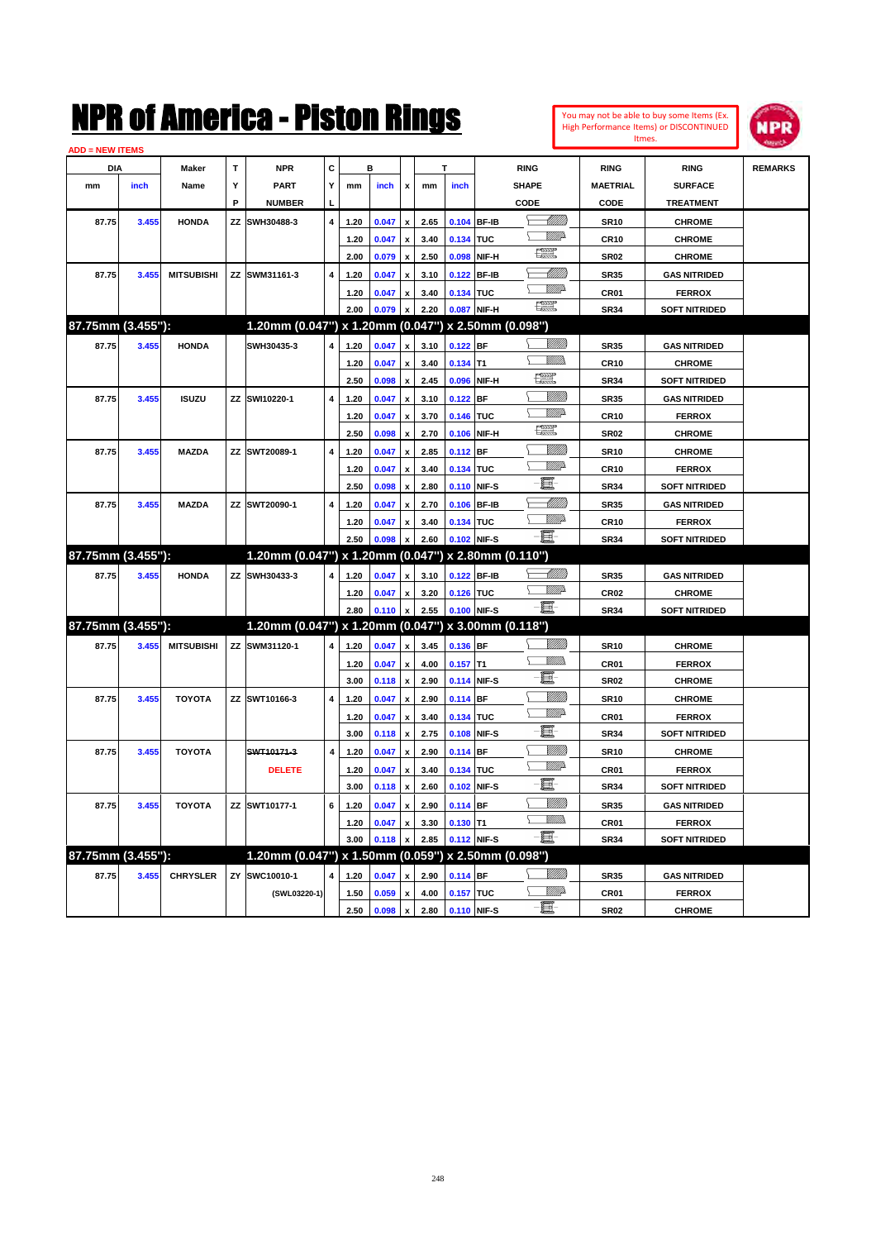| You may not be able to buy some Items (Ex. |
|--------------------------------------------|
| High Performance Items) or DISCONTINUED    |
| Itmes.                                     |



| <b>ADD = NEW ITEMS</b> |       |                   |   |                                                     |                         |      |       |                           |      |             |             |                    |                  |                      |                |
|------------------------|-------|-------------------|---|-----------------------------------------------------|-------------------------|------|-------|---------------------------|------|-------------|-------------|--------------------|------------------|----------------------|----------------|
| DIA                    |       | Maker             | т | <b>NPR</b>                                          | С                       |      | в     |                           |      |             |             | <b>RING</b>        | <b>RING</b>      | <b>RING</b>          | <b>REMARKS</b> |
| mm                     | inch  | Name              | Υ | <b>PART</b>                                         | Y                       | mm   | inch  | $\pmb{\mathsf{x}}$        | mm   | inch        |             | <b>SHAPE</b>       | <b>MAETRIAL</b>  | <b>SURFACE</b>       |                |
|                        |       |                   | P | <b>NUMBER</b>                                       | L                       |      |       |                           |      |             |             | CODE               | CODE             | <b>TREATMENT</b>     |                |
| 87.75                  | 3.455 | <b>HONDA</b>      |   | ZZ SWH30488-3                                       | 4                       | 1.20 | 0.047 | $\pmb{\mathsf{x}}$        | 2.65 | 0.104 BF-IB |             | <u> UMM)</u>       | <b>SR10</b>      | <b>CHROME</b>        |                |
|                        |       |                   |   |                                                     |                         | 1.20 | 0.047 | $\boldsymbol{\mathsf{x}}$ | 3.40 | 0.134 TUC   |             | VMB                | <b>CR10</b>      | <b>CHROME</b>        |                |
|                        |       |                   |   |                                                     |                         | 2.00 | 0.079 | $\pmb{\mathsf{x}}$        | 2.50 |             | 0.098 NIF-H | t et               | <b>SR02</b>      | <b>CHROME</b>        |                |
| 87.75                  | 3.455 | <b>MITSUBISHI</b> |   | ZZ SWM31161-3                                       | $\overline{4}$          | 1.20 | 0.047 | $\mathbf{x}$              | 3.10 |             | 0.122 BF-IB | <u>- MMB</u>       | <b>SR35</b>      | <b>GAS NITRIDED</b>  |                |
|                        |       |                   |   |                                                     |                         | 1.20 | 0.047 | $\boldsymbol{\mathsf{x}}$ | 3.40 | 0.134 TUC   |             | WMA                | CR01             | <b>FERROX</b>        |                |
|                        |       |                   |   |                                                     |                         | 2.00 | 0.079 |                           | 2.20 |             | 0.087 NIF-H | œ                  | <b>SR34</b>      | <b>SOFT NITRIDED</b> |                |
| 87.75mm (3.455"):      |       |                   |   | 1.20mm (0.047") x 1.20mm (0.047") x 2.50mm (0.098") |                         |      |       |                           |      |             |             |                    |                  |                      |                |
| 87.75                  | 3.455 | <b>HONDA</b>      |   | SWH30435-3                                          | 4                       | 1.20 | 0.047 |                           | 3.10 | $0.122$ BF  |             | 7777))             | <b>SR35</b>      | <b>GAS NITRIDED</b>  |                |
|                        |       |                   |   |                                                     |                         | 1.20 | 0.047 | x                         | 3.40 | $0.134$ T1  |             | Σ<br>VM).          | <b>CR10</b>      | <b>CHROME</b>        |                |
|                        |       |                   |   |                                                     |                         | 2.50 | 0.098 | $\pmb{\mathsf{x}}$        | 2.45 |             | 0.096 NIF-H | t et               | <b>SR34</b>      | <b>SOFT NITRIDED</b> |                |
| 87.75                  | 3.455 | <b>ISUZU</b>      |   | ZZ SWI10220-1                                       | $\overline{\mathbf{4}}$ | 1.20 | 0.047 | x                         | 3.10 | 0.122 BF    |             | <u>Milli</u> b     | <b>SR35</b>      | <b>GAS NITRIDED</b>  |                |
|                        |       |                   |   |                                                     |                         | 1.20 | 0.047 | $\pmb{\mathsf{x}}$        | 3.70 | 0.146 TUC   |             | <u>MM</u>          | <b>CR10</b>      | <b>FERROX</b>        |                |
|                        |       |                   |   |                                                     |                         | 2.50 | 0.098 |                           | 2.70 |             | 0.106 NIF-H | 環                  | <b>SR02</b>      | <b>CHROME</b>        |                |
| 87.75                  | 3.455 | <b>MAZDA</b>      |   | ZZ SWT20089-1                                       | 4                       | 1.20 | 0.047 | X                         | 2.85 | $0.112$ BF  |             | VIIII)             | <b>SR10</b>      | <b>CHROME</b>        |                |
|                        |       |                   |   |                                                     |                         | 1.20 | 0.047 | x                         | 3.40 | 0.134 TUC   |             | VMD-               | <b>CR10</b>      | <b>FERROX</b>        |                |
|                        |       |                   |   |                                                     |                         | 2.50 | 0.098 | x                         | 2.80 | 0.110 NIF-S |             | 頁                  | <b>SR34</b>      | <b>SOFT NITRIDED</b> |                |
| 87.75                  | 3.455 | <b>MAZDA</b>      |   | ZZ SWT20090-1                                       | 4                       | 1.20 | 0.047 | $\mathbf{x}$              | 2.70 | 0.106 BF-IB |             | <u>UMB</u>         | <b>SR35</b>      | <b>GAS NITRIDED</b>  |                |
|                        |       |                   |   |                                                     |                         | 1.20 | 0.047 | x                         | 3.40 | 0.134 TUC   |             | VMD                | <b>CR10</b>      | <b>FERROX</b>        |                |
|                        |       |                   |   |                                                     |                         | 2.50 | 0.098 |                           | 2.60 |             | 0.102 NIF-S | 巨                  | <b>SR34</b>      | <b>SOFT NITRIDED</b> |                |
| 87.75mm (3.455"):      |       |                   |   | 1.20mm (0.047") x 1.20mm (0.047") x 2.80mm (0.110") |                         |      |       |                           |      |             |             |                    |                  |                      |                |
| 87.75                  | 3.455 | <b>HONDA</b>      |   | ZZ SWH30433-3                                       | 4                       | 1.20 | 0.047 |                           | 3.10 |             | 0.122 BF-IB | <u> Millito</u>    | <b>SR35</b>      | <b>GAS NITRIDED</b>  |                |
|                        |       |                   |   |                                                     |                         | 1.20 | 0.047 | x                         | 3.20 | 0.126 TUC   |             | <u>WW</u> A        | <b>CR02</b>      | <b>CHROME</b>        |                |
|                        |       |                   |   |                                                     |                         | 2.80 | 0.110 | x                         | 2.55 |             | 0.100 NIF-S | - E                | <b>SR34</b>      | <b>SOFT NITRIDED</b> |                |
| 87.75mm (3.455"):      |       |                   |   | 1.20mm (0.047") x 1.20mm (0.047") x 3.00mm (0.118") |                         |      |       |                           |      |             |             |                    |                  |                      |                |
| 87.75                  | 3.455 | <b>MITSUBISHI</b> |   | ZZ SWM31120-1                                       | 4                       | 1.20 | 0.047 | $\pmb{\mathsf{x}}$        | 3.45 | 0.136 BF    |             | <u>MMB</u>         | <b>SR10</b>      | <b>CHROME</b>        |                |
|                        |       |                   |   |                                                     |                         | 1.20 | 0.047 | $\pmb{\mathsf{x}}$        | 4.00 | $0.157$ T1  |             | .<br>Militar<br>Y. | CR01             | <b>FERROX</b>        |                |
|                        |       |                   |   |                                                     |                         | 3.00 | 0.118 | x                         | 2.90 | 0.114 NIF-S |             | e.                 | <b>SR02</b>      | <b>CHROME</b>        |                |
| 87.75                  | 3.455 | <b>TOYOTA</b>     |   | ZZ SWT10166-3                                       | $\overline{\mathbf{4}}$ | 1.20 | 0.047 | $\mathbf{x}$              | 2.90 | $0.114$ BF  |             | <u>UMB</u>         | <b>SR10</b>      | <b>CHROME</b>        |                |
|                        |       |                   |   |                                                     |                         | 1.20 | 0.047 | X                         | 3.40 | 0.134 TUC   |             | <u>VM</u> D        | CR <sub>01</sub> | <b>FERROX</b>        |                |
|                        |       |                   |   |                                                     |                         | 3.00 | 0.118 | x                         | 2.75 | 0.108 NIF-S |             | E                  | <b>SR34</b>      | <b>SOFT NITRIDED</b> |                |
| 87.75                  | 3.455 | <b>TOYOTA</b>     |   | SWT10171-3                                          | $\overline{\mathbf{4}}$ | 1.20 | 0.047 | ¥                         | 2.90 | $0.114$ BF  |             |                    | <b>SR10</b>      | <b>CHROME</b>        |                |
|                        |       |                   |   | <b>DELETE</b>                                       |                         | 1.20 | 0.047 | x                         | 3.40 | 0.134 TUC   |             | <u>MA</u>          | CR01             | <b>FERROX</b>        |                |
|                        |       |                   |   |                                                     |                         | 3.00 | 0.118 | $\pmb{\mathsf{x}}$        | 2.60 |             | 0.102 NIF-S | 夏                  | <b>SR34</b>      | <b>SOFT NITRIDED</b> |                |
| 87.75                  | 3.455 | <b>TOYOTA</b>     |   | ZZ SWT10177-1                                       | 6                       | 1.20 | 0.047 | x                         | 2.90 | $0.114$ BF  |             | <u>MMB</u>         | <b>SR35</b>      | <b>GAS NITRIDED</b>  |                |
|                        |       |                   |   |                                                     |                         | 1.20 | 0.047 |                           | 3.30 | $0.130$ T1  |             | <u>Willib</u><br>⅀ | CR01             | <b>FERROX</b>        |                |
|                        |       |                   |   |                                                     |                         | 3.00 | 0.118 | x                         | 2.85 | 0.112 NIF-S |             | - 1                | SR34             | <b>SOFT NITRIDED</b> |                |
| 87.75mm (3.455"):      |       |                   |   | 1.20mm (0.047") x 1.50mm (0.059") x 2.50mm (0.098") |                         |      |       |                           |      |             |             |                    |                  |                      |                |
| 87.75                  | 3.455 | <b>CHRYSLER</b>   |   | ZY SWC10010-1                                       | 4                       | 1.20 | 0.047 | $\mathbf{x}$              | 2.90 | 0.114 BF    |             | 7777).             | <b>SR35</b>      | <b>GAS NITRIDED</b>  |                |
|                        |       |                   |   | (SWL03220-1)                                        |                         | 1.50 | 0.059 | $\boldsymbol{\mathsf{x}}$ | 4.00 | 0.157 TUC   |             | <u>MMP</u>         | CR01             | <b>FERROX</b>        |                |
|                        |       |                   |   |                                                     |                         | 2.50 | 0.098 | $\pmb{\mathsf{x}}$        | 2.80 | 0.110 NIF-S |             | 圓                  | <b>SR02</b>      | <b>CHROME</b>        |                |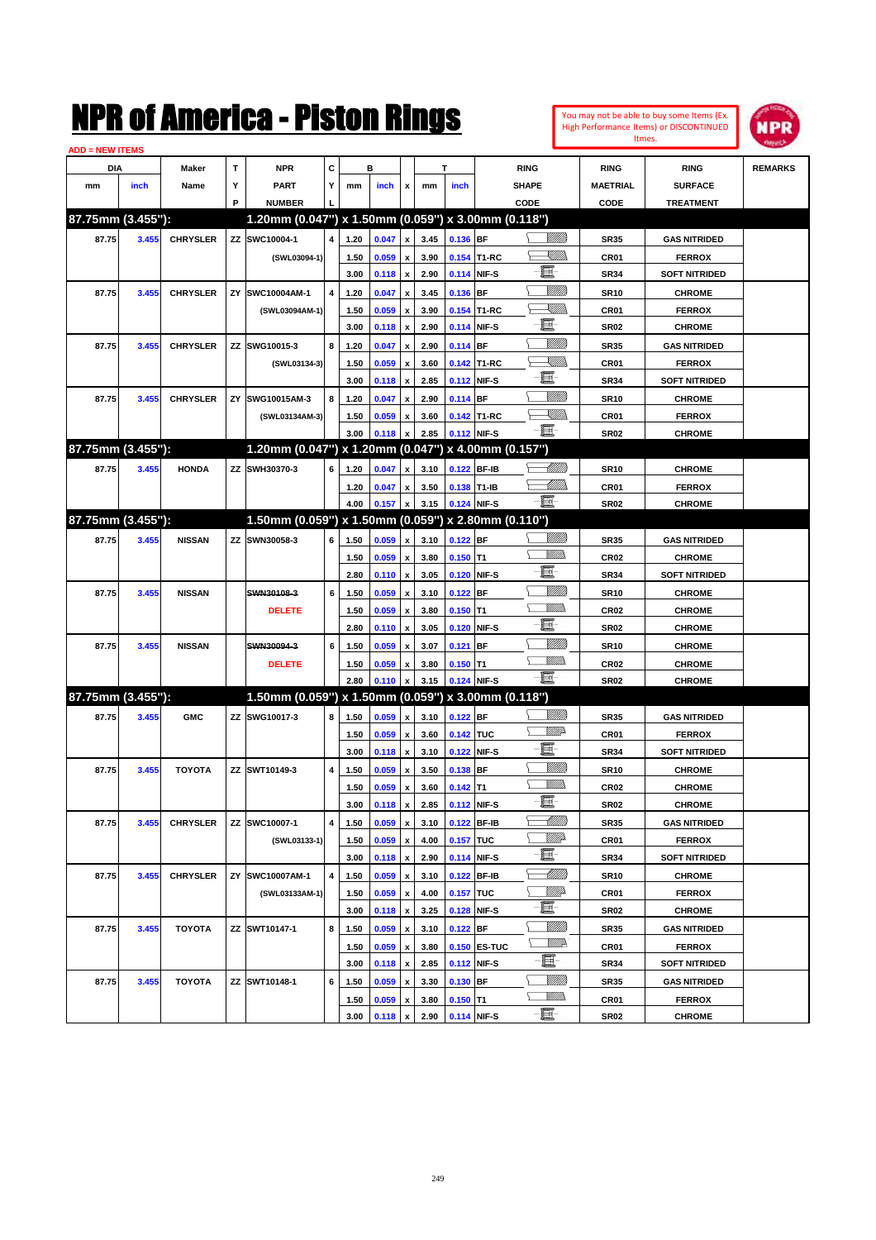

| <b>ADD = NEW ITEMS</b> |       |                 |    |                                                        |                         |      |                |                    |      |             |                     |                |                  |                      |                |
|------------------------|-------|-----------------|----|--------------------------------------------------------|-------------------------|------|----------------|--------------------|------|-------------|---------------------|----------------|------------------|----------------------|----------------|
| DIA                    |       | <b>Maker</b>    | T  | <b>NPR</b>                                             | C                       |      | в              |                    |      | T           |                     | <b>RING</b>    | <b>RING</b>      | <b>RING</b>          | <b>REMARKS</b> |
| mm                     | inch  | Name            | Υ  | <b>PART</b>                                            | Y                       | mm   | inch           | x                  | mm   | inch        |                     | <b>SHAPE</b>   | <b>MAETRIAL</b>  | <b>SURFACE</b>       |                |
|                        |       |                 | P  | <b>NUMBER</b>                                          |                         |      |                |                    |      |             |                     | CODE           | CODE             | <b>TREATMENT</b>     |                |
| 87.75mm (3.455"):      |       |                 |    | 1.20mm (0.047") x 1.50mm (0.059") x 3.00mm (0.118")    |                         |      |                |                    |      |             |                     |                |                  |                      |                |
| 87.75                  | 3.455 | <b>CHRYSLER</b> |    | ZZ SWC10004-1                                          | $\overline{4}$          | 1.20 | 0.047          | $\pmb{\mathsf{x}}$ | 3.45 | 0.136 BF    |                     | <u>VIIII)</u>  | <b>SR35</b>      | <b>GAS NITRIDED</b>  |                |
|                        |       |                 |    | (SWL03094-1)                                           |                         | 1.50 | 0.059          | $\pmb{\mathsf{x}}$ | 3.90 |             | 0.154 T1-RC         | <u>UMB</u>     | CR01             | <b>FERROX</b>        |                |
|                        |       |                 |    |                                                        |                         | 3.00 | 0.118          | $\pmb{\mathsf{x}}$ | 2.90 | 0.114 NIF-S |                     | E              | <b>SR34</b>      | <b>SOFT NITRIDED</b> |                |
| 87.75                  | 3.455 | <b>CHRYSLER</b> | ZY | SWC10004AM-1                                           | $\overline{\mathbf{4}}$ | 1.20 | 0.047          | x                  | 3.45 | 0.136 BF    |                     | <u>Milli</u> k | <b>SR10</b>      | <b>CHROME</b>        |                |
|                        |       |                 |    | (SWL03094AM-1)                                         |                         | 1.50 | 0.059          | x                  | 3.90 |             | 0.154 T1-RC         | <u>XIII)</u>   | CR01             | <b>FERROX</b>        |                |
|                        |       |                 |    |                                                        |                         | 3.00 | 0.118          | $\pmb{\mathsf{x}}$ | 2.90 |             | 0.114 NIF-S         | E              | <b>SR02</b>      | <b>CHROME</b>        |                |
| 87.75                  | 3.455 | <b>CHRYSLER</b> |    | ZZ SWG10015-3                                          | 8                       | 1.20 | 0.047          | x                  | 2.90 | 0.114 BF    |                     | <u>Milli</u> k | <b>SR35</b>      | <b>GAS NITRIDED</b>  |                |
|                        |       |                 |    | (SWL03134-3)                                           |                         | 1.50 | 0.059          | x                  | 3.60 |             | 0.142 T1-RC         | XMM            | CR01             | <b>FERROX</b>        |                |
|                        |       |                 |    |                                                        |                         | 3.00 | 0.118          | $\pmb{\mathsf{x}}$ | 2.85 |             | 0.112 NIF-S         | e              | <b>SR34</b>      | <b>SOFT NITRIDED</b> |                |
| 87.75                  | 3.455 | <b>CHRYSLER</b> | ΖY | SWG10015AM-3                                           | 8                       | 1.20 | 0.047          | x                  | 2.90 | 0.114 BF    |                     | <u>Milli</u> k | <b>SR10</b>      | <b>CHROME</b>        |                |
|                        |       |                 |    | (SWL03134AM-3)                                         |                         | 1.50 | 0.059          | x                  | 3.60 |             | 0.142 T1-RC         | <u> Killib</u> | CR01             | <b>FERROX</b>        |                |
|                        |       |                 |    |                                                        |                         | 3.00 | 0.118          | x                  | 2.85 | 0.112 NIF-S |                     | -8             | <b>SR02</b>      | <b>CHROME</b>        |                |
| 87.75mm (3.455"):      |       |                 |    | 1.20mm (0.047") x 1.20mm (0.047") x 4.00mm (0.157")    |                         |      |                |                    |      |             |                     |                |                  |                      |                |
| 87.75                  | 3.455 | <b>HONDA</b>    |    | ZZ SWH30370-3                                          | 6                       | 1.20 | 0.047          | x                  | 3.10 | 0.122 BF-IB |                     | <u>UMB</u>     | <b>SR10</b>      | <b>CHROME</b>        |                |
|                        |       |                 |    |                                                        |                         | 1.20 | 0.047          | x                  | 3.50 | 0.138 T1-IB |                     | <u>UMM</u>     | CR01             | <b>FERROX</b>        |                |
|                        |       |                 |    |                                                        |                         | 4.00 | 0.157          | $\pmb{\mathsf{x}}$ | 3.15 | 0.124 NIF-S |                     | - III.         | <b>SR02</b>      | <b>CHROME</b>        |                |
| 87.75mm (3.455"):      |       |                 |    | $1.50$ mm (0.059") x 1.50mm (0.059") x 2.80mm (0.110") |                         |      |                |                    |      |             |                     |                |                  |                      |                |
| 87.75                  | 3.455 | <b>NISSAN</b>   |    | ZZ SWN30058-3                                          | 6                       | 1.50 | 0.059          | x                  | 3.10 | $0.122$ BF  |                     | <u>Milli</u> k | <b>SR35</b>      | <b>GAS NITRIDED</b>  |                |
|                        |       |                 |    |                                                        |                         | 1.50 | 0.059          | x                  | 3.80 | $0.150$ T1  |                     | .<br>VMD       | <b>CR02</b>      | <b>CHROME</b>        |                |
|                        |       |                 |    |                                                        |                         | 2.80 | 0.110          | $\pmb{\mathsf{x}}$ | 3.05 |             | 0.120 NIF-S         | E              | <b>SR34</b>      | <b>SOFT NITRIDED</b> |                |
| 87.75                  | 3.455 | <b>NISSAN</b>   |    | SWN30108-3                                             | 6                       | 1.50 | 0.059          | x                  | 3.10 | $0.122$ BF  |                     | <u>Milli</u> k | <b>SR10</b>      | <b>CHROME</b>        |                |
|                        |       |                 |    | <b>DELETE</b>                                          |                         | 1.50 | 0.059          | x                  | 3.80 | $0.150$ T1  |                     | .<br>VMD       | <b>CR02</b>      | <b>CHROME</b>        |                |
|                        |       |                 |    |                                                        |                         | 2.80 | 0.110          | $\pmb{\mathsf{x}}$ | 3.05 |             | 0.120 NIF-S         | E              | <b>SR02</b>      | <b>CHROME</b>        |                |
| 87.75                  | 3.455 | <b>NISSAN</b>   |    | SWN30094-3                                             | 6                       | 1.50 | 0.059          | x                  | 3.07 | $0.121$ BF  |                     | <u>Milli</u> k | <b>SR10</b>      | <b>CHROME</b>        |                |
|                        |       |                 |    | <b>DELETE</b>                                          |                         | 1.50 | 0.059          | x                  | 3.80 | $0.150$ T1  |                     | .<br>VMD       | <b>CR02</b>      | <b>CHROME</b>        |                |
|                        |       |                 |    |                                                        |                         | 2.80 | 0.110          | x                  | 3.15 |             | 0.124 NIF-S         | -E.            | <b>SR02</b>      | <b>CHROME</b>        |                |
| 87.75mm (3.455"):      |       |                 |    | 1.50mm (0.059") x 1.50mm (0.059") x 3.00mm (0.118")    |                         |      |                |                    |      |             |                     |                |                  |                      |                |
| 87.75                  | 3.455 | <b>GMC</b>      |    | ZZ SWG10017-3                                          | 8                       | 1.50 | 0.059          | $\pmb{\mathsf{x}}$ | 3.10 | $0.122$ BF  |                     | <u>Milli</u> k | <b>SR35</b>      | <b>GAS NITRIDED</b>  |                |
|                        |       |                 |    |                                                        |                         | 1.50 | 0.059          | x                  | 3.60 | 0.142 TUC   |                     | <u>MM</u> do   | CR01             | <b>FERROX</b>        |                |
|                        |       |                 |    |                                                        |                         | 3.00 | 0.118          | $\pmb{\mathsf{x}}$ | 3.10 | 0.122 NIF-S |                     | E              | <b>SR34</b>      | <b>SOFT NITRIDED</b> |                |
| 87.75                  | 3.455 | <b>TOYOTA</b>   |    | ZZ SWT10149-3                                          | 4                       | 1.50 | 0.059          | x                  | 3.50 | $0.138$ BF  |                     | <u>Milli</u> k | <b>SR10</b>      | <b>CHROME</b>        |                |
|                        |       |                 |    |                                                        |                         | 1.50 | 0.059          | x                  | 3.60 | $0.142$ T1  |                     | MM)            | CR <sub>02</sub> | <b>CHROME</b>        |                |
|                        |       |                 |    |                                                        |                         | 3.00 | 0.118          | $\pmb{\mathsf{x}}$ | 2.85 | 0.112 NIF-S |                     | e              | SR02             | <b>CHROME</b>        |                |
| 87.75                  | 3.455 | <b>CHRYSLER</b> |    | ZZ SWC10007-1                                          | 4                       | 1.50 | 0.059          | x                  | 3.10 |             | 0.122 BF-IB         | <u> UMM</u>    | <b>SR35</b>      | <b>GAS NITRIDED</b>  |                |
|                        |       |                 |    | (SWL03133-1)                                           |                         | 1.50 | 0.059          | $\pmb{\mathsf{x}}$ | 4.00 | 0.157 TUC   |                     | <u>Mille</u> d | CR01             | <b>FERROX</b>        |                |
|                        |       |                 |    |                                                        |                         | 3.00 | 0.118          | $\pmb{\mathsf{x}}$ | 2.90 | 0.114 NIF-S |                     | E              | <b>SR34</b>      | <b>SOFT NITRIDED</b> |                |
| 87.75                  | 3.455 | <b>CHRYSLER</b> |    | ZY SWC10007AM-1                                        | 4                       | 1.50 | 0.059          | x                  | 3.10 |             | 0.122 BF-IB         | <u> UMM</u>    | <b>SR10</b>      | <b>CHROME</b>        |                |
|                        |       |                 |    | (SWL03133AM-1)                                         |                         | 1.50 | 0.059          | $\pmb{\mathsf{x}}$ | 4.00 | 0.157 TUC   |                     | ₩₩             | CR01             | <b>FERROX</b>        |                |
|                        |       |                 |    |                                                        |                         | 3.00 | 0.118          | $\pmb{\mathsf{x}}$ | 3.25 |             | 0.128 NIF-S         | e.             | <b>SR02</b>      | <b>CHROME</b>        |                |
| 87.75                  | 3.455 | <b>TOYOTA</b>   |    | ZZ SWT10147-1                                          | 8                       | 1.50 | 0.059          | x                  | 3.10 | $0.122$ BF  |                     | <u>Milli</u> k | <b>SR35</b>      | <b>GAS NITRIDED</b>  |                |
|                        |       |                 |    |                                                        |                         | 1.50 | 0.059          | $\pmb{\mathsf{x}}$ | 3.80 |             | <b>0.150 ES-TUC</b> | <u>W//A</u>    | CR01             | <b>FERROX</b>        |                |
|                        |       |                 |    |                                                        |                         | 3.00 | 0.118          | $\pmb{\mathsf{x}}$ | 2.85 |             | 0.112 NIF-S         | E              | <b>SR34</b>      | <b>SOFT NITRIDED</b> |                |
| 87.75                  | 3.455 | <b>TOYOTA</b>   |    | ZZ SWT10148-1                                          | 6                       | 1.50 | 0.059          | x                  | 3.30 | 0.130 BF    |                     | <u>Milli</u>   | <b>SR35</b>      | <b>GAS NITRIDED</b>  |                |
|                        |       |                 |    |                                                        |                         | 1.50 | 0.059          | x                  | 3.80 | $0.150$ T1  |                     | <u>MM)</u>     | CR01             | <b>FERROX</b>        |                |
|                        |       |                 |    |                                                        |                         | 3.00 | $0.118 \times$ |                    | 2.90 | 0.114 NIF-S |                     | e.             | <b>SR02</b>      | <b>CHROME</b>        |                |
|                        |       |                 |    |                                                        |                         |      |                |                    |      |             |                     |                |                  |                      |                |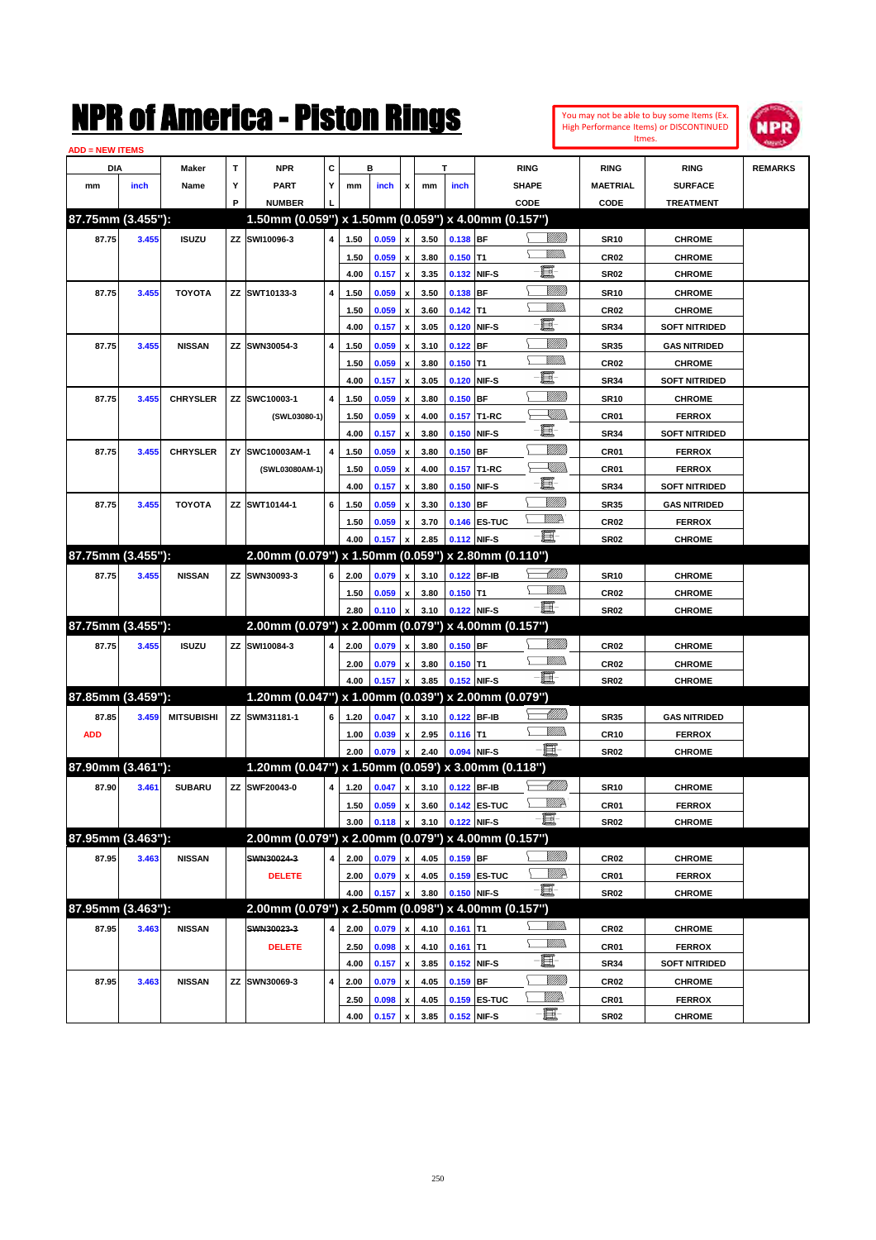

| <b>ADD = NEW ITEMS</b> |       |                   |    |                                                     |           |      |       |                    |      |            |              |                |                  |                      |                |
|------------------------|-------|-------------------|----|-----------------------------------------------------|-----------|------|-------|--------------------|------|------------|--------------|----------------|------------------|----------------------|----------------|
| DIA                    |       | Maker             | т  | <b>NPR</b>                                          | С         |      | в     |                    |      | т          |              | <b>RING</b>    | <b>RING</b>      | <b>RING</b>          | <b>REMARKS</b> |
| mm                     | inch  | Name              | Υ  | <b>PART</b>                                         | Y         | mm   | inch  | x                  | mm   | inch       |              | <b>SHAPE</b>   | <b>MAETRIAL</b>  | <b>SURFACE</b>       |                |
|                        |       |                   | P  | <b>NUMBER</b>                                       |           |      |       |                    |      |            |              | CODE           | CODE             | <b>TREATMENT</b>     |                |
| 87.75mm (3.455"):      |       |                   |    | 1.50mm (0.059") x 1.50mm (0.059") x 4.00mm (0.157") |           |      |       |                    |      |            |              |                |                  |                      |                |
| 87.75                  | 3.455 | <b>ISUZU</b>      |    | ZZ SWI10096-3                                       | 4         | 1.50 | 0.059 | x                  | 3.50 | 0.138 BF   |              | <u> UMB</u>    | <b>SR10</b>      | <b>CHROME</b>        |                |
|                        |       |                   |    |                                                     |           | 1.50 | 0.059 |                    | 3.80 | $0.150$ T1 |              | <br>Mad        | <b>CR02</b>      | <b>CHROME</b>        |                |
|                        |       |                   |    |                                                     |           | 4.00 | 0.157 | x                  | 3.35 |            | 0.132 NIF-S  | E              | <b>SR02</b>      | <b>CHROME</b>        |                |
| 87.75                  | 3.455 | <b>TOYOTA</b>     |    | ZZ SWT10133-3                                       | 4         | 1.50 | 0.059 |                    | 3.50 | 0.138 BF   |              | <u>Milli</u> k | <b>SR10</b>      | <b>CHROME</b>        |                |
|                        |       |                   |    |                                                     |           | 1.50 | 0.059 | x                  | 3.60 | $0.142$ T1 |              | <br>Mar        | <b>CR02</b>      | <b>CHROME</b>        |                |
|                        |       |                   |    |                                                     |           | 4.00 | 0.157 | x                  | 3.05 |            | 0.120 NIF-S  | e              | <b>SR34</b>      | <b>SOFT NITRIDED</b> |                |
| 87.75                  | 3.455 | <b>NISSAN</b>     |    | ZZ SWN30054-3                                       | 4         | 1.50 | 0.059 |                    | 3.10 | $0.122$ BF |              | <u>Milli</u>   | <b>SR35</b>      | <b>GAS NITRIDED</b>  |                |
|                        |       |                   |    |                                                     |           | 1.50 | 0.059 | x                  | 3.80 | $0.150$ T1 |              | .<br>VMD       | <b>CR02</b>      | <b>CHROME</b>        |                |
|                        |       |                   |    |                                                     |           | 4.00 | 0.157 | x                  | 3.05 |            | 0.120 NIF-S  | E              | <b>SR34</b>      | <b>SOFT NITRIDED</b> |                |
| 87.75                  | 3.455 | <b>CHRYSLER</b>   |    | ZZ SWC10003-1                                       | 4         | 1.50 | 0.059 |                    | 3.80 | $0.150$ BF |              | <u>Milli</u> k | <b>SR10</b>      | <b>CHROME</b>        |                |
|                        |       |                   |    | (SWL03080-1)                                        |           | 1.50 | 0.059 | x                  | 4.00 |            | 0.157 T1-RC  | <u>Sillin</u>  | CR01             | <b>FERROX</b>        |                |
|                        |       |                   |    |                                                     |           | 4.00 | 0.157 | x                  | 3.80 |            | 0.150 NIF-S  | E              | <b>SR34</b>      | <b>SOFT NITRIDED</b> |                |
| 87.75                  | 3.455 | <b>CHRYSLER</b>   | ZY | SWC10003AM-1                                        | 4         | 1.50 | 0.059 | x                  | 3.80 | $0.150$ BF |              | <u>MMM</u>     | CR01             | <b>FERROX</b>        |                |
|                        |       |                   |    | (SWL03080AM-1)                                      |           | 1.50 | 0.059 |                    | 4.00 |            | 0.157 T1-RC  | <u>Sillin</u>  | CR <sub>01</sub> | <b>FERROX</b>        |                |
|                        |       |                   |    |                                                     |           | 4.00 | 0.157 | x                  | 3.80 |            | 0.150 NIF-S  | e              | <b>SR34</b>      | <b>SOFT NITRIDED</b> |                |
| 87.75                  | 3.455 | <b>TOYOTA</b>     |    | ZZ SWT10144-1                                       | 6         | 1.50 | 0.059 |                    | 3.30 | $0.130$ BF |              | <u>MMM</u>     | <b>SR35</b>      | <b>GAS NITRIDED</b>  |                |
|                        |       |                   |    |                                                     |           | 1.50 | 0.059 |                    | 3.70 |            | 0.146 ES-TUC | W///A          | <b>CR02</b>      | <b>FERROX</b>        |                |
|                        |       |                   |    |                                                     |           | 4.00 | 0.157 |                    | 2.85 |            | 0.112 NIF-S  | - III.         | <b>SR02</b>      | <b>CHROME</b>        |                |
| 87.75mm (3.455"):      |       |                   |    | 2.00mm (0.079") x 1.50mm (0.059") x 2.80mm (0.110") |           |      |       |                    |      |            |              |                |                  |                      |                |
| 87.75                  | 3.455 | <b>NISSAN</b>     |    | ZZ SWN30093-3                                       | 6         | 2.00 | 0.079 | x                  | 3.10 |            | 0.122 BF-IB  | <u>UMB</u>     | <b>SR10</b>      | <b>CHROME</b>        |                |
|                        |       |                   |    |                                                     |           | 1.50 | 0.059 | x                  | 3.80 | $0.150$ T1 |              |                | <b>CR02</b>      | <b>CHROME</b>        |                |
|                        |       |                   |    |                                                     |           | 2.80 | 0.110 | x                  | 3.10 |            | 0.122 NIF-S  | -8             | <b>SR02</b>      | <b>CHROME</b>        |                |
| 87.75mm (3.455"):      |       |                   |    | 2.00mm (0.079") x 2.00mm (0.079") x 4.00mm (0.157") |           |      |       |                    |      |            |              |                |                  |                      |                |
| 87.75                  | 3.455 | <b>ISUZU</b>      |    | ZZ SWI10084-3                                       | 4         | 2.00 | 0.079 | x                  | 3.80 | $0.150$ BF |              | <u>Milli</u>   | <b>CR02</b>      | <b>CHROME</b>        |                |
|                        |       |                   |    |                                                     |           | 2.00 | 0.079 | x                  | 3.80 | $0.150$ T1 |              | .<br>MM        | <b>CR02</b>      | <b>CHROME</b>        |                |
|                        |       |                   |    |                                                     |           | 4.00 | 0.157 |                    | 3.85 |            | 0.152 NIF-S  | -篇-            | <b>SR02</b>      | <b>CHROME</b>        |                |
| 87.85mm (3.459"):      |       |                   |    | 1.20mm (0.047") x 1.00mm (0.039") x 2.00mm (0.079") |           |      |       |                    |      |            |              |                |                  |                      |                |
| 87.85                  | 3.459 | <b>MITSUBISHI</b> |    | ZZ SWM31181-1                                       | 6         | 1.20 | 0.047 | x                  | 3.10 |            | 0.122 BF-IB  | <u>UMM</u>     | <b>SR35</b>      | <b>GAS NITRIDED</b>  |                |
| <b>ADD</b>             |       |                   |    |                                                     |           | 1.00 | 0.039 | x                  | 2.95 | $0.116$ T1 |              |                | <b>CR10</b>      | <b>FERROX</b>        |                |
|                        |       |                   |    |                                                     |           | 2.00 | 0.079 | x                  | 2.40 |            | 0.094 NIF-S  | 圓              | <b>SR02</b>      | <b>CHROME</b>        |                |
| 87.90mm (3.461"):      |       |                   |    | 1.20mm (0.047") x 1.50mm (0.059') x 3.00mm (0.118") |           |      |       |                    |      |            |              |                |                  |                      |                |
| 87.90                  | 3.461 | <b>SUBARU</b>     |    | ZZ SWF20043-0                                       | 4         | 1.20 | 0.047 | x                  | 3.10 |            | 0.122 BF-IB  | <u> UMB</u>    | <b>SR10</b>      | <b>CHROME</b>        |                |
|                        |       |                   |    |                                                     |           | 1.50 | 0.059 | $\pmb{\mathsf{x}}$ | 3.60 |            | 0.142 ES-TUC | ₩₩             | CR01             | <b>FERROX</b>        |                |
|                        |       |                   |    |                                                     |           | 3.00 | 0.118 | $\pmb{\mathsf{x}}$ | 3.10 |            | 0.122 NIF-S  | $-\Xi$         | <b>SR02</b>      | <b>CHROME</b>        |                |
| 87.95mm (3.463"):      |       |                   |    | 2.00mm (0.079") x 2.00mm (0.079") x 4.00mm (0.157") |           |      |       |                    |      |            |              |                |                  |                      |                |
| 87.95                  | 3.463 | <b>NISSAN</b>     |    | SWN30024-3                                          | 4         | 2.00 | 0.079 | $\pmb{\mathsf{x}}$ | 4.05 | 0.159 BF   |              | <u>VMM</u>     | CR02             | <b>CHROME</b>        |                |
|                        |       |                   |    | <b>DELETE</b>                                       |           | 2.00 | 0.079 | $\pmb{\mathsf{x}}$ | 4.05 |            | 0.159 ES-TUC | <u>WW</u> A    | CR01             | <b>FERROX</b>        |                |
|                        |       |                   |    |                                                     |           | 4.00 | 0.157 | x                  | 3.80 |            | 0.150 NIF-S  | -夏-            | SR02             | <b>CHROME</b>        |                |
| 87.95mm (3.463"):      |       |                   |    | 2.00mm (0.079") x 2.50mm (0.098") x 4.00mm (0.157") |           |      |       |                    |      |            |              |                |                  |                      |                |
| 87.95                  | 3.463 | <b>NISSAN</b>     |    | SWN30023-3                                          | 4         | 2.00 | 0.079 | x                  | 4.10 | $0.161$ T1 |              | <u>MM)</u>     | CR02             | <b>CHROME</b>        |                |
|                        |       |                   |    | <b>DELETE</b>                                       |           | 2.50 | 0.098 | $\pmb{\mathsf{x}}$ | 4.10 | $0.161$ T1 |              | <u>WMW</u>     | CR01             | <b>FERROX</b>        |                |
|                        |       |                   |    |                                                     |           | 4.00 | 0.157 | $\pmb{\mathsf{x}}$ | 3.85 |            | 0.152 NIF-S  | e.             | SR34             | <b>SOFT NITRIDED</b> |                |
| 87.95                  | 3.463 | <b>NISSAN</b>     | ΖZ | SWN30069-3                                          | $\pmb{4}$ | 2.00 | 0.079 | x                  | 4.05 | $0.159$ BF |              | <u>Milli</u>   | CR02             | <b>CHROME</b>        |                |
|                        |       |                   |    |                                                     |           | 2.50 | 0.098 | x                  | 4.05 |            | 0.159 ES-TUC | WWA            | CR01             | <b>FERROX</b>        |                |
|                        |       |                   |    |                                                     |           | 4.00 | 0.157 | $\pmb{\mathsf{x}}$ | 3.85 |            | 0.152 NIF-S  | e.             | <b>SR02</b>      | <b>CHROME</b>        |                |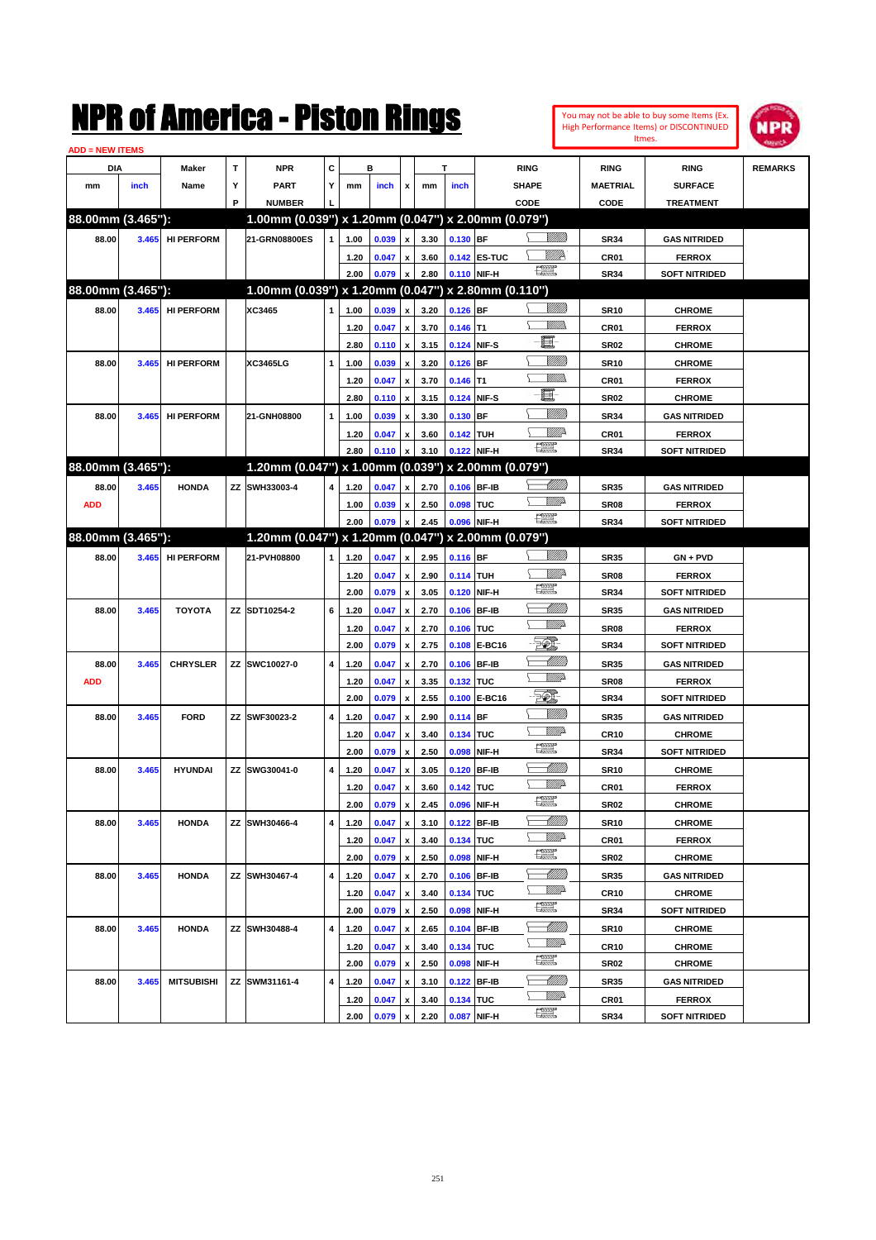|                        |       |                   |             | NMK OI AMCMICA - MISTON KINGS                       |   |      |       |                           |      |             |              |                               |                                |                  | You may not be able to buy some Items (Ex.<br>High Performance Items) or DISCONTINUED<br>Itmes. | <b>NPR</b>     |
|------------------------|-------|-------------------|-------------|-----------------------------------------------------|---|------|-------|---------------------------|------|-------------|--------------|-------------------------------|--------------------------------|------------------|-------------------------------------------------------------------------------------------------|----------------|
| <b>ADD = NEW ITEMS</b> |       |                   |             |                                                     |   |      |       |                           |      |             |              |                               |                                |                  |                                                                                                 |                |
| DIA                    |       | Maker             | $\mathbf T$ | <b>NPR</b>                                          | C |      | в     |                           |      | т           |              | <b>RING</b>                   |                                | <b>RING</b>      | <b>RING</b>                                                                                     | <b>REMARKS</b> |
| mm                     | inch  | Name              | Υ           | <b>PART</b>                                         | Υ | mm   | inch  | x                         | mm   | inch        |              | <b>SHAPE</b>                  |                                | <b>MAETRIAL</b>  | <b>SURFACE</b>                                                                                  |                |
|                        |       |                   | P           | <b>NUMBER</b>                                       |   |      |       |                           |      |             |              | CODE                          |                                | CODE             | <b>TREATMENT</b>                                                                                |                |
| 88.00mm (3.465"):      |       |                   |             | 1.00mm (0.039") x 1.20mm (0.047") x 2.00mm (0.079") |   |      |       |                           |      |             |              |                               |                                |                  |                                                                                                 |                |
| 88.00                  | 3.465 | <b>HI PERFORM</b> |             | 21-GRN08800ES                                       | 1 | 1.00 | 0.039 | $\pmb{\mathsf{x}}$        | 3.30 | $0.130$ BF  |              |                               | <u>Millitti</u>                | <b>SR34</b>      | <b>GAS NITRIDED</b>                                                                             |                |
|                        |       |                   |             |                                                     |   | 1.20 | 0.047 | x                         | 3.60 |             | 0.142 ES-TUC |                               | <u>MMP</u>                     | CR01             | <b>FERROX</b>                                                                                   |                |
|                        |       |                   |             |                                                     |   | 2.00 | 0.079 | $\boldsymbol{\mathsf{x}}$ | 2.80 |             | 0.110 NIF-H  | $f_{\rm max}^{\rm exp}$       |                                | <b>SR34</b>      | <b>SOFT NITRIDED</b>                                                                            |                |
| 88.00mm (3.465"):      |       |                   |             | 1.00mm (0.039") x 1.20mm (0.047") x 2.80mm (0.110") |   |      |       |                           |      |             |              |                               |                                |                  |                                                                                                 |                |
| 88.00                  | 3.465 | <b>HI PERFORM</b> |             | XC3465                                              | 1 | 1.00 | 0.039 | $\pmb{\mathsf{x}}$        | 3.20 | $0.126$ BF  |              |                               | <u>Millitti</u>                | <b>SR10</b>      | <b>CHROME</b>                                                                                   |                |
|                        |       |                   |             |                                                     |   | 1.20 | 0.047 | $\pmb{\mathsf{x}}$        | 3.70 | $0.146$ T1  |              |                               | <br>Mad                        | CR01             | <b>FERROX</b>                                                                                   |                |
|                        |       |                   |             |                                                     |   | 2.80 | 0.110 | $\pmb{\mathsf{x}}$        | 3.15 |             | 0.124 NIF-S  | E                             |                                | <b>SR02</b>      | <b>CHROME</b>                                                                                   |                |
| 88.00                  | 3.465 | <b>HI PERFORM</b> |             | XC3465LG                                            | 1 | 1.00 | 0.039 | $\pmb{\mathsf{x}}$        | 3.20 | $0.126$ BF  |              |                               | <u>MMM</u>                     | <b>SR10</b>      | <b>CHROME</b>                                                                                   |                |
|                        |       |                   |             |                                                     |   | 1.20 | 0.047 | $\pmb{\mathsf{x}}$        | 3.70 | $0.146$ T1  |              |                               | 977))                          | CR01             | <b>FERROX</b>                                                                                   |                |
|                        |       |                   |             |                                                     |   | 2.80 | 0.110 | $\boldsymbol{\mathsf{x}}$ | 3.15 |             | 0.124 NIF-S  | E                             |                                | <b>SR02</b>      | <b>CHROME</b>                                                                                   |                |
| 88.00                  | 3.465 | <b>HI PERFORM</b> |             | 21-GNH08800                                         | 1 | 1.00 | 0.039 | $\pmb{\mathsf{x}}$        | 3.30 | 0.130 BF    |              |                               | <u>MMM</u>                     | <b>SR34</b>      | <b>GAS NITRIDED</b>                                                                             |                |
|                        |       |                   |             |                                                     |   | 1.20 | 0.047 | $\pmb{\mathsf{x}}$        | 3.60 | 0.142 TUH   |              | <b>The Control</b>            | ₩₩                             | CR01             | <b>FERROX</b>                                                                                   |                |
|                        |       |                   |             |                                                     |   | 2.80 | 0.110 | $\pmb{\mathsf{x}}$        | 3.10 |             | 0.122 NIF-H  |                               |                                | <b>SR34</b>      | <b>SOFT NITRIDED</b>                                                                            |                |
| 88.00mm (3.465"):      |       |                   |             | 1.20mm (0.047") x 1.00mm (0.039") x 2.00mm (0.079") |   |      |       |                           |      |             |              |                               |                                |                  |                                                                                                 |                |
| 88.00                  | 3.465 | <b>HONDA</b>      | ZZ          | SWH33003-4                                          | 4 | 1.20 | 0.047 | $\pmb{\mathsf{x}}$        | 2.70 |             | 0.106 BF-IB  |                               | <u> UMM</u><br><u>MMD</u>      | <b>SR35</b>      | <b>GAS NITRIDED</b>                                                                             |                |
| <b>ADD</b>             |       |                   |             |                                                     |   | 1.00 | 0.039 | $\pmb{\mathsf{x}}$        | 2.50 | 0.098 TUC   |              | $\frac{1}{2}$                 |                                | SR <sub>08</sub> | <b>FERROX</b>                                                                                   |                |
|                        |       |                   |             |                                                     |   | 2.00 | 0.079 | $\pmb{\mathsf{x}}$        | 2.45 |             | 0.096 NIF-H  |                               |                                | <b>SR34</b>      | <b>SOFT NITRIDED</b>                                                                            |                |
| 88.00mm (3.465"):      |       |                   |             | 1.20mm (0.047") x 1.20mm (0.047") x 2.00mm (0.079") |   |      |       |                           |      |             |              |                               |                                |                  |                                                                                                 |                |
| 88.00                  | 3.465 | <b>HI PERFORM</b> |             | 21-PVH08800                                         | 1 | 1.20 | 0.047 | $\pmb{\mathsf{x}}$        | 2.95 | $0.116$ BF  |              |                               | <u>Millitti</u>                | <b>SR35</b>      | $GN + PVD$                                                                                      |                |
|                        |       |                   |             |                                                     |   | 1.20 | 0.047 | $\pmb{\mathsf{x}}$        | 2.90 | 0.114 TUH   |              | $f_{\rm max}^{\rm exp}$       | <u>Mille</u>                   | SR <sub>08</sub> | <b>FERROX</b>                                                                                   |                |
|                        |       |                   |             |                                                     |   | 2.00 | 0.079 | $\boldsymbol{\mathsf{x}}$ | 3.05 |             | 0.120 NIF-H  |                               |                                | <b>SR34</b>      | <b>SOFT NITRIDED</b>                                                                            |                |
| 88.00                  | 3.465 | <b>TOYOTA</b>     |             | ZZ SDT10254-2                                       | 6 | 1.20 | 0.047 | $\pmb{\mathsf{x}}$        | 2.70 |             | 0.106 BF-IB  |                               | <u> UMM</u><br><u>MM</u> D     | <b>SR35</b>      | <b>GAS NITRIDED</b>                                                                             |                |
|                        |       |                   |             |                                                     |   | 1.20 | 0.047 | $\pmb{\mathsf{x}}$        | 2.70 | 0.106 TUC   |              |                               |                                | SR <sub>08</sub> | <b>FERROX</b>                                                                                   |                |
|                        |       |                   |             |                                                     |   | 2.00 | 0.079 | $\boldsymbol{\mathsf{x}}$ | 2.75 |             | 0.108 E-BC16 | 70),                          |                                | <b>SR34</b>      | <b>SOFT NITRIDED</b>                                                                            |                |
| 88.00                  | 3.465 | <b>CHRYSLER</b>   |             | ZZ SWC10027-0                                       | 4 | 1.20 | 0.047 | $\pmb{\mathsf{x}}$        | 2.70 |             | 0.106 BF-IB  |                               | <u> UMM</u><br><u>MM</u> D     | <b>SR35</b>      | <b>GAS NITRIDED</b>                                                                             |                |
| <b>ADD</b>             |       |                   |             |                                                     |   | 1.20 | 0.047 | $\pmb{\mathsf{x}}$        | 3.35 | 0.132 TUC   |              |                               |                                | SR <sub>08</sub> | <b>FERROX</b>                                                                                   |                |
|                        |       |                   |             |                                                     |   | 2.00 | 0.079 | $\boldsymbol{\mathsf{x}}$ | 2.55 |             | 0.100 E-BC16 |                               | <u>MM</u>                      | <b>SR34</b>      | <b>SOFT NITRIDED</b>                                                                            |                |
| 88.00                  | 3.465 | <b>FORD</b>       | ΖZ          | SWF30023-2                                          | 4 | 1.20 | 0.047 | $\pmb{\mathsf{x}}$        | 2.90 | $0.114$ BF  |              |                               | <u>MM</u> D                    | <b>SR35</b>      | <b>GAS NITRIDED</b>                                                                             |                |
|                        |       |                   |             |                                                     |   | 1.20 | 0.047 | $\pmb{\mathsf{x}}$        | 3.40 | 0.134 TUC   |              | 讓                             |                                | <b>CR10</b>      | <b>CHROME</b>                                                                                   |                |
|                        |       |                   |             |                                                     |   | 2.00 | 0.079 | $\pmb{\mathsf{x}}$        | 2.50 |             | 0.098 NIF-H  |                               |                                | <b>SR34</b>      | <b>SOFT NITRIDED</b>                                                                            |                |
| 88.00                  | 3.465 | <b>HYUNDAI</b>    |             | ZZ SWG30041-0                                       | 4 | 1.20 | 0.047 | $\pmb{\mathsf{x}}$        | 3.05 | 0.120 BF-IB |              |                               | <u> MMM</u><br><u>Mille</u>    | <b>SR10</b>      | <b>CHROME</b>                                                                                   |                |
|                        |       |                   |             |                                                     |   | 1.20 | 0.047 | $\pmb{\mathsf{x}}$        | 3.60 | 0.142 TUC   |              | $f_{\text{max}}^{\text{max}}$ |                                | CR01             | <b>FERROX</b>                                                                                   |                |
|                        |       |                   |             |                                                     |   | 2.00 | 0.079 | $\pmb{\mathsf{x}}$        | 2.45 |             | 0.096 NIF-H  |                               |                                | <b>SR02</b>      | <b>CHROME</b>                                                                                   |                |
| 88.00                  | 3.465 | <b>HONDA</b>      |             | ZZ SWH30466-4                                       | 4 | 1.20 | 0.047 | $\pmb{\mathsf{x}}$        | 3.10 |             | 0.122 BF-IB  |                               | <u> MMM)</u><br><u>WW</u> A    | <b>SR10</b>      | <b>CHROME</b>                                                                                   |                |
|                        |       |                   |             |                                                     |   | 1.20 | 0.047 | $\pmb{\mathsf{x}}$        | 3.40 | 0.134 TUC   |              | $f_{\text{max}}^{\text{max}}$ |                                | CR01             | <b>FERROX</b>                                                                                   |                |
|                        |       |                   |             |                                                     |   | 2.00 | 0.079 | $\pmb{\mathsf{x}}$        | 2.50 |             | 0.098 NIF-H  |                               |                                | SR02             | <b>CHROME</b>                                                                                   |                |
| 88.00                  | 3.465 | <b>HONDA</b>      |             | ZZ SWH30467-4                                       | 4 | 1.20 | 0.047 | $\pmb{\mathsf{x}}$        | 2.70 |             | 0.106 BF-IB  |                               | <u> UMB</u><br><u>WW</u> A     | <b>SR35</b>      | <b>GAS NITRIDED</b>                                                                             |                |
|                        |       |                   |             |                                                     |   | 1.20 | 0.047 | $\pmb{\mathsf{x}}$        | 3.40 | 0.134 TUC   |              | $f_{\text{max}}^{\text{max}}$ |                                | CR <sub>10</sub> | <b>CHROME</b>                                                                                   |                |
|                        |       |                   |             |                                                     |   | 2.00 | 0.079 | $\pmb{\mathsf{x}}$        | 2.50 |             | 0.098 NIF-H  |                               |                                | SR34             | <b>SOFT NITRIDED</b>                                                                            |                |
| 88.00                  | 3.465 | <b>HONDA</b>      |             | ZZ SWH30488-4                                       | 4 | 1.20 | 0.047 | $\pmb{\mathsf{x}}$        | 2.65 |             | 0.104 BF-IB  |                               | <u> Millito</u><br><u>WW</u> A | <b>SR10</b>      | <b>CHROME</b>                                                                                   |                |
|                        |       |                   |             |                                                     |   | 1.20 | 0.047 | $\pmb{\mathsf{x}}$        | 3.40 | 0.134 TUC   |              | $f_{\text{max}}^{\text{max}}$ |                                | CR10             | <b>CHROME</b>                                                                                   |                |
|                        |       |                   |             |                                                     |   | 2.00 | 0.079 | $\pmb{\mathsf{x}}$        | 2.50 |             | 0.098 NIF-H  |                               |                                | <b>SR02</b>      | <b>CHROME</b>                                                                                   |                |
| 88.00                  | 3.465 | <b>MITSUBISHI</b> | ΖZ          | SWM31161-4                                          | 4 | 1.20 | 0.047 | $\pmb{\mathsf{x}}$        | 3.10 |             | 0.122 BF-IB  |                               | <u> UMB</u><br><u>WW</u> A     | SR35             | <b>GAS NITRIDED</b>                                                                             |                |
|                        |       |                   |             |                                                     |   | 1.20 | 0.047 | $\pmb{\mathsf{x}}$        | 3.40 | 0.134 TUC   |              | $f_{\rm max}^{\rm exp}$       |                                | CR01             | <b>FERROX</b>                                                                                   |                |
|                        |       |                   |             |                                                     |   | 2.00 | 0.079 | $\mathbf{x}$              | 2.20 |             | 0.087 NIF-H  |                               |                                | <b>SR34</b>      | <b>SOFT NITRIDED</b>                                                                            |                |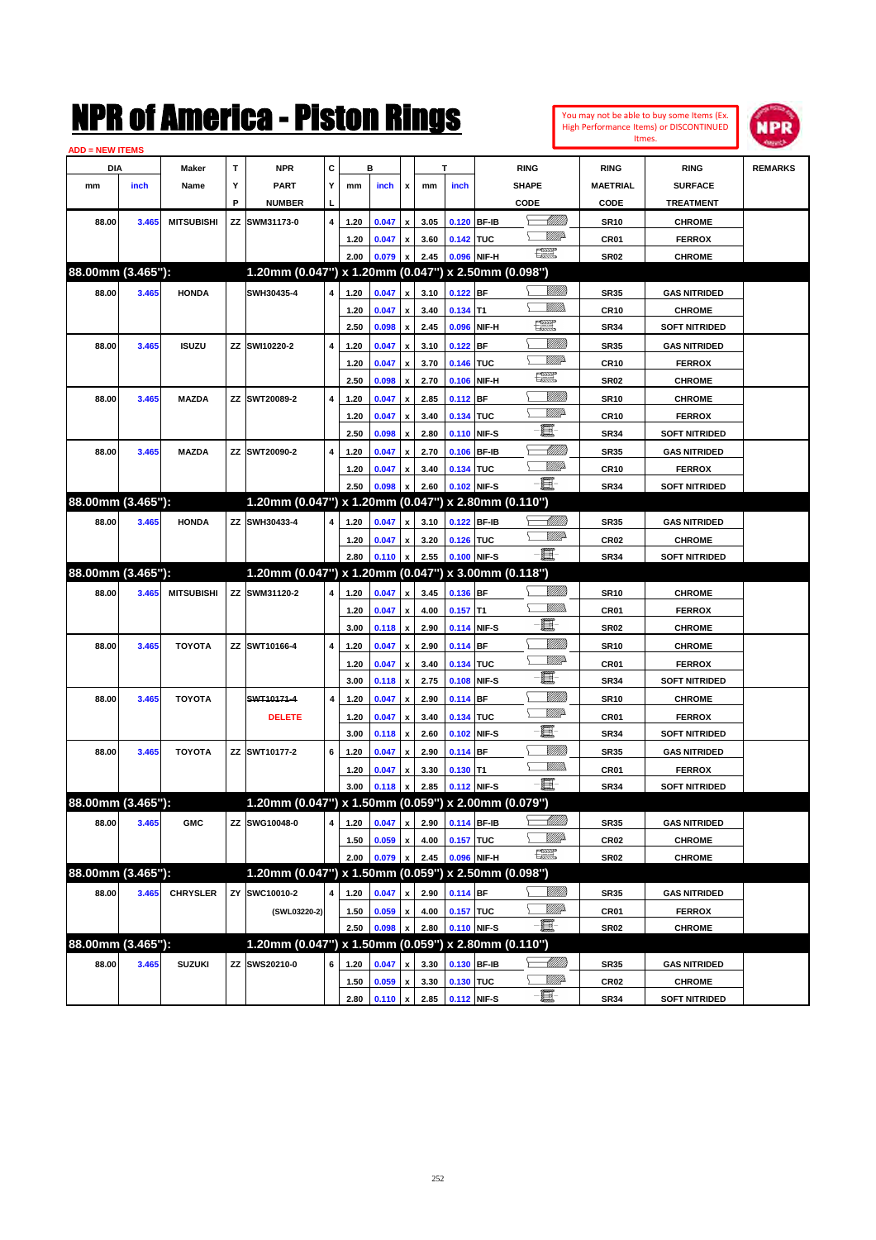|                                        |       |                   |             | NMK OI AMCMICA - MISTON KINGS                                        |   |              |                |                                          |              |                           |                               |                |                     | You may not be able to buy some Items (Ex.<br>High Performance Items) or DISCONTINUED | NPR            |
|----------------------------------------|-------|-------------------|-------------|----------------------------------------------------------------------|---|--------------|----------------|------------------------------------------|--------------|---------------------------|-------------------------------|----------------|---------------------|---------------------------------------------------------------------------------------|----------------|
| <b>ADD = NEW ITEMS</b>                 |       |                   |             |                                                                      |   |              |                |                                          |              |                           |                               |                |                     | Itmes.                                                                                |                |
| DIA                                    |       | Maker             | $\mathbf T$ | <b>NPR</b>                                                           | C |              | в              |                                          |              | T                         | <b>RING</b>                   |                | <b>RING</b>         | <b>RING</b>                                                                           | <b>REMARKS</b> |
| mm                                     | inch  | Name              | Υ           | <b>PART</b>                                                          | Y | mm           | inch           | x                                        | mm           | inch                      | <b>SHAPE</b>                  |                | <b>MAETRIAL</b>     | <b>SURFACE</b>                                                                        |                |
|                                        |       |                   | P           | <b>NUMBER</b>                                                        |   |              |                |                                          |              |                           | <b>CODE</b>                   |                | CODE                | <b>TREATMENT</b>                                                                      |                |
| 88.00                                  | 3.465 | <b>MITSUBISHI</b> | ΖZ          | SWM31173-0                                                           | 4 | 1.20         | 0.047          | $\pmb{\mathsf{x}}$                       | 3.05         | 0.120 BF-IB               |                               | <u>UMM</u>     | <b>SR10</b>         | <b>CHROME</b>                                                                         |                |
|                                        |       |                   |             |                                                                      |   | 1.20         | 0.047          | $\pmb{\mathsf{x}}$                       | 3.60         | 0.142 TUC                 |                               | <u>MMD</u>     | CR01                | <b>FERROX</b>                                                                         |                |
|                                        |       |                   |             |                                                                      |   | 2.00         | 0.079          | $\pmb{\mathsf{x}}$                       | 2.45         | 0.096 NIF-H               | $\mathbb{R}^n$                |                | <b>SR02</b>         | <b>CHROME</b>                                                                         |                |
| 88.00mm (3.465"):                      |       |                   |             | 1.20mm (0.047") x 1.20mm (0.047") x 2.50mm (0.098")                  |   |              |                |                                          |              |                           |                               |                |                     |                                                                                       |                |
| 88.00                                  | 3.465 | <b>HONDA</b>      |             | SWH30435-4                                                           | 4 | 1.20         | 0.047          | $\pmb{\mathsf{x}}$                       | 3.10         | $0.122$ BF                |                               | <u>VIIII</u> ) | <b>SR35</b>         | <b>GAS NITRIDED</b>                                                                   |                |
|                                        |       |                   |             |                                                                      |   | 1.20         | 0.047          | $\pmb{\mathsf{x}}$                       | 3.40         | $0.134$ T1                |                               | .<br>Villid    | <b>CR10</b>         | <b>CHROME</b>                                                                         |                |
|                                        |       |                   |             |                                                                      |   | 2.50         | 0.098          | $\pmb{\mathsf{x}}$                       | 2.45         | 0.096 NIF-H               | æ                             |                | <b>SR34</b>         | <b>SOFT NITRIDED</b>                                                                  |                |
| 88.00                                  | 3.465 | <b>ISUZU</b>      | ZZ          | SWI10220-2                                                           | 4 | 1.20         | 0.047          | $\pmb{\mathsf{x}}$                       | 3.10         | $0.122$ BF                |                               | <u>MMW</u>     | <b>SR35</b>         | <b>GAS NITRIDED</b>                                                                   |                |
|                                        |       |                   |             |                                                                      |   | 1.20         | 0.047          | $\pmb{\mathsf{x}}$                       | 3.70         | 0.146 TUC                 |                               | <u>VMD</u>     | <b>CR10</b>         | <b>FERROX</b>                                                                         |                |
|                                        |       |                   |             |                                                                      |   | 2.50         | 0.098          | $\pmb{\mathsf{x}}$                       | 2.70         | 0.106 NIF-H               | <b>THE</b>                    |                | <b>SR02</b>         | <b>CHROME</b>                                                                         |                |
| 88.00                                  | 3.465 | <b>MAZDA</b>      |             | ZZ SWT20089-2                                                        | 4 | 1.20         | 0.047          | $\pmb{\mathsf{x}}$                       | 2.85         | $0.112$ BF                |                               | <u>MMW</u>     | <b>SR10</b>         | <b>CHROME</b>                                                                         |                |
|                                        |       |                   |             |                                                                      |   | 1.20         | 0.047          | $\pmb{\mathsf{x}}$                       | 3.40         | 0.134 TUC                 |                               | <u>VMD</u>     | <b>CR10</b>         | <b>FERROX</b>                                                                         |                |
|                                        |       |                   |             |                                                                      |   | 2.50         | 0.098          | $\boldsymbol{\mathsf{x}}$                | 2.80         | 0.110 NIF-S               | E.                            |                | <b>SR34</b>         | <b>SOFT NITRIDED</b>                                                                  |                |
| 88.00                                  | 3.465 | <b>MAZDA</b>      |             | ZZ SWT20090-2                                                        | 4 | 1.20         | 0.047          | $\pmb{\mathsf{x}}$                       | 2.70         | 0.106 BF-IB               |                               | <u> MMM</u>    | <b>SR35</b>         | <b>GAS NITRIDED</b>                                                                   |                |
|                                        |       |                   |             |                                                                      |   | 1.20         | 0.047          | $\pmb{\mathsf{x}}$                       | 3.40         | 0.134 TUC                 |                               | .<br>Willia    | <b>CR10</b>         | <b>FERROX</b>                                                                         |                |
|                                        |       |                   |             |                                                                      |   | 2.50         | 0.098          | $\pmb{\mathsf{x}}$                       | 2.60         | 0.102 NIF-S               | E.                            |                | <b>SR34</b>         | <b>SOFT NITRIDED</b>                                                                  |                |
| 88.00mm (3.465"):                      |       |                   |             | 1.20mm (0.047") x 1.20mm (0.047") x 2.80mm (0.110")                  |   |              |                |                                          |              |                           |                               |                |                     |                                                                                       |                |
| 88.00                                  | 3.465 | <b>HONDA</b>      | ZZ          | SWH30433-4                                                           | 4 | 1.20         | 0.047          | $\pmb{\mathsf{x}}$                       | 3.10         | 0.122 BF-IB               |                               | <u> UMB</u>    | <b>SR35</b>         | <b>GAS NITRIDED</b>                                                                   |                |
|                                        |       |                   |             |                                                                      |   | 1.20         | 0.047          | $\pmb{\mathsf{x}}$                       | 3.20         | 0.126 TUC                 |                               | <u>MMP</u>     | CR <sub>02</sub>    | <b>CHROME</b>                                                                         |                |
|                                        |       |                   |             |                                                                      |   |              |                |                                          |              |                           | $-\mathbf{H}$ -               |                |                     |                                                                                       |                |
|                                        |       |                   |             |                                                                      |   | 2.80         | 0.110          | $\pmb{\mathsf{x}}$                       | 2.55         | 0.100 NIF-S               |                               |                | <b>SR34</b>         | <b>SOFT NITRIDED</b>                                                                  |                |
|                                        |       |                   |             | 1.20mm (0.047") x 1.20mm (0.047")                                    |   |              |                |                                          |              |                           | x 3.00mm (0.118")             |                |                     |                                                                                       |                |
| 88.00                                  | 3.465 | <b>MITSUBISHI</b> | ZZ          | SWM31120-2                                                           | 4 | 1.20         | 0.047          | $\pmb{\mathsf{x}}$                       | 3.45         | 0.136 BF                  |                               | VIII))         | <b>SR10</b>         | <b>CHROME</b>                                                                         |                |
|                                        |       |                   |             |                                                                      |   | 1.20         | 0.047          | $\pmb{\mathsf{x}}$                       | 4.00         | $0.157$ T1                |                               | 977))          | CR01                | <b>FERROX</b>                                                                         |                |
| 88.00mm (3.465"):                      |       |                   |             |                                                                      |   | 3.00         | 0.118          | $\boldsymbol{\mathsf{x}}$                | 2.90         | 0.114 NIF-S               | 匱                             |                | <b>SR02</b>         | <b>CHROME</b>                                                                         |                |
| 88.00                                  | 3.465 | <b>TOYOTA</b>     |             | ZZ SWT10166-4                                                        | 4 | 1.20         | 0.047          | $\pmb{\mathsf{x}}$                       | 2.90         | $0.114$ BF                |                               | <u>Milli</u> k | <b>SR10</b>         | <b>CHROME</b>                                                                         |                |
|                                        |       |                   |             |                                                                      |   | 1.20         | 0.047          | $\pmb{\mathsf{x}}$                       | 3.40         | 0.134 TUC                 |                               | <u>MMP</u>     | CR01                | <b>FERROX</b>                                                                         |                |
|                                        |       |                   |             |                                                                      |   | 3.00         | 0.118          | $\pmb{\mathsf{x}}$                       | 2.75         | 0.108 NIF-S               | E                             |                | <b>SR34</b>         | <b>SOFT NITRIDED</b>                                                                  |                |
| 88.00                                  | 3.465 | <b>TOYOTA</b>     |             | SWT10171-4                                                           | 4 | 1.20         | 0.047          | $\pmb{\mathsf{x}}$                       | 2.90         | $0.114$ BF                |                               | VIII))         | <b>SR10</b>         | <b>CHROME</b>                                                                         |                |
|                                        |       |                   |             | <b>DELETE</b>                                                        |   | 1.20         | 0.047          | $\pmb{\mathsf{x}}$                       | 3.40         | 0.134 TUC                 |                               | <u>VM</u> D    | CR01                | <b>FERROX</b>                                                                         |                |
|                                        |       |                   |             |                                                                      |   | 3.00         | 0.118          | $\boldsymbol{\mathsf{x}}$                | 2.60         | 0.102 NIF-S               | E                             |                | <b>SR34</b>         | <b>SOFT NITRIDED</b>                                                                  |                |
| 88.00                                  |       | <b>TOYOTA</b>     | ΖZ          | SWT10177-2                                                           | 6 |              |                |                                          |              |                           |                               | <u>MMW</u>     |                     | <b>GAS NITRIDED</b>                                                                   |                |
|                                        | 3.465 |                   |             |                                                                      |   | 1.20<br>1.20 | 0.047          | $\pmb{\mathsf{x}}$                       | 2.90         | 0.114 BF                  |                               | <br>Mad        | <b>SR35</b>         |                                                                                       |                |
|                                        |       |                   |             |                                                                      |   | 3.00         | 0.047          | $\pmb{\mathsf{x}}$                       | 3.30<br>2.85 | $0.130$ T1<br>0.112 NIF-S | $-\Xi^-$                      |                | CR01<br><b>SR34</b> | <b>FERROX</b><br><b>SOFT NITRIDED</b>                                                 |                |
|                                        |       |                   |             |                                                                      |   |              | $0.118 \times$ |                                          |              |                           |                               |                |                     |                                                                                       |                |
| 88.00                                  |       |                   |             | 1.20mm (0.047") x 1.50mm (0.059") x 2.00mm (0.079")<br>ZZ SWG10048-0 | 4 |              |                |                                          |              |                           |                               | <u> MMM)</u>   |                     |                                                                                       |                |
|                                        | 3.465 | <b>GMC</b>        |             |                                                                      |   | 1.20         | 0.047          | $\pmb{\mathsf{x}}$                       | 2.90         | 0.114 BF-IB               |                               |                | <b>SR35</b>         | <b>GAS NITRIDED</b>                                                                   |                |
|                                        |       |                   |             |                                                                      |   | 1.50         | 0.059          | $\pmb{\mathsf{x}}$                       | 4.00         | 0.157 TUC                 | $f_{\text{max}}^{\text{max}}$ | WWA            | CR02                | <b>CHROME</b>                                                                         |                |
|                                        |       |                   |             | 1.20mm (0.047") x 1.50mm (0.059") x 2.50mm (0.098")                  |   | 2.00         | 0.079          | $\boldsymbol{\mathsf{x}}$                | 2.45         | 0.096 NIF-H               |                               |                | SR02                | <b>CHROME</b>                                                                         |                |
| 88.00                                  |       |                   | ZY          |                                                                      | 4 |              |                |                                          |              |                           |                               | <u>MMS</u>     |                     |                                                                                       |                |
|                                        | 3.465 | <b>CHRYSLER</b>   |             | SWC10010-2                                                           |   | 1.20         | 0.047          | $\pmb{\mathsf{x}}$                       | 2.90         | $0.114$ BF                |                               |                | <b>SR35</b>         | <b>GAS NITRIDED</b>                                                                   |                |
| 88.00mm (3.465"):<br>88.00mm (3.465"): |       |                   |             | (SWL03220-2)                                                         |   | 1.50         | 0.059          | $\pmb{\mathsf{x}}$                       | 4.00         | 0.157 TUC                 | E                             | WWA            | CR01                | <b>FERROX</b>                                                                         |                |
|                                        |       |                   |             |                                                                      |   | 2.50         | 0.098          | $\pmb{\mathsf{x}}$                       | 2.80         | 0.110 NIF-S               |                               |                | SR02                | <b>CHROME</b>                                                                         |                |
|                                        |       |                   |             | 1.20mm (0.047") x 1.50mm (0.059") x 2.80mm (0.110")                  |   |              |                |                                          |              |                           |                               |                |                     |                                                                                       |                |
| 88.00mm (3.465"):<br>88.00             | 3.465 | <b>SUZUKI</b>     | ΖZ          | SWS20210-0                                                           | 6 | 1.20<br>1.50 | 0.047<br>0.059 | $\pmb{\mathsf{x}}$<br>$\pmb{\mathsf{x}}$ | 3.30<br>3.30 | 0.130 BF-IB<br>0.130 TUC  |                               | <u>Willi</u> b | <b>SR35</b><br>CR02 | <b>GAS NITRIDED</b><br><b>CHROME</b>                                                  |                |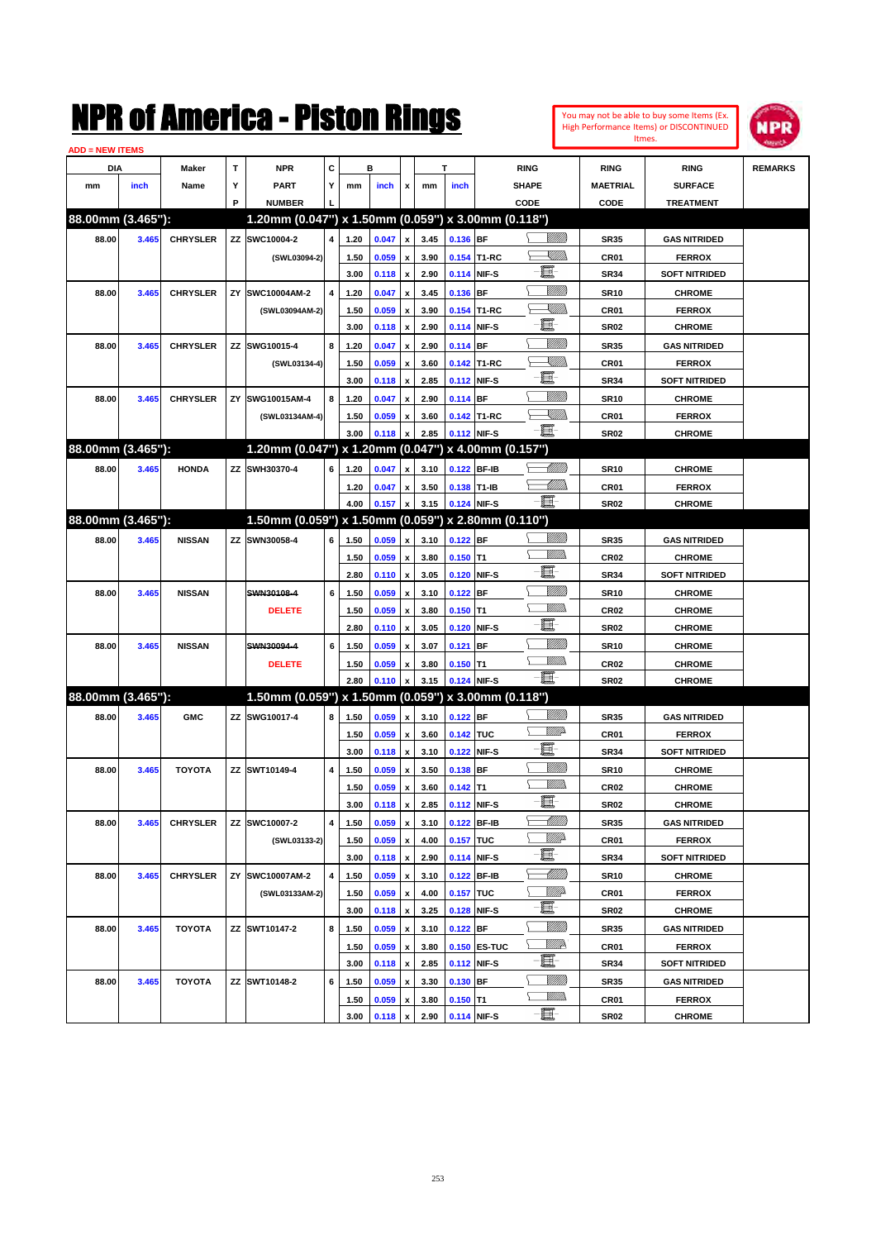

| <b>ADD = NEW ITEMS</b> |       |                 |    |                                                     |   |              |                |                           |              |             |              |                     |                  |                      |                |
|------------------------|-------|-----------------|----|-----------------------------------------------------|---|--------------|----------------|---------------------------|--------------|-------------|--------------|---------------------|------------------|----------------------|----------------|
| <b>DIA</b>             |       | <b>Maker</b>    | T  | <b>NPR</b>                                          | С |              | в              |                           |              | т           |              | <b>RING</b>         | <b>RING</b>      | <b>RING</b>          | <b>REMARKS</b> |
| mm                     | inch  | Name            | Υ  | <b>PART</b>                                         | Y | mm           | inch           | x                         | mm           | inch        |              | <b>SHAPE</b>        | <b>MAETRIAL</b>  | <b>SURFACE</b>       |                |
|                        |       |                 | P  | <b>NUMBER</b>                                       |   |              |                |                           |              |             |              | CODE                | CODE             | <b>TREATMENT</b>     |                |
| 88.00mm (3.465"):      |       |                 |    | 1.20mm (0.047") x 1.50mm (0.059") x 3.00mm (0.118") |   |              |                |                           |              |             |              |                     |                  |                      |                |
| 88.00                  | 3.465 | <b>CHRYSLER</b> |    | ZZ SWC10004-2                                       | 4 | 1.20         | 0.047          | x                         | 3.45         | 0.136 BF    |              | <u>Villida</u>      | <b>SR35</b>      | <b>GAS NITRIDED</b>  |                |
|                        |       |                 |    | (SWL03094-2)                                        |   | 1.50         | 0.059          | x                         | 3.90         |             | 0.154 T1-RC  | XIIII)              | <b>CR01</b>      | <b>FERROX</b>        |                |
|                        |       |                 |    |                                                     |   | 3.00         | 0.118          | $\boldsymbol{\mathsf{x}}$ | 2.90         |             | 0.114 NIF-S  | e.                  | <b>SR34</b>      | <b>SOFT NITRIDED</b> |                |
| 88.00                  | 3.465 | <b>CHRYSLER</b> | ZY | SWC10004AM-2                                        | 4 | 1.20         | 0.047          | x                         | 3.45         | 0.136 BF    |              | VIII))              | <b>SR10</b>      | <b>CHROME</b>        |                |
|                        |       |                 |    | (SWL03094AM-2)                                      |   | 1.50         | 0.059          | x                         | 3.90         |             | 0.154 T1-RC  | XIIII)              | <b>CR01</b>      | <b>FERROX</b>        |                |
|                        |       |                 |    |                                                     |   | 3.00         | 0.118          | $\pmb{\mathsf{x}}$        | 2.90         |             | 0.114 NIF-S  | e.                  | <b>SR02</b>      | <b>CHROME</b>        |                |
| 88.00                  | 3.465 | <b>CHRYSLER</b> |    | ZZ SWG10015-4                                       | 8 | 1.20         | 0.047          | x                         | 2.90         | $0.114$ BF  |              | VIII))              | <b>SR35</b>      | <b>GAS NITRIDED</b>  |                |
|                        |       |                 |    | (SWL03134-4)                                        |   | 1.50         | 0.059          | x                         | 3.60         |             | 0.142 T1-RC  | <u>XIII)</u>        | <b>CR01</b>      | <b>FERROX</b>        |                |
|                        |       |                 |    |                                                     |   | 3.00         | 0.118          | $\pmb{\mathsf{x}}$        | 2.85         |             | 0.112 NIF-S  | e.                  | <b>SR34</b>      | <b>SOFT NITRIDED</b> |                |
| 88.00                  | 3.465 | <b>CHRYSLER</b> | ZY | SWG10015AM-4                                        | 8 | 1.20         | 0.047          |                           | 2.90         | $0.114$ BF  |              | VIII))              | <b>SR10</b>      | <b>CHROME</b>        |                |
|                        |       |                 |    | (SWL03134AM-4)                                      |   | 1.50         | 0.059          | x                         | 3.60         |             | 0.142 T1-RC  | $\searrow$ William  | CR <sub>01</sub> | <b>FERROX</b>        |                |
|                        |       |                 |    |                                                     |   | 3.00         | 0.118          |                           | 2.85         |             | 0.112 NIF-S  | $-\Xi$              | <b>SR02</b>      | <b>CHROME</b>        |                |
| 88.00mm (3.465"):      |       |                 |    | 1.20mm (0.047") x 1.20mm (0.047") x 4.00mm (0.157") |   |              |                |                           |              |             |              |                     |                  |                      |                |
| 88.00                  | 3.465 | <b>HONDA</b>    |    | ZZ SWH30370-4                                       | 6 | 1.20         | 0.047          | x                         | 3.10         |             | 0.122 BF-IB  | <u>UMB</u>          | <b>SR10</b>      | <b>CHROME</b>        |                |
|                        |       |                 |    |                                                     |   | 1.20         | 0.047          | x                         | 3.50         | 0.138 T1-IB |              | <u> UMB</u>         | <b>CR01</b>      | <b>FERROX</b>        |                |
|                        |       |                 |    |                                                     |   | 4.00         | 0.157          | x                         | 3.15         |             | 0.124 NIF-S  | -8                  | <b>SR02</b>      | <b>CHROME</b>        |                |
| 88.00mm (3.465"):      |       |                 |    | 1.50mm (0.059") x 1.50mm (0.059") x 2.80mm (0.110") |   |              |                |                           |              |             |              |                     |                  |                      |                |
| 88.00                  | 3.465 | <b>NISSAN</b>   |    | ZZ SWN30058-4                                       | 6 | 1.50         | 0.059          | x                         | 3.10         | $0.122$ BF  |              | VIII))              | <b>SR35</b>      | <b>GAS NITRIDED</b>  |                |
|                        |       |                 |    |                                                     |   | 1.50         | 0.059          |                           | 3.80         | $0.150$ T1  |              | .<br>MM             | <b>CR02</b>      | <b>CHROME</b>        |                |
|                        |       |                 |    |                                                     |   | 2.80         | 0.110          | x<br>$\pmb{\mathsf{x}}$   | 3.05         |             | 0.120 NIF-S  | e.                  | <b>SR34</b>      | <b>SOFT NITRIDED</b> |                |
|                        |       |                 |    | SWN30108-4                                          |   |              |                |                           |              |             |              | VIII))              |                  |                      |                |
| 88.00                  | 3.465 | <b>NISSAN</b>   |    |                                                     | 6 | 1.50         | 0.059          |                           | 3.10         | $0.122$ BF  |              | .<br>MM             | <b>SR10</b>      | <b>CHROME</b>        |                |
|                        |       |                 |    | <b>DELETE</b>                                       |   | 1.50<br>2.80 | 0.059          | x                         | 3.80         | $0.150$ T1  | 0.120 NIF-S  | e.                  | <b>CR02</b>      | <b>CHROME</b>        |                |
|                        |       |                 |    |                                                     |   |              | 0.110          | $\pmb{\mathsf{x}}$        | 3.05         |             |              | VIII))              | <b>SR02</b>      | <b>CHROME</b>        |                |
| 88.00                  | 3.465 | <b>NISSAN</b>   |    | SWN30094-4                                          | 6 | 1.50         | 0.059          |                           | 3.07         | $0.121$ BF  |              | .<br>MM             | <b>SR10</b>      | <b>CHROME</b>        |                |
|                        |       |                 |    | <b>DELETE</b>                                       |   | 1.50<br>2.80 | 0.059<br>0.110 | x                         | 3.80<br>3.15 | $0.150$ T1  |              | - 1                 | <b>CR02</b>      | <b>CHROME</b>        |                |
| 88.00mm (3.465"):      |       |                 |    | 1.50mm (0.059") x 1.50mm (0.059") x 3.00mm (0.118") |   |              |                |                           |              |             | 0.124 NIF-S  |                     | SR02             | <b>CHROME</b>        |                |
|                        |       |                 |    |                                                     |   |              |                |                           |              |             |              |                     |                  |                      |                |
| 88.00                  | 3.465 | <b>GMC</b>      |    | ZZ SWG10017-4                                       | 8 | 1.50         | 0.059          | $\pmb{\mathsf{x}}$        | 3.10         | $0.122$ BF  |              | <u>MM</u>           | <b>SR35</b>      | <b>GAS NITRIDED</b>  |                |
|                        |       |                 |    |                                                     |   | 1.50         | 0.059          | x                         | 3.60         | 0.142 TUC   |              | e.                  | <b>CR01</b>      | <b>FERROX</b>        |                |
|                        |       |                 |    |                                                     |   | 3.00         | 0.118          | $\pmb{\mathsf{x}}$        | 3.10         |             | 0.122 NIF-S  | VIII))              | <b>SR34</b>      | <b>SOFT NITRIDED</b> |                |
| 88.00                  | 3.465 | <b>TOYOTA</b>   |    | ZZ SWT10149-4                                       | 4 | 1.50         | 0.059          |                           | 3.50         | $0.138$ BF  |              | 9777))              | <b>SR10</b>      | <b>CHROME</b>        |                |
|                        |       |                 |    |                                                     |   | 1.50         | 0.059          | x                         | 3.60         | $0.142$ T1  |              | E                   | CR <sub>02</sub> | <b>CHROME</b>        |                |
|                        |       |                 |    |                                                     |   | 3.00         | 0.118          | $\pmb{\mathsf{x}}$        | 2.85         | 0.112 NIF-S |              |                     | SR02             | <b>CHROME</b>        |                |
| 88.00                  | 3.465 | <b>CHRYSLER</b> | ΖZ | SWC10007-2                                          | 4 | 1.50         | 0.059          | $\pmb{\mathsf{x}}$        | 3.10         |             | 0.122 BF-IB  | MMB                 | <b>SR35</b>      | <b>GAS NITRIDED</b>  |                |
|                        |       |                 |    | (SWL03133-2)                                        |   | 1.50         | 0.059          | x                         | 4.00         | 0.157 TUC   |              | <u>Willia</u><br>e. | CR01             | <b>FERROX</b>        |                |
|                        |       |                 |    |                                                     |   | 3.00         | 0.118          | $\pmb{\mathsf{x}}$        | 2.90         |             | 0.114 NIF-S  |                     | SR34             | <b>SOFT NITRIDED</b> |                |
| 88.00                  | 3.465 | <b>CHRYSLER</b> | ΖY | SWC10007AM-2                                        | 4 | 1.50         | 0.059          | x                         | 3.10         |             | 0.122 BF-IB  | <u> MMM</u>         | <b>SR10</b>      | <b>CHROME</b>        |                |
|                        |       |                 |    | (SWL03133AM-2)                                      |   | 1.50         | 0.059          | x                         | 4.00         | 0.157 TUC   |              | ₩₩<br>e.            | CR01             | <b>FERROX</b>        |                |
|                        |       |                 |    |                                                     |   | 3.00         | 0.118          | $\pmb{\mathsf{x}}$        | 3.25         |             | 0.128 NIF-S  |                     | SR02             | <b>CHROME</b>        |                |
| 88.00                  | 3.465 | <b>TOYOTA</b>   |    | ZZ SWT10147-2                                       | 8 | 1.50         | 0.059          | x                         | 3.10         | 0.122 BF    |              | VIII))              | <b>SR35</b>      | <b>GAS NITRIDED</b>  |                |
|                        |       |                 |    |                                                     |   | 1.50         | 0.059          | x                         | 3.80         |             | 0.150 ES-TUC | <u>Willia</u>       | CR01             | <b>FERROX</b>        |                |
|                        |       |                 |    |                                                     |   | 3.00         | 0.118          | $\pmb{\mathsf{x}}$        | 2.85         |             | 0.112 NIF-S  | E-                  | SR34             | <b>SOFT NITRIDED</b> |                |
| 88.00                  | 3.465 | <b>TOYOTA</b>   |    | ZZ SWT10148-2                                       | 6 | 1.50         | 0.059          | x                         | 3.30         | 0.130 BF    |              |                     | SR35             | <b>GAS NITRIDED</b>  |                |
|                        |       |                 |    |                                                     |   | 1.50         | 0.059          | x                         | 3.80         | $0.150$ T1  |              | <u>MM)</u>          | CR01             | <b>FERROX</b>        |                |
|                        |       |                 |    |                                                     |   | 3.00         | 0.118          | $\pmb{\mathsf{x}}$        | 2.90         | 0.114 NIF-S |              | e                   | <b>SR02</b>      | <b>CHROME</b>        |                |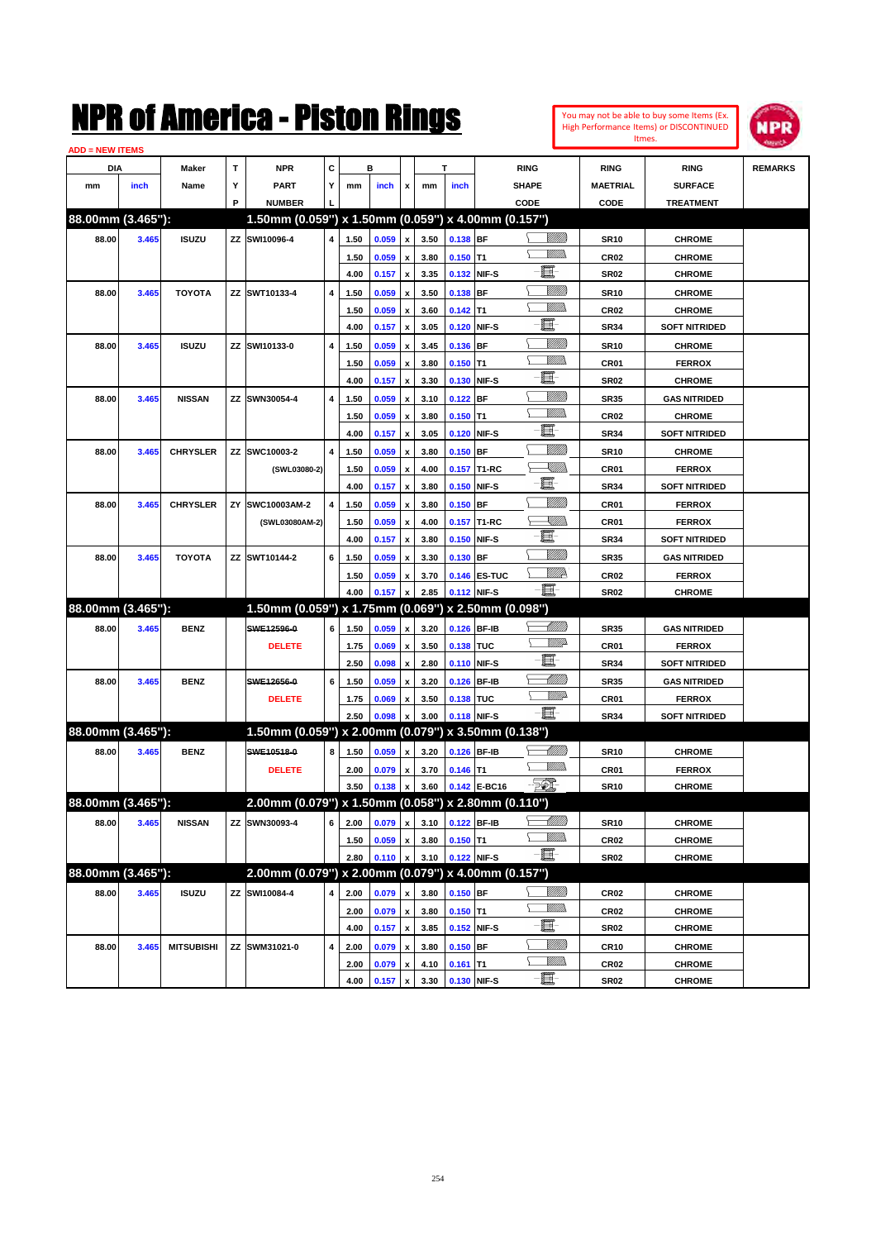

| <b>ADD = NEW ITEMS</b> |       |                   |   |                                                     |   |      |       |                    |      |             |              |                          |                  |                      |                |
|------------------------|-------|-------------------|---|-----------------------------------------------------|---|------|-------|--------------------|------|-------------|--------------|--------------------------|------------------|----------------------|----------------|
| DIA                    |       | Maker             | T | <b>NPR</b>                                          | C |      | в     |                    |      | т           |              | <b>RING</b>              | <b>RING</b>      | <b>RING</b>          | <b>REMARKS</b> |
| mm                     | inch  | Name              | Υ | <b>PART</b>                                         | Y | mm   | inch  | x                  | mm   | inch        |              | <b>SHAPE</b>             | <b>MAETRIAL</b>  | <b>SURFACE</b>       |                |
|                        |       |                   | P | <b>NUMBER</b>                                       |   |      |       |                    |      |             |              | CODE                     | CODE             | <b>TREATMENT</b>     |                |
| 88.00mm (3.465"):      |       |                   |   | 1.50mm (0.059") x 1.50mm (0.059") x 4.00mm (0.157") |   |      |       |                    |      |             |              |                          |                  |                      |                |
| 88.00                  | 3.465 | <b>ISUZU</b>      |   | ZZ SWI10096-4                                       | 4 | 1.50 | 0.059 | $\pmb{\mathsf{x}}$ | 3.50 | 0.138 BF    |              | <u>Villida</u>           | <b>SR10</b>      | <b>CHROME</b>        |                |
|                        |       |                   |   |                                                     |   | 1.50 | 0.059 | $\pmb{\mathsf{x}}$ | 3.80 | $0.150$ T1  |              |                          | CR <sub>02</sub> | <b>CHROME</b>        |                |
|                        |       |                   |   |                                                     |   | 4.00 | 0.157 | $\pmb{\mathsf{x}}$ | 3.35 |             | 0.132 NIF-S  | e.                       | <b>SR02</b>      | <b>CHROME</b>        |                |
| 88.00                  | 3.465 | <b>TOYOTA</b>     |   | ZZ SWT10133-4                                       | 4 | 1.50 | 0.059 |                    | 3.50 | $0.138$ BF  |              | <u>Milli</u>             | <b>SR10</b>      | <b>CHROME</b>        |                |
|                        |       |                   |   |                                                     |   |      |       | x                  |      | $0.142$ T1  |              | .<br>MM                  |                  | <b>CHROME</b>        |                |
|                        |       |                   |   |                                                     |   | 1.50 | 0.059 | x                  | 3.60 |             | 0.120 NIF-S  | e.                       | <b>CR02</b>      |                      |                |
|                        |       |                   |   |                                                     |   | 4.00 | 0.157 | x                  | 3.05 |             |              | <u>Milli</u>             | <b>SR34</b>      | <b>SOFT NITRIDED</b> |                |
| 88.00                  | 3.465 | <b>ISUZU</b>      |   | ZZ SWI10133-0                                       | 4 | 1.50 | 0.059 | x                  | 3.45 | $0.136$ BF  |              | .<br>MM                  | <b>SR10</b>      | <b>CHROME</b>        |                |
|                        |       |                   |   |                                                     |   | 1.50 | 0.059 | x                  | 3.80 | $0.150$ T1  |              | e.                       | CR01             | <b>FERROX</b>        |                |
|                        |       |                   |   |                                                     |   | 4.00 | 0.157 | x                  | 3.30 |             | 0.130 NIF-S  |                          | <b>SR02</b>      | <b>CHROME</b>        |                |
| 88.00                  | 3.465 | <b>NISSAN</b>     |   | ZZ SWN30054-4                                       | 4 | 1.50 | 0.059 | x                  | 3.10 | $0.122$ BF  |              | <u>MMM</u>               | <b>SR35</b>      | <b>GAS NITRIDED</b>  |                |
|                        |       |                   |   |                                                     |   | 1.50 | 0.059 | x                  | 3.80 | $0.150$ T1  |              | .<br>WWW                 | <b>CR02</b>      | <b>CHROME</b>        |                |
|                        |       |                   |   |                                                     |   | 4.00 | 0.157 | x                  | 3.05 |             | 0.120 NIF-S  | e.                       | <b>SR34</b>      | <b>SOFT NITRIDED</b> |                |
| 88.00                  | 3.465 | <b>CHRYSLER</b>   |   | ZZ SWC10003-2                                       | 4 | 1.50 | 0.059 | x                  | 3.80 | $0.150$ BF  |              | VIII))                   | <b>SR10</b>      | <b>CHROME</b>        |                |
|                        |       |                   |   | (SWL03080-2)                                        |   | 1.50 | 0.059 | x                  | 4.00 |             | 0.157 T1-RC  | <u>VIII)</u>             | CR01             | <b>FERROX</b>        |                |
|                        |       |                   |   |                                                     |   | 4.00 | 0.157 | x                  | 3.80 |             | 0.150 NIF-S  | e                        | <b>SR34</b>      | <b>SOFT NITRIDED</b> |                |
| 88.00                  | 3.465 | <b>CHRYSLER</b>   |   | ZY SWC10003AM-2                                     | 4 | 1.50 | 0.059 | x                  | 3.80 | $0.150$ BF  |              | VIII))                   | CR01             | <b>FERROX</b>        |                |
|                        |       |                   |   | (SWL03080AM-2)                                      |   | 1.50 | 0.059 | x                  | 4.00 |             | 0.157 T1-RC  | <u>XIII)</u>             | CR01             | <b>FERROX</b>        |                |
|                        |       |                   |   |                                                     |   | 4.00 | 0.157 | $\pmb{\mathsf{x}}$ | 3.80 |             | 0.150 NIF-S  | e                        | <b>SR34</b>      | <b>SOFT NITRIDED</b> |                |
| 88.00                  | 3.465 | <b>TOYOTA</b>     |   | ZZ SWT10144-2                                       | 6 | 1.50 | 0.059 | x                  | 3.30 | 0.130 BF    |              | <u>VMM</u>               | <b>SR35</b>      | <b>GAS NITRIDED</b>  |                |
|                        |       |                   |   |                                                     |   | 1.50 | 0.059 | X                  | 3.70 |             | 0.146 ES-TUC | ₩₩                       | <b>CR02</b>      | <b>FERROX</b>        |                |
|                        |       |                   |   |                                                     |   | 4.00 | 0.157 | x                  | 2.85 |             | 0.112 NIF-S  | E                        | <b>SR02</b>      | <b>CHROME</b>        |                |
| 88.00mm (3.465"):      |       |                   |   | 1.50mm (0.059") x 1.75mm (0.069") x 2.50mm (0.098") |   |      |       |                    |      |             |              |                          |                  |                      |                |
| 88.00                  | 3.465 | <b>BENZ</b>       |   | SWE12596-0                                          | 6 | 1.50 | 0.059 | x                  | 3.20 |             | 0.126 BF-IB  | <u> UMB</u>              | <b>SR35</b>      | <b>GAS NITRIDED</b>  |                |
|                        |       |                   |   | <b>DELETE</b>                                       |   | 1.75 | 0.069 | x                  | 3.50 | 0.138 TUC   |              | <u>WW</u>                | CR01             | <b>FERROX</b>        |                |
|                        |       |                   |   |                                                     |   | 2.50 | 0.098 | $\pmb{\mathsf{x}}$ | 2.80 |             | 0.110 NIF-S  | E                        | <b>SR34</b>      | <b>SOFT NITRIDED</b> |                |
| 88.00                  | 3.465 | <b>BENZ</b>       |   | SWE12656-0                                          | 6 | 1.50 | 0.059 | x                  | 3.20 |             | 0.126 BF-IB  | MMB                      | <b>SR35</b>      | <b>GAS NITRIDED</b>  |                |
|                        |       |                   |   | <b>DELETE</b>                                       |   | 1.75 | 0.069 | x                  | 3.50 | 0.138 TUC   |              | <u>WW</u>                | CR01             | <b>FERROX</b>        |                |
|                        |       |                   |   |                                                     |   | 2.50 | 0.098 | X                  | 3.00 |             | 0.118 NIF-S  | -66                      | <b>SR34</b>      | <b>SOFT NITRIDED</b> |                |
| 88.00mm (3.465"):      |       |                   |   | 1.50mm (0.059") x 2.00mm (0.079") x 3.50mm (0.138") |   |      |       |                    |      |             |              |                          |                  |                      |                |
| 88.00                  | 3.465 | <b>BENZ</b>       |   | SWE10518-0                                          | 8 | 1.50 | 0.059 | x                  | 3.20 |             | 0.126 BF-IB  | <u>UMB</u>               | <b>SR10</b>      | <b>CHROME</b>        |                |
|                        |       |                   |   | <b>DELETE</b>                                       |   | 2.00 | 0.079 | x                  | 3.70 | $0.146$ T1  |              | 7777).                   | CR01             | <b>FERROX</b>        |                |
|                        |       |                   |   |                                                     |   | 3.50 | 0.138 | $\pmb{\mathsf{x}}$ | 3.60 |             | 0.142 E-BC16 | EC.                      | <b>SR10</b>      | <b>CHROME</b>        |                |
| 88.00mm (3.465"):      |       |                   |   | 2.00mm (0.079") x 1.50mm (0.058") x 2.80mm (0.110") |   |      |       |                    |      |             |              |                          |                  |                      |                |
| 88.00                  | 3.465 | <b>NISSAN</b>     |   | ZZ SWN30093-4                                       | 6 | 2.00 | 0.079 | $\pmb{\mathsf{x}}$ | 3.10 |             | 0.122 BF-IB  | <u> MMM</u>              | <b>SR10</b>      | <b>CHROME</b>        |                |
|                        |       |                   |   |                                                     |   | 1.50 | 0.059 | $\pmb{\mathsf{x}}$ | 3.80 | $0.150$ T1  |              | <u>MM)</u>               | CR02             | <b>CHROME</b>        |                |
|                        |       |                   |   |                                                     |   | 2.80 | 0.110 | $\pmb{\mathsf{x}}$ | 3.10 |             | 0.122 NIF-S  | $-\Xi$                   | SR02             | <b>CHROME</b>        |                |
| 88.00mm (3.465"):      |       |                   |   | 2.00mm (0.079") x 2.00mm (0.079") x 4.00mm (0.157") |   |      |       |                    |      |             |              |                          |                  |                      |                |
| 88.00                  | 3.465 | <b>ISUZU</b>      |   | ZZ SWI10084-4                                       | 4 | 2.00 |       |                    | 3.80 | $0.150$ BF  |              | <u>Milli</u> n           |                  |                      |                |
|                        |       |                   |   |                                                     |   |      | 0.079 | x                  |      |             |              | <u>MM)</u>               | CR <sub>02</sub> | <b>CHROME</b>        |                |
|                        |       |                   |   |                                                     |   | 2.00 | 0.079 | $\pmb{\mathsf{x}}$ | 3.80 | $0.150$ T1  |              | E                        | CR <sub>02</sub> | <b>CHROME</b>        |                |
|                        |       |                   |   |                                                     |   | 4.00 | 0.157 | $\pmb{\mathsf{x}}$ | 3.85 |             | 0.152 NIF-S  |                          | SR02             | <b>CHROME</b>        |                |
| 88.00                  | 3.465 | <b>MITSUBISHI</b> |   | ZZ SWM31021-0                                       | 4 | 2.00 | 0.079 | x                  | 3.80 | $0.150$ BF  |              | <u>MMM</u><br><u>MM)</u> | <b>CR10</b>      | <b>CHROME</b>        |                |
|                        |       |                   |   |                                                     |   | 2.00 | 0.079 | x                  | 4.10 | $0.161$ T1  |              | E-                       | CR02             | <b>CHROME</b>        |                |
|                        |       |                   |   |                                                     |   | 4.00 | 0.157 | $\pmb{\mathsf{x}}$ | 3.30 | 0.130 NIF-S |              |                          | <b>SR02</b>      | <b>CHROME</b>        |                |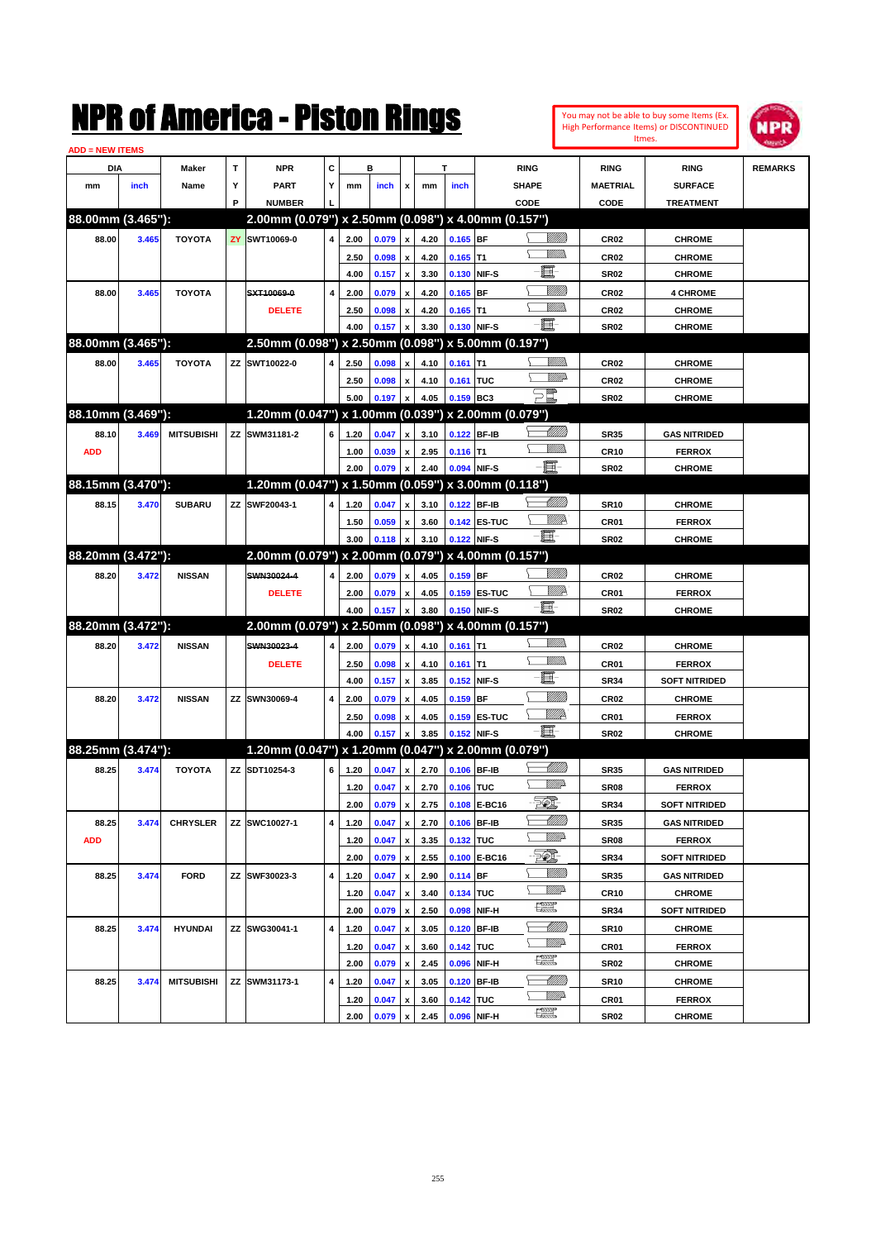

| <b>ADD = NEW ITEMS</b> |       |                   |   |                                                     |                |              |                |                           |              |                    |              |                 |                                 |                                |                |
|------------------------|-------|-------------------|---|-----------------------------------------------------|----------------|--------------|----------------|---------------------------|--------------|--------------------|--------------|-----------------|---------------------------------|--------------------------------|----------------|
| DIA                    |       | Maker             | Т | <b>NPR</b>                                          | c              |              | в              |                           |              | T                  |              | <b>RING</b>     | <b>RING</b>                     | <b>RING</b>                    | <b>REMARKS</b> |
| mm                     | inch  | Name              | Υ | <b>PART</b>                                         | Y              | mm           | inch           | x                         | mm           | inch               |              | <b>SHAPE</b>    | <b>MAETRIAL</b>                 | <b>SURFACE</b>                 |                |
|                        |       |                   | P | <b>NUMBER</b>                                       |                |              |                |                           |              |                    |              | CODE            | CODE                            | <b>TREATMENT</b>               |                |
| 88.00mm (3.465"):      |       |                   |   | 2.00mm (0.079") x 2.50mm (0.098") x 4.00mm (0.157") |                |              |                |                           |              |                    |              |                 |                                 |                                |                |
| 88.00                  | 3.465 | <b>TOYOTA</b>     |   | <b>ZY SWT10069-0</b>                                | $\overline{4}$ | 2.00         | 0.079          | x                         | 4.20         | $0.165$ BF         |              | <u>Sillilli</u> | <b>CR02</b>                     | <b>CHROME</b>                  |                |
|                        |       |                   |   |                                                     |                | 2.50         | 0.098          | x                         | 4.20         | $0.165$ T1         |              | 7777).          | <b>CR02</b>                     | <b>CHROME</b>                  |                |
|                        |       |                   |   |                                                     |                | 4.00         | 0.157          | $\boldsymbol{\mathsf{x}}$ | 3.30         |                    | 0.130 NIF-S  | E.              | <b>SR02</b>                     | <b>CHROME</b>                  |                |
| 88.00                  | 3.465 | <b>TOYOTA</b>     |   | SXT10069-0                                          | 4              | 2.00         | 0.079          | x                         | 4.20         | $0.165$ BF         |              | <u>Milli</u> k  | <b>CR02</b>                     | <b>4 CHROME</b>                |                |
|                        |       |                   |   | <b>DELETE</b>                                       |                | 2.50         | 0.098          | x                         | 4.20         | $0.165$ T1         |              | .<br>WWW        | <b>CR02</b>                     | <b>CHROME</b>                  |                |
|                        |       |                   |   |                                                     |                | 4.00         | 0.157          | x                         | 3.30         | 0.130 NIF-S        |              | $-\Xi$ -        | <b>SR02</b>                     | <b>CHROME</b>                  |                |
| 88.00mm (3.465"):      |       |                   |   | 2.50mm (0.098") x 2.50mm (0.098") x 5.00mm (0.197") |                |              |                |                           |              |                    |              |                 |                                 |                                |                |
| 88.00                  | 3.465 | <b>TOYOTA</b>     |   | ZZ SWT10022-0                                       | 4              | 2.50         | 0.098          | x                         | 4.10         | $0.161$ T1         |              | <u>MM)</u>      | <b>CR02</b>                     | <b>CHROME</b>                  |                |
|                        |       |                   |   |                                                     |                | 2.50         | 0.098          | x                         | 4.10         | 0.161 TUC          |              | <u>WW</u> A     | <b>CR02</b>                     | <b>CHROME</b>                  |                |
|                        |       |                   |   |                                                     |                | 5.00         | 0.197          | x                         | 4.05         | 0.159 BC3          |              |                 | <b>SR02</b>                     | <b>CHROME</b>                  |                |
| 88.10mm (3.469"):      |       |                   |   | 1.20mm (0.047") x 1.00mm (0.039") x 2.00mm (0.079") |                |              |                |                           |              |                    |              |                 |                                 |                                |                |
| 88.10                  | 3.469 | <b>MITSUBISHI</b> |   | ZZ SWM31181-2                                       | 6              | 1.20         | 0.047          | x                         | 3.10         | 0.122 BF-IB        |              | <u> UMM</u>     | <b>SR35</b>                     | <b>GAS NITRIDED</b>            |                |
| <b>ADD</b>             |       |                   |   |                                                     |                | 1.00         | 0.039          | x                         | 2.95         | $0.116$ T1         |              | 977))           | <b>CR10</b>                     | <b>FERROX</b>                  |                |
|                        |       |                   |   |                                                     |                | 2.00         | 0.079          | x                         | 2.40         | 0.094 NIF-S        |              | E               | <b>SR02</b>                     | <b>CHROME</b>                  |                |
| 88.15mm (3.470"):      |       |                   |   | 1.20mm (0.047") x 1.50mm (0.059") x 3.00mm (0.118") |                |              |                |                           |              |                    |              |                 |                                 |                                |                |
| 88.15                  | 3.470 | <b>SUBARU</b>     |   | ZZ SWF20043-1                                       | 4              | 1.20         | 0.047          | x                         | 3.10         | 0.122 BF-IB        |              | <u> UMM</u>     | <b>SR10</b>                     | <b>CHROME</b>                  |                |
|                        |       |                   |   |                                                     |                | 1.50         | 0.059          | x                         | 3.60         |                    | 0.142 ES-TUC | <u>WW</u> A     | CR01                            | <b>FERROX</b>                  |                |
|                        |       |                   |   |                                                     |                | 3.00         | 0.118          | x                         | 3.10         | 0.122 NIF-S        |              | e.              | <b>SR02</b>                     | <b>CHROME</b>                  |                |
| 88.20mm (3.472"):      |       |                   |   | 2.00mm (0.079") x 2.00mm (0.079") x 4.00mm (0.157") |                |              |                |                           |              |                    |              |                 |                                 |                                |                |
| 88.20                  | 3.472 | <b>NISSAN</b>     |   | SWN30024-4                                          | $\overline{4}$ | 2.00         | 0.079          | x                         | 4.05         | 0.159 BF           |              | WMB             | <b>CR02</b>                     | <b>CHROME</b>                  |                |
|                        |       |                   |   | <b>DELETE</b>                                       |                | 2.00         | 0.079          | x                         | 4.05         |                    | 0.159 ES-TUC | ₩₩              | CR01                            | <b>FERROX</b>                  |                |
|                        |       |                   |   |                                                     |                | 4.00         | 0.157          | x                         | 3.80         | 0.150 NIF-S        |              | -8              | <b>SR02</b>                     | <b>CHROME</b>                  |                |
| 88.20mm (3.472"):      |       |                   |   | 2.00mm (0.079") x 2.50mm (0.098") x 4.00mm (0.157") |                |              |                |                           |              |                    |              |                 |                                 |                                |                |
| 88.20                  | 3.472 | <b>NISSAN</b>     |   | SWN30023-4                                          | $\overline{4}$ | 2.00         | 0.079          | x                         | 4.10         | $0.161$ T1         |              | <br>Mar         | <b>CR02</b>                     | <b>CHROME</b>                  |                |
|                        |       |                   |   | <b>DELETE</b>                                       |                | 2.50         | 0.098          | x                         | 4.10         | $0.161$ T1         |              |                 | <b>CR01</b>                     | <b>FERROX</b>                  |                |
|                        |       |                   |   |                                                     |                | 4.00         | 0.157          | x                         | 3.85         |                    | 0.152 NIF-S  | E.              | <b>SR34</b>                     | <b>SOFT NITRIDED</b>           |                |
| 88.20                  | 3.472 | <b>NISSAN</b>     |   | ZZ SWN30069-4                                       | 4              | 2.00         | 0.079          | x                         | 4.05         | $0.159$ BF         |              | <u>Milli</u> k  | <b>CR02</b>                     | <b>CHROME</b>                  |                |
|                        |       |                   |   |                                                     |                | 2.50         | 0.098          | x                         | 4.05         |                    | 0.159 ES-TUC | <u>VIIId</u>    | CR01                            | <b>FERROX</b>                  |                |
|                        |       |                   |   |                                                     |                | 4.00         | 0.157          | x                         | 3.85         | 0.152 NIF-S        |              | e.              | SR <sub>02</sub>                | <b>CHROME</b>                  |                |
| 88.25mm (3.474"):      |       |                   |   | 1.20mm (0.047") x 1.20mm (0.047") x 2.00mm (0.079") |                |              |                |                           |              |                    |              |                 |                                 |                                |                |
| 88.25                  | 3.474 | <b>TOYOTA</b>     |   | ZZ SDT10254-3                                       | 6              | 1.20         | 0.047          | x                         | 2.70         | 0.106 BF-IB        |              | <u> Millitt</u> | <b>SR35</b>                     | <b>GAS NITRIDED</b>            |                |
|                        |       |                   |   |                                                     |                | 1.20         | 0.047          | x                         | 2.70         | 0.106 TUC          |              | <u>VMD</u>      | SR <sub>08</sub>                | <b>FERROX</b>                  |                |
|                        |       |                   |   |                                                     |                | 2.00         | 0.079          | $\pmb{\mathsf{x}}$        | 2.75         |                    | 0.108 E-BC16 | <b>FOX</b>      | <b>SR34</b>                     | <b>SOFT NITRIDED</b>           |                |
| 88.25                  | 3.474 | <b>CHRYSLER</b>   |   | ZZ SWC10027-1                                       | 4              | 1.20         | 0.047          | x                         | 2.70         |                    | 0.106 BF-IB  | <u> UMM</u>     | <b>SR35</b>                     | <b>GAS NITRIDED</b>            |                |
| <b>ADD</b>             |       |                   |   |                                                     |                | 1.20         | 0.047          | x                         | 3.35         | 0.132 TUC          |              | <u>VMD</u>      | SR <sub>08</sub>                | <b>FERROX</b>                  |                |
|                        |       |                   |   |                                                     |                | 2.00         | 0.079          | $\pmb{\mathsf{x}}$        | 2.55         |                    | 0.100 E-BC16 | EQ,             | <b>SR34</b>                     | <b>SOFT NITRIDED</b>           |                |
| 88.25                  | 3.474 | <b>FORD</b>       |   | ZZ SWF30023-3                                       | 4              | 1.20         | 0.047          |                           | 2.90         | $0.114$ BF         |              | <u>Sillilli</u> | <b>SR35</b>                     | <b>GAS NITRIDED</b>            |                |
|                        |       |                   |   |                                                     |                |              |                | x                         |              | 0.134 TUC          |              | <u>WW</u> A     |                                 | <b>CHROME</b>                  |                |
|                        |       |                   |   |                                                     |                | 1.20<br>2.00 | 0.047<br>0.079 | x<br>$\pmb{\mathsf{x}}$   | 3.40<br>2.50 | 0.098              | NIF-H        | H               | CR <sub>10</sub><br><b>SR34</b> | <b>SOFT NITRIDED</b>           |                |
|                        |       |                   |   | ZZ SWG30041-1                                       | 4              |              |                |                           |              |                    |              |                 |                                 |                                |                |
| 88.25                  | 3.474 | <b>HYUNDAI</b>    |   |                                                     |                | 1.20         | 0.047          | x                         | 3.05         |                    | 0.120 BF-IB  | <u>WW</u> A     | <b>SR10</b>                     | <b>CHROME</b>                  |                |
|                        |       |                   |   |                                                     |                | 1.20<br>2.00 | 0.047<br>0.079 | x<br>$\pmb{\mathsf{x}}$   | 3.60<br>2.45 | 0.142 TUC<br>0.096 | NIF-H        | H               | CR01<br><b>SR02</b>             | <b>FERROX</b><br><b>CHROME</b> |                |
|                        |       |                   |   |                                                     | 4              |              |                |                           |              |                    |              | <u> UMB</u>     |                                 |                                |                |
| 88.25                  | 3.474 | <b>MITSUBISHI</b> |   | ZZ SWM31173-1                                       |                | 1.20         | 0.047          | x                         | 3.05         |                    | 0.120 BF-IB  | <u>WW</u> A     | <b>SR10</b>                     | <b>CHROME</b>                  |                |
|                        |       |                   |   |                                                     |                | 1.20         | 0.047          | x                         | 3.60         | 0.142 TUC          |              | H               | CR01                            | <b>FERROX</b>                  |                |
|                        |       |                   |   |                                                     |                | 2.00         | 0.079          | X                         | 2.45         |                    | 0.096 NIF-H  |                 | SR02                            | <b>CHROME</b>                  |                |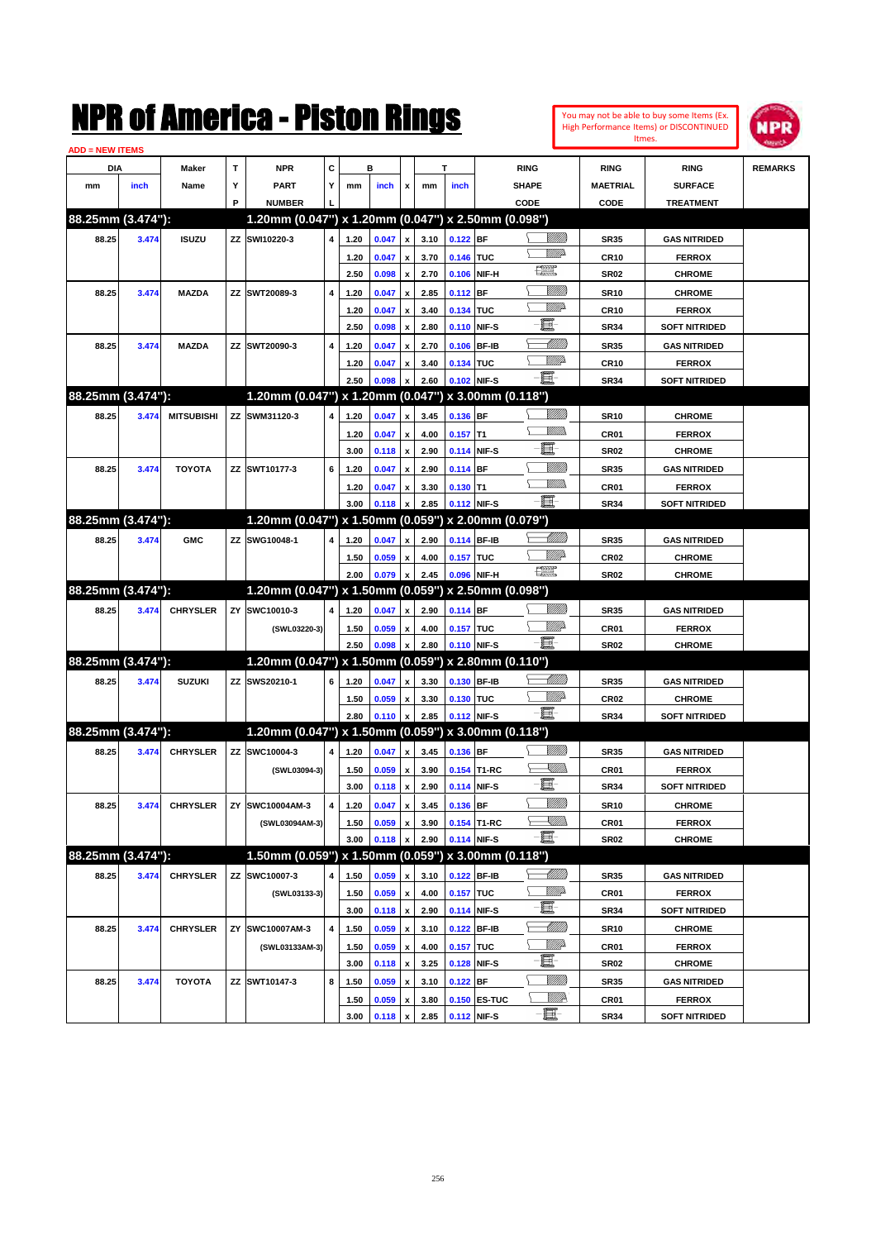| You may not be able to buy some Items (Ex. |
|--------------------------------------------|
| High Performance Items) or DISCONTINUED    |
| Itmes.                                     |



| <b>ADD = NEW ITEMS</b> |       |                   |    |                                                     |   |              |                |                    |              |            |              |                                                                                                                                 |                  |                      |                |
|------------------------|-------|-------------------|----|-----------------------------------------------------|---|--------------|----------------|--------------------|--------------|------------|--------------|---------------------------------------------------------------------------------------------------------------------------------|------------------|----------------------|----------------|
| DIA                    |       | <b>Maker</b>      | T  | <b>NPR</b>                                          | С |              | в              |                    |              | т          |              | <b>RING</b>                                                                                                                     | <b>RING</b>      | <b>RING</b>          | <b>REMARKS</b> |
| mm                     | inch  | Name              | Υ  | <b>PART</b>                                         | Y | mm           | inch           | x                  | mm           | inch       |              | <b>SHAPE</b>                                                                                                                    | <b>MAETRIAL</b>  | <b>SURFACE</b>       |                |
|                        |       |                   | P  | <b>NUMBER</b>                                       |   |              |                |                    |              |            |              | CODE                                                                                                                            | <b>CODE</b>      | <b>TREATMENT</b>     |                |
| 88.25mm (3.474"):      |       |                   |    | 1.20mm (0.047") x 1.20mm (0.047") x 2.50mm (0.098") |   |              |                |                    |              |            |              |                                                                                                                                 |                  |                      |                |
| 88.25                  | 3.474 | <b>ISUZU</b>      |    | ZZ SWI10220-3                                       | 4 | 1.20         | 0.047          | x                  | 3.10         | $0.122$ BF |              | <u> UMB</u>                                                                                                                     | <b>SR35</b>      | <b>GAS NITRIDED</b>  |                |
|                        |       |                   |    |                                                     |   | 1.20         | 0.047          |                    | 3.70         | 0.146 TUC  |              | <u>VMD</u>                                                                                                                      | <b>CR10</b>      | <b>FERROX</b>        |                |
|                        |       |                   |    |                                                     |   | 2.50         | 0.098          | x                  | 2.70         |            | 0.106 NIF-H  | 鱱                                                                                                                               | SR <sub>02</sub> | <b>CHROME</b>        |                |
| 88.25                  | 3.474 | <b>MAZDA</b>      |    | ZZ SWT20089-3                                       | 4 | 1.20         | 0.047          | x                  | 2.85         | $0.112$ BF |              | <u>Milli</u>                                                                                                                    | <b>SR10</b>      | <b>CHROME</b>        |                |
|                        |       |                   |    |                                                     |   | 1.20         | 0.047          | x                  | 3.40         | 0.134 TUC  |              | <u>VMD</u>                                                                                                                      | <b>CR10</b>      | <b>FERROX</b>        |                |
|                        |       |                   |    |                                                     |   | 2.50         | 0.098          | x                  | 2.80         |            | 0.110 NIF-S  | e                                                                                                                               | <b>SR34</b>      | <b>SOFT NITRIDED</b> |                |
| 88.25                  | 3.474 | <b>MAZDA</b>      |    | ZZ SWT20090-3                                       | 4 | 1.20         | 0.047          |                    | 2.70         |            | 0.106 BF-IB  | MMM                                                                                                                             | <b>SR35</b>      | <b>GAS NITRIDED</b>  |                |
|                        |       |                   |    |                                                     |   | 1.20         | 0.047          |                    | 3.40         | 0.134 TUC  |              | <u>MM</u>                                                                                                                       | <b>CR10</b>      | <b>FERROX</b>        |                |
|                        |       |                   |    |                                                     |   | 2.50         | 0.098          |                    | 2.60         |            | 0.102 NIF-S  | 匱                                                                                                                               | <b>SR34</b>      | <b>SOFT NITRIDED</b> |                |
| 88.25mm (3.474"):      |       |                   |    | 1.20mm (0.047") x 1.20mm (0.047") x 3.00mm (0.118") |   |              |                |                    |              |            |              |                                                                                                                                 |                  |                      |                |
| 88.25                  | 3.474 | <b>MITSUBISHI</b> |    | ZZ SWM31120-3                                       | 4 | 1.20         | 0.047          | x                  | 3.45         | 0.136 BF   |              |                                                                                                                                 | <b>SR10</b>      | <b>CHROME</b>        |                |
|                        |       |                   |    |                                                     |   | 1.20         | 0.047          | x                  | 4.00         | $0.157$ T1 |              | .<br>MM                                                                                                                         | CR <sub>01</sub> | <b>FERROX</b>        |                |
|                        |       |                   |    |                                                     |   | 3.00         | 0.118          | x                  | 2.90         |            | 0.114 NIF-S  | E.                                                                                                                              | <b>SR02</b>      | <b>CHROME</b>        |                |
| 88.25                  | 3.474 | <b>TOYOTA</b>     |    | ZZ SWT10177-3                                       | 6 | 1.20         | 0.047          |                    | 2.90         | $0.114$ BF |              | <u>Milli</u> k                                                                                                                  | <b>SR35</b>      | <b>GAS NITRIDED</b>  |                |
|                        |       |                   |    |                                                     |   | 1.20         | 0.047          | x                  | 3.30         | $0.130$ T1 |              | .<br>MM                                                                                                                         | CR <sub>01</sub> | <b>FERROX</b>        |                |
|                        |       |                   |    |                                                     |   | 3.00         | 0.118          |                    | 2.85         |            | 0.112 NIF-S  | - 1                                                                                                                             | <b>SR34</b>      | <b>SOFT NITRIDED</b> |                |
| 88.25mm (3.474"):      |       |                   |    | 1.20mm (0.047") x 1.50mm (0.059") x 2.00mm (0.079") |   |              |                |                    |              |            |              |                                                                                                                                 |                  |                      |                |
| 88.25                  | 3.474 | <b>GMC</b>        |    | ZZ SWG10048-1                                       | 4 | 1.20         | 0.047          | x                  | 2.90         |            | 0.114 BF-IB  | <u> MMM)</u>                                                                                                                    | <b>SR35</b>      | <b>GAS NITRIDED</b>  |                |
|                        |       |                   |    |                                                     |   | 1.50         | 0.059          |                    | 4.00         | 0.157 TUC  |              | MMD                                                                                                                             | <b>CR02</b>      | <b>CHROME</b>        |                |
|                        |       |                   |    |                                                     |   | 2.00         | 0.079          | x                  | 2.45         |            | 0.096 NIF-H  | 鱱                                                                                                                               | <b>SR02</b>      | <b>CHROME</b>        |                |
| 88.25mm (3.474"):      |       |                   |    | 1.20mm (0.047") x 1.50mm (0.059") x 2.50mm (0.098") |   |              |                |                    |              |            |              |                                                                                                                                 |                  |                      |                |
|                        |       |                   |    |                                                     |   |              |                |                    |              |            |              |                                                                                                                                 |                  |                      |                |
| 88.25                  | 3.474 | <b>CHRYSLER</b>   | ZY | SWC10010-3                                          | 4 | 1.20         | 0.047          | x                  | 2.90         | 0.114 BF   |              | <u>MMP</u>                                                                                                                      | <b>SR35</b>      | <b>GAS NITRIDED</b>  |                |
|                        |       |                   |    | (SWL03220-3)                                        |   | 1.50<br>2.50 | 0.059<br>0.098 | x                  | 4.00<br>2.80 | 0.157 TUC  | 0.110 NIF-S  | -6                                                                                                                              | <b>CR01</b>      | <b>FERROX</b>        |                |
| 88.25mm (3.474"):      |       |                   |    | 1.20mm (0.047") x 1.50mm (0.059") x 2.80mm (0.110") |   |              |                |                    |              |            |              |                                                                                                                                 | <b>SR02</b>      | <b>CHROME</b>        |                |
|                        |       |                   |    |                                                     |   |              |                |                    |              |            |              | <u>UMB</u>                                                                                                                      |                  |                      |                |
| 88.25                  | 3.474 | <b>SUZUKI</b>     |    | ZZ SWS20210-1                                       | 6 | 1.20         | 0.047          | x                  | 3.30         |            | 0.130 BF-IB  | <u>MMP</u>                                                                                                                      | <b>SR35</b>      | <b>GAS NITRIDED</b>  |                |
|                        |       |                   |    |                                                     |   | 1.50         | 0.059          | x                  | 3.30         | 0.130 TUC  |              | -E.                                                                                                                             | <b>CR02</b>      | <b>CHROME</b>        |                |
| 88.25mm (3.474"):      |       |                   |    | 1.20mm (0.047") x 1.50mm (0.059") x 3.00mm (0.118") |   | 2.80         | 0.110          |                    | 2.85         |            | 0.112 NIF-S  |                                                                                                                                 | <b>SR34</b>      | <b>SOFT NITRIDED</b> |                |
|                        |       |                   |    |                                                     |   |              |                |                    |              |            |              |                                                                                                                                 |                  |                      |                |
| 88.25                  | 3.474 | <b>CHRYSLER</b>   |    | ZZ SWC10004-3                                       | 4 | 1.20         | 0.047          | x                  | 3.45         | 0.136 BF   |              |                                                                                                                                 | <b>SR35</b>      | <b>GAS NITRIDED</b>  |                |
|                        |       |                   |    | (SWL03094-3)                                        |   | 1.50         | 0.059          | x                  | 3.90         |            | 0.154 T1-RC  | <u>XM))</u><br>e                                                                                                                | CR <sub>01</sub> | <b>FERROX</b>        |                |
|                        |       |                   |    |                                                     |   | 3.00         | 0.118          | x                  | 2.90         |            | 0.114 NIF-S  |                                                                                                                                 | <b>SR34</b>      | <b>SOFT NITRIDED</b> |                |
| 88.25                  | 3.474 | <b>CHRYSLER</b>   |    | ZY SWC10004AM-3                                     | 4 | 1.20         | 0.047          | x                  | 3.45         | 0.136 BF   |              |                                                                                                                                 | <b>SR10</b>      | <b>CHROME</b>        |                |
|                        |       |                   |    | (SWL03094AM-3)                                      |   | 1.50         | 0.059          | x                  | 3.90         |            | 0.154 T1-RC  | $\begin{matrix} \begin{matrix} \mathbb{R} & \mathbb{R} \ \mathbb{R} & \mathbb{R} \end{matrix} & \mathbb{R} \end{matrix}$<br>- 1 | CR01             | <b>FERROX</b>        |                |
|                        |       |                   |    |                                                     |   | 3.00         | 0.118          | x                  | 2.90         |            | 0.114 NIF-S  |                                                                                                                                 | SR02             | <b>CHROME</b>        |                |
| 88.25mm (3.474"):      |       |                   |    | 1.50mm (0.059") x 1.50mm (0.059") x 3.00mm (0.118") |   |              |                |                    |              |            |              |                                                                                                                                 |                  |                      |                |
| 88.25                  | 3.474 | <b>CHRYSLER</b>   | ΖZ | SWC10007-3                                          | 4 | 1.50         | 0.059          | x                  | 3.10         |            | 0.122 BF-IB  | <u> MM)</u>                                                                                                                     | SR35             | <b>GAS NITRIDED</b>  |                |
|                        |       |                   |    | (SWL03133-3)                                        |   | 1.50         | 0.059          | x                  | 4.00         | 0.157 TUC  |              | <u>VIIIt</u> da                                                                                                                 | <b>CR01</b>      | <b>FERROX</b>        |                |
|                        |       |                   |    |                                                     |   | 3.00         | 0.118          | $\pmb{\mathsf{x}}$ | 2.90         |            | 0.114 NIF-S  | e.                                                                                                                              | <b>SR34</b>      | <b>SOFT NITRIDED</b> |                |
| 88.25                  | 3.474 | <b>CHRYSLER</b>   | ZY | SWC10007AM-3                                        | 4 | 1.50         | 0.059          | x                  | 3.10         |            | 0.122 BF-IB  | <u> MMM</u>                                                                                                                     | <b>SR10</b>      | <b>CHROME</b>        |                |
|                        |       |                   |    | (SWL03133AM-3)                                      |   | 1.50         | 0.059          | $\pmb{\mathsf{x}}$ | 4.00         | 0.157 TUC  |              | <u>VMP</u>                                                                                                                      | CR01             | <b>FERROX</b>        |                |
|                        |       |                   |    |                                                     |   | 3.00         | 0.118          | $\pmb{\mathsf{x}}$ | 3.25         |            | 0.128 NIF-S  | e.                                                                                                                              | SR02             | <b>CHROME</b>        |                |
| 88.25                  | 3.474 | <b>TOYOTA</b>     |    | ZZ SWT10147-3                                       | 8 | 1.50         | 0.059          | x                  | 3.10         | $0.122$ BF |              |                                                                                                                                 | SR35             | <b>GAS NITRIDED</b>  |                |
|                        |       |                   |    |                                                     |   | 1.50         | 0.059          | x                  | 3.80         |            | 0.150 ES-TUC | ₩₩                                                                                                                              | CR01             | <b>FERROX</b>        |                |
|                        |       |                   |    |                                                     |   | 3.00         | 0.118          | $\pmb{\mathsf{x}}$ | 2.85         |            | 0.112 NIF-S  | e.                                                                                                                              | SR34             | <b>SOFT NITRIDED</b> |                |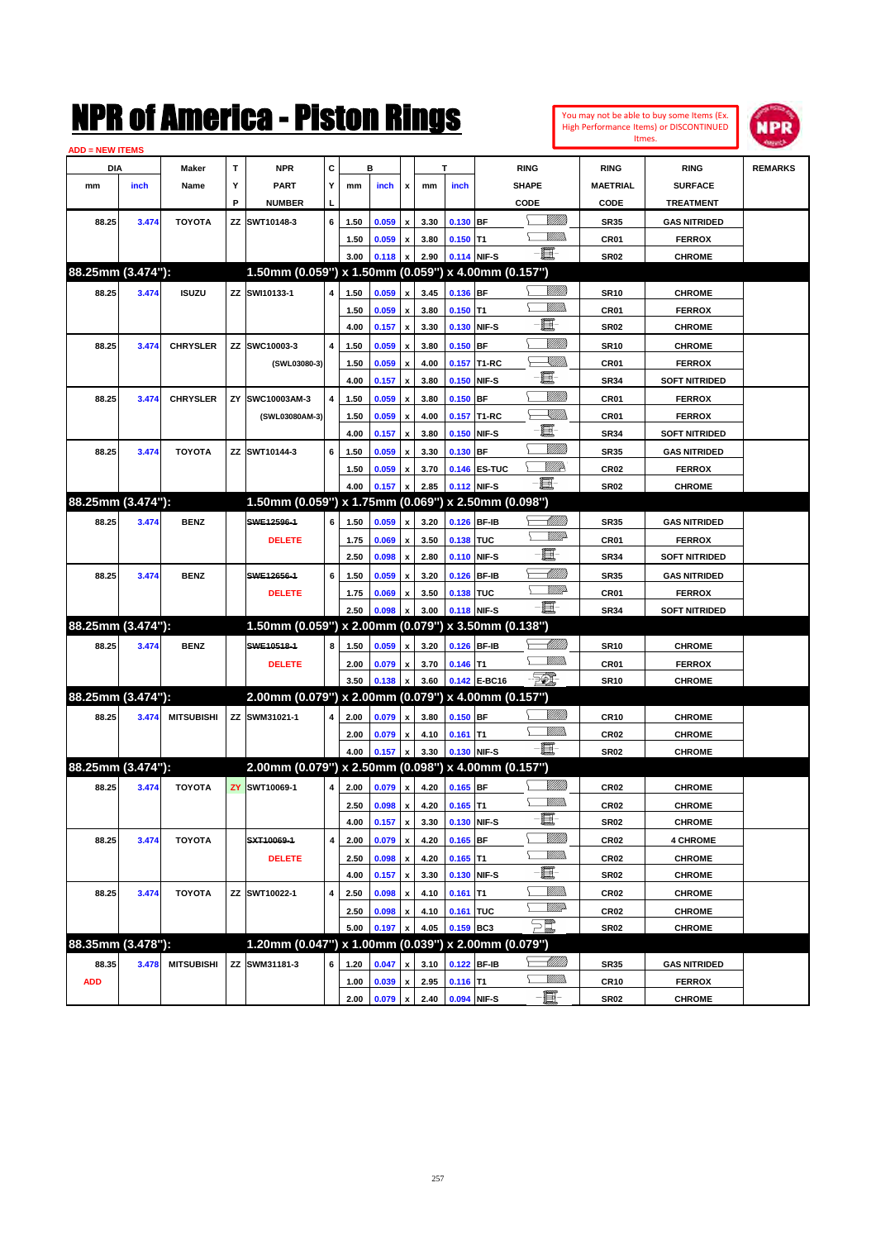|                        |       |                   |    | NMK OI AINCrica - Miston Kings                      |   |      |         |                           |      |             |              |                        |                 |                 | You may not be able to buy some Items (Ex.<br><b>High Performance Items) or DISCONTINUED</b> | <b>MPR</b>     |
|------------------------|-------|-------------------|----|-----------------------------------------------------|---|------|---------|---------------------------|------|-------------|--------------|------------------------|-----------------|-----------------|----------------------------------------------------------------------------------------------|----------------|
| <b>ADD = NEW ITEMS</b> |       |                   |    |                                                     |   |      |         |                           |      |             |              |                        |                 |                 | Itmes.                                                                                       |                |
| DIA                    |       | Maker             | T  | <b>NPR</b>                                          | C |      | в       |                           |      | T           |              | <b>RING</b>            |                 | <b>RING</b>     | <b>RING</b>                                                                                  | <b>REMARKS</b> |
| mm                     | inch  | Name              | Υ  | <b>PART</b>                                         | Υ | mm   | inch    | x                         | mm   | inch        |              | SHAPE                  |                 | <b>MAETRIAL</b> | <b>SURFACE</b>                                                                               |                |
|                        |       |                   | P  | <b>NUMBER</b>                                       |   |      |         |                           |      |             |              | CODE                   |                 | CODE            | <b>TREATMENT</b>                                                                             |                |
| 88.25                  | 3.474 | <b>TOYOTA</b>     | ΖZ | SWT10148-3                                          | 6 | 1.50 | 0.059   | X                         | 3.30 | 0.130 BF    |              |                        | <u>VIIII)</u>   | <b>SR35</b>     | <b>GAS NITRIDED</b>                                                                          |                |
|                        |       |                   |    |                                                     |   | 1.50 | 0.059   | x                         | 3.80 | $0.150$ T1  |              |                        | .<br>Willia     | CR01            | <b>FERROX</b>                                                                                |                |
|                        |       |                   |    |                                                     |   | 3.00 | 0.118   | $\boldsymbol{\mathsf{x}}$ | 2.90 |             | 0.114 NIF-S  | -6                     |                 | <b>SR02</b>     | <b>CHROME</b>                                                                                |                |
| 88.25mm (3.474"):      |       |                   |    | 1.50mm (0.059") x 1.50mm (0.059") x 4.00mm (0.157") |   |      |         |                           |      |             |              |                        |                 |                 |                                                                                              |                |
| 88.25                  | 3.474 | <b>ISUZU</b>      |    | ZZ SWI10133-1                                       | 4 | 1.50 | 0.059   | x                         | 3.45 | 0.136 BF    |              |                        | <u>Milli</u> k  | <b>SR10</b>     | <b>CHROME</b>                                                                                |                |
|                        |       |                   |    |                                                     |   | 1.50 | 0.059   | X                         | 3.80 | $0.150$ T1  |              |                        | <br>Mar         | CR01            | <b>FERROX</b>                                                                                |                |
|                        |       |                   |    |                                                     |   | 4.00 | 0.157   | $\pmb{\mathsf{x}}$        | 3.30 |             | 0.130 NIF-S  | E                      |                 | <b>SR02</b>     | <b>CHROME</b>                                                                                |                |
| 88.25                  | 3.474 | <b>CHRYSLER</b>   | ΖZ | SWC10003-3                                          | 4 | 1.50 | 0.059   | X                         | 3.80 | $0.150$ BF  |              |                        | <u>Milli</u> k  | <b>SR10</b>     | <b>CHROME</b>                                                                                |                |
|                        |       |                   |    | (SWL03080-3)                                        |   | 1.50 | 0.059   | X                         | 4.00 | 0.157       | T1-RC        |                        | <u>Sillin</u>   | CR01            | <b>FERROX</b>                                                                                |                |
|                        |       |                   |    |                                                     |   | 4.00 | 0.157   | $\boldsymbol{\mathsf{x}}$ | 3.80 |             | 0.150 NIF-S  | e                      |                 | <b>SR34</b>     | <b>SOFT NITRIDED</b>                                                                         |                |
| 88.25                  | 3.474 | <b>CHRYSLER</b>   | ZY | SWC10003AM-3                                        | 4 | 1.50 | 0.059   | X                         | 3.80 | $0.150$ BF  |              |                        | <u>Milli</u> k  | CR01            | <b>FERROX</b>                                                                                |                |
|                        |       |                   |    | (SWL03080AM-3)                                      |   | 1.50 | 0.059   | X                         | 4.00 |             | 0.157 T1-RC  |                        | <u>Sillin</u>   | CR01            | <b>FERROX</b>                                                                                |                |
|                        |       |                   |    |                                                     |   | 4.00 | 0.157   | $\boldsymbol{\mathsf{x}}$ | 3.80 |             | 0.150 NIF-S  | E.                     |                 | <b>SR34</b>     | <b>SOFT NITRIDED</b>                                                                         |                |
| 88.25                  | 3.474 | <b>TOYOTA</b>     |    | ZZ SWT10144-3                                       | 6 | 1.50 | 0.059   | X                         | 3.30 | $0.130$ BF  |              |                        | <u>Milli</u>    | <b>SR35</b>     | <b>GAS NITRIDED</b>                                                                          |                |
|                        |       |                   |    |                                                     |   | 1.50 | 0.059   | x                         | 3.70 |             | 0.146 ES-TUC |                        | <u>VIIII</u> D  | <b>CR02</b>     | <b>FERROX</b>                                                                                |                |
|                        |       |                   |    |                                                     |   | 4.00 | 0.157   | X                         | 2.85 |             | 0.112 NIF-S  | ei-                    |                 | <b>SR02</b>     | <b>CHROME</b>                                                                                |                |
| 88.25mm (3.474"):      |       |                   |    | 1.50mm (0.059") x 1.75mm (0.069") x 2.50mm (0.098") |   |      |         |                           |      |             |              |                        |                 |                 |                                                                                              |                |
| 88.25                  | 3.474 | <b>BENZ</b>       |    | SWE12596-1                                          | 6 | 1.50 | 0.059   | x                         | 3.20 |             | 0.126 BF-IB  |                        | <u> UMB</u>     | <b>SR35</b>     | <b>GAS NITRIDED</b>                                                                          |                |
|                        |       |                   |    | <b>DELETE</b>                                       |   | 1.75 | 0.069   | X                         | 3.50 | 0.138 TUC   |              |                        | <u>WWA</u>      | CR01            | <b>FERROX</b>                                                                                |                |
|                        |       |                   |    |                                                     |   | 2.50 | 0.098   | $\boldsymbol{\mathsf{x}}$ | 2.80 |             | 0.110 NIF-S  | E                      |                 | <b>SR34</b>     | <b>SOFT NITRIDED</b>                                                                         |                |
| 88.25                  | 3.474 | <b>BENZ</b>       |    | SWE12656-1                                          | 6 | 1.50 | 0.059   | X                         | 3.20 |             | 0.126 BF-IB  |                        | <u>UMB</u>      | <b>SR35</b>     | <b>GAS NITRIDED</b>                                                                          |                |
|                        |       |                   |    | <b>DELETE</b>                                       |   | 1.75 | 0.069   | x                         | 3.50 | 0.138 TUC   |              |                        | <u>WWA</u>      | CR01            | <b>FERROX</b>                                                                                |                |
|                        |       |                   |    |                                                     |   | 2.50 | 0.098   | X                         | 3.00 | 0.118 NIF-S |              | E.                     |                 | <b>SR34</b>     | <b>SOFT NITRIDED</b>                                                                         |                |
| 88.25mm (3.474"):      |       |                   |    | 1.50mm (0.059") x 2.00mm (0.079") x 3.50mm (0.138") |   |      |         |                           |      |             |              |                        |                 |                 |                                                                                              |                |
| 88.25                  | 3.474 | <b>BENZ</b>       |    | SWE10518-1                                          | 8 | 1.50 | 0.059   | x                         | 3.20 |             | 0.126 BF-IB  |                        | <u> Millitt</u> | <b>SR10</b>     | <b>CHROME</b>                                                                                |                |
|                        |       |                   |    | <b>DELETE</b>                                       |   | 2.00 | 0.079   | x                         | 3.70 | $0.146$ T1  |              |                        | .<br>WWW        | CR01            | <b>FERROX</b>                                                                                |                |
|                        |       |                   |    |                                                     |   | 3.50 | 0.138   | X                         | 3.60 |             | 0.142 E-BC16 | $\mathbb{Z}$           |                 | <b>SR10</b>     | <b>CHROME</b>                                                                                |                |
| 88.25mm (3.474"):      |       |                   |    | 2.00mm (0.079") x 2.00mm (0.079") x 4.00mm (0.157") |   |      |         |                           |      |             |              |                        |                 |                 |                                                                                              |                |
| 88.25                  | 3.474 | <b>MITSUBISHI</b> |    | ZZ SWM31021-1                                       | 4 | 2.00 | 0.079   | x                         | 3.80 | $0.150$ BF  |              |                        | <u>VMM</u>      | <b>CR10</b>     | <b>CHROME</b>                                                                                |                |
|                        |       |                   |    |                                                     |   | 2.00 | 0.079   | x                         | 4.10 | $0.161$ T1  |              |                        | <br>Mar         | <b>CR02</b>     | <b>CHROME</b>                                                                                |                |
|                        |       |                   |    |                                                     |   | 4.00 | 0.157   | $\pmb{\mathsf{x}}$        | 3.30 | 0.130 NIF-S |              | E.                     |                 | <b>SR02</b>     | <b>CHROME</b>                                                                                |                |
| 88.25mm (3.474"):      |       |                   |    | 2.00mm (0.079") x 2.50mm (0.098") x 4.00mm (0.157") |   |      |         |                           |      |             |              |                        |                 |                 |                                                                                              |                |
| 88.25                  | 3.474 | <b>TOYOTA</b>     | ZY | SWT10069-1                                          | 4 | 2.00 | 0.079   | $\pmb{\mathsf{x}}$        | 4.20 | $0.165$ BF  |              |                        | <u>VMM</u>      | CR02            | <b>CHROME</b>                                                                                |                |
|                        |       |                   |    |                                                     |   | 2.50 | 0.098   | $\pmb{\mathsf{x}}$        | 4.20 | $0.165$ T1  |              |                        | <u>MM)</u>      | CR02            | <b>CHROME</b>                                                                                |                |
|                        |       |                   |    |                                                     |   | 4.00 | 0.157 x |                           | 3.30 |             | 0.130 NIF-S  | e.                     |                 | SR02            | <b>CHROME</b>                                                                                |                |
| 88.25                  | 3.474 | <b>TOYOTA</b>     |    | SXT10069-1                                          | 4 | 2.00 | 0.079   | $\pmb{\mathsf{x}}$        | 4.20 | $0.165$ BF  |              |                        | <u>VIIII)</u>   | CR02            | <b>4 CHROME</b>                                                                              |                |
|                        |       |                   |    | <b>DELETE</b>                                       |   | 2.50 | 0.098   | $\pmb{\mathsf{x}}$        | 4.20 | $0.165$ T1  |              |                        | <u>WMW</u>      | CR02            | <b>CHROME</b>                                                                                |                |
|                        |       |                   |    |                                                     |   | 4.00 | 0.157   | $\pmb{\mathsf{x}}$        | 3.30 |             | 0.130 NIF-S  | e.                     |                 | SR02            | <b>CHROME</b>                                                                                |                |
| 88.25                  | 3.474 | <b>TOYOTA</b>     |    | ZZ SWT10022-1                                       | 4 | 2.50 | 0.098   | $\pmb{\mathsf{x}}$        | 4.10 | $0.161$ T1  |              |                        | <br>Milita      | CR02            | <b>CHROME</b>                                                                                |                |
|                        |       |                   |    |                                                     |   | 2.50 | 0.098   | X                         | 4.10 | 0.161 TUC   |              |                        | <u>WW</u>       | CR02            | <b>CHROME</b>                                                                                |                |
|                        |       |                   |    |                                                     |   | 5.00 | 0.197   | X                         | 4.05 | 0.159 BC3   |              | $\sum_{\ell\ell\ell'}$ |                 | <b>SR02</b>     | <b>CHROME</b>                                                                                |                |
| 88.35mm (3.478"):      |       |                   |    | 1.20mm (0.047") x 1.00mm (0.039") x 2.00mm (0.079") |   |      |         |                           |      |             |              |                        |                 |                 |                                                                                              |                |
| 88.35                  | 3.478 | <b>MITSUBISHI</b> |    | ZZ SWM31181-3                                       | 6 | 1.20 | 0.047   | x                         | 3.10 |             | 0.122 BF-IB  |                        | <u> MM/B</u>    | <b>SR35</b>     | <b>GAS NITRIDED</b>                                                                          |                |
| <b>ADD</b>             |       |                   |    |                                                     |   | 1.00 | 0.039   | $\pmb{\mathsf{x}}$        | 2.95 | $0.116$ T1  |              |                        | <u>Willib</u>   | <b>CR10</b>     | <b>FERROX</b>                                                                                |                |
|                        |       |                   |    |                                                     |   | 2.00 | 0.079   | $\pmb{\mathsf{x}}$        | 2.40 | 0.094 NIF-S |              | E                      |                 | <b>SR02</b>     | <b>CHROME</b>                                                                                |                |
|                        |       |                   |    |                                                     |   |      |         |                           |      |             |              |                        |                 |                 |                                                                                              |                |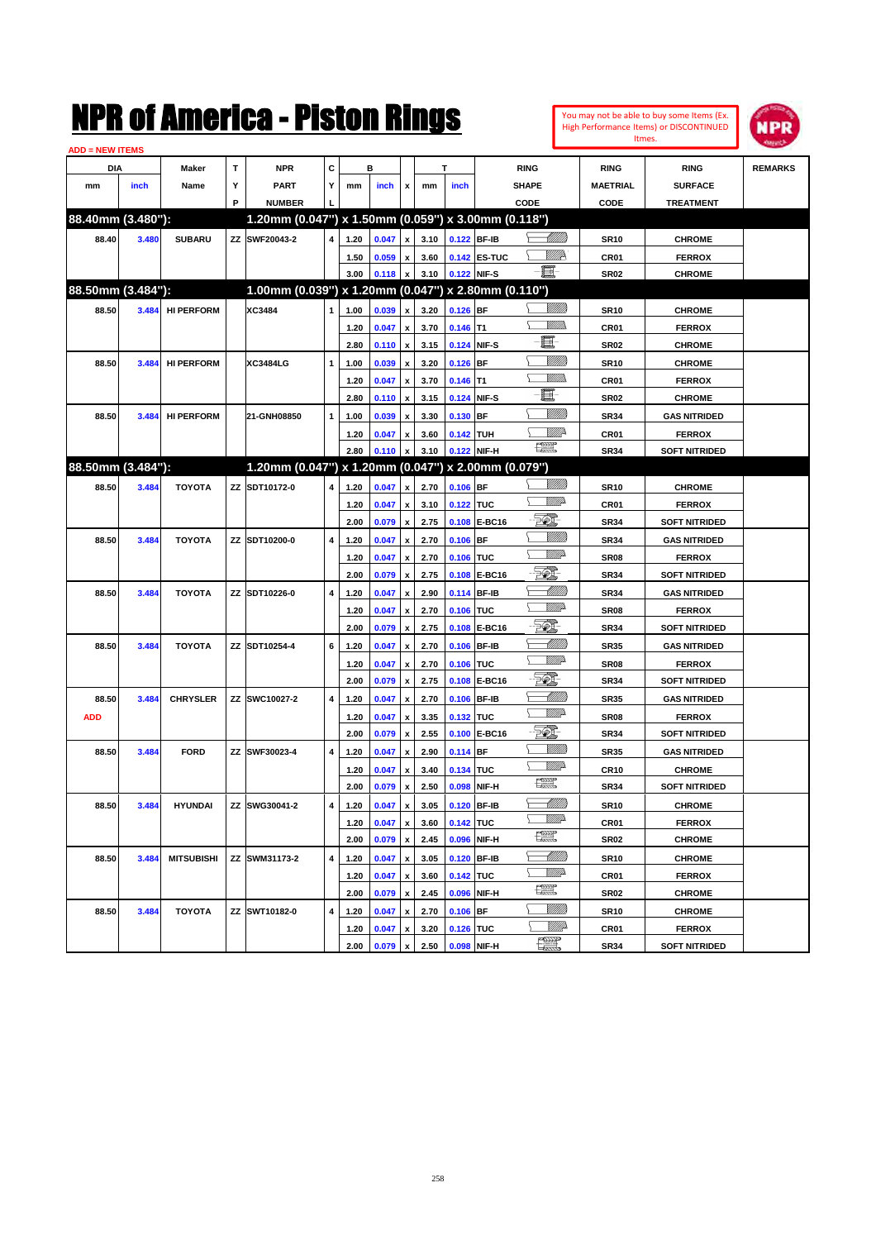| <b>ADD = NEW ITEMS</b> |       |                   |   |                                                     |                         |      |                |                           |      |                  |              |                       |                  |                      |                |
|------------------------|-------|-------------------|---|-----------------------------------------------------|-------------------------|------|----------------|---------------------------|------|------------------|--------------|-----------------------|------------------|----------------------|----------------|
| DIA                    |       | Maker             | т | <b>NPR</b>                                          | С                       |      | в              |                           |      | т                |              | <b>RING</b>           | <b>RING</b>      | <b>RING</b>          | <b>REMARKS</b> |
| mm                     | inch  | Name              | Y | <b>PART</b>                                         | Y                       | mm   | inch           | x                         | mm   | inch             |              | <b>SHAPE</b>          | <b>MAETRIAL</b>  | <b>SURFACE</b>       |                |
|                        |       |                   | P | <b>NUMBER</b>                                       |                         |      |                |                           |      |                  |              | CODE                  | CODE             | <b>TREATMENT</b>     |                |
| 88.40mm (3.480"):      |       |                   |   | 1.20mm (0.047") x 1.50mm (0.059") x 3.00mm (0.118") |                         |      |                |                           |      |                  |              |                       |                  |                      |                |
| 88.40                  | 3.480 | <b>SUBARU</b>     |   | ZZ SWF20043-2                                       | 4                       | 1.20 | 0.047          | $\boldsymbol{x}$          | 3.10 |                  | 0.122 BF-IB  |                       | <b>SR10</b>      | <b>CHROME</b>        |                |
|                        |       |                   |   |                                                     |                         | 1.50 | 0.059          | x                         | 3.60 |                  | 0.142 ES-TUC | <u>Willik</u>         | <b>CR01</b>      | <b>FERROX</b>        |                |
|                        |       |                   |   |                                                     |                         | 3.00 | 0.118          | $\pmb{\mathsf{x}}$        | 3.10 | 0.122 NIF-S      |              | $-\Xi$                | <b>SR02</b>      | <b>CHROME</b>        |                |
| 88.50mm (3.484"):      |       |                   |   | 1.00mm (0.039") x 1.20mm (0.047") x 2.80mm (0.110") |                         |      |                |                           |      |                  |              |                       |                  |                      |                |
| 88.50                  | 3.484 | <b>HI PERFORM</b> |   | XC3484                                              | 1                       | 1.00 | 0.039          | $\pmb{\mathsf{x}}$        | 3.20 | $0.126$ BF       |              | <u>Sillilli</u>       | <b>SR10</b>      | <b>CHROME</b>        |                |
|                        |       |                   |   |                                                     |                         | 1.20 | 0.047          | $\pmb{\mathsf{x}}$        | 3.70 | $0.146$ T1       |              | <u>MMs</u>            | CR01             | <b>FERROX</b>        |                |
|                        |       |                   |   |                                                     |                         | 2.80 | $0.110 \times$ |                           | 3.15 | 0.124 NIF-S      |              | E                     | <b>SR02</b>      | <b>CHROME</b>        |                |
| 88.50                  | 3.484 | <b>HI PERFORM</b> |   | XC3484LG                                            | 1                       | 1.00 | 0.039          | x                         | 3.20 | $0.126$ BF       |              | <u>Villida</u>        | <b>SR10</b>      | <b>CHROME</b>        |                |
|                        |       |                   |   |                                                     |                         | 1.20 | 0.047          | x                         | 3.70 | $0.146$ T1       |              | <u>Millis</u>         | CR <sub>01</sub> | <b>FERROX</b>        |                |
|                        |       |                   |   |                                                     |                         | 2.80 | 0.110          | x                         | 3.15 | 0.124 NIF-S      |              | E                     | <b>SR02</b>      | <b>CHROME</b>        |                |
| 88.50                  | 3.484 | <b>HI PERFORM</b> |   | 21-GNH08850                                         | $\mathbf{1}$            | 1.00 | 0.039          | x                         | 3.30 | 0.130 BF         |              | <u>Villida</u>        | <b>SR34</b>      | <b>GAS NITRIDED</b>  |                |
|                        |       |                   |   |                                                     |                         | 1.20 | 0.047          | x                         | 3.60 | 0.142 TUH        |              | <u>Willi</u> r        | CR <sub>01</sub> | <b>FERROX</b>        |                |
|                        |       |                   |   |                                                     |                         | 2.80 | 0.110          | x                         | 3.10 |                  | 0.122 NIF-H  | $\frac{1}{2}$         | <b>SR34</b>      | <b>SOFT NITRIDED</b> |                |
| 88.50mm (3.484"):      |       |                   |   | 1.20mm (0.047") x 1.20mm (0.047") x 2.00mm (0.079") |                         |      |                |                           |      |                  |              |                       |                  |                      |                |
| 88.50                  | 3.484 | <b>TOYOTA</b>     |   | ZZ SDT10172-0                                       | 4                       | 1.20 | 0.047          | x                         | 2.70 | $0.106$ BF       |              | <u>UMB</u>            | <b>SR10</b>      | <b>CHROME</b>        |                |
|                        |       |                   |   |                                                     |                         | 1.20 | 0.047          | x                         | 3.10 | 0.122 TUC        |              | <u>MM</u>             | CR <sub>01</sub> | <b>FERROX</b>        |                |
|                        |       |                   |   |                                                     |                         | 2.00 | 0.079          | $\boldsymbol{\mathsf{x}}$ | 2.75 |                  | 0.108 E-BC16 | 70)                   | <b>SR34</b>      | <b>SOFT NITRIDED</b> |                |
| 88.50                  | 3.484 | <b>TOYOTA</b>     |   | ZZ SDT10200-0                                       | 4                       | 1.20 | 0.047          | x                         | 2.70 | $0.106$ BF       |              | <u>MMM</u>            | <b>SR34</b>      | <b>GAS NITRIDED</b>  |                |
|                        |       |                   |   |                                                     |                         | 1.20 | 0.047          | $\boldsymbol{\mathsf{x}}$ | 2.70 | 0.106 TUC        |              | <u>VMD</u>            | SR <sub>08</sub> | <b>FERROX</b>        |                |
|                        |       |                   |   |                                                     |                         | 2.00 | 0.079          | x                         | 2.75 |                  | 0.108 E-BC16 | FØI.                  | <b>SR34</b>      | <b>SOFT NITRIDED</b> |                |
| 88.50                  | 3.484 | <b>TOYOTA</b>     |   | ZZ SDT10226-0                                       | 4                       | 1.20 | 0.047          | x                         | 2.90 |                  | 0.114 BF-IB  | <u> UMB</u>           | <b>SR34</b>      | <b>GAS NITRIDED</b>  |                |
|                        |       |                   |   |                                                     |                         | 1.20 | 0.047          | x                         | 2.70 | 0.106 TUC        |              | <u>MM</u>             | SR <sub>08</sub> | <b>FERROX</b>        |                |
|                        |       |                   |   |                                                     |                         | 2.00 | 0.079          | x                         | 2.75 |                  | 0.108 E-BC16 | 70)                   | <b>SR34</b>      | <b>SOFT NITRIDED</b> |                |
| 88.50                  | 3.484 | <b>TOYOTA</b>     |   | ZZ SDT10254-4                                       | 6                       | 1.20 | 0.047          | x                         | 2.70 |                  | 0.106 BF-IB  | <u> UMB</u>           | <b>SR35</b>      | <b>GAS NITRIDED</b>  |                |
|                        |       |                   |   |                                                     |                         | 1.20 | 0.047          | x                         | 2.70 | 0.106 TUC        |              | <u>VMD</u>            | SR <sub>08</sub> | <b>FERROX</b>        |                |
|                        |       |                   |   |                                                     |                         | 2.00 | 0.079          | x                         | 2.75 |                  | 0.108 E-BC16 | 70)                   | <b>SR34</b>      | <b>SOFT NITRIDED</b> |                |
| 88.50                  | 3.484 | <b>CHRYSLER</b>   |   | ZZ SWC10027-2                                       | 4                       | 1.20 | 0.047          | x                         | 2.70 |                  | 0.106 BF-IB  | <u> UMB</u>           | <b>SR35</b>      | <b>GAS NITRIDED</b>  |                |
| <b>ADD</b>             |       |                   |   |                                                     |                         | 1.20 | 0.047          | x                         | 3.35 | 0.132 TUC        |              | <u>VMD</u>            | SR <sub>08</sub> | <b>FERROX</b>        |                |
|                        |       |                   |   |                                                     |                         | 2.00 | 0.079          | x                         | 2.55 |                  | 0.100 E-BC16 | EO)                   | <b>SR34</b>      | <b>SOFT NITRIDED</b> |                |
| 88.50                  | 3.484 | <b>FORD</b>       |   | ZZ SWF30023-4                                       | 4                       | 1.20 | 0.047          | x                         | 2.90 | 0.114 BF         |              | VIII))                | <b>SR35</b>      | <b>GAS NITRIDED</b>  |                |
|                        |       |                   |   |                                                     |                         | 1.20 | 0.047          | x                         | 3.40 | 0.134 TUC        |              | <u>Willia</u>         | <b>CR10</b>      | <b>CHROME</b>        |                |
|                        |       |                   |   |                                                     |                         | 2.00 | 0.079          | $\pmb{\mathsf{x}}$        | 2.50 | 0.098 NIF-H      |              | œ                     | <b>SR34</b>      | <b>SOFT NITRIDED</b> |                |
| 88.50                  | 3.484 | <b>HYUNDAI</b>    |   | ZZ SWG30041-2                                       | $\overline{\mathbf{4}}$ | 1.20 | 0.047          | $\mathbf{x}$              |      | 3.05 0.120 BF-IB |              | <u>UMB</u>            | <b>SR10</b>      | <b>CHROME</b>        |                |
|                        |       |                   |   |                                                     |                         | 1.20 | 0.047          | $\pmb{\mathsf{x}}$        | 3.60 | 0.142 TUC        |              | ₩₩                    | CR01             | <b>FERROX</b>        |                |
|                        |       |                   |   |                                                     |                         | 2.00 | 0.079          | $\boldsymbol{x}$          | 2.45 |                  | 0.096 NIF-H  | æ                     | SR <sub>02</sub> | <b>CHROME</b>        |                |
| 88.50                  | 3.484 | <b>MITSUBISHI</b> |   | ZZ SWM31173-2                                       | 4                       | 1.20 | 0.047          | x                         | 3.05 |                  | 0.120 BF-IB  | <u>— Milliddə</u>     | <b>SR10</b>      | <b>CHROME</b>        |                |
|                        |       |                   |   |                                                     |                         | 1.20 | 0.047          | $\,$ $\,$ $\,$            | 3.60 | 0.142 TUC        |              | ₩₩                    | CR01             | <b>FERROX</b>        |                |
|                        |       |                   |   |                                                     |                         | 2.00 | 0.079          | x                         | 2.45 |                  | 0.096 NIF-H  | æ                     | SR <sub>02</sub> | <b>CHROME</b>        |                |
| 88.50                  | 3.484 | <b>TOYOTA</b>     |   | ZZ SWT10182-0                                       | 4                       | 1.20 | 0.047          | $\boldsymbol{\mathsf{x}}$ | 2.70 | $0.106$ BF       |              | <u>Milli</u> n        | <b>SR10</b>      | <b>CHROME</b>        |                |
|                        |       |                   |   |                                                     |                         | 1.20 | 0.047          | x                         | 3.20 | 0.126 TUC        |              | <i><u>Willi</u></i> n | CR01             | <b>FERROX</b>        |                |
|                        |       |                   |   |                                                     |                         | 2.00 | 0.079          | $\boldsymbol{\mathsf{x}}$ | 2.50 | 0.098 NIF-H      |              | <b>The Second</b>     | <b>SR34</b>      | <b>SOFT NITRIDED</b> |                |

You may not be able to buy some Items (Ex. High Performance Items) or DISCONTINUED Itmes.

**NPR**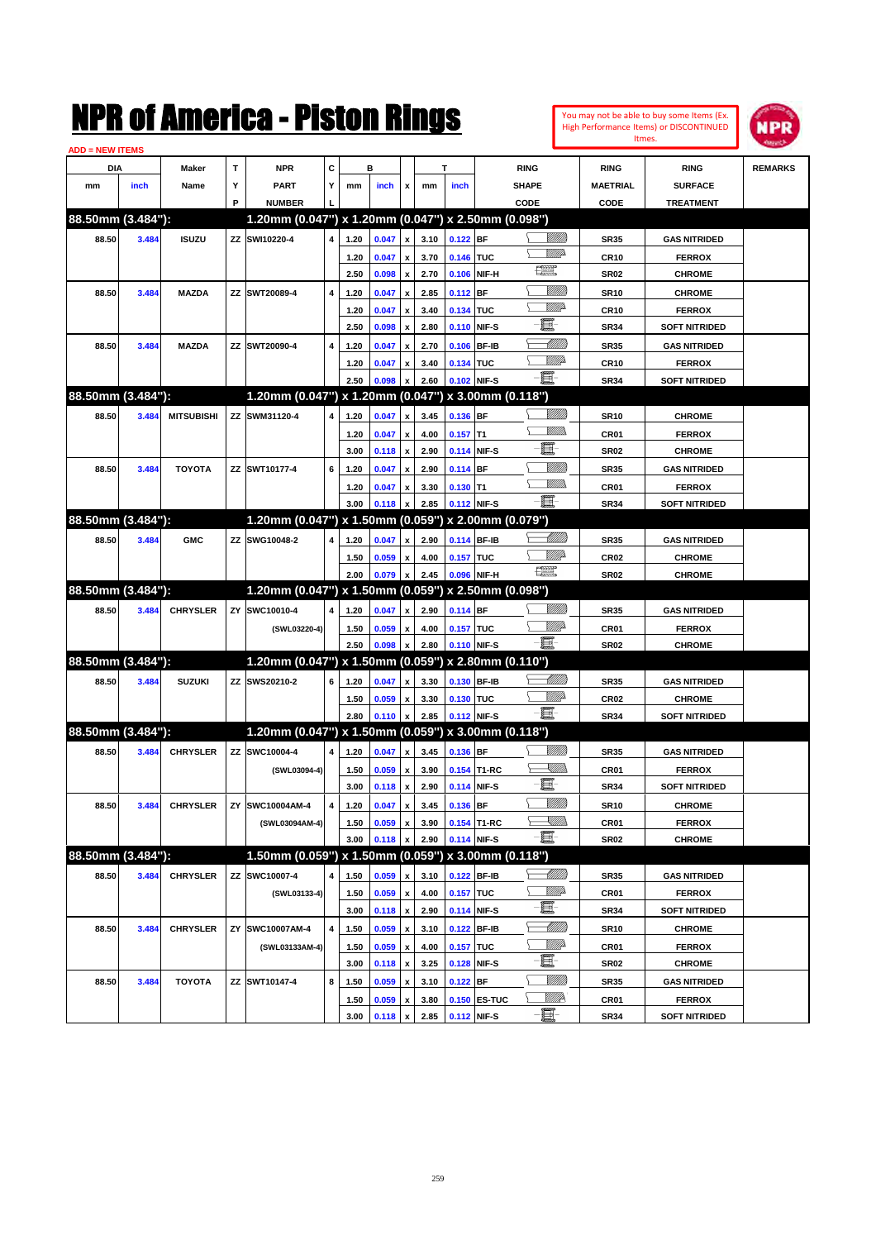| You may not be able to buy some Items (Ex. |
|--------------------------------------------|
| High Performance Items) or DISCONTINUED    |
| Itmes.                                     |



| <b>ADD = NEW ITEMS</b> |       |                   |    |                                                     |   |      |       |                    |      |            |              |                                                                                                                          |                  |                      |                |
|------------------------|-------|-------------------|----|-----------------------------------------------------|---|------|-------|--------------------|------|------------|--------------|--------------------------------------------------------------------------------------------------------------------------|------------------|----------------------|----------------|
| <b>DIA</b>             |       | <b>Maker</b>      | T  | <b>NPR</b>                                          | С |      | в     |                    |      | т          |              | <b>RING</b>                                                                                                              | <b>RING</b>      | <b>RING</b>          | <b>REMARKS</b> |
| mm                     | inch  | Name              | Υ  | <b>PART</b>                                         | Y | mm   | inch  | x                  | mm   | inch       |              | <b>SHAPE</b>                                                                                                             | <b>MAETRIAL</b>  | <b>SURFACE</b>       |                |
|                        |       |                   | P  | <b>NUMBER</b>                                       |   |      |       |                    |      |            |              | CODE                                                                                                                     | CODE             | <b>TREATMENT</b>     |                |
| 88.50mm (3.484"):      |       |                   |    | 1.20mm (0.047") x 1.20mm (0.047") x 2.50mm (0.098") |   |      |       |                    |      |            |              |                                                                                                                          |                  |                      |                |
| 88.50                  | 3.484 | <b>ISUZU</b>      |    | ZZ SWI10220-4                                       | 4 | 1.20 | 0.047 | x                  | 3.10 | $0.122$ BF |              | <u> UMB</u>                                                                                                              | <b>SR35</b>      | <b>GAS NITRIDED</b>  |                |
|                        |       |                   |    |                                                     |   | 1.20 | 0.047 |                    | 3.70 | 0.146 TUC  |              | <u>VMD</u>                                                                                                               | <b>CR10</b>      | <b>FERROX</b>        |                |
|                        |       |                   |    |                                                     |   | 2.50 | 0.098 | x                  | 2.70 |            | 0.106 NIF-H  | 鱱                                                                                                                        | <b>SR02</b>      | <b>CHROME</b>        |                |
| 88.50                  | 3.484 | <b>MAZDA</b>      |    | ZZ SWT20089-4                                       | 4 | 1.20 | 0.047 | x                  | 2.85 | $0.112$ BF |              | <u>Milli</u>                                                                                                             | <b>SR10</b>      | <b>CHROME</b>        |                |
|                        |       |                   |    |                                                     |   | 1.20 | 0.047 | x                  | 3.40 | 0.134 TUC  |              | <u>MM</u> D                                                                                                              | <b>CR10</b>      | <b>FERROX</b>        |                |
|                        |       |                   |    |                                                     |   | 2.50 | 0.098 | x                  | 2.80 |            | 0.110 NIF-S  | e                                                                                                                        | <b>SR34</b>      | <b>SOFT NITRIDED</b> |                |
| 88.50                  | 3.484 | <b>MAZDA</b>      |    | ZZ SWT20090-4                                       | 4 | 1.20 | 0.047 |                    | 2.70 |            | 0.106 BF-IB  | MMM                                                                                                                      | <b>SR35</b>      | <b>GAS NITRIDED</b>  |                |
|                        |       |                   |    |                                                     |   | 1.20 | 0.047 |                    | 3.40 | 0.134 TUC  |              | .<br>WWW                                                                                                                 | <b>CR10</b>      | <b>FERROX</b>        |                |
|                        |       |                   |    |                                                     |   | 2.50 | 0.098 |                    | 2.60 |            | 0.102 NIF-S  | 匱                                                                                                                        | <b>SR34</b>      | <b>SOFT NITRIDED</b> |                |
| 88.50mm (3.484"):      |       |                   |    | 1.20mm (0.047") x 1.20mm (0.047") x 3.00mm (0.118") |   |      |       |                    |      |            |              |                                                                                                                          |                  |                      |                |
| 88.50                  | 3.484 | <b>MITSUBISHI</b> | ZZ | SWM31120-4                                          | 4 | 1.20 | 0.047 | x                  | 3.45 | 0.136 BF   |              |                                                                                                                          | <b>SR10</b>      | <b>CHROME</b>        |                |
|                        |       |                   |    |                                                     |   | 1.20 | 0.047 | x                  | 4.00 | $0.157$ T1 |              | .<br>MM                                                                                                                  | CR <sub>01</sub> | <b>FERROX</b>        |                |
|                        |       |                   |    |                                                     |   | 3.00 | 0.118 | x                  | 2.90 |            | 0.114 NIF-S  | e.                                                                                                                       | <b>SR02</b>      | <b>CHROME</b>        |                |
| 88.50                  | 3.484 | <b>TOYOTA</b>     |    | ZZ SWT10177-4                                       | 6 | 1.20 | 0.047 | x                  | 2.90 | $0.114$ BF |              | <u>Milli</u> k                                                                                                           | <b>SR35</b>      | <b>GAS NITRIDED</b>  |                |
|                        |       |                   |    |                                                     |   | 1.20 | 0.047 | x                  | 3.30 | $0.130$ T1 |              | .<br>MM                                                                                                                  | <b>CR01</b>      | <b>FERROX</b>        |                |
|                        |       |                   |    |                                                     |   | 3.00 | 0.118 |                    | 2.85 |            | 0.112 NIF-S  | - 1                                                                                                                      | <b>SR34</b>      | <b>SOFT NITRIDED</b> |                |
| 88.50mm (3.484"):      |       |                   |    | 1.20mm (0.047") x 1.50mm (0.059") x 2.00mm (0.079") |   |      |       |                    |      |            |              |                                                                                                                          |                  |                      |                |
|                        |       |                   |    |                                                     | 4 |      |       |                    |      |            | 0.114 BF-IB  | <u> MMM)</u>                                                                                                             |                  |                      |                |
| 88.50                  | 3.484 | <b>GMC</b>        | ΖZ | SWG10048-2                                          |   | 1.20 | 0.047 | x                  | 2.90 |            |              | MMD                                                                                                                      | <b>SR35</b>      | <b>GAS NITRIDED</b>  |                |
|                        |       |                   |    |                                                     |   | 1.50 | 0.059 | x                  | 4.00 | 0.157 TUC  |              | 鱱                                                                                                                        | <b>CR02</b>      | <b>CHROME</b>        |                |
| 88.50mm (3.484"):      |       |                   |    | 1.20mm (0.047") x 1.50mm (0.059") x 2.50mm (0.098") |   | 2.00 | 0.079 |                    | 2.45 |            | 0.096 NIF-H  |                                                                                                                          | <b>SR02</b>      | <b>CHROME</b>        |                |
|                        |       |                   |    |                                                     |   |      |       |                    |      |            |              |                                                                                                                          |                  |                      |                |
| 88.50                  | 3.484 | <b>CHRYSLER</b>   | ZY | SWC10010-4                                          | 4 | 1.20 | 0.047 | x                  | 2.90 | 0.114 BF   |              |                                                                                                                          | <b>SR35</b>      | <b>GAS NITRIDED</b>  |                |
|                        |       |                   |    | (SWL03220-4)                                        |   | 1.50 | 0.059 | x                  | 4.00 | 0.157 TUC  |              | <u>MMP</u><br>-6                                                                                                         | <b>CR01</b>      | <b>FERROX</b>        |                |
|                        |       |                   |    |                                                     |   | 2.50 | 0.098 |                    | 2.80 |            | 0.110 NIF-S  |                                                                                                                          | <b>SR02</b>      | <b>CHROME</b>        |                |
| 88.50mm (3.484"):      |       |                   |    | 1.20mm (0.047") x 1.50mm (0.059") x 2.80mm (0.110") |   |      |       |                    |      |            |              |                                                                                                                          |                  |                      |                |
| 88.50                  | 3.484 | <b>SUZUKI</b>     |    | ZZ SWS20210-2                                       | 6 | 1.20 | 0.047 | x                  | 3.30 |            | 0.130 BF-IB  | MMB                                                                                                                      | <b>SR35</b>      | <b>GAS NITRIDED</b>  |                |
|                        |       |                   |    |                                                     |   | 1.50 | 0.059 | x                  | 3.30 | 0.130 TUC  |              | <u>MMP</u><br>-E.                                                                                                        | <b>CR02</b>      | <b>CHROME</b>        |                |
|                        |       |                   |    |                                                     |   | 2.80 | 0.110 |                    | 2.85 |            | 0.112 NIF-S  |                                                                                                                          | <b>SR34</b>      | <b>SOFT NITRIDED</b> |                |
| 88.50mm (3.484"):      |       |                   |    | 1.20mm (0.047") x 1.50mm (0.059") x 3.00mm (0.118") |   |      |       |                    |      |            |              |                                                                                                                          |                  |                      |                |
| 88.50                  | 3.484 | <b>CHRYSLER</b>   |    | ZZ SWC10004-4                                       | 4 | 1.20 | 0.047 | x                  | 3.45 | 0.136 BF   |              |                                                                                                                          | <b>SR35</b>      | <b>GAS NITRIDED</b>  |                |
|                        |       |                   |    | (SWL03094-4)                                        |   | 1.50 | 0.059 | x                  | 3.90 |            | 0.154 T1-RC  | <u>XM))</u>                                                                                                              | <b>CR01</b>      | <b>FERROX</b>        |                |
|                        |       |                   |    |                                                     |   | 3.00 | 0.118 | x                  | 2.90 |            | 0.114 NIF-S  | e                                                                                                                        | <b>SR34</b>      | <b>SOFT NITRIDED</b> |                |
| 88.50                  | 3.484 | <b>CHRYSLER</b>   |    | ZY SWC10004AM-4                                     | 4 | 1.20 | 0.047 | x                  | 3.45 | 0.136 BF   |              | <u>Milli</u>                                                                                                             | <b>SR10</b>      | <b>CHROME</b>        |                |
|                        |       |                   |    | (SWL03094AM-4)                                      |   | 1.50 | 0.059 | x                  | 3.90 |            | 0.154 T1-RC  | $\begin{matrix} \begin{matrix} \mathbb{R} & \mathbb{R} \ \mathbb{R} & \mathbb{R} \end{matrix} & \mathbb{R} \end{matrix}$ | CR01             | <b>FERROX</b>        |                |
|                        |       |                   |    |                                                     |   | 3.00 | 0.118 | x                  | 2.90 |            | 0.114 NIF-S  | - 1                                                                                                                      | SR02             | <b>CHROME</b>        |                |
| 88.50mm (3.484"):      |       |                   |    | 1.50mm (0.059") x 1.50mm (0.059") x 3.00mm (0.118") |   |      |       |                    |      |            |              |                                                                                                                          |                  |                      |                |
| 88.50                  | 3.484 | <b>CHRYSLER</b>   | ΖZ | SWC10007-4                                          | 4 | 1.50 | 0.059 | x                  | 3.10 |            | 0.122 BF-IB  | <u> MM)</u>                                                                                                              | SR35             | <b>GAS NITRIDED</b>  |                |
|                        |       |                   |    | (SWL03133-4)                                        |   | 1.50 | 0.059 | x                  | 4.00 | 0.157 TUC  |              | <u>VIIIt</u> da                                                                                                          | <b>CR01</b>      | <b>FERROX</b>        |                |
|                        |       |                   |    |                                                     |   | 3.00 | 0.118 | $\pmb{\mathsf{x}}$ | 2.90 |            | 0.114 NIF-S  | e.                                                                                                                       | <b>SR34</b>      | <b>SOFT NITRIDED</b> |                |
| 88.50                  | 3.484 | <b>CHRYSLER</b>   | ZY | SWC10007AM-4                                        | 4 | 1.50 | 0.059 | x                  | 3.10 |            | 0.122 BF-IB  | <u> MMM</u>                                                                                                              | <b>SR10</b>      | <b>CHROME</b>        |                |
|                        |       |                   |    | (SWL03133AM-4)                                      |   | 1.50 | 0.059 | $\pmb{\mathsf{x}}$ | 4.00 | 0.157 TUC  |              | <u>VIIIt</u> da                                                                                                          | CR01             | <b>FERROX</b>        |                |
|                        |       |                   |    |                                                     |   | 3.00 | 0.118 | $\pmb{\mathsf{x}}$ | 3.25 |            | 0.128 NIF-S  | e.                                                                                                                       | SR02             | <b>CHROME</b>        |                |
| 88.50                  | 3.484 | <b>TOYOTA</b>     |    | ZZ SWT10147-4                                       | 8 | 1.50 | 0.059 | x                  | 3.10 | $0.122$ BF |              |                                                                                                                          | SR35             | <b>GAS NITRIDED</b>  |                |
|                        |       |                   |    |                                                     |   | 1.50 | 0.059 | x                  | 3.80 |            | 0.150 ES-TUC | <u>Willia</u>                                                                                                            | CR01             | <b>FERROX</b>        |                |
|                        |       |                   |    |                                                     |   | 3.00 | 0.118 | $\pmb{\mathsf{x}}$ | 2.85 |            | 0.112 NIF-S  | E.                                                                                                                       | <b>SR34</b>      | <b>SOFT NITRIDED</b> |                |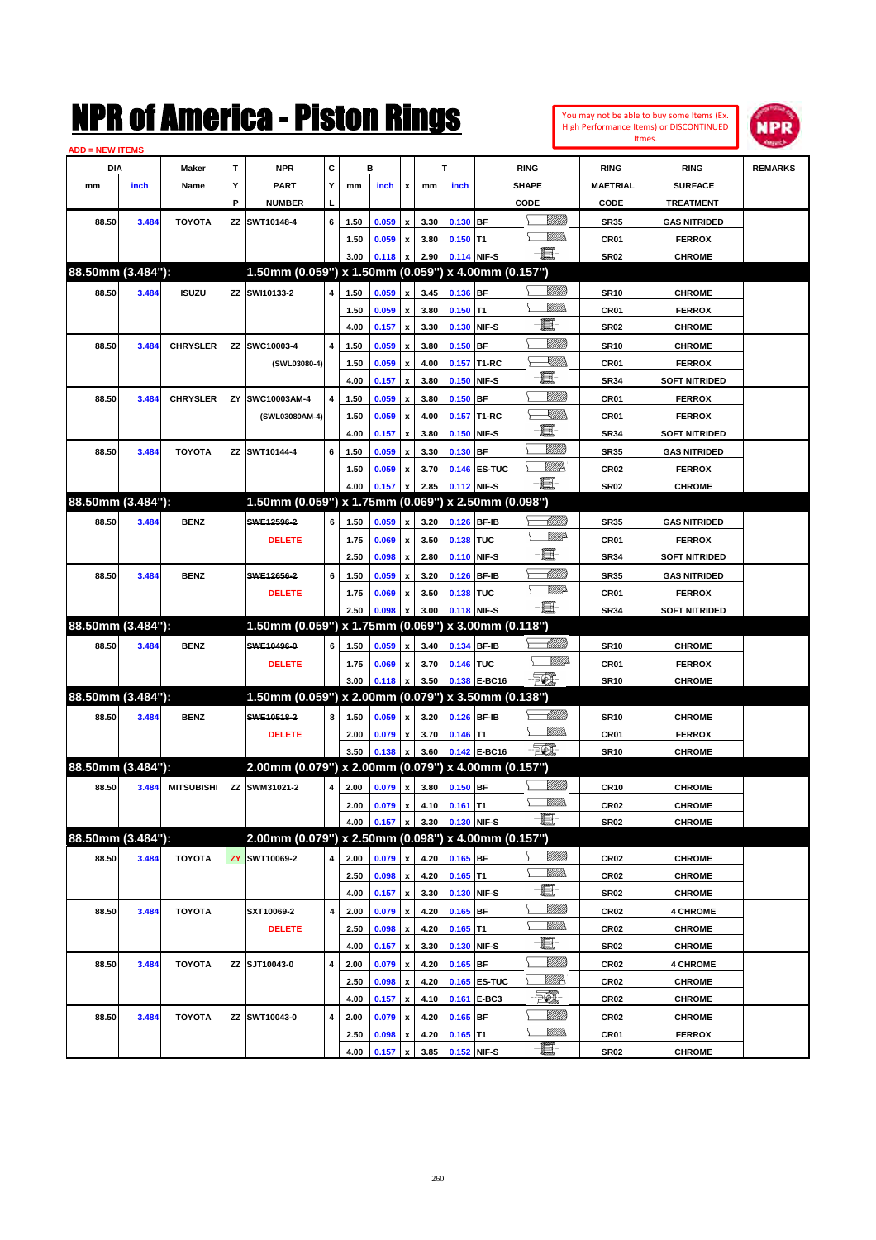|                        |       |                   |    | NMK OI AINCrica - Miston Kings                      |   |              |                |                           |              |            |                   |                             |             |                     | You may not be able to buy some Items (Ex.<br><b>High Performance Items) or DISCONTINUED</b> | <b>MPR</b>     |
|------------------------|-------|-------------------|----|-----------------------------------------------------|---|--------------|----------------|---------------------------|--------------|------------|-------------------|-----------------------------|-------------|---------------------|----------------------------------------------------------------------------------------------|----------------|
| <b>ADD = NEW ITEMS</b> |       |                   |    |                                                     |   |              |                |                           |              |            |                   |                             |             |                     | Itmes.                                                                                       |                |
| DIA                    |       | Maker             | T  | <b>NPR</b>                                          | c |              | в              |                           |              | T          | <b>RING</b>       |                             |             | <b>RING</b>         | <b>RING</b>                                                                                  | <b>REMARKS</b> |
| mm                     | inch  | Name              | Υ  | <b>PART</b>                                         | Y | mm           | inch           | X                         | mm           | inch       | <b>SHAPE</b>      |                             |             | <b>MAETRIAL</b>     | <b>SURFACE</b>                                                                               |                |
|                        |       |                   | P  | <b>NUMBER</b>                                       |   |              |                |                           |              |            | CODE              |                             |             | CODE                | <b>TREATMENT</b>                                                                             |                |
| 88.50                  | 3.484 | <b>TOYOTA</b>     |    | ZZ SWT10148-4                                       | 6 | 1.50         | 0.059          | X                         | 3.30         | 0.130      | <b>BF</b>         | <u>Villilli</u>             |             | <b>SR35</b>         | <b>GAS NITRIDED</b>                                                                          |                |
|                        |       |                   |    |                                                     |   | 1.50         | 0.059          | X                         | 3.80         | 0.150      | lT1               | VMM)                        |             | CR01                | <b>FERROX</b>                                                                                |                |
|                        |       |                   |    |                                                     |   | 3.00         | 0.118          | X                         | 2.90         |            | 0.114 NIF-S       | E.                          |             | <b>SR02</b>         | <b>CHROME</b>                                                                                |                |
| 88.50mm (3.484"):      |       |                   |    | 1.50mm (0.059") x 1.50mm (0.059") x 4.00mm (0.157") |   |              |                |                           |              |            |                   |                             |             |                     |                                                                                              |                |
| 88.50                  | 3.484 | <b>ISUZU</b>      |    | ZZ SWI10133-2                                       | 4 | 1.50         | 0.059          | X                         | 3.45         | 0.136      | <b>BF</b>         | <u>VIII M</u>               |             | <b>SR10</b>         | <b>CHROME</b>                                                                                |                |
|                        |       |                   |    |                                                     |   | 1.50         | 0.059          | X                         | 3.80         | 0.150      | lT1               | .<br>MM                     |             | CR01                | <b>FERROX</b>                                                                                |                |
|                        |       |                   |    |                                                     |   | 4.00         | 0.157          | X                         | 3.30         | 0.130      | NIF-S             | E                           |             | <b>SR02</b>         | <b>CHROME</b>                                                                                |                |
| 88.50                  | 3.484 | <b>CHRYSLER</b>   |    | ZZ SWC10003-4                                       | 4 | 1.50         | 0.059          | X                         | 3.80         | 0.150      | BF                | <u>VIII M</u>               |             | <b>SR10</b>         | <b>CHROME</b>                                                                                |                |
|                        |       |                   |    | (SWL03080-4)                                        |   | 1.50         | 0.059          | X                         | 4.00         | 0.157      | T1-RC             | <u>Sillin</u>               |             | CR01                | <b>FERROX</b>                                                                                |                |
|                        |       |                   |    |                                                     |   | 4.00         | 0.157          | X                         | 3.80         | 0.150      | NIF-S             | E.                          |             | <b>SR34</b>         | <b>SOFT NITRIDED</b>                                                                         |                |
| 88.50                  | 3.484 | <b>CHRYSLER</b>   | ZY | SWC10003AM-4                                        | 4 | 1.50         | 0.059          | X                         | 3.80         | 0.150      | <b>BF</b>         | <u>VIII M</u>               |             | CR01                | <b>FERROX</b>                                                                                |                |
|                        |       |                   |    | (SWL03080AM-4)                                      |   | 1.50         | 0.059          | X                         | 4.00         | 0.157      | T1-RC             | <u>Sillin</u>               |             | CR01                | <b>FERROX</b>                                                                                |                |
|                        |       |                   |    |                                                     |   | 4.00         | 0.157          | X                         | 3.80         | 0.150      | NIF-S             | E                           |             | <b>SR34</b>         | <b>SOFT NITRIDED</b>                                                                         |                |
| 88.50                  | 3.484 | <b>TOYOTA</b>     |    | ZZ SWT10144-4                                       | 6 | 1.50         | 0.059          | X                         | 3.30         | 0.130      | <b>BF</b>         | <u>VMM)</u>                 |             | <b>SR35</b>         | <b>GAS NITRIDED</b>                                                                          |                |
|                        |       |                   |    |                                                     |   | 1.50         | 0.059          | X                         | 3.70         | 0.146      | <b>ES-TUC</b>     | <u>VIIID</u>                |             | CR <sub>02</sub>    | <b>FERROX</b>                                                                                |                |
|                        |       |                   |    |                                                     |   | 4.00         | 0.157          | X                         | 2.85         | 0.112      | NIF-S             | E                           |             | <b>SR02</b>         | <b>CHROME</b>                                                                                |                |
| 88.50mm (3.484"):      |       |                   |    | 1.50mm (0.059") x 1.75mm (0.069") x 2.50mm (0.098") |   |              |                |                           |              |            |                   |                             |             |                     |                                                                                              |                |
| 88.50                  | 3.484 | <b>BENZ</b>       |    | SWE12596-2                                          | 6 | 1.50         | 0.059          | X                         | 3.20         | 0.126      | <b>BF-IB</b>      | <u> IMM</u> )<br><u>VMP</u> |             | <b>SR35</b>         | <b>GAS NITRIDED</b>                                                                          |                |
|                        |       |                   |    | <b>DELETE</b>                                       |   | 1.75         | 0.069          | X                         | 3.50         | 0.138      | TUC               | E                           |             | CR01                | <b>FERROX</b>                                                                                |                |
|                        |       |                   |    |                                                     |   | 2.50         | 0.098          | X                         | 2.80         | 0.110      | NIF-S             | <u> UMM</u>                 |             | <b>SR34</b>         | <b>SOFT NITRIDED</b>                                                                         |                |
| 88.50                  | 3.484 | <b>BENZ</b>       |    | SWE12656-2                                          | 6 | 1.50         | 0.059          | X                         | 3.20         | 0.126      | <b>BF-IB</b>      | <u>VMB</u>                  |             | <b>SR35</b>         | <b>GAS NITRIDED</b>                                                                          |                |
|                        |       |                   |    | <b>DELETE</b>                                       |   | 1.75<br>2.50 | 0.069<br>0.098 | X                         | 3.50<br>3.00 | 0.138      | TUC<br>NIF-S      | E.                          |             | CR01<br><b>SR34</b> | <b>FERROX</b>                                                                                |                |
| 88.50mm (3.484"):      |       |                   |    | 1.50mm (0.059") x 1.75mm (0.069")                   |   |              |                | X                         |              | 0.118      | x 3.00mm (0.118") |                             |             |                     | <b>SOFT NITRIDED</b>                                                                         |                |
| 88.50                  | 3.484 | <b>BENZ</b>       |    | SWE10496-0                                          | 6 | 1.50         | 0.059          | X                         | 3.40         | 0.134      | <b>BF-IB</b>      | <u> MMM</u>                 |             | <b>SR10</b>         | <b>CHROME</b>                                                                                |                |
|                        |       |                   |    | <b>DELETE</b>                                       |   | 1.75         | 0.069          | X                         | 3.70         | 0.146      | TUC               |                             | <u>MM</u> D | CR01                | <b>FERROX</b>                                                                                |                |
|                        |       |                   |    |                                                     |   | 3.00         | 0.118          | X                         | 3.50         | 0.138      | <b>E-BC16</b>     | $\mathbb{Z}$                |             | <b>SR10</b>         | <b>CHROME</b>                                                                                |                |
| 88.50mm (3.484"):      |       |                   |    | 1.50mm (0.059") x 2.00mm (0.079") x 3.50mm (0.138") |   |              |                |                           |              |            |                   |                             |             |                     |                                                                                              |                |
| 88.50                  | 3.484 | <b>BENZ</b>       |    | SWE10518-2                                          | 8 | 1.50         | 0.059          | X                         | 3.20         | 0.126      | <b>BF-IB</b>      | <u> UMB</u>                 |             | <b>SR10</b>         | <b>CHROME</b>                                                                                |                |
|                        |       |                   |    | <b>DELETE</b>                                       |   | 2.00         | 0.079          | X                         | 3.70         | 0.146      | lT1               | .<br>MM                     |             | CR01                | <b>FERROX</b>                                                                                |                |
|                        |       |                   |    |                                                     |   | 3.50         | 0.138          | X                         | 3.60         |            | 0.142 E-BC16      | FØ.                         |             | <b>SR10</b>         | <b>CHROME</b>                                                                                |                |
| 88.50mm (3.484"):      |       |                   |    | 2.00mm (0.079") x 2.00mm (0.079") x 4.00mm (0.157") |   |              |                |                           |              |            |                   |                             |             |                     |                                                                                              |                |
| 88.50                  | 3.484 | <b>MITSUBISHI</b> |    | ZZ SWM31021-2                                       | 4 | 2.00         | 0.079          | $\pmb{\mathsf{x}}$        | 3.80         | $0.150$ BF |                   | <u>Milli</u> n              |             | CR10                | <b>CHROME</b>                                                                                |                |
|                        |       |                   |    |                                                     |   | 2.00         | 0.079          | x                         | 4.10         | $0.161$ T1 |                   | <u>MM)</u>                  |             | CR <sub>02</sub>    | <b>CHROME</b>                                                                                |                |
|                        |       |                   |    |                                                     |   | 4.00         | 0.157          | x                         | 3.30         |            | 0.130 NIF-S       | 匱                           |             | <b>SR02</b>         | <b>CHROME</b>                                                                                |                |
| 88.50mm (3.484"):      |       |                   |    | 2.00mm (0.079") x 2.50mm (0.098") x 4.00mm (0.157") |   |              |                |                           |              |            |                   |                             |             |                     |                                                                                              |                |
| 88.50                  | 3.484 | <b>TOYOTA</b>     | ZY | SWT10069-2                                          | 4 | 2.00         | 0.079          | X                         | 4.20         | $0.165$ BF |                   | <u>VIIII</u> )              |             | CR02                | <b>CHROME</b>                                                                                |                |
|                        |       |                   |    |                                                     |   | 2.50         | 0.098          | $\pmb{\mathsf{x}}$        | 4.20         | $0.165$ T1 |                   | <u>MMD</u>                  |             | CR <sub>02</sub>    | <b>CHROME</b>                                                                                |                |
|                        |       |                   |    |                                                     |   | 4.00         | 0.157          | $\boldsymbol{\mathsf{x}}$ | 3.30         |            | 0.130 NIF-S       | E.                          |             | <b>SR02</b>         | <b>CHROME</b>                                                                                |                |
| 88.50                  | 3.484 | <b>TOYOTA</b>     |    | SXT10069-2                                          | 4 | 2.00         | 0.079          | X                         | 4.20         | 0.165      | <b>BF</b>         | <u>VIIII</u> )              |             | CR <sub>02</sub>    | <b>4 CHROME</b>                                                                              |                |
|                        |       |                   |    | <b>DELETE</b>                                       |   | 2.50         | 0.098          | $\pmb{\mathsf{x}}$        | 4.20         | $0.165$ T1 |                   | <u>WMs</u>                  |             | CR <sub>02</sub>    | <b>CHROME</b>                                                                                |                |
|                        |       |                   |    |                                                     |   | 4.00         | 0.157          | X                         | 3.30         | 0.130      | NIF-S             | E.                          |             | SR02                | <b>CHROME</b>                                                                                |                |
| 88.50                  | 3.484 | <b>TOYOTA</b>     |    | ZZ SJT10043-0                                       | 4 | 2.00         | 0.079          | $\pmb{\mathsf{x}}$        | 4.20         | $0.165$ BF |                   | <u>VMM</u>                  |             | CR <sub>02</sub>    | <b>4 CHROME</b>                                                                              |                |
|                        |       |                   |    |                                                     |   | 2.50         | 0.098          | X                         | 4.20         | 0.165      | <b>ES-TUC</b>     | <u>VIIII</u> D              |             | CR <sub>02</sub>    | <b>CHROME</b>                                                                                |                |
|                        |       |                   |    |                                                     |   | 4.00         | 0.157          | X                         | 4.10         | 0.161      | E-BC3             | EQ,                         |             | CR02                | <b>CHROME</b>                                                                                |                |
| 88.50                  | 3.484 | <b>TOYOTA</b>     |    | ZZ SWT10043-0                                       | 4 | 2.00         | 0.079          | X                         | 4.20         | $0.165$ BF |                   | <u>Milli</u> n              |             | CR <sub>02</sub>    | <b>CHROME</b>                                                                                |                |
|                        |       |                   |    |                                                     |   | 2.50         | 0.098          | x                         | 4.20         | $0.165$ T1 |                   | <u>MMs</u>                  |             | CR01                | <b>FERROX</b>                                                                                |                |
|                        |       |                   |    |                                                     |   | 4.00         | 0.157          | x                         | 3.85         |            | 0.152 NIF-S       | e.                          |             | SR02                | <b>CHROME</b>                                                                                |                |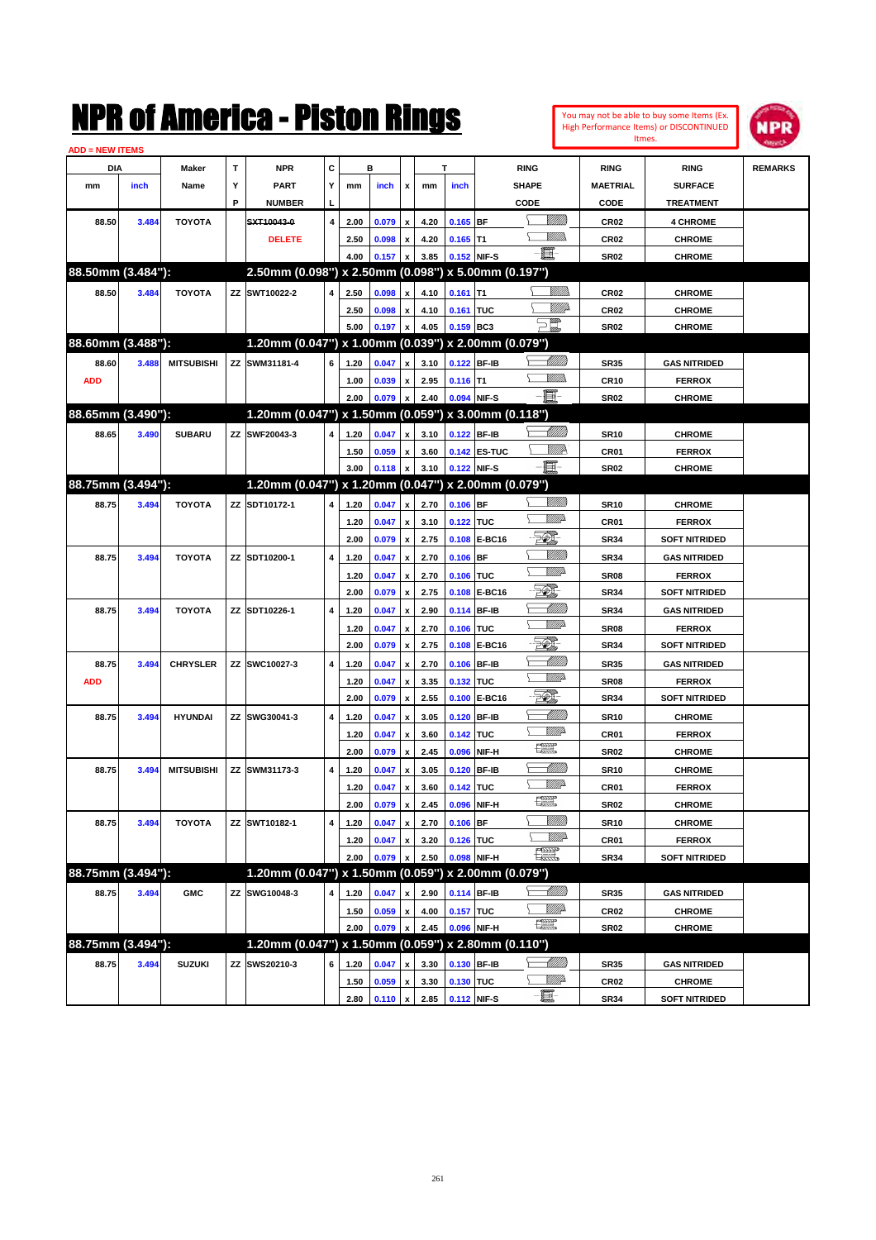|                         |       |                   |    | NMK OT AINCrica - Miston Kings                      |   |      |                |                           |      |             |               |                               |                   |                  | You may not be able to buy some Items (Ex.<br>High Performance Items) or DISCONTINUED | NPR            |
|-------------------------|-------|-------------------|----|-----------------------------------------------------|---|------|----------------|---------------------------|------|-------------|---------------|-------------------------------|-------------------|------------------|---------------------------------------------------------------------------------------|----------------|
| <u> ADD = NEW ITEMS</u> |       |                   |    |                                                     |   |      |                |                           |      |             |               |                               |                   |                  | Itmes.                                                                                |                |
| DIA                     |       | Maker             | T  | <b>NPR</b>                                          | C |      | в              |                           |      | T           |               | <b>RING</b>                   |                   | <b>RING</b>      | <b>RING</b>                                                                           | <b>REMARKS</b> |
| mm                      | inch  | Name              | Υ  | <b>PART</b>                                         | Y | mm   | inch           | x                         | mm   | inch        |               | <b>SHAPE</b>                  |                   | <b>MAETRIAL</b>  | <b>SURFACE</b>                                                                        |                |
|                         |       |                   | P  | <b>NUMBER</b>                                       |   |      |                |                           |      |             |               | CODE                          |                   | CODE             | <b>TREATMENT</b>                                                                      |                |
| 88.50                   | 3.484 | <b>TOYOTA</b>     |    | SXT10043-0                                          | 4 | 2.00 | 0.079          | $\pmb{\mathsf{x}}$        | 4.20 | $0.165$ BF  |               |                               | <u>Villilli</u>   | CR02             | <b>4 CHROME</b>                                                                       |                |
|                         |       |                   |    | <b>DELETE</b>                                       |   | 2.50 | 0.098          | $\pmb{\mathsf{x}}$        | 4.20 | $0.165$ T1  |               |                               | .<br>MM           | CR <sub>02</sub> | <b>CHROME</b>                                                                         |                |
|                         |       |                   |    |                                                     |   | 4.00 | 0.157          | x                         | 3.85 |             | 0.152 NIF-S   | E.                            |                   | <b>SR02</b>      | <b>CHROME</b>                                                                         |                |
| 88.50mm (3.484"):       |       |                   |    | 2.50mm (0.098") x 2.50mm (0.098") x 5.00mm (0.197") |   |      |                |                           |      |             |               |                               |                   |                  |                                                                                       |                |
| 88.50                   | 3.484 | <b>TOYOTA</b>     |    | ZZ SWT10022-2                                       | 4 | 2.50 | 0.098          | $\mathbf{x}$              | 4.10 | $0.161$ T1  |               |                               | <u>UMB</u>        | CR02             | <b>CHROME</b>                                                                         |                |
|                         |       |                   |    |                                                     |   | 2.50 | 0.098          | $\pmb{\mathsf{x}}$        | 4.10 | 0.161 TUC   |               |                               | <u>VIIItä</u>     | CR <sub>02</sub> | <b>CHROME</b>                                                                         |                |
|                         |       |                   |    |                                                     |   | 5.00 | 0.197          | $\pmb{\mathsf{x}}$        | 4.05 | 0.159 BC3   |               | $\sum^{\#}$                   |                   | <b>SR02</b>      | <b>CHROME</b>                                                                         |                |
| 88.60mm (3.488"):       |       |                   |    | 1.20mm (0.047") x 1.00mm (0.039") x 2.00mm (0.079") |   |      |                |                           |      |             |               |                               |                   |                  |                                                                                       |                |
| 88.60                   | 3.488 | <b>MITSUBISHI</b> |    | ZZ SWM31181-4                                       | 6 | 1.20 | 0.047          | $\pmb{\mathsf{x}}$        | 3.10 | 0.122 BF-IB |               |                               |                   | <b>SR35</b>      | <b>GAS NITRIDED</b>                                                                   |                |
| <b>ADD</b>              |       |                   |    |                                                     |   | 1.00 | 0.039          | x                         | 2.95 | $0.116$ T1  |               |                               | .<br>MM           | <b>CR10</b>      | <b>FERROX</b>                                                                         |                |
|                         |       |                   |    |                                                     |   | 2.00 | 0.079          | $\pmb{\mathsf{x}}$        | 2.40 | 0.094 NIF-S |               | E                             |                   | <b>SR02</b>      | <b>CHROME</b>                                                                         |                |
| 88.65mm (3.490"):       |       |                   |    | 1.20mm (0.047") x 1.50mm (0.059") x 3.00mm (0.118") |   |      |                |                           |      |             |               |                               |                   |                  |                                                                                       |                |
|                         |       |                   |    | ZZ SWF20043-3                                       | 4 |      |                |                           |      | 0.122 BF-IB |               |                               |                   |                  |                                                                                       |                |
| 88.65                   | 3.490 | <b>SUBARU</b>     |    |                                                     |   | 1.20 | 0.047          | $\pmb{\mathsf{x}}$        | 3.10 |             |               |                               | ₩₩                | <b>SR10</b>      | <b>CHROME</b>                                                                         |                |
|                         |       |                   |    |                                                     |   | 1.50 | 0.059          | $\pmb{\mathsf{x}}$        | 3.60 |             | 0.142 ES-TUC  | E                             |                   | CR01             | <b>FERROX</b>                                                                         |                |
| 88.75mm (3.494"):       |       |                   |    |                                                     |   | 3.00 | 0.118          | $\pmb{\mathsf{x}}$        | 3.10 | 0.122 NIF-S |               |                               |                   | <b>SR02</b>      | <b>CHROME</b>                                                                         |                |
|                         |       |                   |    | 1.20mm (0.047") x 1.20mm (0.047") x 2.00mm (0.079") |   |      |                |                           |      |             |               |                               | 77777).           |                  |                                                                                       |                |
| 88.75                   | 3.494 | <b>TOYOTA</b>     |    | ZZ SDT10172-1                                       | 4 | 1.20 | 0.047          | $\pmb{\mathsf{x}}$        | 2.70 | $0.106$ BF  |               |                               | <u>MM</u>         | <b>SR10</b>      | <b>CHROME</b>                                                                         |                |
|                         |       |                   |    |                                                     |   | 1.20 | 0.047          | $\pmb{\mathsf{x}}$        | 3.10 | 0.122 TUC   |               |                               |                   | CR01             | <b>FERROX</b>                                                                         |                |
|                         |       |                   |    |                                                     |   | 2.00 | 0.079          | $\pmb{\mathsf{x}}$        | 2.75 | 0.108       | E-BC16        | É.                            |                   | <b>SR34</b>      | <b>SOFT NITRIDED</b>                                                                  |                |
| 88.75                   | 3.494 | <b>TOYOTA</b>     |    | ZZ SDT10200-1                                       | 4 | 1.20 | 0.047          | $\pmb{\mathsf{x}}$        | 2.70 | 0.106       | <b>BF</b>     |                               | VMM)              | <b>SR34</b>      | <b>GAS NITRIDED</b>                                                                   |                |
|                         |       |                   |    |                                                     |   | 1.20 | 0.047          | $\pmb{\mathsf{x}}$        | 2.70 | 0.106       | TUC           | <u>VMD</u>                    |                   | SR <sub>08</sub> | <b>FERROX</b>                                                                         |                |
|                         |       |                   |    |                                                     |   | 2.00 | 0.079          | $\boldsymbol{\mathsf{x}}$ | 2.75 | 0.108       | <b>E-BC16</b> | >61                           |                   | <b>SR34</b>      | <b>SOFT NITRIDED</b>                                                                  |                |
| 88.75                   | 3.494 | <b>TOYOTA</b>     |    | ZZ SDT10226-1                                       | 4 | 1.20 | 0.047          | $\pmb{\mathsf{x}}$        | 2.90 | 0.114       | <b>BF-IB</b>  |                               | <u> Milli</u> lli | <b>SR34</b>      | <b>GAS NITRIDED</b>                                                                   |                |
|                         |       |                   |    |                                                     |   | 1.20 | 0.047          | $\pmb{\mathsf{x}}$        | 2.70 | 0.106       | <b>TUC</b>    |                               | <u>MM</u>         | SR <sub>08</sub> | <b>FERROX</b>                                                                         |                |
|                         |       |                   |    |                                                     |   | 2.00 | 0.079          | $\boldsymbol{\mathsf{x}}$ | 2.75 | 0.108       | E-BC16        | 6)                            |                   | <b>SR34</b>      | SOFT NITRIDED                                                                         |                |
| 88.75                   | 3.494 | <b>CHRYSLER</b>   |    | ZZ SWC10027-3                                       | 4 | 1.20 | 0.047          | $\pmb{\mathsf{x}}$        | 2.70 | 0.106       | <b>BF-IB</b>  |                               | <u> Milli</u> lli | <b>SR35</b>      | <b>GAS NITRIDED</b>                                                                   |                |
| <b>ADD</b>              |       |                   |    |                                                     |   | 1.20 | 0.047          | $\pmb{\mathsf{x}}$        | 3.35 | 0.132       | <b>TUC</b>    | <u>MM</u> D                   |                   | SR <sub>08</sub> | <b>FERROX</b>                                                                         |                |
|                         |       |                   |    |                                                     |   | 2.00 | 0.079          | $\boldsymbol{\mathsf{x}}$ | 2.55 | 0.100       | E-BC16        | PØ.                           |                   | <b>SR34</b>      | <b>SOFT NITRIDED</b>                                                                  |                |
| 88.75                   | 3.494 | <b>HYUNDAI</b>    | ΖZ | SWG30041-3                                          | 4 | 1.20 | 0.047          | $\pmb{\mathsf{x}}$        | 3.05 | 0.120       | <b>BF-IB</b>  |                               | <u> UMM</u>       | <b>SR10</b>      | <b>CHROME</b>                                                                         |                |
|                         |       |                   |    |                                                     |   | 1.20 | 0.047          | $\pmb{\mathsf{x}}$        | 3.60 | 0.142       | <b>TUC</b>    | <u>MM</u> D                   |                   | CR01             | <b>FERROX</b>                                                                         |                |
|                         |       |                   |    |                                                     |   | 2.00 | 0.079          | x                         | 2.45 | 0.096       | NIF-H         | $\mathbb{R}^n$                |                   | <b>SR02</b>      | <b>CHROME</b>                                                                         |                |
| 88.75                   | 3.494 | <b>MITSUBISHI</b> |    | ZZ SWM31173-3                                       | 4 | 1.20 | 0.047          | $\pmb{\mathsf{x}}$        | 3.05 | 0.120 BF-IB |               |                               | <u>UMB</u>        | <b>SR10</b>      | <b>CHROME</b>                                                                         |                |
|                         |       |                   |    |                                                     |   | 1.20 | 0.047          | $\pmb{\mathsf{x}}$        | 3.60 | 0.142 TUC   |               | <u>MA</u>                     |                   | CR01             | <b>FERROX</b>                                                                         |                |
|                         |       |                   |    |                                                     |   | 2.00 | 0.079          | $\pmb{\mathsf{x}}$        | 2.45 | 0.096       | NIF-H         | æ                             |                   | <b>SR02</b>      | <b>CHROME</b>                                                                         |                |
| 88.75                   | 3.494 | <b>TOYOTA</b>     |    | ZZ SWT10182-1                                       | 4 | 1.20 | 0.047          | $\pmb{\mathsf{x}}$        | 2.70 | $0.106$ BF  |               |                               | <u>VIIII</u> )    | SR10             | <b>CHROME</b>                                                                         |                |
|                         |       |                   |    |                                                     |   | 1.20 | 0.047          | $\pmb{\mathsf{x}}$        | 3.20 | 0.126 TUC   |               |                               | <u>VM</u> D       | CR01             | <b>FERROX</b>                                                                         |                |
|                         |       |                   |    |                                                     |   | 2.00 | 0.079          | X                         | 2.50 |             | 0.098 NIF-H   | en<br>Leopold                 |                   | <b>SR34</b>      | SOFT NITRIDED                                                                         |                |
| 88.75mm (3.494"):       |       |                   |    | 1.20mm (0.047") x 1.50mm (0.059") x 2.00mm (0.079") |   |      |                |                           |      |             |               |                               |                   |                  |                                                                                       |                |
|                         |       |                   |    | SWG10048-3                                          |   |      |                |                           |      |             | 0.114 BF-IB   |                               | <u> MMM)</u>      |                  |                                                                                       |                |
| 88.75                   | 3.494 | <b>GMC</b>        | ΖZ |                                                     | 4 | 1.20 | 0.047          | $\pmb{\mathsf{x}}$        | 2.90 |             |               | WWA                           |                   | <b>SR35</b>      | <b>GAS NITRIDED</b>                                                                   |                |
|                         |       |                   |    |                                                     |   | 1.50 | 0.059          | $\pmb{\mathsf{x}}$        | 4.00 | 0.157 TUC   |               | $f_{\text{max}}^{\text{max}}$ |                   | CR <sub>02</sub> | <b>CHROME</b>                                                                         |                |
| 88.75mm (3.494"):       |       |                   |    | 1.20mm (0.047") x 1.50mm (0.059") x 2.80mm (0.110") |   | 2.00 | 0.079          | $\pmb{\mathsf{x}}$        | 2.45 |             | 0.096 NIF-H   |                               |                   | <b>SR02</b>      | <b>CHROME</b>                                                                         |                |
|                         |       |                   |    |                                                     |   |      |                |                           |      |             |               |                               |                   |                  |                                                                                       |                |
| 88.75                   | 3.494 | <b>SUZUKI</b>     | ΖZ | SWS20210-3                                          | 6 | 1.20 | 0.047          | $\pmb{\mathsf{x}}$        | 3.30 | 0.130 BF-IB |               |                               |                   | SR35             | <b>GAS NITRIDED</b>                                                                   |                |
|                         |       |                   |    |                                                     |   | 1.50 | 0.059          | $\pmb{\mathsf{x}}$        | 3.30 | 0.130 TUC   |               | <u>Willi</u> b                |                   | CR <sub>02</sub> | <b>CHROME</b>                                                                         |                |
|                         |       |                   |    |                                                     |   | 2.80 | $0.110 \times$ |                           | 2.85 |             | 0.112 NIF-S   | e.                            |                   | <b>SR34</b>      | <b>SOFT NITRIDED</b>                                                                  |                |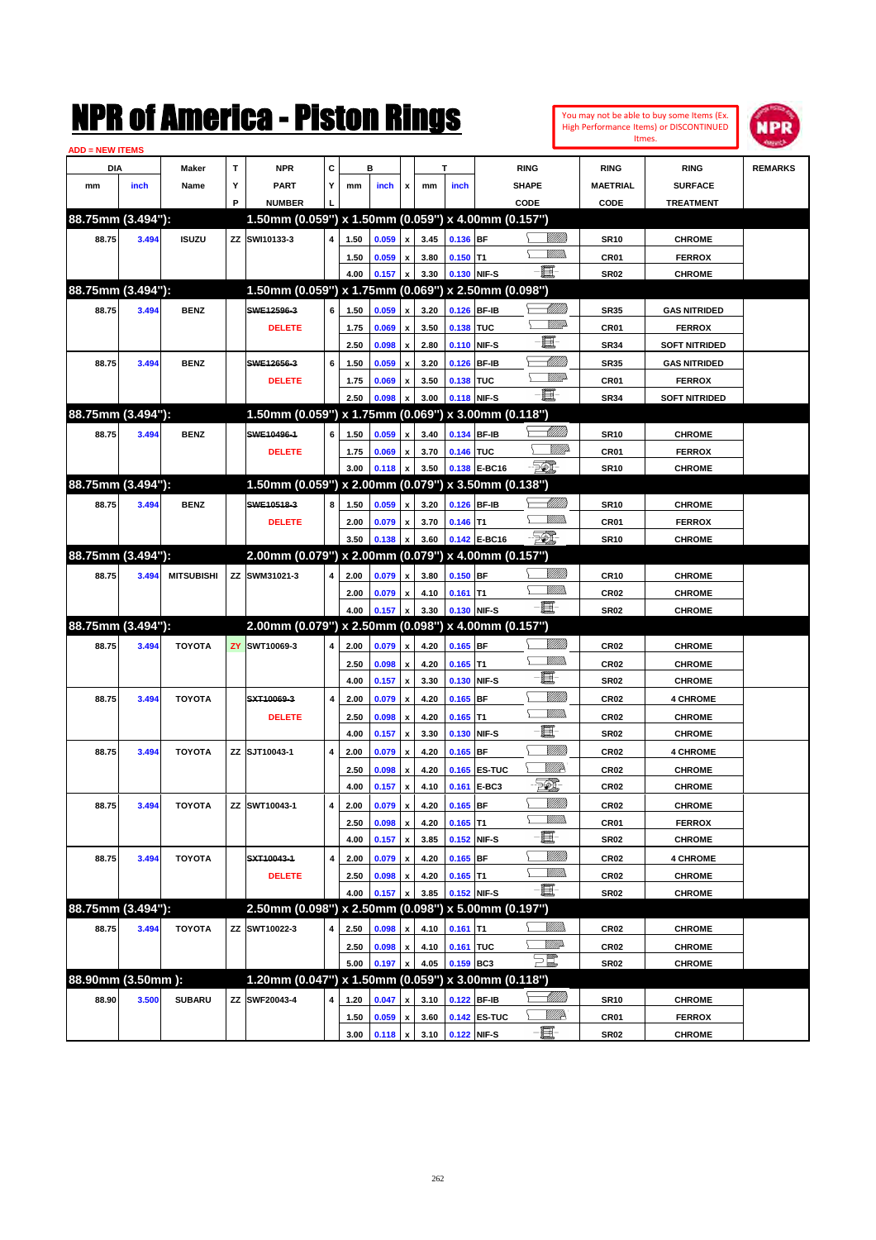|                        |       |                   |     | NMK OI AMCMICA - MISTON KINGS                                        |   |      |                |                    |      |            |              |              |                      |                  | You may not be able to buy some Items (Ex.<br>High Performance Items) or DISCONTINUED<br>Itmes. | IPR            |
|------------------------|-------|-------------------|-----|----------------------------------------------------------------------|---|------|----------------|--------------------|------|------------|--------------|--------------|----------------------|------------------|-------------------------------------------------------------------------------------------------|----------------|
| <b>ADD = NEW ITEMS</b> |       |                   | T   |                                                                      | c |      | в              |                    |      | т          |              |              |                      |                  |                                                                                                 |                |
| DIA                    |       | Maker             | Υ   | <b>NPR</b><br><b>PART</b>                                            | Y |      |                |                    |      |            |              | <b>RING</b>  |                      | <b>RING</b>      | <b>RING</b><br><b>SURFACE</b>                                                                   | <b>REMARKS</b> |
| mm                     | inch  | Name              | P   |                                                                      |   | mm   | inch           | x                  | mm   | inch       |              | SHAPE        |                      | <b>MAETRIAL</b>  |                                                                                                 |                |
| 88.75mm (3.494"):      |       |                   |     | <b>NUMBER</b><br>1.50mm (0.059") x 1.50mm (0.059") x 4.00mm (0.157") |   |      |                |                    |      |            |              | CODE         |                      | CODE             | <b>TREATMENT</b>                                                                                |                |
| 88.75                  | 3.494 | <b>ISUZU</b>      |     | ZZ SWI10133-3                                                        | 4 | 1.50 | 0.059          | $\pmb{\mathsf{x}}$ | 3.45 | 0.136 BF   |              |              | <u>Millitti</u>      | <b>SR10</b>      | <b>CHROME</b>                                                                                   |                |
|                        |       |                   |     |                                                                      |   | 1.50 | 0.059          | $\pmb{\mathsf{x}}$ | 3.80 | $0.150$ T1 |              |              | <br>Mad              | CR01             | <b>FERROX</b>                                                                                   |                |
|                        |       |                   |     |                                                                      |   | 4.00 | 0.157          | $\pmb{\mathsf{x}}$ | 3.30 |            | 0.130 NIF-S  | E            |                      | <b>SR02</b>      | <b>CHROME</b>                                                                                   |                |
| 88.75mm (3.494"):      |       |                   |     | 1.50mm (0.059") x 1.75mm (0.069") x 2.50mm (0.098")                  |   |      |                |                    |      |            |              |              |                      |                  |                                                                                                 |                |
| 88.75                  | 3.494 | <b>BENZ</b>       |     | SWE12596-3                                                           | 6 | 1.50 | 0.059          | $\pmb{\mathsf{x}}$ | 3.20 |            | 0.126 BF-IB  |              | <u> UMB</u>          | <b>SR35</b>      | <b>GAS NITRIDED</b>                                                                             |                |
|                        |       |                   |     | <b>DELETE</b>                                                        |   | 1.75 | 0.069          | $\pmb{\mathsf{x}}$ | 3.50 | 0.138 TUC  |              |              | <u>WWA</u>           | CR01             | <b>FERROX</b>                                                                                   |                |
|                        |       |                   |     |                                                                      |   | 2.50 | 0.098          | $\mathbf{x}$       | 2.80 |            | 0.110 NIF-S  | E            |                      | <b>SR34</b>      | <b>SOFT NITRIDED</b>                                                                            |                |
| 88.75                  | 3.494 | <b>BENZ</b>       |     | SWE12656-3                                                           | 6 | 1.50 | 0.059          | $\pmb{\mathsf{x}}$ | 3.20 |            | 0.126 BF-IB  |              | MMM                  | <b>SR35</b>      | <b>GAS NITRIDED</b>                                                                             |                |
|                        |       |                   |     | <b>DELETE</b>                                                        |   | 1.75 | 0.069          | $\pmb{\mathsf{x}}$ | 3.50 | 0.138 TUC  |              |              | <u>VMD</u>           | CR01             | <b>FERROX</b>                                                                                   |                |
|                        |       |                   |     |                                                                      |   | 2.50 | 0.098          | x                  | 3.00 |            | 0.118 NIF-S  | E.           |                      | <b>SR34</b>      | <b>SOFT NITRIDED</b>                                                                            |                |
| 88.75mm (3.494"):      |       |                   |     | 1.50mm (0.059") x 1.75mm (0.069") x 3.00mm (0.118")                  |   |      |                |                    |      |            |              |              |                      |                  |                                                                                                 |                |
| 88.75                  | 3.494 | <b>BENZ</b>       |     | SWE10496-1                                                           | 6 | 1.50 | 0.059          | $\mathbf{x}$       | 3.40 |            | 0.134 BF-IB  |              |                      | <b>SR10</b>      | <b>CHROME</b>                                                                                   |                |
|                        |       |                   |     | <b>DELETE</b>                                                        |   | 1.75 | 0.069          | $\pmb{\mathsf{x}}$ | 3.70 | 0.146 TUC  |              |              | <i><u>Villid</u></i> | CR01             | <b>FERROX</b>                                                                                   |                |
|                        |       |                   |     |                                                                      |   | 3.00 | 0.118          | x                  | 3.50 |            | 0.138 E-BC16 | <b>Feb.</b>  |                      | <b>SR10</b>      | <b>CHROME</b>                                                                                   |                |
| 88.75mm (3.494"):      |       |                   |     | 1.50mm (0.059") x 2.00mm (0.079") x 3.50mm (0.138")                  |   |      |                |                    |      |            |              |              |                      |                  |                                                                                                 |                |
| 88.75                  | 3.494 | <b>BENZ</b>       |     | SWE10518-3                                                           | 8 | 1.50 | 0.059          | $\pmb{\mathsf{x}}$ | 3.20 |            | 0.126 BF-IB  |              | <u> UMB</u>          | <b>SR10</b>      | <b>CHROME</b>                                                                                   |                |
|                        |       |                   |     | <b>DELETE</b>                                                        |   | 2.00 | 0.079          | $\pmb{\mathsf{x}}$ | 3.70 | $0.146$ T1 |              |              | .<br>MM              | CR01             | <b>FERROX</b>                                                                                   |                |
|                        |       |                   |     |                                                                      |   | 3.50 | 0.138          | x                  | 3.60 |            | 0.142 E-BC16 | $\mathbb{Z}$ |                      | <b>SR10</b>      | <b>CHROME</b>                                                                                   |                |
| 88.75mm (3.494"):      |       |                   |     | 2.00mm (0.079") x 2.00mm (0.079") x 4.00mm (0.157")                  |   |      |                |                    |      |            |              |              |                      |                  |                                                                                                 |                |
| 88.75                  | 3.494 | <b>MITSUBISHI</b> |     | ZZ SWM31021-3                                                        | 4 | 2.00 | 0.079          | $\pmb{\mathsf{x}}$ | 3.80 | $0.150$ BF |              |              | <u>UMM</u>           | <b>CR10</b>      | <b>CHROME</b>                                                                                   |                |
|                        |       |                   |     |                                                                      |   | 2.00 | 0.079          | $\pmb{\mathsf{x}}$ | 4.10 | $0.161$ T1 |              |              | <br>Mad              | CR <sub>02</sub> | <b>CHROME</b>                                                                                   |                |
|                        |       |                   |     |                                                                      |   | 4.00 | 0.157          | X                  | 3.30 |            | 0.130 NIF-S  | -6           |                      | <b>SR02</b>      | <b>CHROME</b>                                                                                   |                |
| 88.75mm (3.494"):      |       |                   |     | 2.00mm (0.079") x 2.50mm (0.098") x 4.00mm (0.157")                  |   |      |                |                    |      |            |              |              |                      |                  |                                                                                                 |                |
| 88.75                  | 3.494 | <b>TOYOTA</b>     | ZY. | SWT10069-3                                                           | 4 | 2.00 | 0.079          | $\pmb{\mathsf{x}}$ | 4.20 | $0.165$ BF |              |              | <u>VIII M</u>        | <b>CR02</b>      | <b>CHROME</b>                                                                                   |                |
|                        |       |                   |     |                                                                      |   | 2.50 | 0.098          | $\pmb{\mathsf{x}}$ | 4.20 | $0.165$ T1 |              |              | .<br>MMW             | <b>CR02</b>      | <b>CHROME</b>                                                                                   |                |
|                        |       |                   |     |                                                                      |   | 4.00 | 0.157          | $\mathbf{x}$       | 3.30 |            | 0.130 NIF-S  | E            |                      | <b>SR02</b>      | <b>CHROME</b>                                                                                   |                |
|                        |       |                   |     |                                                                      |   |      |                |                    |      |            |              |              | <u>MMW</u>           |                  |                                                                                                 |                |
| 88.75                  | 3.494 | <b>TOYOTA</b>     |     | SXT10069-3                                                           | 4 | 2.00 | 0.079          | X                  | 4.20 | $0.165$ BF |              |              | .<br>MM              | CR <sub>02</sub> | <b>4 CHROME</b>                                                                                 |                |
|                        |       |                   |     | <b>DELETE</b>                                                        |   | 2.50 | 0.098          | X                  | 4.20 | $0.165$ T1 |              | E.           |                      | <b>CR02</b>      | <b>CHROME</b>                                                                                   |                |
|                        |       |                   |     |                                                                      |   | 4.00 | 0.157          | $\mathbf{x}$       | 3.30 |            | 0.130 NIF-S  |              | <u>MMW</u>           | <b>SR02</b>      | <b>CHROME</b>                                                                                   |                |
| 88.75                  | 3.494 | <b>TOYOTA</b>     |     | ZZ SJT10043-1                                                        | 4 | 2.00 | 0.079          | x                  | 4.20 | $0.165$ BF |              |              | <u>MM</u>            | <b>CR02</b>      | <b>4 CHROME</b>                                                                                 |                |
|                        |       |                   |     |                                                                      |   | 2.50 | 0.098          | $\pmb{\mathsf{x}}$ | 4.20 |            | 0.165 ES-TUC |              |                      | <b>CR02</b>      | CHROME                                                                                          |                |
|                        |       |                   |     |                                                                      |   | 4.00 | 0.157          | $\pmb{\mathsf{x}}$ | 4.10 |            | 0.161 E-BC3  | EQ,          |                      | CR <sub>02</sub> | <b>CHROME</b>                                                                                   |                |
| 88.75                  | 3.494 | <b>TOYOTA</b>     |     | ZZ SWT10043-1                                                        | 4 | 2.00 | 0.079          | $\pmb{\mathsf{x}}$ | 4.20 | $0.165$ BF |              |              | <u>Milli</u> n       | CR <sub>02</sub> | <b>CHROME</b>                                                                                   |                |
|                        |       |                   |     |                                                                      |   | 2.50 | 0.098          | $\pmb{\mathsf{x}}$ | 4.20 | $0.165$ T1 |              |              | <u>VMM</u>           | CR01             | <b>FERROX</b>                                                                                   |                |
|                        |       |                   |     |                                                                      |   | 4.00 | 0.157          | $\pmb{\mathsf{x}}$ | 3.85 |            | 0.152 NIF-S  | e.           |                      | <b>SR02</b>      | <b>CHROME</b>                                                                                   |                |
| 88.75                  | 3.494 | <b>TOYOTA</b>     |     | SXT10043-1                                                           | 4 | 2.00 | 0.079          | $\pmb{\mathsf{x}}$ | 4.20 | $0.165$ BF |              |              | <u>VIIII</u> )       | CR <sub>02</sub> | <b>4 CHROME</b>                                                                                 |                |
|                        |       |                   |     | <b>DELETE</b>                                                        |   | 2.50 | 0.098          | $\pmb{\mathsf{x}}$ | 4.20 | $0.165$ T1 |              |              | <u>MMs</u>           | CR <sub>02</sub> | <b>CHROME</b>                                                                                   |                |
|                        |       |                   |     |                                                                      |   | 4.00 | 0.157          |                    | 3.85 |            | 0.152 NIF-S  |              |                      | <b>SR02</b>      | <b>CHROME</b>                                                                                   |                |
| 88.75mm (3.494"):      |       |                   |     | 2.50mm (0.098") x 2.50mm (0.098") x 5.00mm (0.197")                  |   |      |                |                    |      |            |              |              |                      |                  |                                                                                                 |                |
| 88.75                  | 3.494 | <b>TOYOTA</b>     |     | ZZ SWT10022-3                                                        | 4 | 2.50 | 0.098          | x                  | 4.10 | $0.161$ T1 |              |              | <u>MMW</u>           | CR <sub>02</sub> | <b>CHROME</b>                                                                                   |                |
|                        |       |                   |     |                                                                      |   | 2.50 | 0.098          | $\pmb{\mathsf{x}}$ | 4.10 | 0.161 TUC  |              | <u>WW</u> A  |                      | <b>CR02</b>      | <b>CHROME</b>                                                                                   |                |
|                        |       |                   |     |                                                                      |   | 5.00 | 0.197          | X                  | 4.05 | 0.159 BC3  |              | $\Xi^{\!\#}$ |                      | <b>SR02</b>      | <b>CHROME</b>                                                                                   |                |
| 88.90mm (3.50mm):      |       |                   |     | 1.20mm (0.047") x 1.50mm (0.059") x 3.00mm (0.118")                  |   |      |                |                    |      |            |              |              |                      |                  |                                                                                                 |                |
| 88.90                  | 3.500 | <b>SUBARU</b>     |     | ZZ SWF20043-4                                                        | 4 | 1.20 | 0.047          | x                  | 3.10 |            | 0.122 BF-IB  |              | <u> MM)</u>          | <b>SR10</b>      | <b>CHROME</b>                                                                                   |                |
|                        |       |                   |     |                                                                      |   | 1.50 | 0.059          | $\pmb{\mathsf{x}}$ | 3.60 |            | 0.142 ES-TUC |              | WMP                  | CR01             | <b>FERROX</b>                                                                                   |                |
|                        |       |                   |     |                                                                      |   | 3.00 | $0.118 \times$ |                    | 3.10 |            | 0.122 NIF-S  | EI-          |                      | <b>SR02</b>      | <b>CHROME</b>                                                                                   |                |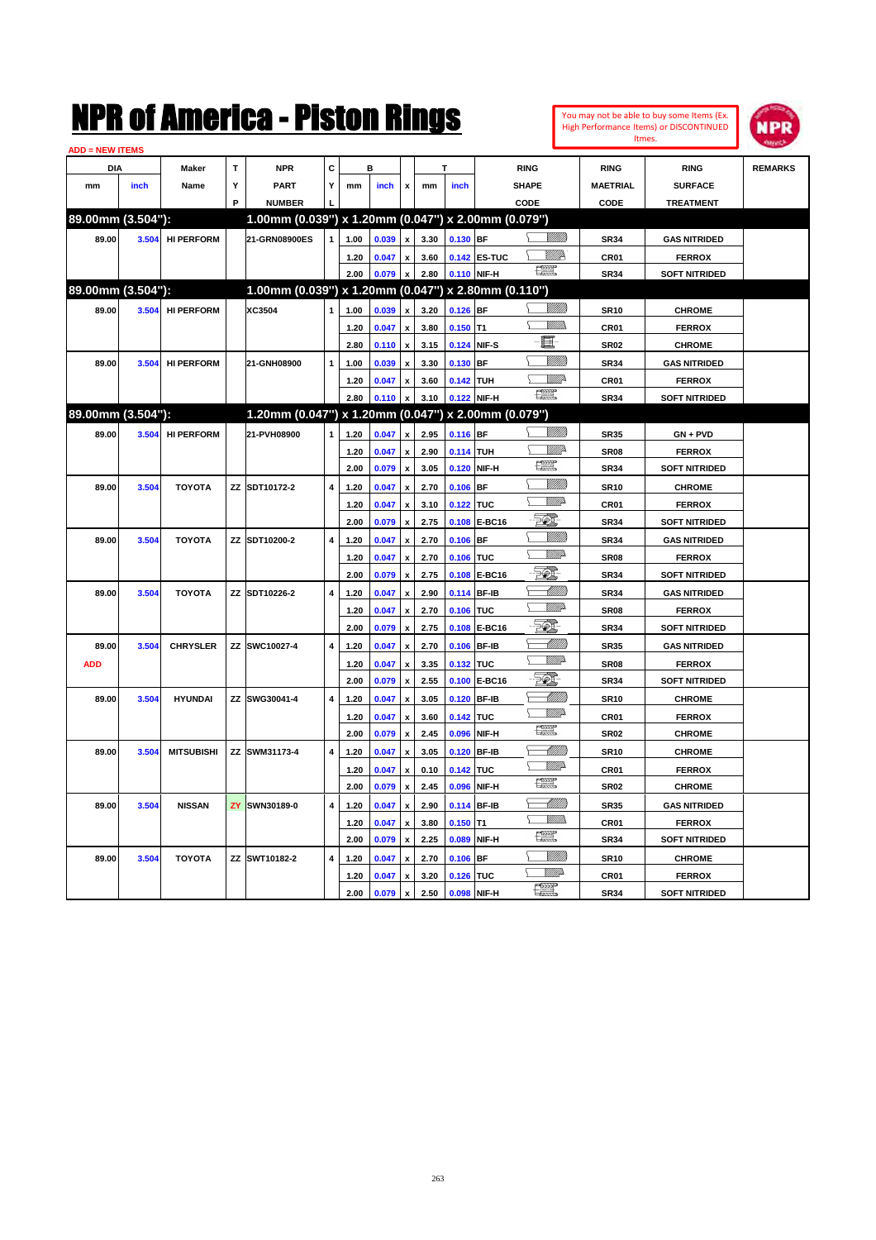| <b>ADD = NEW ITEMS</b> |       |                   |   |                                                     |                         |      |       |                           |      |             |              |                     |                  |                      |                |
|------------------------|-------|-------------------|---|-----------------------------------------------------|-------------------------|------|-------|---------------------------|------|-------------|--------------|---------------------|------------------|----------------------|----------------|
| DIA                    |       | Maker             | T | <b>NPR</b>                                          | C                       |      | B     |                           |      |             |              | <b>RING</b>         | <b>RING</b>      | <b>RING</b>          | <b>REMARKS</b> |
| mm                     | inch  | Name              | Υ | <b>PART</b>                                         | Υ                       | mm   | inch  | $\mathbf{x}$              | mm   | inch        |              | <b>SHAPE</b>        | <b>MAETRIAL</b>  | <b>SURFACE</b>       |                |
|                        |       |                   | P | <b>NUMBER</b>                                       |                         |      |       |                           |      |             |              | CODE                | CODE             | <b>TREATMENT</b>     |                |
| 89.00mm (3.504"):      |       |                   |   | 1.00mm (0.039") x 1.20mm (0.047") x 2.00mm (0.079") |                         |      |       |                           |      |             |              |                     |                  |                      |                |
| 89.00                  | 3.504 | <b>HI PERFORM</b> |   | 21-GRN08900ES                                       | $\mathbf{1}$            | 1.00 | 0.039 | $\pmb{\mathsf{x}}$        | 3.30 | $0.130$ BF  |              | <u>Sillita</u>      | <b>SR34</b>      | <b>GAS NITRIDED</b>  |                |
|                        |       |                   |   |                                                     |                         | 1.20 | 0.047 | $\pmb{\mathsf{x}}$        | 3.60 |             | 0.142 ES-TUC | <u>Willik</u> s     | CR01             | <b>FERROX</b>        |                |
|                        |       |                   |   |                                                     |                         | 2.00 | 0.079 | $\boldsymbol{x}$          | 2.80 | 0.110 NIF-H |              | <b>1227</b>         | <b>SR34</b>      | <b>SOFT NITRIDED</b> |                |
| 89.00mm (3.504"):      |       |                   |   | 1.00mm (0.039") x 1.20mm (0.047") x 2.80mm (0.110") |                         |      |       |                           |      |             |              |                     |                  |                      |                |
| 89.00                  | 3.504 | <b>HI PERFORM</b> |   | XC3504                                              | $\mathbf{1}$            | 1.00 | 0.039 | $\pmb{\mathsf{x}}$        | 3.20 | $0.126$ BF  |              | <u>Sillita</u>      | <b>SR10</b>      | <b>CHROME</b>        |                |
|                        |       |                   |   |                                                     |                         | 1.20 | 0.047 | $\pmb{\mathsf{x}}$        | 3.80 | $0.150$ T1  |              | .<br>VMDo<br>Ÿ.     | <b>CR01</b>      | <b>FERROX</b>        |                |
|                        |       |                   |   |                                                     |                         | 2.80 | 0.110 | $\boldsymbol{\mathsf{x}}$ | 3.15 | 0.124 NIF-S |              | E.                  | <b>SR02</b>      | <b>CHROME</b>        |                |
| 89.00                  |       | 3.504 HI PERFORM  |   | 21-GNH08900                                         | $\mathbf{1}$            | 1.00 | 0.039 | $\boldsymbol{\mathsf{x}}$ | 3.30 | 0.130 BF    |              | <u>Sillilli</u>     | <b>SR34</b>      | <b>GAS NITRIDED</b>  |                |
|                        |       |                   |   |                                                     |                         | 1.20 | 0.047 | $\pmb{\mathsf{x}}$        | 3.60 | 0.142 TUH   |              | <i><del>∰</del></i> | <b>CR01</b>      | <b>FERROX</b>        |                |
|                        |       |                   |   |                                                     |                         | 2.80 | 0.110 | $\boldsymbol{x}$          | 3.10 | 0.122 NIF-H |              | 「黑                  | <b>SR34</b>      | <b>SOFT NITRIDED</b> |                |
| 89.00mm (3.504"):      |       |                   |   | 1.20mm (0.047") x 1.20mm (0.047") x 2.00mm (0.079") |                         |      |       |                           |      |             |              |                     |                  |                      |                |
| 89.00                  | 3.504 | <b>HI PERFORM</b> |   | 21-PVH08900                                         | $\mathbf{1}$            | 1.20 | 0.047 | $\pmb{\mathsf{x}}$        | 2.95 | 0.116 BF    |              |                     | <b>SR35</b>      | $GN + PVD$           |                |
|                        |       |                   |   |                                                     |                         | 1.20 | 0.047 | $\pmb{\mathsf{x}}$        | 2.90 | 0.114 TUH   |              | <u>Mille</u>        | <b>SR08</b>      | <b>FERROX</b>        |                |
|                        |       |                   |   |                                                     |                         | 2.00 | 0.079 | $\pmb{\mathsf{x}}$        | 3.05 | 0.120 NIF-H |              | <b>1227</b>         | <b>SR34</b>      | <b>SOFT NITRIDED</b> |                |
| 89.00                  | 3.504 | <b>TOYOTA</b>     |   | ZZ SDT10172-2                                       | 4                       | 1.20 | 0.047 | $\pmb{\mathsf{x}}$        | 2.70 | $0.106$ BF  |              | <u>VIIII</u> )      | <b>SR10</b>      | <b>CHROME</b>        |                |
|                        |       |                   |   |                                                     |                         | 1.20 | 0.047 | $\pmb{\mathsf{x}}$        | 3.10 | 0.122 TUC   |              | <u>WW</u> A         | <b>CR01</b>      | <b>FERROX</b>        |                |
|                        |       |                   |   |                                                     |                         | 2.00 | 0.079 | $\boldsymbol{\mathsf{x}}$ | 2.75 |             | 0.108 E-BC16 | FØ.                 | <b>SR34</b>      | <b>SOFT NITRIDED</b> |                |
| 89.00                  | 3.504 | <b>TOYOTA</b>     |   | <b>ZZ SDT10200-2</b>                                | $\overline{4}$          | 1.20 | 0.047 | $\pmb{\mathsf{x}}$        | 2.70 | $0.106$ BF  |              | <u>Millito</u>      | <b>SR34</b>      | <b>GAS NITRIDED</b>  |                |
|                        |       |                   |   |                                                     |                         | 1.20 | 0.047 | $\pmb{\mathsf{x}}$        | 2.70 | 0.106 TUC   |              | <u>WW</u> A         | <b>SR08</b>      | <b>FERROX</b>        |                |
|                        |       |                   |   |                                                     |                         | 2.00 | 0.079 | $\mathbf{x}$              | 2.75 |             | 0.108 E-BC16 | 50I                 | <b>SR34</b>      | <b>SOFT NITRIDED</b> |                |
| 89.00                  | 3.504 | <b>TOYOTA</b>     |   | ZZ SDT10226-2                                       | $\overline{4}$          | 1.20 | 0.047 | $\pmb{\mathsf{x}}$        | 2.90 | 0.114 BF-IB |              | -IMM)               | <b>SR34</b>      | <b>GAS NITRIDED</b>  |                |
|                        |       |                   |   |                                                     |                         | 1.20 | 0.047 | $\pmb{\mathsf{x}}$        | 2.70 | 0.106 TUC   |              | <u>VM</u> D         | SR <sub>08</sub> | <b>FERROX</b>        |                |
|                        |       |                   |   |                                                     |                         | 2.00 | 0.079 | x                         | 2.75 |             | 0.108 E-BC16 | 50)                 | <b>SR34</b>      | <b>SOFT NITRIDED</b> |                |
| 89.00                  | 3.504 | <b>CHRYSLER</b>   |   | ZZ SWC10027-4                                       | $\overline{4}$          | 1.20 | 0.047 | $\pmb{\mathsf{x}}$        | 2.70 | 0.106 BF-IB |              | <u> Milli</u>       | <b>SR35</b>      | <b>GAS NITRIDED</b>  |                |
| <b>ADD</b>             |       |                   |   |                                                     |                         | 1.20 | 0.047 | $\pmb{\mathsf{x}}$        | 3.35 | 0.132 TUC   |              | WWA                 | SR <sub>08</sub> | <b>FERROX</b>        |                |
|                        |       |                   |   |                                                     |                         | 2.00 | 0.079 | $\pmb{\mathsf{x}}$        | 2.55 |             | 0.100 E-BC16 | ECI.                | <b>SR34</b>      | <b>SOFT NITRIDED</b> |                |
| 89.00                  | 3.504 | <b>HYUNDAI</b>    |   | ZZ SWG30041-4                                       | 4                       | 1.20 | 0.047 | x                         | 3.05 | 0.120 BF-IB |              | <u> UMM</u>         | <b>SR10</b>      | <b>CHROME</b>        |                |
|                        |       |                   |   |                                                     |                         | 1.20 | 0.047 | $\pmb{\mathsf{x}}$        | 3.60 | 0.142 TUC   |              | <b>W///2</b>        | <b>CR01</b>      | <b>FERROX</b>        |                |
|                        |       |                   |   |                                                     |                         | 2.00 | 0.079 | $\boldsymbol{\mathsf{x}}$ | 2.45 |             | 0.096 NIF-H  | <u>rese</u>         | <b>SR02</b>      | <b>CHROME</b>        |                |
| 89.00                  | 3.504 | <b>MITSUBISHI</b> |   | ZZ SWM31173-4                                       | $\pmb{4}$               | 1.20 | 0.047 | $\pmb{\mathsf{x}}$        | 3.05 | 0.120 BF-IB |              | <u>UMM</u>          | <b>SR10</b>      | <b>CHROME</b>        |                |
|                        |       |                   |   |                                                     |                         | 1.20 | 0.047 | x                         | 0.10 | 0.142 TUC   |              | <b>W///2</b>        | CR01             | <b>FERROX</b>        |                |
|                        |       |                   |   |                                                     |                         | 2.00 | 0.079 | $\mathbf{x}$              | 2.45 | 0.096 NIF-H |              | <u>rees</u>         | <b>SR02</b>      | <b>CHROME</b>        |                |
| 89.00                  | 3.504 | <b>NISSAN</b>     |   | ZY SWN30189-0                                       | $\overline{4}$          | 1.20 | 0.047 | $\pmb{\mathsf{x}}$        | 2.90 | 0.114 BF-IB |              | <u>UMB</u>          | <b>SR35</b>      | <b>GAS NITRIDED</b>  |                |
|                        |       |                   |   |                                                     |                         | 1.20 | 0.047 | x                         | 3.80 | $0.150$ T1  |              | VM)<br>N.           | <b>CR01</b>      | <b>FERROX</b>        |                |
|                        |       |                   |   |                                                     |                         | 2.00 | 0.079 | $\pmb{\mathsf{x}}$        | 2.25 | 0.089 NIF-H |              | $\mathbb{R}^n$      | <b>SR34</b>      | <b>SOFT NITRIDED</b> |                |
| 89.00                  | 3.504 | <b>TOYOTA</b>     |   | ZZ SWT10182-2                                       | $\overline{\mathbf{4}}$ | 1.20 | 0.047 | $\pmb{\mathsf{x}}$        | 2.70 | 0.106       | <b>BF</b>    | <u>Milli</u> k      | <b>SR10</b>      | <b>CHROME</b>        |                |
|                        |       |                   |   |                                                     |                         | 1.20 | 0.047 | $\pmb{\mathsf{x}}$        | 3.20 | 0.126 TUC   |              | VMD-                | CR01             | <b>FERROX</b>        |                |
|                        |       |                   |   |                                                     |                         | 2.00 | 0.079 | $\pmb{\mathsf{x}}$        | 2.50 | 0.098 NIF-H |              | $\frac{1}{2}$       | <b>SR34</b>      | <b>SOFT NITRIDED</b> |                |

You may not be able to buy some Items (Ex. High Performance Items) or DISCONTINUED Itmes.

**NPR**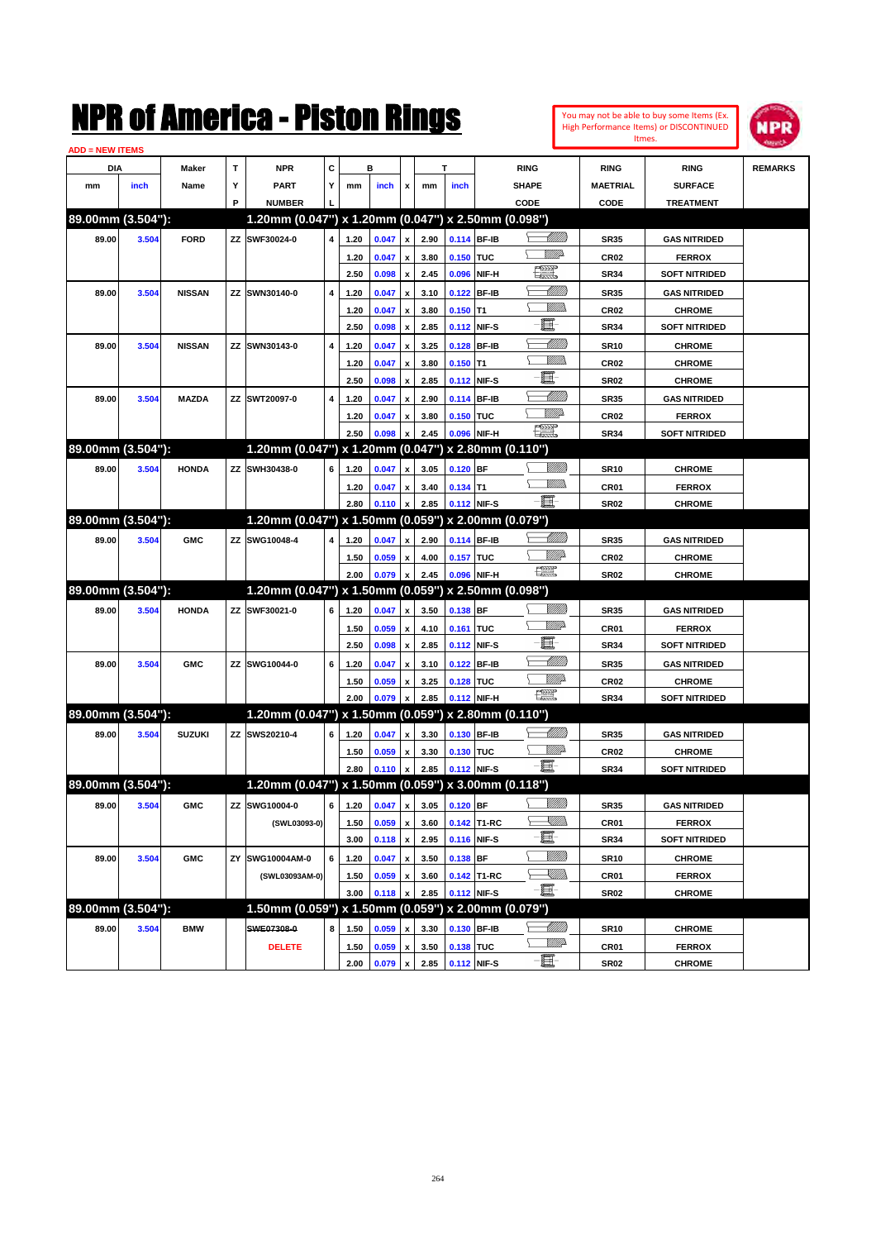

| <b>ADD = NEW ITEMS</b> |       |               |    |                                                     |   |      |                              |                           |      |             |              |                                                                                                                          |                  |                      |                |
|------------------------|-------|---------------|----|-----------------------------------------------------|---|------|------------------------------|---------------------------|------|-------------|--------------|--------------------------------------------------------------------------------------------------------------------------|------------------|----------------------|----------------|
| DIA                    |       | Maker         | т  | <b>NPR</b>                                          | С |      | в                            |                           |      | т           |              | <b>RING</b>                                                                                                              | <b>RING</b>      | <b>RING</b>          | <b>REMARKS</b> |
| mm                     | inch  | Name          | Y  | PART                                                | Y | mm   | inch                         | x                         | mm   | inch        |              | <b>SHAPE</b>                                                                                                             | <b>MAETRIAL</b>  | <b>SURFACE</b>       |                |
|                        |       |               | P  | <b>NUMBER</b>                                       |   |      |                              |                           |      |             |              | CODE                                                                                                                     | CODE             | <b>TREATMENT</b>     |                |
| 89.00mm (3.504"):      |       |               |    | 1.20mm (0.047") x 1.20mm (0.047") x 2.50mm (0.098") |   |      |                              |                           |      |             |              |                                                                                                                          |                  |                      |                |
| 89.00                  | 3.504 | <b>FORD</b>   | ΖZ | SWF30024-0                                          | 4 | 1.20 | 0.047                        | $\pmb{\mathsf{x}}$        | 2.90 | 0.114 BF-IB |              | <u> Millitt</u>                                                                                                          | <b>SR35</b>      | <b>GAS NITRIDED</b>  |                |
|                        |       |               |    |                                                     |   | 1.20 | 0.047                        | x                         | 3.80 | 0.150 TUC   |              | <u>Mille</u>                                                                                                             | <b>CR02</b>      | <b>FERROX</b>        |                |
|                        |       |               |    |                                                     |   | 2.50 | 0.098                        | x                         | 2.45 | 0.096       | NIF-H        | طححت<br>一扇                                                                                                               | <b>SR34</b>      | <b>SOFT NITRIDED</b> |                |
| 89.00                  | 3.504 | <b>NISSAN</b> | ΖZ | SWN30140-0                                          | 4 | 1.20 | 0.047                        | x                         | 3.10 | 0.122       | <b>BF-IB</b> | <u> UMB</u>                                                                                                              | <b>SR35</b>      | <b>GAS NITRIDED</b>  |                |
|                        |       |               |    |                                                     |   | 1.20 | 0.047                        | x                         | 3.80 | 0.150       | T1           | <br>Mar                                                                                                                  | <b>CR02</b>      | <b>CHROME</b>        |                |
|                        |       |               |    |                                                     |   | 2.50 | 0.098                        | x                         | 2.85 | 0.112       | NIF-S        | E                                                                                                                        | <b>SR34</b>      | <b>SOFT NITRIDED</b> |                |
| 89.00                  | 3.504 | <b>NISSAN</b> | ΖZ | SWN30143-0                                          | 4 | 1.20 | 0.047                        | x                         | 3.25 | 0.128       | <b>BF-IB</b> | <u>UMB</u>                                                                                                               | <b>SR10</b>      | <b>CHROME</b>        |                |
|                        |       |               |    |                                                     |   | 1.20 | 0.047                        | x                         | 3.80 | 0.150       | T1           | <br>Mar                                                                                                                  | <b>CR02</b>      | <b>CHROME</b>        |                |
|                        |       |               |    |                                                     |   | 2.50 | 0.098                        | x                         | 2.85 | 0.112       | NIF-S        | E                                                                                                                        | <b>SR02</b>      | <b>CHROME</b>        |                |
| 89.00                  | 3.504 | <b>MAZDA</b>  | ΖZ | SWT20097-0                                          | 4 | 1.20 | 0.047                        | x                         | 2.90 | 0.114       | <b>BF-IB</b> | <u> Milli</u>                                                                                                            | <b>SR35</b>      | <b>GAS NITRIDED</b>  |                |
|                        |       |               |    |                                                     |   | 1.20 | 0.047                        | x                         | 3.80 | 0.150 TUC   |              | <u>Mille</u>                                                                                                             | CR <sub>02</sub> | <b>FERROX</b>        |                |
|                        |       |               |    |                                                     |   | 2.50 | 0.098                        | x                         | 2.45 | 0.096       | NIF-H        | <b>The Second</b>                                                                                                        | <b>SR34</b>      | <b>SOFT NITRIDED</b> |                |
| 89.00mm (3.504"):      |       |               |    | 1.20mm (0.047") x 1.20mm (0.047") x 2.80mm (0.110") |   |      |                              |                           |      |             |              |                                                                                                                          |                  |                      |                |
| 89.00                  | 3.504 | <b>HONDA</b>  | ΖZ | SWH30438-0                                          | 6 | 1.20 | 0.047                        | x                         | 3.05 | 0.120       | <b>BF</b>    | <u>MMM</u>                                                                                                               | <b>SR10</b>      | <b>CHROME</b>        |                |
|                        |       |               |    |                                                     |   | 1.20 | 0.047                        | x                         | 3.40 | $0.134$ T1  |              | <u>Willib</u>                                                                                                            | CR01             | <b>FERROX</b>        |                |
|                        |       |               |    |                                                     |   | 2.80 | 0.110                        | $\boldsymbol{\mathsf{x}}$ | 2.85 | 0.112 NIF-S |              | -8                                                                                                                       | <b>SR02</b>      | <b>CHROME</b>        |                |
| 89.00mm (3.504"):      |       |               |    | 1.20mm (0.047") x 1.50mm (0.059") x 2.00mm (0.079") |   |      |                              |                           |      |             |              |                                                                                                                          |                  |                      |                |
| 89.00                  | 3.504 | <b>GMC</b>    | ΖZ | SWG10048-4                                          | 4 | 1.20 | 0.047                        | x                         | 2.90 | 0.114 BF-IB |              | <u> MMM</u>                                                                                                              | <b>SR35</b>      | <b>GAS NITRIDED</b>  |                |
|                        |       |               |    |                                                     |   | 1.50 | 0.059                        | x                         | 4.00 | 0.157 TUC   |              | <u>MMP</u>                                                                                                               | <b>CR02</b>      | <b>CHROME</b>        |                |
|                        |       |               |    |                                                     |   | 2.00 | 0.079                        | $\pmb{\mathsf{x}}$        | 2.45 | 0.096       | NIF-H        | <b>The Control</b>                                                                                                       | <b>SR02</b>      | <b>CHROME</b>        |                |
| 89.00mm (3.504"):      |       |               |    | 1.20mm (0.047") x 1.50mm (0.059") x 2.50mm (0.098") |   |      |                              |                           |      |             |              |                                                                                                                          |                  |                      |                |
| 89.00                  | 3.504 | <b>HONDA</b>  | ΖZ | SWF30021-0                                          | 6 | 1.20 | 0.047                        | $\pmb{\mathsf{x}}$        | 3.50 | 0.138 BF    |              | <u>Milli</u> k                                                                                                           | <b>SR35</b>      | <b>GAS NITRIDED</b>  |                |
|                        |       |               |    |                                                     |   | 1.50 | 0.059                        | x                         | 4.10 | 0.161       | <b>TUC</b>   | <u>WW</u> A                                                                                                              | CR01             | <b>FERROX</b>        |                |
|                        |       |               |    |                                                     |   | 2.50 | 0.098                        | x                         | 2.85 | 0.112       | NIF-S        | 圓                                                                                                                        | <b>SR34</b>      | <b>SOFT NITRIDED</b> |                |
| 89.00                  | 3.504 | <b>GMC</b>    | ΖZ | SWG10044-0                                          | 6 | 1.20 | 0.047                        | $\boldsymbol{\mathsf{x}}$ | 3.10 | 0.122       | <b>BF-IB</b> | <u> MMM</u>                                                                                                              | <b>SR35</b>      | <b>GAS NITRIDED</b>  |                |
|                        |       |               |    |                                                     |   | 1.50 | 0.059                        | x                         | 3.25 | 0.128       | TUC          | <u>MMP</u>                                                                                                               | CR <sub>02</sub> | <b>CHROME</b>        |                |
|                        |       |               |    |                                                     |   | 2.00 | 0.079                        | $\boldsymbol{\mathsf{x}}$ | 2.85 |             | 0.112 NIF-H  | <b>The Control</b>                                                                                                       | <b>SR34</b>      | <b>SOFT NITRIDED</b> |                |
| 89.00mm (3.504"):      |       |               |    | 1.20mm (0.047") x 1.50mm (0.059") x 2.80mm (0.110") |   |      |                              |                           |      |             |              |                                                                                                                          |                  |                      |                |
| 89.00                  | 3.504 | <b>SUZUKI</b> | ΖZ | SWS20210-4                                          | 6 | 1.20 | 0.047                        | x                         | 3.30 | 0.130       | <b>BF-IB</b> | <u> MM</u> ).                                                                                                            | <b>SR35</b>      | <b>GAS NITRIDED</b>  |                |
|                        |       |               |    |                                                     |   | 1.50 | 0.059                        | х                         | 3.30 | 0.130 TUC   |              | <u>Willi</u> a                                                                                                           | <b>CR02</b>      | <b>CHROME</b>        |                |
|                        |       |               |    |                                                     |   | 2.80 | 0.110                        | $\mathbf{x}$              | 2.85 | 0.112 NIF-S |              | $-\Xi$ -                                                                                                                 | <b>SR34</b>      | <b>SOFT NITRIDED</b> |                |
| 89.00mm (3.504"):      |       |               |    | 1.20mm (0.047") x 1.50mm (0.059") x 3.00mm (0.118") |   |      |                              |                           |      |             |              |                                                                                                                          |                  |                      |                |
| 89.00                  | 3.504 | <b>GMC</b>    |    | ZZ SWG10004-0                                       |   |      | 6 1.20 0.047 x 3.05 0.120 BF |                           |      |             |              | <u>UMB</u>                                                                                                               | <b>SR35</b>      | <b>GAS NITRIDED</b>  |                |
|                        |       |               |    | (SWL03093-0)                                        |   | 1.50 | 0.059                        | $\pmb{\mathsf{x}}$        | 3.60 |             | 0.142 T1-RC  | $\searrow$ William                                                                                                       | CR01             | <b>FERROX</b>        |                |
|                        |       |               |    |                                                     |   | 3.00 | 0.118                        | $\pmb{\mathsf{x}}$        | 2.95 | 0.116 NIF-S |              | e.                                                                                                                       | <b>SR34</b>      | <b>SOFT NITRIDED</b> |                |
| 89.00                  | 3.504 | <b>GMC</b>    | ZY | SWG10004AM-0                                        | 6 | 1.20 | 0.047                        | $\pmb{\mathsf{x}}$        | 3.50 | 0.138 BF    |              | <u>VIII in</u>                                                                                                           | <b>SR10</b>      | <b>CHROME</b>        |                |
|                        |       |               |    | (SWL03093AM-0)                                      |   | 1.50 | 0.059                        |                           | 3.60 |             | 0.142 T1-RC  | $\begin{matrix} \begin{matrix} \mathbb{R} & \mathbb{R} \ \mathbb{R} & \mathbb{R} \end{matrix} & \mathbb{R} \end{matrix}$ | CR01             | <b>FERROX</b>        |                |
|                        |       |               |    |                                                     |   | 3.00 | 0.118                        | x<br>$\pmb{\mathsf{x}}$   | 2.85 | 0.112 NIF-S |              | -8                                                                                                                       | SR <sub>02</sub> | <b>CHROME</b>        |                |
| 89.00mm (3.504"):      |       |               |    | 1.50mm (0.059") x 1.50mm (0.059") x 2.00mm (0.079") |   |      |                              |                           |      |             |              |                                                                                                                          |                  |                      |                |
|                        |       |               |    |                                                     |   |      |                              |                           |      |             |              | <u>-M/////</u> )                                                                                                         |                  |                      |                |
| 89.00                  | 3.504 | <b>BMW</b>    |    | SWE07308-0                                          | 8 | 1.50 | 0.059                        | x                         | 3.30 | 0.130       | <b>BF-IB</b> | <u>VM</u> D-                                                                                                             | <b>SR10</b>      | <b>CHROME</b>        |                |
|                        |       |               |    | <b>DELETE</b>                                       |   | 1.50 | 0.059                        | $\pmb{\mathsf{x}}$        | 3.50 | 0.138 TUC   |              | E-                                                                                                                       | CR01             | <b>FERROX</b>        |                |
|                        |       |               |    |                                                     |   | 2.00 | 0.079                        | $\pmb{\mathsf{x}}$        | 2.85 | 0.112 NIF-S |              |                                                                                                                          | <b>SR02</b>      | <b>CHROME</b>        |                |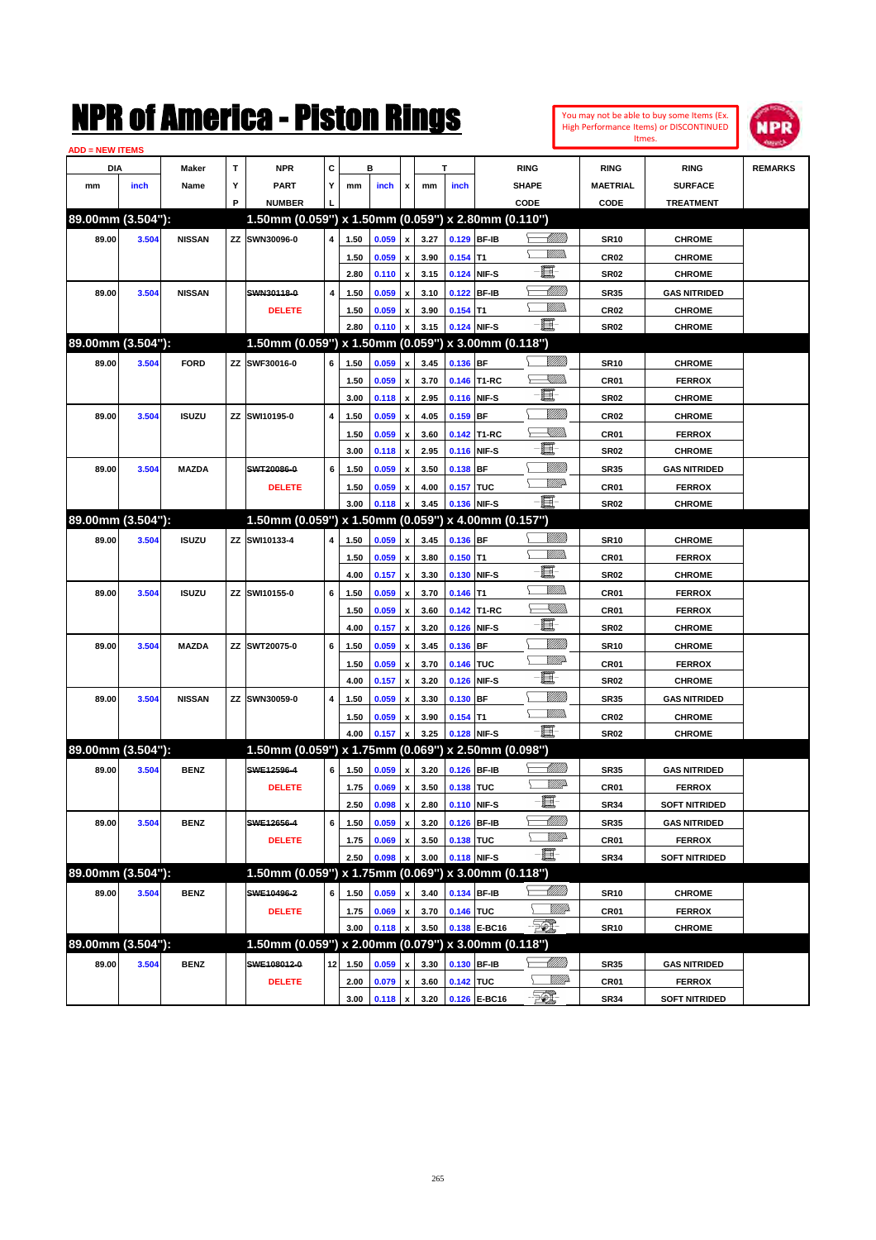| You may not be able to buy some Items (Ex.     |
|------------------------------------------------|
| <b>High Performance Items) or DISCONTINUED</b> |
| Itmes.                                         |



| <b>ADD = NEW ITEMS</b> |       |               |   |                                                     |                   |      |       |                           |      |             |              |                |                  |                      |                |
|------------------------|-------|---------------|---|-----------------------------------------------------|-------------------|------|-------|---------------------------|------|-------------|--------------|----------------|------------------|----------------------|----------------|
| DIA                    |       | Maker         | Т | <b>NPR</b>                                          | С                 |      | в     |                           |      | T           |              | <b>RING</b>    | <b>RING</b>      | <b>RING</b>          | <b>REMARKS</b> |
| mm                     | inch  | Name          | Υ | <b>PART</b>                                         | Y                 | mm   | inch  | x                         | mm   | inch        |              | <b>SHAPE</b>   | <b>MAETRIAL</b>  | <b>SURFACE</b>       |                |
|                        |       |               | P | <b>NUMBER</b>                                       |                   |      |       |                           |      |             |              | CODE           | CODE             | <b>TREATMENT</b>     |                |
| 89.00mm (3.504"):      |       |               |   | 1.50mm (0.059") x 1.50mm (0.059") x 2.80mm (0.110") |                   |      |       |                           |      |             |              |                |                  |                      |                |
| 89.00                  | 3.504 | <b>NISSAN</b> |   | ZZ SWN30096-0                                       | 4                 | 1.50 | 0.059 | x                         | 3.27 | 0.129 BF-IB |              | <u> UMB</u>    | <b>SR10</b>      | <b>CHROME</b>        |                |
|                        |       |               |   |                                                     |                   | 1.50 | 0.059 | $\boldsymbol{\mathsf{x}}$ | 3.90 | $0.154$ T1  |              | <br>Mad        | <b>CR02</b>      | <b>CHROME</b>        |                |
|                        |       |               |   |                                                     |                   | 2.80 | 0.110 | x                         | 3.15 | 0.124 NIF-S |              | E.             | <b>SR02</b>      | <b>CHROME</b>        |                |
| 89.00                  | 3.504 | <b>NISSAN</b> |   | SWN30118-0                                          | 4                 | 1.50 | 0.059 | x                         | 3.10 |             | 0.122 BF-IB  | <u>UMB</u>     | <b>SR35</b>      | <b>GAS NITRIDED</b>  |                |
|                        |       |               |   | <b>DELETE</b>                                       |                   | 1.50 | 0.059 | x                         | 3.90 | $0.154$ T1  |              | .<br>WWW       | <b>CR02</b>      | <b>CHROME</b>        |                |
|                        |       |               |   |                                                     |                   | 2.80 | 0.110 | x                         | 3.15 | 0.124 NIF-S |              | -8             | SR <sub>02</sub> | <b>CHROME</b>        |                |
| 89.00mm (3.504"):      |       |               |   | 1.50mm (0.059") x 1.50mm (0.059") x 3.00mm (0.118") |                   |      |       |                           |      |             |              |                |                  |                      |                |
| 89.00                  | 3.504 | <b>FORD</b>   |   | ZZ SWF30016-0                                       | 6                 | 1.50 | 0.059 | x                         | 3.45 | 0.136 BF    |              | WMM)           | <b>SR10</b>      | <b>CHROME</b>        |                |
|                        |       |               |   |                                                     |                   | 1.50 | 0.059 | x                         | 3.70 |             | 0.146 T1-RC  | <u>Sillin</u>  | CR01             | <b>FERROX</b>        |                |
|                        |       |               |   |                                                     |                   | 3.00 | 0.118 | $\pmb{\mathsf{x}}$        | 2.95 |             | 0.116 NIF-S  | E              | <b>SR02</b>      | <b>CHROME</b>        |                |
| 89.00                  | 3.504 | <b>ISUZU</b>  |   | ZZ SWI10195-0                                       | 4                 | 1.50 | 0.059 | x                         | 4.05 | $0.159$ BF  |              | <u>Milli</u> k | <b>CR02</b>      | <b>CHROME</b>        |                |
|                        |       |               |   |                                                     |                   | 1.50 | 0.059 | x                         | 3.60 |             | 0.142 T1-RC  | <u>Sillin</u>  | CR01             | <b>FERROX</b>        |                |
|                        |       |               |   |                                                     |                   | 3.00 | 0.118 | x                         | 2.95 |             | 0.116 NIF-S  | 匱              | SR <sub>02</sub> | <b>CHROME</b>        |                |
| 89.00                  | 3.504 | <b>MAZDA</b>  |   | SWT20086-0                                          | 6                 | 1.50 | 0.059 | x                         | 3.50 | $0.138$ BF  |              | <u>Milli</u> k | <b>SR35</b>      | <b>GAS NITRIDED</b>  |                |
|                        |       |               |   | <b>DELETE</b>                                       |                   | 1.50 | 0.059 | x                         | 4.00 | 0.157 TUC   |              | <u>VM</u> D    | CR01             | <b>FERROX</b>        |                |
|                        |       |               |   |                                                     |                   | 3.00 | 0.118 |                           | 3.45 | 0.136 NIF-S |              | - 8            | SR <sub>02</sub> | <b>CHROME</b>        |                |
| 89.00mm (3.504"):      |       |               |   | 1.50mm (0.059") x 1.50mm (0.059") x 4.00mm (0.157") |                   |      |       |                           |      |             |              |                |                  |                      |                |
| 89.00                  | 3.504 | <b>ISUZU</b>  |   | ZZ SWI10133-4                                       | 4                 | 1.50 | 0.059 | x                         | 3.45 | 0.136 BF    |              | <br>Willia     | <b>SR10</b>      | <b>CHROME</b>        |                |
|                        |       |               |   |                                                     |                   | 1.50 | 0.059 | x                         | 3.80 | $0.150$ T1  |              | .<br>WWW       | CR01             | <b>FERROX</b>        |                |
|                        |       |               |   |                                                     |                   | 4.00 | 0.157 | x                         | 3.30 |             | 0.130 NIF-S  | 圓              | SR <sub>02</sub> | <b>CHROME</b>        |                |
| 89.00                  | 3.504 | <b>ISUZU</b>  |   | ZZ SWI10155-0                                       | 6                 | 1.50 | 0.059 | x                         | 3.70 | $0.146$ T1  |              | <br>Mar        | CR01             | <b>FERROX</b>        |                |
|                        |       |               |   |                                                     |                   | 1.50 | 0.059 | x                         | 3.60 |             | 0.142 T1-RC  | <u>sillin</u>  | <b>CR01</b>      | <b>FERROX</b>        |                |
|                        |       |               |   |                                                     |                   | 4.00 | 0.157 | x                         | 3.20 | 0.126       | NIF-S        | E              | <b>SR02</b>      | <b>CHROME</b>        |                |
| 89.00                  | 3.504 | <b>MAZDA</b>  |   | ZZ SWT20075-0                                       | 6                 | 1.50 | 0.059 | x                         | 3.45 | 0.136 BF    |              | <u>MMM</u>     | <b>SR10</b>      | <b>CHROME</b>        |                |
|                        |       |               |   |                                                     |                   | 1.50 | 0.059 | x                         | 3.70 | 0.146 TUC   |              | <u>WWP</u>     | CR01             | <b>FERROX</b>        |                |
|                        |       |               |   |                                                     |                   | 4.00 | 0.157 | x                         | 3.20 | 0.126       | NIF-S        | e              | <b>SR02</b>      | <b>CHROME</b>        |                |
| 89.00                  | 3.504 | <b>NISSAN</b> |   | ZZ SWN30059-0                                       | 4                 | 1.50 | 0.059 |                           | 3.30 | $0.130$ BF  |              | <u>MMW</u>     | <b>SR35</b>      | <b>GAS NITRIDED</b>  |                |
|                        |       |               |   |                                                     |                   | 1.50 | 0.059 | x                         | 3.90 | $0.154$ T1  |              | .<br>WWW       | <b>CR02</b>      | <b>CHROME</b>        |                |
|                        |       |               |   |                                                     |                   | 4.00 | 0.157 | X                         | 3.25 | 0.128 NIF-S |              | -夏-            | SR <sub>02</sub> | <b>CHROME</b>        |                |
| 89.00mm (3.504"):      |       |               |   | 1.50mm (0.059") x 1.75mm (0.069") x 2.50mm (0.098") |                   |      |       |                           |      |             |              |                |                  |                      |                |
| 89.00                  | 3.504 | <b>BENZ</b>   |   | SWE12596-4                                          | 6                 | 1.50 | 0.059 | x                         | 3.20 | 0.126 BF-IB |              | <u> UMB</u>    | <b>SR35</b>      | <b>GAS NITRIDED</b>  |                |
|                        |       |               |   | <b>DELETE</b>                                       |                   | 1.75 | 0.069 | x                         | 3.50 | 0.138 TUC   |              | <u>MM</u>      | CR01             | <b>FERROX</b>        |                |
|                        |       |               |   |                                                     |                   | 2.50 | 0.098 | $\pmb{\mathsf{x}}$        | 2.80 | 0.110 NIF-S |              | e bij          | <b>SR34</b>      | <b>SOFT NITRIDED</b> |                |
| 89.00                  | 3.504 | <b>BENZ</b>   |   | SWE12656-4                                          | 6                 | 1.50 | 0.059 | $\pmb{\mathsf{x}}$        | 3.20 |             | 0.126 BF-IB  | <u> MMM</u>    | <b>SR35</b>      | <b>GAS NITRIDED</b>  |                |
|                        |       |               |   | <b>DELETE</b>                                       |                   | 1.75 | 0.069 | x                         | 3.50 | 0.138 TUC   |              | <u>Willia</u>  | CR01             | <b>FERROX</b>        |                |
|                        |       |               |   |                                                     |                   | 2.50 | 0.098 | x                         | 3.00 |             | 0.118 NIF-S  | -80            | <b>SR34</b>      | <b>SOFT NITRIDED</b> |                |
| 89.00mm (3.504"):      |       |               |   | 1.50mm (0.059") x 1.75mm (0.069") x 3.00mm (0.118") |                   |      |       |                           |      |             |              |                |                  |                      |                |
| 89.00                  | 3.504 | <b>BENZ</b>   |   | SWE10496-2                                          | 6                 | 1.50 | 0.059 | x                         | 3.40 | 0.134 BF-IB |              | <u> MM/h</u>   | <b>SR10</b>      | <b>CHROME</b>        |                |
|                        |       |               |   | <b>DELETE</b>                                       |                   | 1.75 | 0.069 | $\pmb{\mathsf{x}}$        | 3.70 | 0.146 TUC   |              | <u>WW</u> D    | CR01             | <b>FERROX</b>        |                |
|                        |       |               |   |                                                     |                   | 3.00 | 0.118 | x                         | 3.50 |             | 0.138 E-BC16 | EQT.           | <b>SR10</b>      | <b>CHROME</b>        |                |
| 89.00mm (3.504"):      |       |               |   | 1.50mm (0.059") x 2.00mm (0.079") x 3.00mm (0.118") |                   |      |       |                           |      |             |              |                |                  |                      |                |
| 89.00                  | 3.504 | <b>BENZ</b>   |   | SWE108012-0                                         | $12 \overline{ }$ | 1.50 | 0.059 | x                         | 3.30 |             | 0.130 BF-IB  | <u> MMM</u>    | <b>SR35</b>      | <b>GAS NITRIDED</b>  |                |
|                        |       |               |   | <b>DELETE</b>                                       |                   | 2.00 | 0.079 | x                         | 3.60 | 0.142 TUC   |              | <u>WW</u> D    | CR01             | <b>FERROX</b>        |                |
|                        |       |               |   |                                                     |                   | 3.00 | 0.118 | $\pmb{\mathsf{x}}$        | 3.20 |             | 0.126 E-BC16 | $\mathbb{Z}$   | <b>SR34</b>      | <b>SOFT NITRIDED</b> |                |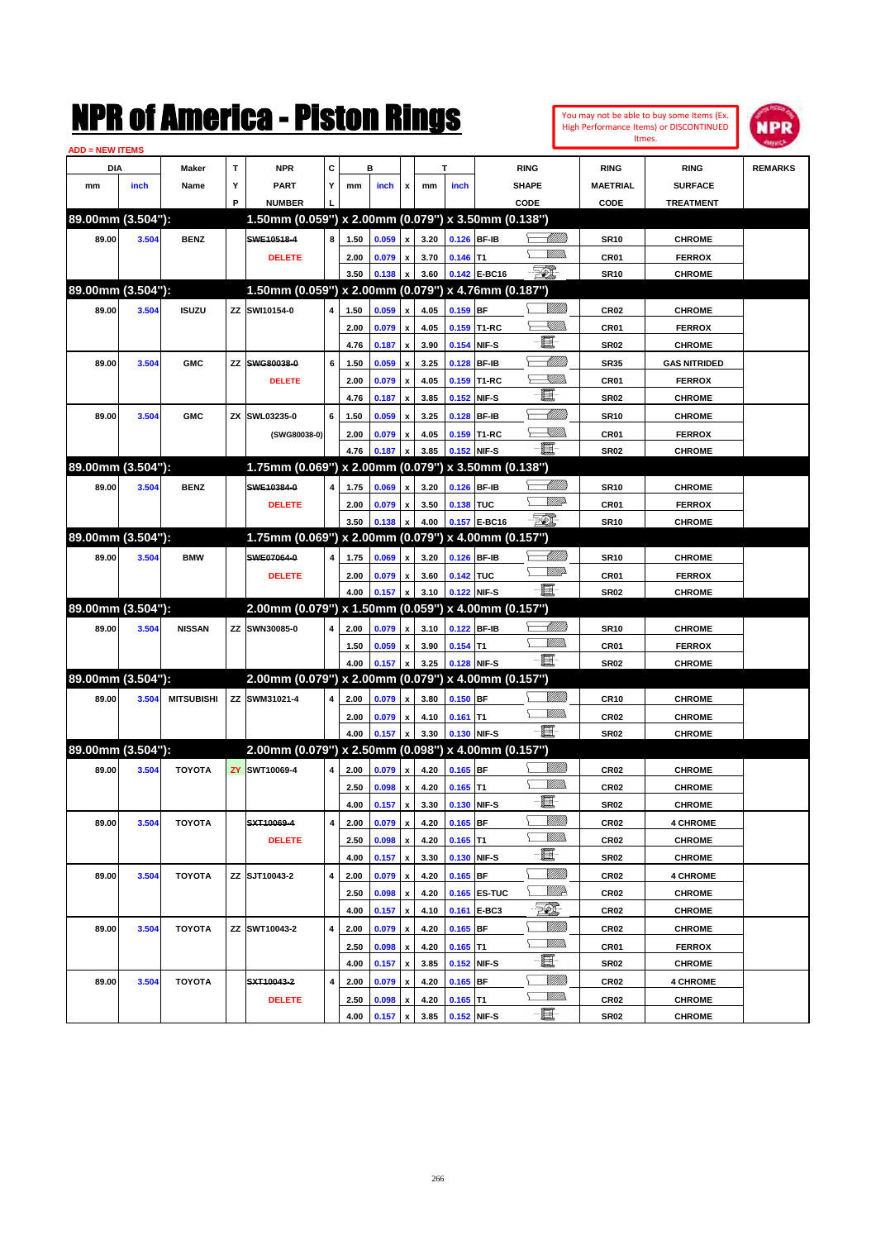| <b>ADD = NEW ITEMS</b> |       |                   |   | NMK OI AINCrica - Miston Kings                      |                |      |                 |                           |      |               |                                 |                |                  | You may not be able to buy some Items (Ex.<br><b>High Performance Items) or DISCONTINUED</b><br>Itmes. | <b>MPR</b>     |
|------------------------|-------|-------------------|---|-----------------------------------------------------|----------------|------|-----------------|---------------------------|------|---------------|---------------------------------|----------------|------------------|--------------------------------------------------------------------------------------------------------|----------------|
| DIA                    |       | Maker             | T | <b>NPR</b>                                          | C              |      | в               |                           |      | T             | <b>RING</b>                     |                | <b>RING</b>      | <b>RING</b>                                                                                            | <b>REMARKS</b> |
| mm                     | inch  | Name              | Υ | <b>PART</b>                                         | Y              | mm   | inch            | x                         | mm   | inch          | <b>SHAPE</b>                    |                | <b>MAETRIAL</b>  | <b>SURFACE</b>                                                                                         |                |
|                        |       |                   | P | <b>NUMBER</b>                                       |                |      |                 |                           |      |               | CODE                            |                | CODE             | <b>TREATMENT</b>                                                                                       |                |
| 89.00mm (3.504"):      |       |                   |   | 1.50mm (0.059") x 2.00mm (0.079") x 3.50mm (0.138") |                |      |                 |                           |      |               |                                 |                |                  |                                                                                                        |                |
| 89.00                  | 3.504 | <b>BENZ</b>       |   | SWE10518-4                                          | 8              | 1.50 | 0.059           | x                         | 3.20 | 0.126 BF-IB   |                                 | <u> UMB</u>    | <b>SR10</b>      | <b>CHROME</b>                                                                                          |                |
|                        |       |                   |   | <b>DELETE</b>                                       |                | 2.00 | 0.079           | $\pmb{\mathsf{x}}$        | 3.70 | $0.146$ T1    |                                 | .<br>MM        | CR01             | <b>FERROX</b>                                                                                          |                |
|                        |       |                   |   |                                                     |                | 3.50 | 0.138           | x                         | 3.60 |               | <b>FOX</b><br>0.142 E-BC16      |                | <b>SR10</b>      | <b>CHROME</b>                                                                                          |                |
| 89.00mm (3.504"):      |       |                   |   | 1.50mm (0.059") x 2.00mm (0.079") x 4.76mm (0.187") |                |      |                 |                           |      |               |                                 |                |                  |                                                                                                        |                |
| 89.00                  | 3.504 | <b>ISUZU</b>      |   | ZZ SWI10154-0                                       | 4              | 1.50 | 0.059           | x                         | 4.05 | 0.159 BF      |                                 | <u>Milli</u> k | CR <sub>02</sub> | <b>CHROME</b>                                                                                          |                |
|                        |       |                   |   |                                                     |                | 2.00 | 0.079           | $\pmb{\mathsf{x}}$        | 4.05 | 0.159         | T1-RC                           | <u>simm</u>    | CR01             | <b>FERROX</b>                                                                                          |                |
|                        |       |                   |   |                                                     |                | 4.76 | 0.187           | $\boldsymbol{\mathsf{x}}$ | 3.90 | 0.154         | NIF-S                           | E              | <b>SR02</b>      | <b>CHROME</b>                                                                                          |                |
| 89.00                  | 3.504 | <b>GMC</b>        |   | ZZ SWG80038-0                                       | 6              | 1.50 | 0.059           | x                         | 3.25 | 0.128         | <b>BF-IB</b>                    | <u> UMM</u>    | <b>SR35</b>      | <b>GAS NITRIDED</b>                                                                                    |                |
|                        |       |                   |   | <b>DELETE</b>                                       |                | 2.00 | 0.079           | $\pmb{\mathsf{x}}$        | 4.05 | 0.159         | T1-RC                           | <u> Millib</u> | CR01             | <b>FERROX</b>                                                                                          |                |
|                        |       |                   |   |                                                     |                | 4.76 | 0.187           | x                         | 3.85 | 0.152         | NIF-S                           | E              | <b>SR02</b>      | <b>CHROME</b>                                                                                          |                |
| 89.00                  | 3.504 | <b>GMC</b>        |   | ZX SWL03235-0                                       | 6              | 1.50 | 0.059           | $\boldsymbol{\mathsf{x}}$ | 3.25 | 0.128         | <b>BF-IB</b>                    | <u> UMM</u>    | <b>SR10</b>      | <b>CHROME</b>                                                                                          |                |
|                        |       |                   |   | (SWG80038-0)                                        |                | 2.00 | 0.079           | $\pmb{\mathsf{x}}$        | 4.05 | 0.159         | T1-RC                           | <u>Sillin</u>  | CR01             | <b>FERROX</b>                                                                                          |                |
|                        |       |                   |   |                                                     |                | 4.76 | 0.187           | X                         | 3.85 | 0.152         | NIF-S                           | E.             | <b>SR02</b>      | <b>CHROME</b>                                                                                          |                |
| 89.00mm (3.504"):      |       |                   |   | 1.75mm (0.069") x 2.00mm (0.079") x 3.50mm (0.138") |                |      |                 |                           |      |               |                                 |                |                  |                                                                                                        |                |
| 89.00                  | 3.504 | <b>BENZ</b>       |   | SWE10384-0                                          | 4              | 1.75 | 0.069           | x                         | 3.20 | 0.126         | <b>BF-IB</b>                    | <u> UMM</u>    | <b>SR10</b>      | <b>CHROME</b>                                                                                          |                |
|                        |       |                   |   | <b>DELETE</b>                                       |                | 2.00 | 0.079           | $\pmb{\mathsf{x}}$        | 3.50 | 0.138         | <b>TUC</b>                      | <u>WW</u>      | CR01             | <b>FERROX</b>                                                                                          |                |
|                        |       |                   |   |                                                     |                | 3.50 | 0.138           | x                         | 4.00 |               | 50 <sup>o</sup><br>0.157 E-BC16 |                | <b>SR10</b>      | <b>CHROME</b>                                                                                          |                |
| 89.00mm (3.504"):      |       |                   |   | 1.75mm (0.069") x 2.00mm (0.079") x 4.00mm (0.157") |                |      |                 |                           |      |               |                                 |                |                  |                                                                                                        |                |
| 89.00                  | 3.504 | <b>BMW</b>        |   | SWE07064-0                                          | 4              | 1.75 | 0.069           | x                         | 3.20 | 0.126         | <b>BF-IB</b>                    | <u> UMM</u>    | <b>SR10</b>      | <b>CHROME</b>                                                                                          |                |
|                        |       |                   |   | <b>DELETE</b>                                       |                | 2.00 | 0.079           | $\pmb{\mathsf{x}}$        | 3.60 | 0.142 TUC     |                                 | <u>VMD</u>     | CR01             | <b>FERROX</b>                                                                                          |                |
|                        |       |                   |   |                                                     |                | 4.00 | 0.157           | x                         | 3.10 | 0.122         | E<br>NIF-S                      |                | <b>SR02</b>      | <b>CHROME</b>                                                                                          |                |
| 89.00mm (3.504"):      |       |                   |   | 2.00mm (0.079") x 1.50mm (0.059") x 4.00mm (0.157") |                |      |                 |                           |      |               |                                 |                |                  |                                                                                                        |                |
| 89.00                  | 3.504 | <b>NISSAN</b>     |   | ZZ SWN30085-0                                       | 4              | 2.00 | 0.079           | x                         | 3.10 | 0.122 BF-IB   |                                 | <u> UMM</u>    | <b>SR10</b>      | <b>CHROME</b>                                                                                          |                |
|                        |       |                   |   |                                                     |                | 1.50 | 0.059           | $\pmb{\mathsf{x}}$        | 3.90 | 0.154         | lT1                             | .<br>MM        | CR01             | <b>FERROX</b>                                                                                          |                |
|                        |       |                   |   |                                                     |                | 4.00 | 0.157           | $\boldsymbol{x}$          | 3.25 | 0.128 NIF-S   |                                 | E.             | <b>SR02</b>      | <b>CHROME</b>                                                                                          |                |
| 89.00mm (3.504"):      |       |                   |   | 2.00mm (0.079") x 2.00mm (0.079") x 4.00mm (0.157") |                |      |                 |                           |      |               |                                 |                |                  |                                                                                                        |                |
| 89.00                  | 3.504 | <b>MITSUBISHI</b> |   | ZZ SWM31021-4                                       | 4              | 2.00 | 0.079           | x                         | 3.80 | $0.150$ BF    |                                 | <u>Milli</u> k | CR10             | <b>CHROME</b>                                                                                          |                |
|                        |       |                   |   |                                                     |                | 2.00 | 0.079           | x                         | 4.10 | $0.161$ T1    |                                 | .<br>WWW       | CR <sub>02</sub> | <b>CHROME</b>                                                                                          |                |
|                        |       |                   |   |                                                     |                | 4.00 | 0.157           | x                         | 3.30 | 0.130 NIF-S   |                                 | e.             | <b>SR02</b>      | <b>CHROME</b>                                                                                          |                |
| 89.00mm (3.504"):      |       |                   |   | 2.00mm (0.079") x 2.50mm (0.098") x 4.00mm (0.157") |                |      |                 |                           |      |               |                                 |                |                  |                                                                                                        |                |
| 89.00                  | 3.504 | <b>TOYOTA</b>     |   | <b>ZY SWT10069-4</b>                                | 4 <sup>1</sup> |      | $2.00 \t 0.079$ | $\boldsymbol{\mathsf{x}}$ |      | 4.20 0.165 BF |                                 | <u>Milli</u> k | CR02             | <b>CHROME</b>                                                                                          |                |
|                        |       |                   |   |                                                     |                | 2.50 | 0.098           | $\pmb{\mathsf{x}}$        | 4.20 | $0.165$ T1    | Υ                               | <u>MMs</u>     | CR02             | <b>CHROME</b>                                                                                          |                |
|                        |       |                   |   |                                                     |                | 4.00 | 0.157           | $\pmb{\mathsf{x}}$        | 3.30 |               | 0.130 NIF-S                     | Œ              | SR02             | <b>CHROME</b>                                                                                          |                |
| 89.00                  | 3.504 | <b>TOYOTA</b>     |   | SXT10069-4                                          | 4              | 2.00 | 0.079           | $\pmb{\mathsf{x}}$        | 4.20 | $0.165$ BF    |                                 | <u>Milli</u> h | CR <sub>02</sub> | <b>4 CHROME</b>                                                                                        |                |
|                        |       |                   |   | <b>DELETE</b>                                       |                | 2.50 | 0.098           | $\pmb{\mathsf{x}}$        | 4.20 | $0.165$ T1    |                                 | <u>MMs</u>     | CR <sub>02</sub> | <b>CHROME</b>                                                                                          |                |
|                        |       |                   |   |                                                     |                | 4.00 | 0.157           | $\pmb{\mathsf{x}}$        | 3.30 |               | 0.130 NIF-S                     | E.             | SR02             | <b>CHROME</b>                                                                                          |                |
| 89.00                  | 3.504 | <b>TOYOTA</b>     |   | ZZ SJT10043-2                                       | 4              | 2.00 | 0.079           | $\pmb{\mathsf{x}}$        | 4.20 | $0.165$ BF    |                                 | <u>VIIII)</u>  | CR02             | <b>4 CHROME</b>                                                                                        |                |
|                        |       |                   |   |                                                     |                | 2.50 | 0.098           | $\pmb{\mathsf{x}}$        | 4.20 |               | 0.165 ES-TUC                    | ₩₩             | CR <sub>02</sub> | <b>CHROME</b>                                                                                          |                |
|                        |       |                   |   |                                                     |                | 4.00 | 0.157           | $\pmb{\mathsf{x}}$        | 4.10 |               | 0.161 E-BC3                     | FQ.            | CR02             | <b>CHROME</b>                                                                                          |                |
| 89.00                  | 3.504 | <b>TOYOTA</b>     |   | ZZ SWT10043-2                                       | 4              | 2.00 | 0.079           | $\pmb{\mathsf{x}}$        | 4.20 | 0.165 BF      |                                 | <u>Milli</u> h | CR <sub>02</sub> | <b>CHROME</b>                                                                                          |                |
|                        |       |                   |   |                                                     |                | 2.50 | 0.098           | $\pmb{\mathsf{x}}$        | 4.20 | $0.165$ T1    |                                 | <u>Willib</u>  | CR01             | <b>FERROX</b>                                                                                          |                |
|                        |       |                   |   |                                                     |                | 4.00 | 0.157           | $\pmb{\mathsf{x}}$        | 3.85 |               | 0.152 NIF-S                     | E.             | SR02             | <b>CHROME</b>                                                                                          |                |
| 89.00                  | 3.504 | <b>TOYOTA</b>     |   | SXT10043-2                                          | 4              | 2.00 | 0.079           | $\pmb{\mathsf{x}}$        | 4.20 | $0.165$ BF    |                                 | <u>Milli</u> h | CR <sub>02</sub> | <b>4 CHROME</b>                                                                                        |                |
|                        |       |                   |   | <b>DELETE</b>                                       |                | 2.50 | 0.098           | x                         | 4.20 | $0.165$ T1    |                                 | <u>Willib</u>  | CR <sub>02</sub> | <b>CHROME</b>                                                                                          |                |
|                        |       |                   |   |                                                     |                | 4.00 | 0.157           | $\mathbf{x}$              | 3.85 | 0.152 NIF-S   |                                 | E-             | <b>SR02</b>      | <b>CHROME</b>                                                                                          |                |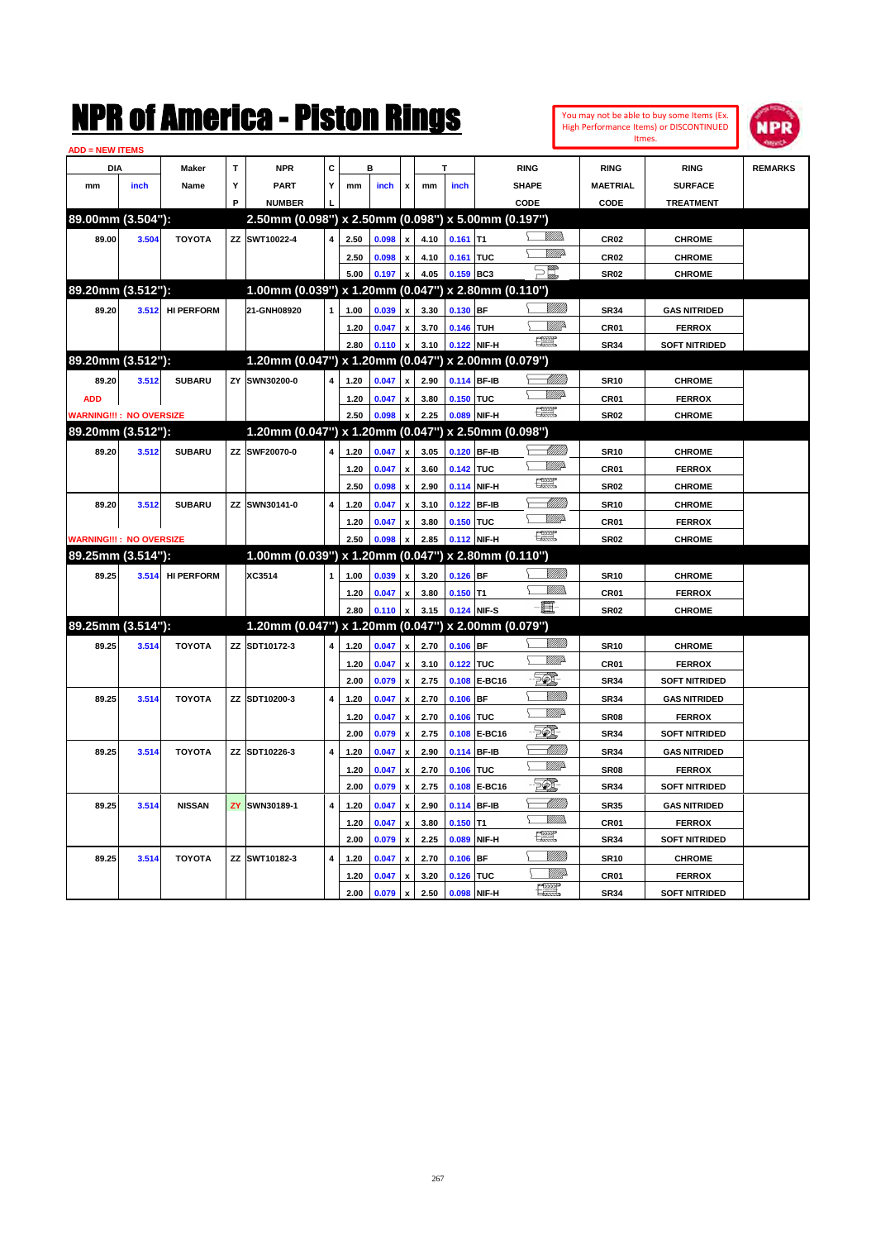|                                |       |                   |     | NMK OI AMCMICA - MISTON KINGS                       |              |      |       |                           |      |             |              |                      |                           |                  | You may not be able to buy some Items (Ex.<br>High Performance Items) or DISCONTINUED<br>Itmes. | IPR            |
|--------------------------------|-------|-------------------|-----|-----------------------------------------------------|--------------|------|-------|---------------------------|------|-------------|--------------|----------------------|---------------------------|------------------|-------------------------------------------------------------------------------------------------|----------------|
| <b>ADD = NEW ITEMS</b>         |       |                   |     |                                                     |              |      |       |                           |      |             |              |                      |                           |                  |                                                                                                 |                |
| DIA                            |       | Maker             | T   | <b>NPR</b>                                          | C            |      | в     |                           |      | т           |              | <b>RING</b>          |                           | <b>RING</b>      | <b>RING</b>                                                                                     | <b>REMARKS</b> |
| mm                             | inch  | Name              | Υ   | PART                                                | Y            | mm   | inch  | x                         | mm   | inch        |              | <b>SHAPE</b>         |                           | <b>MAETRIAL</b>  | <b>SURFACE</b>                                                                                  |                |
|                                |       |                   | P   | <b>NUMBER</b>                                       |              |      |       |                           |      |             |              | CODE                 |                           | CODE             | <b>TREATMENT</b>                                                                                |                |
| 89.00mm (3.504"):              |       |                   |     | 2.50mm (0.098") x 2.50mm (0.098") x 5.00mm (0.197") |              |      |       |                           |      |             |              |                      |                           |                  |                                                                                                 |                |
| 89.00                          | 3.504 | <b>TOYOTA</b>     |     | ZZ SWT10022-4                                       | 4            | 2.50 | 0.098 | x                         | 4.10 | $0.161$ T1  |              | <br>Matu             |                           | <b>CR02</b>      | <b>CHROME</b>                                                                                   |                |
|                                |       |                   |     |                                                     |              | 2.50 | 0.098 | x                         | 4.10 | 0.161 TUC   |              |                      | <u>MM</u>                 | CR <sub>02</sub> | <b>CHROME</b>                                                                                   |                |
|                                |       |                   |     |                                                     |              | 5.00 | 0.197 | $\boldsymbol{\mathsf{x}}$ | 4.05 | 0.159 BC3   |              |                      |                           | <b>SR02</b>      | <b>CHROME</b>                                                                                   |                |
| 89.20mm (3.512"):              |       |                   |     | 1.00mm (0.039") x 1.20mm (0.047") x 2.80mm (0.110") |              |      |       |                           |      |             |              |                      |                           |                  |                                                                                                 |                |
| 89.20                          | 3.512 | <b>HI PERFORM</b> |     | 21-GNH08920                                         | $\mathbf{1}$ | 1.00 | 0.039 | x                         | 3.30 | 0.130 BF    |              |                      | <u>Millill</u>            | <b>SR34</b>      | <b>GAS NITRIDED</b>                                                                             |                |
|                                |       |                   |     |                                                     |              | 1.20 | 0.047 | X                         | 3.70 | 0.146 TUH   |              |                      | <u>Mille</u>              | CR <sub>01</sub> | <b>FERROX</b>                                                                                   |                |
|                                |       |                   |     |                                                     |              | 2.80 | 0.110 | X                         | 3.10 |             | 0.122 NIF-H  | $\frac{1}{2}$        |                           | <b>SR34</b>      | <b>SOFT NITRIDED</b>                                                                            |                |
| 89.20mm (3.512"):              |       |                   |     | 1.20mm (0.047") x 1.20mm (0.047") x 2.00mm (0.079") |              |      |       |                           |      |             |              |                      |                           |                  |                                                                                                 |                |
| 89.20                          | 3.512 | <b>SUBARU</b>     | ZY  | SWN30200-0                                          | 4            | 1.20 | 0.047 | x                         | 2.90 |             | 0.114 BF-IB  |                      | <u> MMW</u>               | <b>SR10</b>      | <b>CHROME</b>                                                                                   |                |
| <b>ADD</b>                     |       |                   |     |                                                     |              | 1.20 | 0.047 | X                         | 3.80 | 0.150 TUC   |              |                      | <u>MM</u>                 | CR01             | <b>FERROX</b>                                                                                   |                |
| <b>WARNING!!!: NO OVERSIZE</b> |       |                   |     |                                                     |              | 2.50 | 0.098 | X                         | 2.25 | 0.089       | NIF-H        | $\frac{1}{2}$        |                           | <b>SR02</b>      | <b>CHROME</b>                                                                                   |                |
| 89.20mm (3.512"):              |       |                   |     | 1.20mm (0.047") x 1.20mm (0.047") x 2.50mm (0.098") |              |      |       |                           |      |             |              |                      |                           |                  |                                                                                                 |                |
| 89.20                          | 3.512 | <b>SUBARU</b>     | ZZ  | SWF20070-0                                          | 4            | 1.20 | 0.047 | X                         | 3.05 |             | 0.120 BF-IB  |                      | <u> MMW</u>               | <b>SR10</b>      | <b>CHROME</b>                                                                                   |                |
|                                |       |                   |     |                                                     |              | 1.20 | 0.047 | x                         | 3.60 | 0.142 TUC   |              |                      | <u>MM</u>                 | CR <sub>01</sub> | <b>FERROX</b>                                                                                   |                |
|                                |       |                   |     |                                                     |              | 2.50 | 0.098 | x                         | 2.90 |             | 0.114 NIF-H  | æ                    |                           | <b>SR02</b>      | <b>CHROME</b>                                                                                   |                |
| 89.20                          | 3.512 | <b>SUBARU</b>     | ΖZ  | SWN30141-0                                          | 4            | 1.20 | 0.047 | x                         | 3.10 |             | 0.122 BF-IB  |                      | <u> UMM</u>               | <b>SR10</b>      | <b>CHROME</b>                                                                                   |                |
|                                |       |                   |     |                                                     |              | 1.20 | 0.047 | X                         | 3.80 | 0.150 TUC   |              |                      | <u>MM</u>                 | CR <sub>01</sub> | <b>FERROX</b>                                                                                   |                |
| <b>WARNING!!!: NO OVERSIZE</b> |       |                   |     |                                                     |              | 2.50 | 0.098 | X                         | 2.85 |             | 0.112 NIF-H  | 漂                    |                           | <b>SR02</b>      | <b>CHROME</b>                                                                                   |                |
| 89.25mm (3.514"):              |       |                   |     | 1.00mm (0.039") x 1.20mm (0.047") x 2.80mm (0.110") |              |      |       |                           |      |             |              |                      |                           |                  |                                                                                                 |                |
| 89.25                          | 3.514 | <b>HI PERFORM</b> |     | XC3514                                              | 1            | 1.00 | 0.039 | X                         | 3.20 | $0.126$ BF  |              |                      | <u>Sillilli</u>           | <b>SR10</b>      | <b>CHROME</b>                                                                                   |                |
|                                |       |                   |     |                                                     |              | 1.20 | 0.047 | X                         | 3.80 | $0.150$ T1  |              |                      | .<br>WWW                  | CR <sub>01</sub> | <b>FERROX</b>                                                                                   |                |
|                                |       |                   |     |                                                     |              | 2.80 | 0.110 | X                         | 3.15 | 0.124 NIF-S |              | E.                   |                           | <b>SR02</b>      | <b>CHROME</b>                                                                                   |                |
| 89.25mm (3.514"):              |       |                   |     | 1.20mm (0.047") x 1.20mm (0.047") x 2.00mm (0.079") |              |      |       |                           |      |             |              |                      |                           |                  |                                                                                                 |                |
|                                |       |                   |     |                                                     |              |      |       |                           |      |             |              |                      |                           |                  |                                                                                                 |                |
| 89.25                          | 3.514 | <b>TOYOTA</b>     | ZZ  | SDT10172-3                                          | 4            | 1.20 | 0.047 | X                         | 2.70 | $0.106$ BF  |              |                      |                           | <b>SR10</b>      | <b>CHROME</b>                                                                                   |                |
|                                |       |                   |     |                                                     |              | 1.20 | 0.047 | x                         | 3.10 | 0.122 TUC   |              | 70),                 |                           | CR <sub>01</sub> | <b>FERROX</b>                                                                                   |                |
|                                |       |                   |     |                                                     |              | 2.00 | 0.079 | $\boldsymbol{\mathsf{x}}$ | 2.75 | 0.108       | E-BC16       |                      | <u>Millil</u>             | <b>SR34</b>      | <b>SOFT NITRIDED</b>                                                                            |                |
| 89.25                          | 3.514 | <b>TOYOTA</b>     |     | ZZ SDT10200-3                                       | 4            | 1.20 | 0.047 | x                         | 2.70 | $0.106$ BF  |              |                      | <u>MMP</u>                | <b>SR34</b>      | <b>GAS NITRIDED</b>                                                                             |                |
|                                |       |                   |     |                                                     |              | 1.20 | 0.047 | x                         | 2.70 | 0.106       | <b>TUC</b>   |                      |                           | SR <sub>08</sub> | <b>FERROX</b>                                                                                   |                |
|                                |       |                   |     |                                                     |              | 2.00 | 0.079 | x                         | 2.75 |             | 0.108 E-BC16 | 70),                 |                           | <b>SR34</b>      | <b>SOFT NITRIDED</b>                                                                            |                |
| 89.25                          | 3.514 | <b>TOYOTA</b>     | ΖZ  | SDT10226-3                                          | 4            | 1.20 | 0.047 | x                         | 2.90 |             | 0.114 BF-IB  |                      | <u> UMM</u><br><u>MMA</u> | <b>SR34</b>      | <b>GAS NITRIDED</b>                                                                             |                |
|                                |       |                   |     |                                                     |              | 1.20 | 0.047 | $\pmb{\mathsf{x}}$        | 2.70 | 0.106 TUC   |              |                      |                           | <b>SR08</b>      | <b>FERROX</b>                                                                                   |                |
|                                |       |                   |     |                                                     |              | 2.00 | 0.079 | $\pmb{\mathsf{x}}$        | 2.75 |             | 0.108 E-BC16 | TI.                  |                           | <b>SR34</b>      | <b>SOFT NITRIDED</b>                                                                            |                |
| 89.25                          | 3.514 | <b>NISSAN</b>     | ZY. | <b>SWN30189-1</b>                                   | 4            | 1.20 | 0.047 | $\pmb{\mathsf{x}}$        | 2.90 |             | 0.114 BF-IB  |                      | <u> UMB</u>               | <b>SR35</b>      | <b>GAS NITRIDED</b>                                                                             |                |
|                                |       |                   |     |                                                     |              | 1.20 | 0.047 | $\pmb{\mathsf{x}}$        | 3.80 | $0.150$ T1  |              |                      | <u>Willida</u>            | CR01             | <b>FERROX</b>                                                                                   |                |
|                                |       |                   |     |                                                     |              | 2.00 | 0.079 | $\pmb{\mathsf{x}}$        | 2.25 |             | 0.089 NIF-H  | æ                    |                           | SR34             | <b>SOFT NITRIDED</b>                                                                            |                |
| 89.25                          | 3.514 | <b>TOYOTA</b>     | ΖZ  | SWT10182-3                                          | 4            | 1.20 | 0.047 | $\pmb{\mathsf{x}}$        | 2.70 | $0.106$ BF  |              |                      | <u>VIIII</u> )            | <b>SR10</b>      | <b>CHROME</b>                                                                                   |                |
|                                |       |                   |     |                                                     |              | 1.20 | 0.047 | $\pmb{\mathsf{x}}$        | 3.20 | 0.126 TUC   |              |                      | <u>Willia</u>             | CR01             | <b>FERROX</b>                                                                                   |                |
|                                |       |                   |     |                                                     |              | 2.00 | 0.079 | $\boldsymbol{\mathsf{x}}$ | 2.50 |             | 0.098 NIF-H  | $\frac{1}{\sqrt{2}}$ |                           | <b>SR34</b>      | <b>SOFT NITRIDED</b>                                                                            |                |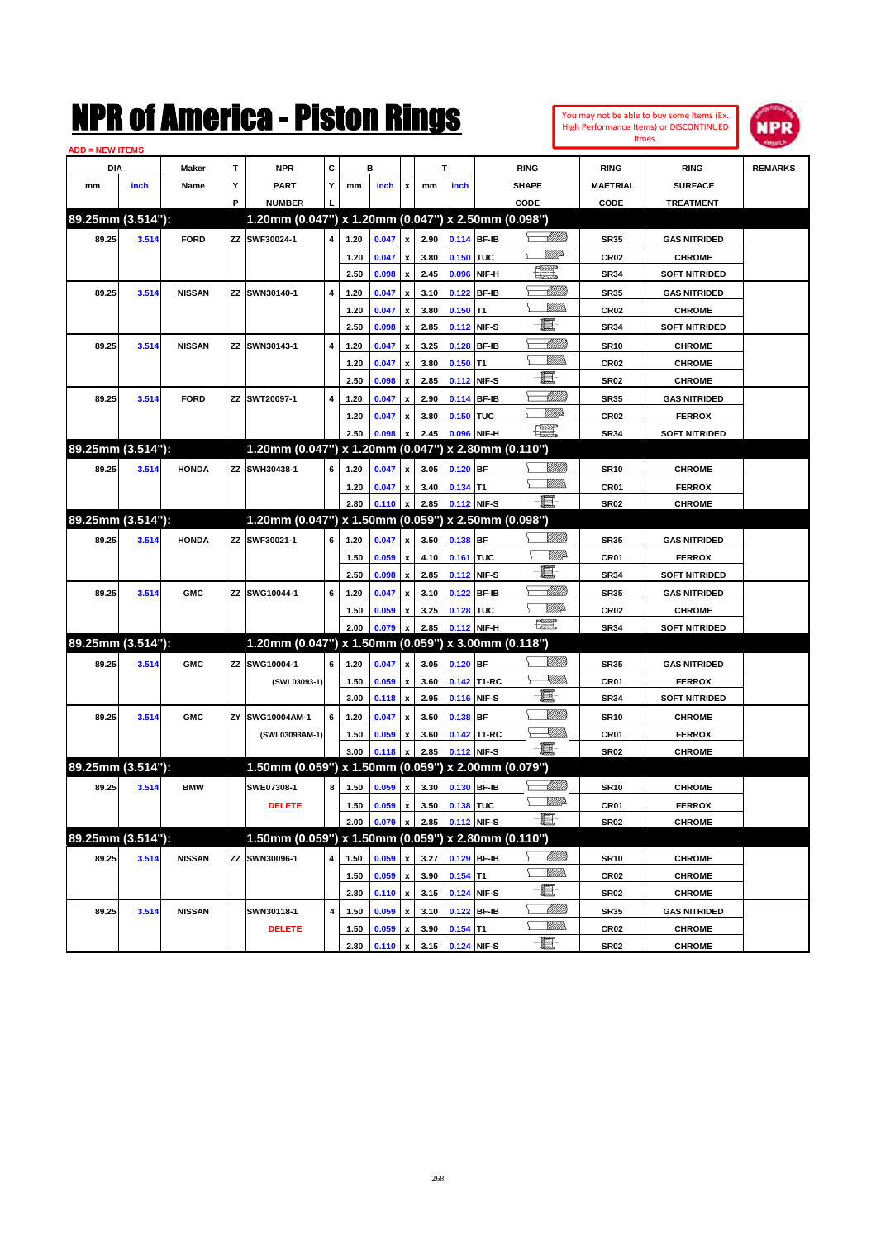| You may not be able to buy some Items (Ex. |
|--------------------------------------------|
| High Performance Items) or DISCONTINUED    |
| Itmes.                                     |



| <b>ADD = NEW ITEMS</b> |       |               |    |                                                     |   |      |       |                    |      |             |             |                                                                                                                          |                  |                      |                |
|------------------------|-------|---------------|----|-----------------------------------------------------|---|------|-------|--------------------|------|-------------|-------------|--------------------------------------------------------------------------------------------------------------------------|------------------|----------------------|----------------|
| DIA                    |       | <b>Maker</b>  | т  | <b>NPR</b>                                          | С |      | в     |                    |      | т           |             | <b>RING</b>                                                                                                              | <b>RING</b>      | <b>RING</b>          | <b>REMARKS</b> |
| mm                     | inch  | Name          | Υ  | <b>PART</b>                                         | Y | mm   | inch  | x                  | mm   | inch        |             | <b>SHAPE</b>                                                                                                             | <b>MAETRIAL</b>  | <b>SURFACE</b>       |                |
|                        |       |               | P  | <b>NUMBER</b>                                       |   |      |       |                    |      |             |             | CODE                                                                                                                     | <b>CODE</b>      | <b>TREATMENT</b>     |                |
| 89.25mm (3.514"):      |       |               |    | 1.20mm (0.047") x 1.20mm (0.047") x 2.50mm (0.098") |   |      |       |                    |      |             |             |                                                                                                                          |                  |                      |                |
| 89.25                  | 3.514 | <b>FORD</b>   |    | ZZ SWF30024-1                                       | 4 | 1.20 | 0.047 | x                  | 2.90 |             | 0.114 BF-IB | <u> MMB</u>                                                                                                              | <b>SR35</b>      | <b>GAS NITRIDED</b>  |                |
|                        |       |               |    |                                                     |   | 1.20 | 0.047 |                    | 3.80 | 0.150 TUC   |             | VM)                                                                                                                      | CR <sub>02</sub> | <b>CHROME</b>        |                |
|                        |       |               |    |                                                     |   | 2.50 | 0.098 | x                  | 2.45 |             | 0.096 NIF-H | <b>The Second</b>                                                                                                        | <b>SR34</b>      | <b>SOFT NITRIDED</b> |                |
| 89.25                  | 3.514 | <b>NISSAN</b> | ΖZ | SWN30140-1                                          | 4 | 1.20 | 0.047 | x                  | 3.10 |             | 0.122 BF-IB | <u>UMB</u>                                                                                                               | <b>SR35</b>      | <b>GAS NITRIDED</b>  |                |
|                        |       |               |    |                                                     |   | 1.20 | 0.047 |                    | 3.80 | $0.150$ T1  |             | <br>Mad                                                                                                                  | CR <sub>02</sub> | <b>CHROME</b>        |                |
|                        |       |               |    |                                                     |   | 2.50 | 0.098 | x                  | 2.85 |             | 0.112 NIF-S | E                                                                                                                        | <b>SR34</b>      | <b>SOFT NITRIDED</b> |                |
| 89.25                  | 3.514 | <b>NISSAN</b> |    | ZZ SWN30143-1                                       | 4 | 1.20 | 0.047 |                    | 3.25 |             | 0.128 BF-IB | MMM                                                                                                                      | <b>SR10</b>      | <b>CHROME</b>        |                |
|                        |       |               |    |                                                     |   | 1.20 | 0.047 |                    | 3.80 | $0.150$ T1  |             | <br>Mad                                                                                                                  | CR <sub>02</sub> | <b>CHROME</b>        |                |
|                        |       |               |    |                                                     |   | 2.50 | 0.098 | x                  | 2.85 |             | 0.112 NIF-S | E                                                                                                                        | <b>SR02</b>      | <b>CHROME</b>        |                |
| 89.25                  | 3.514 | <b>FORD</b>   | ΖZ | SWT20097-1                                          | 4 | 1.20 | 0.047 |                    | 2.90 |             | 0.114 BF-IB | <u> UMM</u>                                                                                                              | <b>SR35</b>      | <b>GAS NITRIDED</b>  |                |
|                        |       |               |    |                                                     |   | 1.20 | 0.047 | x                  | 3.80 | 0.150 TUC   |             | <u>Mille</u>                                                                                                             | CR <sub>02</sub> | <b>FERROX</b>        |                |
|                        |       |               |    |                                                     |   | 2.50 | 0.098 |                    | 2.45 |             | 0.096 NIF-H | $\frac{1}{2}$                                                                                                            | <b>SR34</b>      | <b>SOFT NITRIDED</b> |                |
| 89.25mm (3.514"):      |       |               |    | 1.20mm (0.047") x 1.20mm (0.047")                   |   |      |       |                    |      |             |             | x 2.80mm (0.110")                                                                                                        |                  |                      |                |
| 89.25                  | 3.514 | <b>HONDA</b>  |    | ZZ SWH30438-1                                       | 6 | 1.20 | 0.047 | x                  | 3.05 | 0.120 BF    |             |                                                                                                                          | <b>SR10</b>      | <b>CHROME</b>        |                |
|                        |       |               |    |                                                     |   | 1.20 | 0.047 | x                  | 3.40 | $0.134$ T1  |             | .<br>MM                                                                                                                  | CR <sub>01</sub> | <b>FERROX</b>        |                |
|                        |       |               |    |                                                     |   | 2.80 | 0.110 | x                  | 2.85 |             | 0.112 NIF-S | -8                                                                                                                       | SR <sub>02</sub> | <b>CHROME</b>        |                |
| 89.25mm (3.514"):      |       |               |    | 1.20mm (0.047") x 1.50mm (0.059") x 2.50mm (0.098") |   |      |       |                    |      |             |             |                                                                                                                          |                  |                      |                |
| 89.25                  | 3.514 | <b>HONDA</b>  |    | ZZ SWF30021-1                                       | 6 | 1.20 | 0.047 | x                  | 3.50 | $0.138$ BF  |             |                                                                                                                          | <b>SR35</b>      | <b>GAS NITRIDED</b>  |                |
|                        |       |               |    |                                                     |   | 1.50 | 0.059 | x                  | 4.10 | 0.161 TUC   |             | <u>MMP</u>                                                                                                               | CR <sub>01</sub> | <b>FERROX</b>        |                |
|                        |       |               |    |                                                     |   | 2.50 | 0.098 | x                  | 2.85 |             | 0.112 NIF-S | E                                                                                                                        | <b>SR34</b>      | <b>SOFT NITRIDED</b> |                |
| 89.25                  | 3.514 | <b>GMC</b>    | ΖZ | SWG10044-1                                          | 6 | 1.20 | 0.047 |                    | 3.10 |             | 0.122 BF-IB | <u> UMM</u>                                                                                                              | <b>SR35</b>      | <b>GAS NITRIDED</b>  |                |
|                        |       |               |    |                                                     |   | 1.50 | 0.059 | x                  | 3.25 | 0.128 TUC   |             | MMD                                                                                                                      | <b>CR02</b>      | <b>CHROME</b>        |                |
|                        |       |               |    |                                                     |   | 2.00 | 0.079 |                    | 2.85 |             | 0.112 NIF-H | 鱱                                                                                                                        | <b>SR34</b>      | <b>SOFT NITRIDED</b> |                |
| 89.25mm (3.514"):      |       |               |    | 1.20mm (0.047") x 1.50mm (0.059") x 3.00mm (0.118") |   |      |       |                    |      |             |             |                                                                                                                          |                  |                      |                |
| 89.25                  | 3.514 | <b>GMC</b>    | ZZ | SWG10004-1                                          | 6 | 1.20 | 0.047 | x                  | 3.05 | 0.120 BF    |             |                                                                                                                          | <b>SR35</b>      | <b>GAS NITRIDED</b>  |                |
|                        |       |               |    | (SWL03093-1)                                        |   | 1.50 | 0.059 | x                  | 3.60 |             | 0.142 T1-RC | <u>SUMB</u>                                                                                                              | CR <sub>01</sub> | <b>FERROX</b>        |                |
|                        |       |               |    |                                                     |   | 3.00 | 0.118 | x                  | 2.95 |             | 0.116 NIF-S | e                                                                                                                        | <b>SR34</b>      | <b>SOFT NITRIDED</b> |                |
| 89.25                  | 3.514 | <b>GMC</b>    | ΖY | SWG10004AM-1                                        | 6 | 1.20 | 0.047 | x                  | 3.50 | $0.138$ BF  |             | VIII))                                                                                                                   | <b>SR10</b>      | <b>CHROME</b>        |                |
|                        |       |               |    | (SWL03093AM-1)                                      |   | 1.50 | 0.059 |                    | 3.60 |             | 0.142 T1-RC | $\begin{matrix} \begin{matrix} \mathbb{R} & \mathbb{R} \ \mathbb{R} & \mathbb{R} \end{matrix} & \mathbb{R} \end{matrix}$ | CR <sub>01</sub> | <b>FERROX</b>        |                |
|                        |       |               |    |                                                     |   | 3.00 | 0.118 |                    | 2.85 |             | 0.112 NIF-S | -日                                                                                                                       | <b>SR02</b>      | <b>CHROME</b>        |                |
| 89.25mm (3.514"):      |       |               |    | 1.50mm (0.059") x 1.50mm (0.059") x 2.00mm (0.079") |   |      |       |                    |      |             |             |                                                                                                                          |                  |                      |                |
| 89.25                  | 3.514 | <b>BMW</b>    |    | SWE07308-1                                          | 8 | 1.50 | 0.059 | x                  | 3.30 |             | 0.130 BF-IB | <u> UMB</u>                                                                                                              | <b>SR10</b>      | <b>CHROME</b>        |                |
|                        |       |               |    | <b>DELETE</b>                                       |   | 1.50 | 0.059 | $\pmb{\mathsf{x}}$ | 3.50 | 0.138 TUC   |             | <u>WW</u>                                                                                                                | CR01             | <b>FERROX</b>        |                |
|                        |       |               |    |                                                     |   | 2.00 | 0.079 | $\pmb{\mathsf{x}}$ | 2.85 |             | 0.112 NIF-S | $-\blacksquare$                                                                                                          | SR02             | <b>CHROME</b>        |                |
| 89.25mm (3.514"):      |       |               |    | 1.50mm (0.059") x 1.50mm (0.059") x 2.80mm (0.110") |   |      |       |                    |      |             |             |                                                                                                                          |                  |                      |                |
| 89.25                  | 3.514 | <b>NISSAN</b> |    | ZZ SWN30096-1                                       | 4 | 1.50 | 0.059 | $\pmb{\mathsf{x}}$ | 3.27 |             | 0.129 BF-IB | <u>-1777)</u>                                                                                                            | <b>SR10</b>      | <b>CHROME</b>        |                |
|                        |       |               |    |                                                     |   | 1.50 | 0.059 | $\pmb{\mathsf{x}}$ | 3.90 | $0.154$ T1  |             | <u>VMWs</u>                                                                                                              | CR02             | <b>CHROME</b>        |                |
|                        |       |               |    |                                                     |   | 2.80 | 0.110 | $\pmb{\mathsf{x}}$ | 3.15 |             | 0.124 NIF-S | E                                                                                                                        | SR02             | <b>CHROME</b>        |                |
| 89.25                  | 3.514 | <b>NISSAN</b> |    | SWN30118-1                                          | 4 | 1.50 | 0.059 | x                  | 3.10 |             | 0.122 BF-IB | <u> MMM)</u>                                                                                                             | SR35             | <b>GAS NITRIDED</b>  |                |
|                        |       |               |    | <b>DELETE</b>                                       |   | 1.50 | 0.059 |                    | 3.90 | $0.154$ T1  |             | <u>WMs</u>                                                                                                               | CR02             | <b>CHROME</b>        |                |
|                        |       |               |    |                                                     |   | 2.80 | 0.110 | $\pmb{\mathsf{x}}$ | 3.15 | 0.124 NIF-S |             | e.                                                                                                                       | <b>SR02</b>      | <b>CHROME</b>        |                |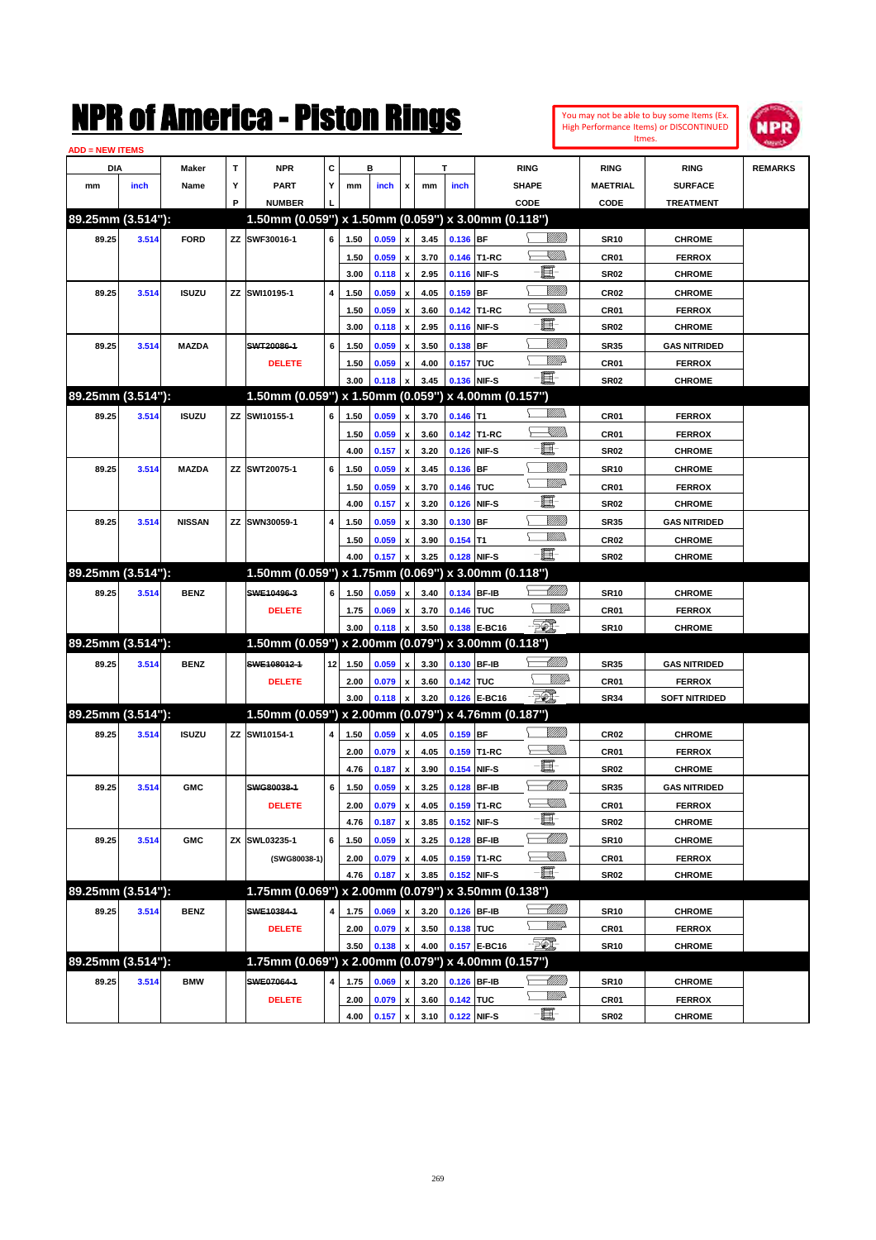| You may not be able to buy some Items (Ex. |
|--------------------------------------------|
| High Performance Items) or DISCONTINUED    |
| Itmes.                                     |



| <b>ADD = NEW ITEMS</b> |       |               |   |                                                     |                 |      |       |                           |      |             |                   |                       |                  |                      |                |
|------------------------|-------|---------------|---|-----------------------------------------------------|-----------------|------|-------|---------------------------|------|-------------|-------------------|-----------------------|------------------|----------------------|----------------|
| DIA                    |       | Maker         | T | <b>NPR</b>                                          | С               |      | в     |                           |      | т           |                   | <b>RING</b>           | <b>RING</b>      | <b>RING</b>          | <b>REMARKS</b> |
| mm                     | inch  | Name          | Υ | <b>PART</b>                                         | Y               | mm   | inch  | x                         | mm   | inch        |                   | <b>SHAPE</b>          | <b>MAETRIAL</b>  | <b>SURFACE</b>       |                |
|                        |       |               | P | <b>NUMBER</b>                                       |                 |      |       |                           |      |             |                   | CODE                  | CODE             | <b>TREATMENT</b>     |                |
| 89.25mm (3.514"):      |       |               |   | 1.50mm (0.059") x 1.50mm (0.059") x 3.00mm (0.118") |                 |      |       |                           |      |             |                   |                       |                  |                      |                |
| 89.25                  | 3.514 | <b>FORD</b>   |   | ZZ SWF30016-1                                       | 6               | 1.50 | 0.059 | $\pmb{\mathsf{x}}$        | 3.45 | 0.136 BF    |                   | <u>UMB</u>            | <b>SR10</b>      | <b>CHROME</b>        |                |
|                        |       |               |   |                                                     |                 | 1.50 | 0.059 | $\pmb{\mathsf{x}}$        | 3.70 |             | 0.146 T1-RC       | <u>Sillin</u>         | CR01             | <b>FERROX</b>        |                |
|                        |       |               |   |                                                     |                 | 3.00 | 0.118 | $\pmb{\mathsf{x}}$        | 2.95 |             | 0.116 NIF-S       | E.                    | <b>SR02</b>      | <b>CHROME</b>        |                |
| 89.25                  | 3.514 | <b>ISUZU</b>  |   | ZZ SWI10195-1                                       | 4               | 1.50 | 0.059 | $\pmb{\mathsf{x}}$        | 4.05 | $0.159$ BF  |                   | <u>Milli</u>          | <b>CR02</b>      | <b>CHROME</b>        |                |
|                        |       |               |   |                                                     |                 | 1.50 | 0.059 | x                         | 3.60 |             | 0.142 T1-RC       | <u>Sillin</u>         | CR01             | <b>FERROX</b>        |                |
|                        |       |               |   |                                                     |                 | 3.00 | 0.118 | $\pmb{\mathsf{x}}$        | 2.95 |             | 0.116 NIF-S       | Œ                     | <b>SR02</b>      | <b>CHROME</b>        |                |
| 89.25                  | 3.514 | <b>MAZDA</b>  |   | SWT20086-1                                          | 6               | 1.50 | 0.059 | x                         | 3.50 | 0.138 BF    |                   | <u>MMM</u>            | <b>SR35</b>      | <b>GAS NITRIDED</b>  |                |
|                        |       |               |   | <b>DELETE</b>                                       |                 | 1.50 | 0.059 | x                         | 4.00 | 0.157 TUC   |                   | <br>Willia            | CR01             | <b>FERROX</b>        |                |
|                        |       |               |   |                                                     |                 | 3.00 | 0.118 | X                         | 3.45 | 0.136 NIF-S |                   | Ð.                    | <b>SR02</b>      | <b>CHROME</b>        |                |
| 89.25mm (3.514"):      |       |               |   | 1.50mm (0.059") x 1.50mm (0.059") x 4.00mm (0.157") |                 |      |       |                           |      |             |                   |                       |                  |                      |                |
| 89.25                  | 3.514 | <b>ISUZU</b>  |   | ZZ SWI10155-1                                       | 6               | 1.50 | 0.059 | x                         | 3.70 | $0.146$ T1  |                   | .<br>WWW              | CR01             | <b>FERROX</b>        |                |
|                        |       |               |   |                                                     |                 | 1.50 | 0.059 | x                         | 3.60 |             | 0.142 T1-RC       | <u>Sillin</u>         | CR01             | <b>FERROX</b>        |                |
|                        |       |               |   |                                                     |                 | 4.00 | 0.157 | $\pmb{\mathsf{x}}$        | 3.20 |             | 0.126 NIF-S       | e.                    | <b>SR02</b>      | <b>CHROME</b>        |                |
| 89.25                  | 3.514 | <b>MAZDA</b>  |   | ZZ SWT20075-1                                       | 6               | 1.50 | 0.059 | x                         | 3.45 | 0.136 BF    |                   | WM)                   | <b>SR10</b>      | <b>CHROME</b>        |                |
|                        |       |               |   |                                                     |                 | 1.50 | 0.059 | x                         | 3.70 | 0.146 TUC   |                   | <u>WW</u>             | CR01             | <b>FERROX</b>        |                |
|                        |       |               |   |                                                     |                 | 4.00 | 0.157 | $\pmb{\mathsf{x}}$        | 3.20 |             | 0.126 NIF-S       | e.                    | <b>SR02</b>      | <b>CHROME</b>        |                |
| 89.25                  | 3.514 | <b>NISSAN</b> |   | ZZ SWN30059-1                                       | 4               | 1.50 | 0.059 | x                         | 3.30 | 0.130 BF    |                   | <u>MMM</u>            | <b>SR35</b>      | <b>GAS NITRIDED</b>  |                |
|                        |       |               |   |                                                     |                 | 1.50 | 0.059 | x                         | 3.90 | $0.154$ T1  |                   | .<br>MM               | <b>CR02</b>      | <b>CHROME</b>        |                |
|                        |       |               |   |                                                     |                 | 4.00 | 0.157 | x                         | 3.25 | 0.128 NIF-S |                   | -80                   | <b>SR02</b>      | <b>CHROME</b>        |                |
| 89.25mm (3.514"):      |       |               |   | 1.50mm (0.059") x 1.75mm (0.069")                   |                 |      |       |                           |      |             | x 3.00mm (0.118") |                       |                  |                      |                |
| 89.25                  | 3.514 | <b>BENZ</b>   |   | SWE10496-3                                          | 6               | 1.50 | 0.059 | x                         | 3.40 | 0.134 BF-IB |                   | <u> MMN</u>           | <b>SR10</b>      | <b>CHROME</b>        |                |
|                        |       |               |   | <b>DELETE</b>                                       |                 | 1.75 | 0.069 | x                         | 3.70 | 0.146 TUC   |                   | <i><u>Villid</u></i>  | CR01             | <b>FERROX</b>        |                |
|                        |       |               |   |                                                     |                 | 3.00 | 0.118 | x                         | 3.50 |             | 0.138 E-BC16      | <u> 500 </u>          | <b>SR10</b>      | <b>CHROME</b>        |                |
| 89.25mm (3.514"):      |       |               |   | 1.50mm (0.059") x 2.00mm (0.079") x 3.00mm (0.118") |                 |      |       |                           |      |             |                   |                       |                  |                      |                |
| 89.25                  | 3.514 | <b>BENZ</b>   |   | SWE108012-1                                         | 12 <sub>1</sub> | 1.50 | 0.059 | $\pmb{\mathsf{x}}$        | 3.30 | 0.130 BF-IB |                   | MMB                   | <b>SR35</b>      | <b>GAS NITRIDED</b>  |                |
|                        |       |               |   | <b>DELETE</b>                                       |                 | 2.00 | 0.079 | x                         | 3.60 | 0.142 TUC   |                   | <i><u>Villid</u></i>  | CR01             | <b>FERROX</b>        |                |
|                        |       |               |   |                                                     |                 | 3.00 | 0.118 | $\pmb{\mathsf{x}}$        | 3.20 |             | 0.126 E-BC16      | - 501                 | <b>SR34</b>      | <b>SOFT NITRIDED</b> |                |
| 89.25mm (3.514"):      |       |               |   | 1.50mm (0.059") x 2.00mm (0.079") x 4.76mm (0.187") |                 |      |       |                           |      |             |                   |                       |                  |                      |                |
| 89.25                  | 3.514 | <b>ISUZU</b>  |   | ZZ SWI10154-1                                       | 4               | 1.50 | 0.059 | x                         | 4.05 | $0.159$ BF  |                   |                       | CR <sub>02</sub> | <b>CHROME</b>        |                |
|                        |       |               |   |                                                     |                 | 2.00 | 0.079 | $\pmb{\mathsf{x}}$        | 4.05 |             | 0.159 T1-RC       | <u>Sillin</u>         | CR01             | <b>FERROX</b>        |                |
|                        |       |               |   |                                                     |                 | 4.76 | 0.187 | $\boldsymbol{\mathsf{x}}$ | 3.90 |             | 0.154 NIF-S       | e.                    | <b>SR02</b>      | <b>CHROME</b>        |                |
| 89.25                  | 3.514 | <b>GMC</b>    |   | SWG80038-1                                          | 6               | 1.50 | 0.059 | x                         | 3.25 |             | 0.128 BF-IB       | MMB                   | <b>SR35</b>      | <b>GAS NITRIDED</b>  |                |
|                        |       |               |   | <b>DELETE</b>                                       |                 | 2.00 | 0.079 | $\pmb{\mathsf{x}}$        | 4.05 |             | 0.159 T1-RC       | <u>Sillin</u>         | CR01             | <b>FERROX</b>        |                |
|                        |       |               |   |                                                     |                 | 4.76 | 0.187 | $\pmb{\mathsf{x}}$        | 3.85 |             | 0.152 NIF-S       | E                     | <b>SR02</b>      | <b>CHROME</b>        |                |
| 89.25                  | 3.514 | <b>GMC</b>    |   | ZX SWL03235-1                                       | 6               | 1.50 | 0.059 | $\pmb{\mathsf{x}}$        | 3.25 |             | 0.128 BF-IB       | <u> MMM</u>           | <b>SR10</b>      | <b>CHROME</b>        |                |
|                        |       |               |   | (SWG80038-1)                                        |                 | 2.00 | 0.079 | $\pmb{\mathsf{x}}$        | 4.05 |             | 0.159 T1-RC       | — <sup>V</sup> illida | CR01             | <b>FERROX</b>        |                |
|                        |       |               |   |                                                     |                 | 4.76 | 0.187 | X                         | 3.85 | 0.152 NIF-S |                   | e.                    | SR02             | <b>CHROME</b>        |                |
| 89.25mm (3.514"):      |       |               |   | 1.75mm (0.069") x 2.00mm (0.079")                   |                 |      |       |                           |      |             | x 3.50mm (0.138") |                       |                  |                      |                |
| 89.25                  | 3.514 | <b>BENZ</b>   |   | SWE10384-1                                          | 4               | 1.75 | 0.069 | x                         | 3.20 |             | 0.126 BF-IB       | <u> UMB</u>           | <b>SR10</b>      | <b>CHROME</b>        |                |
|                        |       |               |   | <b>DELETE</b>                                       |                 | 2.00 | 0.079 | x                         | 3.50 | 0.138 TUC   |                   | <u>WW</u> A           | CR01             | <b>FERROX</b>        |                |
|                        |       |               |   |                                                     |                 | 3.50 | 0.138 | $\pmb{\mathsf{x}}$        | 4.00 |             | 0.157 E-BC16      | $\mathbb{Z}$          | SR10             | <b>CHROME</b>        |                |
| 89.25mm (3.514"):      |       |               |   | 1.75mm (0.069") x 2.00mm (0.079") x 4.00mm (0.157") |                 |      |       |                           |      |             |                   |                       |                  |                      |                |
| 89.25                  | 3.514 | <b>BMW</b>    |   | SWE07064-1                                          | 4               | 1.75 | 0.069 |                           | 3.20 |             | 0.126 BF-IB       |                       | <b>SR10</b>      | <b>CHROME</b>        |                |
|                        |       |               |   | <b>DELETE</b>                                       |                 | 2.00 | 0.079 | $\pmb{\mathsf{x}}$        | 3.60 | 0.142 TUC   |                   | <u>VMP</u>            | CR01             | <b>FERROX</b>        |                |
|                        |       |               |   |                                                     |                 | 4.00 | 0.157 | $\pmb{\mathsf{x}}$        | 3.10 | 0.122 NIF-S |                   | -8                    | <b>SR02</b>      | <b>CHROME</b>        |                |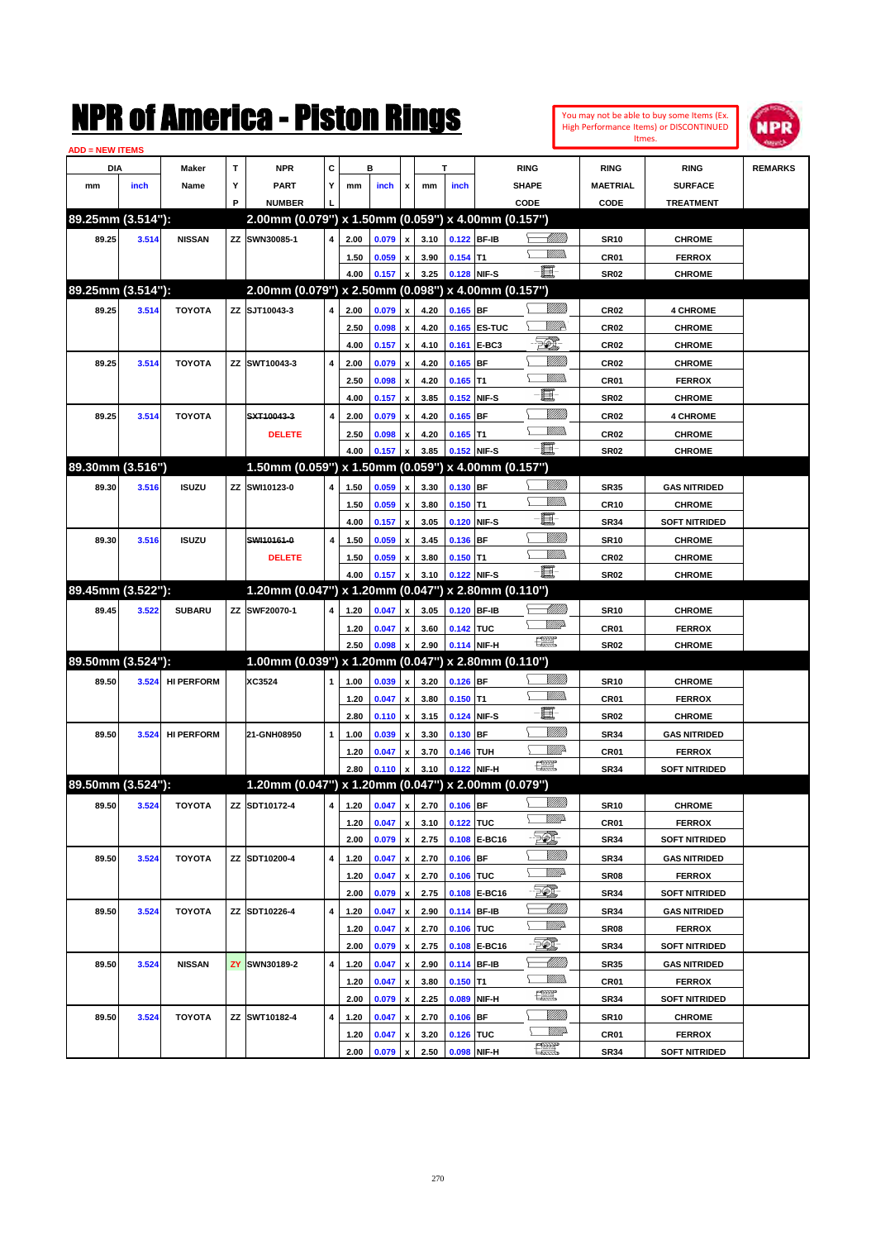| <b>ADD = NEW ITEMS</b> |       |                   |   |                                                         |   |              |         |                           |              |             |              |                   |                  |                                       |                |
|------------------------|-------|-------------------|---|---------------------------------------------------------|---|--------------|---------|---------------------------|--------------|-------------|--------------|-------------------|------------------|---------------------------------------|----------------|
| <b>DIA</b>             |       | <b>Maker</b>      | т | <b>NPR</b>                                              | С |              | B       |                           |              | т           |              | <b>RING</b>       | <b>RING</b>      | <b>RING</b>                           | <b>REMARKS</b> |
| mm                     | inch  | Name              | Υ | <b>PART</b>                                             | Υ | mm           | inch    | x                         | mm           | inch        |              | <b>SHAPE</b>      | <b>MAETRIAL</b>  | <b>SURFACE</b>                        |                |
|                        |       |                   | P | <b>NUMBER</b>                                           |   |              |         |                           |              |             |              | CODE              | <b>CODE</b>      | <b>TREATMENT</b>                      |                |
| 89.25mm (3.514"):      |       |                   |   | 2.00mm (0.079") x 1.50mm (0.059") x 4.00mm (0.157")     |   |              |         |                           |              |             |              |                   |                  |                                       |                |
| 89.25                  | 3.514 | <b>NISSAN</b>     |   | ZZ SWN30085-1                                           | 4 | 2.00         | 0.079   | x                         | 3.10         | 0.122 BF-IB |              |                   | <b>SR10</b>      | <b>CHROME</b>                         |                |
|                        |       |                   |   |                                                         |   | 1.50         | 0.059   | x                         | 3.90         | $0.154$ T1  |              | <u>MMD</u>        | CR <sub>01</sub> | <b>FERROX</b>                         |                |
|                        |       |                   |   |                                                         |   | 4.00         | 0.157   | $\pmb{\mathsf{x}}$        | 3.25         | 0.128 NIF-S |              | E                 | <b>SR02</b>      | <b>CHROME</b>                         |                |
| 89.25mm (3.514"):      |       |                   |   | 2.00mm (0.079") x 2.50mm (0.098") x 4.00mm (0.157")     |   |              |         |                           |              |             |              |                   |                  |                                       |                |
| 89.25                  | 3.514 | <b>TOYOTA</b>     |   | ZZ SJT10043-3                                           | 4 | 2.00         | 0.079   | x                         | 4.20         | $0.165$ BF  |              | <u>VMM</u>        | <b>CR02</b>      | <b>4 CHROME</b>                       |                |
|                        |       |                   |   |                                                         |   | 2.50         | 0.098   |                           | 4.20         |             | 0.165 ES-TUC | <u>MMP</u>        | <b>CR02</b>      | <b>CHROME</b>                         |                |
|                        |       |                   |   |                                                         |   | 4.00         | 0.157   | $\pmb{\mathsf{x}}$        | 4.10         | 0.161       | E-BC3        | TQ.               | <b>CR02</b>      | <b>CHROME</b>                         |                |
| 89.25                  | 3.514 | <b>TOYOTA</b>     |   | ZZ SWT10043-3                                           | 4 | 2.00         | 0.079   | x                         | 4.20         | 0.165       | BF           | <u>MMS</u>        | <b>CR02</b>      | <b>CHROME</b>                         |                |
|                        |       |                   |   |                                                         |   | 2.50         | 0.098   | x                         | 4.20         | $0.165$ T1  |              | <u>WMW</u>        | CR <sub>01</sub> | <b>FERROX</b>                         |                |
|                        |       |                   |   |                                                         |   | 4.00         | 0.157   | X                         | 3.85         | 0.152 NIF-S |              | E                 | SR <sub>02</sub> | <b>CHROME</b>                         |                |
| 89.25                  | 3.514 | <b>TOYOTA</b>     |   | SXT10043-3                                              | 4 | 2.00         | 0.079   | x                         | 4.20         | $0.165$ BF  |              | <br>Viited        | <b>CR02</b>      | <b>4 CHROME</b>                       |                |
|                        |       |                   |   | <b>DELETE</b>                                           |   | 2.50         | 0.098   | x                         | 4.20         | $0.165$ T1  |              | <u>MM)</u>        | <b>CR02</b>      | <b>CHROME</b>                         |                |
|                        |       |                   |   |                                                         |   | 4.00         | 0.157   | X                         | 3.85         | 0.152       | NIF-S        | 圓                 | <b>SR02</b>      | <b>CHROME</b>                         |                |
| 89.30mm (3.516")       |       |                   |   | 1.50mm (0.059") x 1.50mm (0.059") x 4.00mm (0.157")     |   |              |         |                           |              |             |              |                   |                  |                                       |                |
| 89.30                  | 3.516 | <b>ISUZU</b>      |   | ZZ SWI10123-0                                           | 4 | 1.50         | 0.059   | X                         | 3.30         | 0.130 BF    |              | <u>VMM</u>        | <b>SR35</b>      | <b>GAS NITRIDED</b>                   |                |
|                        |       |                   |   |                                                         |   | 1.50         | 0.059   | x                         | 3.80         | $0.150$ T1  |              | <u>MMs</u>        | <b>CR10</b>      | <b>CHROME</b>                         |                |
|                        |       |                   |   |                                                         |   | 4.00         | 0.157   | x                         | 3.05         | 0.120       | NIF-S        | E                 | <b>SR34</b>      | <b>SOFT NITRIDED</b>                  |                |
| 89.30                  | 3.516 | <b>ISUZU</b>      |   | SWI10161-0                                              | 4 | 1.50         | 0.059   | x                         | 3.45         | 0.136 BF    |              | <br>Viited        | <b>SR10</b>      | <b>CHROME</b>                         |                |
|                        |       |                   |   | <b>DELETE</b>                                           |   | 1.50         | 0.059   | x                         | 3.80         | $0.150$ T1  |              | <u>MMs</u>        | <b>CR02</b>      | <b>CHROME</b>                         |                |
|                        |       |                   |   |                                                         |   | 4.00         | 0.157   | X                         | 3.10         | 0.122       | NIF-S        | -買                | <b>SR02</b>      | <b>CHROME</b>                         |                |
| 89.45mm (3.522"):      |       |                   |   | 1.20mm (0.047") x 1.20mm (0.047") x 2.80mm (0.110")     |   |              |         |                           |              |             |              |                   |                  |                                       |                |
| 89.45                  | 3.522 | <b>SUBARU</b>     |   | ZZ SWF20070-1                                           | 4 | 1.20         | 0.047   | x                         | 3.05         | 0.120 BF-IB |              | <u> Milli</u>     | <b>SR10</b>      | <b>CHROME</b>                         |                |
|                        |       |                   |   |                                                         |   | 1.20         | 0.047   | x                         | $3.60\,$     | 0.142 TUC   |              | <u>Willid</u>     | <b>CR01</b>      | <b>FERROX</b>                         |                |
|                        |       |                   |   |                                                         |   | 2.50         | 0.098   | X                         | 2.90         |             | 0.114 NIF-H  | 鱱                 | <b>SR02</b>      | <b>CHROME</b>                         |                |
| 89.50mm (3.524"):      |       |                   |   | 1.00mm (0.039") x 1.20mm (0.047") x 2.80mm (0.110")     |   |              |         |                           |              |             |              |                   |                  |                                       |                |
| 89.50                  | 3.524 | <b>HI PERFORM</b> |   | XC3524                                                  |   | 1.00         | 0.039   | x                         | 3.20         | $0.126$ BF  |              | <br>Viited        | <b>SR10</b>      | <b>CHROME</b>                         |                |
|                        |       |                   |   |                                                         |   | 1.20         | 0.047   | x                         | 3.80         | $0.150$ T1  |              | <u>MMD</u>        | <b>CR01</b>      | <b>FERROX</b>                         |                |
|                        |       |                   |   |                                                         |   | 2.80         | 0.110   | X                         | 3.15         | 0.124       | NIF-S        | E                 | SR <sub>02</sub> | <b>CHROME</b>                         |                |
| 89.50                  |       | 3.524 HI PERFORM  |   | 21-GNH08950                                             | 1 | 1.00         | 0.039   | x                         | 3.30         | 0.130 BF    |              | <u>VIIII)</u>     | <b>SR34</b>      | <b>GAS NITRIDED</b>                   |                |
|                        |       |                   |   |                                                         |   | 1.20         | 0.047   | x                         | 3.70         | 0.146 TUH   |              | <u>Willi</u> r    | <b>CR01</b>      | <b>FERROX</b>                         |                |
|                        |       |                   |   |                                                         |   | 2.80         | 0.110   | $\mathbf{x}$              | 3.10         | 0.122       | NIF-H        | 鱱                 | <b>SR34</b>      | <b>SOFT NITRIDED</b>                  |                |
| 89.50mm (3.524"):      |       |                   |   | 1.20mm (0.047") x 1.20mm (0.047") x 2.00mm (0.079")     |   |              |         |                           |              |             |              |                   |                  |                                       |                |
| 89.50                  |       |                   |   | 3.524 TOYOTA ZZ SDT10172-4 4 1.20 0.047 x 2.70 0.106 BF |   |              |         |                           |              |             |              |                   | <b>SR10</b>      | <b>CHROME</b>                         |                |
|                        |       |                   |   |                                                         |   | 1.20         | 0.047   | $\pmb{\mathsf{x}}$        | 3.10         | 0.122 TUC   |              | <u>WW</u> A       | CR01             | <b>FERROX</b>                         |                |
|                        |       |                   |   |                                                         |   | 2.00         | 0.079   | x                         | 2.75         |             | 0.108 E-BC16 | EQ)               | SR34             | <b>SOFT NITRIDED</b>                  |                |
| 89.50                  | 3.524 | <b>TOYOTA</b>     |   | ZZ SDT10200-4                                           | 4 | 1.20         | 0.047   |                           | 2.70         | $0.106$ BF  |              | <u>Millito</u>    | <b>SR34</b>      | <b>GAS NITRIDED</b>                   |                |
|                        |       |                   |   |                                                         |   |              |         | x                         |              | 0.106 TUC   |              | <u>Willi</u> b    | SR <sub>08</sub> |                                       |                |
|                        |       |                   |   |                                                         |   | 1.20<br>2.00 | 0.047   | x                         | 2.70<br>2.75 |             | 0.108 E-BC16 | TI.               |                  | <b>FERROX</b><br><b>SOFT NITRIDED</b> |                |
|                        |       |                   |   |                                                         |   |              | 0.079   | x                         |              |             |              | <u> Millito</u>   | <b>SR34</b>      |                                       |                |
| 89.50                  | 3.524 | <b>TOYOTA</b>     |   | ZZ SDT10226-4                                           | 4 | 1.20         | 0.047   | x                         | 2.90         | 0.114 BF-IB |              | <u>Willid</u> h   | <b>SR34</b>      | <b>GAS NITRIDED</b>                   |                |
|                        |       |                   |   |                                                         |   | 1.20         | 0.047   | x                         | 2.70         | 0.106 TUC   |              | EQ)               | SR <sub>08</sub> | <b>FERROX</b>                         |                |
|                        |       |                   |   |                                                         |   | 2.00         | 0.079   | $\pmb{\mathsf{x}}$        | 2.75         |             | 0.108 E-BC16 | <u>-Milli</u>     | <b>SR34</b>      | <b>SOFT NITRIDED</b>                  |                |
| 89.50                  | 3.524 | <b>NISSAN</b>     |   | <b>ZY SWN30189-2</b>                                    | 4 | 1.20         | 0.047   | x                         | 2.90         |             | 0.114 BF-IB  | <u>MMs</u>        | <b>SR35</b>      | <b>GAS NITRIDED</b>                   |                |
|                        |       |                   |   |                                                         |   | 1.20         | 0.047   | $\boldsymbol{\mathsf{x}}$ | 3.80         | $0.150$ T1  |              | æ                 | CR01             | <b>FERROX</b>                         |                |
|                        |       |                   |   |                                                         |   | 2.00         | 0.079   | x                         | 2.25         |             | 0.089 NIF-H  | <u>MMS</u>        | <b>SR34</b>      | <b>SOFT NITRIDED</b>                  |                |
| 89.50                  | 3.524 | <b>TOYOTA</b>     |   | ZZ SWT10182-4                                           | 4 | 1.20         | 0.047   | $\boldsymbol{x}$          | 2.70         | $0.106$ BF  |              | <u>- Milli</u> da | <b>SR10</b>      | <b>CHROME</b>                         |                |
|                        |       |                   |   |                                                         |   | 1.20         | 0.047   | x                         | 3.20         | 0.126 TUC   |              | <b>The Second</b> | CR01             | <b>FERROX</b>                         |                |
|                        |       |                   |   |                                                         |   | 2.00         | 0.079 x |                           | 2.50         | 0.098 NIF-H |              |                   | <b>SR34</b>      | <b>SOFT NITRIDED</b>                  |                |

You may not be able to buy some Items (Ex. High Performance Items) or DISCONTINUED Itmes.

**NPR**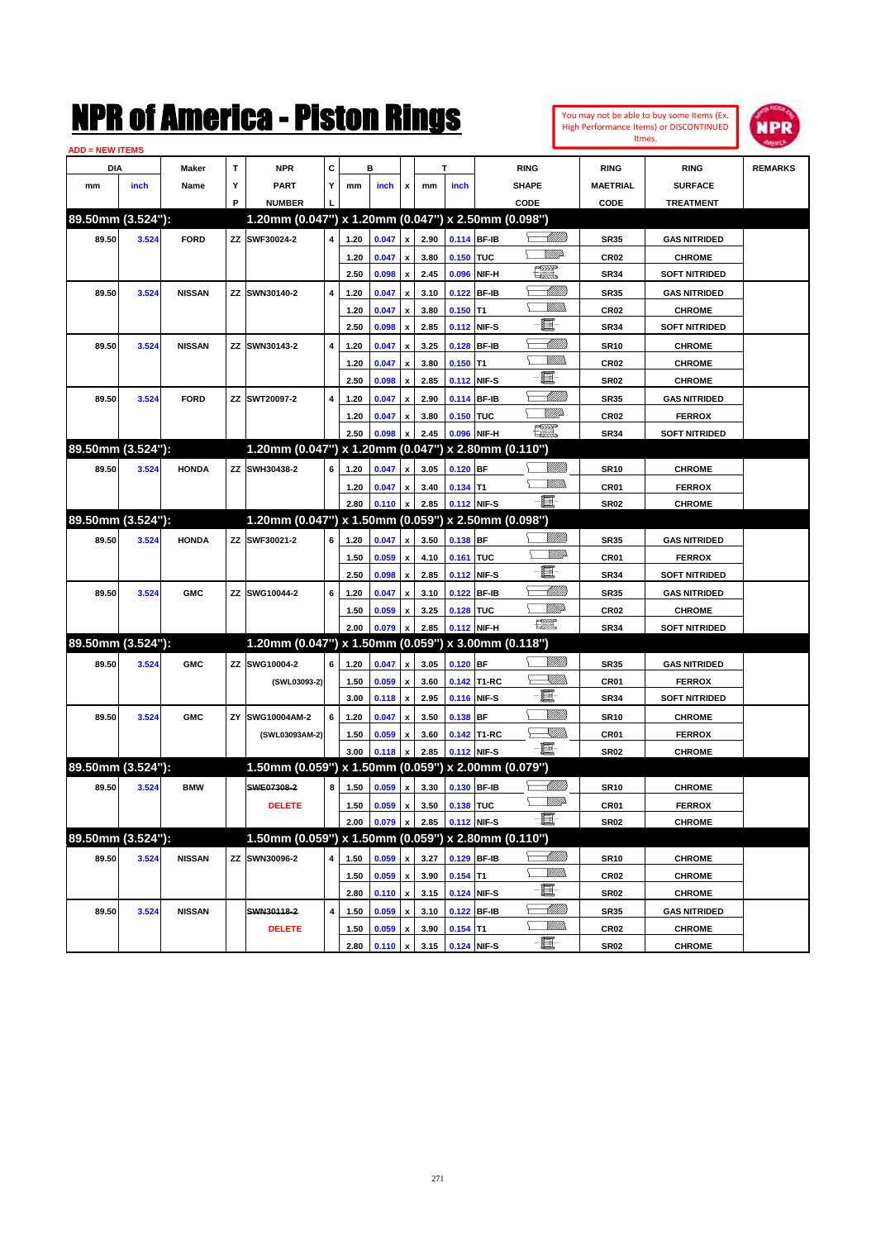| You may not be able to buy some Items (Ex. |
|--------------------------------------------|
| High Performance Items) or DISCONTINUED    |
| Itmes.                                     |



| <b>ADD = NEW ITEMS</b> |       |               |    |                                                     |   |      |       |                           |      |             |              |                                                                                                                          |                  |                      |                |
|------------------------|-------|---------------|----|-----------------------------------------------------|---|------|-------|---------------------------|------|-------------|--------------|--------------------------------------------------------------------------------------------------------------------------|------------------|----------------------|----------------|
| DIA                    |       | Maker         | Т  | <b>NPR</b>                                          | С |      | в     |                           |      | T           |              | <b>RING</b>                                                                                                              | <b>RING</b>      | <b>RING</b>          | <b>REMARKS</b> |
| mm                     | inch  | Name          | Υ  | <b>PART</b>                                         | Y | mm   | inch  | x                         | mm   | inch        |              | <b>SHAPE</b>                                                                                                             | <b>MAETRIAL</b>  | <b>SURFACE</b>       |                |
|                        |       |               | P  | <b>NUMBER</b>                                       |   |      |       |                           |      |             |              | CODE                                                                                                                     | CODE             | <b>TREATMENT</b>     |                |
| 89.50mm (3.524"):      |       |               |    | 1.20mm (0.047") x 1.20mm (0.047") x 2.50mm (0.098") |   |      |       |                           |      |             |              |                                                                                                                          |                  |                      |                |
| 89.50                  | 3.524 | <b>FORD</b>   |    | ZZ SWF30024-2                                       | 4 | 1.20 | 0.047 | $\pmb{\mathsf{x}}$        | 2.90 | 0.114 BF-IB |              | <u> MMB</u>                                                                                                              | <b>SR35</b>      | <b>GAS NITRIDED</b>  |                |
|                        |       |               |    |                                                     |   | 1.20 | 0.047 | x                         | 3.80 | 0.150 TUC   |              | VM)                                                                                                                      | CR <sub>02</sub> | <b>CHROME</b>        |                |
|                        |       |               |    |                                                     |   | 2.50 | 0.098 | $\pmb{\mathsf{x}}$        | 2.45 | 0.096       | NIF-H        | طردروت<br>حسابة                                                                                                          | <b>SR34</b>      | <b>SOFT NITRIDED</b> |                |
| 89.50                  | 3.524 | <b>NISSAN</b> |    | ZZ SWN30140-2                                       | 4 | 1.20 | 0.047 | x                         | 3.10 | 0.122       | <b>BF-IB</b> | <u>UMB</u>                                                                                                               | <b>SR35</b>      | <b>GAS NITRIDED</b>  |                |
|                        |       |               |    |                                                     |   | 1.20 | 0.047 | х                         | 3.80 | $0.150$ T1  |              | <br>Mar                                                                                                                  | CR <sub>02</sub> | <b>CHROME</b>        |                |
|                        |       |               |    |                                                     |   | 2.50 | 0.098 | x                         | 2.85 | 0.112       | NIF-S        | 圓                                                                                                                        | <b>SR34</b>      | <b>SOFT NITRIDED</b> |                |
| 89.50                  | 3.524 | <b>NISSAN</b> |    | ZZ SWN30143-2                                       | 4 | 1.20 | 0.047 | x                         | 3.25 | 0.128       | <b>BF-IB</b> | MMM                                                                                                                      | <b>SR10</b>      | <b>CHROME</b>        |                |
|                        |       |               |    |                                                     |   | 1.20 | 0.047 | х                         | 3.80 | $0.150$ T1  |              | <br>Mad                                                                                                                  | CR <sub>02</sub> | <b>CHROME</b>        |                |
|                        |       |               |    |                                                     |   | 2.50 | 0.098 | x                         | 2.85 | 0.112       | NIF-S        | 圓                                                                                                                        | <b>SR02</b>      | <b>CHROME</b>        |                |
| 89.50                  | 3.524 | <b>FORD</b>   | ΖZ | SWT20097-2                                          | 4 | 1.20 | 0.047 | x                         | 2.90 | 0.114       | <b>BF-IB</b> | <u> UMM</u>                                                                                                              | <b>SR35</b>      | <b>GAS NITRIDED</b>  |                |
|                        |       |               |    |                                                     |   | 1.20 | 0.047 | x                         | 3.80 | 0.150 TUC   |              | <u>Mille</u>                                                                                                             | CR <sub>02</sub> | <b>FERROX</b>        |                |
|                        |       |               |    |                                                     |   | 2.50 | 0.098 | $\boldsymbol{x}$          | 2.45 | 0.096       | NIF-H        | $\frac{1}{2}$                                                                                                            | <b>SR34</b>      | <b>SOFT NITRIDED</b> |                |
| 89.50mm (3.524"):      |       |               |    | 1.20mm (0.047") x 1.20mm (0.047") x 2.80mm (0.110") |   |      |       |                           |      |             |              |                                                                                                                          |                  |                      |                |
| 89.50                  | 3.524 | <b>HONDA</b>  |    | ZZ SWH30438-2                                       | 6 | 1.20 | 0.047 | x                         | 3.05 | 0.120 BF    |              |                                                                                                                          | <b>SR10</b>      | <b>CHROME</b>        |                |
|                        |       |               |    |                                                     |   | 1.20 | 0.047 | x                         | 3.40 | $0.134$ T1  |              | .<br>WWW                                                                                                                 | CR01             | <b>FERROX</b>        |                |
|                        |       |               |    |                                                     |   | 2.80 | 0.110 | $\pmb{\mathsf{x}}$        | 2.85 |             | 0.112 NIF-S  | -日                                                                                                                       | <b>SR02</b>      | <b>CHROME</b>        |                |
| 89.50mm (3.524"):      |       |               |    | 1.20mm (0.047") x 1.50mm (0.059") x 2.50mm (0.098") |   |      |       |                           |      |             |              |                                                                                                                          |                  |                      |                |
| 89.50                  | 3.524 | <b>HONDA</b>  |    | ZZ SWF30021-2                                       | 6 | 1.20 | 0.047 | $\pmb{\mathsf{x}}$        | 3.50 | 0.138 BF    |              | <u>UMM</u>                                                                                                               | <b>SR35</b>      | <b>GAS NITRIDED</b>  |                |
|                        |       |               |    |                                                     |   | 1.50 | 0.059 | x                         | 4.10 | 0.161 TUC   |              | <u>WW</u> A                                                                                                              | CR01             | <b>FERROX</b>        |                |
|                        |       |               |    |                                                     |   | 2.50 | 0.098 | $\pmb{\mathsf{x}}$        | 2.85 | 0.112       | NIF-S        | E                                                                                                                        | <b>SR34</b>      | <b>SOFT NITRIDED</b> |                |
| 89.50                  | 3.524 | <b>GMC</b>    | ΖZ | SWG10044-2                                          | 6 | 1.20 | 0.047 | $\boldsymbol{\mathsf{x}}$ | 3.10 | 0.122       | <b>BF-IB</b> | <u> MMM</u>                                                                                                              | <b>SR35</b>      | <b>GAS NITRIDED</b>  |                |
|                        |       |               |    |                                                     |   | 1.50 | 0.059 | х                         | 3.25 | 0.128       | <b>TUC</b>   | <u>MW</u> A                                                                                                              | <b>CR02</b>      | <b>CHROME</b>        |                |
|                        |       |               |    |                                                     |   | 2.00 | 0.079 |                           | 2.85 |             | 0.112 NIF-H  | <b>The Second Second</b>                                                                                                 | <b>SR34</b>      | <b>SOFT NITRIDED</b> |                |
| 89.50mm (3.524"):      |       |               |    | 1.20mm (0.047") x 1.50mm (0.059") x 3.00mm (0.118") |   |      |       |                           |      |             |              |                                                                                                                          |                  |                      |                |
| 89.50                  | 3.524 | <b>GMC</b>    |    | ZZ SWG10004-2                                       | 6 | 1.20 | 0.047 | $\pmb{\mathsf{x}}$        | 3.05 | $0.120$ BF  |              |                                                                                                                          | <b>SR35</b>      | <b>GAS NITRIDED</b>  |                |
|                        |       |               |    | (SWL03093-2)                                        |   | 1.50 | 0.059 | x                         | 3.60 |             | 0.142 T1-RC  | <u>XIII)</u>                                                                                                             | CR01             | <b>FERROX</b>        |                |
|                        |       |               |    |                                                     |   | 3.00 | 0.118 | $\pmb{\mathsf{x}}$        | 2.95 | 0.116 NIF-S |              | E                                                                                                                        | <b>SR34</b>      | <b>SOFT NITRIDED</b> |                |
| 89.50                  | 3.524 | <b>GMC</b>    | ΖY | SWG10004AM-2                                        | 6 | 1.20 | 0.047 | $\boldsymbol{\mathsf{x}}$ | 3.50 | 0.138       | <b>BF</b>    | VIII))                                                                                                                   | <b>SR10</b>      | <b>CHROME</b>        |                |
|                        |       |               |    | (SWL03093AM-2)                                      |   | 1.50 | 0.059 | х                         | 3.60 |             | 0.142 T1-RC  | $\begin{matrix} \begin{matrix} \mathbb{R} & \mathbb{R} \ \mathbb{R} & \mathbb{R} \end{matrix} & \mathbb{R} \end{matrix}$ | CR01             | <b>FERROX</b>        |                |
|                        |       |               |    |                                                     |   | 3.00 | 0.118 | x                         | 2.85 |             | 0.112 NIF-S  | -8                                                                                                                       | <b>SR02</b>      | <b>CHROME</b>        |                |
| 89.50mm (3.524"):      |       |               |    | 1.50mm (0.059") x 1.50mm (0.059") x 2.00mm (0.079") |   |      |       |                           |      |             |              |                                                                                                                          |                  |                      |                |
| 89.50                  | 3.524 | <b>BMW</b>    |    | SWE07308-2                                          | 8 | 1.50 | 0.059 | $\pmb{\mathsf{x}}$        | 3.30 | 0.130 BF-IB |              | <u> UMB</u>                                                                                                              | <b>SR10</b>      | <b>CHROME</b>        |                |
|                        |       |               |    | <b>DELETE</b>                                       |   | 1.50 | 0.059 | $\pmb{\mathsf{x}}$        | 3.50 | 0.138 TUC   |              | <u>WW</u>                                                                                                                | CR01             | <b>FERROX</b>        |                |
|                        |       |               |    |                                                     |   | 2.00 | 0.079 | $\pmb{\mathsf{x}}$        | 2.85 | 0.112 NIF-S |              | $-\blacksquare$                                                                                                          | SR02             | <b>CHROME</b>        |                |
| 89.50mm (3.524"):      |       |               |    | 1.50mm (0.059") x 1.50mm (0.059") x 2.80mm (0.110") |   |      |       |                           |      |             |              |                                                                                                                          |                  |                      |                |
| 89.50                  | 3.524 | <b>NISSAN</b> |    | ZZ SWN30096-2                                       | 4 | 1.50 | 0.059 | $\pmb{\mathsf{x}}$        | 3.27 | 0.129 BF-IB |              | <u>-1777)</u>                                                                                                            | <b>SR10</b>      | <b>CHROME</b>        |                |
|                        |       |               |    |                                                     |   | 1.50 | 0.059 | $\pmb{\mathsf{x}}$        | 3.90 | $0.154$ T1  |              | <u>VMM</u>                                                                                                               | CR02             | <b>CHROME</b>        |                |
|                        |       |               |    |                                                     |   | 2.80 | 0.110 | $\pmb{\mathsf{x}}$        | 3.15 |             | 0.124 NIF-S  | E                                                                                                                        | SR02             | <b>CHROME</b>        |                |
| 89.50                  | 3.524 | <b>NISSAN</b> |    | SWN30118-2                                          | 4 | 1.50 | 0.059 | $\pmb{\mathsf{x}}$        | 3.10 | 0.122       | <b>BF-IB</b> | <u> MMM)</u>                                                                                                             | <b>SR35</b>      | <b>GAS NITRIDED</b>  |                |
|                        |       |               |    | <b>DELETE</b>                                       |   | 1.50 | 0.059 | x                         | 3.90 | $0.154$ T1  |              | <u>MM)</u>                                                                                                               | CR02             | <b>CHROME</b>        |                |
|                        |       |               |    |                                                     |   | 2.80 | 0.110 | $\,$ $\,$ $\,$            | 3.15 | 0.124 NIF-S |              | $-\blacksquare$                                                                                                          | <b>SR02</b>      | <b>CHROME</b>        |                |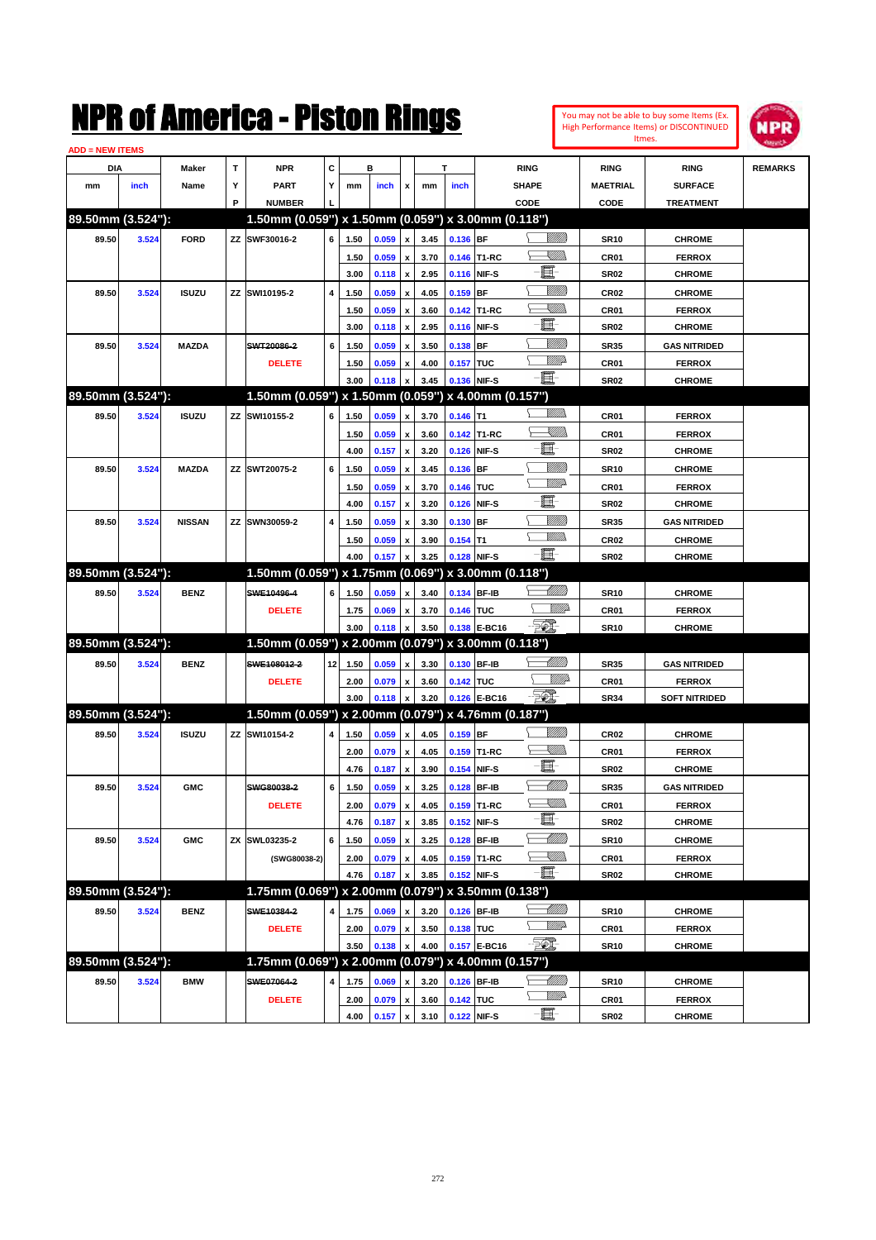You may not be able to buy some Items (Ex. High Performance Items) or DISCONTINUED Itmes.



| <b>ADD = NEW ITEMS</b> |       |               |    |                                                     |    |              |       |                    |              |                       |                                  |                      |                  |                                |                |
|------------------------|-------|---------------|----|-----------------------------------------------------|----|--------------|-------|--------------------|--------------|-----------------------|----------------------------------|----------------------|------------------|--------------------------------|----------------|
| DIA                    |       | Maker         | т  | NPR                                                 | С  |              | в     |                    |              | т                     |                                  | <b>RING</b>          | <b>RING</b>      | <b>RING</b>                    | <b>REMARKS</b> |
| mm                     | inch  | Name          | Υ  | <b>PART</b>                                         | Y  | mm           | inch  | x                  | mm           | inch                  |                                  | <b>SHAPE</b>         | <b>MAETRIAL</b>  | <b>SURFACE</b>                 |                |
|                        |       |               | P  | <b>NUMBER</b>                                       |    |              |       |                    |              |                       |                                  | CODE                 | CODE             | <b>TREATMENT</b>               |                |
| 89.50mm (3.524"):      |       |               |    | 1.50mm (0.059") x 1.50mm (0.059") x 3.00mm (0.118") |    |              |       |                    |              |                       |                                  |                      |                  |                                |                |
| 89.50                  | 3.524 | <b>FORD</b>   |    | ZZ SWF30016-2                                       | 6  | 1.50         | 0.059 | x                  | 3.45         | 0.136 BF              |                                  | <u>Villida</u>       | <b>SR10</b>      | <b>CHROME</b>                  |                |
|                        |       |               |    |                                                     |    | 1.50         | 0.059 | x                  | 3.70         |                       | 0.146 T1-RC                      | <u>Sillin</u>        | CR01             | <b>FERROX</b>                  |                |
|                        |       |               |    |                                                     |    | 3.00         | 0.118 | x                  | 2.95         |                       | 0.116 NIF-S                      | E                    | <b>SR02</b>      | <b>CHROME</b>                  |                |
| 89.50                  | 3.524 | <b>ISUZU</b>  | ZZ | SWI10195-2                                          | 4  | 1.50         | 0.059 | x                  | 4.05         | $0.159$ BF            |                                  | <u>Milli</u> k       | CR02             | <b>CHROME</b>                  |                |
|                        |       |               |    |                                                     |    | 1.50         | 0.059 | x                  | 3.60         |                       | 0.142 T1-RC                      | <u>Sillin</u>        | CR01             | <b>FERROX</b>                  |                |
|                        |       |               |    |                                                     |    | 3.00         | 0.118 | x                  | 2.95         |                       | 0.116 NIF-S                      | E                    | <b>SR02</b>      | <b>CHROME</b>                  |                |
| 89.50                  | 3.524 | <b>MAZDA</b>  |    | SWT20086-2                                          | 6  | 1.50         | 0.059 |                    | 3.50         | $0.138$ BF            |                                  | <u>MMM</u>           | <b>SR35</b>      | <b>GAS NITRIDED</b>            |                |
|                        |       |               |    | <b>DELETE</b>                                       |    | 1.50         | 0.059 | x                  | 4.00         | 0.157 TUC             |                                  | <br>Willia           | CR <sub>01</sub> | <b>FERROX</b>                  |                |
|                        |       |               |    |                                                     |    | 3.00         | 0.118 |                    | 3.45         |                       | 0.136 NIF-S                      | 匱                    | <b>SR02</b>      | <b>CHROME</b>                  |                |
| 89.50mm (3.524"):      |       |               |    | 1.50mm (0.059") x 1.50mm (0.059") x 4.00mm (0.157") |    |              |       |                    |              |                       |                                  |                      |                  |                                |                |
| 89.50                  | 3.524 | <b>ISUZU</b>  |    | ZZ SWI10155-2                                       | 6  | 1.50         | 0.059 | x                  | 3.70         | $0.146$ T1            |                                  | <br>Mar              | CR <sub>01</sub> | <b>FERROX</b>                  |                |
|                        |       |               |    |                                                     |    | 1.50         | 0.059 | x                  | 3.60         |                       | 0.142 T1-RC                      | <u>UMB</u>           | CR01             | <b>FERROX</b>                  |                |
|                        |       |               |    |                                                     |    | 4.00         | 0.157 | x                  | 3.20         |                       | 0.126 NIF-S                      | E                    | <b>SR02</b>      | <b>CHROME</b>                  |                |
|                        |       | <b>MAZDA</b>  |    | ZZ SWT20075-2                                       | 6  |              |       |                    |              |                       |                                  | <u>Milli</u>         |                  |                                |                |
| 89.50                  | 3.524 |               |    |                                                     |    | 1.50         | 0.059 | x                  | 3.45         | 0.136 BF<br>0.146 TUC |                                  | <u>WW</u>            | <b>SR10</b>      | <b>CHROME</b>                  |                |
|                        |       |               |    |                                                     |    | 1.50<br>4.00 | 0.059 | x                  | 3.70<br>3.20 |                       | 0.126 NIF-S                      | E                    | CR01             | <b>FERROX</b><br><b>CHROME</b> |                |
|                        |       |               |    |                                                     |    |              | 0.157 | x                  |              |                       |                                  | <u>Milli</u>         | <b>SR02</b>      |                                |                |
| 89.50                  | 3.524 | <b>NISSAN</b> |    | ZZ SWN30059-2                                       | 4  | 1.50         | 0.059 | x                  | 3.30         | $0.130$ BF            |                                  | .<br>MM              | <b>SR35</b>      | <b>GAS NITRIDED</b>            |                |
|                        |       |               |    |                                                     |    | 1.50         | 0.059 |                    | 3.90         | $0.154$ T1            |                                  | -8                   | CR <sub>02</sub> | <b>CHROME</b>                  |                |
| 89.50mm (3.524"):      |       |               |    | 1.50mm (0.059") x 1.75mm (0.069")                   |    | 4.00         | 0.157 |                    | 3.25         |                       | 0.128 NIF-S<br>x 3.00mm (0.118") |                      | <b>SR02</b>      | <b>CHROME</b>                  |                |
|                        |       |               |    |                                                     |    |              |       |                    |              |                       |                                  | <u> MMM</u>          |                  |                                |                |
| 89.50                  | 3.524 | <b>BENZ</b>   |    | SWE10496-4                                          | 6  | 1.50         | 0.059 | x                  | 3.40         |                       | 0.134 BF-IB                      | <br>William          | <b>SR10</b>      | <b>CHROME</b>                  |                |
|                        |       |               |    | <b>DELETE</b>                                       |    | 1.75         | 0.069 | x                  | 3.70         | 0.146 TUC             |                                  | <u> 50)</u>          | CR01             | <b>FERROX</b>                  |                |
| 89.50mm (3.524"):      |       |               |    | 1.50mm (0.059") x 2.00mm (0.079") x 3.00mm (0.118") |    | 3.00         | 0.118 |                    | 3.50         |                       | 0.138 E-BC16                     |                      | <b>SR10</b>      | <b>CHROME</b>                  |                |
|                        |       |               |    |                                                     |    |              |       |                    |              |                       |                                  | <u>UMB</u>           |                  |                                |                |
| 89.50                  | 3.524 | <b>BENZ</b>   |    | SWE108012-2                                         | 12 | 1.50         | 0.059 | x                  | 3.30         |                       | 0.130 BF-IB                      |                      | <b>SR35</b>      | <b>GAS NITRIDED</b>            |                |
|                        |       |               |    | <b>DELETE</b>                                       |    | 2.00         | 0.079 | x                  | 3.60         | 0.142 TUC             |                                  | <i><u>Villid</u></i> | CR01             | <b>FERROX</b>                  |                |
|                        |       |               |    |                                                     |    | 3.00         | 0.118 | x                  | 3.20         |                       | 0.126 E-BC16                     | $-\frac{1}{2}$       | <b>SR34</b>      | <b>SOFT NITRIDED</b>           |                |
| 89.50mm (3.524"):      |       |               |    | 1.50mm (0.059") x 2.00mm (0.079") x 4.76mm (0.187") |    |              |       |                    |              |                       |                                  |                      |                  |                                |                |
| 89.50                  | 3.524 | <b>ISUZU</b>  | ΖZ | SWI10154-2                                          | 4  | 1.50         | 0.059 | x                  | 4.05         | $0.159$ BF            |                                  |                      | CR <sub>02</sub> | <b>CHROME</b>                  |                |
|                        |       |               |    |                                                     |    | 2.00         | 0.079 | x                  | 4.05         |                       | 0.159 T1-RC                      | <u>Sillin</u>        | CR <sub>01</sub> | <b>FERROX</b>                  |                |
|                        |       |               |    |                                                     |    | 4.76         | 0.187 | x                  | 3.90         |                       | 0.154 NIF-S                      | E                    | <b>SR02</b>      | <b>CHROME</b>                  |                |
| 89.50                  | 3.524 | <b>GMC</b>    |    | SWG80038-2                                          | 6  | 1.50         | 0.059 | x                  | 3.25         |                       | 0.128 BF-IB                      | MMB                  | <b>SR35</b>      | <b>GAS NITRIDED</b>            |                |
|                        |       |               |    | <b>DELETE</b>                                       |    | 2.00         | 0.079 | x                  | 4.05         |                       | 0.159 T1-RC                      | <u>X</u> M))         | CR01             | <b>FERROX</b>                  |                |
|                        |       |               |    |                                                     |    | 4.76         | 0.187 | $\pmb{\mathsf{x}}$ | 3.85         |                       | 0.152 NIF-S                      | E                    | <b>SR02</b>      | <b>CHROME</b>                  |                |
| 89.50                  | 3.524 | <b>GMC</b>    |    | ZX SWL03235-2                                       | 6  | 1.50         | 0.059 | x                  | 3.25         |                       | 0.128 BF-IB                      | <u> MMM</u>          | <b>SR10</b>      | <b>CHROME</b>                  |                |
|                        |       |               |    | (SWG80038-2)                                        |    | 2.00         | 0.079 | x                  | 4.05         |                       | 0.159 T1-RC                      | <u> XM))</u>         | CR01             | <b>FERROX</b>                  |                |
|                        |       |               |    |                                                     |    | 4.76         | 0.187 |                    | 3.85         |                       | 0.152 NIF-S                      | E                    | SR02             | <b>CHROME</b>                  |                |
| 89.50mm (3.524"):      |       |               |    | 1.75mm (0.069") x 2.00mm (0.079") x 3.50mm (0.138") |    |              |       |                    |              |                       |                                  |                      |                  |                                |                |
| 89.50                  | 3.524 | <b>BENZ</b>   |    | SWE10384-2                                          | 4  | 1.75         | 0.069 | x                  | 3.20         |                       | 0.126 BF-IB                      | <u> UMB</u>          | <b>SR10</b>      | <b>CHROME</b>                  |                |
|                        |       |               |    | <b>DELETE</b>                                       |    | 2.00         | 0.079 | x                  | 3.50         | 0.138 TUC             |                                  | <u>MMP</u>           | CR01             | <b>FERROX</b>                  |                |
|                        |       |               |    |                                                     |    | 3.50         | 0.138 |                    | 4.00         |                       | 0.157 E-BC16                     | EO)                  | <b>SR10</b>      | <b>CHROME</b>                  |                |
| 89.50mm (3.524"):      |       |               |    | 1.75mm (0.069") x 2.00mm (0.079") x 4.00mm (0.157") |    |              |       |                    |              |                       |                                  |                      |                  |                                |                |
| 89.50                  | 3.524 | <b>BMW</b>    |    | SWE07064-2                                          | 4  | 1.75         | 0.069 |                    | 3.20         |                       | 0.126 BF-IB                      |                      | <b>SR10</b>      | <b>CHROME</b>                  |                |
|                        |       |               |    | <b>DELETE</b>                                       |    | 2.00         | 0.079 | x                  | 3.60         | 0.142 TUC             |                                  | <u>VM</u> D-         | CR01             | <b>FERROX</b>                  |                |
|                        |       |               |    |                                                     |    | 4.00         | 0.157 | $\pmb{\mathsf{x}}$ | 3.10         | 0.122 NIF-S           |                                  | E-                   | <b>SR02</b>      | <b>CHROME</b>                  |                |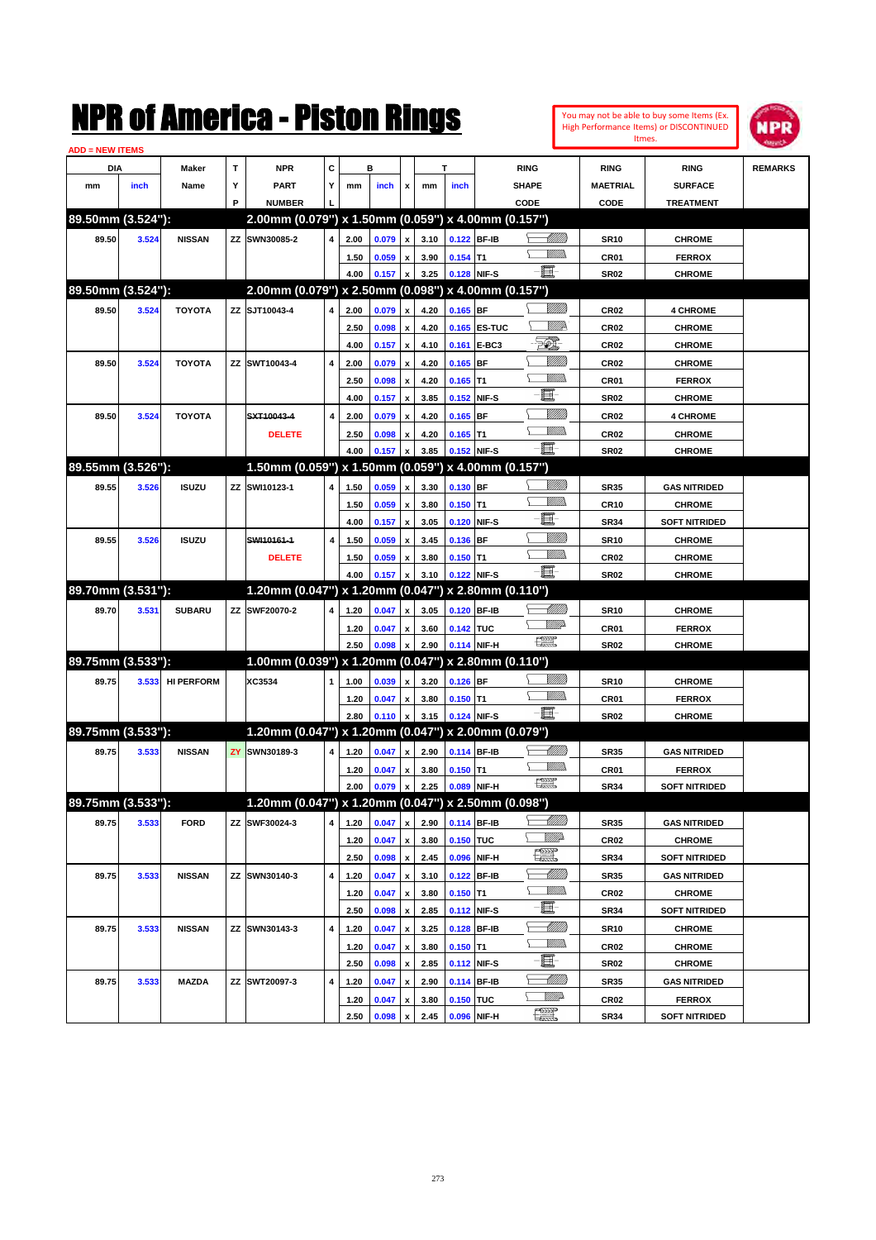|                        |       |                   |     | NMK OI AINCrica - Miston Kings                      |   |      |       |                           |              |             |              |                                                                                                                                                                                                                                                                                                                                                     |                                  |                  | You may not be able to buy some Items (Ex.<br>High Performance Items) or DISCONTINUED | NPR            |
|------------------------|-------|-------------------|-----|-----------------------------------------------------|---|------|-------|---------------------------|--------------|-------------|--------------|-----------------------------------------------------------------------------------------------------------------------------------------------------------------------------------------------------------------------------------------------------------------------------------------------------------------------------------------------------|----------------------------------|------------------|---------------------------------------------------------------------------------------|----------------|
| <b>ADD = NEW ITEMS</b> |       |                   |     |                                                     |   |      |       |                           |              |             |              |                                                                                                                                                                                                                                                                                                                                                     |                                  |                  | Itmes.                                                                                |                |
| DIA                    |       | Maker             | T   | <b>NPR</b>                                          | C |      | в     |                           |              | т           |              | <b>RING</b>                                                                                                                                                                                                                                                                                                                                         |                                  | <b>RING</b>      | <b>RING</b>                                                                           | <b>REMARKS</b> |
| mm                     | inch  | Name              | Υ   | <b>PART</b>                                         | Y | mm   | inch  | x                         | mm           | inch        |              | <b>SHAPE</b>                                                                                                                                                                                                                                                                                                                                        |                                  | <b>MAETRIAL</b>  | <b>SURFACE</b>                                                                        |                |
|                        |       |                   | P   | <b>NUMBER</b>                                       |   |      |       |                           |              |             |              | CODE                                                                                                                                                                                                                                                                                                                                                |                                  | CODE             | <b>TREATMENT</b>                                                                      |                |
| 89.50mm (3.524"):      |       |                   |     | 2.00mm (0.079") x 1.50mm (0.059") x 4.00mm (0.157") |   |      |       |                           |              |             |              |                                                                                                                                                                                                                                                                                                                                                     |                                  |                  |                                                                                       |                |
| 89.50                  | 3.524 | <b>NISSAN</b>     |     | ZZ SWN30085-2                                       | 4 | 2.00 | 0.079 | x                         | 3.10         |             | 0.122 BF-IB  |                                                                                                                                                                                                                                                                                                                                                     | <u> UMB</u>                      | <b>SR10</b>      | <b>CHROME</b>                                                                         |                |
|                        |       |                   |     |                                                     |   | 1.50 | 0.059 | x                         | 3.90         | $0.154$ T1  |              |                                                                                                                                                                                                                                                                                                                                                     | <br>Mar                          | CR01             | <b>FERROX</b>                                                                         |                |
|                        |       |                   |     |                                                     |   | 4.00 | 0.157 | x                         | 3.25         | 0.128 NIF-S |              | e et                                                                                                                                                                                                                                                                                                                                                |                                  | <b>SR02</b>      | <b>CHROME</b>                                                                         |                |
| 89.50mm (3.524"):      |       |                   |     | 2.00mm (0.079") x 2.50mm (0.098") x 4.00mm (0.157") |   |      |       |                           |              |             |              |                                                                                                                                                                                                                                                                                                                                                     |                                  |                  |                                                                                       |                |
| 89.50                  | 3.524 | <b>TOYOTA</b>     |     | ZZ SJT10043-4                                       | 4 | 2.00 | 0.079 | x                         | 4.20         | $0.165$ BF  |              |                                                                                                                                                                                                                                                                                                                                                     | VIII))                           | CR <sub>02</sub> | <b>4 CHROME</b>                                                                       |                |
|                        |       |                   |     |                                                     |   | 2.50 | 0.098 | $\boldsymbol{\mathsf{x}}$ | 4.20         |             | 0.165 ES-TUC |                                                                                                                                                                                                                                                                                                                                                     | <u>Willik</u>                    | <b>CR02</b>      | <b>CHROME</b>                                                                         |                |
|                        |       |                   |     |                                                     |   | 4.00 | 0.157 | $\boldsymbol{\mathsf{x}}$ | 4.10         |             | 0.161 E-BC3  | 20),                                                                                                                                                                                                                                                                                                                                                |                                  | CR <sub>02</sub> | <b>CHROME</b>                                                                         |                |
| 89.50                  | 3.524 | <b>TOYOTA</b>     |     | ZZ SWT10043-4                                       | 4 | 2.00 | 0.079 | $\boldsymbol{\mathsf{x}}$ | 4.20         | $0.165$ BF  |              |                                                                                                                                                                                                                                                                                                                                                     | <u>MMM</u>                       | CR <sub>02</sub> | <b>CHROME</b>                                                                         |                |
|                        |       |                   |     |                                                     |   | 2.50 | 0.098 | $\boldsymbol{\mathsf{x}}$ | 4.20         | $0.165$ T1  |              |                                                                                                                                                                                                                                                                                                                                                     | .<br>WWW                         | CR01             | <b>FERROX</b>                                                                         |                |
|                        |       |                   |     |                                                     |   | 4.00 | 0.157 | $\boldsymbol{\mathsf{x}}$ | 3.85         |             | 0.152 NIF-S  | E                                                                                                                                                                                                                                                                                                                                                   |                                  | <b>SR02</b>      | <b>CHROME</b>                                                                         |                |
| 89.50                  | 3.524 | <b>TOYOTA</b>     |     | SXT10043-4                                          | 4 | 2.00 | 0.079 | X                         | 4.20         | $0.165$ BF  |              |                                                                                                                                                                                                                                                                                                                                                     | <u>MMW</u>                       | <b>CR02</b>      | <b>4 CHROME</b>                                                                       |                |
|                        |       |                   |     | <b>DELETE</b>                                       |   | 2.50 | 0.098 | x                         | 4.20         | $0.165$ T1  |              |                                                                                                                                                                                                                                                                                                                                                     | <br>Mar                          | CR <sub>02</sub> | <b>CHROME</b>                                                                         |                |
|                        |       |                   |     |                                                     |   | 4.00 | 0.157 | X                         | 3.85         |             | 0.152 NIF-S  | $-\mathbf{E}$                                                                                                                                                                                                                                                                                                                                       |                                  | <b>SR02</b>      | <b>CHROME</b>                                                                         |                |
| 89.55mm (3.526"):      |       |                   |     | 1.50mm (0.059") x 1.50mm (0.059") x 4.00mm (0.157") |   |      |       |                           |              |             |              |                                                                                                                                                                                                                                                                                                                                                     |                                  |                  |                                                                                       |                |
| 89.55                  | 3.526 | <b>ISUZU</b>      |     | ZZ SWI10123-1                                       | 4 | 1.50 | 0.059 | X                         | 3.30         | 0.130 BF    |              |                                                                                                                                                                                                                                                                                                                                                     |                                  | <b>SR35</b>      | <b>GAS NITRIDED</b>                                                                   |                |
|                        |       |                   |     |                                                     |   | 1.50 | 0.059 | $\boldsymbol{\mathsf{x}}$ | 3.80         | $0.150$ T1  |              |                                                                                                                                                                                                                                                                                                                                                     | <br>Mar                          | <b>CR10</b>      | <b>CHROME</b>                                                                         |                |
|                        |       |                   |     |                                                     |   | 4.00 | 0.157 | $\boldsymbol{\mathsf{x}}$ | 3.05         |             | 0.120 NIF-S  | E                                                                                                                                                                                                                                                                                                                                                   |                                  | <b>SR34</b>      | <b>SOFT NITRIDED</b>                                                                  |                |
| 89.55                  | 3.526 | <b>ISUZU</b>      |     | SWI10161-1                                          | 4 | 1.50 | 0.059 | x                         | 3.45         | 0.136 BF    |              |                                                                                                                                                                                                                                                                                                                                                     | <u>MMW</u>                       | <b>SR10</b>      | <b>CHROME</b>                                                                         |                |
|                        |       |                   |     | <b>DELETE</b>                                       |   | 1.50 | 0.059 | x                         | 3.80         | $0.150$ T1  |              |                                                                                                                                                                                                                                                                                                                                                     | <br>Mar                          | CR <sub>02</sub> | <b>CHROME</b>                                                                         |                |
|                        |       |                   |     |                                                     |   | 4.00 | 0.157 | X                         | 3.10         |             | 0.122 NIF-S  | $-\mathbf{H}$ -                                                                                                                                                                                                                                                                                                                                     |                                  | <b>SR02</b>      | <b>CHROME</b>                                                                         |                |
| 89.70mm (3.531"):      |       |                   |     | 1.20mm (0.047") x 1.20mm (0.047") x 2.80mm (0.110") |   |      |       |                           |              |             |              |                                                                                                                                                                                                                                                                                                                                                     |                                  |                  |                                                                                       |                |
| 89.70                  | 3.531 | <b>SUBARU</b>     |     | ZZ SWF20070-2                                       | 4 | 1.20 | 0.047 | x                         | 3.05         |             | 0.120 BF-IB  |                                                                                                                                                                                                                                                                                                                                                     | <u> MMW</u> )                    | <b>SR10</b>      | <b>CHROME</b>                                                                         |                |
|                        |       |                   |     |                                                     |   | 1.20 | 0.047 | x                         | 3.60         | 0.142 TUC   |              |                                                                                                                                                                                                                                                                                                                                                     | <u>WW</u>                        | CR01             | <b>FERROX</b>                                                                         |                |
|                        |       |                   |     |                                                     |   | 2.50 | 0.098 |                           | 2.90         |             | 0.114 NIF-H  | $\begin{picture}(20,20) \put(0,0){\line(1,0){10}} \put(15,0){\line(1,0){10}} \put(15,0){\line(1,0){10}} \put(15,0){\line(1,0){10}} \put(15,0){\line(1,0){10}} \put(15,0){\line(1,0){10}} \put(15,0){\line(1,0){10}} \put(15,0){\line(1,0){10}} \put(15,0){\line(1,0){10}} \put(15,0){\line(1,0){10}} \put(15,0){\line(1,0){10}} \put(15,0){\line(1$ |                                  | <b>SR02</b>      | <b>CHROME</b>                                                                         |                |
| 89.75mm (3.533"):      |       |                   |     | 1.00mm (0.039") x 1.20mm (0.047") x 2.80mm (0.110") |   |      |       |                           |              |             |              |                                                                                                                                                                                                                                                                                                                                                     |                                  |                  |                                                                                       |                |
| 89.75                  | 3.533 | <b>HI PERFORM</b> |     | XC3534                                              | 1 | 1.00 | 0.039 | $\boldsymbol{x}$          | 3.20         | $0.126$ BF  |              |                                                                                                                                                                                                                                                                                                                                                     | <u>Millitt</u>                   | <b>SR10</b>      | <b>CHROME</b>                                                                         |                |
|                        |       |                   |     |                                                     |   | 1.20 | 0.047 | x                         | 3.80         | $0.150$ T1  |              |                                                                                                                                                                                                                                                                                                                                                     | .<br>WWW                         | CR01             | <b>FERROX</b>                                                                         |                |
|                        |       |                   |     |                                                     |   | 2.80 | 0.110 | X                         | 3.15         | 0.124 NIF-S |              | $-\mathbf{E}$                                                                                                                                                                                                                                                                                                                                       |                                  | <b>SR02</b>      | <b>CHROME</b>                                                                         |                |
| 89.75mm (3.533"):      |       |                   |     | 1.20mm (0.047") x 1.20mm (0.047") x 2.00mm (0.079") |   |      |       |                           |              |             |              |                                                                                                                                                                                                                                                                                                                                                     |                                  |                  |                                                                                       |                |
| 89.75                  |       | <b>NISSAN</b>     | ZY. | SWN30189-3                                          | 4 |      |       | $\boldsymbol{x}$          | 2.90         |             | 0.114 BF-IB  |                                                                                                                                                                                                                                                                                                                                                     | <u> MMM</u>                      |                  | <b>GAS NITRIDED</b>                                                                   |                |
|                        | 3.533 |                   |     |                                                     |   | 1.20 | 0.047 |                           |              |             |              |                                                                                                                                                                                                                                                                                                                                                     | <br>Mar                          | <b>SR35</b>      |                                                                                       |                |
|                        |       |                   |     |                                                     |   | 1.20 | 0.047 | $\boldsymbol{\mathsf{x}}$ | 3.80<br>2.25 | $0.150$ T1  |              | $\frac{1}{2}$                                                                                                                                                                                                                                                                                                                                       |                                  | CR01             | <b>FERROX</b><br><b>SOFT NITRIDED</b>                                                 |                |
| 89.75mm (3.533"):      |       |                   |     | 1.20mm (0.047") x 1.20mm (0.047") x 2.50mm (0.098") |   | 2.00 | 0.079 | $\boldsymbol{\mathsf{x}}$ |              | 0.089 NIF-H |              |                                                                                                                                                                                                                                                                                                                                                     |                                  | <b>SR34</b>      |                                                                                       |                |
|                        |       |                   |     |                                                     |   |      |       |                           |              |             |              |                                                                                                                                                                                                                                                                                                                                                     | <u> MMM)</u>                     |                  |                                                                                       |                |
| 89.75                  | 3.533 | <b>FORD</b>       | ZZ  | SWF30024-3                                          | 4 | 1.20 | 0.047 | $\boldsymbol{x}$          | 2.90         |             | 0.114 BF-IB  |                                                                                                                                                                                                                                                                                                                                                     | <u>UMB</u>                       | <b>SR35</b>      | <b>GAS NITRIDED</b>                                                                   |                |
|                        |       |                   |     |                                                     |   | 1.20 | 0.047 | $\pmb{\mathsf{x}}$        | 3.80         | 0.150 TUC   |              | 鱱                                                                                                                                                                                                                                                                                                                                                   |                                  | CR <sub>02</sub> | <b>CHROME</b>                                                                         |                |
|                        |       |                   |     |                                                     |   | 2.50 | 0.098 | $\pmb{\mathsf{x}}$        | 2.45         |             | 0.096 NIF-H  |                                                                                                                                                                                                                                                                                                                                                     |                                  | <b>SR34</b>      | <b>SOFT NITRIDED</b>                                                                  |                |
| 89.75                  | 3.533 | <b>NISSAN</b>     |     | ZZ SWN30140-3                                       | 4 | 1.20 | 0.047 | $\pmb{\mathsf{x}}$        | 3.10         |             | 0.122 BF-IB  |                                                                                                                                                                                                                                                                                                                                                     | <u>-Milli</u> b<br><u>Willib</u> | <b>SR35</b>      | <b>GAS NITRIDED</b>                                                                   |                |
|                        |       |                   |     |                                                     |   | 1.20 | 0.047 | $\pmb{\mathsf{x}}$        | 3.80         | $0.150$ T1  |              |                                                                                                                                                                                                                                                                                                                                                     |                                  | CR <sub>02</sub> | <b>CHROME</b>                                                                         |                |
|                        |       |                   |     |                                                     |   | 2.50 | 0.098 | $\pmb{\mathsf{x}}$        | 2.85         |             | 0.112 NIF-S  | E                                                                                                                                                                                                                                                                                                                                                   |                                  | <b>SR34</b>      | <b>SOFT NITRIDED</b>                                                                  |                |
| 89.75                  | 3.533 | <b>NISSAN</b>     |     | ZZ SWN30143-3                                       | 4 | 1.20 | 0.047 | $\pmb{\mathsf{x}}$        | 3.25         |             | 0.128 BF-IB  |                                                                                                                                                                                                                                                                                                                                                     | <u> UMB</u>                      | <b>SR10</b>      | <b>CHROME</b>                                                                         |                |
|                        |       |                   |     |                                                     |   | 1.20 | 0.047 | $\pmb{\mathsf{x}}$        | 3.80         | $0.150$ T1  |              |                                                                                                                                                                                                                                                                                                                                                     | <u>Willib</u>                    | <b>CR02</b>      | <b>CHROME</b>                                                                         |                |
|                        |       |                   |     |                                                     |   | 2.50 | 0.098 | $\boldsymbol{\mathsf{x}}$ | 2.85         |             | 0.112 NIF-S  | E                                                                                                                                                                                                                                                                                                                                                   |                                  | <b>SR02</b>      | <b>CHROME</b>                                                                         |                |
| 89.75                  | 3.533 | <b>MAZDA</b>      |     | ZZ SWT20097-3                                       | 4 | 1.20 | 0.047 | x                         | 2.90         |             | 0.114 BF-IB  |                                                                                                                                                                                                                                                                                                                                                     | <u> MMM</u>                      | <b>SR35</b>      | <b>GAS NITRIDED</b>                                                                   |                |
|                        |       |                   |     |                                                     |   | 1.20 | 0.047 | x                         | 3.80         | 0.150 TUC   |              |                                                                                                                                                                                                                                                                                                                                                     | <u>Willia</u>                    | CR <sub>02</sub> | <b>FERROX</b>                                                                         |                |
|                        |       |                   |     |                                                     |   | 2.50 | 0.098 | $\pmb{\mathsf{x}}$        | 2.45         | 0.096 NIF-H |              | H                                                                                                                                                                                                                                                                                                                                                   |                                  | <b>SR34</b>      | <b>SOFT NITRIDED</b>                                                                  |                |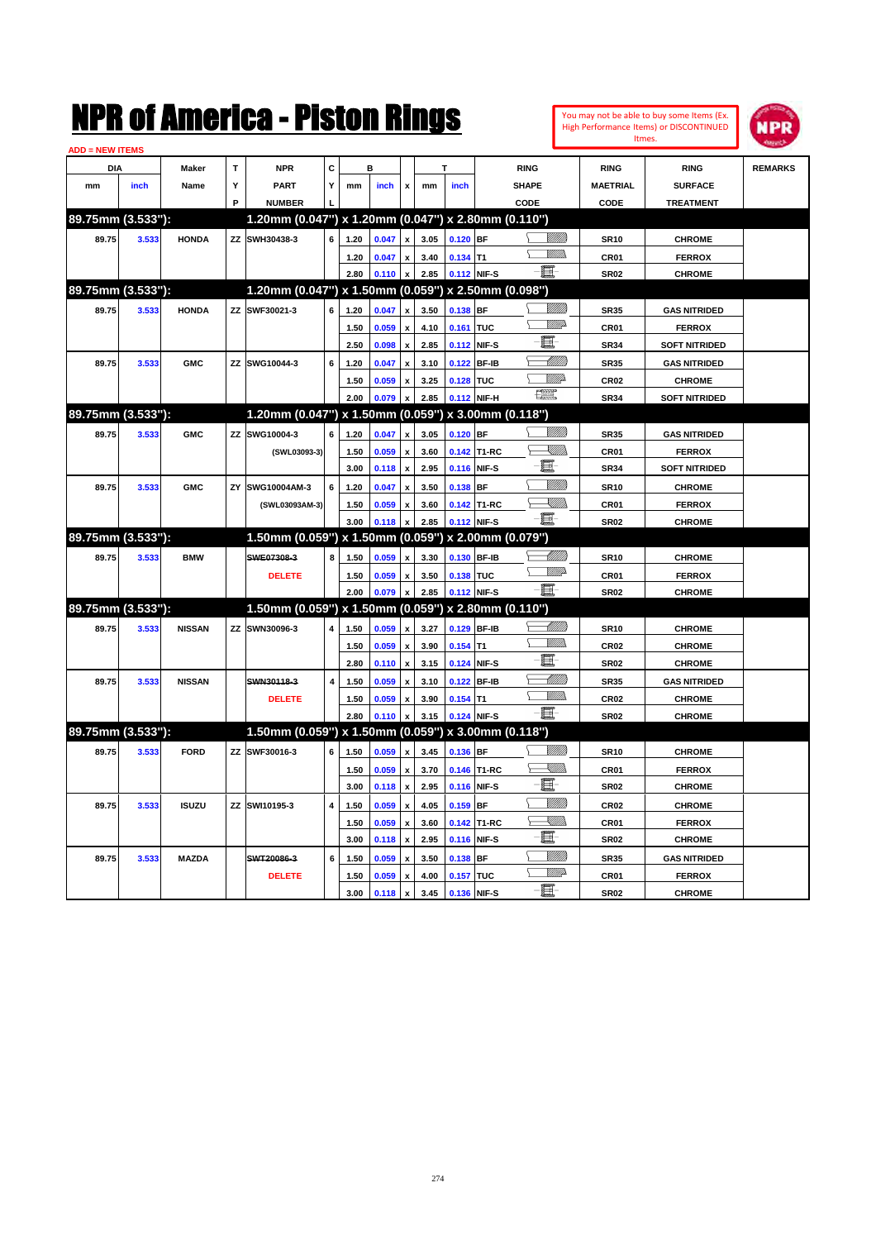| <b>ADD = NEW ITEMS</b> |       |               |    |                                                     |                         |      |       |                           |      |             |             |                                                           |                 |                      |                |
|------------------------|-------|---------------|----|-----------------------------------------------------|-------------------------|------|-------|---------------------------|------|-------------|-------------|-----------------------------------------------------------|-----------------|----------------------|----------------|
| DIA                    |       | Maker         | T  | <b>NPR</b>                                          | C                       |      | B     |                           |      |             |             | <b>RING</b>                                               | <b>RING</b>     | <b>RING</b>          | <b>REMARKS</b> |
| mm                     | inch  | Name          | Υ  | <b>PART</b>                                         | Υ                       | mm   | inch  | x                         | mm   | inch        |             | <b>SHAPE</b>                                              | <b>MAETRIAL</b> | <b>SURFACE</b>       |                |
|                        |       |               | P  | <b>NUMBER</b>                                       |                         |      |       |                           |      |             |             | CODE                                                      | CODE            | <b>TREATMENT</b>     |                |
| 89.75mm (3.533"):      |       |               |    | 1.20mm (0.047") x 1.20mm (0.047") x 2.80mm (0.110") |                         |      |       |                           |      |             |             |                                                           |                 |                      |                |
| 89.75                  | 3.533 | <b>HONDA</b>  |    | ZZ SWH30438-3                                       | 6                       | 1.20 | 0.047 | $\mathbf{x}$              | 3.05 | $0.120$ BF  |             | 97777)                                                    | <b>SR10</b>     | <b>CHROME</b>        |                |
|                        |       |               |    |                                                     |                         | 1.20 | 0.047 | $\pmb{\mathsf{x}}$        | 3.40 | $0.134$ T1  |             | VM))                                                      | CR01            | <b>FERROX</b>        |                |
|                        |       |               |    |                                                     |                         | 2.80 | 0.110 | $\mathbf{x}$              | 2.85 |             | 0.112 NIF-S | - 8                                                       | <b>SR02</b>     | <b>CHROME</b>        |                |
| 89.75mm (3.533"):      |       |               |    | 1.20mm (0.047") x 1.50mm (0.059") x 2.50mm (0.098") |                         |      |       |                           |      |             |             |                                                           |                 |                      |                |
| 89.75                  | 3.533 | <b>HONDA</b>  |    | ZZ SWF30021-3                                       | 6                       | 1.20 | 0.047 | $\mathbf{x}$              | 3.50 | 0.138 BF    |             | VIIII)                                                    | <b>SR35</b>     | <b>GAS NITRIDED</b>  |                |
|                        |       |               |    |                                                     |                         | 1.50 | 0.059 | $\pmb{\mathsf{x}}$        | 4.10 | 0.161 TUC   |             | <u>VMD</u>                                                | CR01            | <b>FERROX</b>        |                |
|                        |       |               |    |                                                     |                         | 2.50 | 0.098 | $\pmb{\mathsf{x}}$        | 2.85 |             | 0.112 NIF-S | E                                                         | <b>SR34</b>     | <b>SOFT NITRIDED</b> |                |
| 89.75                  | 3.533 | <b>GMC</b>    |    | ZZ SWG10044-3                                       | 6                       | 1.20 | 0.047 | $\boldsymbol{\mathsf{x}}$ | 3.10 |             | 0.122 BF-IB | <u> MMM</u>                                               | <b>SR35</b>     | <b>GAS NITRIDED</b>  |                |
|                        |       |               |    |                                                     |                         | 1.50 | 0.059 | $\boldsymbol{x}$          | 3.25 | 0.128 TUC   |             | <u>VIII)</u>                                              | <b>CR02</b>     | <b>CHROME</b>        |                |
|                        |       |               |    |                                                     |                         | 2.00 | 0.079 | $\pmb{\mathsf{x}}$        | 2.85 | 0.112 NIF-H |             | <b>The Second</b>                                         | <b>SR34</b>     | <b>SOFT NITRIDED</b> |                |
| 89.75mm (3.533"):      |       |               |    | 1.20mm (0.047") x 1.50mm (0.059")                   |                         |      |       |                           |      |             |             | x 3.00mm (0.118")                                         |                 |                      |                |
| 89.75                  | 3.533 | <b>GMC</b>    |    | ZZ SWG10004-3                                       | 6                       | 1.20 | 0.047 | X                         | 3.05 | $0.120$ BF  |             | VIII))                                                    | <b>SR35</b>     | <b>GAS NITRIDED</b>  |                |
|                        |       |               |    | (SWL03093-3)                                        |                         | 1.50 | 0.059 | x                         | 3.60 |             | 0.142 T1-RC | $\begin{matrix} \begin{matrix} \end{matrix} \end{matrix}$ | CR01            | <b>FERROX</b>        |                |
|                        |       |               |    |                                                     |                         | 3.00 | 0.118 | $\pmb{\mathsf{x}}$        | 2.95 |             | 0.116 NIF-S | 匱                                                         | <b>SR34</b>     | <b>SOFT NITRIDED</b> |                |
| 89.75                  | 3.533 | <b>GMC</b>    | ZY | SWG10004AM-3                                        | 6                       | 1.20 | 0.047 | $\boldsymbol{\mathsf{x}}$ | 3.50 | $0.138$ BF  |             | <br>Viited                                                | <b>SR10</b>     | <b>CHROME</b>        |                |
|                        |       |               |    | (SWL03093AM-3)                                      |                         | 1.50 | 0.059 |                           | 3.60 |             | 0.142 T1-RC | - UMB                                                     | CR01            | <b>FERROX</b>        |                |
|                        |       |               |    |                                                     |                         | 3.00 | 0.118 | $\mathbf{x}$              | 2.85 |             | 0.112 NIF-S | -0                                                        | <b>SR02</b>     | <b>CHROME</b>        |                |
| 89.75mm (3.533"):      |       |               |    | 1.50mm (0.059") x 1.50mm (0.059") x 2.00mm (0.079") |                         |      |       |                           |      |             |             |                                                           |                 |                      |                |
| 89.75                  | 3.533 | <b>BMW</b>    |    | SWE07308-3                                          | 8                       | 1.50 | 0.059 | $\mathbf{x}$              | 3.30 | 0.130 BF-IB |             | <u>UMB</u>                                                | <b>SR10</b>     | <b>CHROME</b>        |                |
|                        |       |               |    | <b>DELETE</b>                                       |                         | 1.50 | 0.059 | $\mathbf{x}$              | 3.50 | 0.138 TUC   |             | <u>WWP</u>                                                | CR01            | <b>FERROX</b>        |                |
|                        |       |               |    |                                                     |                         | 2.00 | 0.079 |                           | 2.85 |             | 0.112 NIF-S | - 8                                                       | <b>SR02</b>     | <b>CHROME</b>        |                |
| 89.75mm (3.533"):      |       |               |    | 1.50mm (0.059") x 1.50mm (0.059") x 2.80mm (0.110") |                         |      |       |                           |      |             |             |                                                           |                 |                      |                |
| 89.75                  | 3.533 | <b>NISSAN</b> |    | ZZ SWN30096-3                                       | 4                       | 1.50 | 0.059 | $\pmb{\mathsf{x}}$        | 3.27 |             | 0.129 BF-IB | <u>UMB</u>                                                | <b>SR10</b>     | <b>CHROME</b>        |                |
|                        |       |               |    |                                                     |                         | 1.50 | 0.059 | $\boldsymbol{\mathsf{x}}$ | 3.90 | $0.154$ T1  |             | .<br>VMD                                                  | <b>CR02</b>     | <b>CHROME</b>        |                |
|                        |       |               |    |                                                     |                         | 2.80 | 0.110 | $\pmb{\mathsf{x}}$        | 3.15 |             | 0.124 NIF-S | E                                                         | <b>SR02</b>     | <b>CHROME</b>        |                |
| 89.75                  | 3.533 | <b>NISSAN</b> |    | SWN30118-3                                          | $\pmb{4}$               | 1.50 | 0.059 | $\boldsymbol{\mathsf{x}}$ | 3.10 |             | 0.122 BF-IB | <u> Millitt</u>                                           | <b>SR35</b>     | <b>GAS NITRIDED</b>  |                |
|                        |       |               |    | <b>DELETE</b>                                       |                         | 1.50 | 0.059 | $\pmb{\mathsf{x}}$        | 3.90 | $0.154$ T1  |             | .<br>VMD                                                  | <b>CR02</b>     | <b>CHROME</b>        |                |
|                        |       |               |    |                                                     |                         | 2.80 | 0.110 |                           | 3.15 | 0.124 NIF-S |             | -81                                                       | <b>SR02</b>     | <b>CHROME</b>        |                |
| 89.75mm (3.533"):      |       |               |    | 1.50mm (0.059") x 1.50mm (0.059") x 3.00mm (0.118") |                         |      |       |                           |      |             |             |                                                           |                 |                      |                |
| 89.75                  | 3.533 | <b>FORD</b>   |    | ZZ SWF30016-3                                       | 6                       | 1.50 | 0.059 | x                         | 3.45 | $0.136$ BF  |             | <br>Viited                                                | <b>SR10</b>     | <b>CHROME</b>        |                |
|                        |       |               |    |                                                     |                         | 1.50 | 0.059 | $\pmb{\mathsf{x}}$        | 3.70 |             | 0.146 T1-RC | XMM                                                       | CR01            | <b>FERROX</b>        |                |
|                        |       |               |    |                                                     |                         | 3.00 | 0.118 | $\boldsymbol{\mathsf{x}}$ | 2.95 |             | 0.116 NIF-S | E                                                         | <b>SR02</b>     | <b>CHROME</b>        |                |
| 89.75                  | 3.533 | <b>ISUZU</b>  |    | ZZ SWI10195-3                                       | $\overline{\mathbf{4}}$ | 1.50 | 0.059 | $\boldsymbol{\mathsf{x}}$ | 4.05 | $0.159$ BF  |             |                                                           | <b>CR02</b>     | <b>CHROME</b>        |                |
|                        |       |               |    |                                                     |                         | 1.50 | 0.059 | $\pmb{\mathsf{x}}$        | 3.60 |             | 0.142 T1-RC | <u>X</u> MM)                                              | CR01            | <b>FERROX</b>        |                |
|                        |       |               |    |                                                     |                         | 3.00 | 0.118 | $\boldsymbol{\mathsf{x}}$ | 2.95 |             | 0.116 NIF-S | E                                                         | <b>SR02</b>     | <b>CHROME</b>        |                |
| 89.75                  | 3.533 | <b>MAZDA</b>  |    | SWT20086-3                                          | 6                       | 1.50 | 0.059 | $\boldsymbol{\mathsf{x}}$ | 3.50 | $0.138$ BF  |             | VIIII                                                     | <b>SR35</b>     | <b>GAS NITRIDED</b>  |                |
|                        |       |               |    | <b>DELETE</b>                                       |                         | 1.50 | 0.059 | $\pmb{\mathsf{x}}$        | 4.00 | 0.157 TUC   |             | <u>Willi</u> p                                            | CR01            | <b>FERROX</b>        |                |
|                        |       |               |    |                                                     |                         | 3.00 | 0.118 | $\pmb{\mathsf{x}}$        | 3.45 |             | 0.136 NIF-S | E-                                                        | <b>SR02</b>     | <b>CHROME</b>        |                |

You may not be able to buy some Items (Ex. High Performance Items) or DISCONTINUED Itmes.

**NPR**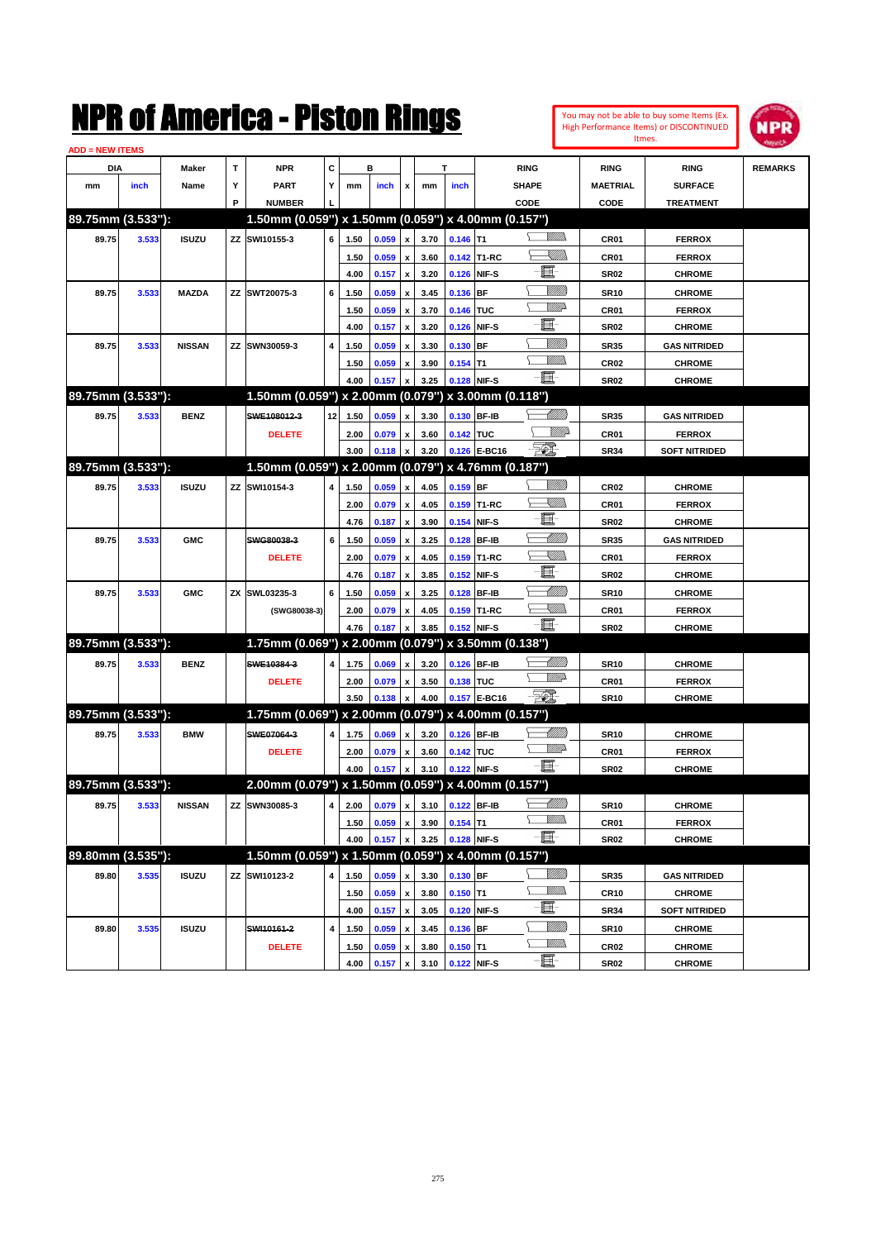| You may not be able to buy some Items (Ex. |
|--------------------------------------------|
| High Performance Items) or DISCONTINUED    |
| Itmes.                                     |



| <b>ADD = NEW ITEMS</b> |       |               |    |                                                     |    |      |       |                                |              |                                 |              |                              |                  |                                |                |
|------------------------|-------|---------------|----|-----------------------------------------------------|----|------|-------|--------------------------------|--------------|---------------------------------|--------------|------------------------------|------------------|--------------------------------|----------------|
| DIA                    |       | Maker         | т  | <b>NPR</b>                                          | С  |      | в     |                                |              | т                               |              | <b>RING</b>                  | <b>RING</b>      | <b>RING</b>                    | <b>REMARKS</b> |
| mm                     | inch  | Name          | Υ  | <b>PART</b>                                         | Y  | mm   | inch  | x                              | mm           | inch                            |              | <b>SHAPE</b>                 | <b>MAETRIAL</b>  | <b>SURFACE</b>                 |                |
|                        |       |               | P  | <b>NUMBER</b>                                       |    |      |       |                                |              |                                 |              | CODE                         | CODE             | <b>TREATMENT</b>               |                |
| 89.75mm (3.533"):      |       |               |    | 1.50mm (0.059") x 1.50mm (0.059") x 4.00mm (0.157") |    |      |       |                                |              |                                 |              |                              |                  |                                |                |
| 89.75                  | 3.533 | <b>ISUZU</b>  | ZZ | SWI10155-3                                          | 6  | 1.50 | 0.059 | $\pmb{\mathsf{x}}$             | 3.70         | $0.146$ T1                      |              | <u>Willib</u>                | CR01             | <b>FERROX</b>                  |                |
|                        |       |               |    |                                                     |    | 1.50 | 0.059 | x                              | 3.60         |                                 | 0.142 T1-RC  | <u>sillin</u>                | CR01             | <b>FERROX</b>                  |                |
|                        |       |               |    |                                                     |    | 4.00 | 0.157 | $\pmb{\mathsf{x}}$             | 3.20         | 0.126                           | NIF-S        | E                            | <b>SR02</b>      | <b>CHROME</b>                  |                |
| 89.75                  | 3.533 | <b>MAZDA</b>  | ΖZ | SWT20075-3                                          | 6  | 1.50 | 0.059 | x                              | 3.45         | 0.136                           | <b>BF</b>    | <u>MMM</u>                   | <b>SR10</b>      | <b>CHROME</b>                  |                |
|                        |       |               |    |                                                     |    | 1.50 | 0.059 | x                              | 3.70         | 0.146                           | <b>TUC</b>   | <u>VM</u> D                  | CR01             | <b>FERROX</b>                  |                |
|                        |       |               |    |                                                     |    | 4.00 | 0.157 | $\pmb{\mathsf{x}}$             | 3.20         | 0.126                           | NIF-S        | E                            | <b>SR02</b>      | <b>CHROME</b>                  |                |
| 89.75                  | 3.533 | <b>NISSAN</b> | ΖZ | SWN30059-3                                          | 4  | 1.50 | 0.059 | $\boldsymbol{\mathsf{x}}$      | 3.30         | 0.130                           | <b>BF</b>    | <u>Milli</u> k               | <b>SR35</b>      | <b>GAS NITRIDED</b>            |                |
|                        |       |               |    |                                                     |    | 1.50 | 0.059 | $\boldsymbol{\mathsf{x}}$      | 3.90         | 0.154                           | IT1          | <br>Mar                      | <b>CR02</b>      | <b>CHROME</b>                  |                |
|                        |       |               |    |                                                     |    | 4.00 | 0.157 | x                              | 3.25         | 0.128                           | NIF-S        | -8                           | SR <sub>02</sub> | <b>CHROME</b>                  |                |
| 89.75mm (3.533"):      |       |               |    | 1.50mm (0.059") x 2.00mm (0.079") x 3.00mm (0.118") |    |      |       |                                |              |                                 |              |                              |                  |                                |                |
| 89.75                  | 3.533 | <b>BENZ</b>   |    | SWE108012-3                                         | 12 | 1.50 | 0.059 | $\pmb{\mathsf{x}}$             | 3.30         | 0.130                           | <b>BF-IB</b> | MMB                          | <b>SR35</b>      | <b>GAS NITRIDED</b>            |                |
|                        |       |               |    | <b>DELETE</b>                                       |    | 2.00 | 0.079 |                                | 3.60         | 0.142 TUC                       |              | <i><u>Villid</u></i>         | CR01             | <b>FERROX</b>                  |                |
|                        |       |               |    |                                                     |    | 3.00 | 0.118 | x<br>$\boldsymbol{\mathsf{x}}$ | 3.20         | 0.126                           | E-BC16       | - 50)                        | <b>SR34</b>      | <b>SOFT NITRIDED</b>           |                |
| 89.75mm (3.533"):      |       |               |    | 1.50mm (0.059") x 2.00mm (0.079") x 4.76mm (0.187") |    |      |       |                                |              |                                 |              |                              |                  |                                |                |
| 89.75                  |       | <b>ISUZU</b>  |    | SWI10154-3                                          |    |      |       |                                |              | 0.159 BF                        |              | WMB                          |                  |                                |                |
|                        | 3.533 |               | zz |                                                     | 4  | 1.50 | 0.059 | $\pmb{\mathsf{x}}$             | 4.05         |                                 | 0.159 T1-RC  | <u>Sillin</u>                | <b>CR02</b>      | <b>CHROME</b>                  |                |
|                        |       |               |    |                                                     |    | 2.00 | 0.079 | $\pmb{\mathsf{x}}$             | 4.05<br>3.90 |                                 | NIF-S        | E                            | CR01             | <b>FERROX</b><br><b>CHROME</b> |                |
|                        |       |               |    |                                                     |    | 4.76 | 0.187 | $\pmb{\mathsf{x}}$             |              | 0.154                           |              | MMM                          | <b>SR02</b>      |                                |                |
| 89.75                  | 3.533 | <b>GMC</b>    |    | SWG80038-3                                          | 6  | 1.50 | 0.059 | x                              | 3.25         | 0.128                           | <b>BF-IB</b> | <u>Sillin</u>                | <b>SR35</b>      | <b>GAS NITRIDED</b>            |                |
|                        |       |               |    | <b>DELETE</b>                                       |    | 2.00 | 0.079 | x                              | 4.05         | 0.159                           | T1-RC        | E                            | <b>CR01</b>      | <b>FERROX</b>                  |                |
|                        |       |               |    |                                                     |    | 4.76 | 0.187 | x                              | 3.85         | 0.152                           | NIF-S        | <u>UMB</u>                   | <b>SR02</b>      | <b>CHROME</b>                  |                |
| 89.75                  | 3.533 | <b>GMC</b>    | ΖX | SWL03235-3                                          | 6  | 1.50 | 0.059 | $\boldsymbol{\mathsf{x}}$      | 3.25         | 0.128                           | <b>BF-IB</b> | <u>- Millis</u>              | <b>SR10</b>      | <b>CHROME</b>                  |                |
|                        |       |               |    | (SWG80038-3)                                        |    | 2.00 | 0.079 | x                              | 4.05         | 0.159                           | T1-RC        | $-\blacksquare$              | <b>CR01</b>      | <b>FERROX</b>                  |                |
| 89.75mm (3.533"):      |       |               |    | 1.75mm (0.069") x 2.00mm (0.079") x 3.50mm (0.138") |    | 4.76 | 0.187 | x                              | 3.85         | 0.152                           | NIF-S        |                              | <b>SR02</b>      | <b>CHROME</b>                  |                |
|                        |       |               |    |                                                     |    |      |       |                                |              |                                 |              |                              |                  |                                |                |
| 89.75                  | 3.533 | <b>BENZ</b>   |    | SWE10384-3                                          | 4  | 1.75 | 0.069 | $\pmb{\mathsf{x}}$             | 3.20         | 0.126                           | <b>BF-IB</b> | <u> Millitt</u><br><u>WW</u> | <b>SR10</b>      | <b>CHROME</b>                  |                |
|                        |       |               |    | <b>DELETE</b>                                       |    | 2.00 | 0.079 | x                              | 3.50         | 0.138 TUC                       |              |                              | CR01             | <b>FERROX</b>                  |                |
|                        |       |               |    |                                                     |    | 3.50 | 0.138 | $\pmb{\mathsf{x}}$             | 4.00         |                                 | 0.157 E-BC16 | - 50)                        | <b>SR10</b>      | <b>CHROME</b>                  |                |
| 89.75mm (3.533"):      |       |               |    | 1.75mm (0.069") x 2.00mm (0.079") x 4.00mm (0.157") |    |      |       |                                |              |                                 |              |                              |                  |                                |                |
| 89.75                  | 3.533 | <b>BMW</b>    |    | SWE07064-3                                          | 4  | 1.75 | 0.069 | x                              | 3.20         | 0.126                           | <b>BF-IB</b> | <u> UMB</u><br><u>WW</u>     | <b>SR10</b>      | <b>CHROME</b>                  |                |
|                        |       |               |    | <b>DELETE</b>                                       |    | 2.00 | 0.079 | x                              | 3.60         | 0.142 TUC                       |              |                              | CR01             | <b>FERROX</b>                  |                |
|                        |       |               |    |                                                     |    | 4.00 | 0.157 | $\mathbf{x}$                   | 3.10         | 0.122                           | NIF-S        | -8                           | <b>SR02</b>      | <b>CHROME</b>                  |                |
| 89.75mm (3.533"):      |       |               |    | 2.00mm (0.079") x 1.50mm (0.059") x 4.00mm (0.157") |    |      |       |                                |              |                                 |              |                              |                  |                                |                |
| 89.75                  | 3.533 | <b>NISSAN</b> |    | ZZ SWN30085-3                                       |    |      |       |                                |              | 4 2.00 0.079 x 3.10 0.122 BF-IB |              | <u> MM))</u>                 | <b>SR10</b>      | <b>CHROME</b>                  |                |
|                        |       |               |    |                                                     |    | 1.50 | 0.059 | $\pmb{\mathsf{x}}$             | 3.90         | $0.154$ T1                      |              | <u>Willida</u>               | CR01             | <b>FERROX</b>                  |                |
|                        |       |               |    |                                                     |    | 4.00 | 0.157 | $\pmb{\mathsf{x}}$             | 3.25         | 0.128 NIF-S                     |              | $-\blacksquare$              | <b>SR02</b>      | <b>CHROME</b>                  |                |
| 89.80mm (3.535"):      |       |               |    | 1.50mm (0.059") x 1.50mm (0.059") x 4.00mm (0.157") |    |      |       |                                |              |                                 |              |                              |                  |                                |                |
| 89.80                  | 3.535 | <b>ISUZU</b>  | ΖZ | SWI10123-2                                          | 4  | 1.50 | 0.059 | $\pmb{\mathsf{x}}$             | 3.30         | 0.130 BF                        |              | <u>VIII in</u>               | <b>SR35</b>      | <b>GAS NITRIDED</b>            |                |
|                        |       |               |    |                                                     |    | 1.50 | 0.059 | $\pmb{\mathsf{x}}$             | 3.80         | $0.150$ T1                      |              | <u>VMM</u>                   | <b>CR10</b>      | <b>CHROME</b>                  |                |
|                        |       |               |    |                                                     |    | 4.00 | 0.157 | $\pmb{\mathsf{x}}$             | 3.05         | 0.120                           | NIF-S        | e                            | <b>SR34</b>      | <b>SOFT NITRIDED</b>           |                |
| 89.80                  | 3.535 | <b>ISUZU</b>  |    | SWI10161-2                                          | 4  | 1.50 | 0.059 | $\pmb{\mathsf{x}}$             | 3.45         | 0.136                           | BF           | <u>VIII in</u>               | <b>SR10</b>      | <b>CHROME</b>                  |                |
|                        |       |               |    | <b>DELETE</b>                                       |    | 1.50 | 0.059 | x                              | 3.80         | $0.150$ T1                      |              | <u>MM)</u>                   | <b>CR02</b>      | <b>CHROME</b>                  |                |
|                        |       |               |    |                                                     |    | 4.00 | 0.157 | $\pmb{\mathsf{x}}$             | 3.10         | 0.122 NIF-S                     |              | -8                           | SR <sub>02</sub> | <b>CHROME</b>                  |                |